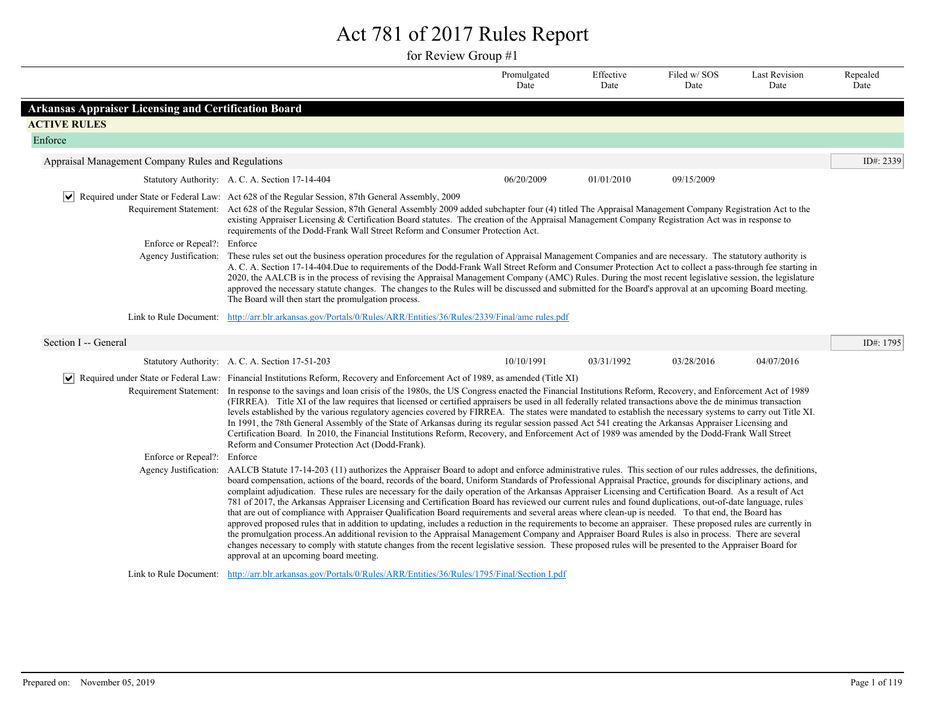## Act 781 of 2017 Rules Report

for Review Group #1

|                                                             |                                                                                                                                                                                                                                                                                                                                                                                                                                                                                                                                                                                                                                                                                                                                                                                                                                                                                                                                                                                                                                                                                                                                                                                                                                                                                                                                                              | Promulgated<br>Date | Effective<br>Date | Filed w/SOS<br>Date | <b>Last Revision</b><br>Date | Repealed<br>Date |  |  |
|-------------------------------------------------------------|--------------------------------------------------------------------------------------------------------------------------------------------------------------------------------------------------------------------------------------------------------------------------------------------------------------------------------------------------------------------------------------------------------------------------------------------------------------------------------------------------------------------------------------------------------------------------------------------------------------------------------------------------------------------------------------------------------------------------------------------------------------------------------------------------------------------------------------------------------------------------------------------------------------------------------------------------------------------------------------------------------------------------------------------------------------------------------------------------------------------------------------------------------------------------------------------------------------------------------------------------------------------------------------------------------------------------------------------------------------|---------------------|-------------------|---------------------|------------------------------|------------------|--|--|
| <b>Arkansas Appraiser Licensing and Certification Board</b> |                                                                                                                                                                                                                                                                                                                                                                                                                                                                                                                                                                                                                                                                                                                                                                                                                                                                                                                                                                                                                                                                                                                                                                                                                                                                                                                                                              |                     |                   |                     |                              |                  |  |  |
| <b>ACTIVE RULES</b>                                         |                                                                                                                                                                                                                                                                                                                                                                                                                                                                                                                                                                                                                                                                                                                                                                                                                                                                                                                                                                                                                                                                                                                                                                                                                                                                                                                                                              |                     |                   |                     |                              |                  |  |  |
| Enforce                                                     |                                                                                                                                                                                                                                                                                                                                                                                                                                                                                                                                                                                                                                                                                                                                                                                                                                                                                                                                                                                                                                                                                                                                                                                                                                                                                                                                                              |                     |                   |                     |                              |                  |  |  |
| Appraisal Management Company Rules and Regulations          |                                                                                                                                                                                                                                                                                                                                                                                                                                                                                                                                                                                                                                                                                                                                                                                                                                                                                                                                                                                                                                                                                                                                                                                                                                                                                                                                                              |                     |                   |                     |                              | ID#: 2339        |  |  |
|                                                             | Statutory Authority: A. C. A. Section 17-14-404                                                                                                                                                                                                                                                                                                                                                                                                                                                                                                                                                                                                                                                                                                                                                                                                                                                                                                                                                                                                                                                                                                                                                                                                                                                                                                              | 06/20/2009          | 01/01/2010        | 09/15/2009          |                              |                  |  |  |
|                                                             | Required under State or Federal Law: Act 628 of the Regular Session, 87th General Assembly, 2009                                                                                                                                                                                                                                                                                                                                                                                                                                                                                                                                                                                                                                                                                                                                                                                                                                                                                                                                                                                                                                                                                                                                                                                                                                                             |                     |                   |                     |                              |                  |  |  |
|                                                             | Requirement Statement: Act 628 of the Regular Session, 87th General Assembly 2009 added subchapter four (4) titled The Appraisal Management Company Registration Act to the<br>existing Appraiser Licensing & Certification Board statutes. The creation of the Appraisal Management Company Registration Act was in response to<br>requirements of the Dodd-Frank Wall Street Reform and Consumer Protection Act.                                                                                                                                                                                                                                                                                                                                                                                                                                                                                                                                                                                                                                                                                                                                                                                                                                                                                                                                           |                     |                   |                     |                              |                  |  |  |
| Enforce or Repeal?: Enforce                                 |                                                                                                                                                                                                                                                                                                                                                                                                                                                                                                                                                                                                                                                                                                                                                                                                                                                                                                                                                                                                                                                                                                                                                                                                                                                                                                                                                              |                     |                   |                     |                              |                  |  |  |
|                                                             | Agency Justification: These rules set out the business operation procedures for the regulation of Appraisal Management Companies and are necessary. The statutory authority is<br>A. C. A. Section 17-14-404. Due to requirements of the Dodd-Frank Wall Street Reform and Consumer Protection Act to collect a pass-through fee starting in<br>2020, the AALCB is in the process of revising the Appraisal Management Company (AMC) Rules. During the most recent legislative session, the legislature<br>approved the necessary statute changes. The changes to the Rules will be discussed and submitted for the Board's approval at an upcoming Board meeting.<br>The Board will then start the promulgation process.                                                                                                                                                                                                                                                                                                                                                                                                                                                                                                                                                                                                                                    |                     |                   |                     |                              |                  |  |  |
| Link to Rule Document:                                      | http://arr.blr.arkansas.gov/Portals/0/Rules/ARR/Entities/36/Rules/2339/Final/amc rules.pdf                                                                                                                                                                                                                                                                                                                                                                                                                                                                                                                                                                                                                                                                                                                                                                                                                                                                                                                                                                                                                                                                                                                                                                                                                                                                   |                     |                   |                     |                              |                  |  |  |
| Section I -- General                                        |                                                                                                                                                                                                                                                                                                                                                                                                                                                                                                                                                                                                                                                                                                                                                                                                                                                                                                                                                                                                                                                                                                                                                                                                                                                                                                                                                              |                     |                   |                     |                              | ID#: 1795        |  |  |
|                                                             | Statutory Authority: A. C. A. Section 17-51-203                                                                                                                                                                                                                                                                                                                                                                                                                                                                                                                                                                                                                                                                                                                                                                                                                                                                                                                                                                                                                                                                                                                                                                                                                                                                                                              | 10/10/1991          | 03/31/1992        | 03/28/2016          | 04/07/2016                   |                  |  |  |
|                                                             | Required under State or Federal Law: Financial Institutions Reform, Recovery and Enforcement Act of 1989, as amended (Title XI)                                                                                                                                                                                                                                                                                                                                                                                                                                                                                                                                                                                                                                                                                                                                                                                                                                                                                                                                                                                                                                                                                                                                                                                                                              |                     |                   |                     |                              |                  |  |  |
|                                                             | Requirement Statement: In response to the savings and loan crisis of the 1980s, the US Congress enacted the Financial Institutions Reform, Recovery, and Enforcement Act of 1989<br>(FIRREA). Title XI of the law requires that licensed or certified appraisers be used in all federally related transactions above the de minimus transaction<br>levels established by the various regulatory agencies covered by FIRREA. The states were mandated to establish the necessary systems to carry out Title XI.<br>In 1991, the 78th General Assembly of the State of Arkansas during its regular session passed Act 541 creating the Arkansas Appraiser Licensing and<br>Certification Board. In 2010, the Financial Institutions Reform, Recovery, and Enforcement Act of 1989 was amended by the Dodd-Frank Wall Street<br>Reform and Consumer Protection Act (Dodd-Frank).                                                                                                                                                                                                                                                                                                                                                                                                                                                                                |                     |                   |                     |                              |                  |  |  |
| Enforce or Repeal?: Enforce                                 |                                                                                                                                                                                                                                                                                                                                                                                                                                                                                                                                                                                                                                                                                                                                                                                                                                                                                                                                                                                                                                                                                                                                                                                                                                                                                                                                                              |                     |                   |                     |                              |                  |  |  |
|                                                             | Agency Justification: AALCB Statute 17-14-203 (11) authorizes the Appraiser Board to adopt and enforce administrative rules. This section of our rules addresses, the definitions,<br>board compensation, actions of the board, records of the board, Uniform Standards of Professional Appraisal Practice, grounds for disciplinary actions, and<br>complaint adjudication. These rules are necessary for the daily operation of the Arkansas Appraiser Licensing and Certification Board. As a result of Act<br>781 of 2017, the Arkansas Appraiser Licensing and Certification Board has reviewed our current rules and found duplications, out-of-date language, rules<br>that are out of compliance with Appraiser Qualification Board requirements and several areas where clean-up is needed. To that end, the Board has<br>approved proposed rules that in addition to updating, includes a reduction in the requirements to become an appraiser. These proposed rules are currently in<br>the promulgation process. An additional revision to the Appraisal Management Company and Appraiser Board Rules is also in process. There are several<br>changes necessary to comply with statute changes from the recent legislative session. These proposed rules will be presented to the Appraiser Board for<br>approval at an upcoming board meeting. |                     |                   |                     |                              |                  |  |  |
|                                                             | Link to Rule Document: http://arr.blr.arkansas.gov/Portals/0/Rules/ARR/Entities/36/Rules/1795/Final/Section Lpdf                                                                                                                                                                                                                                                                                                                                                                                                                                                                                                                                                                                                                                                                                                                                                                                                                                                                                                                                                                                                                                                                                                                                                                                                                                             |                     |                   |                     |                              |                  |  |  |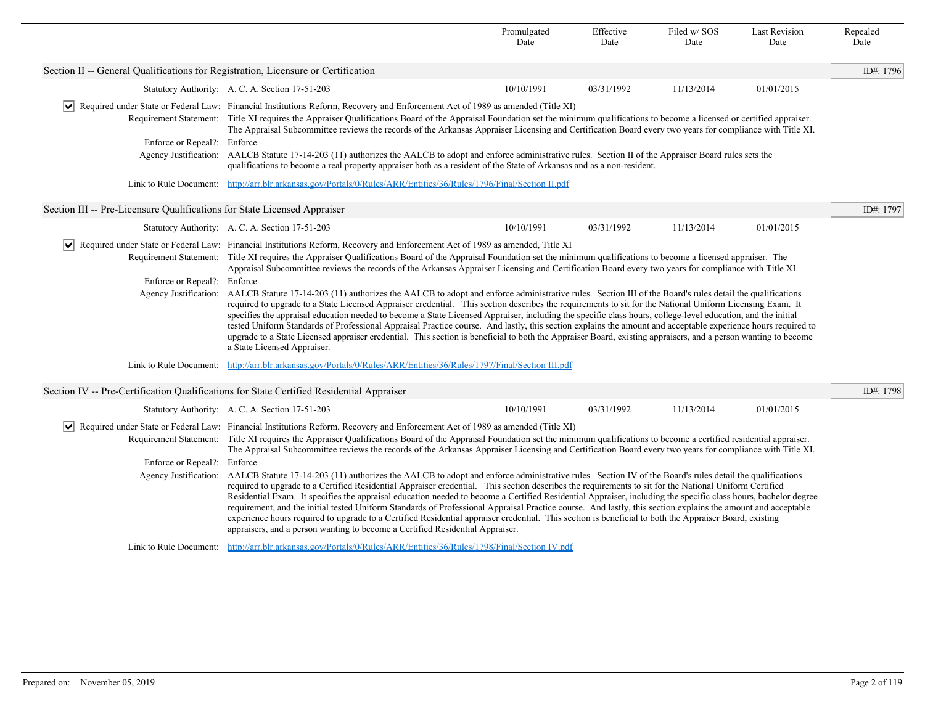|                                                                                   |                                                                                                                                                                                                                                                                                                                                                                                                                                                                                                                                                                                                                                                                                                                                                                                                                                                                                               | Promulgated<br>Date | Effective<br>Date | Filed w/SOS<br>Date | <b>Last Revision</b><br>Date | Repealed<br>Date |  |
|-----------------------------------------------------------------------------------|-----------------------------------------------------------------------------------------------------------------------------------------------------------------------------------------------------------------------------------------------------------------------------------------------------------------------------------------------------------------------------------------------------------------------------------------------------------------------------------------------------------------------------------------------------------------------------------------------------------------------------------------------------------------------------------------------------------------------------------------------------------------------------------------------------------------------------------------------------------------------------------------------|---------------------|-------------------|---------------------|------------------------------|------------------|--|
| Section II -- General Qualifications for Registration, Licensure or Certification |                                                                                                                                                                                                                                                                                                                                                                                                                                                                                                                                                                                                                                                                                                                                                                                                                                                                                               |                     |                   |                     |                              | ID#: 1796        |  |
|                                                                                   | Statutory Authority: A. C. A. Section 17-51-203                                                                                                                                                                                                                                                                                                                                                                                                                                                                                                                                                                                                                                                                                                                                                                                                                                               | 10/10/1991          | 03/31/1992        | 11/13/2014          | 01/01/2015                   |                  |  |
|                                                                                   | Required under State or Federal Law: Financial Institutions Reform, Recovery and Enforcement Act of 1989 as amended (Title XI)                                                                                                                                                                                                                                                                                                                                                                                                                                                                                                                                                                                                                                                                                                                                                                |                     |                   |                     |                              |                  |  |
|                                                                                   | Requirement Statement: Title XI requires the Appraiser Qualifications Board of the Appraisal Foundation set the minimum qualifications to become a licensed or certified appraiser.<br>The Appraisal Subcommittee reviews the records of the Arkansas Appraiser Licensing and Certification Board every two years for compliance with Title XI.                                                                                                                                                                                                                                                                                                                                                                                                                                                                                                                                               |                     |                   |                     |                              |                  |  |
| Enforce or Repeal?: Enforce                                                       |                                                                                                                                                                                                                                                                                                                                                                                                                                                                                                                                                                                                                                                                                                                                                                                                                                                                                               |                     |                   |                     |                              |                  |  |
|                                                                                   | Agency Justification: AALCB Statute 17-14-203 (11) authorizes the AALCB to adopt and enforce administrative rules. Section II of the Appraiser Board rules sets the<br>qualifications to become a real property appraiser both as a resident of the State of Arkansas and as a non-resident.                                                                                                                                                                                                                                                                                                                                                                                                                                                                                                                                                                                                  |                     |                   |                     |                              |                  |  |
|                                                                                   | Link to Rule Document: http://arr.blr.arkansas.gov/Portals/0/Rules/ARR/Entities/36/Rules/1796/Final/Section II.pdf                                                                                                                                                                                                                                                                                                                                                                                                                                                                                                                                                                                                                                                                                                                                                                            |                     |                   |                     |                              |                  |  |
| Section III -- Pre-Licensure Qualifications for State Licensed Appraiser          |                                                                                                                                                                                                                                                                                                                                                                                                                                                                                                                                                                                                                                                                                                                                                                                                                                                                                               |                     |                   |                     |                              | ID#: 1797        |  |
|                                                                                   | Statutory Authority: A. C. A. Section 17-51-203                                                                                                                                                                                                                                                                                                                                                                                                                                                                                                                                                                                                                                                                                                                                                                                                                                               | 10/10/1991          | 03/31/1992        | 11/13/2014          | 01/01/2015                   |                  |  |
|                                                                                   | Required under State or Federal Law: Financial Institutions Reform, Recovery and Enforcement Act of 1989 as amended, Title XI                                                                                                                                                                                                                                                                                                                                                                                                                                                                                                                                                                                                                                                                                                                                                                 |                     |                   |                     |                              |                  |  |
|                                                                                   | Requirement Statement: Title XI requires the Appraiser Qualifications Board of the Appraisal Foundation set the minimum qualifications to become a licensed appraiser. The<br>Appraisal Subcommittee reviews the records of the Arkansas Appraiser Licensing and Certification Board every two years for compliance with Title XI.                                                                                                                                                                                                                                                                                                                                                                                                                                                                                                                                                            |                     |                   |                     |                              |                  |  |
| Enforce or Repeal?: Enforce                                                       |                                                                                                                                                                                                                                                                                                                                                                                                                                                                                                                                                                                                                                                                                                                                                                                                                                                                                               |                     |                   |                     |                              |                  |  |
| Agency Justification:                                                             | AALCB Statute 17-14-203 (11) authorizes the AALCB to adopt and enforce administrative rules. Section III of the Board's rules detail the qualifications<br>required to upgrade to a State Licensed Appraiser credential. This section describes the requirements to sit for the National Uniform Licensing Exam. It<br>specifies the appraisal education needed to become a State Licensed Appraiser, including the specific class hours, college-level education, and the initial<br>tested Uniform Standards of Professional Appraisal Practice course. And lastly, this section explains the amount and acceptable experience hours required to<br>upgrade to a State Licensed appraiser credential. This section is beneficial to both the Appraiser Board, existing appraisers, and a person wanting to become<br>a State Licensed Appraiser.                                            |                     |                   |                     |                              |                  |  |
|                                                                                   | Link to Rule Document: http://arr.blr.arkansas.gov/Portals/0/Rules/ARR/Entities/36/Rules/1797/Final/Section III.pdf                                                                                                                                                                                                                                                                                                                                                                                                                                                                                                                                                                                                                                                                                                                                                                           |                     |                   |                     |                              |                  |  |
|                                                                                   | Section IV -- Pre-Certification Qualifications for State Certified Residential Appraiser                                                                                                                                                                                                                                                                                                                                                                                                                                                                                                                                                                                                                                                                                                                                                                                                      |                     |                   |                     |                              | ID#: 1798        |  |
|                                                                                   | Statutory Authority: A. C. A. Section 17-51-203                                                                                                                                                                                                                                                                                                                                                                                                                                                                                                                                                                                                                                                                                                                                                                                                                                               | 10/10/1991          | 03/31/1992        | 11/13/2014          | 01/01/2015                   |                  |  |
|                                                                                   | Required under State or Federal Law: Financial Institutions Reform, Recovery and Enforcement Act of 1989 as amended (Title XI)                                                                                                                                                                                                                                                                                                                                                                                                                                                                                                                                                                                                                                                                                                                                                                |                     |                   |                     |                              |                  |  |
|                                                                                   | Requirement Statement: Title XI requires the Appraiser Qualifications Board of the Appraisal Foundation set the minimum qualifications to become a certified residential appraiser.                                                                                                                                                                                                                                                                                                                                                                                                                                                                                                                                                                                                                                                                                                           |                     |                   |                     |                              |                  |  |
| Enforce or Repeal?: Enforce                                                       | The Appraisal Subcommittee reviews the records of the Arkansas Appraiser Licensing and Certification Board every two years for compliance with Title XI.                                                                                                                                                                                                                                                                                                                                                                                                                                                                                                                                                                                                                                                                                                                                      |                     |                   |                     |                              |                  |  |
| Agency Justification:                                                             | AALCB Statute 17-14-203 (11) authorizes the AALCB to adopt and enforce administrative rules. Section IV of the Board's rules detail the qualifications<br>required to upgrade to a Certified Residential Appraiser credential. This section describes the requirements to sit for the National Uniform Certified<br>Residential Exam. It specifies the appraisal education needed to become a Certified Residential Appraiser, including the specific class hours, bachelor degree<br>requirement, and the initial tested Uniform Standards of Professional Appraisal Practice course. And lastly, this section explains the amount and acceptable<br>experience hours required to upgrade to a Certified Residential appraiser credential. This section is beneficial to both the Appraiser Board, existing<br>appraisers, and a person wanting to become a Certified Residential Appraiser. |                     |                   |                     |                              |                  |  |
|                                                                                   | Link to Rule Document: http://arr.blr.arkansas.gov/Portals/0/Rules/ARR/Entities/36/Rules/1798/Final/Section IV.pdf                                                                                                                                                                                                                                                                                                                                                                                                                                                                                                                                                                                                                                                                                                                                                                            |                     |                   |                     |                              |                  |  |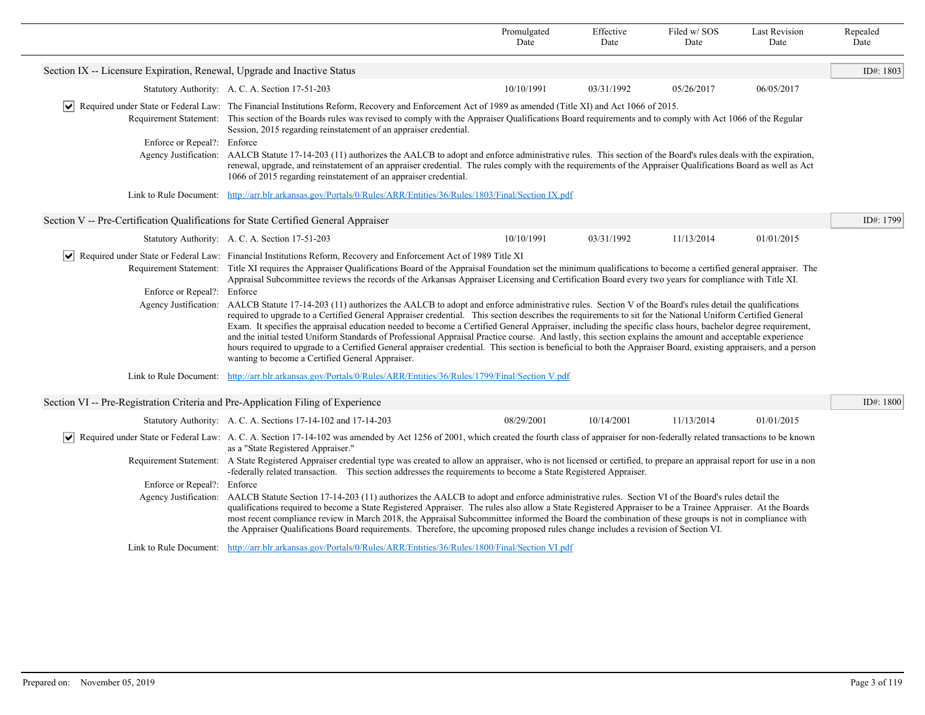|                                                                                     |                                                                                                                                                                                                                                                                                                                                                                                                                                                                                                                                                                                                                                                                                                                                                                                                                                                                                                                                                                                                                                                                                                                                                                                                                                                                                                                                                                                                                                                                                         | Promulgated<br>Date | Effective<br>Date | Filed w/SOS<br>Date | <b>Last Revision</b><br>Date | Repealed<br>Date |
|-------------------------------------------------------------------------------------|-----------------------------------------------------------------------------------------------------------------------------------------------------------------------------------------------------------------------------------------------------------------------------------------------------------------------------------------------------------------------------------------------------------------------------------------------------------------------------------------------------------------------------------------------------------------------------------------------------------------------------------------------------------------------------------------------------------------------------------------------------------------------------------------------------------------------------------------------------------------------------------------------------------------------------------------------------------------------------------------------------------------------------------------------------------------------------------------------------------------------------------------------------------------------------------------------------------------------------------------------------------------------------------------------------------------------------------------------------------------------------------------------------------------------------------------------------------------------------------------|---------------------|-------------------|---------------------|------------------------------|------------------|
| Section IX -- Licensure Expiration, Renewal, Upgrade and Inactive Status            |                                                                                                                                                                                                                                                                                                                                                                                                                                                                                                                                                                                                                                                                                                                                                                                                                                                                                                                                                                                                                                                                                                                                                                                                                                                                                                                                                                                                                                                                                         |                     |                   |                     |                              | ID#: 1803        |
|                                                                                     | Statutory Authority: A. C. A. Section 17-51-203                                                                                                                                                                                                                                                                                                                                                                                                                                                                                                                                                                                                                                                                                                                                                                                                                                                                                                                                                                                                                                                                                                                                                                                                                                                                                                                                                                                                                                         | 10/10/1991          | 03/31/1992        | 05/26/2017          | 06/05/2017                   |                  |
| Enforce or Repeal?: Enforce                                                         | $\vee$ Required under State or Federal Law: The Financial Institutions Reform, Recovery and Enforcement Act of 1989 as amended (Title XI) and Act 1066 of 2015.<br>Requirement Statement: This section of the Boards rules was revised to comply with the Appraiser Qualifications Board requirements and to comply with Act 1066 of the Regular<br>Session, 2015 regarding reinstatement of an appraiser credential.<br>Agency Justification: AALCB Statute 17-14-203 (11) authorizes the AALCB to adopt and enforce administrative rules. This section of the Board's rules deals with the expiration,<br>renewal, upgrade, and reinstatement of an appraiser credential. The rules comply with the requirements of the Appraiser Qualifications Board as well as Act<br>1066 of 2015 regarding reinstatement of an appraiser credential.                                                                                                                                                                                                                                                                                                                                                                                                                                                                                                                                                                                                                                             |                     |                   |                     |                              |                  |
|                                                                                     | Link to Rule Document: http://arr.blr.arkansas.gov/Portals/0/Rules/ARR/Entities/36/Rules/1803/Final/Section IX.pdf                                                                                                                                                                                                                                                                                                                                                                                                                                                                                                                                                                                                                                                                                                                                                                                                                                                                                                                                                                                                                                                                                                                                                                                                                                                                                                                                                                      |                     |                   |                     |                              |                  |
| Section V -- Pre-Certification Qualifications for State Certified General Appraiser |                                                                                                                                                                                                                                                                                                                                                                                                                                                                                                                                                                                                                                                                                                                                                                                                                                                                                                                                                                                                                                                                                                                                                                                                                                                                                                                                                                                                                                                                                         |                     |                   |                     |                              | ID#: 1799        |
|                                                                                     | Statutory Authority: A. C. A. Section 17-51-203                                                                                                                                                                                                                                                                                                                                                                                                                                                                                                                                                                                                                                                                                                                                                                                                                                                                                                                                                                                                                                                                                                                                                                                                                                                                                                                                                                                                                                         | 10/10/1991          | 03/31/1992        | 11/13/2014          | 01/01/2015                   |                  |
| Enforce or Repeal?: Enforce                                                         | Required under State or Federal Law: Financial Institutions Reform, Recovery and Enforcement Act of 1989 Title XI<br>Requirement Statement: Title XI requires the Appraiser Qualifications Board of the Appraisal Foundation set the minimum qualifications to become a certified general appraiser. The<br>Appraisal Subcommittee reviews the records of the Arkansas Appraiser Licensing and Certification Board every two years for compliance with Title XI.<br>Agency Justification: AALCB Statute 17-14-203 (11) authorizes the AALCB to adopt and enforce administrative rules. Section V of the Board's rules detail the qualifications<br>required to upgrade to a Certified General Appraiser credential. This section describes the requirements to sit for the National Uniform Certified General<br>Exam. It specifies the appraisal education needed to become a Certified General Appraiser, including the specific class hours, bachelor degree requirement,<br>and the initial tested Uniform Standards of Professional Appraisal Practice course. And lastly, this section explains the amount and acceptable experience<br>hours required to upgrade to a Certified General appraiser credential. This section is beneficial to both the Appraiser Board, existing appraisers, and a person<br>wanting to become a Certified General Appraiser.<br>Link to Rule Document: http://arr.blr.arkansas.gov/Portals/0/Rules/ARR/Entities/36/Rules/1799/Final/Section V.pdf |                     |                   |                     |                              |                  |
|                                                                                     |                                                                                                                                                                                                                                                                                                                                                                                                                                                                                                                                                                                                                                                                                                                                                                                                                                                                                                                                                                                                                                                                                                                                                                                                                                                                                                                                                                                                                                                                                         |                     |                   |                     |                              |                  |
| Section VI -- Pre-Registration Criteria and Pre-Application Filing of Experience    |                                                                                                                                                                                                                                                                                                                                                                                                                                                                                                                                                                                                                                                                                                                                                                                                                                                                                                                                                                                                                                                                                                                                                                                                                                                                                                                                                                                                                                                                                         |                     |                   |                     |                              | ID#: 1800        |
|                                                                                     | Statutory Authority: A. C. A. Sections 17-14-102 and 17-14-203                                                                                                                                                                                                                                                                                                                                                                                                                                                                                                                                                                                                                                                                                                                                                                                                                                                                                                                                                                                                                                                                                                                                                                                                                                                                                                                                                                                                                          | 08/29/2001          | 10/14/2001        | 11/13/2014          | 01/01/2015                   |                  |
| $ \bm{\mathsf{v}} $                                                                 | Required under State or Federal Law: A. C. A. Section 17-14-102 was amended by Act 1256 of 2001, which created the fourth class of appraiser for non-federally related transactions to be known<br>as a "State Registered Appraiser."                                                                                                                                                                                                                                                                                                                                                                                                                                                                                                                                                                                                                                                                                                                                                                                                                                                                                                                                                                                                                                                                                                                                                                                                                                                   |                     |                   |                     |                              |                  |
|                                                                                     | Requirement Statement: A State Registered Appraiser credential type was created to allow an appraiser, who is not licensed or certified, to prepare an appraisal report for use in a non<br>-federally related transaction. This section addresses the requirements to become a State Registered Appraiser.                                                                                                                                                                                                                                                                                                                                                                                                                                                                                                                                                                                                                                                                                                                                                                                                                                                                                                                                                                                                                                                                                                                                                                             |                     |                   |                     |                              |                  |
| Enforce or Repeal?: Enforce                                                         | Agency Justification: AALCB Statute Section 17-14-203 (11) authorizes the AALCB to adopt and enforce administrative rules. Section VI of the Board's rules detail the<br>qualifications required to become a State Registered Appraiser. The rules also allow a State Registered Appraiser to be a Trainee Appraiser. At the Boards                                                                                                                                                                                                                                                                                                                                                                                                                                                                                                                                                                                                                                                                                                                                                                                                                                                                                                                                                                                                                                                                                                                                                     |                     |                   |                     |                              |                  |
|                                                                                     | most recent compliance review in March 2018, the Appraisal Subcommittee informed the Board the combination of these groups is not in compliance with<br>the Appraiser Qualifications Board requirements. Therefore, the upcoming proposed rules change includes a revision of Section VI.                                                                                                                                                                                                                                                                                                                                                                                                                                                                                                                                                                                                                                                                                                                                                                                                                                                                                                                                                                                                                                                                                                                                                                                               |                     |                   |                     |                              |                  |
|                                                                                     | Link to Rule Document: http://arr.blr.arkansas.gov/Portals/0/Rules/ARR/Entities/36/Rules/1800/Final/Section VI.pdf                                                                                                                                                                                                                                                                                                                                                                                                                                                                                                                                                                                                                                                                                                                                                                                                                                                                                                                                                                                                                                                                                                                                                                                                                                                                                                                                                                      |                     |                   |                     |                              |                  |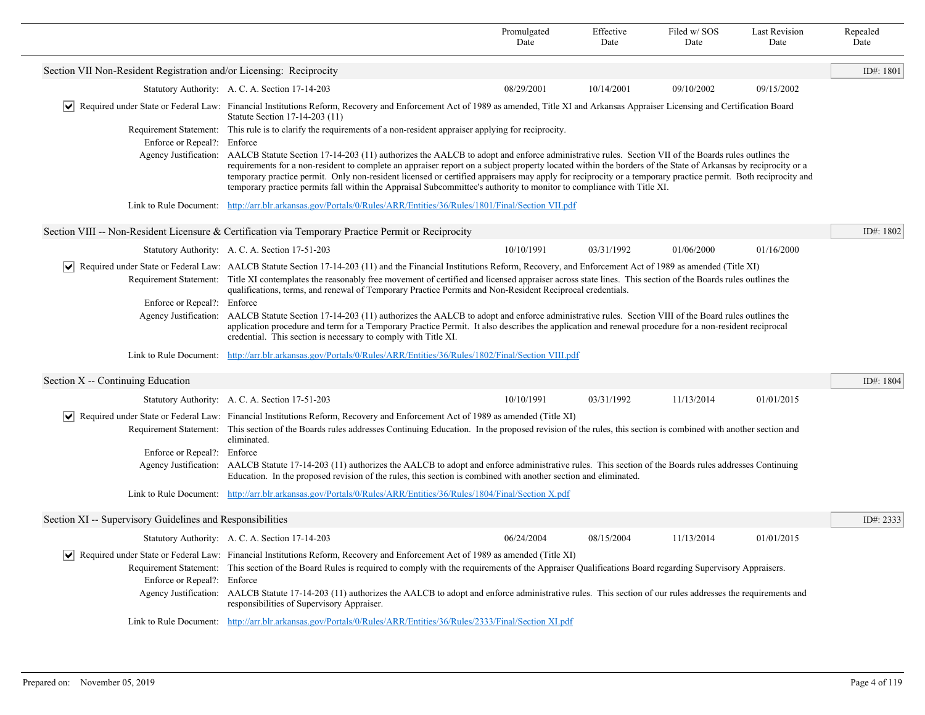|                                                                                                                                                                                                                                                                                                                                                                                                                                                                                                                                                                            |                                                                                                                                                                                                                                                                                                                                                                                                                                                                                                                                                                                                                                   | Promulgated<br>Date | Effective<br>Date | Filed w/SOS<br>Date | <b>Last Revision</b><br>Date | Repealed<br>Date |
|----------------------------------------------------------------------------------------------------------------------------------------------------------------------------------------------------------------------------------------------------------------------------------------------------------------------------------------------------------------------------------------------------------------------------------------------------------------------------------------------------------------------------------------------------------------------------|-----------------------------------------------------------------------------------------------------------------------------------------------------------------------------------------------------------------------------------------------------------------------------------------------------------------------------------------------------------------------------------------------------------------------------------------------------------------------------------------------------------------------------------------------------------------------------------------------------------------------------------|---------------------|-------------------|---------------------|------------------------------|------------------|
| Section VII Non-Resident Registration and/or Licensing: Reciprocity                                                                                                                                                                                                                                                                                                                                                                                                                                                                                                        |                                                                                                                                                                                                                                                                                                                                                                                                                                                                                                                                                                                                                                   |                     |                   |                     |                              | ID#: 1801        |
|                                                                                                                                                                                                                                                                                                                                                                                                                                                                                                                                                                            | Statutory Authority: A. C. A. Section 17-14-203                                                                                                                                                                                                                                                                                                                                                                                                                                                                                                                                                                                   | 08/29/2001          | 10/14/2001        | 09/10/2002          | 09/15/2002                   |                  |
|                                                                                                                                                                                                                                                                                                                                                                                                                                                                                                                                                                            | v  Required under State or Federal Law: Financial Institutions Reform, Recovery and Enforcement Act of 1989 as amended, Title XI and Arkansas Appraiser Licensing and Certification Board<br>Statute Section 17-14-203 (11)                                                                                                                                                                                                                                                                                                                                                                                                       |                     |                   |                     |                              |                  |
| Enforce or Repeal?: Enforce                                                                                                                                                                                                                                                                                                                                                                                                                                                                                                                                                | Requirement Statement: This rule is to clarify the requirements of a non-resident appraiser applying for reciprocity.                                                                                                                                                                                                                                                                                                                                                                                                                                                                                                             |                     |                   |                     |                              |                  |
|                                                                                                                                                                                                                                                                                                                                                                                                                                                                                                                                                                            | Agency Justification: AALCB Statute Section 17-14-203 (11) authorizes the AALCB to adopt and enforce administrative rules. Section VII of the Boards rules outlines the<br>requirements for a non-resident to complete an appraiser report on a subject property located within the borders of the State of Arkansas by reciprocity or a<br>temporary practice permit. Only non-resident licensed or certified appraisers may apply for reciprocity or a temporary practice permit. Both reciprocity and<br>temporary practice permits fall within the Appraisal Subcommittee's authority to monitor to compliance with Title XI. |                     |                   |                     |                              |                  |
| Link to Rule Document:                                                                                                                                                                                                                                                                                                                                                                                                                                                                                                                                                     | http://arr.blr.arkansas.gov/Portals/0/Rules/ARR/Entities/36/Rules/1801/Final/Section VII.pdf                                                                                                                                                                                                                                                                                                                                                                                                                                                                                                                                      |                     |                   |                     |                              |                  |
|                                                                                                                                                                                                                                                                                                                                                                                                                                                                                                                                                                            | Section VIII -- Non-Resident Licensure & Certification via Temporary Practice Permit or Reciprocity                                                                                                                                                                                                                                                                                                                                                                                                                                                                                                                               |                     |                   |                     |                              | ID#: 1802        |
|                                                                                                                                                                                                                                                                                                                                                                                                                                                                                                                                                                            | Statutory Authority: A. C. A. Section 17-51-203                                                                                                                                                                                                                                                                                                                                                                                                                                                                                                                                                                                   | 10/10/1991          | 03/31/1992        | 01/06/2000          | 01/16/2000                   |                  |
| $ \bm{\mathsf{v}} $<br>Required under State or Federal Law: AALCB Statute Section 17-14-203 (11) and the Financial Institutions Reform, Recovery, and Enforcement Act of 1989 as amended (Title XI)<br>Requirement Statement: Title XI contemplates the reasonably free movement of certified and licensed appraiser across state lines. This section of the Boards rules outlines the<br>qualifications, terms, and renewal of Temporary Practice Permits and Non-Resident Reciprocal credentials.                                                                        |                                                                                                                                                                                                                                                                                                                                                                                                                                                                                                                                                                                                                                   |                     |                   |                     |                              |                  |
| Enforce or Repeal?: Enforce                                                                                                                                                                                                                                                                                                                                                                                                                                                                                                                                                |                                                                                                                                                                                                                                                                                                                                                                                                                                                                                                                                                                                                                                   |                     |                   |                     |                              |                  |
| Agency Justification:                                                                                                                                                                                                                                                                                                                                                                                                                                                                                                                                                      | AALCB Statute Section 17-14-203 (11) authorizes the AALCB to adopt and enforce administrative rules. Section VIII of the Board rules outlines the<br>application procedure and term for a Temporary Practice Permit. It also describes the application and renewal procedure for a non-resident reciprocal<br>credential. This section is necessary to comply with Title XI.                                                                                                                                                                                                                                                      |                     |                   |                     |                              |                  |
| Link to Rule Document:                                                                                                                                                                                                                                                                                                                                                                                                                                                                                                                                                     | http://arr.blr.arkansas.gov/Portals/0/Rules/ARR/Entities/36/Rules/1802/Final/Section VIII.pdf                                                                                                                                                                                                                                                                                                                                                                                                                                                                                                                                     |                     |                   |                     |                              |                  |
| Section X -- Continuing Education                                                                                                                                                                                                                                                                                                                                                                                                                                                                                                                                          |                                                                                                                                                                                                                                                                                                                                                                                                                                                                                                                                                                                                                                   |                     |                   |                     |                              | ID#: 1804        |
|                                                                                                                                                                                                                                                                                                                                                                                                                                                                                                                                                                            | Statutory Authority: A. C. A. Section 17-51-203                                                                                                                                                                                                                                                                                                                                                                                                                                                                                                                                                                                   | 10/10/1991          | 03/31/1992        | 11/13/2014          | 01/01/2015                   |                  |
| $ \bm{\mathsf{v}} $<br>Requirement Statement:                                                                                                                                                                                                                                                                                                                                                                                                                                                                                                                              | Required under State or Federal Law: Financial Institutions Reform, Recovery and Enforcement Act of 1989 as amended (Title XI)<br>This section of the Boards rules addresses Continuing Education. In the proposed revision of the rules, this section is combined with another section and<br>eliminated.                                                                                                                                                                                                                                                                                                                        |                     |                   |                     |                              |                  |
| Enforce or Repeal?:                                                                                                                                                                                                                                                                                                                                                                                                                                                                                                                                                        | Enforce                                                                                                                                                                                                                                                                                                                                                                                                                                                                                                                                                                                                                           |                     |                   |                     |                              |                  |
| Agency Justification:                                                                                                                                                                                                                                                                                                                                                                                                                                                                                                                                                      | AALCB Statute 17-14-203 (11) authorizes the AALCB to adopt and enforce administrative rules. This section of the Boards rules addresses Continuing<br>Education. In the proposed revision of the rules, this section is combined with another section and eliminated.                                                                                                                                                                                                                                                                                                                                                             |                     |                   |                     |                              |                  |
| Link to Rule Document:                                                                                                                                                                                                                                                                                                                                                                                                                                                                                                                                                     | http://arr.blr.arkansas.gov/Portals/0/Rules/ARR/Entities/36/Rules/1804/Final/Section X.pdf                                                                                                                                                                                                                                                                                                                                                                                                                                                                                                                                        |                     |                   |                     |                              |                  |
| Section XI -- Supervisory Guidelines and Responsibilities                                                                                                                                                                                                                                                                                                                                                                                                                                                                                                                  |                                                                                                                                                                                                                                                                                                                                                                                                                                                                                                                                                                                                                                   |                     |                   |                     |                              | ID#: 2333        |
|                                                                                                                                                                                                                                                                                                                                                                                                                                                                                                                                                                            | Statutory Authority: A. C. A. Section 17-14-203                                                                                                                                                                                                                                                                                                                                                                                                                                                                                                                                                                                   | 06/24/2004          | 08/15/2004        | 11/13/2014          | 01/01/2015                   |                  |
| ↓ Required under State or Federal Law: Financial Institutions Reform, Recovery and Enforcement Act of 1989 as amended (Title XI)<br>Requirement Statement: This section of the Board Rules is required to comply with the requirements of the Appraiser Qualifications Board regarding Supervisory Appraisers.<br>Enforce or Repeal?: Enforce<br>Agency Justification: AALCB Statute 17-14-203 (11) authorizes the AALCB to adopt and enforce administrative rules. This section of our rules addresses the requirements and<br>responsibilities of Supervisory Appraiser. |                                                                                                                                                                                                                                                                                                                                                                                                                                                                                                                                                                                                                                   |                     |                   |                     |                              |                  |
|                                                                                                                                                                                                                                                                                                                                                                                                                                                                                                                                                                            | Link to Rule Document: http://arr.blr.arkansas.gov/Portals/0/Rules/ARR/Entities/36/Rules/2333/Final/Section XI.pdf                                                                                                                                                                                                                                                                                                                                                                                                                                                                                                                |                     |                   |                     |                              |                  |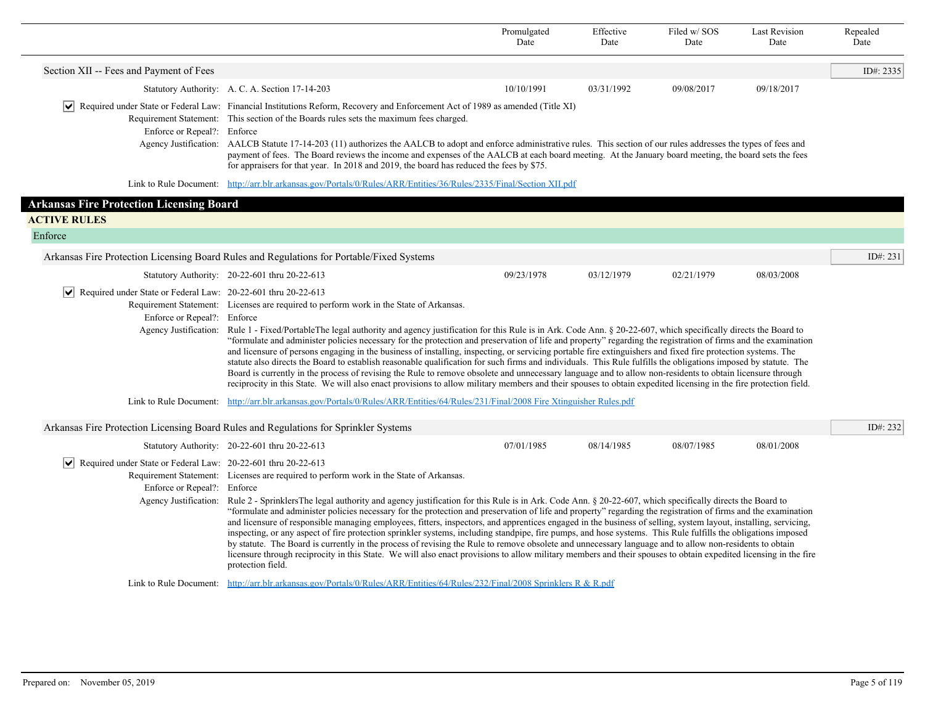|                                                                                                                     |                                                                                                                                                                                                                                                                                                                                                                                                                                                                                                                                                                                                                                                                                                                                                                                                                                                                                                                                                                                                                                                                                                                                                                                     | Promulgated<br>Date | Effective<br>Date | Filed w/SOS<br>Date | <b>Last Revision</b><br>Date | Repealed<br>Date |  |
|---------------------------------------------------------------------------------------------------------------------|-------------------------------------------------------------------------------------------------------------------------------------------------------------------------------------------------------------------------------------------------------------------------------------------------------------------------------------------------------------------------------------------------------------------------------------------------------------------------------------------------------------------------------------------------------------------------------------------------------------------------------------------------------------------------------------------------------------------------------------------------------------------------------------------------------------------------------------------------------------------------------------------------------------------------------------------------------------------------------------------------------------------------------------------------------------------------------------------------------------------------------------------------------------------------------------|---------------------|-------------------|---------------------|------------------------------|------------------|--|
| Section XII -- Fees and Payment of Fees                                                                             |                                                                                                                                                                                                                                                                                                                                                                                                                                                                                                                                                                                                                                                                                                                                                                                                                                                                                                                                                                                                                                                                                                                                                                                     |                     |                   |                     |                              | ID#: $2335$      |  |
|                                                                                                                     | Statutory Authority: A. C. A. Section 17-14-203                                                                                                                                                                                                                                                                                                                                                                                                                                                                                                                                                                                                                                                                                                                                                                                                                                                                                                                                                                                                                                                                                                                                     | 10/10/1991          | 03/31/1992        | 09/08/2017          | 09/18/2017                   |                  |  |
| Enforce or Repeal?: Enforce                                                                                         | Required under State or Federal Law: Financial Institutions Reform, Recovery and Enforcement Act of 1989 as amended (Title XI)<br>Requirement Statement: This section of the Boards rules sets the maximum fees charged.<br>Agency Justification: AALCB Statute 17-14-203 (11) authorizes the AALCB to adopt and enforce administrative rules. This section of our rules addresses the types of fees and<br>payment of fees. The Board reviews the income and expenses of the AALCB at each board meeting. At the January board meeting, the board sets the fees<br>for appraisers for that year. In 2018 and 2019, the board has reduced the fees by \$75.                                                                                                                                                                                                                                                                                                                                                                                                                                                                                                                         |                     |                   |                     |                              |                  |  |
|                                                                                                                     | Link to Rule Document: http://arr.blr.arkansas.gov/Portals/0/Rules/ARR/Entities/36/Rules/2335/Final/Section XII.pdf                                                                                                                                                                                                                                                                                                                                                                                                                                                                                                                                                                                                                                                                                                                                                                                                                                                                                                                                                                                                                                                                 |                     |                   |                     |                              |                  |  |
| <b>Arkansas Fire Protection Licensing Board</b>                                                                     |                                                                                                                                                                                                                                                                                                                                                                                                                                                                                                                                                                                                                                                                                                                                                                                                                                                                                                                                                                                                                                                                                                                                                                                     |                     |                   |                     |                              |                  |  |
| <b>ACTIVE RULES</b>                                                                                                 |                                                                                                                                                                                                                                                                                                                                                                                                                                                                                                                                                                                                                                                                                                                                                                                                                                                                                                                                                                                                                                                                                                                                                                                     |                     |                   |                     |                              |                  |  |
| Enforce                                                                                                             |                                                                                                                                                                                                                                                                                                                                                                                                                                                                                                                                                                                                                                                                                                                                                                                                                                                                                                                                                                                                                                                                                                                                                                                     |                     |                   |                     |                              |                  |  |
|                                                                                                                     | Arkansas Fire Protection Licensing Board Rules and Regulations for Portable/Fixed Systems                                                                                                                                                                                                                                                                                                                                                                                                                                                                                                                                                                                                                                                                                                                                                                                                                                                                                                                                                                                                                                                                                           |                     |                   |                     |                              | ID#: 231         |  |
|                                                                                                                     | Statutory Authority: 20-22-601 thru 20-22-613                                                                                                                                                                                                                                                                                                                                                                                                                                                                                                                                                                                                                                                                                                                                                                                                                                                                                                                                                                                                                                                                                                                                       | 09/23/1978          | 03/12/1979        | 02/21/1979          | 08/03/2008                   |                  |  |
| $ \bm{\mathsf{v}} $<br>Required under State or Federal Law: 20-22-601 thru 20-22-613<br>Enforce or Repeal?: Enforce | Requirement Statement: Licenses are required to perform work in the State of Arkansas.<br>Agency Justification: Rule 1 - Fixed/PortableThe legal authority and agency justification for this Rule is in Ark. Code Ann. § 20-22-607, which specifically directs the Board to<br>"formulate and administer policies necessary for the protection and preservation of life and property" regarding the registration of firms and the examination<br>and licensure of persons engaging in the business of installing, inspecting, or servicing portable fire extinguishers and fixed fire protection systems. The<br>statute also directs the Board to establish reasonable qualification for such firms and individuals. This Rule fulfills the obligations imposed by statute. The<br>Board is currently in the process of revising the Rule to remove obsolete and unnecessary language and to allow non-residents to obtain licensure through<br>reciprocity in this State. We will also enact provisions to allow military members and their spouses to obtain expedited licensing in the fire protection field.                                                                   |                     |                   |                     |                              |                  |  |
|                                                                                                                     | Link to Rule Document: http://arr.blr.arkansas.gov/Portals/0/Rules/ARR/Entities/64/Rules/231/Final/2008 Fire Xtinguisher Rules.pdf                                                                                                                                                                                                                                                                                                                                                                                                                                                                                                                                                                                                                                                                                                                                                                                                                                                                                                                                                                                                                                                  |                     |                   |                     |                              |                  |  |
|                                                                                                                     | Arkansas Fire Protection Licensing Board Rules and Regulations for Sprinkler Systems                                                                                                                                                                                                                                                                                                                                                                                                                                                                                                                                                                                                                                                                                                                                                                                                                                                                                                                                                                                                                                                                                                |                     |                   |                     |                              | ID#: 232         |  |
| Required under State or Federal Law: 20-22-601 thru 20-22-613<br>$ \bm{\mathsf{v}} $<br>Enforce or Repeal?: Enforce | Statutory Authority: 20-22-601 thru 20-22-613<br>Requirement Statement: Licenses are required to perform work in the State of Arkansas.<br>Agency Justification: Rule 2 - Sprinklers The legal authority and agency justification for this Rule is in Ark. Code Ann. § 20-22-607, which specifically directs the Board to<br>"formulate and administer policies necessary for the protection and preservation of life and property" regarding the registration of firms and the examination<br>and licensure of responsible managing employees, fitters, inspectors, and apprentices engaged in the business of selling, system layout, installing, servicing,<br>inspecting, or any aspect of fire protection sprinkler systems, including standpipe, fire pumps, and hose systems. This Rule fulfills the obligations imposed<br>by statute. The Board is currently in the process of revising the Rule to remove obsolete and unnecessary language and to allow non-residents to obtain<br>licensure through reciprocity in this State. We will also enact provisions to allow military members and their spouses to obtain expedited licensing in the fire<br>protection field. | 07/01/1985          | 08/14/1985        | 08/07/1985          | 08/01/2008                   |                  |  |
|                                                                                                                     | Link to Rule Document: http://arr.blr.arkansas.gov/Portals/0/Rules/ARR/Entities/64/Rules/232/Final/2008 Sprinklers R & R.pdf                                                                                                                                                                                                                                                                                                                                                                                                                                                                                                                                                                                                                                                                                                                                                                                                                                                                                                                                                                                                                                                        |                     |                   |                     |                              |                  |  |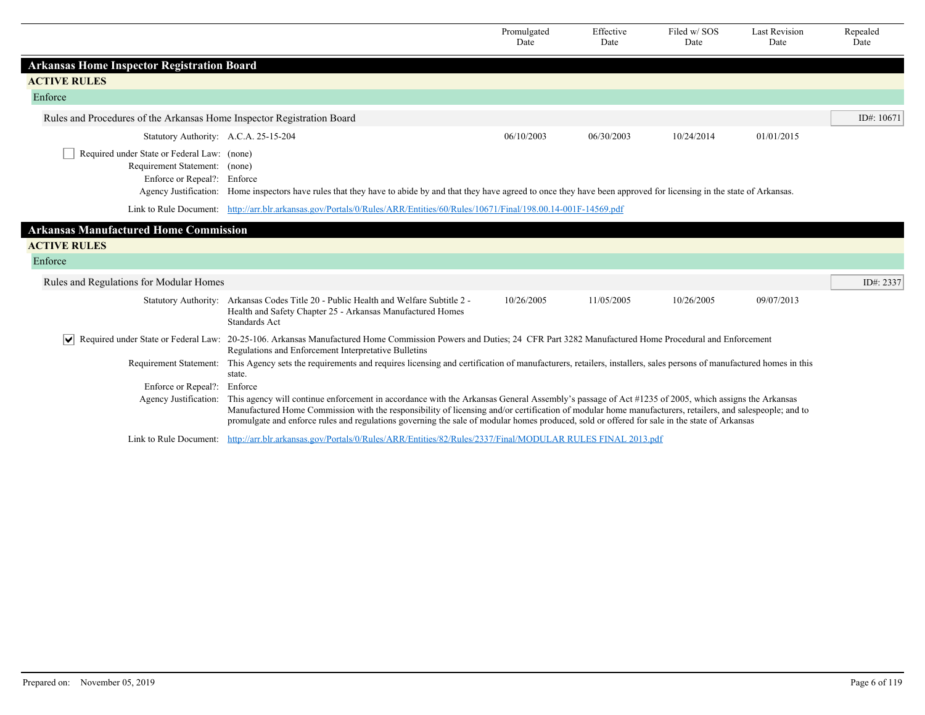|                                                                                                             |                                                                                                                                                                                                                                                                                                                                                                                                                                                               | Promulgated<br>Date | Effective<br>Date | Filed w/SOS<br>Date | <b>Last Revision</b><br>Date | Repealed<br>Date |  |
|-------------------------------------------------------------------------------------------------------------|---------------------------------------------------------------------------------------------------------------------------------------------------------------------------------------------------------------------------------------------------------------------------------------------------------------------------------------------------------------------------------------------------------------------------------------------------------------|---------------------|-------------------|---------------------|------------------------------|------------------|--|
| <b>Arkansas Home Inspector Registration Board</b>                                                           |                                                                                                                                                                                                                                                                                                                                                                                                                                                               |                     |                   |                     |                              |                  |  |
| <b>ACTIVE RULES</b>                                                                                         |                                                                                                                                                                                                                                                                                                                                                                                                                                                               |                     |                   |                     |                              |                  |  |
| Enforce                                                                                                     |                                                                                                                                                                                                                                                                                                                                                                                                                                                               |                     |                   |                     |                              |                  |  |
| Rules and Procedures of the Arkansas Home Inspector Registration Board                                      |                                                                                                                                                                                                                                                                                                                                                                                                                                                               |                     |                   |                     |                              | ID#: 10671       |  |
| Statutory Authority: A.C.A. 25-15-204                                                                       |                                                                                                                                                                                                                                                                                                                                                                                                                                                               | 06/10/2003          | 06/30/2003        | 10/24/2014          | 01/01/2015                   |                  |  |
| Required under State or Federal Law: (none)<br>Requirement Statement: (none)<br>Enforce or Repeal?: Enforce | Agency Justification: Home inspectors have rules that they have to abide by and that they have agreed to once they have been approved for licensing in the state of Arkansas.                                                                                                                                                                                                                                                                                 |                     |                   |                     |                              |                  |  |
|                                                                                                             | Link to Rule Document: http://arr.blr.arkansas.gov/Portals/0/Rules/ARR/Entities/60/Rules/10671/Final/198.00.14-001F-14569.pdf                                                                                                                                                                                                                                                                                                                                 |                     |                   |                     |                              |                  |  |
| <b>Arkansas Manufactured Home Commission</b>                                                                |                                                                                                                                                                                                                                                                                                                                                                                                                                                               |                     |                   |                     |                              |                  |  |
| <b>ACTIVE RULES</b>                                                                                         |                                                                                                                                                                                                                                                                                                                                                                                                                                                               |                     |                   |                     |                              |                  |  |
| Enforce                                                                                                     |                                                                                                                                                                                                                                                                                                                                                                                                                                                               |                     |                   |                     |                              |                  |  |
| Rules and Regulations for Modular Homes                                                                     |                                                                                                                                                                                                                                                                                                                                                                                                                                                               |                     |                   |                     |                              | ID#: 2337        |  |
|                                                                                                             | Statutory Authority: Arkansas Codes Title 20 - Public Health and Welfare Subtitle 2 -<br>Health and Safety Chapter 25 - Arkansas Manufactured Homes<br><b>Standards Act</b>                                                                                                                                                                                                                                                                                   | 10/26/2005          | 11/05/2005        | 10/26/2005          | 09/07/2013                   |                  |  |
| $\vert\bm{\mathsf{v}}\vert$                                                                                 | Required under State or Federal Law: 20-25-106. Arkansas Manufactured Home Commission Powers and Duties; 24 CFR Part 3282 Manufactured Home Procedural and Enforcement<br>Regulations and Enforcement Interpretative Bulletins                                                                                                                                                                                                                                |                     |                   |                     |                              |                  |  |
|                                                                                                             | Requirement Statement: This Agency sets the requirements and requires licensing and certification of manufacturers, retailers, installers, sales persons of manufactured homes in this<br>state.                                                                                                                                                                                                                                                              |                     |                   |                     |                              |                  |  |
| Enforce or Repeal?:                                                                                         | Enforce                                                                                                                                                                                                                                                                                                                                                                                                                                                       |                     |                   |                     |                              |                  |  |
| Agency Justification:                                                                                       | This agency will continue enforcement in accordance with the Arkansas General Assembly's passage of Act #1235 of 2005, which assigns the Arkansas<br>Manufactured Home Commission with the responsibility of licensing and/or certification of modular home manufacturers, retailers, and salespeople; and to<br>promulgate and enforce rules and regulations governing the sale of modular homes produced, sold or offered for sale in the state of Arkansas |                     |                   |                     |                              |                  |  |
|                                                                                                             | Link to Rule Document: http://arr.blr.arkansas.gov/Portals/0/Rules/ARR/Entities/82/Rules/2337/Final/MODULAR RULES FINAL 2013.pdf                                                                                                                                                                                                                                                                                                                              |                     |                   |                     |                              |                  |  |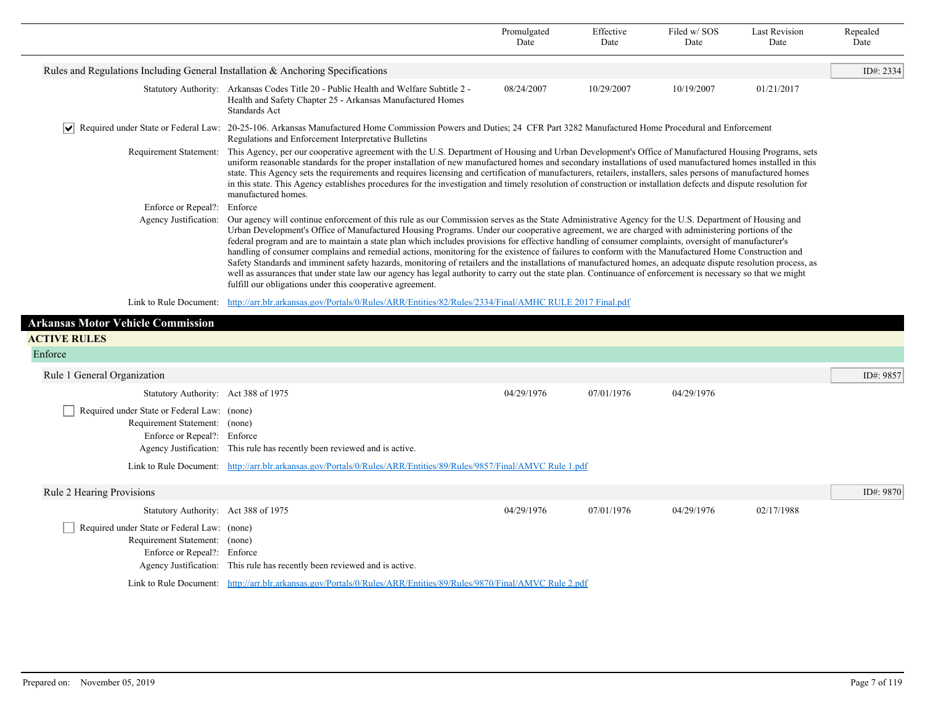|                                                                                 |                                                                                                                                                                                                                                                                                                                                                                                                                                                                                                                                                                                                                                                                                                                                                                                                                                                                                                                                                                                                                        | Promulgated<br>Date | Effective<br>Date | Filed w/SOS<br>Date | <b>Last Revision</b><br>Date | Repealed<br>Date |
|---------------------------------------------------------------------------------|------------------------------------------------------------------------------------------------------------------------------------------------------------------------------------------------------------------------------------------------------------------------------------------------------------------------------------------------------------------------------------------------------------------------------------------------------------------------------------------------------------------------------------------------------------------------------------------------------------------------------------------------------------------------------------------------------------------------------------------------------------------------------------------------------------------------------------------------------------------------------------------------------------------------------------------------------------------------------------------------------------------------|---------------------|-------------------|---------------------|------------------------------|------------------|
| Rules and Regulations Including General Installation & Anchoring Specifications |                                                                                                                                                                                                                                                                                                                                                                                                                                                                                                                                                                                                                                                                                                                                                                                                                                                                                                                                                                                                                        |                     |                   |                     |                              | ID#: 2334        |
| <b>Statutory Authority:</b>                                                     | Arkansas Codes Title 20 - Public Health and Welfare Subtitle 2 -<br>Health and Safety Chapter 25 - Arkansas Manufactured Homes<br><b>Standards Act</b>                                                                                                                                                                                                                                                                                                                                                                                                                                                                                                                                                                                                                                                                                                                                                                                                                                                                 | 08/24/2007          | 10/29/2007        | 10/19/2007          | 01/21/2017                   |                  |
| ∣∨∣                                                                             | Required under State or Federal Law: 20-25-106. Arkansas Manufactured Home Commission Powers and Duties; 24 CFR Part 3282 Manufactured Home Procedural and Enforcement<br>Regulations and Enforcement Interpretative Bulletins                                                                                                                                                                                                                                                                                                                                                                                                                                                                                                                                                                                                                                                                                                                                                                                         |                     |                   |                     |                              |                  |
| Requirement Statement:                                                          | This Agency, per our cooperative agreement with the U.S. Department of Housing and Urban Development's Office of Manufactured Housing Programs, sets<br>uniform reasonable standards for the proper installation of new manufactured homes and secondary installations of used manufactured homes installed in this<br>state. This Agency sets the requirements and requires licensing and certification of manufacturers, retailers, installers, sales persons of manufactured homes<br>in this state. This Agency establishes procedures for the investigation and timely resolution of construction or installation defects and dispute resolution for<br>manufactured homes.                                                                                                                                                                                                                                                                                                                                       |                     |                   |                     |                              |                  |
| Enforce or Repeal?:                                                             | Enforce                                                                                                                                                                                                                                                                                                                                                                                                                                                                                                                                                                                                                                                                                                                                                                                                                                                                                                                                                                                                                |                     |                   |                     |                              |                  |
| Agency Justification:                                                           | Our agency will continue enforcement of this rule as our Commission serves as the State Administrative Agency for the U.S. Department of Housing and<br>Urban Development's Office of Manufactured Housing Programs. Under our cooperative agreement, we are charged with administering portions of the<br>federal program and are to maintain a state plan which includes provisions for effective handling of consumer complaints, oversight of manufacturer's<br>handling of consumer complains and remedial actions, monitoring for the existence of failures to conform with the Manufactured Home Construction and<br>Safety Standards and imminent safety hazards, monitoring of retailers and the installations of manufactured homes, an adequate dispute resolution process, as<br>well as assurances that under state law our agency has legal authority to carry out the state plan. Continuance of enforcement is necessary so that we might<br>fulfill our obligations under this cooperative agreement. |                     |                   |                     |                              |                  |
| Link to Rule Document:                                                          | http://arr.blr.arkansas.gov/Portals/0/Rules/ARR/Entities/82/Rules/2334/Final/AMHC RULE 2017 Final.pdf                                                                                                                                                                                                                                                                                                                                                                                                                                                                                                                                                                                                                                                                                                                                                                                                                                                                                                                  |                     |                   |                     |                              |                  |
| <b>Arkansas Motor Vehicle Commission</b>                                        |                                                                                                                                                                                                                                                                                                                                                                                                                                                                                                                                                                                                                                                                                                                                                                                                                                                                                                                                                                                                                        |                     |                   |                     |                              |                  |
| <b>ACTIVE RULES</b>                                                             |                                                                                                                                                                                                                                                                                                                                                                                                                                                                                                                                                                                                                                                                                                                                                                                                                                                                                                                                                                                                                        |                     |                   |                     |                              |                  |
| Enforce                                                                         |                                                                                                                                                                                                                                                                                                                                                                                                                                                                                                                                                                                                                                                                                                                                                                                                                                                                                                                                                                                                                        |                     |                   |                     |                              |                  |
| Rule 1 General Organization                                                     |                                                                                                                                                                                                                                                                                                                                                                                                                                                                                                                                                                                                                                                                                                                                                                                                                                                                                                                                                                                                                        |                     |                   |                     |                              | ID#: 9857        |
| Statutory Authority: Act 388 of 1975                                            |                                                                                                                                                                                                                                                                                                                                                                                                                                                                                                                                                                                                                                                                                                                                                                                                                                                                                                                                                                                                                        | 04/29/1976          | 07/01/1976        | 04/29/1976          |                              |                  |

|                                             |                                                                                                                     | $V^+$ $\rightarrow$ $\rightarrow$ $\rightarrow$ $\rightarrow$ $\rightarrow$ | 0110111710 | $V^+$ $\rightarrow$ $\rightarrow$ $\rightarrow$ $\rightarrow$ $\rightarrow$ |            |           |
|---------------------------------------------|---------------------------------------------------------------------------------------------------------------------|-----------------------------------------------------------------------------|------------|-----------------------------------------------------------------------------|------------|-----------|
| Required under State or Federal Law: (none) |                                                                                                                     |                                                                             |            |                                                                             |            |           |
| Requirement Statement: (none)               |                                                                                                                     |                                                                             |            |                                                                             |            |           |
| Enforce or Repeal?: Enforce                 |                                                                                                                     |                                                                             |            |                                                                             |            |           |
|                                             | Agency Justification: This rule has recently been reviewed and is active.                                           |                                                                             |            |                                                                             |            |           |
|                                             | Link to Rule Document: http://arr.blr.arkansas.gov/Portals/0/Rules/ARR/Entities/89/Rules/9857/Final/AMVC Rule 1.pdf |                                                                             |            |                                                                             |            |           |
| Rule 2 Hearing Provisions                   |                                                                                                                     |                                                                             |            |                                                                             |            | ID#: 9870 |
| Statutory Authority: Act 388 of 1975        |                                                                                                                     | 04/29/1976                                                                  | 07/01/1976 | 04/29/1976                                                                  | 02/17/1988 |           |
| Required under State or Federal Law: (none) |                                                                                                                     |                                                                             |            |                                                                             |            |           |
| Requirement Statement: (none)               |                                                                                                                     |                                                                             |            |                                                                             |            |           |
| Enforce or Repeal?: Enforce                 |                                                                                                                     |                                                                             |            |                                                                             |            |           |

Agency Justification: This rule has recently been reviewed and is active. Link to Rule Document: [http://arr.blr.arkansas.gov/Portals/0/Rules/ARR/Entities/89/Rules/9870/Final/AMVC Rule 2.pdf](http://arr.blr.arkansas.gov/Portals/0/Rules/ARR/Entities/89/Rules/9870/Final/AMVC%20Rule%202.pdf)

п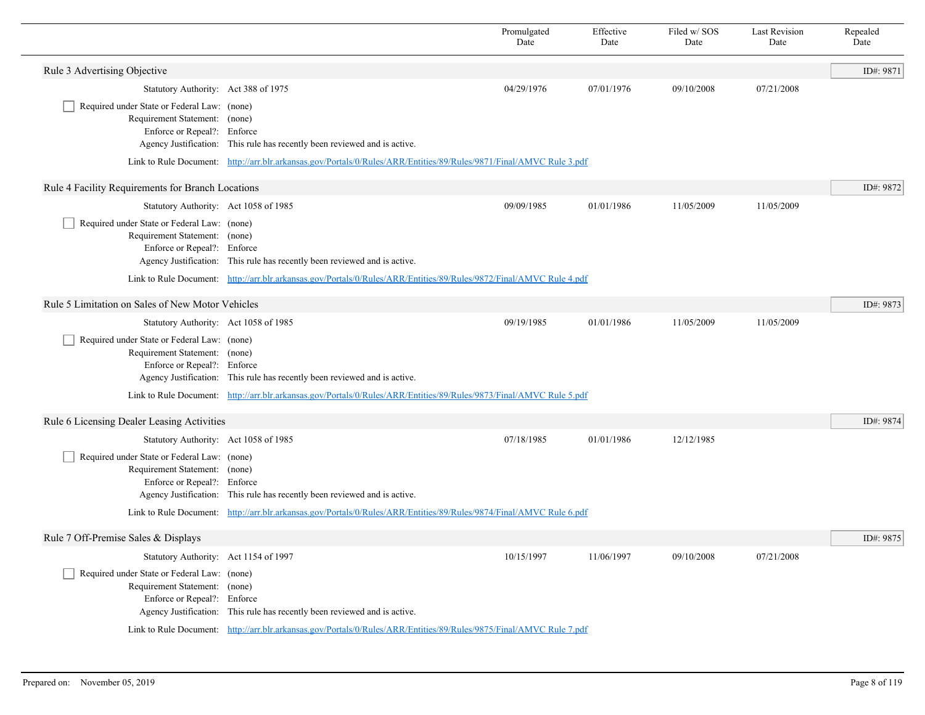|                                                                                                             |                                                                                                                                                                                                  | Promulgated<br>Date | Effective<br>Date | Filed w/SOS<br>Date | <b>Last Revision</b><br>Date | Repealed<br>Date |  |  |
|-------------------------------------------------------------------------------------------------------------|--------------------------------------------------------------------------------------------------------------------------------------------------------------------------------------------------|---------------------|-------------------|---------------------|------------------------------|------------------|--|--|
| Rule 3 Advertising Objective                                                                                |                                                                                                                                                                                                  |                     |                   |                     |                              | ID#: 9871        |  |  |
| Statutory Authority: Act 388 of 1975                                                                        |                                                                                                                                                                                                  | 04/29/1976          | 07/01/1976        | 09/10/2008          | 07/21/2008                   |                  |  |  |
| Required under State or Federal Law: (none)<br>Requirement Statement: (none)<br>Enforce or Repeal?: Enforce | Agency Justification: This rule has recently been reviewed and is active.<br>Link to Rule Document: http://arr.blr.arkansas.gov/Portals/0/Rules/ARR/Entities/89/Rules/9871/Final/AMVC Rule 3.pdf |                     |                   |                     |                              |                  |  |  |
| Rule 4 Facility Requirements for Branch Locations                                                           |                                                                                                                                                                                                  |                     |                   |                     |                              |                  |  |  |
| Statutory Authority: Act 1058 of 1985                                                                       |                                                                                                                                                                                                  | 09/09/1985          | 01/01/1986        | 11/05/2009          | 11/05/2009                   | ID#: 9872        |  |  |
| Required under State or Federal Law: (none)<br>Requirement Statement: (none)<br>Enforce or Repeal?: Enforce | Agency Justification: This rule has recently been reviewed and is active.                                                                                                                        |                     |                   |                     |                              |                  |  |  |
|                                                                                                             | Link to Rule Document: http://arr.blr.arkansas.gov/Portals/0/Rules/ARR/Entities/89/Rules/9872/Final/AMVC Rule 4.pdf                                                                              |                     |                   |                     |                              |                  |  |  |
| Rule 5 Limitation on Sales of New Motor Vehicles                                                            |                                                                                                                                                                                                  |                     |                   |                     |                              | ID#: 9873        |  |  |
| Statutory Authority: Act 1058 of 1985                                                                       |                                                                                                                                                                                                  | 09/19/1985          | 01/01/1986        | 11/05/2009          | 11/05/2009                   |                  |  |  |
| Required under State or Federal Law: (none)<br>Requirement Statement: (none)<br>Enforce or Repeal?: Enforce | Agency Justification: This rule has recently been reviewed and is active.                                                                                                                        |                     |                   |                     |                              |                  |  |  |
|                                                                                                             | Link to Rule Document: http://arr.blr.arkansas.gov/Portals/0/Rules/ARR/Entities/89/Rules/9873/Final/AMVC Rule 5.pdf                                                                              |                     |                   |                     |                              |                  |  |  |
| Rule 6 Licensing Dealer Leasing Activities                                                                  |                                                                                                                                                                                                  |                     |                   |                     |                              | ID#: 9874        |  |  |
| Statutory Authority: Act 1058 of 1985                                                                       |                                                                                                                                                                                                  | 07/18/1985          | 01/01/1986        | 12/12/1985          |                              |                  |  |  |
| Required under State or Federal Law: (none)<br>Requirement Statement: (none)<br>Enforce or Repeal?: Enforce | Agency Justification: This rule has recently been reviewed and is active.                                                                                                                        |                     |                   |                     |                              |                  |  |  |
|                                                                                                             | Link to Rule Document: http://arr.blr.arkansas.gov/Portals/0/Rules/ARR/Entities/89/Rules/9874/Final/AMVC Rule 6.pdf                                                                              |                     |                   |                     |                              |                  |  |  |
| Rule 7 Off-Premise Sales & Displays                                                                         |                                                                                                                                                                                                  |                     |                   |                     |                              | ID#: 9875        |  |  |
| Statutory Authority: Act 1154 of 1997                                                                       |                                                                                                                                                                                                  | 10/15/1997          | 11/06/1997        | 09/10/2008          | 07/21/2008                   |                  |  |  |
| Required under State or Federal Law: (none)<br>Requirement Statement: (none)<br>Enforce or Repeal?: Enforce | Agency Justification: This rule has recently been reviewed and is active.                                                                                                                        |                     |                   |                     |                              |                  |  |  |
|                                                                                                             | Link to Rule Document: http://arr.blr.arkansas.gov/Portals/0/Rules/ARR/Entities/89/Rules/9875/Final/AMVC Rule 7.pdf                                                                              |                     |                   |                     |                              |                  |  |  |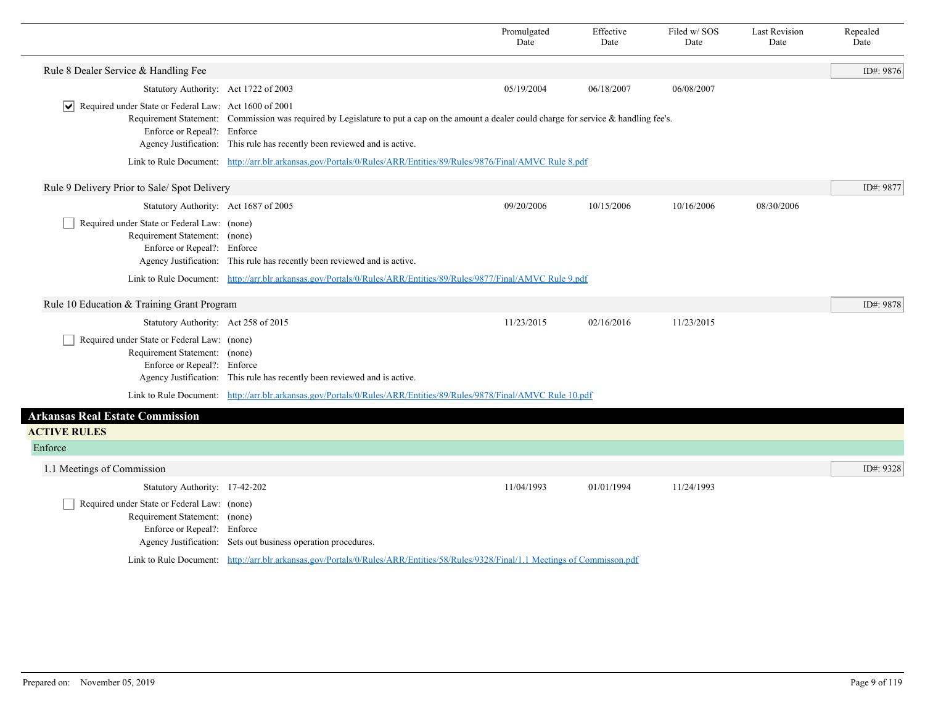|                                                                                                                                               |                                                                                                                                                                                                                           | Promulgated<br>Date | Effective<br>Date | Filed w/SOS<br>Date | <b>Last Revision</b><br>Date | Repealed<br>Date |
|-----------------------------------------------------------------------------------------------------------------------------------------------|---------------------------------------------------------------------------------------------------------------------------------------------------------------------------------------------------------------------------|---------------------|-------------------|---------------------|------------------------------|------------------|
| Rule 8 Dealer Service & Handling Fee                                                                                                          |                                                                                                                                                                                                                           |                     |                   |                     |                              | ID#: 9876        |
| Statutory Authority: Act 1722 of 2003                                                                                                         |                                                                                                                                                                                                                           | 05/19/2004          | 06/18/2007        | 06/08/2007          |                              |                  |
| $\sqrt{\phantom{a}}$ Required under State or Federal Law: Act 1600 of 2001<br>Enforce or Repeal?: Enforce                                     | Requirement Statement: Commission was required by Legislature to put a cap on the amount a dealer could charge for service & handling fee's.<br>Agency Justification: This rule has recently been reviewed and is active. |                     |                   |                     |                              |                  |
|                                                                                                                                               | Link to Rule Document: http://arr.blr.arkansas.gov/Portals/0/Rules/ARR/Entities/89/Rules/9876/Final/AMVC Rule 8.pdf                                                                                                       |                     |                   |                     |                              |                  |
| Rule 9 Delivery Prior to Sale/ Spot Delivery                                                                                                  |                                                                                                                                                                                                                           |                     |                   |                     |                              | ID#: 9877        |
| Statutory Authority: Act 1687 of 2005                                                                                                         |                                                                                                                                                                                                                           | 09/20/2006          | 10/15/2006        | 10/16/2006          | 08/30/2006                   |                  |
| Required under State or Federal Law: (none)<br>Requirement Statement: (none)<br>Enforce or Repeal?: Enforce                                   | Agency Justification: This rule has recently been reviewed and is active.                                                                                                                                                 |                     |                   |                     |                              |                  |
|                                                                                                                                               | Link to Rule Document: http://arr.blr.arkansas.gov/Portals/0/Rules/ARR/Entities/89/Rules/9877/Final/AMVC Rule 9.pdf                                                                                                       |                     |                   |                     |                              |                  |
| Rule 10 Education & Training Grant Program                                                                                                    |                                                                                                                                                                                                                           |                     |                   |                     |                              | ID#: 9878        |
| Statutory Authority: Act 258 of 2015                                                                                                          |                                                                                                                                                                                                                           | 11/23/2015          | 02/16/2016        | 11/23/2015          |                              |                  |
| Required under State or Federal Law: (none)<br>Requirement Statement: (none)<br>Enforce or Repeal?: Enforce                                   | Agency Justification: This rule has recently been reviewed and is active.                                                                                                                                                 |                     |                   |                     |                              |                  |
|                                                                                                                                               | Link to Rule Document: http://arr.blr.arkansas.gov/Portals/0/Rules/ARR/Entities/89/Rules/9878/Final/AMVC Rule 10.pdf                                                                                                      |                     |                   |                     |                              |                  |
| <b>Arkansas Real Estate Commission</b>                                                                                                        |                                                                                                                                                                                                                           |                     |                   |                     |                              |                  |
| <b>ACTIVE RULES</b>                                                                                                                           |                                                                                                                                                                                                                           |                     |                   |                     |                              |                  |
| Enforce                                                                                                                                       |                                                                                                                                                                                                                           |                     |                   |                     |                              |                  |
| 1.1 Meetings of Commission                                                                                                                    |                                                                                                                                                                                                                           |                     |                   |                     |                              | ID#: 9328        |
| Statutory Authority: 17-42-202<br>Required under State or Federal Law: (none)<br>Requirement Statement: (none)<br>Enforce or Repeal?: Enforce | Agency Justification: Sets out business operation procedures.                                                                                                                                                             | 11/04/1993          | 01/01/1994        | 11/24/1993          |                              |                  |
|                                                                                                                                               | Link to Rule Document: http://arr.blr.arkansas.gov/Portals/0/Rules/ARR/Entities/58/Rules/9328/Final/1.1 Meetings of Commisson.pdf                                                                                         |                     |                   |                     |                              |                  |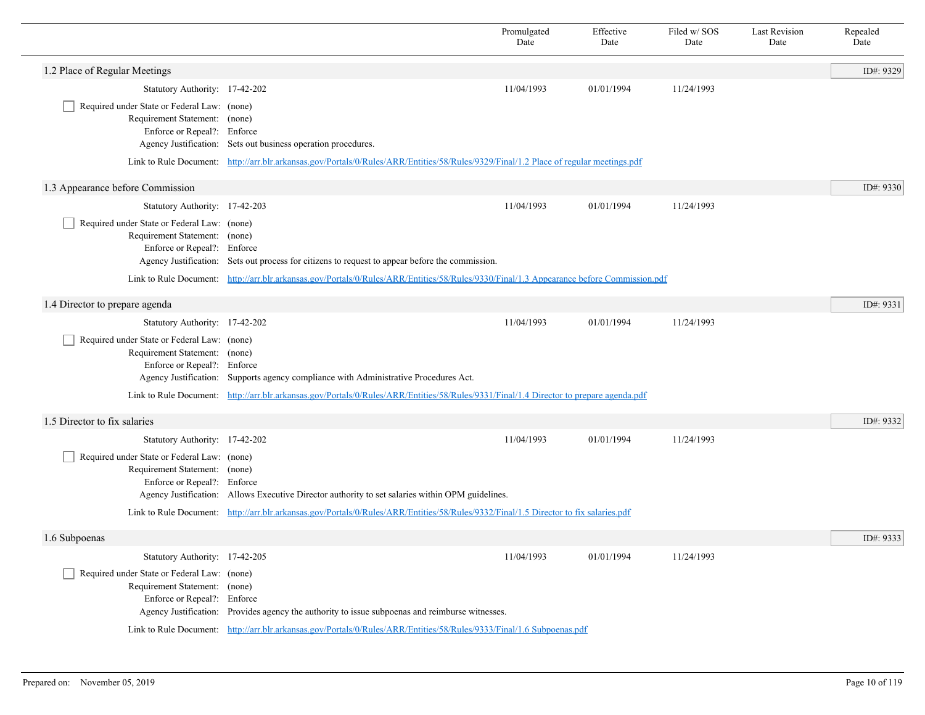|                                                                                                             |                                                                                                                                          | Promulgated<br>Date | Effective<br>Date | Filed w/SOS<br>Date | <b>Last Revision</b><br>Date | Repealed<br>Date |
|-------------------------------------------------------------------------------------------------------------|------------------------------------------------------------------------------------------------------------------------------------------|---------------------|-------------------|---------------------|------------------------------|------------------|
| 1.2 Place of Regular Meetings                                                                               |                                                                                                                                          |                     |                   |                     |                              | ID#: 9329        |
| Statutory Authority: 17-42-202                                                                              |                                                                                                                                          | 11/04/1993          | 01/01/1994        | 11/24/1993          |                              |                  |
| Required under State or Federal Law: (none)<br>Requirement Statement: (none)<br>Enforce or Repeal?: Enforce | Agency Justification: Sets out business operation procedures.                                                                            |                     |                   |                     |                              |                  |
|                                                                                                             | Link to Rule Document: http://arr.blr.arkansas.gov/Portals/0/Rules/ARR/Entities/58/Rules/9329/Final/1.2 Place of regular meetings.pdf    |                     |                   |                     |                              |                  |
| 1.3 Appearance before Commission                                                                            |                                                                                                                                          |                     |                   |                     |                              | ID#: 9330        |
| Statutory Authority: 17-42-203                                                                              |                                                                                                                                          | 11/04/1993          | 01/01/1994        | 11/24/1993          |                              |                  |
| Required under State or Federal Law: (none)<br>Requirement Statement: (none)<br>Enforce or Repeal?: Enforce | Agency Justification: Sets out process for citizens to request to appear before the commission.                                          |                     |                   |                     |                              |                  |
|                                                                                                             | Link to Rule Document: http://arr.blr.arkansas.gov/Portals/0/Rules/ARR/Entities/58/Rules/9330/Final/1.3 Appearance before Commission.pdf |                     |                   |                     |                              |                  |
| 1.4 Director to prepare agenda                                                                              |                                                                                                                                          |                     |                   |                     |                              | ID#: $9331$      |
| Statutory Authority: 17-42-202                                                                              |                                                                                                                                          | 11/04/1993          | 01/01/1994        | 11/24/1993          |                              |                  |
| Required under State or Federal Law: (none)<br>Requirement Statement: (none)<br>Enforce or Repeal?: Enforce | Agency Justification: Supports agency compliance with Administrative Procedures Act.                                                     |                     |                   |                     |                              |                  |
|                                                                                                             | Link to Rule Document: http://arr.blr.arkansas.gov/Portals/0/Rules/ARR/Entities/58/Rules/9331/Final/1.4 Director to prepare agenda.pdf   |                     |                   |                     |                              |                  |
| 1.5 Director to fix salaries                                                                                |                                                                                                                                          |                     |                   |                     |                              | ID#: 9332        |
| Statutory Authority: 17-42-202                                                                              |                                                                                                                                          | 11/04/1993          | 01/01/1994        | 11/24/1993          |                              |                  |
| Required under State or Federal Law: (none)<br>Requirement Statement: (none)<br>Enforce or Repeal?: Enforce | Agency Justification: Allows Executive Director authority to set salaries within OPM guidelines.                                         |                     |                   |                     |                              |                  |
|                                                                                                             | Link to Rule Document: http://arr.blr.arkansas.gov/Portals/0/Rules/ARR/Entities/58/Rules/9332/Final/1.5 Director to fix salaries.pdf     |                     |                   |                     |                              |                  |
| 1.6 Subpoenas                                                                                               |                                                                                                                                          |                     |                   |                     |                              | ID#: 9333        |
| Statutory Authority: 17-42-205                                                                              |                                                                                                                                          | 11/04/1993          | 01/01/1994        | 11/24/1993          |                              |                  |
| Required under State or Federal Law: (none)<br>Requirement Statement: (none)<br>Enforce or Repeal?: Enforce | Agency Justification: Provides agency the authority to issue subpoenas and reimburse witnesses.                                          |                     |                   |                     |                              |                  |
|                                                                                                             | Link to Rule Document: http://arr.blr.arkansas.gov/Portals/0/Rules/ARR/Entities/58/Rules/9333/Final/1.6 Subpoenas.pdf                    |                     |                   |                     |                              |                  |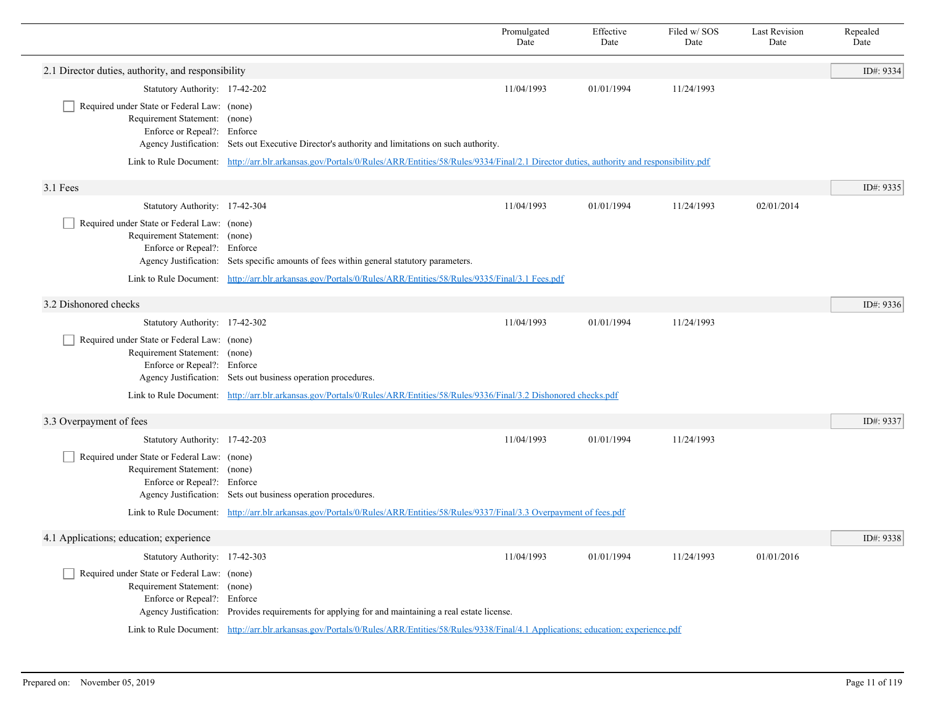|                                                                                                             |                                                                                                                                                 | Promulgated<br>Date                                                                                                                                       | Effective<br>Date | Filed w/SOS<br>Date | <b>Last Revision</b><br>Date | Repealed<br>Date |  |  |
|-------------------------------------------------------------------------------------------------------------|-------------------------------------------------------------------------------------------------------------------------------------------------|-----------------------------------------------------------------------------------------------------------------------------------------------------------|-------------------|---------------------|------------------------------|------------------|--|--|
| 2.1 Director duties, authority, and responsibility                                                          |                                                                                                                                                 |                                                                                                                                                           |                   |                     |                              | ID#: 9334        |  |  |
| Statutory Authority: 17-42-202                                                                              |                                                                                                                                                 | 11/04/1993                                                                                                                                                | 01/01/1994        | 11/24/1993          |                              |                  |  |  |
| Required under State or Federal Law: (none)<br>Requirement Statement: (none)<br>Enforce or Repeal?: Enforce | Agency Justification: Sets out Executive Director's authority and limitations on such authority.                                                |                                                                                                                                                           |                   |                     |                              |                  |  |  |
|                                                                                                             |                                                                                                                                                 | Link to Rule Document: http://arr.blr.arkansas.gov/Portals/0/Rules/ARR/Entities/58/Rules/9334/Final/2.1 Director duties, authority and responsibility.pdf |                   |                     |                              |                  |  |  |
| 3.1 Fees                                                                                                    |                                                                                                                                                 |                                                                                                                                                           |                   |                     |                              | ID#: 9335        |  |  |
| Statutory Authority: 17-42-304                                                                              |                                                                                                                                                 | 11/04/1993                                                                                                                                                | 01/01/1994        | 11/24/1993          | 02/01/2014                   |                  |  |  |
| Required under State or Federal Law: (none)<br>Requirement Statement: (none)<br>Enforce or Repeal?: Enforce | Agency Justification: Sets specific amounts of fees within general statutory parameters.                                                        |                                                                                                                                                           |                   |                     |                              |                  |  |  |
|                                                                                                             | Link to Rule Document: http://arr.blr.arkansas.gov/Portals/0/Rules/ARR/Entities/58/Rules/9335/Final/3.1 Fees.pdf                                |                                                                                                                                                           |                   |                     |                              |                  |  |  |
| 3.2 Dishonored checks                                                                                       |                                                                                                                                                 |                                                                                                                                                           |                   |                     |                              | ID#: 9336        |  |  |
| Statutory Authority: 17-42-302                                                                              |                                                                                                                                                 | 11/04/1993                                                                                                                                                | 01/01/1994        | 11/24/1993          |                              |                  |  |  |
| Required under State or Federal Law: (none)<br>Requirement Statement: (none)<br>Enforce or Repeal?: Enforce | Agency Justification: Sets out business operation procedures.                                                                                   |                                                                                                                                                           |                   |                     |                              |                  |  |  |
|                                                                                                             | Link to Rule Document: http://arr.blr.arkansas.gov/Portals/0/Rules/ARR/Entities/58/Rules/9336/Final/3.2 Dishonored checks.pdf                   |                                                                                                                                                           |                   |                     |                              |                  |  |  |
| 3.3 Overpayment of fees                                                                                     |                                                                                                                                                 |                                                                                                                                                           |                   |                     |                              | ID#: 9337        |  |  |
| Statutory Authority: 17-42-203                                                                              |                                                                                                                                                 | 11/04/1993                                                                                                                                                | 01/01/1994        | 11/24/1993          |                              |                  |  |  |
| Required under State or Federal Law: (none)<br>Requirement Statement: (none)<br>Enforce or Repeal?: Enforce | Agency Justification: Sets out business operation procedures.                                                                                   |                                                                                                                                                           |                   |                     |                              |                  |  |  |
|                                                                                                             | Link to Rule Document: http://arr.blr.arkansas.gov/Portals/0/Rules/ARR/Entities/58/Rules/9337/Final/3.3 Overpayment of fees.pdf                 |                                                                                                                                                           |                   |                     |                              |                  |  |  |
| 4.1 Applications; education; experience                                                                     |                                                                                                                                                 |                                                                                                                                                           |                   |                     |                              | ID#: 9338        |  |  |
| Statutory Authority: 17-42-303                                                                              |                                                                                                                                                 | 11/04/1993                                                                                                                                                | 01/01/1994        | 11/24/1993          | 01/01/2016                   |                  |  |  |
| Required under State or Federal Law: (none)<br>Requirement Statement: (none)<br>Enforce or Repeal?: Enforce | Agency Justification: Provides requirements for applying for and maintaining a real estate license.                                             |                                                                                                                                                           |                   |                     |                              |                  |  |  |
|                                                                                                             | Link to Rule Document: http://arr.blr.arkansas.gov/Portals/0/Rules/ARR/Entities/58/Rules/9338/Final/4.1 Applications; education; experience.pdf |                                                                                                                                                           |                   |                     |                              |                  |  |  |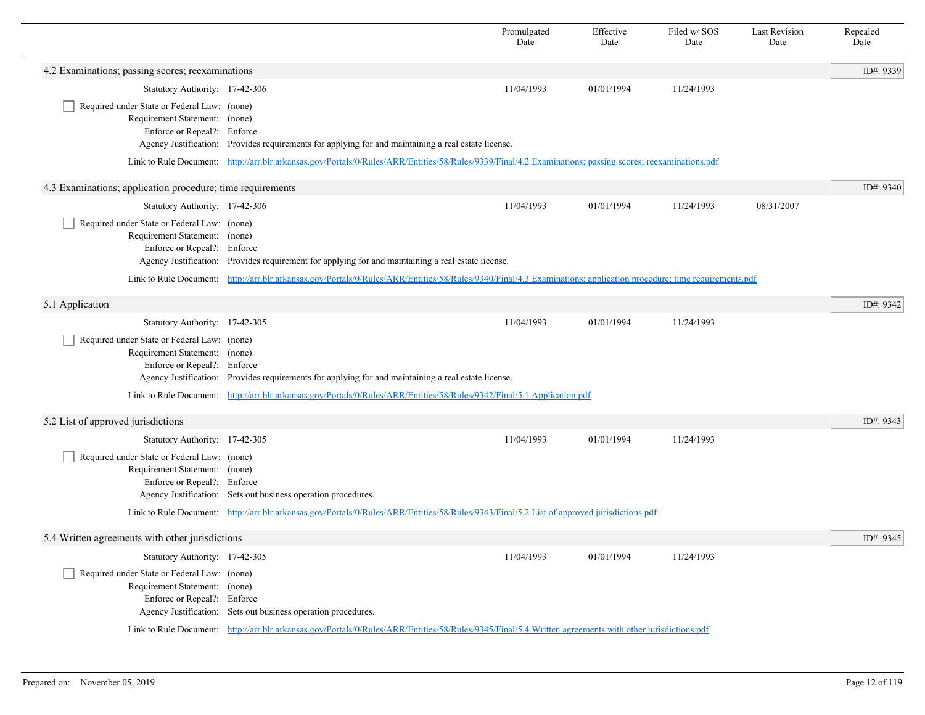|                                                                                                             |                                                                                                                                                                    | Promulgated<br>Date | Effective<br>Date | Filed w/SOS<br>Date | <b>Last Revision</b><br>Date | Repealed<br>Date |
|-------------------------------------------------------------------------------------------------------------|--------------------------------------------------------------------------------------------------------------------------------------------------------------------|---------------------|-------------------|---------------------|------------------------------|------------------|
| 4.2 Examinations; passing scores; reexaminations                                                            |                                                                                                                                                                    |                     |                   |                     |                              | ID#: 9339        |
| Statutory Authority: 17-42-306                                                                              |                                                                                                                                                                    | 11/04/1993          | 01/01/1994        | 11/24/1993          |                              |                  |
| Required under State or Federal Law: (none)<br>Requirement Statement: (none)<br>Enforce or Repeal?: Enforce | Agency Justification: Provides requirements for applying for and maintaining a real estate license.                                                                |                     |                   |                     |                              |                  |
|                                                                                                             | Link to Rule Document: http://arr.blr.arkansas.gov/Portals/0/Rules/ARR/Entities/58/Rules/9339/Final/4.2 Examinations; passing scores; reexaminations.pdf           |                     |                   |                     |                              |                  |
| 4.3 Examinations; application procedure; time requirements                                                  |                                                                                                                                                                    |                     |                   |                     |                              | ID#: 9340        |
| Statutory Authority: 17-42-306                                                                              |                                                                                                                                                                    | 11/04/1993          | 01/01/1994        | 11/24/1993          | 08/31/2007                   |                  |
| Required under State or Federal Law: (none)<br>Requirement Statement: (none)<br>Enforce or Repeal?: Enforce | Agency Justification: Provides requirement for applying for and maintaining a real estate license.                                                                 |                     |                   |                     |                              |                  |
|                                                                                                             | Link to Rule Document: http://arr.blr.arkansas.gov/Portals/0/Rules/ARR/Entities/58/Rules/9340/Final/4.3 Examinations; application procedure; time requirements.pdf |                     |                   |                     |                              |                  |
| 5.1 Application                                                                                             |                                                                                                                                                                    |                     |                   |                     |                              | ID#: 9342        |
| Statutory Authority: 17-42-305                                                                              |                                                                                                                                                                    | 11/04/1993          | 01/01/1994        | 11/24/1993          |                              |                  |
| Required under State or Federal Law: (none)<br>Requirement Statement: (none)<br>Enforce or Repeal?: Enforce | Agency Justification: Provides requirements for applying for and maintaining a real estate license.                                                                |                     |                   |                     |                              |                  |
|                                                                                                             | Link to Rule Document: http://arr.blr.arkansas.gov/Portals/0/Rules/ARR/Entities/58/Rules/9342/Final/5.1 Application.pdf                                            |                     |                   |                     |                              |                  |
| 5.2 List of approved jurisdictions                                                                          |                                                                                                                                                                    |                     |                   |                     |                              | ID#: 9343        |
| Statutory Authority: 17-42-305                                                                              |                                                                                                                                                                    | 11/04/1993          | 01/01/1994        | 11/24/1993          |                              |                  |
| Required under State or Federal Law: (none)<br>Requirement Statement: (none)<br>Enforce or Repeal?: Enforce | Agency Justification: Sets out business operation procedures.                                                                                                      |                     |                   |                     |                              |                  |
|                                                                                                             | Link to Rule Document: http://arr.blr.arkansas.gov/Portals/0/Rules/ARR/Entities/58/Rules/9343/Final/5.2 List of approved jurisdictions.pdf                         |                     |                   |                     |                              |                  |
| 5.4 Written agreements with other jurisdictions                                                             |                                                                                                                                                                    |                     |                   |                     |                              | ID#: 9345        |
| Statutory Authority: 17-42-305                                                                              |                                                                                                                                                                    | 11/04/1993          | 01/01/1994        | 11/24/1993          |                              |                  |
| Required under State or Federal Law: (none)<br>Requirement Statement: (none)<br>Enforce or Repeal?: Enforce | Agency Justification: Sets out business operation procedures.                                                                                                      |                     |                   |                     |                              |                  |
|                                                                                                             | Link to Rule Document: http://arr.blr.arkansas.gov/Portals/0/Rules/ARR/Entities/58/Rules/9345/Final/5.4 Written agreements with other jurisdictions.pdf            |                     |                   |                     |                              |                  |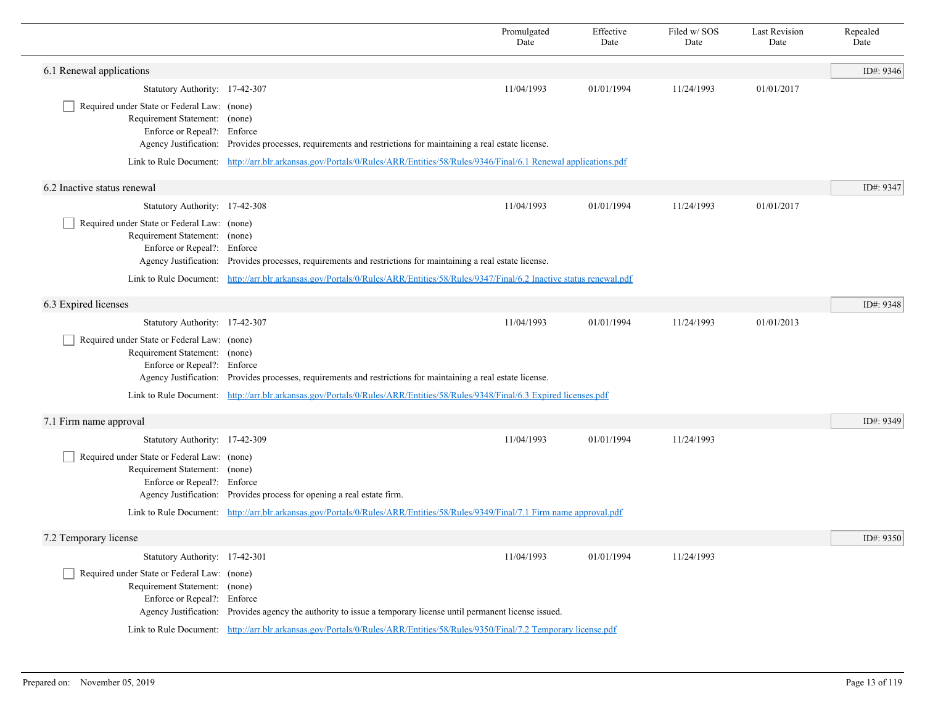|                                                                                                             |                                                                                                                                     | Promulgated<br>Date | Effective<br>Date | Filed w/SOS<br>Date | <b>Last Revision</b><br>Date | Repealed<br>Date |
|-------------------------------------------------------------------------------------------------------------|-------------------------------------------------------------------------------------------------------------------------------------|---------------------|-------------------|---------------------|------------------------------|------------------|
| 6.1 Renewal applications                                                                                    |                                                                                                                                     |                     |                   |                     |                              | ID#: 9346        |
| Statutory Authority: 17-42-307                                                                              |                                                                                                                                     | 11/04/1993          | 01/01/1994        | 11/24/1993          | 01/01/2017                   |                  |
| Required under State or Federal Law: (none)<br>Requirement Statement: (none)<br>Enforce or Repeal?: Enforce | Agency Justification: Provides processes, requirements and restrictions for maintaining a real estate license.                      |                     |                   |                     |                              |                  |
|                                                                                                             | Link to Rule Document: http://arr.blr.arkansas.gov/Portals/0/Rules/ARR/Entities/58/Rules/9346/Final/6.1 Renewal applications.pdf    |                     |                   |                     |                              |                  |
| 6.2 Inactive status renewal                                                                                 |                                                                                                                                     |                     |                   |                     |                              | ID#: 9347        |
| Statutory Authority: 17-42-308                                                                              |                                                                                                                                     | 11/04/1993          | 01/01/1994        | 11/24/1993          | 01/01/2017                   |                  |
| Required under State or Federal Law: (none)<br>Requirement Statement: (none)<br>Enforce or Repeal?: Enforce | Agency Justification: Provides processes, requirements and restrictions for maintaining a real estate license.                      |                     |                   |                     |                              |                  |
|                                                                                                             | Link to Rule Document: http://arr.blr.arkansas.gov/Portals/0/Rules/ARR/Entities/58/Rules/9347/Final/6.2 Inactive status renewal.pdf |                     |                   |                     |                              |                  |
| 6.3 Expired licenses                                                                                        |                                                                                                                                     |                     |                   |                     |                              | ID#: 9348        |
| Statutory Authority: 17-42-307                                                                              |                                                                                                                                     | 11/04/1993          | 01/01/1994        | 11/24/1993          | 01/01/2013                   |                  |
| Required under State or Federal Law: (none)<br>Requirement Statement: (none)<br>Enforce or Repeal?: Enforce | Agency Justification: Provides processes, requirements and restrictions for maintaining a real estate license.                      |                     |                   |                     |                              |                  |
|                                                                                                             | Link to Rule Document: http://arr.blr.arkansas.gov/Portals/0/Rules/ARR/Entities/58/Rules/9348/Final/6.3 Expired licenses.pdf        |                     |                   |                     |                              |                  |
| 7.1 Firm name approval                                                                                      |                                                                                                                                     |                     |                   |                     |                              | ID#: 9349        |
| Statutory Authority: 17-42-309                                                                              |                                                                                                                                     | 11/04/1993          | 01/01/1994        | 11/24/1993          |                              |                  |
| Required under State or Federal Law: (none)<br>Requirement Statement: (none)<br>Enforce or Repeal?: Enforce | Agency Justification: Provides process for opening a real estate firm.                                                              |                     |                   |                     |                              |                  |
|                                                                                                             | Link to Rule Document: http://arr.blr.arkansas.gov/Portals/0/Rules/ARR/Entities/58/Rules/9349/Final/7.1 Firm name approval.pdf      |                     |                   |                     |                              |                  |
| 7.2 Temporary license                                                                                       |                                                                                                                                     |                     |                   |                     |                              | ID#: 9350        |
| Statutory Authority: 17-42-301                                                                              |                                                                                                                                     | 11/04/1993          | 01/01/1994        | 11/24/1993          |                              |                  |
| Required under State or Federal Law: (none)<br>Requirement Statement: (none)<br>Enforce or Repeal?: Enforce | Agency Justification: Provides agency the authority to issue a temporary license until permanent license issued.                    |                     |                   |                     |                              |                  |
|                                                                                                             | Link to Rule Document: http://arr.blr.arkansas.gov/Portals/0/Rules/ARR/Entities/58/Rules/9350/Final/7.2 Temporary license.pdf       |                     |                   |                     |                              |                  |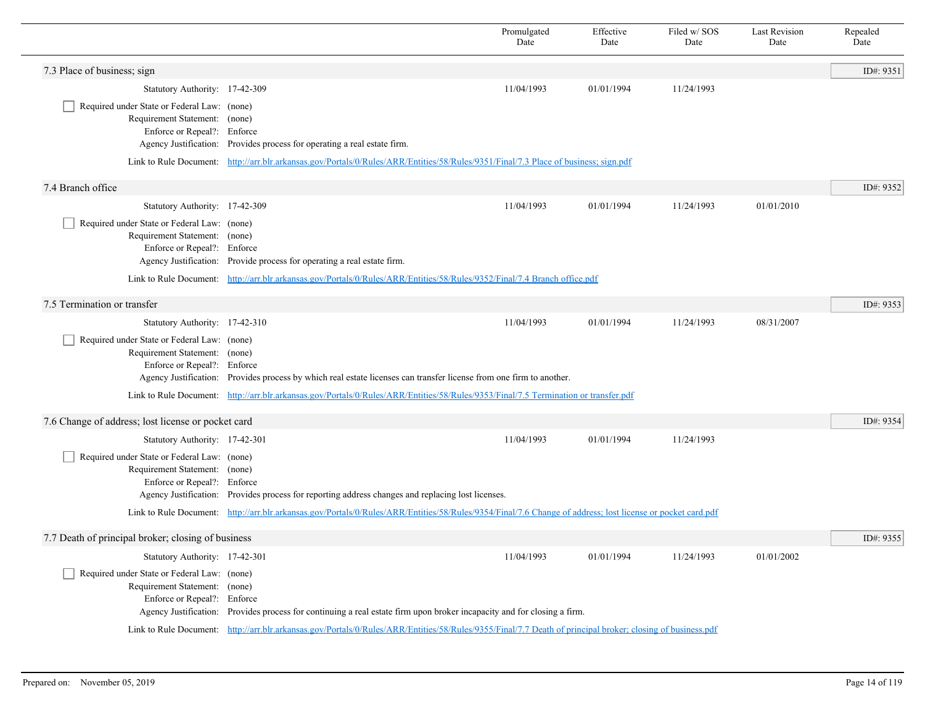|                                                                                                             |                                                                                                                                                            | Promulgated<br>Date | Effective<br>Date | Filed w/SOS<br>Date | <b>Last Revision</b><br>Date | Repealed<br>Date |
|-------------------------------------------------------------------------------------------------------------|------------------------------------------------------------------------------------------------------------------------------------------------------------|---------------------|-------------------|---------------------|------------------------------|------------------|
| 7.3 Place of business; sign                                                                                 |                                                                                                                                                            |                     |                   |                     |                              | ID#: 9351        |
| Statutory Authority: 17-42-309                                                                              |                                                                                                                                                            | 11/04/1993          | 01/01/1994        | 11/24/1993          |                              |                  |
| Required under State or Federal Law: (none)<br>Requirement Statement: (none)<br>Enforce or Repeal?: Enforce | Agency Justification: Provides process for operating a real estate firm.                                                                                   |                     |                   |                     |                              |                  |
|                                                                                                             | Link to Rule Document: http://arr.blr.arkansas.gov/Portals/0/Rules/ARR/Entities/58/Rules/9351/Final/7.3 Place of business; sign.pdf                        |                     |                   |                     |                              |                  |
| 7.4 Branch office                                                                                           |                                                                                                                                                            |                     |                   |                     |                              | ID#: 9352        |
| Statutory Authority: 17-42-309                                                                              |                                                                                                                                                            | 11/04/1993          | 01/01/1994        | 11/24/1993          | 01/01/2010                   |                  |
| Required under State or Federal Law: (none)<br>Requirement Statement: (none)<br>Enforce or Repeal?: Enforce | Agency Justification: Provide process for operating a real estate firm.                                                                                    |                     |                   |                     |                              |                  |
|                                                                                                             | Link to Rule Document: http://arr.blr.arkansas.gov/Portals/0/Rules/ARR/Entities/58/Rules/9352/Final/7.4 Branch office.pdf                                  |                     |                   |                     |                              |                  |
| 7.5 Termination or transfer                                                                                 |                                                                                                                                                            |                     |                   |                     |                              | ID#: 9353        |
| Statutory Authority: 17-42-310                                                                              |                                                                                                                                                            | 11/04/1993          | 01/01/1994        | 11/24/1993          | 08/31/2007                   |                  |
| Required under State or Federal Law: (none)<br>Requirement Statement: (none)<br>Enforce or Repeal?: Enforce | Agency Justification: Provides process by which real estate licenses can transfer license from one firm to another.                                        |                     |                   |                     |                              |                  |
|                                                                                                             | Link to Rule Document: http://arr.blr.arkansas.gov/Portals/0/Rules/ARR/Entities/58/Rules/9353/Final/7.5 Termination or transfer.pdf                        |                     |                   |                     |                              |                  |
| 7.6 Change of address; lost license or pocket card                                                          |                                                                                                                                                            |                     |                   |                     |                              | ID#: 9354        |
| Statutory Authority: 17-42-301                                                                              |                                                                                                                                                            | 11/04/1993          | 01/01/1994        | 11/24/1993          |                              |                  |
| Required under State or Federal Law: (none)<br>Requirement Statement: (none)<br>Enforce or Repeal?: Enforce | Agency Justification: Provides process for reporting address changes and replacing lost licenses.                                                          |                     |                   |                     |                              |                  |
|                                                                                                             | Link to Rule Document: http://arr.blr.arkansas.gov/Portals/0/Rules/ARR/Entities/58/Rules/9354/Final/7.6 Change of address; lost license or pocket card.pdf |                     |                   |                     |                              |                  |
| 7.7 Death of principal broker; closing of business                                                          |                                                                                                                                                            |                     |                   |                     |                              | ID#: 9355        |
| Statutory Authority: 17-42-301                                                                              |                                                                                                                                                            | 11/04/1993          | 01/01/1994        | 11/24/1993          | 01/01/2002                   |                  |
| Required under State or Federal Law: (none)<br>Requirement Statement: (none)<br>Enforce or Repeal?: Enforce | Agency Justification: Provides process for continuing a real estate firm upon broker incapacity and for closing a firm.                                    |                     |                   |                     |                              |                  |
|                                                                                                             | Link to Rule Document: http://arr.blr.arkansas.gov/Portals/0/Rules/ARR/Entities/58/Rules/9355/Final/7.7 Death of principal broker; closing of business.pdf |                     |                   |                     |                              |                  |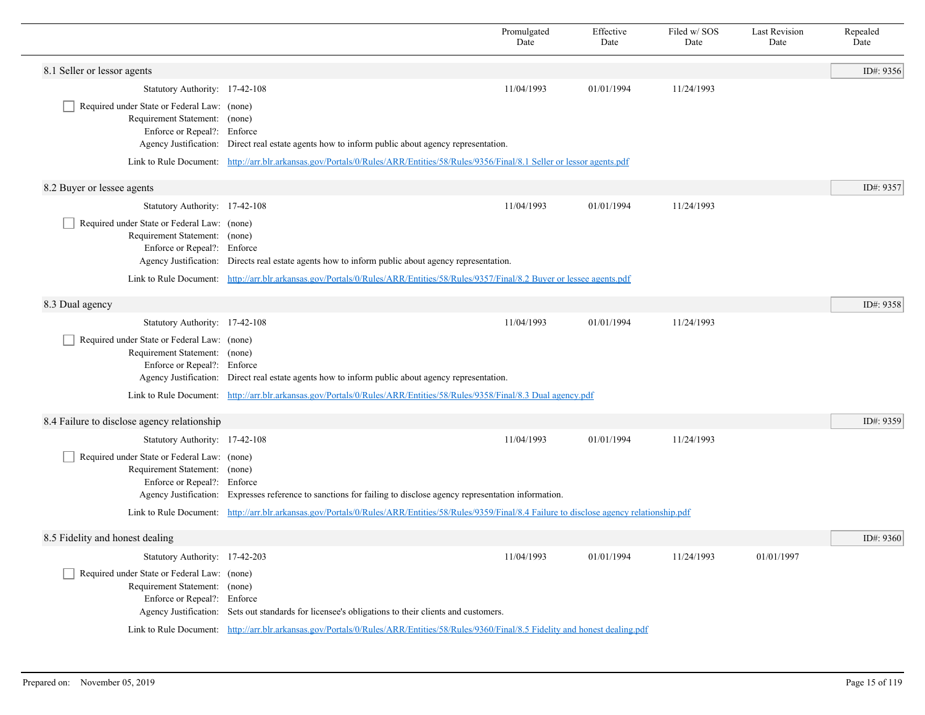|                                                                                                             |                                                                                                                                                     | Promulgated<br>Date | Effective<br>Date | Filed w/SOS<br>Date | <b>Last Revision</b><br>Date | Repealed<br>Date |
|-------------------------------------------------------------------------------------------------------------|-----------------------------------------------------------------------------------------------------------------------------------------------------|---------------------|-------------------|---------------------|------------------------------|------------------|
| 8.1 Seller or lessor agents                                                                                 |                                                                                                                                                     |                     |                   |                     |                              | ID#: 9356        |
| Statutory Authority: 17-42-108                                                                              |                                                                                                                                                     | 11/04/1993          | 01/01/1994        | 11/24/1993          |                              |                  |
| Required under State or Federal Law: (none)<br>Requirement Statement: (none)<br>Enforce or Repeal?: Enforce | Agency Justification: Direct real estate agents how to inform public about agency representation.                                                   |                     |                   |                     |                              |                  |
|                                                                                                             | Link to Rule Document: http://arr.blr.arkansas.gov/Portals/0/Rules/ARR/Entities/58/Rules/9356/Final/8.1 Seller or lessor agents.pdf                 |                     |                   |                     |                              |                  |
| 8.2 Buyer or lessee agents                                                                                  |                                                                                                                                                     |                     |                   |                     |                              | ID#: 9357        |
| Statutory Authority: 17-42-108                                                                              |                                                                                                                                                     | 11/04/1993          | 01/01/1994        | 11/24/1993          |                              |                  |
| Required under State or Federal Law: (none)<br>Requirement Statement: (none)<br>Enforce or Repeal?: Enforce | Agency Justification: Directs real estate agents how to inform public about agency representation.                                                  |                     |                   |                     |                              |                  |
|                                                                                                             | Link to Rule Document: http://arr.blr.arkansas.gov/Portals/0/Rules/ARR/Entities/58/Rules/9357/Final/8.2 Buyer or lessee agents.pdf                  |                     |                   |                     |                              |                  |
| 8.3 Dual agency                                                                                             |                                                                                                                                                     |                     |                   |                     |                              | ID#: 9358        |
| Statutory Authority: 17-42-108                                                                              |                                                                                                                                                     | 11/04/1993          | 01/01/1994        | 11/24/1993          |                              |                  |
| Required under State or Federal Law: (none)<br>Requirement Statement: (none)<br>Enforce or Repeal?: Enforce | Agency Justification: Direct real estate agents how to inform public about agency representation.                                                   |                     |                   |                     |                              |                  |
|                                                                                                             | Link to Rule Document: http://arr.blr.arkansas.gov/Portals/0/Rules/ARR/Entities/58/Rules/9358/Final/8.3 Dual agency.pdf                             |                     |                   |                     |                              |                  |
| 8.4 Failure to disclose agency relationship                                                                 |                                                                                                                                                     |                     |                   |                     |                              | ID#: 9359        |
| Statutory Authority: 17-42-108                                                                              |                                                                                                                                                     | 11/04/1993          | 01/01/1994        | 11/24/1993          |                              |                  |
| Required under State or Federal Law: (none)<br>Requirement Statement: (none)<br>Enforce or Repeal?: Enforce | Agency Justification: Expresses reference to sanctions for failing to disclose agency representation information.                                   |                     |                   |                     |                              |                  |
|                                                                                                             | Link to Rule Document: http://arr.blr.arkansas.gov/Portals/0/Rules/ARR/Entities/58/Rules/9359/Final/8.4 Failure to disclose agency relationship.pdf |                     |                   |                     |                              |                  |
| 8.5 Fidelity and honest dealing                                                                             |                                                                                                                                                     |                     |                   |                     |                              | ID#: 9360        |
| Statutory Authority: 17-42-203                                                                              |                                                                                                                                                     | 11/04/1993          | 01/01/1994        | 11/24/1993          | 01/01/1997                   |                  |
| Required under State or Federal Law: (none)<br>Requirement Statement: (none)<br>Enforce or Repeal?: Enforce | Agency Justification: Sets out standards for licensee's obligations to their clients and customers.                                                 |                     |                   |                     |                              |                  |
|                                                                                                             | Link to Rule Document: http://arr.blr.arkansas.gov/Portals/0/Rules/ARR/Entities/58/Rules/9360/Final/8.5 Fidelity and honest dealing.pdf             |                     |                   |                     |                              |                  |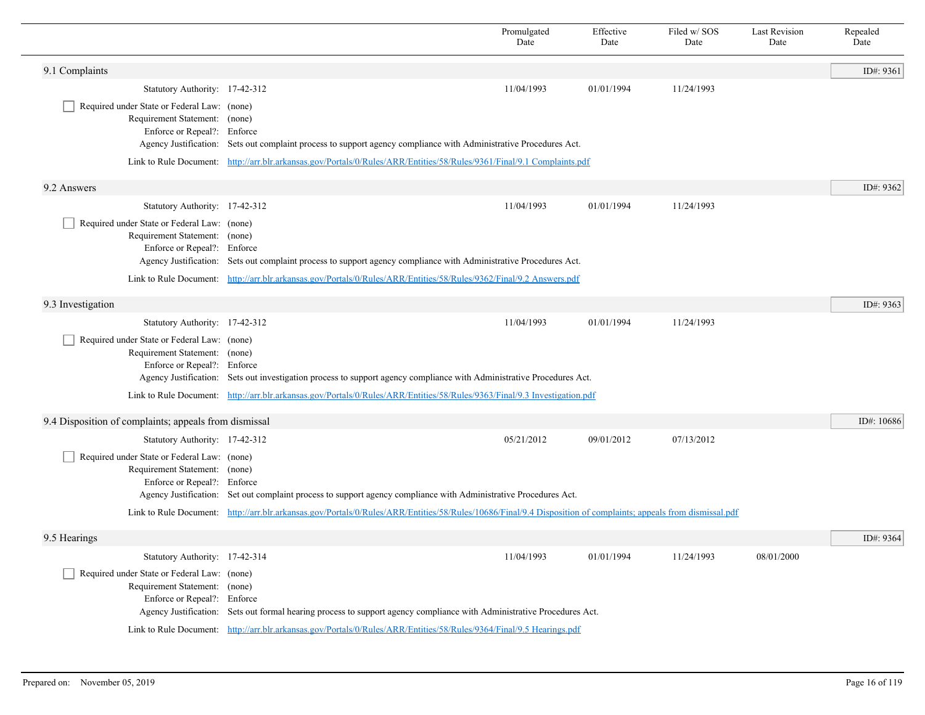|                                                                                                             |                                                                                                                                                                | Promulgated<br>Date | Effective<br>Date | Filed w/ SOS<br>Date | <b>Last Revision</b><br>Date | Repealed<br>Date |
|-------------------------------------------------------------------------------------------------------------|----------------------------------------------------------------------------------------------------------------------------------------------------------------|---------------------|-------------------|----------------------|------------------------------|------------------|
| 9.1 Complaints                                                                                              |                                                                                                                                                                |                     |                   |                      |                              | ID#: 9361        |
| Statutory Authority: 17-42-312                                                                              |                                                                                                                                                                | 11/04/1993          | 01/01/1994        | 11/24/1993           |                              |                  |
| Required under State or Federal Law: (none)<br>Requirement Statement: (none)<br>Enforce or Repeal?: Enforce | Agency Justification: Sets out complaint process to support agency compliance with Administrative Procedures Act.                                              |                     |                   |                      |                              |                  |
|                                                                                                             | Link to Rule Document: http://arr.blr.arkansas.gov/Portals/0/Rules/ARR/Entities/58/Rules/9361/Final/9.1 Complaints.pdf                                         |                     |                   |                      |                              |                  |
| 9.2 Answers                                                                                                 |                                                                                                                                                                |                     |                   |                      |                              | ID#: 9362        |
| Statutory Authority: 17-42-312                                                                              |                                                                                                                                                                | 11/04/1993          | 01/01/1994        | 11/24/1993           |                              |                  |
| Required under State or Federal Law: (none)<br>Requirement Statement: (none)<br>Enforce or Repeal?: Enforce | Agency Justification: Sets out complaint process to support agency compliance with Administrative Procedures Act.                                              |                     |                   |                      |                              |                  |
|                                                                                                             | Link to Rule Document: http://arr.blr.arkansas.gov/Portals/0/Rules/ARR/Entities/58/Rules/9362/Final/9.2 Answers.pdf                                            |                     |                   |                      |                              |                  |
| 9.3 Investigation                                                                                           |                                                                                                                                                                |                     |                   |                      |                              | ID#: 9363        |
| Statutory Authority: 17-42-312                                                                              |                                                                                                                                                                | 11/04/1993          | 01/01/1994        | 11/24/1993           |                              |                  |
| Required under State or Federal Law: (none)<br>Requirement Statement: (none)<br>Enforce or Repeal?: Enforce | Agency Justification: Sets out investigation process to support agency compliance with Administrative Procedures Act.                                          |                     |                   |                      |                              |                  |
|                                                                                                             | Link to Rule Document: http://arr.blr.arkansas.gov/Portals/0/Rules/ARR/Entities/58/Rules/9363/Final/9.3 Investigation.pdf                                      |                     |                   |                      |                              |                  |
| 9.4 Disposition of complaints; appeals from dismissal                                                       |                                                                                                                                                                |                     |                   |                      |                              | ID#: $10686$     |
| Statutory Authority: 17-42-312                                                                              |                                                                                                                                                                | 05/21/2012          | 09/01/2012        | 07/13/2012           |                              |                  |
| Required under State or Federal Law: (none)<br>Requirement Statement: (none)<br>Enforce or Repeal?: Enforce | Agency Justification: Set out complaint process to support agency compliance with Administrative Procedures Act.                                               |                     |                   |                      |                              |                  |
|                                                                                                             | Link to Rule Document: http://arr.blr.arkansas.gov/Portals/0/Rules/ARR/Entities/58/Rules/10686/Final/9.4 Disposition of complaints; appeals from dismissal.pdf |                     |                   |                      |                              |                  |
| 9.5 Hearings                                                                                                |                                                                                                                                                                |                     |                   |                      |                              | ID#: 9364        |
| Statutory Authority: 17-42-314                                                                              |                                                                                                                                                                | 11/04/1993          | 01/01/1994        | 11/24/1993           | 08/01/2000                   |                  |
| Required under State or Federal Law: (none)<br>Requirement Statement: (none)<br>Enforce or Repeal?: Enforce | Agency Justification: Sets out formal hearing process to support agency compliance with Administrative Procedures Act.                                         |                     |                   |                      |                              |                  |
|                                                                                                             | Link to Rule Document: http://arr.blr.arkansas.gov/Portals/0/Rules/ARR/Entities/58/Rules/9364/Final/9.5 Hearings.pdf                                           |                     |                   |                      |                              |                  |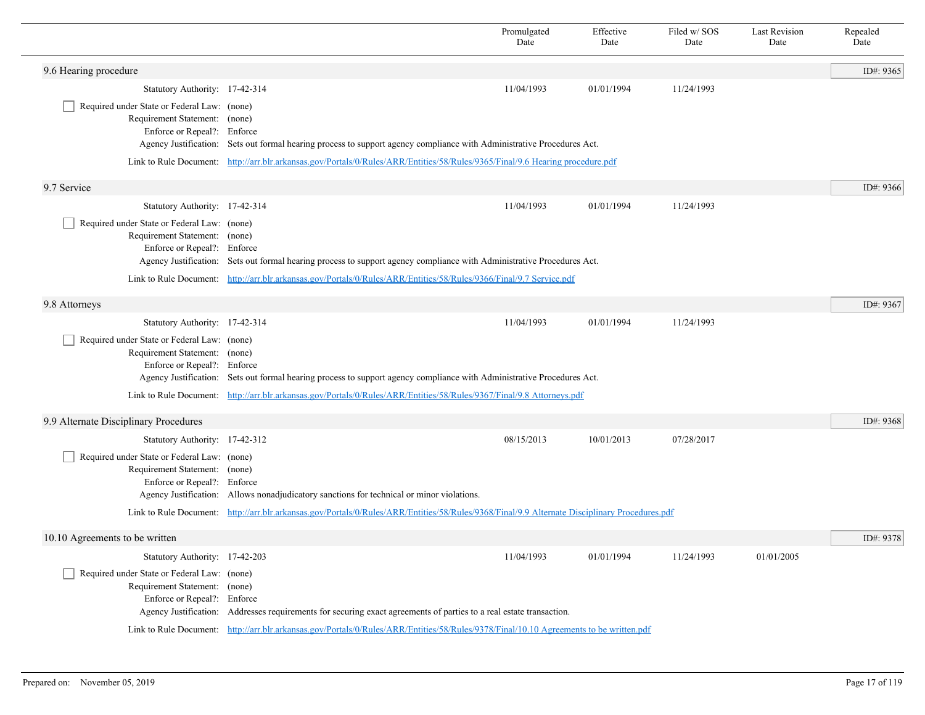|                                                                                                             |                                                                                                                                               | Promulgated<br>Date                                                                                                           | Effective<br>Date | Filed w/SOS<br>Date | <b>Last Revision</b><br>Date | Repealed<br>Date |  |  |
|-------------------------------------------------------------------------------------------------------------|-----------------------------------------------------------------------------------------------------------------------------------------------|-------------------------------------------------------------------------------------------------------------------------------|-------------------|---------------------|------------------------------|------------------|--|--|
| 9.6 Hearing procedure                                                                                       |                                                                                                                                               |                                                                                                                               |                   |                     |                              | ID#: 9365        |  |  |
| Statutory Authority: 17-42-314                                                                              |                                                                                                                                               | 11/04/1993                                                                                                                    | 01/01/1994        | 11/24/1993          |                              |                  |  |  |
| Required under State or Federal Law: (none)<br>Requirement Statement: (none)<br>Enforce or Repeal?: Enforce | Agency Justification: Sets out formal hearing process to support agency compliance with Administrative Procedures Act.                        |                                                                                                                               |                   |                     |                              |                  |  |  |
|                                                                                                             |                                                                                                                                               | Link to Rule Document: http://arr.blr.arkansas.gov/Portals/0/Rules/ARR/Entities/58/Rules/9365/Final/9.6 Hearing procedure.pdf |                   |                     |                              |                  |  |  |
| 9.7 Service                                                                                                 |                                                                                                                                               |                                                                                                                               |                   |                     |                              | ID#: 9366        |  |  |
| Statutory Authority: 17-42-314                                                                              |                                                                                                                                               | 11/04/1993                                                                                                                    | 01/01/1994        | 11/24/1993          |                              |                  |  |  |
| Required under State or Federal Law: (none)<br>Requirement Statement: (none)<br>Enforce or Repeal?: Enforce | Agency Justification: Sets out formal hearing process to support agency compliance with Administrative Procedures Act.                        |                                                                                                                               |                   |                     |                              |                  |  |  |
|                                                                                                             | Link to Rule Document: http://arr.blr.arkansas.gov/Portals/0/Rules/ARR/Entities/58/Rules/9366/Final/9.7 Service.pdf                           |                                                                                                                               |                   |                     |                              |                  |  |  |
| 9.8 Attorneys                                                                                               |                                                                                                                                               |                                                                                                                               |                   |                     |                              | ID#: 9367        |  |  |
| Statutory Authority: 17-42-314                                                                              |                                                                                                                                               | 11/04/1993                                                                                                                    | 01/01/1994        | 11/24/1993          |                              |                  |  |  |
| Required under State or Federal Law: (none)<br>Requirement Statement: (none)<br>Enforce or Repeal?: Enforce | Agency Justification: Sets out formal hearing process to support agency compliance with Administrative Procedures Act.                        |                                                                                                                               |                   |                     |                              |                  |  |  |
|                                                                                                             | Link to Rule Document: http://arr.blr.arkansas.gov/Portals/0/Rules/ARR/Entities/58/Rules/9367/Final/9.8 Attorneys.pdf                         |                                                                                                                               |                   |                     |                              |                  |  |  |
| 9.9 Alternate Disciplinary Procedures                                                                       |                                                                                                                                               |                                                                                                                               |                   |                     |                              | ID#: 9368        |  |  |
| Statutory Authority: 17-42-312                                                                              |                                                                                                                                               | 08/15/2013                                                                                                                    | 10/01/2013        | 07/28/2017          |                              |                  |  |  |
| Required under State or Federal Law: (none)<br>Requirement Statement: (none)<br>Enforce or Repeal?: Enforce | Agency Justification: Allows nonadjudicatory sanctions for technical or minor violations.                                                     |                                                                                                                               |                   |                     |                              |                  |  |  |
|                                                                                                             | Link to Rule Document: http://arr.blr.arkansas.gov/Portals/0/Rules/ARR/Entities/58/Rules/9368/Final/9.9 Alternate Disciplinary Procedures.pdf |                                                                                                                               |                   |                     |                              |                  |  |  |
| 10.10 Agreements to be written                                                                              |                                                                                                                                               |                                                                                                                               |                   |                     |                              | ID#: 9378        |  |  |
| Statutory Authority: 17-42-203                                                                              |                                                                                                                                               | 11/04/1993                                                                                                                    | 01/01/1994        | 11/24/1993          | 01/01/2005                   |                  |  |  |
| Required under State or Federal Law: (none)<br>Requirement Statement: (none)<br>Enforce or Repeal?: Enforce | Agency Justification: Addresses requirements for securing exact agreements of parties to a real estate transaction.                           |                                                                                                                               |                   |                     |                              |                  |  |  |
|                                                                                                             | Link to Rule Document: http://arr.blr.arkansas.gov/Portals/0/Rules/ARR/Entities/58/Rules/9378/Final/10.10 Agreements to be written.pdf        |                                                                                                                               |                   |                     |                              |                  |  |  |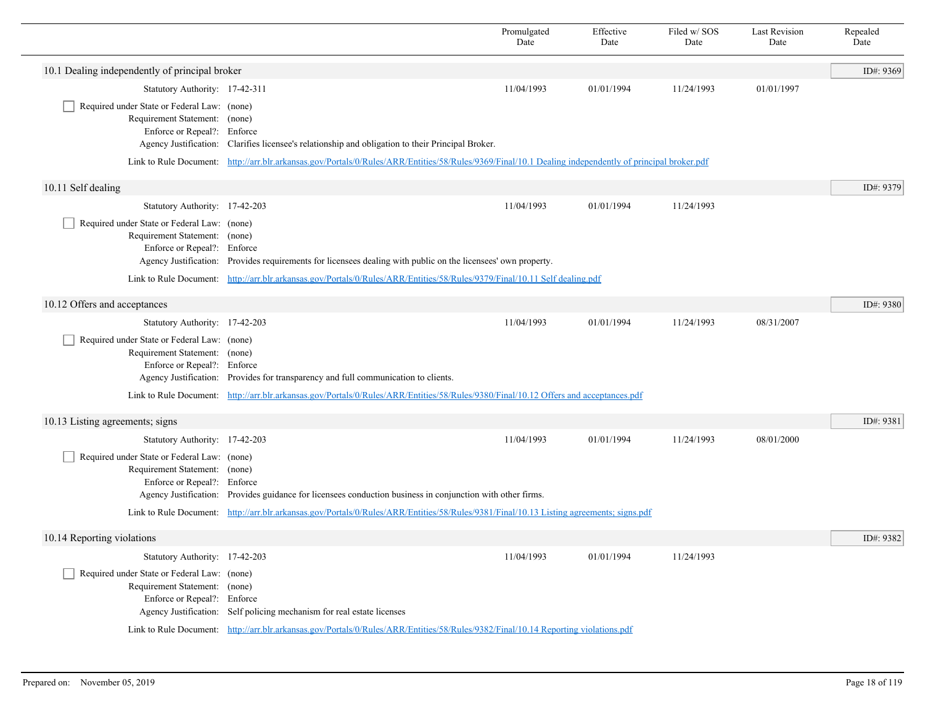|                                                                                                                                      |                                                                                                                                                        | Promulgated<br>Date | Effective<br>Date | Filed w/SOS<br>Date | <b>Last Revision</b><br>Date | Repealed<br>Date |
|--------------------------------------------------------------------------------------------------------------------------------------|--------------------------------------------------------------------------------------------------------------------------------------------------------|---------------------|-------------------|---------------------|------------------------------|------------------|
| 10.1 Dealing independently of principal broker                                                                                       |                                                                                                                                                        |                     |                   |                     |                              | ID#: 9369        |
| Statutory Authority: 17-42-311                                                                                                       |                                                                                                                                                        | 11/04/1993          | 01/01/1994        | 11/24/1993          | 01/01/1997                   |                  |
| Required under State or Federal Law: (none)<br>Requirement Statement: (none)<br>Enforce or Repeal?: Enforce                          | Agency Justification: Clarifies licensee's relationship and obligation to their Principal Broker.                                                      |                     |                   |                     |                              |                  |
|                                                                                                                                      | Link to Rule Document: http://arr.blr.arkansas.gov/Portals/0/Rules/ARR/Entities/58/Rules/9369/Final/10.1 Dealing independently of principal broker.pdf |                     |                   |                     |                              |                  |
| 10.11 Self dealing                                                                                                                   |                                                                                                                                                        |                     |                   |                     |                              | ID#: 9379        |
| Statutory Authority: 17-42-203                                                                                                       |                                                                                                                                                        | 11/04/1993          | 01/01/1994        | 11/24/1993          |                              |                  |
| Required under State or Federal Law: (none)<br>Requirement Statement: (none)<br>Enforce or Repeal?: Enforce                          | Agency Justification: Provides requirements for licensees dealing with public on the licensees' own property.                                          |                     |                   |                     |                              |                  |
|                                                                                                                                      | Link to Rule Document: http://arr.blr.arkansas.gov/Portals/0/Rules/ARR/Entities/58/Rules/9379/Final/10.11 Self dealing.pdf                             |                     |                   |                     |                              |                  |
| 10.12 Offers and acceptances                                                                                                         |                                                                                                                                                        |                     |                   |                     |                              | ID#: 9380        |
| Statutory Authority: 17-42-203                                                                                                       |                                                                                                                                                        | 11/04/1993          | 01/01/1994        | 11/24/1993          | 08/31/2007                   |                  |
| Required under State or Federal Law: (none)<br>Requirement Statement: (none)<br>Enforce or Repeal?: Enforce<br>Agency Justification: | Provides for transparency and full communication to clients.                                                                                           |                     |                   |                     |                              |                  |
|                                                                                                                                      | Link to Rule Document: http://arr.blr.arkansas.gov/Portals/0/Rules/ARR/Entities/58/Rules/9380/Final/10.12 Offers and acceptances.pdf                   |                     |                   |                     |                              |                  |
| 10.13 Listing agreements; signs                                                                                                      |                                                                                                                                                        |                     |                   |                     |                              | ID#: 9381        |
| Statutory Authority: 17-42-203                                                                                                       |                                                                                                                                                        | 11/04/1993          | 01/01/1994        | 11/24/1993          | 08/01/2000                   |                  |
| Required under State or Federal Law: (none)<br>Requirement Statement: (none)<br>Enforce or Repeal?: Enforce                          | Agency Justification: Provides guidance for licensees conduction business in conjunction with other firms.                                             |                     |                   |                     |                              |                  |
|                                                                                                                                      | Link to Rule Document: http://arr.blr.arkansas.gov/Portals/0/Rules/ARR/Entities/58/Rules/9381/Final/10.13 Listing agreements; signs.pdf                |                     |                   |                     |                              |                  |
| 10.14 Reporting violations                                                                                                           |                                                                                                                                                        |                     |                   |                     |                              | ID#: 9382        |
| Statutory Authority: 17-42-203                                                                                                       |                                                                                                                                                        | 11/04/1993          | 01/01/1994        | 11/24/1993          |                              |                  |
| Required under State or Federal Law: (none)<br>Requirement Statement: (none)<br>Enforce or Repeal?: Enforce                          | Agency Justification: Self policing mechanism for real estate licenses                                                                                 |                     |                   |                     |                              |                  |
|                                                                                                                                      | Link to Rule Document: http://arr.blr.arkansas.gov/Portals/0/Rules/ARR/Entities/58/Rules/9382/Final/10.14 Reporting violations.pdf                     |                     |                   |                     |                              |                  |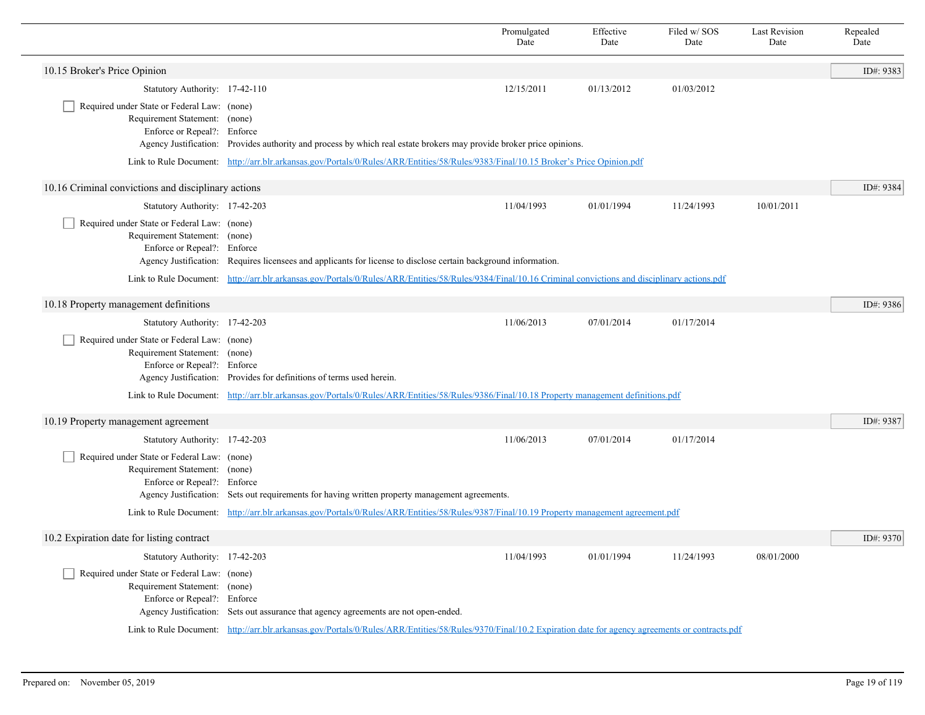|                                                                                                             |                                                                                                                                                                 | Promulgated<br>Date | Effective<br>Date | Filed w/SOS<br>Date | <b>Last Revision</b><br>Date | Repealed<br>Date |
|-------------------------------------------------------------------------------------------------------------|-----------------------------------------------------------------------------------------------------------------------------------------------------------------|---------------------|-------------------|---------------------|------------------------------|------------------|
| 10.15 Broker's Price Opinion                                                                                |                                                                                                                                                                 |                     |                   |                     |                              | ID#: 9383        |
| Statutory Authority: 17-42-110                                                                              |                                                                                                                                                                 | 12/15/2011          | 01/13/2012        | 01/03/2012          |                              |                  |
| Required under State or Federal Law: (none)<br>Requirement Statement: (none)<br>Enforce or Repeal?: Enforce | Agency Justification: Provides authority and process by which real estate brokers may provide broker price opinions.                                            |                     |                   |                     |                              |                  |
|                                                                                                             | Link to Rule Document: http://arr.blr.arkansas.gov/Portals/0/Rules/ARR/Entities/58/Rules/9383/Final/10.15 Broker's Price Opinion.pdf                            |                     |                   |                     |                              |                  |
| 10.16 Criminal convictions and disciplinary actions                                                         |                                                                                                                                                                 |                     |                   |                     |                              | ID#: 9384        |
| Statutory Authority: 17-42-203                                                                              |                                                                                                                                                                 | 11/04/1993          | 01/01/1994        | 11/24/1993          | 10/01/2011                   |                  |
| Required under State or Federal Law: (none)<br>Requirement Statement: (none)<br>Enforce or Repeal?: Enforce | Agency Justification: Requires licensees and applicants for license to disclose certain background information.                                                 |                     |                   |                     |                              |                  |
|                                                                                                             | Link to Rule Document: http://arr.blr.arkansas.gov/Portals/0/Rules/ARR/Entities/58/Rules/9384/Final/10.16 Criminal convictions and disciplinary actions.pdf     |                     |                   |                     |                              |                  |
| 10.18 Property management definitions                                                                       |                                                                                                                                                                 |                     |                   |                     |                              | ID#: 9386        |
| Statutory Authority: 17-42-203                                                                              |                                                                                                                                                                 | 11/06/2013          | 07/01/2014        | 01/17/2014          |                              |                  |
| Required under State or Federal Law: (none)<br>Requirement Statement: (none)<br>Enforce or Repeal?: Enforce | Agency Justification: Provides for definitions of terms used herein.                                                                                            |                     |                   |                     |                              |                  |
|                                                                                                             | Link to Rule Document: http://arr.blr.arkansas.gov/Portals/0/Rules/ARR/Entities/58/Rules/9386/Final/10.18 Property management definitions.pdf                   |                     |                   |                     |                              |                  |
| 10.19 Property management agreement                                                                         |                                                                                                                                                                 |                     |                   |                     |                              | ID#: 9387        |
| Statutory Authority: 17-42-203                                                                              |                                                                                                                                                                 | 11/06/2013          | 07/01/2014        | 01/17/2014          |                              |                  |
| Required under State or Federal Law: (none)<br>Requirement Statement: (none)<br>Enforce or Repeal?: Enforce | Agency Justification: Sets out requirements for having written property management agreements.                                                                  |                     |                   |                     |                              |                  |
|                                                                                                             | Link to Rule Document: http://arr.blr.arkansas.gov/Portals/0/Rules/ARR/Entities/58/Rules/9387/Final/10.19 Property management agreement.pdf                     |                     |                   |                     |                              |                  |
| 10.2 Expiration date for listing contract                                                                   |                                                                                                                                                                 |                     |                   |                     |                              | ID#: 9370        |
| Statutory Authority: 17-42-203                                                                              |                                                                                                                                                                 | 11/04/1993          | 01/01/1994        | 11/24/1993          | 08/01/2000                   |                  |
| Required under State or Federal Law: (none)<br>Requirement Statement: (none)<br>Enforce or Repeal?: Enforce | Agency Justification: Sets out assurance that agency agreements are not open-ended.                                                                             |                     |                   |                     |                              |                  |
|                                                                                                             | Link to Rule Document: http://arr.blr.arkansas.gov/Portals/0/Rules/ARR/Entities/58/Rules/9370/Final/10.2 Expiration date for agency agreements or contracts.pdf |                     |                   |                     |                              |                  |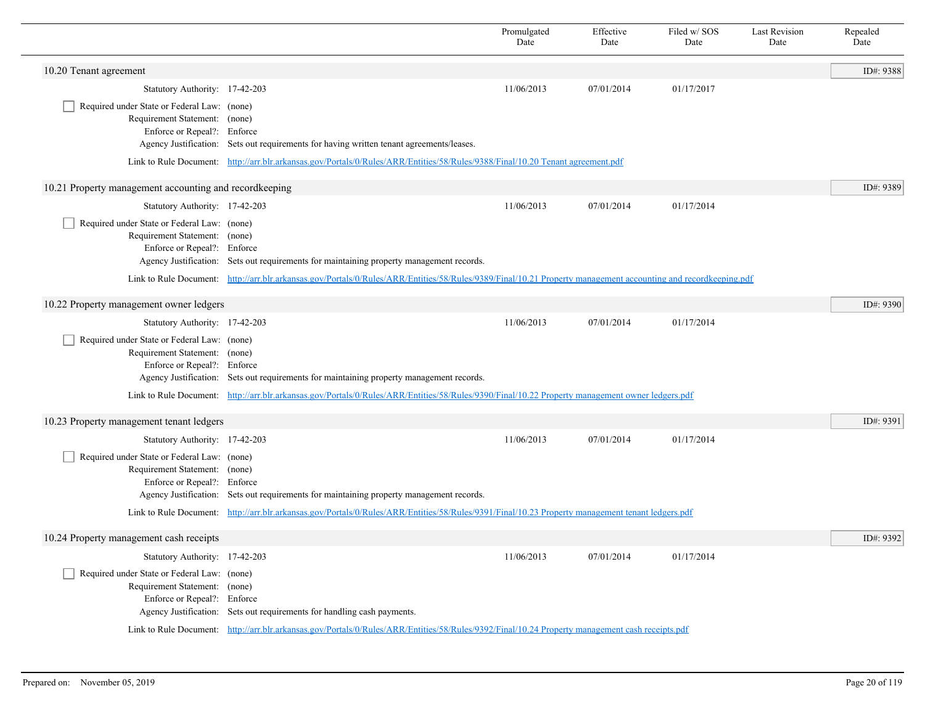|                                                                                                             |                                                                                                                                                                | Promulgated<br>Date | Effective<br>Date | Filed w/SOS<br>Date | <b>Last Revision</b><br>Date | Repealed<br>Date |
|-------------------------------------------------------------------------------------------------------------|----------------------------------------------------------------------------------------------------------------------------------------------------------------|---------------------|-------------------|---------------------|------------------------------|------------------|
| 10.20 Tenant agreement                                                                                      |                                                                                                                                                                |                     |                   |                     |                              | ID#: 9388        |
| Statutory Authority: 17-42-203                                                                              |                                                                                                                                                                | 11/06/2013          | 07/01/2014        | 01/17/2017          |                              |                  |
| Required under State or Federal Law: (none)<br>Requirement Statement: (none)<br>Enforce or Repeal?: Enforce | Agency Justification: Sets out requirements for having written tenant agreements/leases.                                                                       |                     |                   |                     |                              |                  |
|                                                                                                             | Link to Rule Document: http://arr.blr.arkansas.gov/Portals/0/Rules/ARR/Entities/58/Rules/9388/Final/10.20 Tenant agreement.pdf                                 |                     |                   |                     |                              |                  |
| 10.21 Property management accounting and recordkeeping                                                      |                                                                                                                                                                |                     |                   |                     |                              | ID#: 9389        |
| Statutory Authority: 17-42-203                                                                              |                                                                                                                                                                | 11/06/2013          | 07/01/2014        | 01/17/2014          |                              |                  |
| Required under State or Federal Law: (none)<br>Requirement Statement: (none)<br>Enforce or Repeal?: Enforce | Agency Justification: Sets out requirements for maintaining property management records.                                                                       |                     |                   |                     |                              |                  |
|                                                                                                             | Link to Rule Document: http://arr.blr.arkansas.gov/Portals/0/Rules/ARR/Entities/58/Rules/9389/Final/10.21 Property management accounting and recordkeeping.pdf |                     |                   |                     |                              |                  |
| 10.22 Property management owner ledgers                                                                     |                                                                                                                                                                |                     |                   |                     |                              | ID#: 9390        |
| Statutory Authority: 17-42-203                                                                              |                                                                                                                                                                | 11/06/2013          | 07/01/2014        | 01/17/2014          |                              |                  |
| Required under State or Federal Law: (none)<br>Requirement Statement: (none)<br>Enforce or Repeal?: Enforce | Agency Justification: Sets out requirements for maintaining property management records.                                                                       |                     |                   |                     |                              |                  |
|                                                                                                             | Link to Rule Document: http://arr.blr.arkansas.gov/Portals/0/Rules/ARR/Entities/58/Rules/9390/Final/10.22 Property management owner ledgers.pdf                |                     |                   |                     |                              |                  |
| 10.23 Property management tenant ledgers                                                                    |                                                                                                                                                                |                     |                   |                     |                              | ID#: 9391        |
| Statutory Authority: 17-42-203                                                                              |                                                                                                                                                                | 11/06/2013          | 07/01/2014        | 01/17/2014          |                              |                  |
| Required under State or Federal Law: (none)<br>Requirement Statement: (none)<br>Enforce or Repeal?: Enforce | Agency Justification: Sets out requirements for maintaining property management records.                                                                       |                     |                   |                     |                              |                  |
|                                                                                                             | Link to Rule Document: http://arr.blr.arkansas.gov/Portals/0/Rules/ARR/Entities/58/Rules/9391/Final/10.23 Property management tenant ledgers.pdf               |                     |                   |                     |                              |                  |
| 10.24 Property management cash receipts                                                                     |                                                                                                                                                                |                     |                   |                     |                              | ID#: 9392        |
| Statutory Authority: 17-42-203                                                                              |                                                                                                                                                                | 11/06/2013          | 07/01/2014        | 01/17/2014          |                              |                  |
| Required under State or Federal Law: (none)<br>Requirement Statement: (none)<br>Enforce or Repeal?: Enforce | Agency Justification: Sets out requirements for handling cash payments.                                                                                        |                     |                   |                     |                              |                  |
|                                                                                                             | Link to Rule Document: http://arr.blr.arkansas.gov/Portals/0/Rules/ARR/Entities/58/Rules/9392/Final/10.24 Property management cash receipts.pdf                |                     |                   |                     |                              |                  |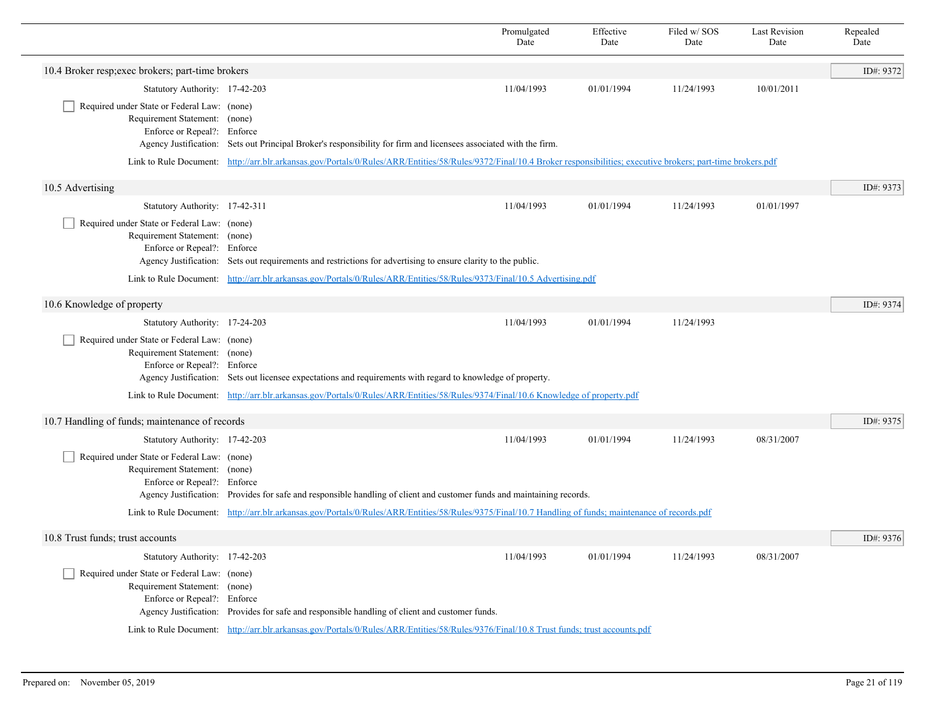|                                                                                                             |                                                                                                                                                                            | Promulgated<br>Date | Effective<br>Date | Filed w/SOS<br>Date | <b>Last Revision</b><br>Date | Repealed<br>Date |  |  |
|-------------------------------------------------------------------------------------------------------------|----------------------------------------------------------------------------------------------------------------------------------------------------------------------------|---------------------|-------------------|---------------------|------------------------------|------------------|--|--|
| 10.4 Broker resp; exec brokers; part-time brokers                                                           |                                                                                                                                                                            |                     |                   |                     |                              | ID#: 9372        |  |  |
| Statutory Authority: 17-42-203                                                                              |                                                                                                                                                                            | 11/04/1993          | 01/01/1994        | 11/24/1993          | 10/01/2011                   |                  |  |  |
| Required under State or Federal Law: (none)<br>Requirement Statement: (none)<br>Enforce or Repeal?: Enforce | Agency Justification: Sets out Principal Broker's responsibility for firm and licensees associated with the firm.                                                          |                     |                   |                     |                              |                  |  |  |
|                                                                                                             | Link to Rule Document: http://arr.blr.arkansas.gov/Portals/0/Rules/ARR/Entities/58/Rules/9372/Final/10.4 Broker responsibilities; executive brokers; part-time brokers.pdf |                     |                   |                     |                              |                  |  |  |
| 10.5 Advertising                                                                                            |                                                                                                                                                                            |                     |                   |                     |                              | ID#: 9373        |  |  |
| Statutory Authority: 17-42-311                                                                              |                                                                                                                                                                            | 11/04/1993          | 01/01/1994        | 11/24/1993          | 01/01/1997                   |                  |  |  |
| Required under State or Federal Law: (none)<br>Requirement Statement: (none)<br>Enforce or Repeal?: Enforce | Agency Justification: Sets out requirements and restrictions for advertising to ensure clarity to the public.                                                              |                     |                   |                     |                              |                  |  |  |
|                                                                                                             | Link to Rule Document: http://arr.blr.arkansas.gov/Portals/0/Rules/ARR/Entities/58/Rules/9373/Final/10.5 Advertising.pdf                                                   |                     |                   |                     |                              |                  |  |  |
| 10.6 Knowledge of property                                                                                  |                                                                                                                                                                            |                     |                   |                     |                              | ID#: 9374        |  |  |
| Statutory Authority: 17-24-203                                                                              |                                                                                                                                                                            | 11/04/1993          | 01/01/1994        | 11/24/1993          |                              |                  |  |  |
| Required under State or Federal Law: (none)<br>Requirement Statement: (none)<br>Enforce or Repeal?: Enforce | Agency Justification: Sets out licensee expectations and requirements with regard to knowledge of property.                                                                |                     |                   |                     |                              |                  |  |  |
|                                                                                                             | Link to Rule Document: http://arr.blr.arkansas.gov/Portals/0/Rules/ARR/Entities/58/Rules/9374/Final/10.6 Knowledge of property.pdf                                         |                     |                   |                     |                              |                  |  |  |
| 10.7 Handling of funds; maintenance of records                                                              |                                                                                                                                                                            |                     |                   |                     |                              | ID#: 9375        |  |  |
| Statutory Authority: 17-42-203                                                                              |                                                                                                                                                                            | 11/04/1993          | 01/01/1994        | 11/24/1993          | 08/31/2007                   |                  |  |  |
| Required under State or Federal Law: (none)<br>Requirement Statement: (none)<br>Enforce or Repeal?: Enforce | Agency Justification: Provides for safe and responsible handling of client and customer funds and maintaining records.                                                     |                     |                   |                     |                              |                  |  |  |
|                                                                                                             | Link to Rule Document: http://arr.blr.arkansas.gov/Portals/0/Rules/ARR/Entities/58/Rules/9375/Final/10.7 Handling of funds; maintenance of records.pdf                     |                     |                   |                     |                              |                  |  |  |
| 10.8 Trust funds; trust accounts                                                                            |                                                                                                                                                                            |                     |                   |                     |                              | ID#: 9376        |  |  |
| Statutory Authority: 17-42-203                                                                              |                                                                                                                                                                            | 11/04/1993          | 01/01/1994        | 11/24/1993          | 08/31/2007                   |                  |  |  |
| Required under State or Federal Law: (none)<br>Requirement Statement: (none)<br>Enforce or Repeal?: Enforce | Agency Justification: Provides for safe and responsible handling of client and customer funds.                                                                             |                     |                   |                     |                              |                  |  |  |
|                                                                                                             | Link to Rule Document: http://arr.blr.arkansas.gov/Portals/0/Rules/ARR/Entities/58/Rules/9376/Final/10.8 Trust funds; trust accounts.pdf                                   |                     |                   |                     |                              |                  |  |  |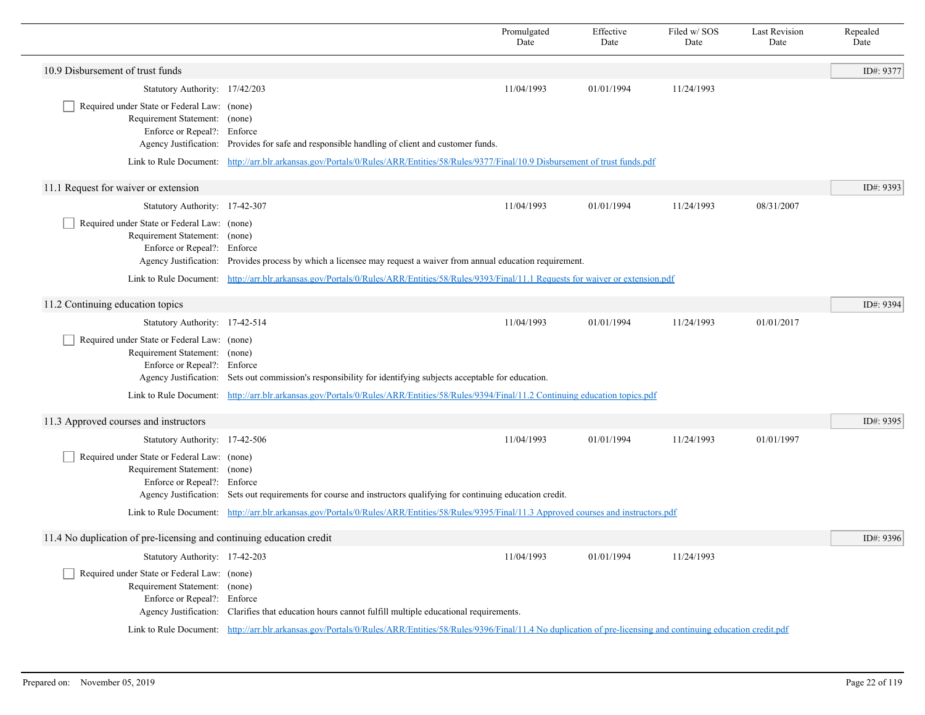|                                                                                                             |                                                                                                                                                                              | Promulgated<br>Date | Effective<br>Date | Filed w/SOS<br>Date | <b>Last Revision</b><br>Date | Repealed<br>Date |
|-------------------------------------------------------------------------------------------------------------|------------------------------------------------------------------------------------------------------------------------------------------------------------------------------|---------------------|-------------------|---------------------|------------------------------|------------------|
| 10.9 Disbursement of trust funds                                                                            |                                                                                                                                                                              |                     |                   |                     |                              | ID#: 9377        |
| Statutory Authority: 17/42/203                                                                              |                                                                                                                                                                              | 11/04/1993          | 01/01/1994        | 11/24/1993          |                              |                  |
| Required under State or Federal Law: (none)<br>Requirement Statement: (none)<br>Enforce or Repeal?: Enforce | Agency Justification: Provides for safe and responsible handling of client and customer funds.                                                                               |                     |                   |                     |                              |                  |
|                                                                                                             | Link to Rule Document: http://arr.blr.arkansas.gov/Portals/0/Rules/ARR/Entities/58/Rules/9377/Final/10.9 Disbursement of trust funds.pdf                                     |                     |                   |                     |                              |                  |
| 11.1 Request for waiver or extension                                                                        |                                                                                                                                                                              |                     |                   |                     |                              | ID#: 9393        |
| Statutory Authority: 17-42-307                                                                              |                                                                                                                                                                              | 11/04/1993          | 01/01/1994        | 11/24/1993          | 08/31/2007                   |                  |
| Required under State or Federal Law: (none)<br>Requirement Statement: (none)<br>Enforce or Repeal?: Enforce | Agency Justification: Provides process by which a licensee may request a waiver from annual education requirement.                                                           |                     |                   |                     |                              |                  |
|                                                                                                             | Link to Rule Document: http://arr.blr.arkansas.gov/Portals/0/Rules/ARR/Entities/58/Rules/9393/Final/11.1 Requests for waiver or extension.pdf                                |                     |                   |                     |                              |                  |
| 11.2 Continuing education topics                                                                            |                                                                                                                                                                              |                     |                   |                     |                              | ID#: 9394        |
| Statutory Authority: 17-42-514                                                                              |                                                                                                                                                                              | 11/04/1993          | 01/01/1994        | 11/24/1993          | 01/01/2017                   |                  |
| Required under State or Federal Law: (none)<br>Requirement Statement: (none)<br>Enforce or Repeal?: Enforce | Agency Justification: Sets out commission's responsibility for identifying subjects acceptable for education.                                                                |                     |                   |                     |                              |                  |
|                                                                                                             | Link to Rule Document: http://arr.blr.arkansas.gov/Portals/0/Rules/ARR/Entities/58/Rules/9394/Final/11.2 Continuing education topics.pdf                                     |                     |                   |                     |                              |                  |
| 11.3 Approved courses and instructors                                                                       |                                                                                                                                                                              |                     |                   |                     |                              | ID#: 9395        |
| Statutory Authority: 17-42-506                                                                              |                                                                                                                                                                              | 11/04/1993          | 01/01/1994        | 11/24/1993          | 01/01/1997                   |                  |
| Required under State or Federal Law: (none)<br>Requirement Statement: (none)<br>Enforce or Repeal?: Enforce | Agency Justification: Sets out requirements for course and instructors qualifying for continuing education credit.                                                           |                     |                   |                     |                              |                  |
|                                                                                                             | Link to Rule Document: http://arr.blr.arkansas.gov/Portals/0/Rules/ARR/Entities/58/Rules/9395/Final/11.3 Approved courses and instructors.pdf                                |                     |                   |                     |                              |                  |
| 11.4 No duplication of pre-licensing and continuing education credit                                        |                                                                                                                                                                              |                     |                   |                     |                              | ID#: 9396        |
| Statutory Authority: 17-42-203                                                                              |                                                                                                                                                                              | 11/04/1993          | 01/01/1994        | 11/24/1993          |                              |                  |
| Required under State or Federal Law: (none)<br>Requirement Statement: (none)<br>Enforce or Repeal?: Enforce | Agency Justification: Clarifies that education hours cannot fulfill multiple educational requirements.                                                                       |                     |                   |                     |                              |                  |
|                                                                                                             | Link to Rule Document: http://arr.blr.arkansas.gov/Portals/0/Rules/ARR/Entities/58/Rules/9396/Final/11.4 No duplication of pre-licensing and continuing education credit.pdf |                     |                   |                     |                              |                  |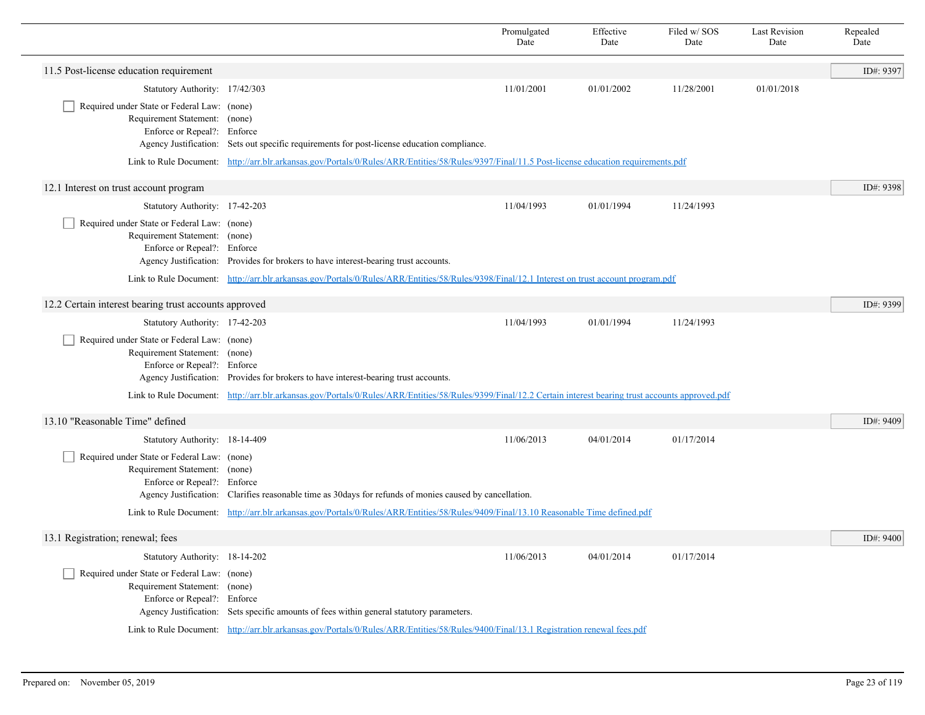|                                                                                                             |                                                                                                                                                               | Promulgated<br>Date                                                                                                                              | Effective<br>Date | Filed w/SOS<br>Date | <b>Last Revision</b><br>Date | Repealed<br>Date |  |  |
|-------------------------------------------------------------------------------------------------------------|---------------------------------------------------------------------------------------------------------------------------------------------------------------|--------------------------------------------------------------------------------------------------------------------------------------------------|-------------------|---------------------|------------------------------|------------------|--|--|
| 11.5 Post-license education requirement                                                                     |                                                                                                                                                               |                                                                                                                                                  |                   |                     |                              | ID#: 9397        |  |  |
| Statutory Authority: 17/42/303                                                                              |                                                                                                                                                               | 11/01/2001                                                                                                                                       | 01/01/2002        | 11/28/2001          | 01/01/2018                   |                  |  |  |
| Required under State or Federal Law: (none)<br>Requirement Statement: (none)<br>Enforce or Repeal?: Enforce | Agency Justification: Sets out specific requirements for post-license education compliance.                                                                   |                                                                                                                                                  |                   |                     |                              |                  |  |  |
|                                                                                                             |                                                                                                                                                               | Link to Rule Document: http://arr.blr.arkansas.gov/Portals/0/Rules/ARR/Entities/58/Rules/9397/Final/11.5 Post-license education requirements.pdf |                   |                     |                              |                  |  |  |
| 12.1 Interest on trust account program                                                                      |                                                                                                                                                               |                                                                                                                                                  |                   |                     |                              | ID#: 9398        |  |  |
| Statutory Authority: 17-42-203                                                                              |                                                                                                                                                               | 11/04/1993                                                                                                                                       | 01/01/1994        | 11/24/1993          |                              |                  |  |  |
| Required under State or Federal Law: (none)<br>Requirement Statement: (none)<br>Enforce or Repeal?: Enforce | Agency Justification: Provides for brokers to have interest-bearing trust accounts.                                                                           |                                                                                                                                                  |                   |                     |                              |                  |  |  |
|                                                                                                             | Link to Rule Document: http://arr.blr.arkansas.gov/Portals/0/Rules/ARR/Entities/58/Rules/9398/Final/12.1 Interest on trust account program.pdf                |                                                                                                                                                  |                   |                     |                              |                  |  |  |
| 12.2 Certain interest bearing trust accounts approved                                                       |                                                                                                                                                               |                                                                                                                                                  |                   |                     |                              | ID#: 9399        |  |  |
| Statutory Authority: 17-42-203                                                                              |                                                                                                                                                               | 11/04/1993                                                                                                                                       | 01/01/1994        | 11/24/1993          |                              |                  |  |  |
| Required under State or Federal Law: (none)<br>Requirement Statement: (none)<br>Enforce or Repeal?: Enforce | Agency Justification: Provides for brokers to have interest-bearing trust accounts.                                                                           |                                                                                                                                                  |                   |                     |                              |                  |  |  |
|                                                                                                             | Link to Rule Document: http://arr.blr.arkansas.gov/Portals/0/Rules/ARR/Entities/58/Rules/9399/Final/12.2 Certain interest bearing trust accounts approved.pdf |                                                                                                                                                  |                   |                     |                              |                  |  |  |
| 13.10 "Reasonable Time" defined                                                                             |                                                                                                                                                               |                                                                                                                                                  |                   |                     |                              | ID#: 9409        |  |  |
| Statutory Authority: 18-14-409                                                                              |                                                                                                                                                               | 11/06/2013                                                                                                                                       | 04/01/2014        | 01/17/2014          |                              |                  |  |  |
| Required under State or Federal Law: (none)<br>Requirement Statement: (none)<br>Enforce or Repeal?: Enforce | Agency Justification: Clarifies reasonable time as 30days for refunds of monies caused by cancellation.                                                       |                                                                                                                                                  |                   |                     |                              |                  |  |  |
|                                                                                                             | Link to Rule Document: http://arr.blr.arkansas.gov/Portals/0/Rules/ARR/Entities/58/Rules/9409/Final/13.10 Reasonable Time defined.pdf                         |                                                                                                                                                  |                   |                     |                              |                  |  |  |
| 13.1 Registration; renewal; fees                                                                            |                                                                                                                                                               |                                                                                                                                                  |                   |                     |                              | ID#: 9400        |  |  |
| Statutory Authority: 18-14-202                                                                              |                                                                                                                                                               | 11/06/2013                                                                                                                                       | 04/01/2014        | 01/17/2014          |                              |                  |  |  |
| Required under State or Federal Law: (none)<br>Requirement Statement: (none)<br>Enforce or Repeal?: Enforce | Agency Justification: Sets specific amounts of fees within general statutory parameters.                                                                      |                                                                                                                                                  |                   |                     |                              |                  |  |  |
|                                                                                                             | Link to Rule Document: http://arr.blr.arkansas.gov/Portals/0/Rules/ARR/Entities/58/Rules/9400/Final/13.1 Registration renewal fees.pdf                        |                                                                                                                                                  |                   |                     |                              |                  |  |  |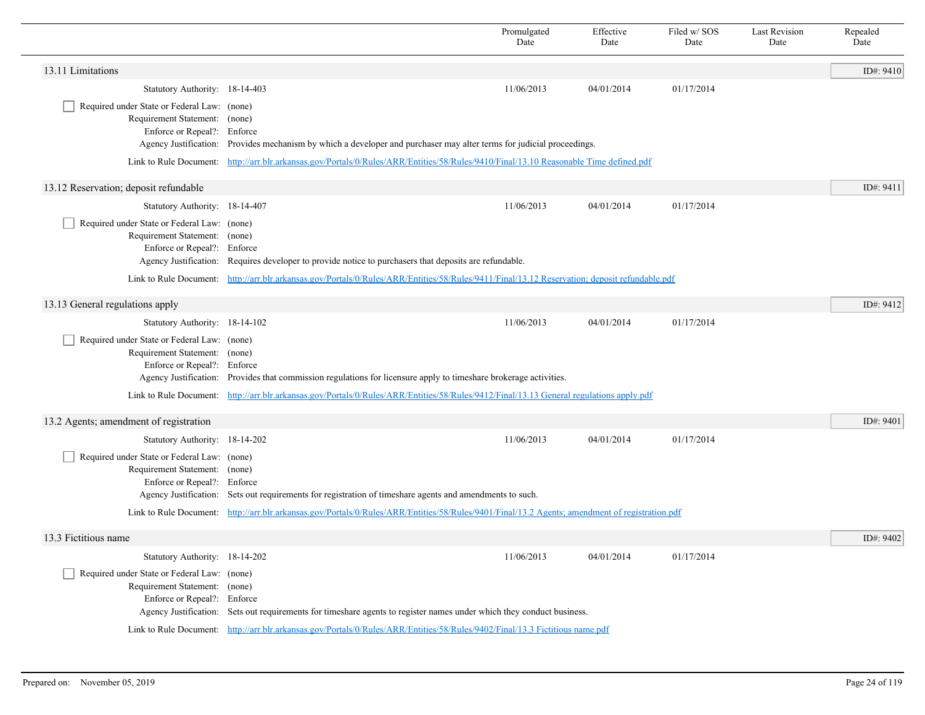|                                                                                                             |                                                                                                                                                | Promulgated<br>Date                                                                                                                   | Effective<br>Date | Filed w/ SOS<br>Date | <b>Last Revision</b><br>Date | Repealed<br>Date |  |  |
|-------------------------------------------------------------------------------------------------------------|------------------------------------------------------------------------------------------------------------------------------------------------|---------------------------------------------------------------------------------------------------------------------------------------|-------------------|----------------------|------------------------------|------------------|--|--|
| 13.11 Limitations                                                                                           |                                                                                                                                                |                                                                                                                                       |                   |                      |                              | ID#: 9410        |  |  |
| Statutory Authority: 18-14-403                                                                              |                                                                                                                                                | 11/06/2013                                                                                                                            | 04/01/2014        | 01/17/2014           |                              |                  |  |  |
| Required under State or Federal Law: (none)<br>Requirement Statement: (none)<br>Enforce or Repeal?: Enforce | Agency Justification: Provides mechanism by which a developer and purchaser may alter terms for judicial proceedings.                          |                                                                                                                                       |                   |                      |                              |                  |  |  |
|                                                                                                             |                                                                                                                                                | Link to Rule Document: http://arr.blr.arkansas.gov/Portals/0/Rules/ARR/Entities/58/Rules/9410/Final/13.10 Reasonable Time defined.pdf |                   |                      |                              |                  |  |  |
| 13.12 Reservation; deposit refundable                                                                       |                                                                                                                                                |                                                                                                                                       |                   |                      |                              | ID#: 9411        |  |  |
| Statutory Authority: 18-14-407                                                                              |                                                                                                                                                | 11/06/2013                                                                                                                            | 04/01/2014        | 01/17/2014           |                              |                  |  |  |
| Required under State or Federal Law: (none)<br>Requirement Statement: (none)<br>Enforce or Repeal?: Enforce | Agency Justification: Requires developer to provide notice to purchasers that deposits are refundable.                                         |                                                                                                                                       |                   |                      |                              |                  |  |  |
|                                                                                                             | Link to Rule Document: http://arr.blr.arkansas.gov/Portals/0/Rules/ARR/Entities/58/Rules/9411/Final/13.12 Reservation; deposit refundable.pdf  |                                                                                                                                       |                   |                      |                              |                  |  |  |
| 13.13 General regulations apply                                                                             |                                                                                                                                                |                                                                                                                                       |                   |                      |                              | ID#: 9412        |  |  |
| Statutory Authority: 18-14-102                                                                              |                                                                                                                                                | 11/06/2013                                                                                                                            | 04/01/2014        | 01/17/2014           |                              |                  |  |  |
| Required under State or Federal Law: (none)<br>Requirement Statement: (none)<br>Enforce or Repeal?: Enforce | Agency Justification: Provides that commission regulations for licensure apply to timeshare brokerage activities.                              |                                                                                                                                       |                   |                      |                              |                  |  |  |
|                                                                                                             | Link to Rule Document: http://arr.blr.arkansas.gov/Portals/0/Rules/ARR/Entities/58/Rules/9412/Final/13.13 General regulations apply.pdf        |                                                                                                                                       |                   |                      |                              |                  |  |  |
| 13.2 Agents; amendment of registration                                                                      |                                                                                                                                                |                                                                                                                                       |                   |                      |                              | ID#: 9401        |  |  |
| Statutory Authority: 18-14-202                                                                              |                                                                                                                                                | 11/06/2013                                                                                                                            | 04/01/2014        | 01/17/2014           |                              |                  |  |  |
| Required under State or Federal Law: (none)<br>Requirement Statement: (none)<br>Enforce or Repeal?: Enforce | Agency Justification: Sets out requirements for registration of timeshare agents and amendments to such.                                       |                                                                                                                                       |                   |                      |                              |                  |  |  |
|                                                                                                             | Link to Rule Document: http://arr.blr.arkansas.gov/Portals/0/Rules/ARR/Entities/58/Rules/9401/Final/13.2 Agents; amendment of registration.pdf |                                                                                                                                       |                   |                      |                              |                  |  |  |
| 13.3 Fictitious name                                                                                        |                                                                                                                                                |                                                                                                                                       |                   |                      |                              | ID#: 9402        |  |  |
| Statutory Authority: 18-14-202                                                                              |                                                                                                                                                | 11/06/2013                                                                                                                            | 04/01/2014        | 01/17/2014           |                              |                  |  |  |
| Required under State or Federal Law: (none)<br>Requirement Statement: (none)<br>Enforce or Repeal?: Enforce | Agency Justification: Sets out requirements for timeshare agents to register names under which they conduct business.                          |                                                                                                                                       |                   |                      |                              |                  |  |  |
|                                                                                                             | Link to Rule Document: http://arr.blr.arkansas.gov/Portals/0/Rules/ARR/Entities/58/Rules/9402/Final/13.3 Fictitious name.pdf                   |                                                                                                                                       |                   |                      |                              |                  |  |  |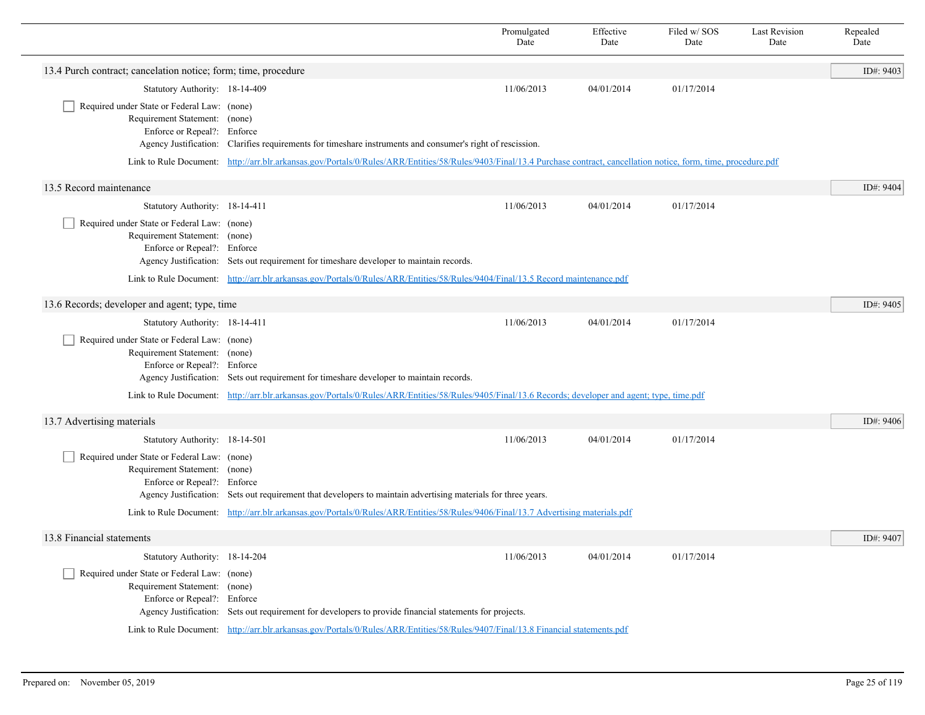|                                                                                                             |                                                                                                                                                                            | Promulgated<br>Date | Effective<br>Date | Filed w/ SOS<br>Date | <b>Last Revision</b><br>Date | Repealed<br>Date |  |
|-------------------------------------------------------------------------------------------------------------|----------------------------------------------------------------------------------------------------------------------------------------------------------------------------|---------------------|-------------------|----------------------|------------------------------|------------------|--|
| 13.4 Purch contract; cancelation notice; form; time, procedure                                              |                                                                                                                                                                            |                     |                   |                      |                              | ID#: 9403        |  |
| Statutory Authority: 18-14-409                                                                              |                                                                                                                                                                            | 11/06/2013          | 04/01/2014        | 01/17/2014           |                              |                  |  |
| Required under State or Federal Law: (none)<br>Requirement Statement: (none)<br>Enforce or Repeal?: Enforce | Agency Justification: Clarifies requirements for timeshare instruments and consumer's right of rescission.                                                                 |                     |                   |                      |                              |                  |  |
|                                                                                                             | Link to Rule Document: http://arr.blr.arkansas.gov/Portals/0/Rules/ARR/Entities/58/Rules/9403/Final/13.4 Purchase contract, cancellation notice, form, time, procedure.pdf |                     |                   |                      |                              |                  |  |
| 13.5 Record maintenance                                                                                     |                                                                                                                                                                            |                     |                   |                      |                              | ID#: 9404        |  |
| Statutory Authority: 18-14-411                                                                              |                                                                                                                                                                            | 11/06/2013          | 04/01/2014        | 01/17/2014           |                              |                  |  |
| Required under State or Federal Law: (none)<br>Requirement Statement: (none)<br>Enforce or Repeal?: Enforce | Agency Justification: Sets out requirement for timeshare developer to maintain records.                                                                                    |                     |                   |                      |                              |                  |  |
|                                                                                                             | Link to Rule Document: http://arr.blr.arkansas.gov/Portals/0/Rules/ARR/Entities/58/Rules/9404/Final/13.5 Record maintenance.pdf                                            |                     |                   |                      |                              |                  |  |
| 13.6 Records; developer and agent; type, time                                                               |                                                                                                                                                                            |                     |                   |                      |                              |                  |  |
| Statutory Authority: 18-14-411                                                                              |                                                                                                                                                                            | 11/06/2013          | 04/01/2014        | 01/17/2014           |                              |                  |  |
| Required under State or Federal Law: (none)<br>Requirement Statement: (none)<br>Enforce or Repeal?: Enforce | Agency Justification: Sets out requirement for timeshare developer to maintain records.                                                                                    |                     |                   |                      |                              |                  |  |
|                                                                                                             | Link to Rule Document: http://arr.blr.arkansas.gov/Portals/0/Rules/ARR/Entities/58/Rules/9405/Final/13.6 Records; developer and agent; type, time.pdf                      |                     |                   |                      |                              |                  |  |
| 13.7 Advertising materials                                                                                  |                                                                                                                                                                            |                     |                   |                      |                              | ID#: 9406        |  |
| Statutory Authority: 18-14-501                                                                              |                                                                                                                                                                            | 11/06/2013          | 04/01/2014        | 01/17/2014           |                              |                  |  |
| Required under State or Federal Law: (none)<br>Requirement Statement: (none)<br>Enforce or Repeal?: Enforce | Agency Justification: Sets out requirement that developers to maintain advertising materials for three years.                                                              |                     |                   |                      |                              |                  |  |
|                                                                                                             | Link to Rule Document: http://arr.blr.arkansas.gov/Portals/0/Rules/ARR/Entities/58/Rules/9406/Final/13.7 Advertising materials.pdf                                         |                     |                   |                      |                              |                  |  |
| 13.8 Financial statements                                                                                   |                                                                                                                                                                            |                     |                   |                      |                              | ID#: 9407        |  |
| Statutory Authority: 18-14-204                                                                              |                                                                                                                                                                            | 11/06/2013          | 04/01/2014        | 01/17/2014           |                              |                  |  |
| Required under State or Federal Law: (none)<br>Requirement Statement: (none)<br>Enforce or Repeal?: Enforce | Agency Justification: Sets out requirement for developers to provide financial statements for projects.                                                                    |                     |                   |                      |                              |                  |  |
|                                                                                                             | Link to Rule Document: http://arr.blr.arkansas.gov/Portals/0/Rules/ARR/Entities/58/Rules/9407/Final/13.8 Financial statements.pdf                                          |                     |                   |                      |                              |                  |  |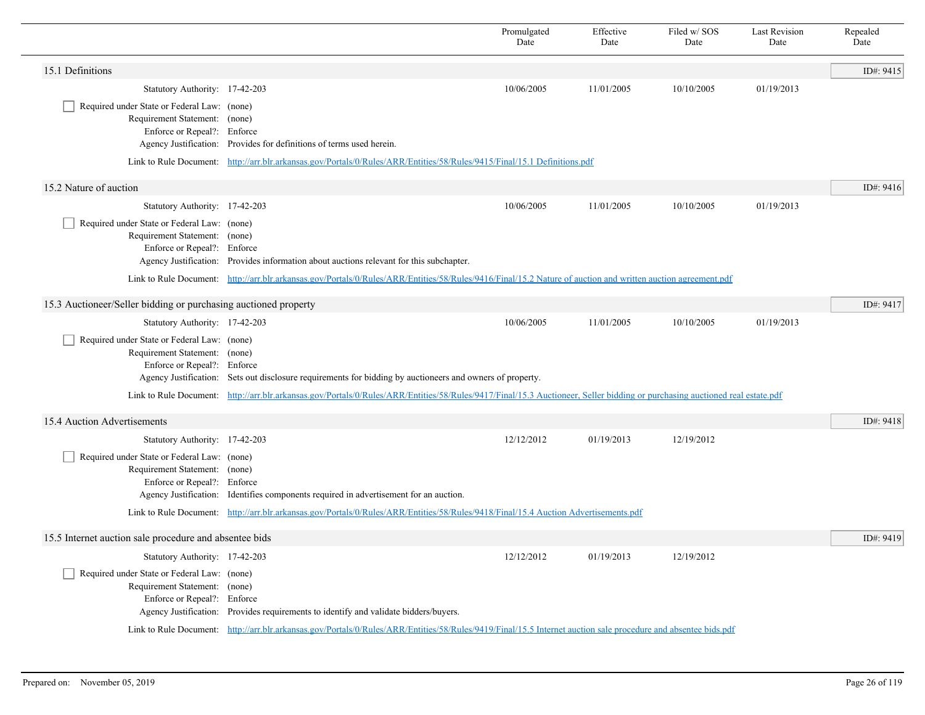|                                                                                                             |                                                                                                                                                                             | Promulgated<br>Date | Effective<br>Date | Filed w/SOS<br>Date | <b>Last Revision</b><br>Date | Repealed<br>Date |
|-------------------------------------------------------------------------------------------------------------|-----------------------------------------------------------------------------------------------------------------------------------------------------------------------------|---------------------|-------------------|---------------------|------------------------------|------------------|
| 15.1 Definitions                                                                                            |                                                                                                                                                                             |                     |                   |                     |                              | ID#: 9415        |
| Statutory Authority: 17-42-203                                                                              |                                                                                                                                                                             | 10/06/2005          | 11/01/2005        | 10/10/2005          | 01/19/2013                   |                  |
| Required under State or Federal Law: (none)<br>Requirement Statement: (none)<br>Enforce or Repeal?: Enforce | Agency Justification: Provides for definitions of terms used herein.                                                                                                        |                     |                   |                     |                              |                  |
|                                                                                                             | Link to Rule Document: http://arr.blr.arkansas.gov/Portals/0/Rules/ARR/Entities/58/Rules/9415/Final/15.1 Definitions.pdf                                                    |                     |                   |                     |                              |                  |
| 15.2 Nature of auction                                                                                      |                                                                                                                                                                             |                     |                   |                     |                              | ID#: 9416        |
| Statutory Authority: 17-42-203                                                                              |                                                                                                                                                                             | 10/06/2005          | 11/01/2005        | 10/10/2005          | 01/19/2013                   |                  |
| Required under State or Federal Law: (none)<br>Requirement Statement: (none)<br>Enforce or Repeal?: Enforce | Agency Justification: Provides information about auctions relevant for this subchapter.                                                                                     |                     |                   |                     |                              |                  |
|                                                                                                             | Link to Rule Document: http://arr.blr.arkansas.gov/Portals/0/Rules/ARR/Entities/58/Rules/9416/Final/15.2 Nature of auction and written auction agreement.pdf                |                     |                   |                     |                              |                  |
| 15.3 Auctioneer/Seller bidding or purchasing auctioned property                                             |                                                                                                                                                                             |                     |                   |                     |                              | ID#: 9417        |
| Statutory Authority: 17-42-203                                                                              |                                                                                                                                                                             | 10/06/2005          | 11/01/2005        | 10/10/2005          | 01/19/2013                   |                  |
| Required under State or Federal Law: (none)<br>Requirement Statement: (none)<br>Enforce or Repeal?: Enforce | Agency Justification: Sets out disclosure requirements for bidding by auctioneers and owners of property.                                                                   |                     |                   |                     |                              |                  |
|                                                                                                             | Link to Rule Document: http://arr.blr.arkansas.gov/Portals/0/Rules/ARR/Entities/58/Rules/9417/Final/15.3 Auctioneer, Seller bidding or purchasing auctioned real estate.pdf |                     |                   |                     |                              |                  |
| 15.4 Auction Advertisements                                                                                 |                                                                                                                                                                             |                     |                   |                     |                              | ID#: 9418        |
| Statutory Authority: 17-42-203                                                                              |                                                                                                                                                                             | 12/12/2012          | 01/19/2013        | 12/19/2012          |                              |                  |
| Required under State or Federal Law: (none)<br>Requirement Statement: (none)<br>Enforce or Repeal?: Enforce | Agency Justification: Identifies components required in advertisement for an auction.                                                                                       |                     |                   |                     |                              |                  |
|                                                                                                             | Link to Rule Document: http://arr.blr.arkansas.gov/Portals/0/Rules/ARR/Entities/58/Rules/9418/Final/15.4 Auction Advertisements.pdf                                         |                     |                   |                     |                              |                  |
| 15.5 Internet auction sale procedure and absentee bids                                                      |                                                                                                                                                                             |                     |                   |                     |                              | ID#: 9419        |
| Statutory Authority: 17-42-203                                                                              |                                                                                                                                                                             | 12/12/2012          | 01/19/2013        | 12/19/2012          |                              |                  |
| Required under State or Federal Law: (none)<br>Requirement Statement: (none)<br>Enforce or Repeal?: Enforce | Agency Justification: Provides requirements to identify and validate bidders/buyers.                                                                                        |                     |                   |                     |                              |                  |
|                                                                                                             | Link to Rule Document: http://arr.blr.arkansas.gov/Portals/0/Rules/ARR/Entities/58/Rules/9419/Final/15.5 Internet auction sale procedure and absentee bids.pdf              |                     |                   |                     |                              |                  |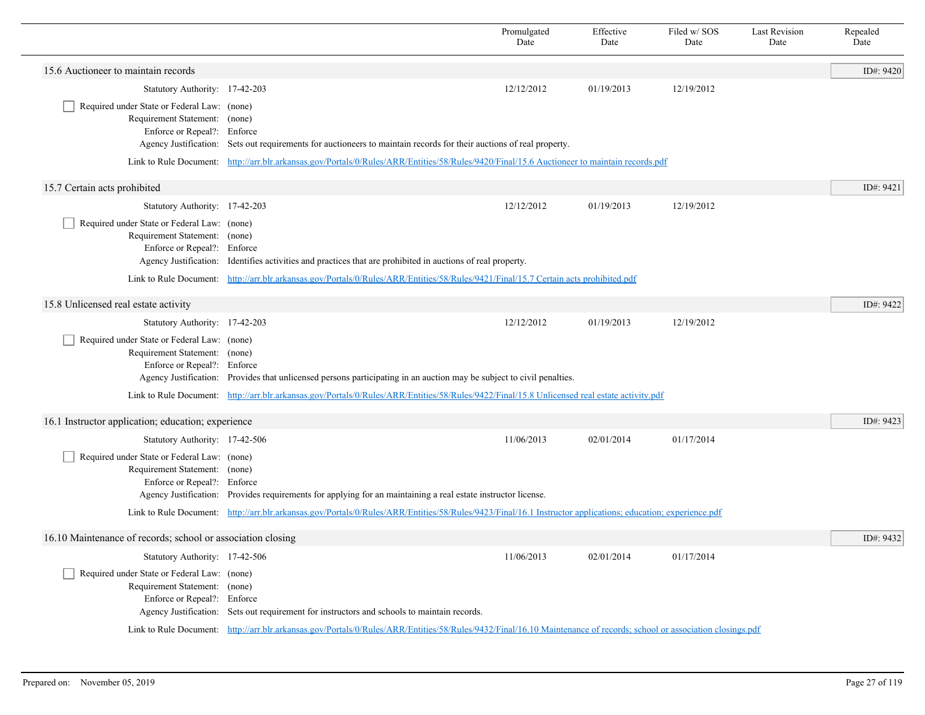|                                                                                                             |                                                                                                                                                                      | Promulgated<br>Date | Effective<br>Date | Filed w/ SOS<br>Date | <b>Last Revision</b><br>Date | Repealed<br>Date |  |
|-------------------------------------------------------------------------------------------------------------|----------------------------------------------------------------------------------------------------------------------------------------------------------------------|---------------------|-------------------|----------------------|------------------------------|------------------|--|
| 15.6 Auctioneer to maintain records                                                                         |                                                                                                                                                                      |                     |                   |                      |                              | ID#: 9420        |  |
| Statutory Authority: 17-42-203                                                                              |                                                                                                                                                                      | 12/12/2012          | 01/19/2013        | 12/19/2012           |                              |                  |  |
| Required under State or Federal Law: (none)<br>Requirement Statement: (none)<br>Enforce or Repeal?: Enforce | Agency Justification: Sets out requirements for auctioneers to maintain records for their auctions of real property.                                                 |                     |                   |                      |                              |                  |  |
|                                                                                                             | Link to Rule Document: http://arr.blr.arkansas.gov/Portals/0/Rules/ARR/Entities/58/Rules/9420/Final/15.6 Auctioneer to maintain records.pdf                          |                     |                   |                      |                              |                  |  |
| 15.7 Certain acts prohibited                                                                                |                                                                                                                                                                      |                     |                   |                      |                              | ID#: 9421        |  |
| Statutory Authority: 17-42-203                                                                              |                                                                                                                                                                      | 12/12/2012          | 01/19/2013        | 12/19/2012           |                              |                  |  |
| Required under State or Federal Law: (none)<br>Requirement Statement: (none)<br>Enforce or Repeal?: Enforce | Agency Justification: Identifies activities and practices that are prohibited in auctions of real property.                                                          |                     |                   |                      |                              |                  |  |
|                                                                                                             | Link to Rule Document: http://arr.blr.arkansas.gov/Portals/0/Rules/ARR/Entities/58/Rules/9421/Final/15.7 Certain acts prohibited.pdf                                 |                     |                   |                      |                              |                  |  |
| 15.8 Unlicensed real estate activity                                                                        |                                                                                                                                                                      |                     |                   |                      |                              | ID#: 9422        |  |
| Statutory Authority: 17-42-203                                                                              |                                                                                                                                                                      | 12/12/2012          | 01/19/2013        | 12/19/2012           |                              |                  |  |
| Required under State or Federal Law: (none)<br>Requirement Statement: (none)<br>Enforce or Repeal?: Enforce | Agency Justification: Provides that unlicensed persons participating in an auction may be subject to civil penalties.                                                |                     |                   |                      |                              |                  |  |
|                                                                                                             | Link to Rule Document: http://arr.blr.arkansas.gov/Portals/0/Rules/ARR/Entities/58/Rules/9422/Final/15.8 Unlicensed real estate activity.pdf                         |                     |                   |                      |                              |                  |  |
| 16.1 Instructor application; education; experience                                                          |                                                                                                                                                                      |                     |                   |                      |                              | ID#: 9423        |  |
| Statutory Authority: 17-42-506                                                                              |                                                                                                                                                                      | 11/06/2013          | 02/01/2014        | 01/17/2014           |                              |                  |  |
| Required under State or Federal Law: (none)<br>Requirement Statement: (none)<br>Enforce or Repeal?: Enforce | Agency Justification: Provides requirements for applying for an maintaining a real estate instructor license.                                                        |                     |                   |                      |                              |                  |  |
|                                                                                                             | Link to Rule Document: http://arr.blr.arkansas.gov/Portals/0/Rules/ARR/Entities/58/Rules/9423/Final/16.1 Instructor applications; education; experience.pdf          |                     |                   |                      |                              |                  |  |
| 16.10 Maintenance of records; school or association closing                                                 |                                                                                                                                                                      |                     |                   |                      |                              | ID#: 9432        |  |
| Statutory Authority: 17-42-506                                                                              |                                                                                                                                                                      | 11/06/2013          | 02/01/2014        | 01/17/2014           |                              |                  |  |
| Required under State or Federal Law: (none)<br>Requirement Statement: (none)<br>Enforce or Repeal?: Enforce | Agency Justification: Sets out requirement for instructors and schools to maintain records.                                                                          |                     |                   |                      |                              |                  |  |
|                                                                                                             | Link to Rule Document: http://arr.blr.arkansas.gov/Portals/0/Rules/ARR/Entities/58/Rules/9432/Final/16.10 Maintenance of records; school or association closings.pdf |                     |                   |                      |                              |                  |  |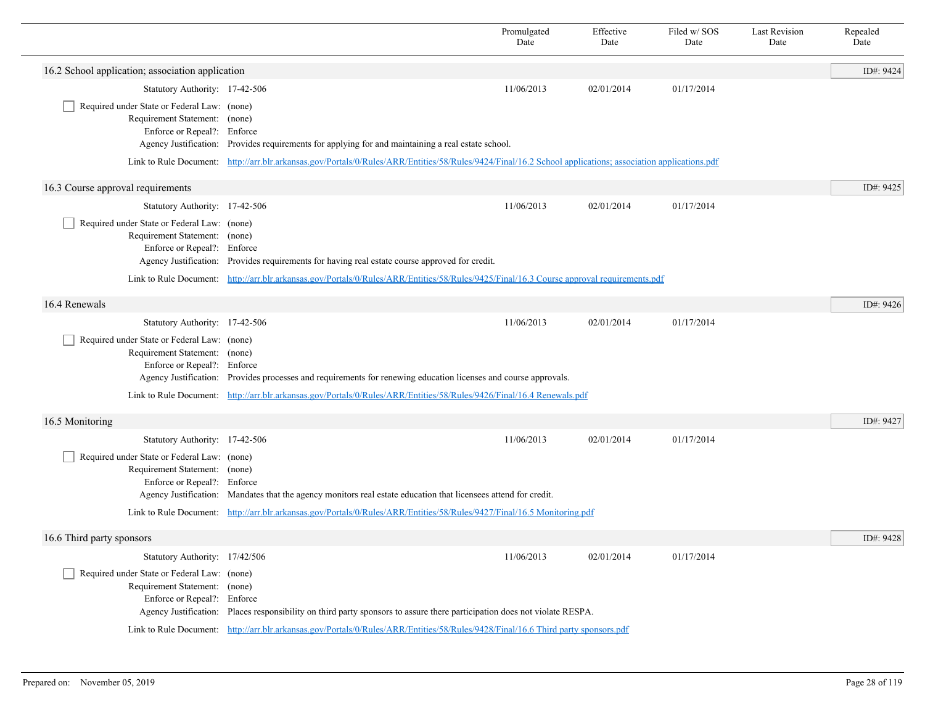|                                                                                                             |                                                                                                                                           | Promulgated<br>Date                                                                                                                                        | Effective<br>Date | Filed w/SOS<br>Date | <b>Last Revision</b><br>Date | Repealed<br>Date |  |  |
|-------------------------------------------------------------------------------------------------------------|-------------------------------------------------------------------------------------------------------------------------------------------|------------------------------------------------------------------------------------------------------------------------------------------------------------|-------------------|---------------------|------------------------------|------------------|--|--|
| 16.2 School application; association application                                                            |                                                                                                                                           |                                                                                                                                                            |                   |                     |                              | ID#: 9424        |  |  |
| Statutory Authority: 17-42-506                                                                              |                                                                                                                                           | 11/06/2013                                                                                                                                                 | 02/01/2014        | 01/17/2014          |                              |                  |  |  |
| Required under State or Federal Law: (none)<br>Requirement Statement: (none)<br>Enforce or Repeal?: Enforce | Agency Justification: Provides requirements for applying for and maintaining a real estate school.                                        |                                                                                                                                                            |                   |                     |                              |                  |  |  |
|                                                                                                             |                                                                                                                                           | Link to Rule Document: http://arr.blr.arkansas.gov/Portals/0/Rules/ARR/Entities/58/Rules/9424/Final/16.2 School applications; association applications.pdf |                   |                     |                              |                  |  |  |
| 16.3 Course approval requirements                                                                           |                                                                                                                                           |                                                                                                                                                            |                   |                     |                              | ID#: 9425        |  |  |
| Statutory Authority: 17-42-506                                                                              |                                                                                                                                           | 11/06/2013                                                                                                                                                 | 02/01/2014        | 01/17/2014          |                              |                  |  |  |
| Required under State or Federal Law: (none)<br>Requirement Statement: (none)<br>Enforce or Repeal?: Enforce | Agency Justification: Provides requirements for having real estate course approved for credit.                                            |                                                                                                                                                            |                   |                     |                              |                  |  |  |
|                                                                                                             | Link to Rule Document: http://arr.blr.arkansas.gov/Portals/0/Rules/ARR/Entities/58/Rules/9425/Final/16.3 Course approval requirements.pdf |                                                                                                                                                            |                   |                     |                              |                  |  |  |
| 16.4 Renewals                                                                                               |                                                                                                                                           |                                                                                                                                                            |                   |                     |                              | ID#: 9426        |  |  |
| Statutory Authority: 17-42-506                                                                              |                                                                                                                                           | 11/06/2013                                                                                                                                                 | 02/01/2014        | 01/17/2014          |                              |                  |  |  |
| Required under State or Federal Law: (none)<br>Requirement Statement: (none)<br>Enforce or Repeal?: Enforce | Agency Justification: Provides processes and requirements for renewing education licenses and course approvals.                           |                                                                                                                                                            |                   |                     |                              |                  |  |  |
| Link to Rule Document:                                                                                      | http://arr.blr.arkansas.gov/Portals/0/Rules/ARR/Entities/58/Rules/9426/Final/16.4 Renewals.pdf                                            |                                                                                                                                                            |                   |                     |                              |                  |  |  |
| 16.5 Monitoring                                                                                             |                                                                                                                                           |                                                                                                                                                            |                   |                     |                              | ID#: 9427        |  |  |
| Statutory Authority: 17-42-506                                                                              |                                                                                                                                           | 11/06/2013                                                                                                                                                 | 02/01/2014        | 01/17/2014          |                              |                  |  |  |
| Required under State or Federal Law: (none)<br>Requirement Statement: (none)<br>Enforce or Repeal?: Enforce | Agency Justification: Mandates that the agency monitors real estate education that licensees attend for credit.                           |                                                                                                                                                            |                   |                     |                              |                  |  |  |
|                                                                                                             | Link to Rule Document: http://arr.blr.arkansas.gov/Portals/0/Rules/ARR/Entities/58/Rules/9427/Final/16.5 Monitoring.pdf                   |                                                                                                                                                            |                   |                     |                              |                  |  |  |
| 16.6 Third party sponsors                                                                                   |                                                                                                                                           |                                                                                                                                                            |                   |                     |                              | ID#: 9428        |  |  |
| Statutory Authority: 17/42/506                                                                              |                                                                                                                                           | 11/06/2013                                                                                                                                                 | 02/01/2014        | 01/17/2014          |                              |                  |  |  |
| Required under State or Federal Law: (none)<br>Requirement Statement: (none)<br>Enforce or Repeal?: Enforce | Agency Justification: Places responsibility on third party sponsors to assure there participation does not violate RESPA.                 |                                                                                                                                                            |                   |                     |                              |                  |  |  |
|                                                                                                             | Link to Rule Document: http://arr.blr.arkansas.gov/Portals/0/Rules/ARR/Entities/58/Rules/9428/Final/16.6 Third party sponsors.pdf         |                                                                                                                                                            |                   |                     |                              |                  |  |  |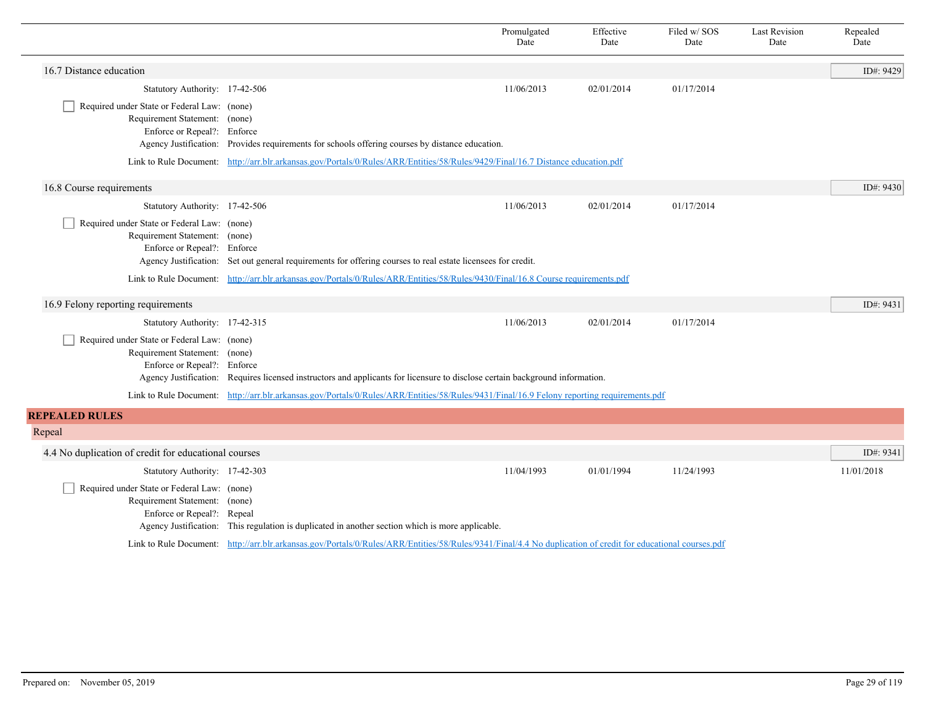|                                                                                                             |                                                                                                                                                              | Promulgated<br>Date | Effective<br>Date | Filed w/SOS<br>Date | <b>Last Revision</b><br>Date | Repealed<br>Date |
|-------------------------------------------------------------------------------------------------------------|--------------------------------------------------------------------------------------------------------------------------------------------------------------|---------------------|-------------------|---------------------|------------------------------|------------------|
| 16.7 Distance education                                                                                     |                                                                                                                                                              |                     |                   |                     |                              | ID#: 9429        |
| Statutory Authority: 17-42-506                                                                              |                                                                                                                                                              | 11/06/2013          | 02/01/2014        | 01/17/2014          |                              |                  |
| Required under State or Federal Law: (none)<br>Requirement Statement: (none)<br>Enforce or Repeal?: Enforce | Agency Justification: Provides requirements for schools offering courses by distance education.                                                              |                     |                   |                     |                              |                  |
|                                                                                                             | Link to Rule Document: http://arr.blr.arkansas.gov/Portals/0/Rules/ARR/Entities/58/Rules/9429/Final/16.7 Distance education.pdf                              |                     |                   |                     |                              |                  |
| 16.8 Course requirements                                                                                    |                                                                                                                                                              |                     |                   |                     |                              | ID#: 9430        |
| Statutory Authority: 17-42-506                                                                              |                                                                                                                                                              | 11/06/2013          | 02/01/2014        | 01/17/2014          |                              |                  |
| Required under State or Federal Law: (none)<br>Requirement Statement: (none)<br>Enforce or Repeal?: Enforce | Agency Justification: Set out general requirements for offering courses to real estate licensees for credit.                                                 |                     |                   |                     |                              |                  |
|                                                                                                             | Link to Rule Document: http://arr.blr.arkansas.gov/Portals/0/Rules/ARR/Entities/58/Rules/9430/Final/16.8 Course requirements.pdf                             |                     |                   |                     |                              |                  |
| 16.9 Felony reporting requirements                                                                          |                                                                                                                                                              |                     |                   |                     |                              | ID#: 9431        |
| Statutory Authority: 17-42-315                                                                              |                                                                                                                                                              | 11/06/2013          | 02/01/2014        | 01/17/2014          |                              |                  |
| Required under State or Federal Law: (none)<br>Requirement Statement: (none)<br>Enforce or Repeal?: Enforce | Agency Justification: Requires licensed instructors and applicants for licensure to disclose certain background information.                                 |                     |                   |                     |                              |                  |
|                                                                                                             | Link to Rule Document: http://arr.blr.arkansas.gov/Portals/0/Rules/ARR/Entities/58/Rules/9431/Final/16.9 Felony reporting requirements.pdf                   |                     |                   |                     |                              |                  |
| <b>REPEALED RULES</b>                                                                                       |                                                                                                                                                              |                     |                   |                     |                              |                  |
| Repeal                                                                                                      |                                                                                                                                                              |                     |                   |                     |                              |                  |
| 4.4 No duplication of credit for educational courses                                                        |                                                                                                                                                              |                     |                   |                     |                              | ID#: 9341        |
| Statutory Authority: 17-42-303                                                                              |                                                                                                                                                              | 11/04/1993          | 01/01/1994        | 11/24/1993          |                              | 11/01/2018       |
| Required under State or Federal Law: (none)<br>Requirement Statement: (none)<br>Enforce or Repeal?: Repeal  | Agency Justification: This regulation is duplicated in another section which is more applicable.                                                             |                     |                   |                     |                              |                  |
|                                                                                                             | Link to Rule Document: http://arr.blr.arkansas.gov/Portals/0/Rules/ARR/Entities/58/Rules/9341/Final/4.4 No duplication of credit for educational courses.pdf |                     |                   |                     |                              |                  |

 $\overline{\phantom{a}}$ 

 $\overline{\phantom{0}}$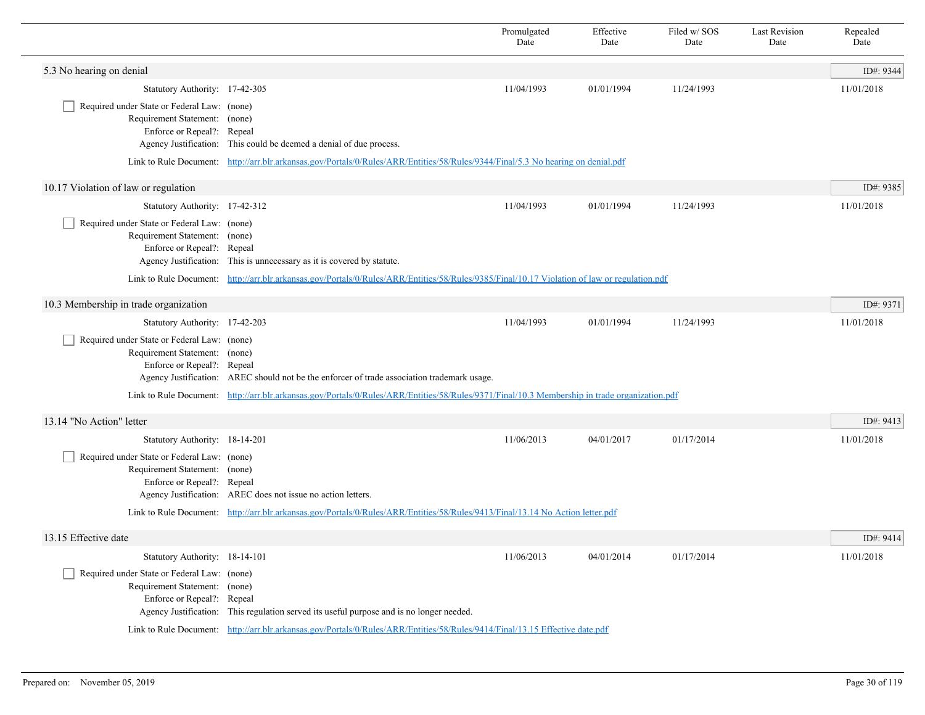|                                                                                                            |                                                                                                                                               | Promulgated<br>Date | Effective<br>Date | Filed w/SOS<br>Date | <b>Last Revision</b><br>Date | Repealed<br>Date |
|------------------------------------------------------------------------------------------------------------|-----------------------------------------------------------------------------------------------------------------------------------------------|---------------------|-------------------|---------------------|------------------------------|------------------|
| 5.3 No hearing on denial                                                                                   |                                                                                                                                               |                     |                   |                     |                              | ID#: 9344        |
| Statutory Authority: 17-42-305                                                                             |                                                                                                                                               | 11/04/1993          | 01/01/1994        | 11/24/1993          |                              | 11/01/2018       |
| Required under State or Federal Law: (none)<br>Requirement Statement: (none)<br>Enforce or Repeal?: Repeal | Agency Justification: This could be deemed a denial of due process.                                                                           |                     |                   |                     |                              |                  |
|                                                                                                            | Link to Rule Document: http://arr.blr.arkansas.gov/Portals/0/Rules/ARR/Entities/58/Rules/9344/Final/5.3 No hearing on denial.pdf              |                     |                   |                     |                              |                  |
| 10.17 Violation of law or regulation                                                                       |                                                                                                                                               |                     |                   |                     |                              | ID#: 9385        |
| Statutory Authority: 17-42-312                                                                             |                                                                                                                                               | 11/04/1993          | 01/01/1994        | 11/24/1993          |                              | 11/01/2018       |
| Required under State or Federal Law: (none)<br>Requirement Statement: (none)<br>Enforce or Repeal?: Repeal | Agency Justification: This is unnecessary as it is covered by statute.                                                                        |                     |                   |                     |                              |                  |
|                                                                                                            | Link to Rule Document: http://arr.blr.arkansas.gov/Portals/0/Rules/ARR/Entities/58/Rules/9385/Final/10.17 Violation of law or regulation.pdf  |                     |                   |                     |                              |                  |
| 10.3 Membership in trade organization                                                                      |                                                                                                                                               |                     |                   |                     |                              | ID#: 9371        |
| Statutory Authority: 17-42-203                                                                             |                                                                                                                                               | 11/04/1993          | 01/01/1994        | 11/24/1993          |                              | 11/01/2018       |
| Required under State or Federal Law: (none)<br>Requirement Statement: (none)<br>Enforce or Repeal?: Repeal | Agency Justification: AREC should not be the enforcer of trade association trademark usage.                                                   |                     |                   |                     |                              |                  |
|                                                                                                            | Link to Rule Document: http://arr.blr.arkansas.gov/Portals/0/Rules/ARR/Entities/58/Rules/9371/Final/10.3 Membership in trade organization.pdf |                     |                   |                     |                              |                  |
| 13.14 "No Action" letter                                                                                   |                                                                                                                                               |                     |                   |                     |                              | ID#: 9413        |
| Statutory Authority: 18-14-201                                                                             |                                                                                                                                               | 11/06/2013          | 04/01/2017        | 01/17/2014          |                              | 11/01/2018       |
| Required under State or Federal Law: (none)<br>Requirement Statement: (none)<br>Enforce or Repeal?: Repeal | Agency Justification: AREC does not issue no action letters.                                                                                  |                     |                   |                     |                              |                  |
|                                                                                                            | Link to Rule Document: http://arr.blr.arkansas.gov/Portals/0/Rules/ARR/Entities/58/Rules/9413/Final/13.14 No Action letter.pdf                |                     |                   |                     |                              |                  |
| 13.15 Effective date                                                                                       |                                                                                                                                               |                     |                   |                     |                              | ID#: 9414        |
| Statutory Authority: 18-14-101                                                                             |                                                                                                                                               | 11/06/2013          | 04/01/2014        | 01/17/2014          |                              | 11/01/2018       |
| Required under State or Federal Law: (none)<br>Requirement Statement: (none)<br>Enforce or Repeal?: Repeal | Agency Justification: This regulation served its useful purpose and is no longer needed.                                                      |                     |                   |                     |                              |                  |
|                                                                                                            | Link to Rule Document: http://arr.blr.arkansas.gov/Portals/0/Rules/ARR/Entities/58/Rules/9414/Final/13.15 Effective date.pdf                  |                     |                   |                     |                              |                  |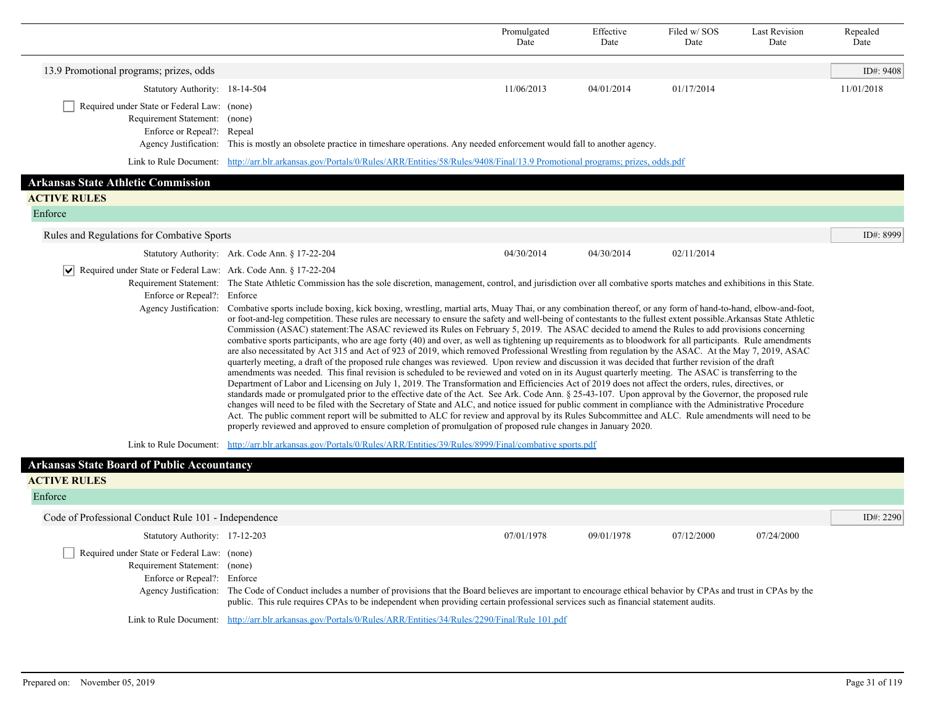|                                                                                                               |                                                                                                                                                                                                                                                                                                                                                                                                                                                                                                                                                                                                                                                                                                                                                                                                                                                                                                                                                                                                                                                                                                                                                                                                                                                                                                                                                                                                                                                                                                                                                                                                                                                                                                                                                                                                                                                                                                                                                                                                                                                                                         | Promulgated<br>Date | Effective<br>Date | Filed w/SOS<br>Date | <b>Last Revision</b><br>Date | Repealed<br>Date |
|---------------------------------------------------------------------------------------------------------------|-----------------------------------------------------------------------------------------------------------------------------------------------------------------------------------------------------------------------------------------------------------------------------------------------------------------------------------------------------------------------------------------------------------------------------------------------------------------------------------------------------------------------------------------------------------------------------------------------------------------------------------------------------------------------------------------------------------------------------------------------------------------------------------------------------------------------------------------------------------------------------------------------------------------------------------------------------------------------------------------------------------------------------------------------------------------------------------------------------------------------------------------------------------------------------------------------------------------------------------------------------------------------------------------------------------------------------------------------------------------------------------------------------------------------------------------------------------------------------------------------------------------------------------------------------------------------------------------------------------------------------------------------------------------------------------------------------------------------------------------------------------------------------------------------------------------------------------------------------------------------------------------------------------------------------------------------------------------------------------------------------------------------------------------------------------------------------------------|---------------------|-------------------|---------------------|------------------------------|------------------|
| 13.9 Promotional programs; prizes, odds                                                                       |                                                                                                                                                                                                                                                                                                                                                                                                                                                                                                                                                                                                                                                                                                                                                                                                                                                                                                                                                                                                                                                                                                                                                                                                                                                                                                                                                                                                                                                                                                                                                                                                                                                                                                                                                                                                                                                                                                                                                                                                                                                                                         |                     |                   |                     |                              | ID#: 9408        |
| Statutory Authority: 18-14-504                                                                                |                                                                                                                                                                                                                                                                                                                                                                                                                                                                                                                                                                                                                                                                                                                                                                                                                                                                                                                                                                                                                                                                                                                                                                                                                                                                                                                                                                                                                                                                                                                                                                                                                                                                                                                                                                                                                                                                                                                                                                                                                                                                                         | 11/06/2013          | 04/01/2014        | 01/17/2014          |                              | 11/01/2018       |
| Required under State or Federal Law: (none)<br>Requirement Statement: (none)<br>Enforce or Repeal?: Repeal    | Agency Justification: This is mostly an obsolete practice in timeshare operations. Any needed enforcement would fall to another agency.                                                                                                                                                                                                                                                                                                                                                                                                                                                                                                                                                                                                                                                                                                                                                                                                                                                                                                                                                                                                                                                                                                                                                                                                                                                                                                                                                                                                                                                                                                                                                                                                                                                                                                                                                                                                                                                                                                                                                 |                     |                   |                     |                              |                  |
|                                                                                                               | Link to Rule Document: http://arr.blr.arkansas.gov/Portals/0/Rules/ARR/Entities/58/Rules/9408/Final/13.9 Promotional programs; prizes, odds.pdf                                                                                                                                                                                                                                                                                                                                                                                                                                                                                                                                                                                                                                                                                                                                                                                                                                                                                                                                                                                                                                                                                                                                                                                                                                                                                                                                                                                                                                                                                                                                                                                                                                                                                                                                                                                                                                                                                                                                         |                     |                   |                     |                              |                  |
| <b>Arkansas State Athletic Commission</b>                                                                     |                                                                                                                                                                                                                                                                                                                                                                                                                                                                                                                                                                                                                                                                                                                                                                                                                                                                                                                                                                                                                                                                                                                                                                                                                                                                                                                                                                                                                                                                                                                                                                                                                                                                                                                                                                                                                                                                                                                                                                                                                                                                                         |                     |                   |                     |                              |                  |
| <b>ACTIVE RULES</b>                                                                                           |                                                                                                                                                                                                                                                                                                                                                                                                                                                                                                                                                                                                                                                                                                                                                                                                                                                                                                                                                                                                                                                                                                                                                                                                                                                                                                                                                                                                                                                                                                                                                                                                                                                                                                                                                                                                                                                                                                                                                                                                                                                                                         |                     |                   |                     |                              |                  |
| Enforce                                                                                                       |                                                                                                                                                                                                                                                                                                                                                                                                                                                                                                                                                                                                                                                                                                                                                                                                                                                                                                                                                                                                                                                                                                                                                                                                                                                                                                                                                                                                                                                                                                                                                                                                                                                                                                                                                                                                                                                                                                                                                                                                                                                                                         |                     |                   |                     |                              |                  |
| Rules and Regulations for Combative Sports                                                                    |                                                                                                                                                                                                                                                                                                                                                                                                                                                                                                                                                                                                                                                                                                                                                                                                                                                                                                                                                                                                                                                                                                                                                                                                                                                                                                                                                                                                                                                                                                                                                                                                                                                                                                                                                                                                                                                                                                                                                                                                                                                                                         |                     |                   |                     |                              | ID#: 8999        |
|                                                                                                               | Statutory Authority: Ark. Code Ann. § 17-22-204                                                                                                                                                                                                                                                                                                                                                                                                                                                                                                                                                                                                                                                                                                                                                                                                                                                                                                                                                                                                                                                                                                                                                                                                                                                                                                                                                                                                                                                                                                                                                                                                                                                                                                                                                                                                                                                                                                                                                                                                                                         | 04/30/2014          | 04/30/2014        | 02/11/2014          |                              |                  |
| $ \mathbf{v} $ Required under State or Federal Law: Ark. Code Ann. § 17-22-204<br>Enforce or Repeal?: Enforce | Requirement Statement: The State Athletic Commission has the sole discretion, management, control, and jurisdiction over all combative sports matches and exhibitions in this State.<br>Agency Justification: Combative sports include boxing, kick boxing, wrestling, martial arts, Muay Thai, or any combination thereof, or any form of hand-to-hand, elbow-and-foot,<br>or foot-and-leg competition. These rules are necessary to ensure the safety and well-being of contestants to the fullest extent possible. Arkansas State Athletic<br>Commission (ASAC) statement. The ASAC reviewed its Rules on February 5, 2019. The ASAC decided to amend the Rules to add provisions concerning<br>combative sports participants, who are age forty (40) and over, as well as tightening up requirements as to bloodwork for all participants. Rule amendments<br>are also necessitated by Act 315 and Act of 923 of 2019, which removed Professional Wrestling from regulation by the ASAC. At the May 7, 2019, ASAC<br>quarterly meeting, a draft of the proposed rule changes was reviewed. Upon review and discussion it was decided that further revision of the draft<br>amendments was needed. This final revision is scheduled to be reviewed and voted on in its August quarterly meeting. The ASAC is transferring to the<br>Department of Labor and Licensing on July 1, 2019. The Transformation and Efficiencies Act of 2019 does not affect the orders, rules, directives, or<br>standards made or promulgated prior to the effective date of the Act. See Ark. Code Ann. § 25-43-107. Upon approval by the Governor, the proposed rule<br>changes will need to be filed with the Secretary of State and ALC, and notice issued for public comment in compliance with the Administrative Procedure<br>Act. The public comment report will be submitted to ALC for review and approval by its Rules Subcommittee and ALC. Rule amendments will need to be<br>properly reviewed and approved to ensure completion of promulgation of proposed rule changes in January 2020. |                     |                   |                     |                              |                  |
|                                                                                                               | Link to Rule Document: http://arr.blr.arkansas.gov/Portals/0/Rules/ARR/Entities/39/Rules/8999/Final/combative sports.pdf                                                                                                                                                                                                                                                                                                                                                                                                                                                                                                                                                                                                                                                                                                                                                                                                                                                                                                                                                                                                                                                                                                                                                                                                                                                                                                                                                                                                                                                                                                                                                                                                                                                                                                                                                                                                                                                                                                                                                                |                     |                   |                     |                              |                  |
| <b>Arkansas State Board of Public Accountancy</b>                                                             |                                                                                                                                                                                                                                                                                                                                                                                                                                                                                                                                                                                                                                                                                                                                                                                                                                                                                                                                                                                                                                                                                                                                                                                                                                                                                                                                                                                                                                                                                                                                                                                                                                                                                                                                                                                                                                                                                                                                                                                                                                                                                         |                     |                   |                     |                              |                  |
| <b>ACTIVE RULES</b>                                                                                           |                                                                                                                                                                                                                                                                                                                                                                                                                                                                                                                                                                                                                                                                                                                                                                                                                                                                                                                                                                                                                                                                                                                                                                                                                                                                                                                                                                                                                                                                                                                                                                                                                                                                                                                                                                                                                                                                                                                                                                                                                                                                                         |                     |                   |                     |                              |                  |
| Enforce                                                                                                       |                                                                                                                                                                                                                                                                                                                                                                                                                                                                                                                                                                                                                                                                                                                                                                                                                                                                                                                                                                                                                                                                                                                                                                                                                                                                                                                                                                                                                                                                                                                                                                                                                                                                                                                                                                                                                                                                                                                                                                                                                                                                                         |                     |                   |                     |                              |                  |
| Code of Professional Conduct Rule 101 - Independence                                                          |                                                                                                                                                                                                                                                                                                                                                                                                                                                                                                                                                                                                                                                                                                                                                                                                                                                                                                                                                                                                                                                                                                                                                                                                                                                                                                                                                                                                                                                                                                                                                                                                                                                                                                                                                                                                                                                                                                                                                                                                                                                                                         |                     |                   |                     |                              | ID#: $2290$      |
| Statutory Authority: 17-12-203                                                                                |                                                                                                                                                                                                                                                                                                                                                                                                                                                                                                                                                                                                                                                                                                                                                                                                                                                                                                                                                                                                                                                                                                                                                                                                                                                                                                                                                                                                                                                                                                                                                                                                                                                                                                                                                                                                                                                                                                                                                                                                                                                                                         | 07/01/1978          | 09/01/1978        | 07/12/2000          | 07/24/2000                   |                  |
| Required under State or Federal Law: (none)<br>Requirement Statement: (none)<br>Enforce or Repeal?: Enforce   |                                                                                                                                                                                                                                                                                                                                                                                                                                                                                                                                                                                                                                                                                                                                                                                                                                                                                                                                                                                                                                                                                                                                                                                                                                                                                                                                                                                                                                                                                                                                                                                                                                                                                                                                                                                                                                                                                                                                                                                                                                                                                         |                     |                   |                     |                              |                  |

Agency Justification: The Code of Conduct includes a number of provisions that the Board believes are important to encourage ethical behavior by CPAs and trust in CPAs by the public. This rule requires CPAs to be independent when providing certain professional services such as financial statement audits.

Link to Rule Document: [http://arr.blr.arkansas.gov/Portals/0/Rules/ARR/Entities/34/Rules/2290/Final/Rule 101.pdf](http://arr.blr.arkansas.gov/Portals/0/Rules/ARR/Entities/34/Rules/2290/Final/Rule%20101.pdf)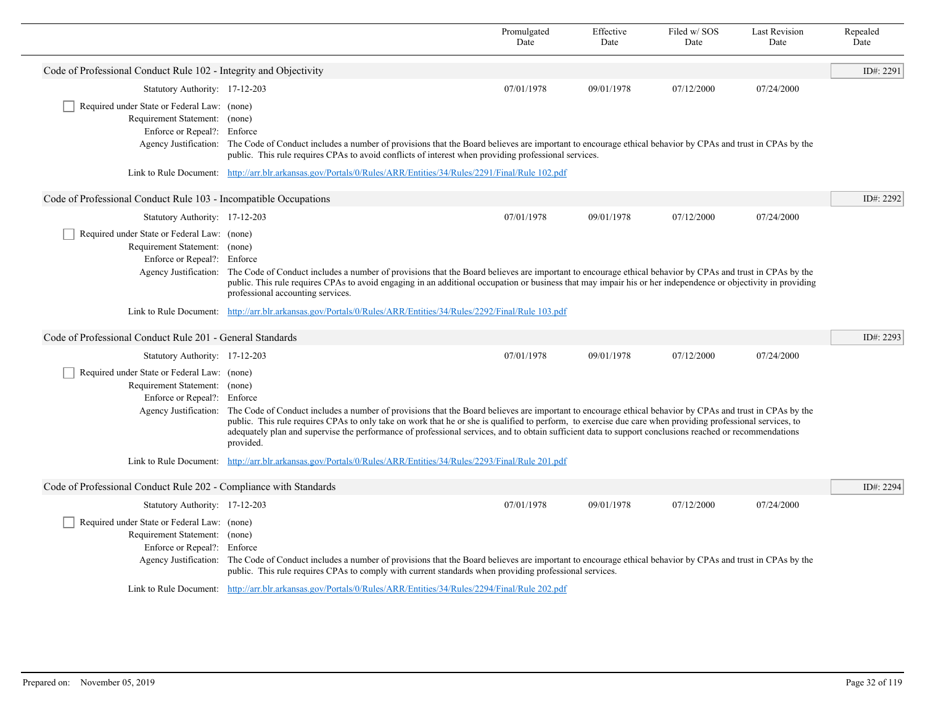|                                                                                                                                      |                                                                                                                                                                                                                                                                                                                                                                                                                                                                                                | Promulgated<br>Date | Effective<br>Date | Filed w/SOS<br>Date | <b>Last Revision</b><br>Date | Repealed<br>Date |
|--------------------------------------------------------------------------------------------------------------------------------------|------------------------------------------------------------------------------------------------------------------------------------------------------------------------------------------------------------------------------------------------------------------------------------------------------------------------------------------------------------------------------------------------------------------------------------------------------------------------------------------------|---------------------|-------------------|---------------------|------------------------------|------------------|
| Code of Professional Conduct Rule 102 - Integrity and Objectivity                                                                    |                                                                                                                                                                                                                                                                                                                                                                                                                                                                                                |                     |                   |                     |                              | ID#: 2291        |
| Statutory Authority: 17-12-203                                                                                                       |                                                                                                                                                                                                                                                                                                                                                                                                                                                                                                | 07/01/1978          | 09/01/1978        | 07/12/2000          | 07/24/2000                   |                  |
| Required under State or Federal Law: (none)<br>Requirement Statement: (none)<br>Enforce or Repeal?: Enforce                          | Agency Justification: The Code of Conduct includes a number of provisions that the Board believes are important to encourage ethical behavior by CPAs and trust in CPAs by the<br>public. This rule requires CPAs to avoid conflicts of interest when providing professional services.                                                                                                                                                                                                         |                     |                   |                     |                              |                  |
|                                                                                                                                      | Link to Rule Document: http://arr.blr.arkansas.gov/Portals/0/Rules/ARR/Entities/34/Rules/2291/Final/Rule 102.pdf                                                                                                                                                                                                                                                                                                                                                                               |                     |                   |                     |                              |                  |
| Code of Professional Conduct Rule 103 - Incompatible Occupations                                                                     |                                                                                                                                                                                                                                                                                                                                                                                                                                                                                                |                     |                   |                     |                              | ID#: 2292        |
| Statutory Authority: 17-12-203                                                                                                       |                                                                                                                                                                                                                                                                                                                                                                                                                                                                                                | 07/01/1978          | 09/01/1978        | 07/12/2000          | 07/24/2000                   |                  |
| Required under State or Federal Law: (none)<br>Requirement Statement: (none)<br>Enforce or Repeal?: Enforce                          | Agency Justification: The Code of Conduct includes a number of provisions that the Board believes are important to encourage ethical behavior by CPAs and trust in CPAs by the<br>public. This rule requires CPAs to avoid engaging in an additional occupation or business that may impair his or her independence or objectivity in providing<br>professional accounting services.                                                                                                           |                     |                   |                     |                              |                  |
|                                                                                                                                      | Link to Rule Document: http://arr.blr.arkansas.gov/Portals/0/Rules/ARR/Entities/34/Rules/2292/Final/Rule 103.pdf                                                                                                                                                                                                                                                                                                                                                                               |                     |                   |                     |                              |                  |
| Code of Professional Conduct Rule 201 - General Standards                                                                            |                                                                                                                                                                                                                                                                                                                                                                                                                                                                                                |                     |                   |                     |                              | ID#: 2293        |
| Statutory Authority: 17-12-203                                                                                                       |                                                                                                                                                                                                                                                                                                                                                                                                                                                                                                | 07/01/1978          | 09/01/1978        | 07/12/2000          | 07/24/2000                   |                  |
| Required under State or Federal Law: (none)<br>Requirement Statement: (none)<br>Enforce or Repeal?: Enforce<br>Agency Justification: | The Code of Conduct includes a number of provisions that the Board believes are important to encourage ethical behavior by CPAs and trust in CPAs by the<br>public. This rule requires CPAs to only take on work that he or she is qualified to perform, to exercise due care when providing professional services, to<br>adequately plan and supervise the performance of professional services, and to obtain sufficient data to support conclusions reached or recommendations<br>provided. |                     |                   |                     |                              |                  |
|                                                                                                                                      | Link to Rule Document: http://arr.blr.arkansas.gov/Portals/0/Rules/ARR/Entities/34/Rules/2293/Final/Rule 201.pdf                                                                                                                                                                                                                                                                                                                                                                               |                     |                   |                     |                              |                  |
| Code of Professional Conduct Rule 202 - Compliance with Standards                                                                    |                                                                                                                                                                                                                                                                                                                                                                                                                                                                                                |                     |                   |                     |                              | ID#: 2294        |
| Statutory Authority: 17-12-203                                                                                                       |                                                                                                                                                                                                                                                                                                                                                                                                                                                                                                | 07/01/1978          | 09/01/1978        | 07/12/2000          | 07/24/2000                   |                  |
| Required under State or Federal Law: (none)<br>Requirement Statement: (none)<br>Enforce or Repeal?: Enforce<br>Agency Justification: | The Code of Conduct includes a number of provisions that the Board believes are important to encourage ethical behavior by CPAs and trust in CPAs by the<br>public. This rule requires CPAs to comply with current standards when providing professional services.                                                                                                                                                                                                                             |                     |                   |                     |                              |                  |
|                                                                                                                                      | Link to Rule Document: http://arr.blr.arkansas.gov/Portals/0/Rules/ARR/Entities/34/Rules/2294/Final/Rule 202.pdf                                                                                                                                                                                                                                                                                                                                                                               |                     |                   |                     |                              |                  |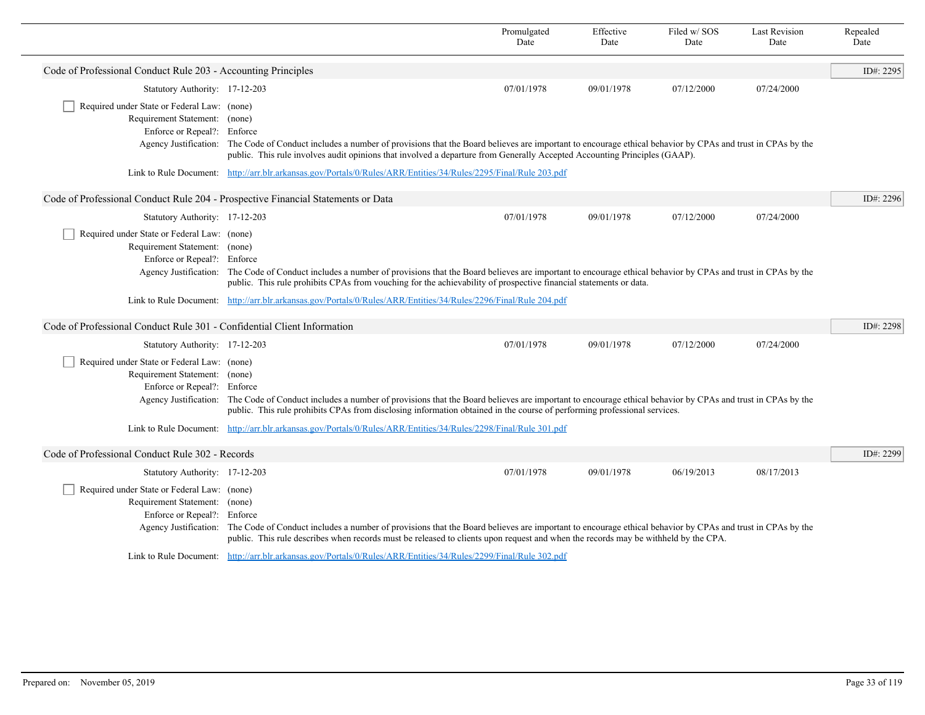|                                                                                                             |                                                                                                                                                                                                                                                                                                                      | Promulgated<br>Date | Effective<br>Date | Filed w/SOS<br>Date | <b>Last Revision</b><br>Date | Repealed<br>Date |
|-------------------------------------------------------------------------------------------------------------|----------------------------------------------------------------------------------------------------------------------------------------------------------------------------------------------------------------------------------------------------------------------------------------------------------------------|---------------------|-------------------|---------------------|------------------------------|------------------|
| Code of Professional Conduct Rule 203 - Accounting Principles                                               |                                                                                                                                                                                                                                                                                                                      |                     |                   |                     |                              | ID#: 2295        |
| Statutory Authority: 17-12-203                                                                              |                                                                                                                                                                                                                                                                                                                      | 07/01/1978          | 09/01/1978        | 07/12/2000          | 07/24/2000                   |                  |
| Required under State or Federal Law: (none)<br>Requirement Statement: (none)<br>Enforce or Repeal?: Enforce | Agency Justification: The Code of Conduct includes a number of provisions that the Board believes are important to encourage ethical behavior by CPAs and trust in CPAs by the<br>public. This rule involves audit opinions that involved a departure from Generally Accepted Accounting Principles (GAAP).          |                     |                   |                     |                              |                  |
|                                                                                                             | Link to Rule Document: http://arr.blr.arkansas.gov/Portals/0/Rules/ARR/Entities/34/Rules/2295/Final/Rule 203.pdf                                                                                                                                                                                                     |                     |                   |                     |                              |                  |
| Code of Professional Conduct Rule 204 - Prospective Financial Statements or Data                            |                                                                                                                                                                                                                                                                                                                      |                     |                   |                     |                              | ID#: 2296        |
| Statutory Authority: 17-12-203                                                                              |                                                                                                                                                                                                                                                                                                                      | 07/01/1978          | 09/01/1978        | 07/12/2000          | 07/24/2000                   |                  |
| Required under State or Federal Law: (none)<br>Requirement Statement: (none)<br>Enforce or Repeal?: Enforce | Agency Justification: The Code of Conduct includes a number of provisions that the Board believes are important to encourage ethical behavior by CPAs and trust in CPAs by the<br>public. This rule prohibits CPAs from vouching for the achievability of prospective financial statements or data.                  |                     |                   |                     |                              |                  |
|                                                                                                             | Link to Rule Document: http://arr.blr.arkansas.gov/Portals/0/Rules/ARR/Entities/34/Rules/2296/Final/Rule 204.pdf                                                                                                                                                                                                     |                     |                   |                     |                              |                  |
| Code of Professional Conduct Rule 301 - Confidential Client Information                                     |                                                                                                                                                                                                                                                                                                                      |                     |                   |                     |                              | ID#: 2298        |
| Statutory Authority: 17-12-203                                                                              |                                                                                                                                                                                                                                                                                                                      | 07/01/1978          | 09/01/1978        | 07/12/2000          | 07/24/2000                   |                  |
| Required under State or Federal Law: (none)<br>Requirement Statement: (none)<br>Enforce or Repeal?: Enforce | Agency Justification: The Code of Conduct includes a number of provisions that the Board believes are important to encourage ethical behavior by CPAs and trust in CPAs by the<br>public. This rule prohibits CPAs from disclosing information obtained in the course of performing professional services.           |                     |                   |                     |                              |                  |
|                                                                                                             | Link to Rule Document: http://arr.blr.arkansas.gov/Portals/0/Rules/ARR/Entities/34/Rules/2298/Final/Rule 301.pdf                                                                                                                                                                                                     |                     |                   |                     |                              |                  |
| Code of Professional Conduct Rule 302 - Records                                                             |                                                                                                                                                                                                                                                                                                                      |                     |                   |                     |                              | ID#: 2299        |
| Statutory Authority: 17-12-203                                                                              |                                                                                                                                                                                                                                                                                                                      | 07/01/1978          | 09/01/1978        | 06/19/2013          | 08/17/2013                   |                  |
| Required under State or Federal Law: (none)<br>Requirement Statement: (none)<br>Enforce or Repeal?: Enforce | Agency Justification: The Code of Conduct includes a number of provisions that the Board believes are important to encourage ethical behavior by CPAs and trust in CPAs by the<br>public. This rule describes when records must be released to clients upon request and when the records may be withheld by the CPA. |                     |                   |                     |                              |                  |
|                                                                                                             | Link to Rule Document: http://arr.blr.arkansas.gov/Portals/0/Rules/ARR/Entities/34/Rules/2299/Final/Rule 302.pdf                                                                                                                                                                                                     |                     |                   |                     |                              |                  |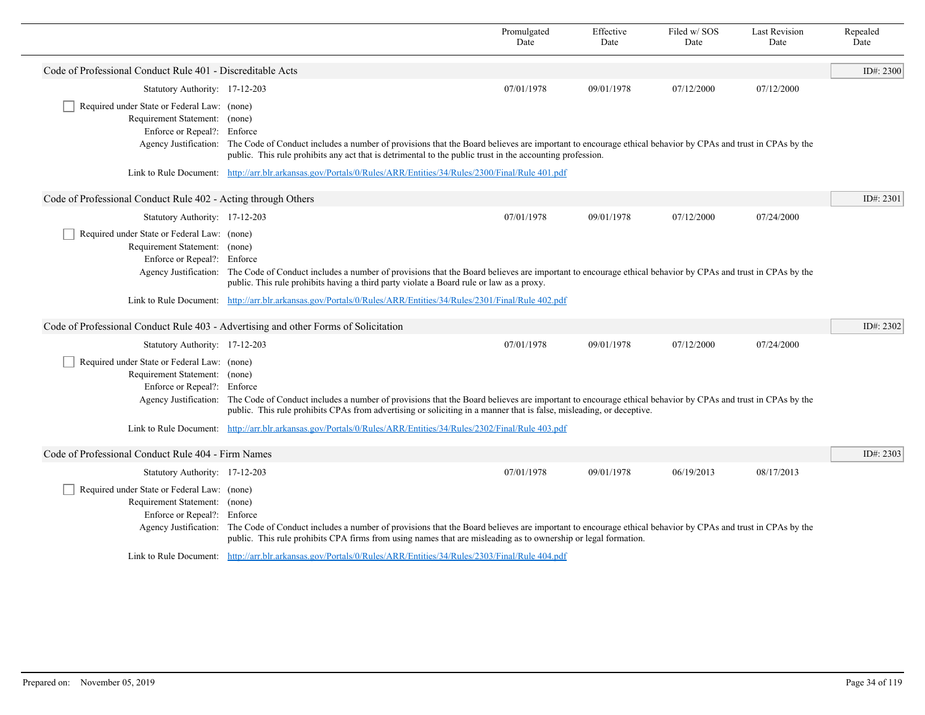|                                                               |                                                                                                                                                                                                                                                                                                        | Promulgated<br>Date | Effective<br>Date | Filed w/SOS<br>Date | <b>Last Revision</b><br>Date | Repealed<br>Date |
|---------------------------------------------------------------|--------------------------------------------------------------------------------------------------------------------------------------------------------------------------------------------------------------------------------------------------------------------------------------------------------|---------------------|-------------------|---------------------|------------------------------|------------------|
| Code of Professional Conduct Rule 401 - Discreditable Acts    |                                                                                                                                                                                                                                                                                                        |                     |                   |                     |                              | ID#: 2300        |
| Statutory Authority: 17-12-203                                |                                                                                                                                                                                                                                                                                                        | 07/01/1978          | 09/01/1978        | 07/12/2000          | 07/12/2000                   |                  |
| Required under State or Federal Law: (none)                   |                                                                                                                                                                                                                                                                                                        |                     |                   |                     |                              |                  |
| Requirement Statement: (none)                                 |                                                                                                                                                                                                                                                                                                        |                     |                   |                     |                              |                  |
| Enforce or Repeal?: Enforce                                   | Agency Justification: The Code of Conduct includes a number of provisions that the Board believes are important to encourage ethical behavior by CPAs and trust in CPAs by the                                                                                                                         |                     |                   |                     |                              |                  |
|                                                               | public. This rule prohibits any act that is detrimental to the public trust in the accounting profession.                                                                                                                                                                                              |                     |                   |                     |                              |                  |
|                                                               | Link to Rule Document: http://arr.blr.arkansas.gov/Portals/0/Rules/ARR/Entities/34/Rules/2300/Final/Rule 401.pdf                                                                                                                                                                                       |                     |                   |                     |                              |                  |
| Code of Professional Conduct Rule 402 - Acting through Others |                                                                                                                                                                                                                                                                                                        |                     |                   |                     |                              | ID#: 2301        |
| Statutory Authority: 17-12-203                                |                                                                                                                                                                                                                                                                                                        | 07/01/1978          | 09/01/1978        | 07/12/2000          | 07/24/2000                   |                  |
| Required under State or Federal Law: (none)                   |                                                                                                                                                                                                                                                                                                        |                     |                   |                     |                              |                  |
| Requirement Statement: (none)<br>Enforce or Repeal?: Enforce  |                                                                                                                                                                                                                                                                                                        |                     |                   |                     |                              |                  |
|                                                               | Agency Justification: The Code of Conduct includes a number of provisions that the Board believes are important to encourage ethical behavior by CPAs and trust in CPAs by the                                                                                                                         |                     |                   |                     |                              |                  |
|                                                               | public. This rule prohibits having a third party violate a Board rule or law as a proxy.                                                                                                                                                                                                               |                     |                   |                     |                              |                  |
|                                                               | Link to Rule Document: http://arr.blr.arkansas.gov/Portals/0/Rules/ARR/Entities/34/Rules/2301/Final/Rule 402.pdf                                                                                                                                                                                       |                     |                   |                     |                              |                  |
|                                                               | Code of Professional Conduct Rule 403 - Advertising and other Forms of Solicitation                                                                                                                                                                                                                    |                     |                   |                     |                              | ID#: 2302        |
| Statutory Authority: 17-12-203                                |                                                                                                                                                                                                                                                                                                        | 07/01/1978          | 09/01/1978        | 07/12/2000          | 07/24/2000                   |                  |
| Required under State or Federal Law: (none)                   |                                                                                                                                                                                                                                                                                                        |                     |                   |                     |                              |                  |
| Requirement Statement: (none)                                 |                                                                                                                                                                                                                                                                                                        |                     |                   |                     |                              |                  |
| Enforce or Repeal?: Enforce                                   |                                                                                                                                                                                                                                                                                                        |                     |                   |                     |                              |                  |
|                                                               | Agency Justification: The Code of Conduct includes a number of provisions that the Board believes are important to encourage ethical behavior by CPAs and trust in CPAs by the<br>public. This rule prohibits CPAs from advertising or soliciting in a manner that is false, misleading, or deceptive. |                     |                   |                     |                              |                  |
|                                                               | Link to Rule Document: http://arr.blr.arkansas.gov/Portals/0/Rules/ARR/Entities/34/Rules/2302/Final/Rule 403.pdf                                                                                                                                                                                       |                     |                   |                     |                              |                  |
| Code of Professional Conduct Rule 404 - Firm Names            |                                                                                                                                                                                                                                                                                                        |                     |                   |                     |                              | ID#: 2303        |
| Statutory Authority: 17-12-203                                |                                                                                                                                                                                                                                                                                                        | 07/01/1978          | 09/01/1978        | 06/19/2013          | 08/17/2013                   |                  |
| Required under State or Federal Law: (none)                   |                                                                                                                                                                                                                                                                                                        |                     |                   |                     |                              |                  |
| Requirement Statement: (none)                                 |                                                                                                                                                                                                                                                                                                        |                     |                   |                     |                              |                  |
| Enforce or Repeal?: Enforce                                   |                                                                                                                                                                                                                                                                                                        |                     |                   |                     |                              |                  |
|                                                               | Agency Justification: The Code of Conduct includes a number of provisions that the Board believes are important to encourage ethical behavior by CPAs and trust in CPAs by the<br>public. This rule prohibits CPA firms from using names that are misleading as to ownership or legal formation.       |                     |                   |                     |                              |                  |
|                                                               | Link to Rule Document: http://arr.blr.arkansas.gov/Portals/0/Rules/ARR/Entities/34/Rules/2303/Final/Rule 404.pdf                                                                                                                                                                                       |                     |                   |                     |                              |                  |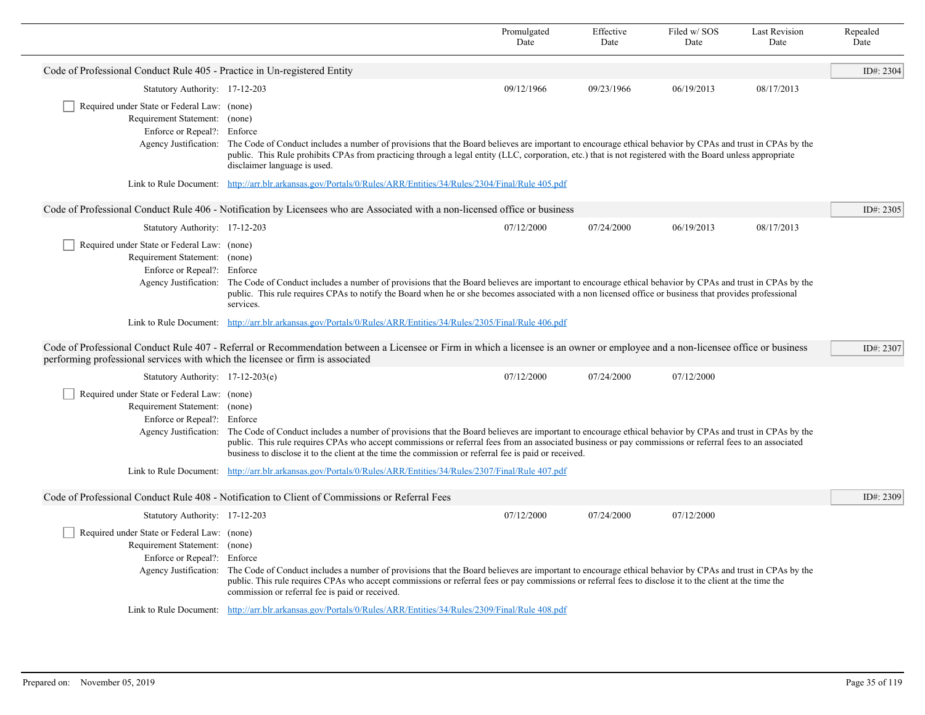|                                                                                                                                      |                                                                                                                                                                                                                                                                                                                                                                                                                               | Promulgated<br>Date | Effective<br>Date | Filed w/SOS<br>Date | <b>Last Revision</b><br>Date | Repealed<br>Date |
|--------------------------------------------------------------------------------------------------------------------------------------|-------------------------------------------------------------------------------------------------------------------------------------------------------------------------------------------------------------------------------------------------------------------------------------------------------------------------------------------------------------------------------------------------------------------------------|---------------------|-------------------|---------------------|------------------------------|------------------|
| Code of Professional Conduct Rule 405 - Practice in Un-registered Entity                                                             |                                                                                                                                                                                                                                                                                                                                                                                                                               |                     |                   |                     |                              | ID#: 2304        |
| Statutory Authority: 17-12-203                                                                                                       |                                                                                                                                                                                                                                                                                                                                                                                                                               | 09/12/1966          | 09/23/1966        | 06/19/2013          | 08/17/2013                   |                  |
| Required under State or Federal Law: (none)<br>Requirement Statement: (none)<br>Enforce or Repeal?: Enforce                          | Agency Justification: The Code of Conduct includes a number of provisions that the Board believes are important to encourage ethical behavior by CPAs and trust in CPAs by the<br>public. This Rule prohibits CPAs from practicing through a legal entity (LLC, corporation, etc.) that is not registered with the Board unless appropriate                                                                                   |                     |                   |                     |                              |                  |
|                                                                                                                                      | disclaimer language is used.<br>Link to Rule Document: http://arr.blr.arkansas.gov/Portals/0/Rules/ARR/Entities/34/Rules/2304/Final/Rule 405.pdf                                                                                                                                                                                                                                                                              |                     |                   |                     |                              |                  |
|                                                                                                                                      | Code of Professional Conduct Rule 406 - Notification by Licensees who are Associated with a non-licensed office or business                                                                                                                                                                                                                                                                                                   |                     |                   |                     |                              | ID#: 2305        |
| Statutory Authority: 17-12-203                                                                                                       |                                                                                                                                                                                                                                                                                                                                                                                                                               | 07/12/2000          | 07/24/2000        | 06/19/2013          | 08/17/2013                   |                  |
| Required under State or Federal Law: (none)<br>Requirement Statement: (none)<br>Enforce or Repeal?: Enforce                          | Agency Justification: The Code of Conduct includes a number of provisions that the Board believes are important to encourage ethical behavior by CPAs and trust in CPAs by the<br>public. This rule requires CPAs to notify the Board when he or she becomes associated with a non licensed office or business that provides professional<br>services.                                                                        |                     |                   |                     |                              |                  |
|                                                                                                                                      | Link to Rule Document: http://arr.blr.arkansas.gov/Portals/0/Rules/ARR/Entities/34/Rules/2305/Final/Rule 406.pdf                                                                                                                                                                                                                                                                                                              |                     |                   |                     |                              |                  |
| performing professional services with which the licensee or firm is associated                                                       | Code of Professional Conduct Rule 407 - Referral or Recommendation between a Licensee or Firm in which a licensee is an owner or employee and a non-licensee office or business                                                                                                                                                                                                                                               |                     |                   |                     |                              | ID#: 2307        |
| Statutory Authority: 17-12-203(e)                                                                                                    |                                                                                                                                                                                                                                                                                                                                                                                                                               | 07/12/2000          | 07/24/2000        | 07/12/2000          |                              |                  |
| Required under State or Federal Law: (none)<br>Requirement Statement: (none)<br>Enforce or Repeal?: Enforce<br>Agency Justification: | The Code of Conduct includes a number of provisions that the Board believes are important to encourage ethical behavior by CPAs and trust in CPAs by the<br>public. This rule requires CPAs who accept commissions or referral fees from an associated business or pay commissions or referral fees to an associated<br>business to disclose it to the client at the time the commission or referral fee is paid or received. |                     |                   |                     |                              |                  |
| Link to Rule Document:                                                                                                               | http://arr.blr.arkansas.gov/Portals/0/Rules/ARR/Entities/34/Rules/2307/Final/Rule 407.pdf                                                                                                                                                                                                                                                                                                                                     |                     |                   |                     |                              |                  |
|                                                                                                                                      | Code of Professional Conduct Rule 408 - Notification to Client of Commissions or Referral Fees                                                                                                                                                                                                                                                                                                                                |                     |                   |                     |                              | ID#: 2309        |
| Statutory Authority: 17-12-203                                                                                                       |                                                                                                                                                                                                                                                                                                                                                                                                                               | 07/12/2000          | 07/24/2000        | 07/12/2000          |                              |                  |
| Required under State or Federal Law: (none)<br>Requirement Statement: (none)<br>Enforce or Repeal?: Enforce<br>Agency Justification: | The Code of Conduct includes a number of provisions that the Board believes are important to encourage ethical behavior by CPAs and trust in CPAs by the<br>public. This rule requires CPAs who accept commissions or referral fees or pay commissions or referral fees to disclose it to the client at the time the<br>commission or referral fee is paid or received.                                                       |                     |                   |                     |                              |                  |
|                                                                                                                                      | Link to Rule Document: http://arr.blr.arkansas.gov/Portals/0/Rules/ARR/Entities/34/Rules/2309/Final/Rule 408.pdf                                                                                                                                                                                                                                                                                                              |                     |                   |                     |                              |                  |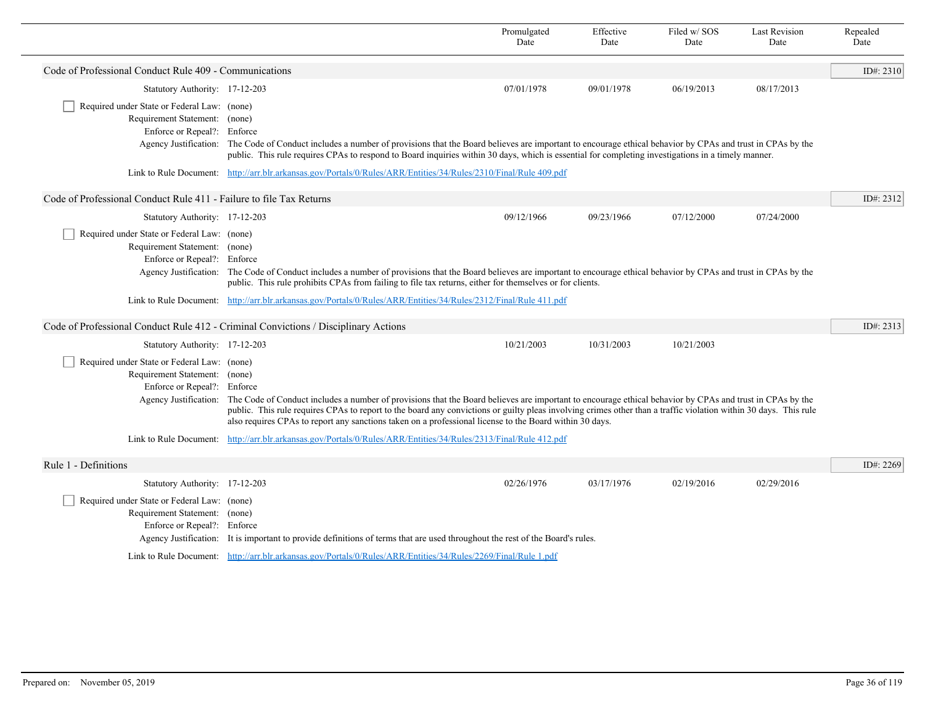|                                                                                                             |                                                                                                                                                                                                                                                                                                                                                                                                                                                               | Promulgated<br>Date | Effective<br>Date | Filed w/SOS<br>Date | <b>Last Revision</b><br>Date | Repealed<br>Date |
|-------------------------------------------------------------------------------------------------------------|---------------------------------------------------------------------------------------------------------------------------------------------------------------------------------------------------------------------------------------------------------------------------------------------------------------------------------------------------------------------------------------------------------------------------------------------------------------|---------------------|-------------------|---------------------|------------------------------|------------------|
| Code of Professional Conduct Rule 409 - Communications                                                      |                                                                                                                                                                                                                                                                                                                                                                                                                                                               |                     |                   |                     |                              | ID#: 2310        |
| Statutory Authority: 17-12-203                                                                              |                                                                                                                                                                                                                                                                                                                                                                                                                                                               | 07/01/1978          | 09/01/1978        | 06/19/2013          | 08/17/2013                   |                  |
| Required under State or Federal Law: (none)<br>Requirement Statement: (none)<br>Enforce or Repeal?: Enforce | Agency Justification: The Code of Conduct includes a number of provisions that the Board believes are important to encourage ethical behavior by CPAs and trust in CPAs by the<br>public. This rule requires CPAs to respond to Board inquiries within 30 days, which is essential for completing investigations in a timely manner.                                                                                                                          |                     |                   |                     |                              |                  |
|                                                                                                             | Link to Rule Document: http://arr.blr.arkansas.gov/Portals/0/Rules/ARR/Entities/34/Rules/2310/Final/Rule 409.pdf                                                                                                                                                                                                                                                                                                                                              |                     |                   |                     |                              |                  |
| Code of Professional Conduct Rule 411 - Failure to file Tax Returns                                         |                                                                                                                                                                                                                                                                                                                                                                                                                                                               |                     |                   |                     |                              | ID#: 2312        |
| Statutory Authority: 17-12-203                                                                              |                                                                                                                                                                                                                                                                                                                                                                                                                                                               | 09/12/1966          | 09/23/1966        | 07/12/2000          | 07/24/2000                   |                  |
| Required under State or Federal Law: (none)<br>Requirement Statement: (none)<br>Enforce or Repeal?: Enforce | Agency Justification: The Code of Conduct includes a number of provisions that the Board believes are important to encourage ethical behavior by CPAs and trust in CPAs by the<br>public. This rule prohibits CPAs from failing to file tax returns, either for themselves or for clients.<br>Link to Rule Document: http://arr.blr.arkansas.gov/Portals/0/Rules/ARR/Entities/34/Rules/2312/Final/Rule 411.pdf                                                |                     |                   |                     |                              |                  |
|                                                                                                             |                                                                                                                                                                                                                                                                                                                                                                                                                                                               |                     |                   |                     |                              |                  |
|                                                                                                             | Code of Professional Conduct Rule 412 - Criminal Convictions / Disciplinary Actions                                                                                                                                                                                                                                                                                                                                                                           |                     |                   |                     |                              | ID#: $2313$      |
| Statutory Authority: 17-12-203                                                                              |                                                                                                                                                                                                                                                                                                                                                                                                                                                               | 10/21/2003          | 10/31/2003        | 10/21/2003          |                              |                  |
| Required under State or Federal Law: (none)<br>Requirement Statement: (none)<br>Enforce or Repeal?: Enforce | Agency Justification: The Code of Conduct includes a number of provisions that the Board believes are important to encourage ethical behavior by CPAs and trust in CPAs by the<br>public. This rule requires CPAs to report to the board any convictions or guilty pleas involving crimes other than a traffic violation within 30 days. This rule<br>also requires CPAs to report any sanctions taken on a professional license to the Board within 30 days. |                     |                   |                     |                              |                  |
|                                                                                                             | Link to Rule Document: http://arr.blr.arkansas.gov/Portals/0/Rules/ARR/Entities/34/Rules/2313/Final/Rule 412.pdf                                                                                                                                                                                                                                                                                                                                              |                     |                   |                     |                              |                  |
| Rule 1 - Definitions                                                                                        |                                                                                                                                                                                                                                                                                                                                                                                                                                                               |                     |                   |                     |                              | ID#: 2269        |
| Statutory Authority: 17-12-203                                                                              |                                                                                                                                                                                                                                                                                                                                                                                                                                                               | 02/26/1976          | 03/17/1976        | 02/19/2016          | 02/29/2016                   |                  |
| Required under State or Federal Law: (none)<br>Requirement Statement: (none)<br>Enforce or Repeal?: Enforce | Agency Justification: It is important to provide definitions of terms that are used throughout the rest of the Board's rules.                                                                                                                                                                                                                                                                                                                                 |                     |                   |                     |                              |                  |
|                                                                                                             | Link to Rule Document: http://arr.blr.arkansas.gov/Portals/0/Rules/ARR/Entities/34/Rules/2269/Final/Rule 1.pdf                                                                                                                                                                                                                                                                                                                                                |                     |                   |                     |                              |                  |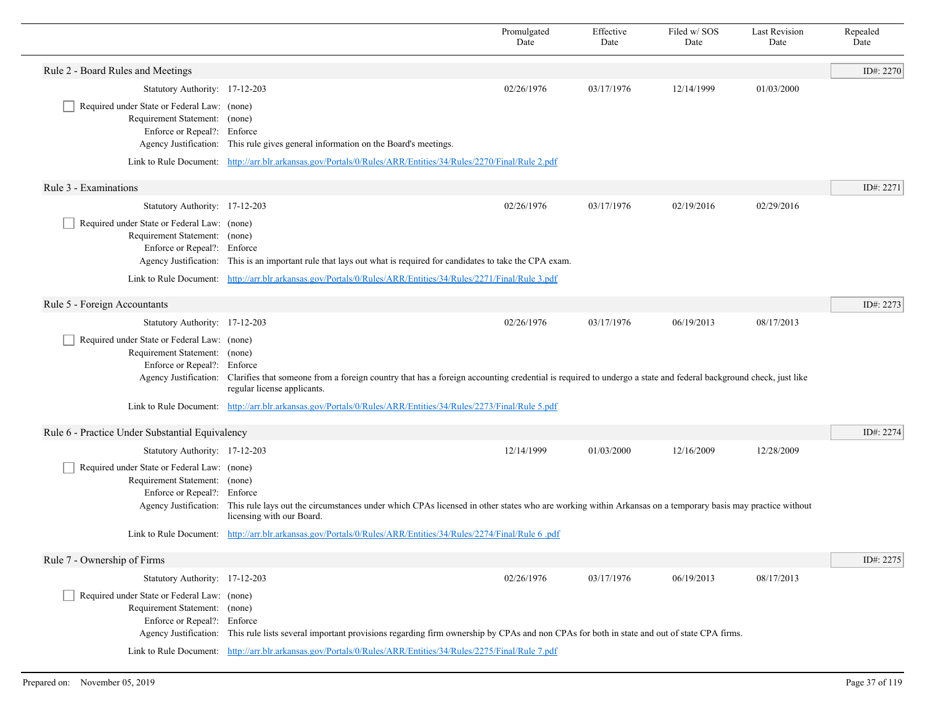|                                                                                                                                      |                                                                                                                                                                                                             | Promulgated<br>Date | Effective<br>Date | Filed w/SOS<br>Date | <b>Last Revision</b><br>Date | Repealed<br>Date |
|--------------------------------------------------------------------------------------------------------------------------------------|-------------------------------------------------------------------------------------------------------------------------------------------------------------------------------------------------------------|---------------------|-------------------|---------------------|------------------------------|------------------|
| Rule 2 - Board Rules and Meetings                                                                                                    |                                                                                                                                                                                                             |                     |                   |                     |                              | ID#: 2270        |
| Statutory Authority: 17-12-203                                                                                                       |                                                                                                                                                                                                             | 02/26/1976          | 03/17/1976        | 12/14/1999          | 01/03/2000                   |                  |
| Required under State or Federal Law: (none)<br>Requirement Statement: (none)<br>Enforce or Repeal?: Enforce                          | Agency Justification: This rule gives general information on the Board's meetings.                                                                                                                          |                     |                   |                     |                              |                  |
|                                                                                                                                      | Link to Rule Document: http://arr.blr.arkansas.gov/Portals/0/Rules/ARR/Entities/34/Rules/2270/Final/Rule 2.pdf                                                                                              |                     |                   |                     |                              |                  |
| Rule 3 - Examinations                                                                                                                |                                                                                                                                                                                                             |                     |                   |                     |                              | ID#: 2271        |
| Statutory Authority: 17-12-203                                                                                                       |                                                                                                                                                                                                             | 02/26/1976          | 03/17/1976        | 02/19/2016          | 02/29/2016                   |                  |
| Required under State or Federal Law: (none)<br>Requirement Statement: (none)<br>Enforce or Repeal?: Enforce                          | Agency Justification: This is an important rule that lays out what is required for candidates to take the CPA exam.                                                                                         |                     |                   |                     |                              |                  |
|                                                                                                                                      | Link to Rule Document: http://arr.blr.arkansas.gov/Portals/0/Rules/ARR/Entities/34/Rules/2271/Final/Rule 3.pdf                                                                                              |                     |                   |                     |                              |                  |
| Rule 5 - Foreign Accountants                                                                                                         |                                                                                                                                                                                                             |                     |                   |                     |                              | ID#: 2273        |
| Statutory Authority: 17-12-203                                                                                                       |                                                                                                                                                                                                             | 02/26/1976          | 03/17/1976        | 06/19/2013          | 08/17/2013                   |                  |
| Required under State or Federal Law: (none)<br>Requirement Statement: (none)<br>Enforce or Repeal?: Enforce<br>Agency Justification: | Clarifies that someone from a foreign country that has a foreign accounting credential is required to undergo a state and federal background check, just like<br>regular license applicants.                |                     |                   |                     |                              |                  |
|                                                                                                                                      | Link to Rule Document: http://arr.blr.arkansas.gov/Portals/0/Rules/ARR/Entities/34/Rules/2273/Final/Rule 5.pdf                                                                                              |                     |                   |                     |                              |                  |
| Rule 6 - Practice Under Substantial Equivalency                                                                                      |                                                                                                                                                                                                             |                     |                   |                     |                              | ID#: 2274        |
| Statutory Authority: 17-12-203                                                                                                       |                                                                                                                                                                                                             | 12/14/1999          | 01/03/2000        | 12/16/2009          | 12/28/2009                   |                  |
| Required under State or Federal Law: (none)<br>Requirement Statement: (none)<br>Enforce or Repeal?: Enforce                          | Agency Justification: This rule lays out the circumstances under which CPAs licensed in other states who are working within Arkansas on a temporary basis may practice without<br>licensing with our Board. |                     |                   |                     |                              |                  |
|                                                                                                                                      | Link to Rule Document: http://arr.blr.arkansas.gov/Portals/0/Rules/ARR/Entities/34/Rules/2274/Final/Rule 6.pdf                                                                                              |                     |                   |                     |                              |                  |
| Rule 7 - Ownership of Firms                                                                                                          |                                                                                                                                                                                                             |                     |                   |                     |                              | ID#: 2275        |
| Statutory Authority: 17-12-203                                                                                                       |                                                                                                                                                                                                             | 02/26/1976          | 03/17/1976        | 06/19/2013          | 08/17/2013                   |                  |
| Required under State or Federal Law: (none)<br>Requirement Statement: (none)<br>Enforce or Repeal?: Enforce                          | Agency Justification: This rule lists several important provisions regarding firm ownership by CPAs and non CPAs for both in state and out of state CPA firms.                                              |                     |                   |                     |                              |                  |
|                                                                                                                                      | Link to Rule Document: http://arr.blr.arkansas.gov/Portals/0/Rules/ARR/Entities/34/Rules/2275/Final/Rule 7.pdf                                                                                              |                     |                   |                     |                              |                  |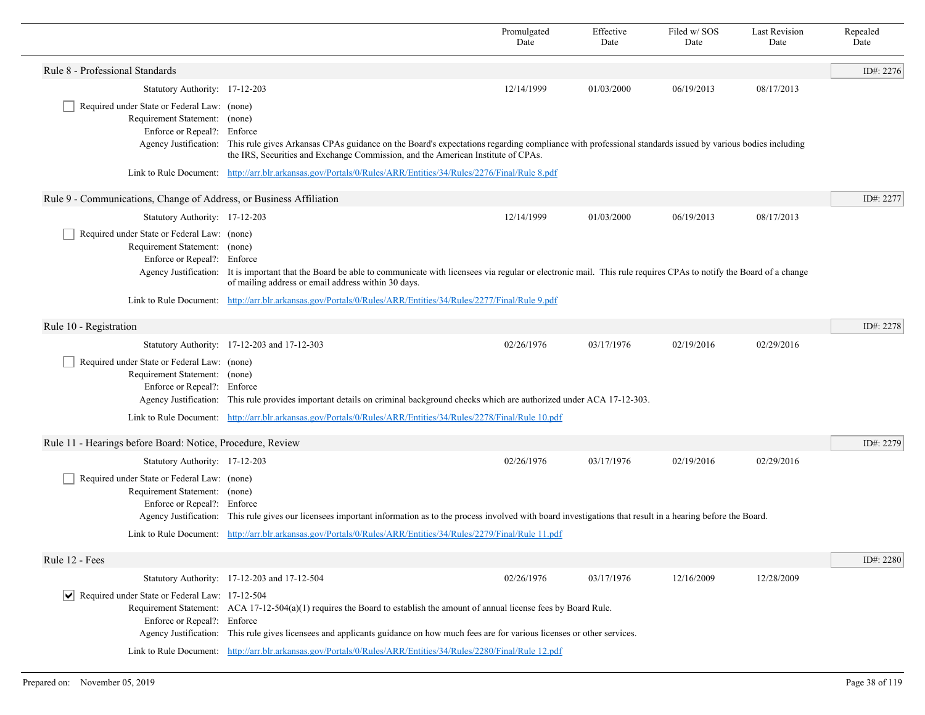|                                                                                                                                      |                                                                                                                                                                                                                                                                     | Promulgated<br>Date | Effective<br>Date | Filed w/ SOS<br>Date | <b>Last Revision</b><br>Date | Repealed<br>Date |
|--------------------------------------------------------------------------------------------------------------------------------------|---------------------------------------------------------------------------------------------------------------------------------------------------------------------------------------------------------------------------------------------------------------------|---------------------|-------------------|----------------------|------------------------------|------------------|
| Rule 8 - Professional Standards                                                                                                      |                                                                                                                                                                                                                                                                     |                     |                   |                      |                              | ID#: $2276$      |
| Statutory Authority: 17-12-203                                                                                                       |                                                                                                                                                                                                                                                                     | 12/14/1999          | 01/03/2000        | 06/19/2013           | 08/17/2013                   |                  |
| Required under State or Federal Law: (none)<br>Requirement Statement: (none)<br>Enforce or Repeal?: Enforce<br>Agency Justification: | This rule gives Arkansas CPAs guidance on the Board's expectations regarding compliance with professional standards issued by various bodies including                                                                                                              |                     |                   |                      |                              |                  |
|                                                                                                                                      | the IRS, Securities and Exchange Commission, and the American Institute of CPAs.                                                                                                                                                                                    |                     |                   |                      |                              |                  |
|                                                                                                                                      | Link to Rule Document: http://arr.blr.arkansas.gov/Portals/0/Rules/ARR/Entities/34/Rules/2276/Final/Rule 8.pdf                                                                                                                                                      |                     |                   |                      |                              |                  |
| Rule 9 - Communications, Change of Address, or Business Affiliation                                                                  |                                                                                                                                                                                                                                                                     |                     |                   |                      |                              | ID#: 2277        |
| Statutory Authority: 17-12-203                                                                                                       |                                                                                                                                                                                                                                                                     | 12/14/1999          | 01/03/2000        | 06/19/2013           | 08/17/2013                   |                  |
| Required under State or Federal Law: (none)<br>Requirement Statement: (none)<br>Enforce or Repeal?: Enforce<br>Agency Justification: | It is important that the Board be able to communicate with licensees via regular or electronic mail. This rule requires CPAs to notify the Board of a change<br>of mailing address or email address within 30 days.                                                 |                     |                   |                      |                              |                  |
|                                                                                                                                      | Link to Rule Document: http://arr.blr.arkansas.gov/Portals/0/Rules/ARR/Entities/34/Rules/2277/Final/Rule 9.pdf                                                                                                                                                      |                     |                   |                      |                              |                  |
| Rule 10 - Registration                                                                                                               |                                                                                                                                                                                                                                                                     |                     |                   |                      |                              | ID#: 2278        |
|                                                                                                                                      | Statutory Authority: 17-12-203 and 17-12-303                                                                                                                                                                                                                        | 02/26/1976          | 03/17/1976        | 02/19/2016           | 02/29/2016                   |                  |
| Required under State or Federal Law: (none)<br>Requirement Statement: (none)<br>Enforce or Repeal?: Enforce                          | Agency Justification: This rule provides important details on criminal background checks which are authorized under ACA 17-12-303.                                                                                                                                  |                     |                   |                      |                              |                  |
|                                                                                                                                      | Link to Rule Document: http://arr.blr.arkansas.gov/Portals/0/Rules/ARR/Entities/34/Rules/2278/Final/Rule 10.pdf                                                                                                                                                     |                     |                   |                      |                              |                  |
| Rule 11 - Hearings before Board: Notice, Procedure, Review                                                                           |                                                                                                                                                                                                                                                                     |                     |                   |                      |                              | ID#: 2279        |
| Statutory Authority: 17-12-203                                                                                                       |                                                                                                                                                                                                                                                                     | 02/26/1976          | 03/17/1976        | 02/19/2016           | 02/29/2016                   |                  |
| Required under State or Federal Law: (none)<br>Requirement Statement: (none)<br>Enforce or Repeal?: Enforce                          | Agency Justification: This rule gives our licensees important information as to the process involved with board investigations that result in a hearing before the Board.                                                                                           |                     |                   |                      |                              |                  |
|                                                                                                                                      | Link to Rule Document: http://arr.blr.arkansas.gov/Portals/0/Rules/ARR/Entities/34/Rules/2279/Final/Rule 11.pdf                                                                                                                                                     |                     |                   |                      |                              |                  |
| Rule 12 - Fees                                                                                                                       |                                                                                                                                                                                                                                                                     |                     |                   |                      |                              | ID#: 2280        |
|                                                                                                                                      | Statutory Authority: 17-12-203 and 17-12-504                                                                                                                                                                                                                        | 02/26/1976          | 03/17/1976        | 12/16/2009           | 12/28/2009                   |                  |
| $ \mathbf{v} $ Required under State or Federal Law: 17-12-504<br>Enforce or Repeal?: Enforce                                         | Requirement Statement: ACA 17-12-504(a)(1) requires the Board to establish the amount of annual license fees by Board Rule.<br>Agency Justification: This rule gives licensees and applicants guidance on how much fees are for various licenses or other services. |                     |                   |                      |                              |                  |
|                                                                                                                                      | Link to Rule Document: http://arr.blr.arkansas.gov/Portals/0/Rules/ARR/Entities/34/Rules/2280/Final/Rule 12.pdf                                                                                                                                                     |                     |                   |                      |                              |                  |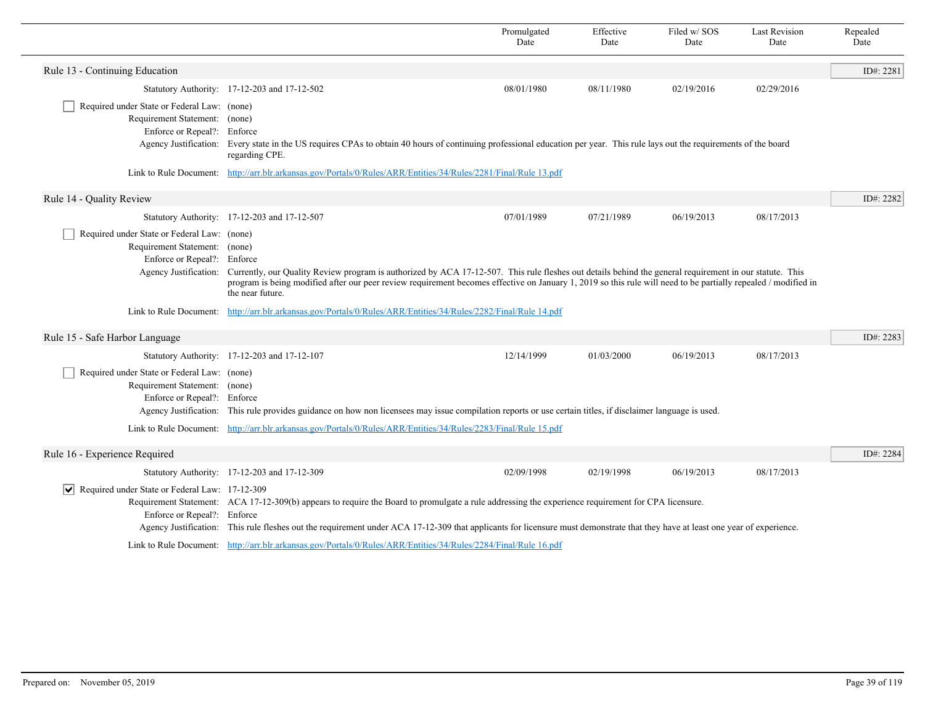|                                                                                                             |                                                                                                                                                                                                                                                                                                                                                                     | Promulgated<br>Date | Effective<br>Date | Filed w/SOS<br>Date | <b>Last Revision</b><br>Date | Repealed<br>Date |
|-------------------------------------------------------------------------------------------------------------|---------------------------------------------------------------------------------------------------------------------------------------------------------------------------------------------------------------------------------------------------------------------------------------------------------------------------------------------------------------------|---------------------|-------------------|---------------------|------------------------------|------------------|
| Rule 13 - Continuing Education                                                                              |                                                                                                                                                                                                                                                                                                                                                                     |                     |                   |                     |                              | ID#: 2281        |
|                                                                                                             | Statutory Authority: 17-12-203 and 17-12-502                                                                                                                                                                                                                                                                                                                        | 08/01/1980          | 08/11/1980        | 02/19/2016          | 02/29/2016                   |                  |
| Required under State or Federal Law: (none)<br>Requirement Statement: (none)<br>Enforce or Repeal?: Enforce | Agency Justification: Every state in the US requires CPAs to obtain 40 hours of continuing professional education per year. This rule lays out the requirements of the board<br>regarding CPE.                                                                                                                                                                      |                     |                   |                     |                              |                  |
|                                                                                                             | Link to Rule Document: http://arr.blr.arkansas.gov/Portals/0/Rules/ARR/Entities/34/Rules/2281/Final/Rule 13.pdf                                                                                                                                                                                                                                                     |                     |                   |                     |                              |                  |
| Rule 14 - Quality Review                                                                                    |                                                                                                                                                                                                                                                                                                                                                                     |                     |                   |                     |                              | ID#: 2282        |
|                                                                                                             | Statutory Authority: 17-12-203 and 17-12-507                                                                                                                                                                                                                                                                                                                        | 07/01/1989          | 07/21/1989        | 06/19/2013          | 08/17/2013                   |                  |
| Required under State or Federal Law: (none)<br>Requirement Statement: (none)<br>Enforce or Repeal?: Enforce | Agency Justification: Currently, our Quality Review program is authorized by ACA 17-12-507. This rule fleshes out details behind the general requirement in our statute. This<br>program is being modified after our peer review requirement becomes effective on January 1, 2019 so this rule will need to be partially repealed / modified in<br>the near future. |                     |                   |                     |                              |                  |
|                                                                                                             | Link to Rule Document: http://arr.blr.arkansas.gov/Portals/0/Rules/ARR/Entities/34/Rules/2282/Final/Rule 14.pdf                                                                                                                                                                                                                                                     |                     |                   |                     |                              |                  |
| Rule 15 - Safe Harbor Language                                                                              |                                                                                                                                                                                                                                                                                                                                                                     |                     |                   |                     |                              | ID#: 2283        |
|                                                                                                             | Statutory Authority: 17-12-203 and 17-12-107                                                                                                                                                                                                                                                                                                                        | 12/14/1999          | 01/03/2000        | 06/19/2013          | 08/17/2013                   |                  |
| Required under State or Federal Law: (none)<br>Requirement Statement: (none)<br>Enforce or Repeal?: Enforce | Agency Justification: This rule provides guidance on how non licensees may issue compilation reports or use certain titles, if disclaimer language is used.                                                                                                                                                                                                         |                     |                   |                     |                              |                  |
|                                                                                                             | Link to Rule Document: http://arr.blr.arkansas.gov/Portals/0/Rules/ARR/Entities/34/Rules/2283/Final/Rule 15.pdf                                                                                                                                                                                                                                                     |                     |                   |                     |                              |                  |
| Rule 16 - Experience Required                                                                               |                                                                                                                                                                                                                                                                                                                                                                     |                     |                   |                     |                              | ID#: 2284        |
|                                                                                                             | Statutory Authority: 17-12-203 and 17-12-309                                                                                                                                                                                                                                                                                                                        | 02/09/1998          | 02/19/1998        | 06/19/2013          | 08/17/2013                   |                  |
| ↓ Required under State or Federal Law: 17-12-309<br>Enforce or Repeal?: Enforce                             | Requirement Statement: ACA 17-12-309(b) appears to require the Board to promulgate a rule addressing the experience requirement for CPA licensure.<br>Agency Justification: This rule fleshes out the requirement under ACA 17-12-309 that applicants for licensure must demonstrate that they have at least one year of experience.                                |                     |                   |                     |                              |                  |
|                                                                                                             | Link to Rule Document: http://arr.blr.arkansas.gov/Portals/0/Rules/ARR/Entities/34/Rules/2284/Final/Rule 16.pdf                                                                                                                                                                                                                                                     |                     |                   |                     |                              |                  |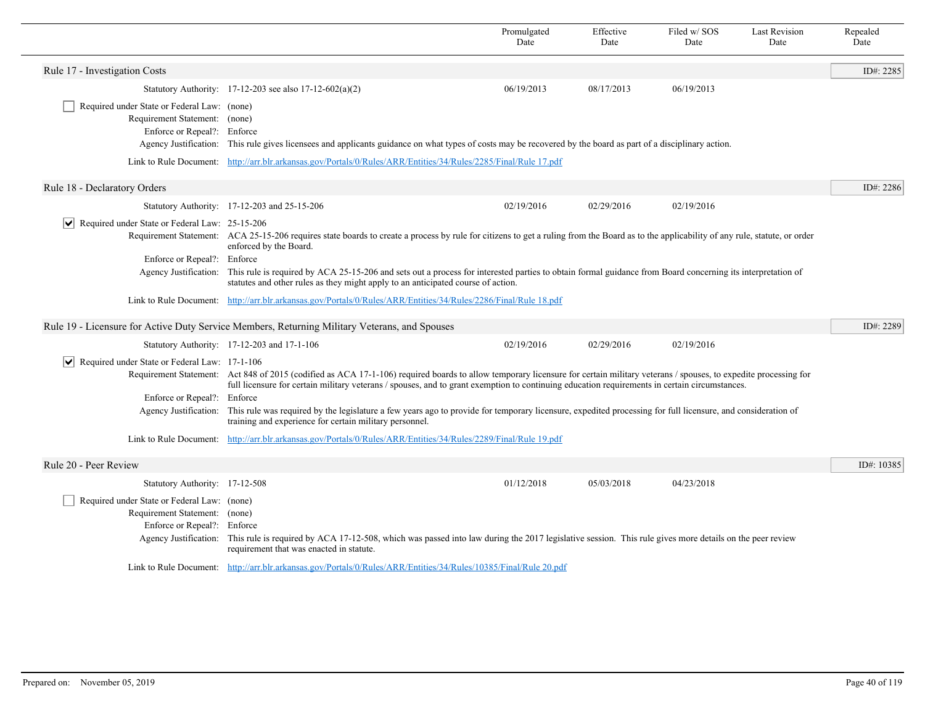|                                                                                                             |                                                                                                                                                                                                                                                                                                                                     | Promulgated<br>Date | Effective<br>Date | Filed w/SOS<br>Date | <b>Last Revision</b><br>Date | Repealed<br>Date |
|-------------------------------------------------------------------------------------------------------------|-------------------------------------------------------------------------------------------------------------------------------------------------------------------------------------------------------------------------------------------------------------------------------------------------------------------------------------|---------------------|-------------------|---------------------|------------------------------|------------------|
| Rule 17 - Investigation Costs                                                                               |                                                                                                                                                                                                                                                                                                                                     |                     |                   |                     |                              | ID#: 2285        |
|                                                                                                             | Statutory Authority: $17-12-203$ see also $17-12-602(a)(2)$                                                                                                                                                                                                                                                                         | 06/19/2013          | 08/17/2013        | 06/19/2013          |                              |                  |
| Required under State or Federal Law: (none)<br>Requirement Statement: (none)<br>Enforce or Repeal?: Enforce | Agency Justification: This rule gives licensees and applicants guidance on what types of costs may be recovered by the board as part of a disciplinary action.                                                                                                                                                                      |                     |                   |                     |                              |                  |
|                                                                                                             | Link to Rule Document: http://arr.blr.arkansas.gov/Portals/0/Rules/ARR/Entities/34/Rules/2285/Final/Rule 17.pdf                                                                                                                                                                                                                     |                     |                   |                     |                              |                  |
| Rule 18 - Declaratory Orders                                                                                |                                                                                                                                                                                                                                                                                                                                     |                     |                   |                     |                              | ID#: 2286        |
|                                                                                                             | Statutory Authority: 17-12-203 and 25-15-206                                                                                                                                                                                                                                                                                        | 02/19/2016          | 02/29/2016        | 02/19/2016          |                              |                  |
| Required under State or Federal Law: 25-15-206<br>$ \bm{\mathsf{v}} $<br>Enforce or Repeal?: Enforce        | Requirement Statement: ACA 25-15-206 requires state boards to create a process by rule for citizens to get a ruling from the Board as to the applicability of any rule, statute, or order<br>enforced by the Board.                                                                                                                 |                     |                   |                     |                              |                  |
|                                                                                                             | Agency Justification: This rule is required by ACA 25-15-206 and sets out a process for interested parties to obtain formal guidance from Board concerning its interpretation of<br>statutes and other rules as they might apply to an anticipated course of action.                                                                |                     |                   |                     |                              |                  |
|                                                                                                             | Link to Rule Document: http://arr.blr.arkansas.gov/Portals/0/Rules/ARR/Entities/34/Rules/2286/Final/Rule 18.pdf                                                                                                                                                                                                                     |                     |                   |                     |                              |                  |
|                                                                                                             | Rule 19 - Licensure for Active Duty Service Members, Returning Military Veterans, and Spouses                                                                                                                                                                                                                                       |                     |                   |                     |                              | ID#: 2289        |
|                                                                                                             | Statutory Authority: 17-12-203 and 17-1-106                                                                                                                                                                                                                                                                                         | 02/19/2016          | 02/29/2016        | 02/19/2016          |                              |                  |
| $\triangleright$ Required under State or Federal Law: 17-1-106                                              | Requirement Statement: Act 848 of 2015 (codified as ACA 17-1-106) required boards to allow temporary licensure for certain military veterans / spouses, to expedite processing for<br>full licensure for certain military veterans / spouses, and to grant exemption to continuing education requirements in certain circumstances. |                     |                   |                     |                              |                  |
| Enforce or Repeal?: Enforce                                                                                 |                                                                                                                                                                                                                                                                                                                                     |                     |                   |                     |                              |                  |
|                                                                                                             | Agency Justification: This rule was required by the legislature a few years ago to provide for temporary licensure, expedited processing for full licensure, and consideration of<br>training and experience for certain military personnel.                                                                                        |                     |                   |                     |                              |                  |
|                                                                                                             | Link to Rule Document: http://arr.blr.arkansas.gov/Portals/0/Rules/ARR/Entities/34/Rules/2289/Final/Rule 19.pdf                                                                                                                                                                                                                     |                     |                   |                     |                              |                  |
| Rule 20 - Peer Review                                                                                       |                                                                                                                                                                                                                                                                                                                                     |                     |                   |                     |                              | ID#: 10385       |
| Statutory Authority: 17-12-508                                                                              |                                                                                                                                                                                                                                                                                                                                     | 01/12/2018          | 05/03/2018        | 04/23/2018          |                              |                  |
| Required under State or Federal Law: (none)<br>Requirement Statement: (none)<br>Enforce or Repeal?: Enforce | Agency Justification: This rule is required by ACA 17-12-508, which was passed into law during the 2017 legislative session. This rule gives more details on the peer review<br>requirement that was enacted in statute.                                                                                                            |                     |                   |                     |                              |                  |
|                                                                                                             | Link to Rule Document: http://arr.blr.arkansas.gov/Portals/0/Rules/ARR/Entities/34/Rules/10385/Final/Rule 20.pdf                                                                                                                                                                                                                    |                     |                   |                     |                              |                  |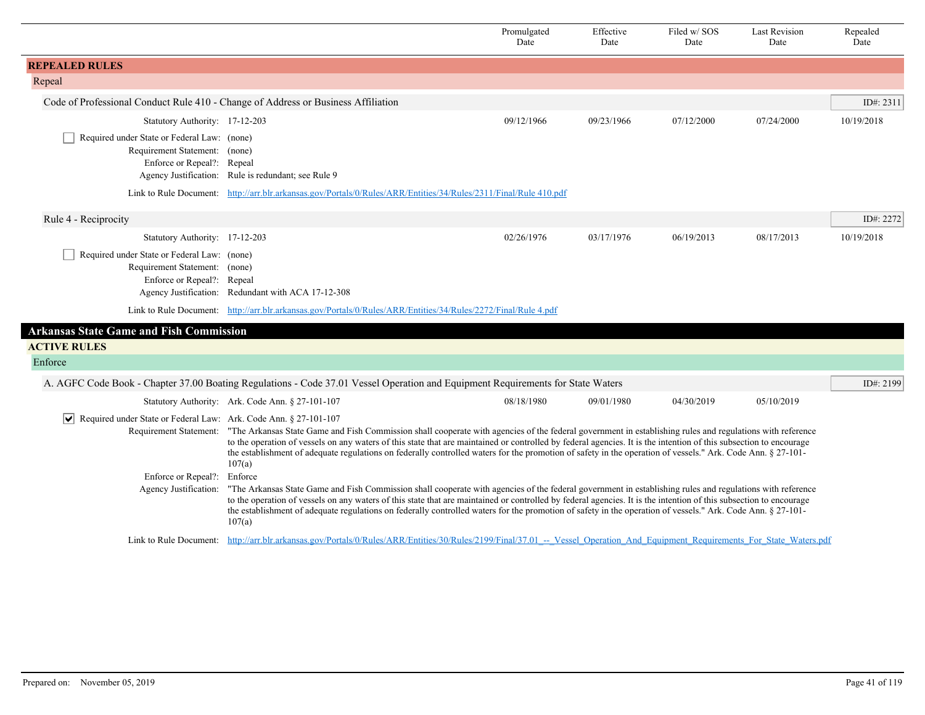|                                                                                                            |                                                                                                                                                                                                                                                                                                                                                                                                                                                                                                          | Promulgated<br>Date                                                                                                                                                                                                                                                                                                                                                                                                                                                                                                   | Effective<br>Date | Filed w/SOS<br>Date | <b>Last Revision</b><br>Date | Repealed<br>Date |  |
|------------------------------------------------------------------------------------------------------------|----------------------------------------------------------------------------------------------------------------------------------------------------------------------------------------------------------------------------------------------------------------------------------------------------------------------------------------------------------------------------------------------------------------------------------------------------------------------------------------------------------|-----------------------------------------------------------------------------------------------------------------------------------------------------------------------------------------------------------------------------------------------------------------------------------------------------------------------------------------------------------------------------------------------------------------------------------------------------------------------------------------------------------------------|-------------------|---------------------|------------------------------|------------------|--|
| <b>REPEALED RULES</b>                                                                                      |                                                                                                                                                                                                                                                                                                                                                                                                                                                                                                          |                                                                                                                                                                                                                                                                                                                                                                                                                                                                                                                       |                   |                     |                              |                  |  |
| Repeal                                                                                                     |                                                                                                                                                                                                                                                                                                                                                                                                                                                                                                          |                                                                                                                                                                                                                                                                                                                                                                                                                                                                                                                       |                   |                     |                              |                  |  |
| Code of Professional Conduct Rule 410 - Change of Address or Business Affiliation                          |                                                                                                                                                                                                                                                                                                                                                                                                                                                                                                          |                                                                                                                                                                                                                                                                                                                                                                                                                                                                                                                       |                   |                     |                              | ID#: 2311        |  |
| Statutory Authority: 17-12-203                                                                             |                                                                                                                                                                                                                                                                                                                                                                                                                                                                                                          | 09/12/1966                                                                                                                                                                                                                                                                                                                                                                                                                                                                                                            | 09/23/1966        | 07/12/2000          | 07/24/2000                   | 10/19/2018       |  |
| Required under State or Federal Law: (none)<br>Requirement Statement: (none)<br>Enforce or Repeal?: Repeal | Agency Justification: Rule is redundant; see Rule 9                                                                                                                                                                                                                                                                                                                                                                                                                                                      |                                                                                                                                                                                                                                                                                                                                                                                                                                                                                                                       |                   |                     |                              |                  |  |
|                                                                                                            | Link to Rule Document: http://arr.blr.arkansas.gov/Portals/0/Rules/ARR/Entities/34/Rules/2311/Final/Rule 410.pdf                                                                                                                                                                                                                                                                                                                                                                                         |                                                                                                                                                                                                                                                                                                                                                                                                                                                                                                                       |                   |                     |                              |                  |  |
| Rule 4 - Reciprocity                                                                                       |                                                                                                                                                                                                                                                                                                                                                                                                                                                                                                          |                                                                                                                                                                                                                                                                                                                                                                                                                                                                                                                       |                   |                     |                              | ID#: 2272        |  |
| Statutory Authority: 17-12-203                                                                             |                                                                                                                                                                                                                                                                                                                                                                                                                                                                                                          | 02/26/1976                                                                                                                                                                                                                                                                                                                                                                                                                                                                                                            | 03/17/1976        | 06/19/2013          | 08/17/2013                   | 10/19/2018       |  |
| Required under State or Federal Law: (none)<br>Requirement Statement: (none)<br>Enforce or Repeal?: Repeal | Agency Justification: Redundant with ACA 17-12-308                                                                                                                                                                                                                                                                                                                                                                                                                                                       |                                                                                                                                                                                                                                                                                                                                                                                                                                                                                                                       |                   |                     |                              |                  |  |
|                                                                                                            | Link to Rule Document: http://arr.blr.arkansas.gov/Portals/0/Rules/ARR/Entities/34/Rules/2272/Final/Rule 4.pdf                                                                                                                                                                                                                                                                                                                                                                                           |                                                                                                                                                                                                                                                                                                                                                                                                                                                                                                                       |                   |                     |                              |                  |  |
| <b>Arkansas State Game and Fish Commission</b>                                                             |                                                                                                                                                                                                                                                                                                                                                                                                                                                                                                          |                                                                                                                                                                                                                                                                                                                                                                                                                                                                                                                       |                   |                     |                              |                  |  |
| <b>ACTIVE RULES</b>                                                                                        |                                                                                                                                                                                                                                                                                                                                                                                                                                                                                                          |                                                                                                                                                                                                                                                                                                                                                                                                                                                                                                                       |                   |                     |                              |                  |  |
| Enforce                                                                                                    |                                                                                                                                                                                                                                                                                                                                                                                                                                                                                                          |                                                                                                                                                                                                                                                                                                                                                                                                                                                                                                                       |                   |                     |                              |                  |  |
|                                                                                                            | A. AGFC Code Book - Chapter 37.00 Boating Regulations - Code 37.01 Vessel Operation and Equipment Requirements for State Waters                                                                                                                                                                                                                                                                                                                                                                          |                                                                                                                                                                                                                                                                                                                                                                                                                                                                                                                       |                   |                     |                              | ID#: 2199        |  |
|                                                                                                            | Statutory Authority: Ark. Code Ann. § 27-101-107                                                                                                                                                                                                                                                                                                                                                                                                                                                         | 08/18/1980                                                                                                                                                                                                                                                                                                                                                                                                                                                                                                            | 09/01/1980        | 04/30/2019          | 05/10/2019                   |                  |  |
| Required under State or Federal Law: Ark. Code Ann. § 27-101-107                                           | 107(a)                                                                                                                                                                                                                                                                                                                                                                                                                                                                                                   | Requirement Statement: "The Arkansas State Game and Fish Commission shall cooperate with agencies of the federal government in establishing rules and regulations with reference<br>to the operation of vessels on any waters of this state that are maintained or controlled by federal agencies. It is the intention of this subsection to encourage<br>the establishment of adequate regulations on federally controlled waters for the promotion of safety in the operation of vessels." Ark. Code Ann. § 27-101- |                   |                     |                              |                  |  |
| Enforce or Repeal?:                                                                                        | Enforce                                                                                                                                                                                                                                                                                                                                                                                                                                                                                                  |                                                                                                                                                                                                                                                                                                                                                                                                                                                                                                                       |                   |                     |                              |                  |  |
| Agency Justification:                                                                                      | "The Arkansas State Game and Fish Commission shall cooperate with agencies of the federal government in establishing rules and regulations with reference<br>to the operation of vessels on any waters of this state that are maintained or controlled by federal agencies. It is the intention of this subsection to encourage<br>the establishment of adequate regulations on federally controlled waters for the promotion of safety in the operation of vessels." Ark. Code Ann. § 27-101-<br>107(a) |                                                                                                                                                                                                                                                                                                                                                                                                                                                                                                                       |                   |                     |                              |                  |  |
|                                                                                                            | Link to Rule Document: http://arr.blr.arkansas.gov/Portals/0/Rules/ARR/Entities/30/Rules/2199/Final/37.01 -- Vessel Operation And Equipment Requirements For State Waters.pdf                                                                                                                                                                                                                                                                                                                            |                                                                                                                                                                                                                                                                                                                                                                                                                                                                                                                       |                   |                     |                              |                  |  |

ı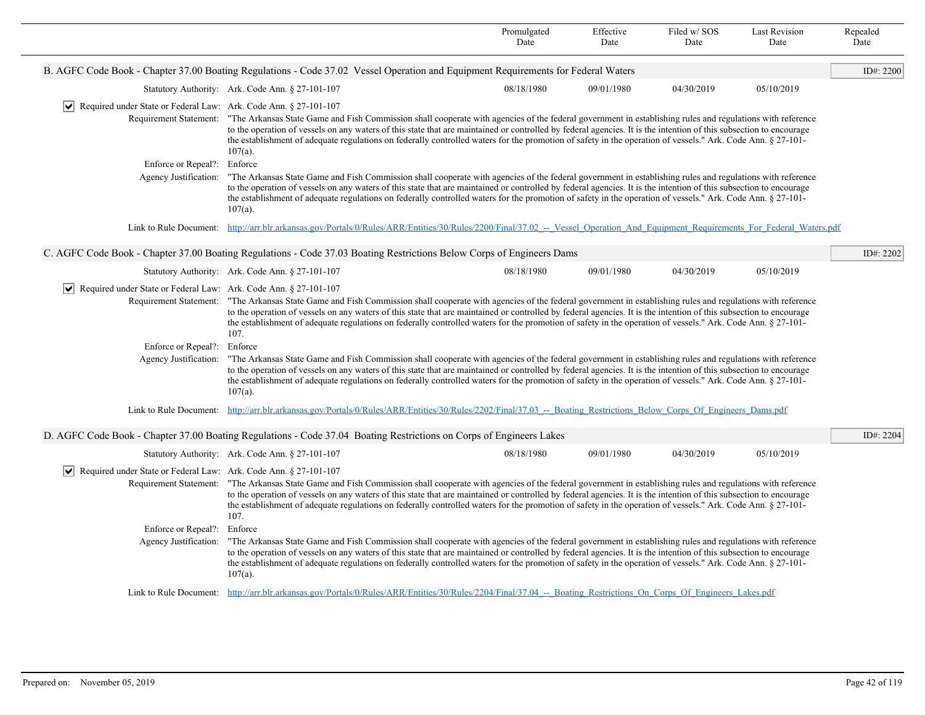|                                                                                 |                                                                                                                                                                                                                                                                                                                                                                                                                                                                                                                                     | Promulgated<br>Date | Effective<br>Date | Filed w/SOS<br>Date | <b>Last Revision</b><br>Date | Repealed<br>Date |
|---------------------------------------------------------------------------------|-------------------------------------------------------------------------------------------------------------------------------------------------------------------------------------------------------------------------------------------------------------------------------------------------------------------------------------------------------------------------------------------------------------------------------------------------------------------------------------------------------------------------------------|---------------------|-------------------|---------------------|------------------------------|------------------|
|                                                                                 | B. AGFC Code Book - Chapter 37.00 Boating Regulations - Code 37.02 Vessel Operation and Equipment Requirements for Federal Waters                                                                                                                                                                                                                                                                                                                                                                                                   |                     |                   |                     |                              | ID#: 2200        |
|                                                                                 | Statutory Authority: Ark. Code Ann. § 27-101-107                                                                                                                                                                                                                                                                                                                                                                                                                                                                                    | 08/18/1980          | 09/01/1980        | 04/30/2019          | 05/10/2019                   |                  |
| $ \mathbf{v} $ Required under State or Federal Law: Ark. Code Ann. § 27-101-107 |                                                                                                                                                                                                                                                                                                                                                                                                                                                                                                                                     |                     |                   |                     |                              |                  |
|                                                                                 | Requirement Statement: "The Arkansas State Game and Fish Commission shall cooperate with agencies of the federal government in establishing rules and regulations with reference<br>to the operation of vessels on any waters of this state that are maintained or controlled by federal agencies. It is the intention of this subsection to encourage<br>the establishment of adequate regulations on federally controlled waters for the promotion of safety in the operation of vessels." Ark. Code Ann. § 27-101-<br>$107(a)$ . |                     |                   |                     |                              |                  |
| Enforce or Repeal?: Enforce                                                     |                                                                                                                                                                                                                                                                                                                                                                                                                                                                                                                                     |                     |                   |                     |                              |                  |
| Agency Justification:                                                           | "The Arkansas State Game and Fish Commission shall cooperate with agencies of the federal government in establishing rules and regulations with reference<br>to the operation of vessels on any waters of this state that are maintained or controlled by federal agencies. It is the intention of this subsection to encourage<br>the establishment of adequate regulations on federally controlled waters for the promotion of safety in the operation of vessels." Ark. Code Ann. § 27-101-<br>$107(a)$ .                        |                     |                   |                     |                              |                  |
|                                                                                 | Link to Rule Document: http://arr.blr.arkansas.gov/Portals/0/Rules/ARR/Entities/30/Rules/2200/Final/37.02 -- Vessel Operation And Equipment Requirements For Federal Waters.pdf                                                                                                                                                                                                                                                                                                                                                     |                     |                   |                     |                              |                  |
|                                                                                 | C. AGFC Code Book - Chapter 37.00 Boating Regulations - Code 37.03 Boating Restrictions Below Corps of Engineers Dams                                                                                                                                                                                                                                                                                                                                                                                                               |                     |                   |                     |                              | ID#: 2202        |
|                                                                                 | Statutory Authority: Ark. Code Ann. § 27-101-107                                                                                                                                                                                                                                                                                                                                                                                                                                                                                    | 08/18/1980          | 09/01/1980        | 04/30/2019          | 05/10/2019                   |                  |
| $ \mathbf{v} $ Required under State or Federal Law: Ark. Code Ann. § 27-101-107 |                                                                                                                                                                                                                                                                                                                                                                                                                                                                                                                                     |                     |                   |                     |                              |                  |
|                                                                                 | Requirement Statement: "The Arkansas State Game and Fish Commission shall cooperate with agencies of the federal government in establishing rules and regulations with reference<br>to the operation of vessels on any waters of this state that are maintained or controlled by federal agencies. It is the intention of this subsection to encourage<br>the establishment of adequate regulations on federally controlled waters for the promotion of safety in the operation of vessels." Ark. Code Ann. § 27-101-<br>107.       |                     |                   |                     |                              |                  |
| Enforce or Repeal?: Enforce                                                     |                                                                                                                                                                                                                                                                                                                                                                                                                                                                                                                                     |                     |                   |                     |                              |                  |
| Agency Justification:                                                           | "The Arkansas State Game and Fish Commission shall cooperate with agencies of the federal government in establishing rules and regulations with reference<br>to the operation of vessels on any waters of this state that are maintained or controlled by federal agencies. It is the intention of this subsection to encourage<br>the establishment of adequate regulations on federally controlled waters for the promotion of safety in the operation of vessels." Ark. Code Ann. § 27-101-<br>$107(a)$ .                        |                     |                   |                     |                              |                  |
|                                                                                 | Link to Rule Document: http://arr.blr.arkansas.gov/Portals/0/Rules/ARR/Entities/30/Rules/2202/Final/37.03 -- Boating Restrictions Below Corps Of Engineers Dams.pdf                                                                                                                                                                                                                                                                                                                                                                 |                     |                   |                     |                              |                  |
|                                                                                 | D. AGFC Code Book - Chapter 37.00 Boating Regulations - Code 37.04 Boating Restrictions on Corps of Engineers Lakes                                                                                                                                                                                                                                                                                                                                                                                                                 |                     |                   |                     |                              | ID#: 2204        |
|                                                                                 | Statutory Authority: Ark. Code Ann. § 27-101-107                                                                                                                                                                                                                                                                                                                                                                                                                                                                                    | 08/18/1980          | 09/01/1980        | 04/30/2019          | 05/10/2019                   |                  |
| $ \mathbf{v} $ Required under State or Federal Law: Ark. Code Ann. § 27-101-107 |                                                                                                                                                                                                                                                                                                                                                                                                                                                                                                                                     |                     |                   |                     |                              |                  |
|                                                                                 | Requirement Statement: "The Arkansas State Game and Fish Commission shall cooperate with agencies of the federal government in establishing rules and regulations with reference<br>to the operation of vessels on any waters of this state that are maintained or controlled by federal agencies. It is the intention of this subsection to encourage<br>the establishment of adequate regulations on federally controlled waters for the promotion of safety in the operation of vessels." Ark. Code Ann. § 27-101-<br>107.       |                     |                   |                     |                              |                  |
| Enforce or Repeal?:                                                             | Enforce                                                                                                                                                                                                                                                                                                                                                                                                                                                                                                                             |                     |                   |                     |                              |                  |
| Agency Justification:                                                           | "The Arkansas State Game and Fish Commission shall cooperate with agencies of the federal government in establishing rules and regulations with reference<br>to the operation of vessels on any waters of this state that are maintained or controlled by federal agencies. It is the intention of this subsection to encourage<br>the establishment of adequate regulations on federally controlled waters for the promotion of safety in the operation of vessels." Ark. Code Ann. § 27-101-<br>$107(a)$ .                        |                     |                   |                     |                              |                  |
|                                                                                 | Link to Rule Document: http://arr.blr.arkansas.gov/Portals/0/Rules/ARR/Entities/30/Rules/2204/Final/37.04 -- Boating Restrictions On Corps Of Engineers Lakes.pdf                                                                                                                                                                                                                                                                                                                                                                   |                     |                   |                     |                              |                  |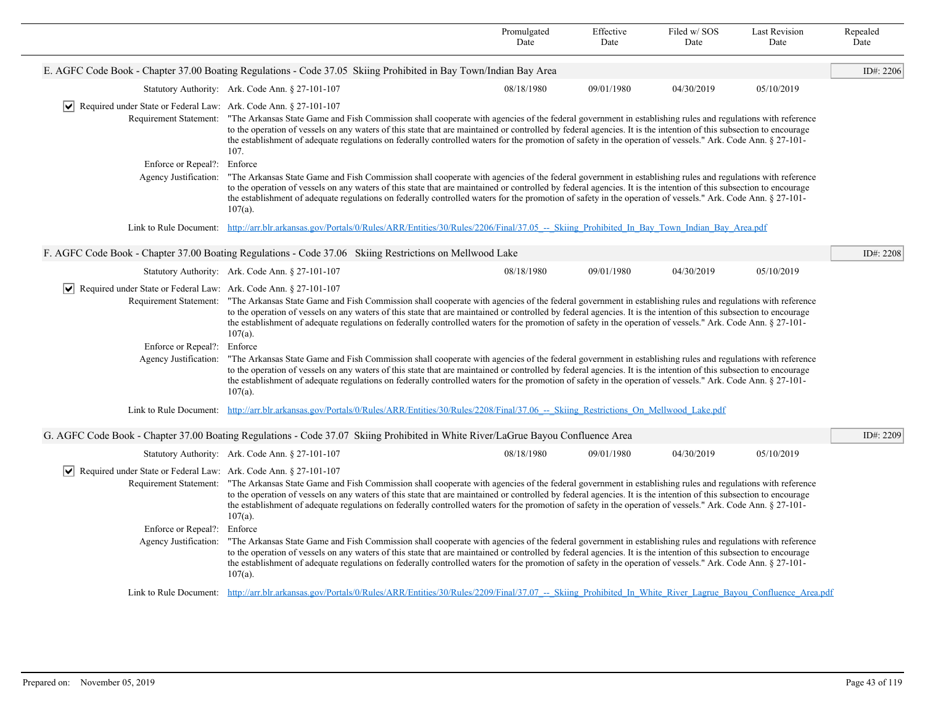|                                                                                 |                                                                                                                                                                                                                                                                                                                                                                                                                                                                                                                                     | Promulgated<br>Date | Effective<br>Date | Filed w/ SOS<br>Date | <b>Last Revision</b><br>Date | Repealed<br>Date |
|---------------------------------------------------------------------------------|-------------------------------------------------------------------------------------------------------------------------------------------------------------------------------------------------------------------------------------------------------------------------------------------------------------------------------------------------------------------------------------------------------------------------------------------------------------------------------------------------------------------------------------|---------------------|-------------------|----------------------|------------------------------|------------------|
|                                                                                 | E. AGFC Code Book - Chapter 37.00 Boating Regulations - Code 37.05 Skiing Prohibited in Bay Town/Indian Bay Area                                                                                                                                                                                                                                                                                                                                                                                                                    |                     |                   |                      |                              | ID#: 2206        |
|                                                                                 | Statutory Authority: Ark. Code Ann. § 27-101-107                                                                                                                                                                                                                                                                                                                                                                                                                                                                                    | 08/18/1980          | 09/01/1980        | 04/30/2019           | 05/10/2019                   |                  |
| $ \mathbf{v} $ Required under State or Federal Law: Ark. Code Ann. § 27-101-107 |                                                                                                                                                                                                                                                                                                                                                                                                                                                                                                                                     |                     |                   |                      |                              |                  |
|                                                                                 | Requirement Statement: "The Arkansas State Game and Fish Commission shall cooperate with agencies of the federal government in establishing rules and regulations with reference<br>to the operation of vessels on any waters of this state that are maintained or controlled by federal agencies. It is the intention of this subsection to encourage<br>the establishment of adequate regulations on federally controlled waters for the promotion of safety in the operation of vessels." Ark. Code Ann. § 27-101-<br>107.       |                     |                   |                      |                              |                  |
| Enforce or Repeal?: Enforce                                                     |                                                                                                                                                                                                                                                                                                                                                                                                                                                                                                                                     |                     |                   |                      |                              |                  |
| Agency Justification:                                                           | "The Arkansas State Game and Fish Commission shall cooperate with agencies of the federal government in establishing rules and regulations with reference<br>to the operation of vessels on any waters of this state that are maintained or controlled by federal agencies. It is the intention of this subsection to encourage<br>the establishment of adequate regulations on federally controlled waters for the promotion of safety in the operation of vessels." Ark. Code Ann. § 27-101-<br>$107(a)$ .                        |                     |                   |                      |                              |                  |
|                                                                                 | Link to Rule Document: http://arr.blr.arkansas.gov/Portals/0/Rules/ARR/Entities/30/Rules/2206/Final/37.05 -- Skiing Prohibited In Bay Town Indian Bay Area.pdf                                                                                                                                                                                                                                                                                                                                                                      |                     |                   |                      |                              |                  |
|                                                                                 | F. AGFC Code Book - Chapter 37.00 Boating Regulations - Code 37.06 Skiing Restrictions on Mellwood Lake                                                                                                                                                                                                                                                                                                                                                                                                                             |                     |                   |                      |                              | ID#: 2208        |
|                                                                                 | Statutory Authority: Ark. Code Ann. § 27-101-107                                                                                                                                                                                                                                                                                                                                                                                                                                                                                    | 08/18/1980          | 09/01/1980        | 04/30/2019           | 05/10/2019                   |                  |
| Required under State or Federal Law: Ark. Code Ann. § 27-101-107                |                                                                                                                                                                                                                                                                                                                                                                                                                                                                                                                                     |                     |                   |                      |                              |                  |
|                                                                                 | Requirement Statement: "The Arkansas State Game and Fish Commission shall cooperate with agencies of the federal government in establishing rules and regulations with reference<br>to the operation of vessels on any waters of this state that are maintained or controlled by federal agencies. It is the intention of this subsection to encourage<br>the establishment of adequate regulations on federally controlled waters for the promotion of safety in the operation of vessels." Ark. Code Ann. § 27-101-<br>$107(a)$ . |                     |                   |                      |                              |                  |
| Enforce or Repeal?: Enforce                                                     |                                                                                                                                                                                                                                                                                                                                                                                                                                                                                                                                     |                     |                   |                      |                              |                  |
| Agency Justification:                                                           | "The Arkansas State Game and Fish Commission shall cooperate with agencies of the federal government in establishing rules and regulations with reference<br>to the operation of vessels on any waters of this state that are maintained or controlled by federal agencies. It is the intention of this subsection to encourage<br>the establishment of adequate regulations on federally controlled waters for the promotion of safety in the operation of vessels." Ark. Code Ann. § 27-101-<br>$107(a)$ .                        |                     |                   |                      |                              |                  |
|                                                                                 | Link to Rule Document: http://arr.blr.arkansas.gov/Portals/0/Rules/ARR/Entities/30/Rules/2208/Final/37.06 -- Skiing Restrictions On Mellwood Lake.pdf                                                                                                                                                                                                                                                                                                                                                                               |                     |                   |                      |                              |                  |
|                                                                                 | G. AGFC Code Book - Chapter 37.00 Boating Regulations - Code 37.07 Skiing Prohibited in White River/LaGrue Bayou Confluence Area                                                                                                                                                                                                                                                                                                                                                                                                    |                     |                   |                      |                              | ID#: 2209        |
|                                                                                 | Statutory Authority: Ark. Code Ann. § 27-101-107                                                                                                                                                                                                                                                                                                                                                                                                                                                                                    | 08/18/1980          | 09/01/1980        | 04/30/2019           | 05/10/2019                   |                  |
| $ \mathbf{v} $ Required under State or Federal Law: Ark. Code Ann. § 27-101-107 |                                                                                                                                                                                                                                                                                                                                                                                                                                                                                                                                     |                     |                   |                      |                              |                  |
| Requirement Statement:                                                          | "The Arkansas State Game and Fish Commission shall cooperate with agencies of the federal government in establishing rules and regulations with reference<br>to the operation of vessels on any waters of this state that are maintained or controlled by federal agencies. It is the intention of this subsection to encourage<br>the establishment of adequate regulations on federally controlled waters for the promotion of safety in the operation of vessels." Ark. Code Ann. § 27-101-<br>$107(a)$ .                        |                     |                   |                      |                              |                  |
| Enforce or Repeal?:                                                             | Enforce                                                                                                                                                                                                                                                                                                                                                                                                                                                                                                                             |                     |                   |                      |                              |                  |
| Agency Justification:                                                           | "The Arkansas State Game and Fish Commission shall cooperate with agencies of the federal government in establishing rules and regulations with reference<br>to the operation of vessels on any waters of this state that are maintained or controlled by federal agencies. It is the intention of this subsection to encourage<br>the establishment of adequate regulations on federally controlled waters for the promotion of safety in the operation of vessels." Ark. Code Ann. § 27-101-<br>$107(a)$ .                        |                     |                   |                      |                              |                  |
|                                                                                 | Link to Rule Document: http://arr.blr.arkansas.gov/Portals/0/Rules/ARR/Entities/30/Rules/2209/Final/37.07 -- Skiing Prohibited In White River Lagrue Bayou Confluence Area.pdf                                                                                                                                                                                                                                                                                                                                                      |                     |                   |                      |                              |                  |
|                                                                                 |                                                                                                                                                                                                                                                                                                                                                                                                                                                                                                                                     |                     |                   |                      |                              |                  |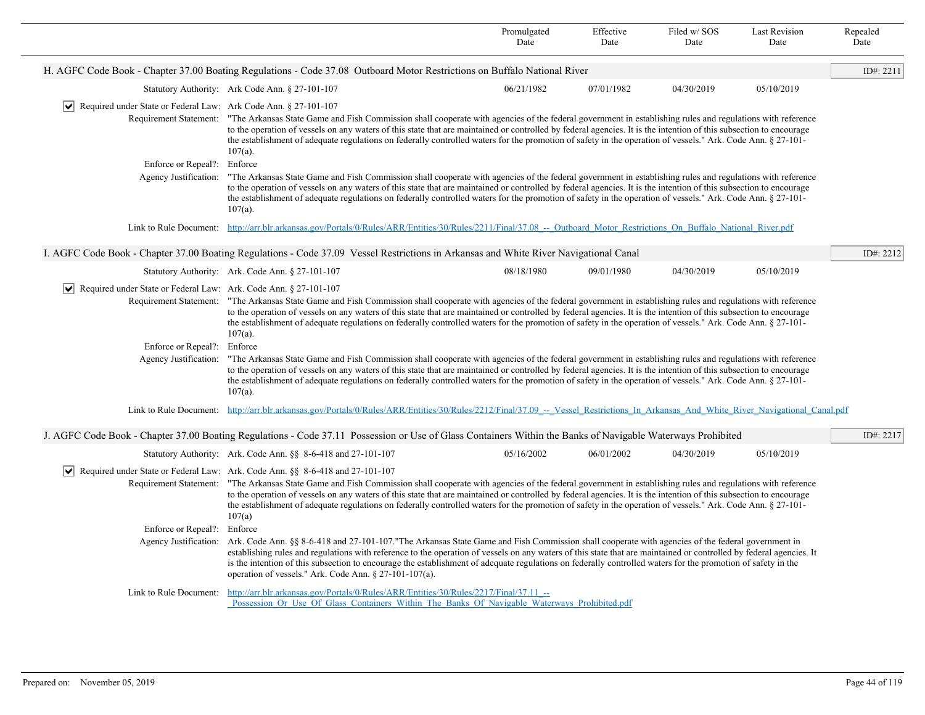|                                                                                 |                                                                                                                                                                                                                                                                                                                                                                                                                                                                                                                                                               | Promulgated<br>Date | Effective<br>Date | Filed w/ SOS<br>Date | <b>Last Revision</b><br>Date | Repealed<br>Date |
|---------------------------------------------------------------------------------|---------------------------------------------------------------------------------------------------------------------------------------------------------------------------------------------------------------------------------------------------------------------------------------------------------------------------------------------------------------------------------------------------------------------------------------------------------------------------------------------------------------------------------------------------------------|---------------------|-------------------|----------------------|------------------------------|------------------|
|                                                                                 | H. AGFC Code Book - Chapter 37.00 Boating Regulations - Code 37.08 Outboard Motor Restrictions on Buffalo National River                                                                                                                                                                                                                                                                                                                                                                                                                                      |                     |                   |                      |                              | ID#: 2211        |
|                                                                                 | Statutory Authority: Ark Code Ann. § 27-101-107                                                                                                                                                                                                                                                                                                                                                                                                                                                                                                               | 06/21/1982          | 07/01/1982        | 04/30/2019           | 05/10/2019                   |                  |
| $ \mathbf{v} $ Required under State or Federal Law: Ark Code Ann. § 27-101-107  | Requirement Statement: "The Arkansas State Game and Fish Commission shall cooperate with agencies of the federal government in establishing rules and regulations with reference<br>to the operation of vessels on any waters of this state that are maintained or controlled by federal agencies. It is the intention of this subsection to encourage<br>the establishment of adequate regulations on federally controlled waters for the promotion of safety in the operation of vessels." Ark. Code Ann. § 27-101-<br>$107(a)$ .                           |                     |                   |                      |                              |                  |
| Enforce or Repeal?: Enforce<br>Agency Justification:                            | "The Arkansas State Game and Fish Commission shall cooperate with agencies of the federal government in establishing rules and regulations with reference<br>to the operation of vessels on any waters of this state that are maintained or controlled by federal agencies. It is the intention of this subsection to encourage<br>the establishment of adequate regulations on federally controlled waters for the promotion of safety in the operation of vessels." Ark. Code Ann. § 27-101-<br>$107(a)$ .                                                  |                     |                   |                      |                              |                  |
|                                                                                 | Link to Rule Document: http://arr.blr.arkansas.gov/Portals/0/Rules/ARR/Entities/30/Rules/2211/Final/37.08 -- Outboard Motor Restrictions On Buffalo National River.pdf                                                                                                                                                                                                                                                                                                                                                                                        |                     |                   |                      |                              |                  |
|                                                                                 | I. AGFC Code Book - Chapter 37.00 Boating Regulations - Code 37.09 Vessel Restrictions in Arkansas and White River Navigational Canal                                                                                                                                                                                                                                                                                                                                                                                                                         |                     |                   |                      |                              | ID#: $2212$      |
|                                                                                 | Statutory Authority: Ark. Code Ann. § 27-101-107                                                                                                                                                                                                                                                                                                                                                                                                                                                                                                              | 08/18/1980          | 09/01/1980        | 04/30/2019           | 05/10/2019                   |                  |
| $ \mathbf{v} $ Required under State or Federal Law: Ark. Code Ann. § 27-101-107 | Requirement Statement: "The Arkansas State Game and Fish Commission shall cooperate with agencies of the federal government in establishing rules and regulations with reference<br>to the operation of vessels on any waters of this state that are maintained or controlled by federal agencies. It is the intention of this subsection to encourage<br>the establishment of adequate regulations on federally controlled waters for the promotion of safety in the operation of vessels." Ark. Code Ann. § 27-101-<br>$107(a)$ .                           |                     |                   |                      |                              |                  |
| Enforce or Repeal?: Enforce<br>Agency Justification:                            | "The Arkansas State Game and Fish Commission shall cooperate with agencies of the federal government in establishing rules and regulations with reference<br>to the operation of vessels on any waters of this state that are maintained or controlled by federal agencies. It is the intention of this subsection to encourage<br>the establishment of adequate regulations on federally controlled waters for the promotion of safety in the operation of vessels." Ark. Code Ann. § 27-101-<br>$107(a)$ .                                                  |                     |                   |                      |                              |                  |
|                                                                                 | Link to Rule Document: http://arr.blr.arkansas.gov/Portals/0/Rules/ARR/Entities/30/Rules/2212/Final/37.09 -- Vessel Restrictions In Arkansas And White River Navigational Canal.pdf                                                                                                                                                                                                                                                                                                                                                                           |                     |                   |                      |                              |                  |
|                                                                                 | J. AGFC Code Book - Chapter 37.00 Boating Regulations - Code 37.11 Possession or Use of Glass Containers Within the Banks of Navigable Waterways Prohibited                                                                                                                                                                                                                                                                                                                                                                                                   |                     |                   |                      |                              | ID#: 2217        |
|                                                                                 | Statutory Authority: Ark. Code Ann. §§ 8-6-418 and 27-101-107                                                                                                                                                                                                                                                                                                                                                                                                                                                                                                 | 05/16/2002          | 06/01/2002        | 04/30/2019           | 05/10/2019                   |                  |
|                                                                                 | $ \mathbf{v} $ Required under State or Federal Law: Ark. Code Ann. §§ 8-6-418 and 27-101-107                                                                                                                                                                                                                                                                                                                                                                                                                                                                  |                     |                   |                      |                              |                  |
|                                                                                 | Requirement Statement: "The Arkansas State Game and Fish Commission shall cooperate with agencies of the federal government in establishing rules and regulations with reference<br>to the operation of vessels on any waters of this state that are maintained or controlled by federal agencies. It is the intention of this subsection to encourage<br>the establishment of adequate regulations on federally controlled waters for the promotion of safety in the operation of vessels." Ark. Code Ann. § 27-101-<br>107(a)                               |                     |                   |                      |                              |                  |
| Enforce or Repeal?:<br>Agency Justification:                                    | Enforce<br>Ark. Code Ann. §§ 8-6-418 and 27-101-107. "The Arkansas State Game and Fish Commission shall cooperate with agencies of the federal government in<br>establishing rules and regulations with reference to the operation of vessels on any waters of this state that are maintained or controlled by federal agencies. It<br>is the intention of this subsection to encourage the establishment of adequate regulations on federally controlled waters for the promotion of safety in the<br>operation of vessels." Ark. Code Ann. § 27-101-107(a). |                     |                   |                      |                              |                  |
| Link to Rule Document:                                                          | http://arr.blr.arkansas.gov/Portals/0/Rules/ARR/Entities/30/Rules/2217/Final/37.11 --<br>Possession Or Use Of Glass Containers Within The Banks Of Navigable Waterways Prohibited.pdf                                                                                                                                                                                                                                                                                                                                                                         |                     |                   |                      |                              |                  |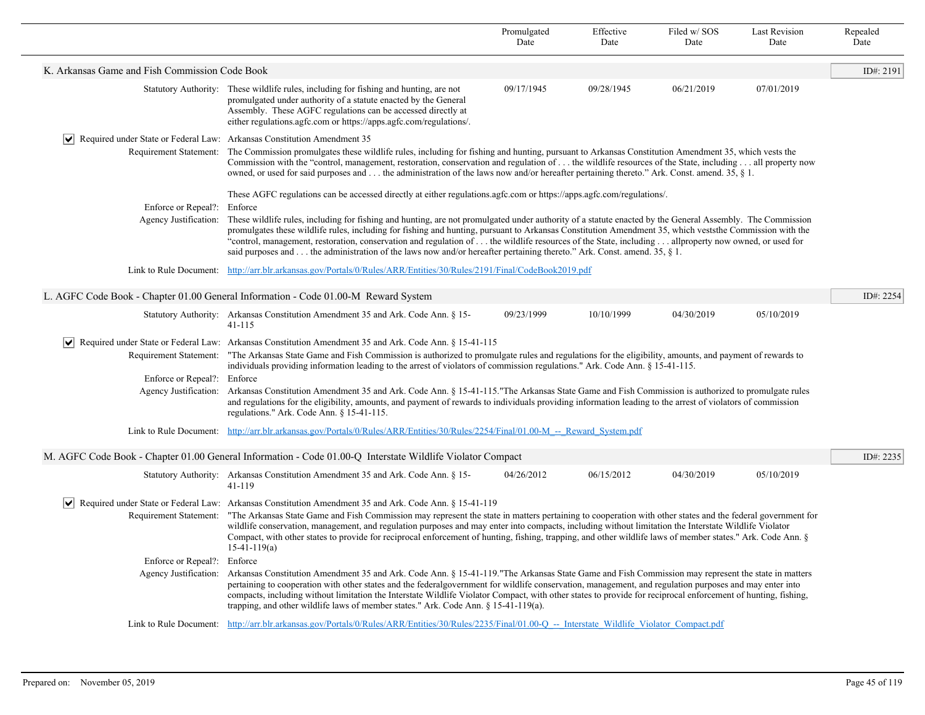|                                                                                        |                                                                                                                                                                                                                                                                                                                                                                                                                                                                                                                                                                                                             | Promulgated<br>Date | Effective<br>Date | Filed w/SOS<br>Date | <b>Last Revision</b><br>Date | Repealed<br>Date |  |
|----------------------------------------------------------------------------------------|-------------------------------------------------------------------------------------------------------------------------------------------------------------------------------------------------------------------------------------------------------------------------------------------------------------------------------------------------------------------------------------------------------------------------------------------------------------------------------------------------------------------------------------------------------------------------------------------------------------|---------------------|-------------------|---------------------|------------------------------|------------------|--|
| K. Arkansas Game and Fish Commission Code Book                                         |                                                                                                                                                                                                                                                                                                                                                                                                                                                                                                                                                                                                             |                     |                   |                     |                              | ID#: 2191        |  |
|                                                                                        | Statutory Authority: These wildlife rules, including for fishing and hunting, are not<br>promulgated under authority of a statute enacted by the General<br>Assembly. These AGFC regulations can be accessed directly at<br>either regulations.agfc.com or https://apps.agfc.com/regulations/.                                                                                                                                                                                                                                                                                                              | 09/17/1945          | 09/28/1945        | 06/21/2019          | 07/01/2019                   |                  |  |
| $ \mathbf{v} $ Required under State or Federal Law: Arkansas Constitution Amendment 35 |                                                                                                                                                                                                                                                                                                                                                                                                                                                                                                                                                                                                             |                     |                   |                     |                              |                  |  |
| Requirement Statement:                                                                 | The Commission promulgates these wildlife rules, including for fishing and hunting, pursuant to Arkansas Constitution Amendment 35, which vests the<br>Commission with the "control, management, restoration, conservation and regulation of  the wildlife resources of the State, including  all property now<br>owned, or used for said purposes and  the administration of the laws now and/or hereafter pertaining thereto." Ark. Const. amend. 35, $\S$ 1.                                                                                                                                             |                     |                   |                     |                              |                  |  |
|                                                                                        | These AGFC regulations can be accessed directly at either regulations.agfc.com or https://apps.agfc.com/regulations/.                                                                                                                                                                                                                                                                                                                                                                                                                                                                                       |                     |                   |                     |                              |                  |  |
| Enforce or Repeal?:                                                                    | Enforce                                                                                                                                                                                                                                                                                                                                                                                                                                                                                                                                                                                                     |                     |                   |                     |                              |                  |  |
| Agency Justification:                                                                  | These wildlife rules, including for fishing and hunting, are not promulgated under authority of a statute enacted by the General Assembly. The Commission<br>promulgates these wildlife rules, including for fishing and hunting, pursuant to Arkansas Constitution Amendment 35, which vests the Commission with the<br>"control, management, restoration, conservation and regulation of  the wildlife resources of the State, including  allproperty now owned, or used for<br>said purposes and the administration of the laws now and/or hereafter pertaining thereto." Ark. Const. amend. 35, $\S$ 1. |                     |                   |                     |                              |                  |  |
| Link to Rule Document:                                                                 | http://arr.blr.arkansas.gov/Portals/0/Rules/ARR/Entities/30/Rules/2191/Final/CodeBook2019.pdf                                                                                                                                                                                                                                                                                                                                                                                                                                                                                                               |                     |                   |                     |                              |                  |  |
|                                                                                        | L. AGFC Code Book - Chapter 01.00 General Information - Code 01.00-M Reward System                                                                                                                                                                                                                                                                                                                                                                                                                                                                                                                          |                     |                   |                     |                              | ID#: 2254        |  |
|                                                                                        | Statutory Authority: Arkansas Constitution Amendment 35 and Ark. Code Ann. § 15-<br>$41 - 115$                                                                                                                                                                                                                                                                                                                                                                                                                                                                                                              | 09/23/1999          | 10/10/1999        | 04/30/2019          | 05/10/2019                   |                  |  |
|                                                                                        | Required under State or Federal Law: Arkansas Constitution Amendment 35 and Ark. Code Ann. § 15-41-115                                                                                                                                                                                                                                                                                                                                                                                                                                                                                                      |                     |                   |                     |                              |                  |  |
|                                                                                        | Requirement Statement: "The Arkansas State Game and Fish Commission is authorized to promulgate rules and regulations for the eligibility, amounts, and payment of rewards to<br>individuals providing information leading to the arrest of violators of commission regulations." Ark. Code Ann. § 15-41-115.                                                                                                                                                                                                                                                                                               |                     |                   |                     |                              |                  |  |
| Enforce or Repeal?: Enforce                                                            |                                                                                                                                                                                                                                                                                                                                                                                                                                                                                                                                                                                                             |                     |                   |                     |                              |                  |  |
| Agency Justification:                                                                  | Arkansas Constitution Amendment 35 and Ark. Code Ann. § 15-41-115. "The Arkansas State Game and Fish Commission is authorized to promulgate rules<br>and regulations for the eligibility, amounts, and payment of rewards to individuals providing information leading to the arrest of violators of commission<br>regulations." Ark. Code Ann. § 15-41-115.                                                                                                                                                                                                                                                |                     |                   |                     |                              |                  |  |
|                                                                                        | Link to Rule Document: http://arr.blr.arkansas.gov/Portals/0/Rules/ARR/Entities/30/Rules/2254/Final/01.00-M -- Reward System.pdf                                                                                                                                                                                                                                                                                                                                                                                                                                                                            |                     |                   |                     |                              |                  |  |
|                                                                                        | M. AGFC Code Book - Chapter 01.00 General Information - Code 01.00-Q Interstate Wildlife Violator Compact                                                                                                                                                                                                                                                                                                                                                                                                                                                                                                   |                     |                   |                     |                              | ID#: 2235        |  |
|                                                                                        | Statutory Authority: Arkansas Constitution Amendment 35 and Ark. Code Ann. § 15-<br>41-119                                                                                                                                                                                                                                                                                                                                                                                                                                                                                                                  | 04/26/2012          | 06/15/2012        | 04/30/2019          | 05/10/2019                   |                  |  |
| $\vert\bm{\mathsf{v}}\vert$                                                            | Required under State or Federal Law: Arkansas Constitution Amendment 35 and Ark. Code Ann. § 15-41-119                                                                                                                                                                                                                                                                                                                                                                                                                                                                                                      |                     |                   |                     |                              |                  |  |
| Requirement Statement:                                                                 | "The Arkansas State Game and Fish Commission may represent the state in matters pertaining to cooperation with other states and the federal government for<br>wildlife conservation, management, and regulation purposes and may enter into compacts, including without limitation the Interstate Wildlife Violator<br>Compact, with other states to provide for reciprocal enforcement of hunting, fishing, trapping, and other wildlife laws of member states." Ark. Code Ann. §<br>$15-41-119(a)$                                                                                                        |                     |                   |                     |                              |                  |  |
| Enforce or Repeal?:                                                                    | Enforce                                                                                                                                                                                                                                                                                                                                                                                                                                                                                                                                                                                                     |                     |                   |                     |                              |                  |  |
| Agency Justification:                                                                  | Arkansas Constitution Amendment 35 and Ark. Code Ann. § 15-41-119."The Arkansas State Game and Fish Commission may represent the state in matters<br>pertaining to cooperation with other states and the federalgovernment for wildlife conservation, management, and regulation purposes and may enter into<br>compacts, including without limitation the Interstate Wildlife Violator Compact, with other states to provide for reciprocal enforcement of hunting, fishing,<br>trapping, and other wildlife laws of member states." Ark. Code Ann. $\S 15-41-119(a)$ .                                    |                     |                   |                     |                              |                  |  |
|                                                                                        | Link to Rule Document: http://arr.blr.arkansas.gov/Portals/0/Rules/ARR/Entities/30/Rules/2235/Final/01.00-O -- Interstate Wildlife Violator Compact.pdf                                                                                                                                                                                                                                                                                                                                                                                                                                                     |                     |                   |                     |                              |                  |  |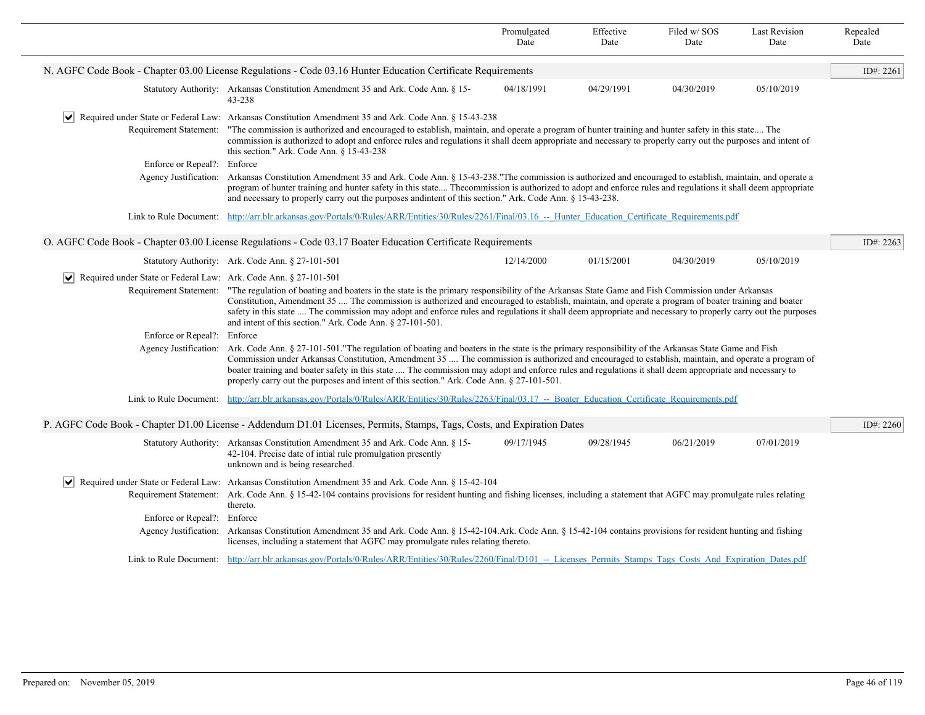|                                                                                                              |                                                                                                                                                                                                                                                                                                                                                                                                                                                                                                                                                                 | Promulgated<br>Date | Effective<br>Date | Filed w/ SOS<br>Date | Last Revision<br>Date | Repealed<br>Date |  |  |
|--------------------------------------------------------------------------------------------------------------|-----------------------------------------------------------------------------------------------------------------------------------------------------------------------------------------------------------------------------------------------------------------------------------------------------------------------------------------------------------------------------------------------------------------------------------------------------------------------------------------------------------------------------------------------------------------|---------------------|-------------------|----------------------|-----------------------|------------------|--|--|
| N. AGFC Code Book - Chapter 03.00 License Regulations - Code 03.16 Hunter Education Certificate Requirements |                                                                                                                                                                                                                                                                                                                                                                                                                                                                                                                                                                 |                     |                   |                      |                       |                  |  |  |
|                                                                                                              | Statutory Authority: Arkansas Constitution Amendment 35 and Ark. Code Ann. § 15-<br>43-238                                                                                                                                                                                                                                                                                                                                                                                                                                                                      | 04/18/1991          | 04/29/1991        | 04/30/2019           | 05/10/2019            |                  |  |  |
| $ \vee $                                                                                                     | Required under State or Federal Law: Arkansas Constitution Amendment 35 and Ark. Code Ann. § 15-43-238                                                                                                                                                                                                                                                                                                                                                                                                                                                          |                     |                   |                      |                       |                  |  |  |
| Requirement Statement:                                                                                       | "The commission is authorized and encouraged to establish, maintain, and operate a program of hunter training and hunter safety in this state The<br>commission is authorized to adopt and enforce rules and regulations it shall deem appropriate and necessary to properly carry out the purposes and intent of<br>this section." Ark. Code Ann. § 15-43-238                                                                                                                                                                                                  |                     |                   |                      |                       |                  |  |  |
| Enforce or Repeal?: Enforce                                                                                  |                                                                                                                                                                                                                                                                                                                                                                                                                                                                                                                                                                 |                     |                   |                      |                       |                  |  |  |
| Agency Justification:                                                                                        | Arkansas Constitution Amendment 35 and Ark. Code Ann. § 15-43-238."The commission is authorized and encouraged to establish, maintain, and operate a<br>program of hunter training and hunter safety in this state Thecommission is authorized to adopt and enforce rules and regulations it shall deem appropriate<br>and necessary to properly carry out the purposes and intent of this section." Ark. Code Ann. § 15-43-238.                                                                                                                                |                     |                   |                      |                       |                  |  |  |
| Link to Rule Document:                                                                                       | http://arr.blr.arkansas.gov/Portals/0/Rules/ARR/Entities/30/Rules/2261/Final/03.16 -- Hunter Education Certificate Requirements.pdf                                                                                                                                                                                                                                                                                                                                                                                                                             |                     |                   |                      |                       |                  |  |  |
|                                                                                                              | O. AGFC Code Book - Chapter 03.00 License Regulations - Code 03.17 Boater Education Certificate Requirements                                                                                                                                                                                                                                                                                                                                                                                                                                                    |                     |                   |                      |                       | ID#: 2263        |  |  |
|                                                                                                              | Statutory Authority: Ark. Code Ann. § 27-101-501                                                                                                                                                                                                                                                                                                                                                                                                                                                                                                                | 12/14/2000          | 01/15/2001        | 04/30/2019           | 05/10/2019            |                  |  |  |
| Required under State or Federal Law: Ark. Code Ann. § 27-101-501                                             |                                                                                                                                                                                                                                                                                                                                                                                                                                                                                                                                                                 |                     |                   |                      |                       |                  |  |  |
|                                                                                                              | Requirement Statement: "The regulation of boating and boaters in the state is the primary responsibility of the Arkansas State Game and Fish Commission under Arkansas<br>Constitution, Amendment 35  The commission is authorized and encouraged to establish, maintain, and operate a program of boater training and boater<br>safety in this state  The commission may adopt and enforce rules and regulations it shall deem appropriate and necessary to properly carry out the purposes<br>and intent of this section." Ark. Code Ann. § 27-101-501.       |                     |                   |                      |                       |                  |  |  |
| Enforce or Repeal?:                                                                                          | Enforce                                                                                                                                                                                                                                                                                                                                                                                                                                                                                                                                                         |                     |                   |                      |                       |                  |  |  |
| Agency Justification:                                                                                        | Ark. Code Ann. § 27-101-501. "The regulation of boating and boaters in the state is the primary responsibility of the Arkansas State Game and Fish<br>Commission under Arkansas Constitution, Amendment 35  The commission is authorized and encouraged to establish, maintain, and operate a program of<br>boater training and boater safety in this state  The commission may adopt and enforce rules and regulations it shall deem appropriate and necessary to<br>properly carry out the purposes and intent of this section." Ark. Code Ann. § 27-101-501. |                     |                   |                      |                       |                  |  |  |
|                                                                                                              | Link to Rule Document: http://arr.blr.arkansas.gov/Portals/0/Rules/ARR/Entities/30/Rules/2263/Final/03.17 -- Boater Education Certificate Requirements.pdf                                                                                                                                                                                                                                                                                                                                                                                                      |                     |                   |                      |                       |                  |  |  |
|                                                                                                              | P. AGFC Code Book - Chapter D1.00 License - Addendum D1.01 Licenses, Permits, Stamps, Tags, Costs, and Expiration Dates                                                                                                                                                                                                                                                                                                                                                                                                                                         |                     |                   |                      |                       | ID#: 2260        |  |  |
|                                                                                                              | Statutory Authority: Arkansas Constitution Amendment 35 and Ark. Code Ann. § 15-<br>42-104. Precise date of intial rule promulgation presently<br>unknown and is being researched.                                                                                                                                                                                                                                                                                                                                                                              | 09/17/1945          | 09/28/1945        | 06/21/2019           | 07/01/2019            |                  |  |  |
| $ \bm{\mathsf{v}} $                                                                                          | Required under State or Federal Law: Arkansas Constitution Amendment 35 and Ark. Code Ann. § 15-42-104                                                                                                                                                                                                                                                                                                                                                                                                                                                          |                     |                   |                      |                       |                  |  |  |
|                                                                                                              | Requirement Statement: Ark. Code Ann. § 15-42-104 contains provisions for resident hunting and fishing licenses, including a statement that AGFC may promulgate rules relating<br>thereto.                                                                                                                                                                                                                                                                                                                                                                      |                     |                   |                      |                       |                  |  |  |
| Enforce or Repeal?:                                                                                          | Enforce                                                                                                                                                                                                                                                                                                                                                                                                                                                                                                                                                         |                     |                   |                      |                       |                  |  |  |
| Agency Justification:                                                                                        | Arkansas Constitution Amendment 35 and Ark. Code Ann. § 15-42-104.Ark. Code Ann. § 15-42-104 contains provisions for resident hunting and fishing<br>licenses, including a statement that AGFC may promulgate rules relating thereto.                                                                                                                                                                                                                                                                                                                           |                     |                   |                      |                       |                  |  |  |
|                                                                                                              | Link to Rule Document: http://arr.blr.arkansas.gov/Portals/0/Rules/ARR/Entities/30/Rules/2260/Final/D101 -- Licenses Permits Stamps Tags Costs And Expiration Dates.pdf                                                                                                                                                                                                                                                                                                                                                                                         |                     |                   |                      |                       |                  |  |  |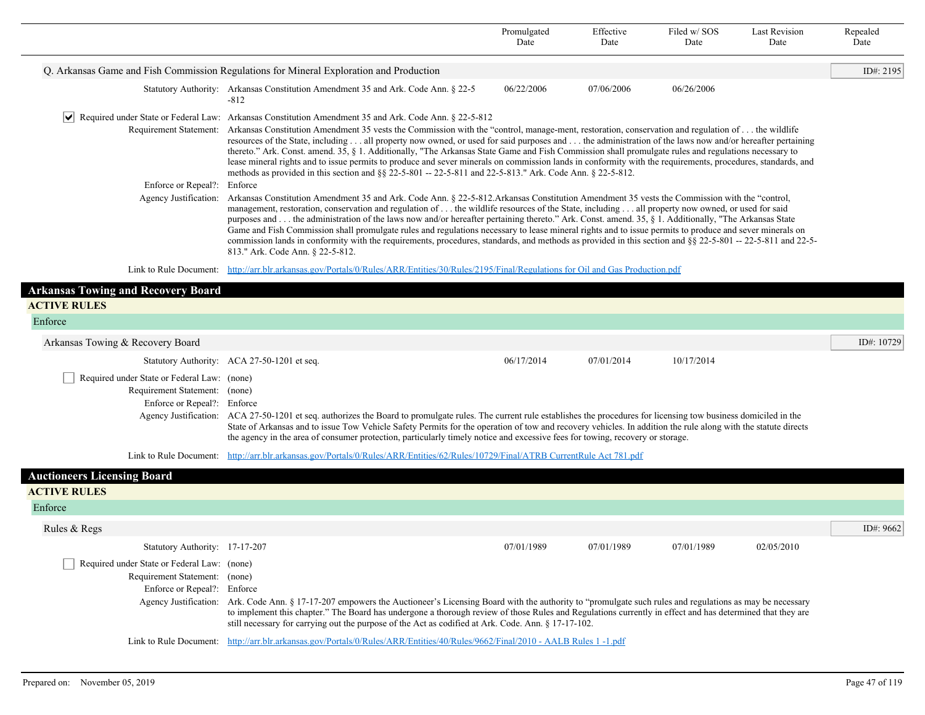|                                                                                                             |                                                                                                                                                                                                                                                                                                                                                                                                                                                                                                                                                                                                                                                                                                                                                                                                                                             | Promulgated<br>Date | Effective<br>Date | Filed w/SOS<br>Date | <b>Last Revision</b><br>Date | Repealed<br>Date |  |  |
|-------------------------------------------------------------------------------------------------------------|---------------------------------------------------------------------------------------------------------------------------------------------------------------------------------------------------------------------------------------------------------------------------------------------------------------------------------------------------------------------------------------------------------------------------------------------------------------------------------------------------------------------------------------------------------------------------------------------------------------------------------------------------------------------------------------------------------------------------------------------------------------------------------------------------------------------------------------------|---------------------|-------------------|---------------------|------------------------------|------------------|--|--|
|                                                                                                             | Q. Arkansas Game and Fish Commission Regulations for Mineral Exploration and Production                                                                                                                                                                                                                                                                                                                                                                                                                                                                                                                                                                                                                                                                                                                                                     |                     |                   |                     |                              | ID#: 2195        |  |  |
|                                                                                                             | Statutory Authority: Arkansas Constitution Amendment 35 and Ark. Code Ann. § 22-5<br>$-812$                                                                                                                                                                                                                                                                                                                                                                                                                                                                                                                                                                                                                                                                                                                                                 | 06/22/2006          | 07/06/2006        | 06/26/2006          |                              |                  |  |  |
| $ \vee $                                                                                                    | Required under State or Federal Law: Arkansas Constitution Amendment 35 and Ark. Code Ann. § 22-5-812                                                                                                                                                                                                                                                                                                                                                                                                                                                                                                                                                                                                                                                                                                                                       |                     |                   |                     |                              |                  |  |  |
|                                                                                                             | Requirement Statement: Arkansas Constitution Amendment 35 vests the Commission with the "control, manage-ment, restoration, conservation and regulation of the wildlife<br>resources of the State, including all property now owned, or used for said purposes and the administration of the laws now and/or hereafter pertaining<br>thereto." Ark. Const. amend. 35, § 1. Additionally, "The Arkansas State Game and Fish Commission shall promulgate rules and regulations necessary to<br>lease mineral rights and to issue permits to produce and sever minerals on commission lands in conformity with the requirements, procedures, standards, and<br>methods as provided in this section and §§ 22-5-801 -- 22-5-811 and 22-5-813." Ark. Code Ann. § 22-5-812.                                                                       |                     |                   |                     |                              |                  |  |  |
| Enforce or Repeal?: Enforce                                                                                 |                                                                                                                                                                                                                                                                                                                                                                                                                                                                                                                                                                                                                                                                                                                                                                                                                                             |                     |                   |                     |                              |                  |  |  |
|                                                                                                             | Agency Justification: Arkansas Constitution Amendment 35 and Ark. Code Ann. § 22-5-812. Arkansas Constitution Amendment 35 vests the Commission with the "control,<br>management, restoration, conservation and regulation of  the wildlife resources of the State, including  all property now owned, or used for said<br>purposes and the administration of the laws now and/or hereafter pertaining thereto." Ark. Const. amend. 35, § 1. Additionally, "The Arkansas State<br>Game and Fish Commission shall promulgate rules and regulations necessary to lease mineral rights and to issue permits to produce and sever minerals on<br>commission lands in conformity with the requirements, procedures, standards, and methods as provided in this section and §§ 22-5-801 -- 22-5-811 and 22-5-<br>813." Ark. Code Ann. § 22-5-812. |                     |                   |                     |                              |                  |  |  |
|                                                                                                             | Link to Rule Document: http://arr.blr.arkansas.gov/Portals/0/Rules/ARR/Entities/30/Rules/2195/Final/Regulations for Oil and Gas Production.pdf                                                                                                                                                                                                                                                                                                                                                                                                                                                                                                                                                                                                                                                                                              |                     |                   |                     |                              |                  |  |  |
| <b>Arkansas Towing and Recovery Board</b>                                                                   |                                                                                                                                                                                                                                                                                                                                                                                                                                                                                                                                                                                                                                                                                                                                                                                                                                             |                     |                   |                     |                              |                  |  |  |
| <b>ACTIVE RULES</b>                                                                                         |                                                                                                                                                                                                                                                                                                                                                                                                                                                                                                                                                                                                                                                                                                                                                                                                                                             |                     |                   |                     |                              |                  |  |  |
| Enforce                                                                                                     |                                                                                                                                                                                                                                                                                                                                                                                                                                                                                                                                                                                                                                                                                                                                                                                                                                             |                     |                   |                     |                              |                  |  |  |
| Arkansas Towing & Recovery Board                                                                            |                                                                                                                                                                                                                                                                                                                                                                                                                                                                                                                                                                                                                                                                                                                                                                                                                                             |                     |                   |                     |                              | ID#: 10729       |  |  |
|                                                                                                             | Statutory Authority: ACA 27-50-1201 et seq.                                                                                                                                                                                                                                                                                                                                                                                                                                                                                                                                                                                                                                                                                                                                                                                                 | 06/17/2014          | 07/01/2014        | 10/17/2014          |                              |                  |  |  |
| Required under State or Federal Law: (none)<br>Requirement Statement: (none)<br>Enforce or Repeal?: Enforce | Agency Justification: ACA 27-50-1201 et seq. authorizes the Board to promulgate rules. The current rule establishes the procedures for licensing tow business domiciled in the<br>State of Arkansas and to issue Tow Vehicle Safety Permits for the operation of tow and recovery vehicles. In addition the rule along with the statute directs<br>the agency in the area of consumer protection, particularly timely notice and excessive fees for towing, recovery or storage.                                                                                                                                                                                                                                                                                                                                                            |                     |                   |                     |                              |                  |  |  |
|                                                                                                             | Link to Rule Document: http://arr.blr.arkansas.gov/Portals/0/Rules/ARR/Entities/62/Rules/10729/Final/ATRB CurrentRule Act 781.pdf                                                                                                                                                                                                                                                                                                                                                                                                                                                                                                                                                                                                                                                                                                           |                     |                   |                     |                              |                  |  |  |
| <b>Auctioneers Licensing Board</b>                                                                          |                                                                                                                                                                                                                                                                                                                                                                                                                                                                                                                                                                                                                                                                                                                                                                                                                                             |                     |                   |                     |                              |                  |  |  |
| <b>ACTIVE RULES</b>                                                                                         |                                                                                                                                                                                                                                                                                                                                                                                                                                                                                                                                                                                                                                                                                                                                                                                                                                             |                     |                   |                     |                              |                  |  |  |
| Enforce                                                                                                     |                                                                                                                                                                                                                                                                                                                                                                                                                                                                                                                                                                                                                                                                                                                                                                                                                                             |                     |                   |                     |                              |                  |  |  |
| Rules & Regs                                                                                                |                                                                                                                                                                                                                                                                                                                                                                                                                                                                                                                                                                                                                                                                                                                                                                                                                                             |                     |                   |                     |                              | ID#: 9662        |  |  |
| Statutory Authority: 17-17-207                                                                              |                                                                                                                                                                                                                                                                                                                                                                                                                                                                                                                                                                                                                                                                                                                                                                                                                                             | 07/01/1989          | 07/01/1989        | 07/01/1989          | 02/05/2010                   |                  |  |  |
| Required under State or Federal Law: (none)<br>Requirement Statement: (none)<br>Enforce or Repeal?: Enforce | Agency Justification: Ark. Code Ann. § 17-17-207 empowers the Auctioneer's Licensing Board with the authority to "promulgate such rules and regulations as may be necessary<br>to implement this chapter." The Board has undergone a thorough review of those Rules and Regulations currently in effect and has determined that they are                                                                                                                                                                                                                                                                                                                                                                                                                                                                                                    |                     |                   |                     |                              |                  |  |  |
|                                                                                                             | still necessary for carrying out the purpose of the Act as codified at Ark. Code. Ann. § 17-17-102.<br>Link to Rule Document: http://arr.blr.arkansas.gov/Portals/0/Rules/ARR/Entities/40/Rules/9662/Final/2010 - AALB Rules 1 -1.pdf                                                                                                                                                                                                                                                                                                                                                                                                                                                                                                                                                                                                       |                     |                   |                     |                              |                  |  |  |
|                                                                                                             |                                                                                                                                                                                                                                                                                                                                                                                                                                                                                                                                                                                                                                                                                                                                                                                                                                             |                     |                   |                     |                              |                  |  |  |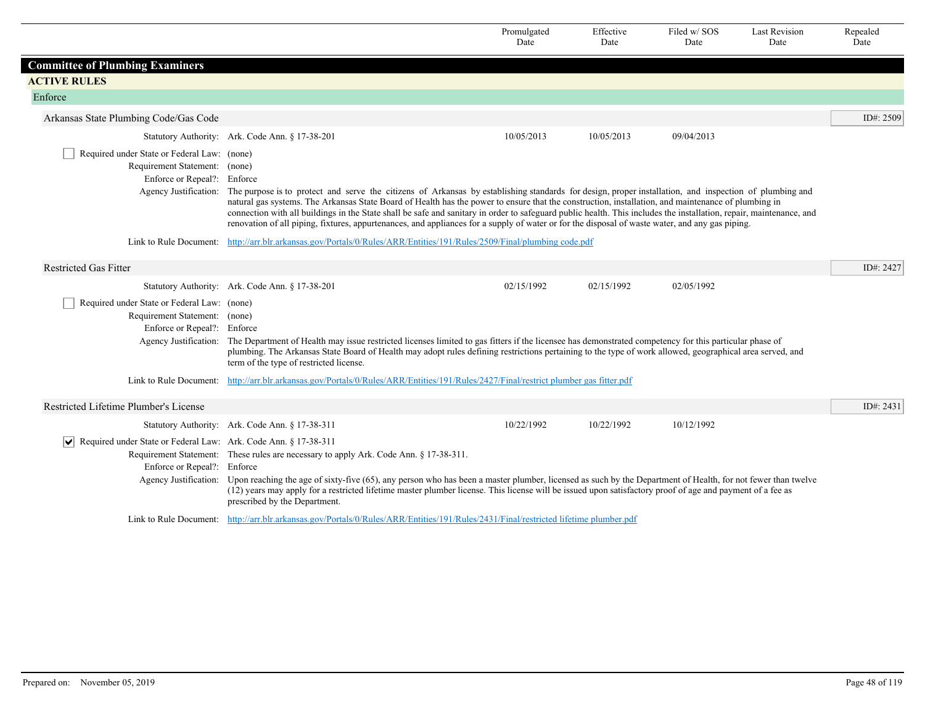|                                                                                                                  |                                                                                                                                                                                                                                                                                                                                                                                                                                                                               | Promulgated<br>Date | Effective<br>Date | Filed w/SOS<br>Date | <b>Last Revision</b><br>Date | Repealed<br>Date |
|------------------------------------------------------------------------------------------------------------------|-------------------------------------------------------------------------------------------------------------------------------------------------------------------------------------------------------------------------------------------------------------------------------------------------------------------------------------------------------------------------------------------------------------------------------------------------------------------------------|---------------------|-------------------|---------------------|------------------------------|------------------|
| <b>Committee of Plumbing Examiners</b>                                                                           |                                                                                                                                                                                                                                                                                                                                                                                                                                                                               |                     |                   |                     |                              |                  |
| <b>ACTIVE RULES</b>                                                                                              |                                                                                                                                                                                                                                                                                                                                                                                                                                                                               |                     |                   |                     |                              |                  |
| Enforce                                                                                                          |                                                                                                                                                                                                                                                                                                                                                                                                                                                                               |                     |                   |                     |                              |                  |
| Arkansas State Plumbing Code/Gas Code                                                                            |                                                                                                                                                                                                                                                                                                                                                                                                                                                                               |                     |                   |                     |                              | ID#: 2509        |
|                                                                                                                  | Statutory Authority: Ark. Code Ann. § 17-38-201                                                                                                                                                                                                                                                                                                                                                                                                                               | 10/05/2013          | 10/05/2013        | 09/04/2013          |                              |                  |
| Required under State or Federal Law: (none)<br>Requirement Statement: (none)<br>Enforce or Repeal?: Enforce      | Agency Justification: The purpose is to protect and serve the citizens of Arkansas by establishing standards for design, proper installation, and inspection of plumbing and                                                                                                                                                                                                                                                                                                  |                     |                   |                     |                              |                  |
|                                                                                                                  | natural gas systems. The Arkansas State Board of Health has the power to ensure that the construction, installation, and maintenance of plumbing in<br>connection with all buildings in the State shall be safe and sanitary in order to safeguard public health. This includes the installation, repair, maintenance, and<br>renovation of all piping, fixtures, appurtenances, and appliances for a supply of water or for the disposal of waste water, and any gas piping. |                     |                   |                     |                              |                  |
|                                                                                                                  | Link to Rule Document: http://arr.blr.arkansas.gov/Portals/0/Rules/ARR/Entities/191/Rules/2509/Final/plumbing code.pdf                                                                                                                                                                                                                                                                                                                                                        |                     |                   |                     |                              |                  |
| <b>Restricted Gas Fitter</b>                                                                                     |                                                                                                                                                                                                                                                                                                                                                                                                                                                                               |                     |                   |                     |                              | ID#: 2427        |
|                                                                                                                  | Statutory Authority: Ark. Code Ann. § 17-38-201                                                                                                                                                                                                                                                                                                                                                                                                                               | 02/15/1992          | 02/15/1992        | 02/05/1992          |                              |                  |
| Required under State or Federal Law: (none)<br>Requirement Statement: (none)<br>Enforce or Repeal?: Enforce      |                                                                                                                                                                                                                                                                                                                                                                                                                                                                               |                     |                   |                     |                              |                  |
|                                                                                                                  | Agency Justification: The Department of Health may issue restricted licenses limited to gas fitters if the licensee has demonstrated competency for this particular phase of<br>plumbing. The Arkansas State Board of Health may adopt rules defining restrictions pertaining to the type of work allowed, geographical area served, and<br>term of the type of restricted license.                                                                                           |                     |                   |                     |                              |                  |
|                                                                                                                  | Link to Rule Document: http://arr.blr.arkansas.gov/Portals/0/Rules/ARR/Entities/191/Rules/2427/Final/restrict plumber gas fitter.pdf                                                                                                                                                                                                                                                                                                                                          |                     |                   |                     |                              |                  |
| Restricted Lifetime Plumber's License                                                                            |                                                                                                                                                                                                                                                                                                                                                                                                                                                                               |                     |                   |                     |                              | ID#: 2431        |
|                                                                                                                  | Statutory Authority: Ark. Code Ann. § 17-38-311                                                                                                                                                                                                                                                                                                                                                                                                                               | 10/22/1992          | 10/22/1992        | 10/12/1992          |                              |                  |
| $ \mathbf{v} $<br>Required under State or Federal Law: Ark. Code Ann. § 17-38-311<br>Enforce or Repeal?: Enforce | Requirement Statement: These rules are necessary to apply Ark. Code Ann. § 17-38-311.<br>Agency Justification: Upon reaching the age of sixty-five (65), any person who has been a master plumber, licensed as such by the Department of Health, for not fewer than twelve<br>(12) years may apply for a restricted lifetime master plumber license. This license will be issued upon satisfactory proof of age and payment of a fee as<br>prescribed by the Department.      |                     |                   |                     |                              |                  |
|                                                                                                                  | Link to Rule Document: http://arr.blr.arkansas.gov/Portals/0/Rules/ARR/Entities/191/Rules/2431/Final/restricted lifetime plumber.pdf                                                                                                                                                                                                                                                                                                                                          |                     |                   |                     |                              |                  |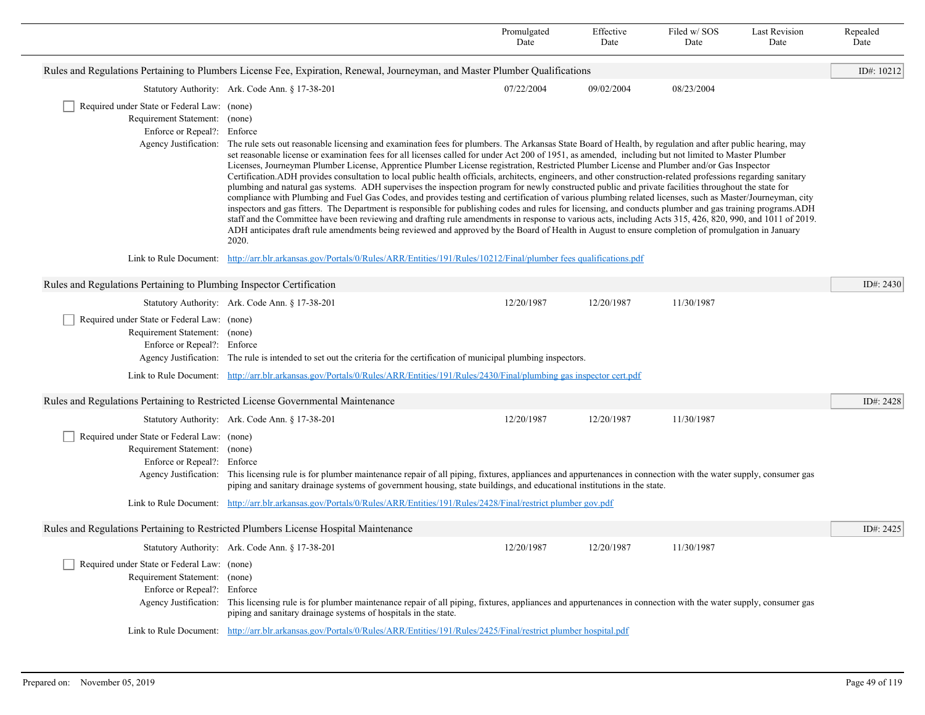|                                                                                                                                       |                                                                                                                                                                                                                                                                                                                                                                                                                                                                                                                                                                                                                                                                                                                                                                                                                                                                                                                                                                                                                                                                                                                                                                                                                                                                                                                                                                                                                                                     | Promulgated<br>Date                                                                                                                                                                                                                                                                                            | Effective<br>Date | Filed w/SOS<br>Date | <b>Last Revision</b><br>Date | Repealed<br>Date |  |
|---------------------------------------------------------------------------------------------------------------------------------------|-----------------------------------------------------------------------------------------------------------------------------------------------------------------------------------------------------------------------------------------------------------------------------------------------------------------------------------------------------------------------------------------------------------------------------------------------------------------------------------------------------------------------------------------------------------------------------------------------------------------------------------------------------------------------------------------------------------------------------------------------------------------------------------------------------------------------------------------------------------------------------------------------------------------------------------------------------------------------------------------------------------------------------------------------------------------------------------------------------------------------------------------------------------------------------------------------------------------------------------------------------------------------------------------------------------------------------------------------------------------------------------------------------------------------------------------------------|----------------------------------------------------------------------------------------------------------------------------------------------------------------------------------------------------------------------------------------------------------------------------------------------------------------|-------------------|---------------------|------------------------------|------------------|--|
|                                                                                                                                       | Rules and Regulations Pertaining to Plumbers License Fee, Expiration, Renewal, Journeyman, and Master Plumber Qualifications                                                                                                                                                                                                                                                                                                                                                                                                                                                                                                                                                                                                                                                                                                                                                                                                                                                                                                                                                                                                                                                                                                                                                                                                                                                                                                                        |                                                                                                                                                                                                                                                                                                                |                   |                     |                              | ID#: 10212       |  |
|                                                                                                                                       | Statutory Authority: Ark. Code Ann. § 17-38-201                                                                                                                                                                                                                                                                                                                                                                                                                                                                                                                                                                                                                                                                                                                                                                                                                                                                                                                                                                                                                                                                                                                                                                                                                                                                                                                                                                                                     | 07/22/2004                                                                                                                                                                                                                                                                                                     | 09/02/2004        | 08/23/2004          |                              |                  |  |
| Required under State or Federal Law: (none)<br>Requirement Statement: (none)<br>Enforce or Repeal?: Enforce<br>Agency Justification:  | The rule sets out reasonable licensing and examination fees for plumbers. The Arkansas State Board of Health, by regulation and after public hearing, may<br>set reasonable license or examination fees for all licenses called for under Act 200 of 1951, as amended, including but not limited to Master Plumber<br>Licenses, Journeyman Plumber License, Apprentice Plumber License registration, Restricted Plumber License and Plumber and/or Gas Inspector<br>Certification.ADH provides consultation to local public health officials, architects, engineers, and other construction-related professions regarding sanitary<br>plumbing and natural gas systems. ADH supervises the inspection program for newly constructed public and private facilities throughout the state for<br>compliance with Plumbing and Fuel Gas Codes, and provides testing and certification of various plumbing related licenses, such as Master/Journeyman, city<br>inspectors and gas fitters. The Department is responsible for publishing codes and rules for licensing, and conducts plumber and gas training programs. ADH<br>staff and the Committee have been reviewing and drafting rule amendments in response to various acts, including Acts 315, 426, 820, 990, and 1011 of 2019.<br>ADH anticipates draft rule amendments being reviewed and approved by the Board of Health in August to ensure completion of promulgation in January<br>2020. |                                                                                                                                                                                                                                                                                                                |                   |                     |                              |                  |  |
| Link to Rule Document: http://arr.blr.arkansas.gov/Portals/0/Rules/ARR/Entities/191/Rules/10212/Final/plumber fees qualifications.pdf |                                                                                                                                                                                                                                                                                                                                                                                                                                                                                                                                                                                                                                                                                                                                                                                                                                                                                                                                                                                                                                                                                                                                                                                                                                                                                                                                                                                                                                                     |                                                                                                                                                                                                                                                                                                                |                   |                     |                              |                  |  |
| Rules and Regulations Pertaining to Plumbing Inspector Certification                                                                  |                                                                                                                                                                                                                                                                                                                                                                                                                                                                                                                                                                                                                                                                                                                                                                                                                                                                                                                                                                                                                                                                                                                                                                                                                                                                                                                                                                                                                                                     |                                                                                                                                                                                                                                                                                                                |                   |                     |                              | ID#: $2430$      |  |
|                                                                                                                                       | Statutory Authority: Ark. Code Ann. § 17-38-201                                                                                                                                                                                                                                                                                                                                                                                                                                                                                                                                                                                                                                                                                                                                                                                                                                                                                                                                                                                                                                                                                                                                                                                                                                                                                                                                                                                                     | 12/20/1987                                                                                                                                                                                                                                                                                                     | 12/20/1987        | 11/30/1987          |                              |                  |  |
| Required under State or Federal Law: (none)<br>Requirement Statement: (none)<br>Enforce or Repeal?: Enforce                           | Agency Justification: The rule is intended to set out the criteria for the certification of municipal plumbing inspectors.<br>Link to Rule Document: http://arr.blr.arkansas.gov/Portals/0/Rules/ARR/Entities/191/Rules/2430/Final/plumbing gas inspector cert.pdf                                                                                                                                                                                                                                                                                                                                                                                                                                                                                                                                                                                                                                                                                                                                                                                                                                                                                                                                                                                                                                                                                                                                                                                  |                                                                                                                                                                                                                                                                                                                |                   |                     |                              |                  |  |
| Rules and Regulations Pertaining to Restricted License Governmental Maintenance                                                       |                                                                                                                                                                                                                                                                                                                                                                                                                                                                                                                                                                                                                                                                                                                                                                                                                                                                                                                                                                                                                                                                                                                                                                                                                                                                                                                                                                                                                                                     |                                                                                                                                                                                                                                                                                                                |                   |                     |                              | ID#: 2428        |  |
|                                                                                                                                       | Statutory Authority: Ark. Code Ann. § 17-38-201                                                                                                                                                                                                                                                                                                                                                                                                                                                                                                                                                                                                                                                                                                                                                                                                                                                                                                                                                                                                                                                                                                                                                                                                                                                                                                                                                                                                     | 12/20/1987                                                                                                                                                                                                                                                                                                     | 12/20/1987        | 11/30/1987          |                              |                  |  |
| Required under State or Federal Law: (none)<br>Requirement Statement: (none)<br>Enforce or Repeal?: Enforce                           |                                                                                                                                                                                                                                                                                                                                                                                                                                                                                                                                                                                                                                                                                                                                                                                                                                                                                                                                                                                                                                                                                                                                                                                                                                                                                                                                                                                                                                                     | Agency Justification: This licensing rule is for plumber maintenance repair of all piping, fixtures, appliances and appurtenances in connection with the water supply, consumer gas<br>piping and sanitary drainage systems of government housing, state buildings, and educational institutions in the state. |                   |                     |                              |                  |  |
|                                                                                                                                       | Link to Rule Document: http://arr.blr.arkansas.gov/Portals/0/Rules/ARR/Entities/191/Rules/2428/Final/restrict plumber gov.pdf                                                                                                                                                                                                                                                                                                                                                                                                                                                                                                                                                                                                                                                                                                                                                                                                                                                                                                                                                                                                                                                                                                                                                                                                                                                                                                                       |                                                                                                                                                                                                                                                                                                                |                   |                     |                              |                  |  |
|                                                                                                                                       | Rules and Regulations Pertaining to Restricted Plumbers License Hospital Maintenance                                                                                                                                                                                                                                                                                                                                                                                                                                                                                                                                                                                                                                                                                                                                                                                                                                                                                                                                                                                                                                                                                                                                                                                                                                                                                                                                                                |                                                                                                                                                                                                                                                                                                                |                   |                     |                              | ID#: 2425        |  |
|                                                                                                                                       | Statutory Authority: Ark. Code Ann. § 17-38-201                                                                                                                                                                                                                                                                                                                                                                                                                                                                                                                                                                                                                                                                                                                                                                                                                                                                                                                                                                                                                                                                                                                                                                                                                                                                                                                                                                                                     | 12/20/1987                                                                                                                                                                                                                                                                                                     | 12/20/1987        | 11/30/1987          |                              |                  |  |
| Required under State or Federal Law: (none)<br>Requirement Statement: (none)<br>Enforce or Repeal?: Enforce                           | Agency Justification: This licensing rule is for plumber maintenance repair of all piping, fixtures, appliances and appurtenances in connection with the water supply, consumer gas<br>piping and sanitary drainage systems of hospitals in the state.                                                                                                                                                                                                                                                                                                                                                                                                                                                                                                                                                                                                                                                                                                                                                                                                                                                                                                                                                                                                                                                                                                                                                                                              |                                                                                                                                                                                                                                                                                                                |                   |                     |                              |                  |  |
|                                                                                                                                       | Link to Rule Document: http://arr.blr.arkansas.gov/Portals/0/Rules/ARR/Entities/191/Rules/2425/Final/restrict plumber hospital.pdf                                                                                                                                                                                                                                                                                                                                                                                                                                                                                                                                                                                                                                                                                                                                                                                                                                                                                                                                                                                                                                                                                                                                                                                                                                                                                                                  |                                                                                                                                                                                                                                                                                                                |                   |                     |                              |                  |  |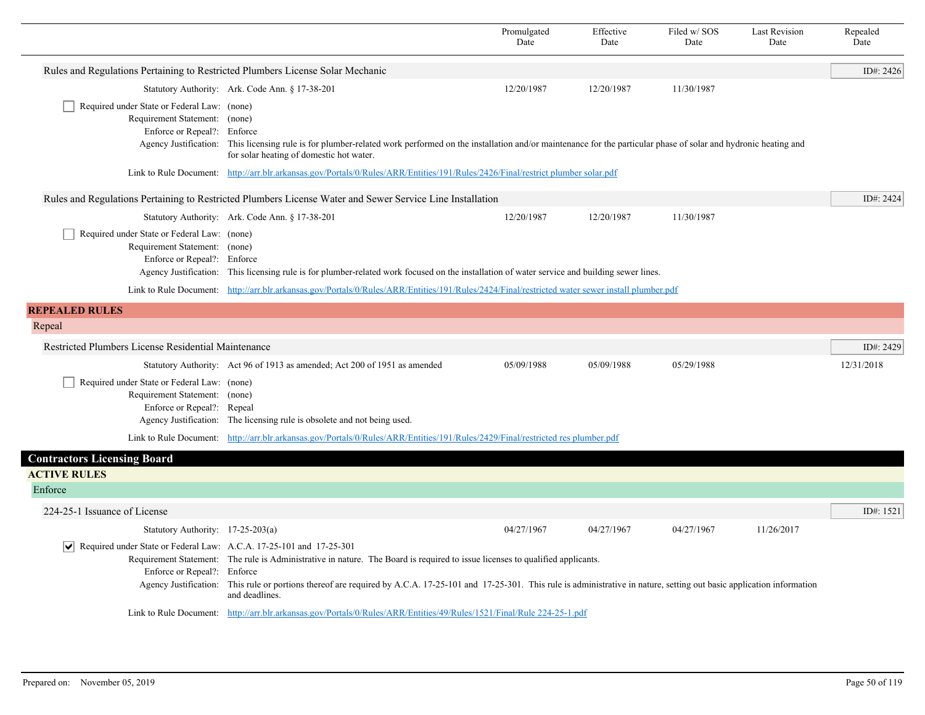|                                                                                                                   |                                                                                                                                                                                                                                                                                                                                         | Promulgated<br>Date | Effective<br>Date | Filed w/SOS<br>Date | <b>Last Revision</b><br>Date | Repealed<br>Date |
|-------------------------------------------------------------------------------------------------------------------|-----------------------------------------------------------------------------------------------------------------------------------------------------------------------------------------------------------------------------------------------------------------------------------------------------------------------------------------|---------------------|-------------------|---------------------|------------------------------|------------------|
| Rules and Regulations Pertaining to Restricted Plumbers License Solar Mechanic                                    |                                                                                                                                                                                                                                                                                                                                         |                     |                   |                     |                              | ID#: 2426        |
|                                                                                                                   | Statutory Authority: Ark. Code Ann. § 17-38-201                                                                                                                                                                                                                                                                                         | 12/20/1987          | 12/20/1987        | 11/30/1987          |                              |                  |
| Required under State or Federal Law: (none)<br>Requirement Statement: (none)<br>Enforce or Repeal?: Enforce       | Agency Justification: This licensing rule is for plumber-related work performed on the installation and/or maintenance for the particular phase of solar and hydronic heating and<br>for solar heating of domestic hot water.                                                                                                           |                     |                   |                     |                              |                  |
|                                                                                                                   | Link to Rule Document: http://arr.blr.arkansas.gov/Portals/0/Rules/ARR/Entities/191/Rules/2426/Final/restrict plumber solar.pdf                                                                                                                                                                                                         |                     |                   |                     |                              |                  |
|                                                                                                                   | Rules and Regulations Pertaining to Restricted Plumbers License Water and Sewer Service Line Installation                                                                                                                                                                                                                               |                     |                   |                     |                              | ID#: 2424        |
|                                                                                                                   | Statutory Authority: Ark. Code Ann. § 17-38-201                                                                                                                                                                                                                                                                                         | 12/20/1987          | 12/20/1987        | 11/30/1987          |                              |                  |
| Required under State or Federal Law: (none)<br>Requirement Statement: (none)<br>Enforce or Repeal?: Enforce       | Agency Justification: This licensing rule is for plumber-related work focused on the installation of water service and building sewer lines.                                                                                                                                                                                            |                     |                   |                     |                              |                  |
|                                                                                                                   | Link to Rule Document: http://arr.blr.arkansas.gov/Portals/0/Rules/ARR/Entities/191/Rules/2424/Final/restricted water sewer install plumber.pdf                                                                                                                                                                                         |                     |                   |                     |                              |                  |
| <b>REPEALED RULES</b>                                                                                             |                                                                                                                                                                                                                                                                                                                                         |                     |                   |                     |                              |                  |
| Repeal                                                                                                            |                                                                                                                                                                                                                                                                                                                                         |                     |                   |                     |                              |                  |
| Restricted Plumbers License Residential Maintenance                                                               |                                                                                                                                                                                                                                                                                                                                         |                     |                   |                     |                              | ID#: 2429        |
|                                                                                                                   | Statutory Authority: Act 96 of 1913 as amended; Act 200 of 1951 as amended                                                                                                                                                                                                                                                              | 05/09/1988          | 05/09/1988        | 05/29/1988          |                              | 12/31/2018       |
| Required under State or Federal Law: (none)<br>Requirement Statement: (none)<br>Enforce or Repeal?: Repeal        | Agency Justification: The licensing rule is obsolete and not being used.                                                                                                                                                                                                                                                                |                     |                   |                     |                              |                  |
|                                                                                                                   | Link to Rule Document: http://arr.blr.arkansas.gov/Portals/0/Rules/ARR/Entities/191/Rules/2429/Final/restricted res plumber.pdf                                                                                                                                                                                                         |                     |                   |                     |                              |                  |
| <b>Contractors Licensing Board</b>                                                                                |                                                                                                                                                                                                                                                                                                                                         |                     |                   |                     |                              |                  |
| <b>ACTIVE RULES</b>                                                                                               |                                                                                                                                                                                                                                                                                                                                         |                     |                   |                     |                              |                  |
| Enforce                                                                                                           |                                                                                                                                                                                                                                                                                                                                         |                     |                   |                     |                              |                  |
| 224-25-1 Issuance of License                                                                                      |                                                                                                                                                                                                                                                                                                                                         |                     |                   |                     |                              | ID#: 1521        |
| Statutory Authority: 17-25-203(a)                                                                                 |                                                                                                                                                                                                                                                                                                                                         | 04/27/1967          | 04/27/1967        | 04/27/1967          | 11/26/2017                   |                  |
| $ \mathbf{v} $ Required under State or Federal Law: A.C.A. 17-25-101 and 17-25-301<br>Enforce or Repeal?: Enforce | Requirement Statement: The rule is Administrative in nature. The Board is required to issue licenses to qualified applicants.<br>Agency Justification: This rule or portions thereof are required by A.C.A. 17-25-101 and 17-25-301. This rule is administrative in nature, setting out basic application information<br>and deadlines. |                     |                   |                     |                              |                  |
|                                                                                                                   | Link to Rule Document: http://arr.blr.arkansas.gov/Portals/0/Rules/ARR/Entities/49/Rules/1521/Final/Rule 224-25-1.pdf                                                                                                                                                                                                                   |                     |                   |                     |                              |                  |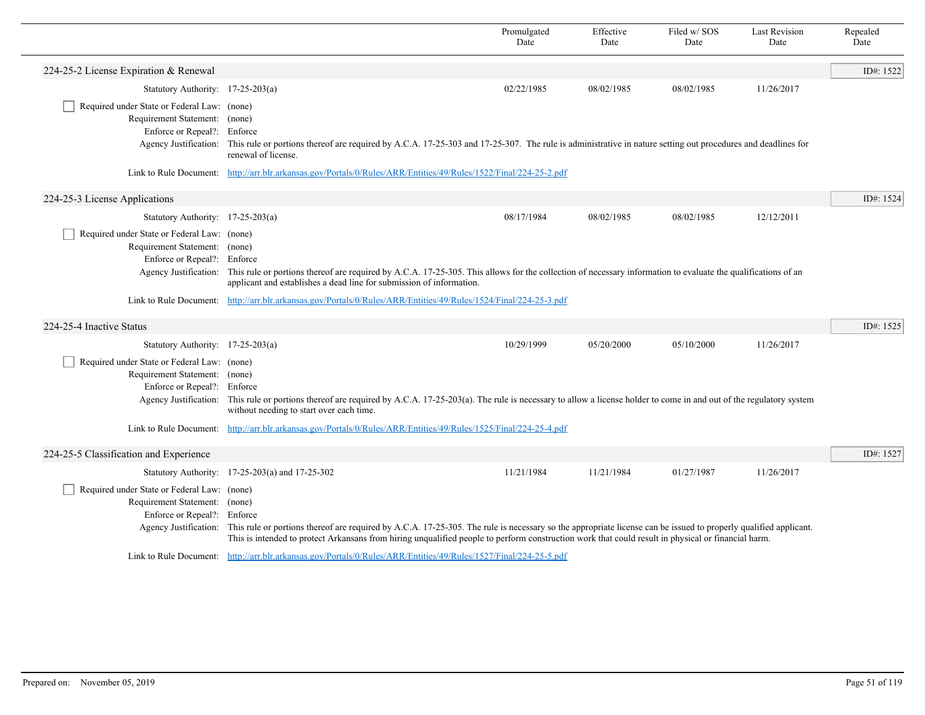|                                                                                                                                      |                                                                                                                                                                                                                                                                                                                       | Promulgated<br>Date | Effective<br>Date | Filed w/SOS<br>Date | <b>Last Revision</b><br>Date | Repealed<br>Date |
|--------------------------------------------------------------------------------------------------------------------------------------|-----------------------------------------------------------------------------------------------------------------------------------------------------------------------------------------------------------------------------------------------------------------------------------------------------------------------|---------------------|-------------------|---------------------|------------------------------|------------------|
| 224-25-2 License Expiration & Renewal                                                                                                |                                                                                                                                                                                                                                                                                                                       |                     |                   |                     |                              | ID#: 1522        |
| Statutory Authority: 17-25-203(a)                                                                                                    |                                                                                                                                                                                                                                                                                                                       | 02/22/1985          | 08/02/1985        | 08/02/1985          | 11/26/2017                   |                  |
| Required under State or Federal Law: (none)<br>Requirement Statement: (none)<br>Enforce or Repeal?: Enforce<br>Agency Justification: | This rule or portions thereof are required by A.C.A. 17-25-303 and 17-25-307. The rule is administrative in nature setting out procedures and deadlines for<br>renewal of license.                                                                                                                                    |                     |                   |                     |                              |                  |
|                                                                                                                                      | Link to Rule Document: http://arr.blr.arkansas.gov/Portals/0/Rules/ARR/Entities/49/Rules/1522/Final/224-25-2.pdf                                                                                                                                                                                                      |                     |                   |                     |                              |                  |
| 224-25-3 License Applications                                                                                                        |                                                                                                                                                                                                                                                                                                                       |                     |                   |                     |                              | ID#: 1524        |
| Statutory Authority: 17-25-203(a)                                                                                                    |                                                                                                                                                                                                                                                                                                                       | 08/17/1984          | 08/02/1985        | 08/02/1985          | 12/12/2011                   |                  |
| Required under State or Federal Law: (none)<br>Requirement Statement: (none)<br>Enforce or Repeal?: Enforce                          | Agency Justification: This rule or portions thereof are required by A.C.A. 17-25-305. This allows for the collection of necessary information to evaluate the qualifications of an<br>applicant and establishes a dead line for submission of information.                                                            |                     |                   |                     |                              |                  |
| Link to Rule Document:                                                                                                               | http://arr.blr.arkansas.gov/Portals/0/Rules/ARR/Entities/49/Rules/1524/Final/224-25-3.pdf                                                                                                                                                                                                                             |                     |                   |                     |                              |                  |
| 224-25-4 Inactive Status                                                                                                             |                                                                                                                                                                                                                                                                                                                       |                     |                   |                     |                              | ID#: 1525        |
| Statutory Authority: 17-25-203(a)                                                                                                    |                                                                                                                                                                                                                                                                                                                       | 10/29/1999          | 05/20/2000        | 05/10/2000          | 11/26/2017                   |                  |
| Required under State or Federal Law: (none)<br>Requirement Statement: (none)<br>Enforce or Repeal?: Enforce                          | Agency Justification: This rule or portions thereof are required by A.C.A. 17-25-203(a). The rule is necessary to allow a license holder to come in and out of the regulatory system<br>without needing to start over each time.                                                                                      |                     |                   |                     |                              |                  |
|                                                                                                                                      | Link to Rule Document: http://arr.blr.arkansas.gov/Portals/0/Rules/ARR/Entities/49/Rules/1525/Final/224-25-4.pdf                                                                                                                                                                                                      |                     |                   |                     |                              |                  |
| 224-25-5 Classification and Experience                                                                                               |                                                                                                                                                                                                                                                                                                                       |                     |                   |                     |                              | ID#: 1527        |
|                                                                                                                                      | Statutory Authority: 17-25-203(a) and 17-25-302                                                                                                                                                                                                                                                                       | 11/21/1984          | 11/21/1984        | 01/27/1987          | 11/26/2017                   |                  |
| Required under State or Federal Law: (none)<br>Requirement Statement: (none)<br>Enforce or Repeal?: Enforce<br>Agency Justification: | This rule or portions thereof are required by A.C.A. 17-25-305. The rule is necessary so the appropriate license can be issued to properly qualified applicant.<br>This is intended to protect Arkansans from hiring unqualified people to perform construction work that could result in physical or financial harm. |                     |                   |                     |                              |                  |
|                                                                                                                                      | Link to Rule Document: http://arr.blr.arkansas.gov/Portals/0/Rules/ARR/Entities/49/Rules/1527/Final/224-25-5.pdf                                                                                                                                                                                                      |                     |                   |                     |                              |                  |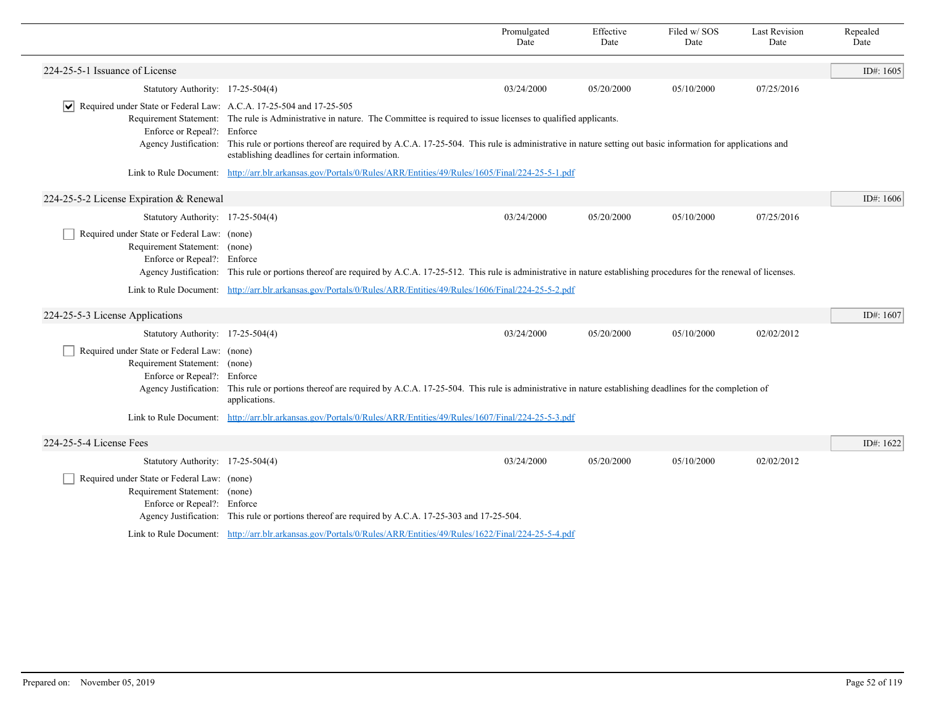|                                                                                                             |                                                                                                                                                                                                                                   | Promulgated<br>Date                                                                                                                                                      | Effective<br>Date | Filed w/SOS<br>Date | <b>Last Revision</b><br>Date | Repealed<br>Date |  |  |
|-------------------------------------------------------------------------------------------------------------|-----------------------------------------------------------------------------------------------------------------------------------------------------------------------------------------------------------------------------------|--------------------------------------------------------------------------------------------------------------------------------------------------------------------------|-------------------|---------------------|------------------------------|------------------|--|--|
| 224-25-5-1 Issuance of License                                                                              |                                                                                                                                                                                                                                   |                                                                                                                                                                          |                   |                     |                              | ID#: 1605        |  |  |
| Statutory Authority: 17-25-504(4)                                                                           |                                                                                                                                                                                                                                   | 03/24/2000                                                                                                                                                               | 05/20/2000        | 05/10/2000          | 07/25/2016                   |                  |  |  |
| $ \mathbf{v} $ Required under State or Federal Law: A.C.A. 17-25-504 and 17-25-505                          |                                                                                                                                                                                                                                   |                                                                                                                                                                          |                   |                     |                              |                  |  |  |
| Enforce or Repeal?: Enforce                                                                                 | Requirement Statement: The rule is Administrative in nature. The Committee is required to issue licenses to qualified applicants.                                                                                                 |                                                                                                                                                                          |                   |                     |                              |                  |  |  |
|                                                                                                             | Agency Justification: This rule or portions thereof are required by A.C.A. 17-25-504. This rule is administrative in nature setting out basic information for applications and<br>establishing deadlines for certain information. |                                                                                                                                                                          |                   |                     |                              |                  |  |  |
|                                                                                                             | Link to Rule Document: http://arr.blr.arkansas.gov/Portals/0/Rules/ARR/Entities/49/Rules/1605/Final/224-25-5-1.pdf                                                                                                                |                                                                                                                                                                          |                   |                     |                              |                  |  |  |
| 224-25-5-2 License Expiration & Renewal                                                                     |                                                                                                                                                                                                                                   |                                                                                                                                                                          |                   |                     |                              | ID#: 1606        |  |  |
| Statutory Authority: 17-25-504(4)                                                                           |                                                                                                                                                                                                                                   | 03/24/2000                                                                                                                                                               | 05/20/2000        | 05/10/2000          | 07/25/2016                   |                  |  |  |
| Required under State or Federal Law: (none)<br>Requirement Statement: (none)<br>Enforce or Repeal?: Enforce | Agency Justification: This rule or portions thereof are required by A.C.A. 17-25-512. This rule is administrative in nature establishing procedures for the renewal of licenses.                                                  |                                                                                                                                                                          |                   |                     |                              |                  |  |  |
|                                                                                                             | Link to Rule Document: http://arr.blr.arkansas.gov/Portals/0/Rules/ARR/Entities/49/Rules/1606/Final/224-25-5-2.pdf                                                                                                                |                                                                                                                                                                          |                   |                     |                              |                  |  |  |
| 224-25-5-3 License Applications                                                                             |                                                                                                                                                                                                                                   |                                                                                                                                                                          |                   |                     |                              | ID#: 1607        |  |  |
| Statutory Authority: 17-25-504(4)                                                                           |                                                                                                                                                                                                                                   | 03/24/2000                                                                                                                                                               | 05/20/2000        | 05/10/2000          | 02/02/2012                   |                  |  |  |
| Required under State or Federal Law: (none)<br>Requirement Statement: (none)<br>Enforce or Repeal?: Enforce | applications.                                                                                                                                                                                                                     | Agency Justification: This rule or portions thereof are required by A.C.A. 17-25-504. This rule is administrative in nature establishing deadlines for the completion of |                   |                     |                              |                  |  |  |
|                                                                                                             | Link to Rule Document: http://arr.blr.arkansas.gov/Portals/0/Rules/ARR/Entities/49/Rules/1607/Final/224-25-5-3.pdf                                                                                                                |                                                                                                                                                                          |                   |                     |                              |                  |  |  |
| 224-25-5-4 License Fees                                                                                     |                                                                                                                                                                                                                                   |                                                                                                                                                                          |                   |                     |                              | ID#: 1622        |  |  |
| Statutory Authority: 17-25-504(4)                                                                           |                                                                                                                                                                                                                                   | 03/24/2000                                                                                                                                                               | 05/20/2000        | 05/10/2000          | 02/02/2012                   |                  |  |  |
| Required under State or Federal Law: (none)<br>Requirement Statement: (none)<br>Enforce or Repeal?: Enforce | Agency Justification: This rule or portions thereof are required by A.C.A. 17-25-303 and 17-25-504.                                                                                                                               |                                                                                                                                                                          |                   |                     |                              |                  |  |  |
|                                                                                                             | Link to Rule Document: http://arr.blr.arkansas.gov/Portals/0/Rules/ARR/Entities/49/Rules/1622/Final/224-25-5-4.pdf                                                                                                                |                                                                                                                                                                          |                   |                     |                              |                  |  |  |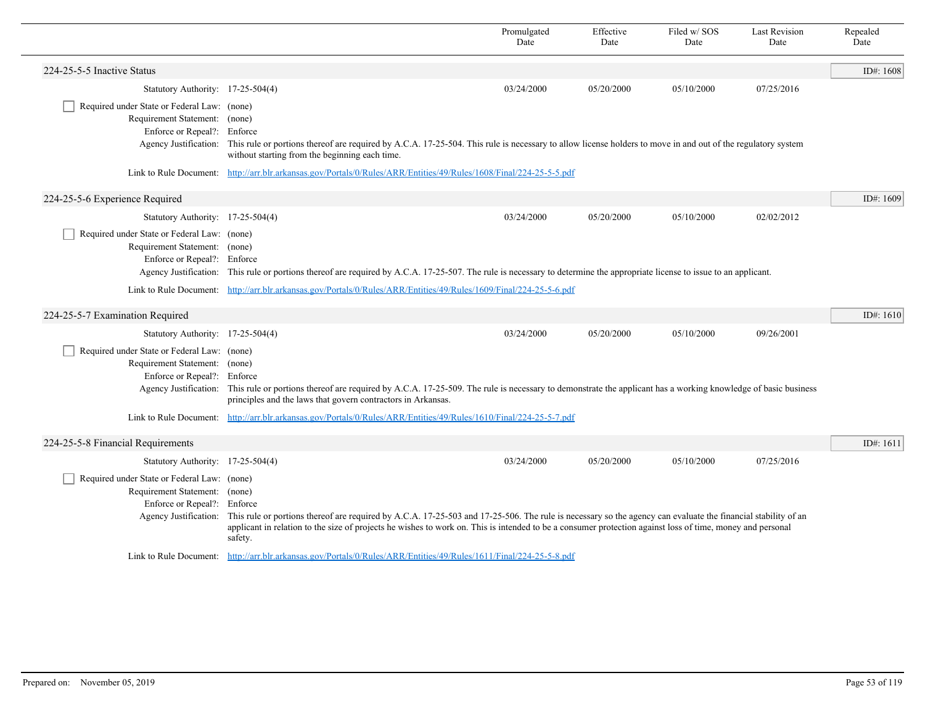|                                                                                                                                      |                                                                                                                                                                                                                                                                                                                                      | Promulgated<br>Date | Effective<br>Date | Filed w/SOS<br>Date | <b>Last Revision</b><br>Date | Repealed<br>Date |
|--------------------------------------------------------------------------------------------------------------------------------------|--------------------------------------------------------------------------------------------------------------------------------------------------------------------------------------------------------------------------------------------------------------------------------------------------------------------------------------|---------------------|-------------------|---------------------|------------------------------|------------------|
| 224-25-5-5 Inactive Status                                                                                                           |                                                                                                                                                                                                                                                                                                                                      |                     |                   |                     |                              | ID#: 1608        |
| Statutory Authority: 17-25-504(4)                                                                                                    |                                                                                                                                                                                                                                                                                                                                      | 03/24/2000          | 05/20/2000        | 05/10/2000          | 07/25/2016                   |                  |
| Required under State or Federal Law: (none)<br>Requirement Statement: (none)<br>Enforce or Repeal?: Enforce                          | Agency Justification: This rule or portions thereof are required by A.C.A. 17-25-504. This rule is necessary to allow license holders to move in and out of the regulatory system<br>without starting from the beginning each time.                                                                                                  |                     |                   |                     |                              |                  |
|                                                                                                                                      | Link to Rule Document: http://arr.blr.arkansas.gov/Portals/0/Rules/ARR/Entities/49/Rules/1608/Final/224-25-5-5.pdf                                                                                                                                                                                                                   |                     |                   |                     |                              |                  |
| 224-25-5-6 Experience Required                                                                                                       |                                                                                                                                                                                                                                                                                                                                      |                     |                   |                     |                              | ID#: 1609        |
| Statutory Authority: 17-25-504(4)                                                                                                    |                                                                                                                                                                                                                                                                                                                                      | 03/24/2000          | 05/20/2000        | 05/10/2000          | 02/02/2012                   |                  |
| Required under State or Federal Law: (none)<br>Requirement Statement: (none)<br>Enforce or Repeal?: Enforce                          | Agency Justification: This rule or portions thereof are required by A.C.A. 17-25-507. The rule is necessary to determine the appropriate license to issue to an applicant.                                                                                                                                                           |                     |                   |                     |                              |                  |
|                                                                                                                                      | Link to Rule Document: http://arr.blr.arkansas.gov/Portals/0/Rules/ARR/Entities/49/Rules/1609/Final/224-25-5-6.pdf                                                                                                                                                                                                                   |                     |                   |                     |                              |                  |
| 224-25-5-7 Examination Required                                                                                                      |                                                                                                                                                                                                                                                                                                                                      |                     |                   |                     |                              | ID#: $1610$      |
| Statutory Authority: 17-25-504(4)                                                                                                    |                                                                                                                                                                                                                                                                                                                                      | 03/24/2000          | 05/20/2000        | 05/10/2000          | 09/26/2001                   |                  |
| Required under State or Federal Law: (none)<br>Requirement Statement: (none)<br>Enforce or Repeal?: Enforce                          | Agency Justification: This rule or portions thereof are required by A.C.A. 17-25-509. The rule is necessary to demonstrate the applicant has a working knowledge of basic business<br>principles and the laws that govern contractors in Arkansas.                                                                                   |                     |                   |                     |                              |                  |
|                                                                                                                                      | Link to Rule Document: http://arr.blr.arkansas.gov/Portals/0/Rules/ARR/Entities/49/Rules/1610/Final/224-25-5-7.pdf                                                                                                                                                                                                                   |                     |                   |                     |                              |                  |
| 224-25-5-8 Financial Requirements                                                                                                    |                                                                                                                                                                                                                                                                                                                                      |                     |                   |                     |                              | ID#: 1611        |
| Statutory Authority: 17-25-504(4)                                                                                                    |                                                                                                                                                                                                                                                                                                                                      | 03/24/2000          | 05/20/2000        | 05/10/2000          | 07/25/2016                   |                  |
| Required under State or Federal Law: (none)<br>Requirement Statement: (none)<br>Enforce or Repeal?: Enforce<br>Agency Justification: | This rule or portions thereof are required by A.C.A. 17-25-503 and 17-25-506. The rule is necessary so the agency can evaluate the financial stability of an<br>applicant in relation to the size of projects he wishes to work on. This is intended to be a consumer protection against loss of time, money and personal<br>safety. |                     |                   |                     |                              |                  |
|                                                                                                                                      | Link to Rule Document: http://arr.blr.arkansas.gov/Portals/0/Rules/ARR/Entities/49/Rules/1611/Final/224-25-5-8.pdf                                                                                                                                                                                                                   |                     |                   |                     |                              |                  |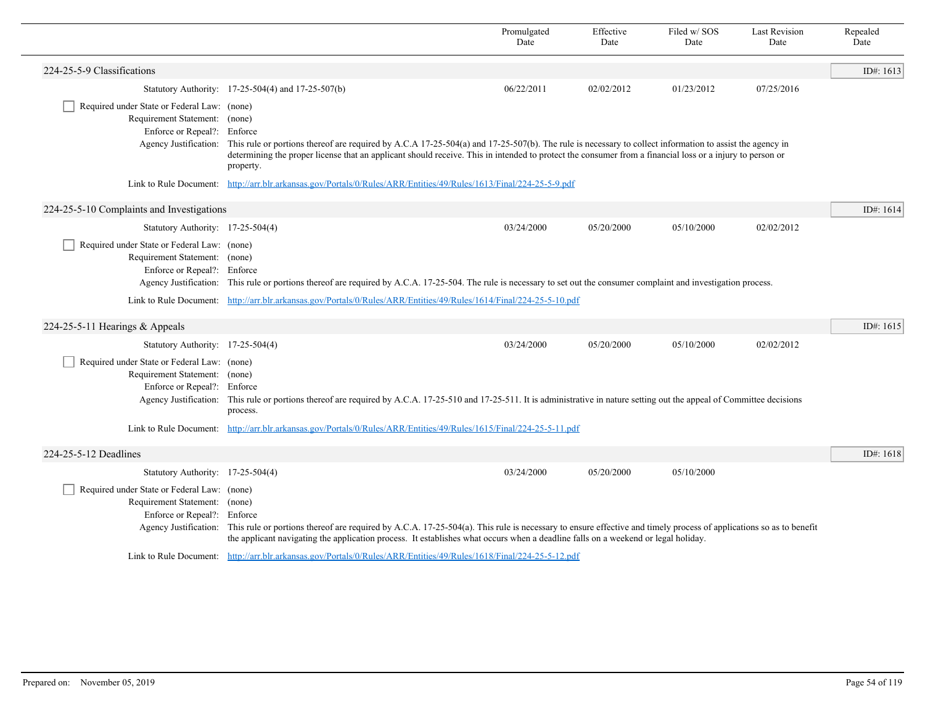|                                                                                                                                      |                                                                                                                                                                                                                                                                                                                                                        | Promulgated<br>Date                                                                                                                                                                                                                                                               | Effective<br>Date | Filed w/SOS<br>Date | <b>Last Revision</b><br>Date | Repealed<br>Date |  |  |
|--------------------------------------------------------------------------------------------------------------------------------------|--------------------------------------------------------------------------------------------------------------------------------------------------------------------------------------------------------------------------------------------------------------------------------------------------------------------------------------------------------|-----------------------------------------------------------------------------------------------------------------------------------------------------------------------------------------------------------------------------------------------------------------------------------|-------------------|---------------------|------------------------------|------------------|--|--|
| 224-25-5-9 Classifications                                                                                                           |                                                                                                                                                                                                                                                                                                                                                        |                                                                                                                                                                                                                                                                                   |                   |                     |                              | ID#: 1613        |  |  |
|                                                                                                                                      | Statutory Authority: 17-25-504(4) and 17-25-507(b)                                                                                                                                                                                                                                                                                                     | 06/22/2011                                                                                                                                                                                                                                                                        | 02/02/2012        | 01/23/2012          | 07/25/2016                   |                  |  |  |
| Required under State or Federal Law: (none)<br>Requirement Statement: (none)<br>Enforce or Repeal?: Enforce                          | Agency Justification: This rule or portions thereof are required by A.C.A 17-25-504(a) and 17-25-507(b). The rule is necessary to collect information to assist the agency in<br>determining the proper license that an applicant should receive. This in intended to protect the consumer from a financial loss or a injury to person or<br>property. |                                                                                                                                                                                                                                                                                   |                   |                     |                              |                  |  |  |
|                                                                                                                                      | Link to Rule Document: http://arr.blr.arkansas.gov/Portals/0/Rules/ARR/Entities/49/Rules/1613/Final/224-25-5-9.pdf                                                                                                                                                                                                                                     |                                                                                                                                                                                                                                                                                   |                   |                     |                              |                  |  |  |
| 224-25-5-10 Complaints and Investigations                                                                                            |                                                                                                                                                                                                                                                                                                                                                        |                                                                                                                                                                                                                                                                                   |                   |                     |                              | ID#: $1614$      |  |  |
| Statutory Authority: 17-25-504(4)                                                                                                    |                                                                                                                                                                                                                                                                                                                                                        | 03/24/2000                                                                                                                                                                                                                                                                        | 05/20/2000        | 05/10/2000          | 02/02/2012                   |                  |  |  |
| Required under State or Federal Law: (none)<br>Requirement Statement: (none)<br>Enforce or Repeal?: Enforce                          | Agency Justification: This rule or portions thereof are required by A.C.A. 17-25-504. The rule is necessary to set out the consumer complaint and investigation process.                                                                                                                                                                               |                                                                                                                                                                                                                                                                                   |                   |                     |                              |                  |  |  |
|                                                                                                                                      | Link to Rule Document: http://arr.blr.arkansas.gov/Portals/0/Rules/ARR/Entities/49/Rules/1614/Final/224-25-5-10.pdf                                                                                                                                                                                                                                    |                                                                                                                                                                                                                                                                                   |                   |                     |                              |                  |  |  |
| 224-25-5-11 Hearings $&$ Appeals                                                                                                     |                                                                                                                                                                                                                                                                                                                                                        |                                                                                                                                                                                                                                                                                   |                   |                     |                              | ID#: $1615$      |  |  |
| Statutory Authority: 17-25-504(4)                                                                                                    |                                                                                                                                                                                                                                                                                                                                                        | 03/24/2000                                                                                                                                                                                                                                                                        | 05/20/2000        | 05/10/2000          | 02/02/2012                   |                  |  |  |
| Required under State or Federal Law: (none)<br>Requirement Statement: (none)<br>Enforce or Repeal?: Enforce<br>Agency Justification: | process.                                                                                                                                                                                                                                                                                                                                               | This rule or portions thereof are required by A.C.A. 17-25-510 and 17-25-511. It is administrative in nature setting out the appeal of Committee decisions<br>Link to Rule Document: http://arr.blr.arkansas.gov/Portals/0/Rules/ARR/Entities/49/Rules/1615/Final/224-25-5-11.pdf |                   |                     |                              |                  |  |  |
| 224-25-5-12 Deadlines                                                                                                                |                                                                                                                                                                                                                                                                                                                                                        |                                                                                                                                                                                                                                                                                   |                   |                     |                              | ID#: $1618$      |  |  |
| Statutory Authority: 17-25-504(4)                                                                                                    |                                                                                                                                                                                                                                                                                                                                                        | 03/24/2000                                                                                                                                                                                                                                                                        | 05/20/2000        | 05/10/2000          |                              |                  |  |  |
| Required under State or Federal Law: (none)<br>Requirement Statement: (none)<br>Enforce or Repeal?: Enforce                          | Agency Justification: This rule or portions thereof are required by A.C.A. 17-25-504(a). This rule is necessary to ensure effective and timely process of applications so as to benefit<br>the applicant navigating the application process. It establishes what occurs when a deadline falls on a weekend or legal holiday.                           |                                                                                                                                                                                                                                                                                   |                   |                     |                              |                  |  |  |
|                                                                                                                                      | Link to Rule Document: http://arr.blr.arkansas.gov/Portals/0/Rules/ARR/Entities/49/Rules/1618/Final/224-25-5-12.pdf                                                                                                                                                                                                                                    |                                                                                                                                                                                                                                                                                   |                   |                     |                              |                  |  |  |

 $\overline{\phantom{0}}$ 

Ē,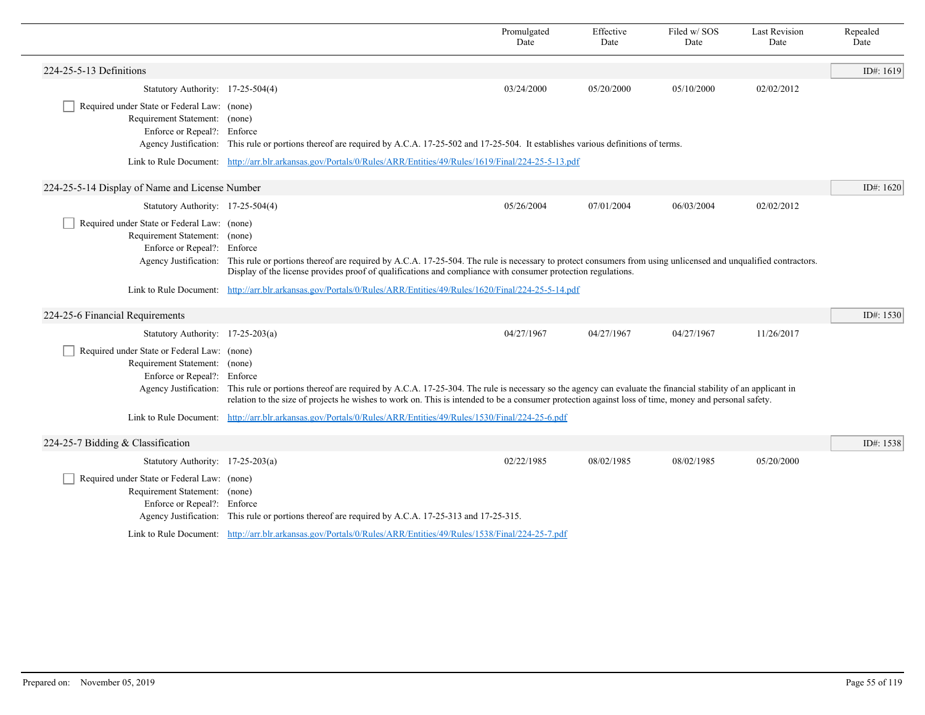|                                                                                                             |                                                                                                                                                                                                                                                                                                                                           | Promulgated<br>Date | Effective<br>Date | Filed w/SOS<br>Date | <b>Last Revision</b><br>Date | Repealed<br>Date |  |
|-------------------------------------------------------------------------------------------------------------|-------------------------------------------------------------------------------------------------------------------------------------------------------------------------------------------------------------------------------------------------------------------------------------------------------------------------------------------|---------------------|-------------------|---------------------|------------------------------|------------------|--|
| 224-25-5-13 Definitions                                                                                     |                                                                                                                                                                                                                                                                                                                                           |                     |                   |                     |                              | ID#: 1619        |  |
| Statutory Authority: 17-25-504(4)                                                                           |                                                                                                                                                                                                                                                                                                                                           | 03/24/2000          | 05/20/2000        | 05/10/2000          | 02/02/2012                   |                  |  |
| Required under State or Federal Law: (none)<br>Requirement Statement: (none)<br>Enforce or Repeal?: Enforce | Agency Justification: This rule or portions thereof are required by A.C.A. 17-25-502 and 17-25-504. It establishes various definitions of terms.                                                                                                                                                                                          |                     |                   |                     |                              |                  |  |
|                                                                                                             | Link to Rule Document: http://arr.blr.arkansas.gov/Portals/0/Rules/ARR/Entities/49/Rules/1619/Final/224-25-5-13.pdf                                                                                                                                                                                                                       |                     |                   |                     |                              |                  |  |
| 224-25-5-14 Display of Name and License Number                                                              |                                                                                                                                                                                                                                                                                                                                           |                     |                   |                     |                              | ID#: 1620        |  |
| Statutory Authority: 17-25-504(4)                                                                           |                                                                                                                                                                                                                                                                                                                                           | 05/26/2004          | 07/01/2004        | 06/03/2004          | 02/02/2012                   |                  |  |
| Required under State or Federal Law: (none)<br>Requirement Statement: (none)<br>Enforce or Repeal?: Enforce | Agency Justification: This rule or portions thereof are required by A.C.A. 17-25-504. The rule is necessary to protect consumers from using unlicensed and unqualified contractors.<br>Display of the license provides proof of qualifications and compliance with consumer protection regulations.                                       |                     |                   |                     |                              |                  |  |
|                                                                                                             | Link to Rule Document: http://arr.blr.arkansas.gov/Portals/0/Rules/ARR/Entities/49/Rules/1620/Final/224-25-5-14.pdf                                                                                                                                                                                                                       |                     |                   |                     |                              |                  |  |
| 224-25-6 Financial Requirements                                                                             |                                                                                                                                                                                                                                                                                                                                           |                     |                   |                     |                              | ID#: 1530        |  |
| Statutory Authority: 17-25-203(a)                                                                           |                                                                                                                                                                                                                                                                                                                                           | 04/27/1967          | 04/27/1967        | 04/27/1967          | 11/26/2017                   |                  |  |
| Required under State or Federal Law: (none)<br>Requirement Statement: (none)<br>Enforce or Repeal?: Enforce | Agency Justification: This rule or portions thereof are required by A.C.A. 17-25-304. The rule is necessary so the agency can evaluate the financial stability of an applicant in<br>relation to the size of projects he wishes to work on. This is intended to be a consumer protection against loss of time, money and personal safety. |                     |                   |                     |                              |                  |  |
|                                                                                                             | Link to Rule Document: http://arr.blr.arkansas.gov/Portals/0/Rules/ARR/Entities/49/Rules/1530/Final/224-25-6.pdf                                                                                                                                                                                                                          |                     |                   |                     |                              |                  |  |
| 224-25-7 Bidding & Classification                                                                           |                                                                                                                                                                                                                                                                                                                                           |                     |                   |                     |                              | ID#: 1538        |  |
| Statutory Authority: $17-25-203(a)$                                                                         |                                                                                                                                                                                                                                                                                                                                           | 02/22/1985          | 08/02/1985        | 08/02/1985          | 05/20/2000                   |                  |  |
| Required under State or Federal Law: (none)<br>Requirement Statement: (none)<br>Enforce or Repeal?: Enforce | Agency Justification: This rule or portions thereof are required by A.C.A. 17-25-313 and 17-25-315.                                                                                                                                                                                                                                       |                     |                   |                     |                              |                  |  |
|                                                                                                             | Link to Rule Document: http://arr.blr.arkansas.gov/Portals/0/Rules/ARR/Entities/49/Rules/1538/Final/224-25-7.pdf                                                                                                                                                                                                                          |                     |                   |                     |                              |                  |  |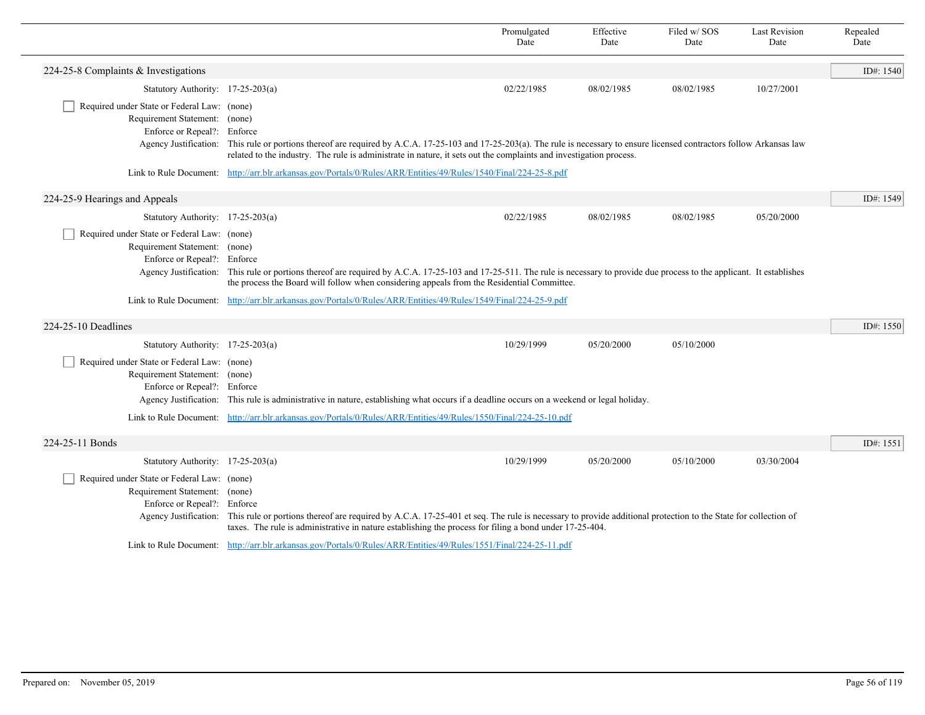|                                                                                                                                      |                                                                                                                                                                                                                                                                                                       | Promulgated<br>Date                                                                                              | Effective<br>Date | Filed w/SOS<br>Date | <b>Last Revision</b><br>Date | Repealed<br>Date |  |  |
|--------------------------------------------------------------------------------------------------------------------------------------|-------------------------------------------------------------------------------------------------------------------------------------------------------------------------------------------------------------------------------------------------------------------------------------------------------|------------------------------------------------------------------------------------------------------------------|-------------------|---------------------|------------------------------|------------------|--|--|
| 224-25-8 Complaints & Investigations                                                                                                 |                                                                                                                                                                                                                                                                                                       |                                                                                                                  |                   |                     |                              | ID#: 1540        |  |  |
| Statutory Authority: $17-25-203(a)$                                                                                                  |                                                                                                                                                                                                                                                                                                       | 02/22/1985                                                                                                       | 08/02/1985        | 08/02/1985          | 10/27/2001                   |                  |  |  |
| Required under State or Federal Law: (none)<br>Requirement Statement: (none)<br>Enforce or Repeal?: Enforce                          | Agency Justification: This rule or portions thereof are required by A.C.A. 17-25-103 and 17-25-203(a). The rule is necessary to ensure licensed contractors follow Arkansas law<br>related to the industry. The rule is administrate in nature, it sets out the complaints and investigation process. |                                                                                                                  |                   |                     |                              |                  |  |  |
|                                                                                                                                      |                                                                                                                                                                                                                                                                                                       | Link to Rule Document: http://arr.blr.arkansas.gov/Portals/0/Rules/ARR/Entities/49/Rules/1540/Final/224-25-8.pdf |                   |                     |                              |                  |  |  |
| 224-25-9 Hearings and Appeals                                                                                                        |                                                                                                                                                                                                                                                                                                       |                                                                                                                  |                   |                     |                              | ID#: 1549        |  |  |
| Statutory Authority: $17-25-203(a)$                                                                                                  |                                                                                                                                                                                                                                                                                                       | 02/22/1985                                                                                                       | 08/02/1985        | 08/02/1985          | 05/20/2000                   |                  |  |  |
| Required under State or Federal Law: (none)<br>Requirement Statement: (none)<br>Enforce or Repeal?: Enforce                          | Agency Justification: This rule or portions thereof are required by A.C.A. 17-25-103 and 17-25-511. The rule is necessary to provide due process to the applicant. It establishes<br>the process the Board will follow when considering appeals from the Residential Committee.                       |                                                                                                                  |                   |                     |                              |                  |  |  |
|                                                                                                                                      | Link to Rule Document: http://arr.blr.arkansas.gov/Portals/0/Rules/ARR/Entities/49/Rules/1549/Final/224-25-9.pdf                                                                                                                                                                                      |                                                                                                                  |                   |                     |                              |                  |  |  |
| 224-25-10 Deadlines                                                                                                                  |                                                                                                                                                                                                                                                                                                       |                                                                                                                  |                   |                     |                              | ID#: 1550        |  |  |
| Statutory Authority: 17-25-203(a)                                                                                                    |                                                                                                                                                                                                                                                                                                       | 10/29/1999                                                                                                       | 05/20/2000        | 05/10/2000          |                              |                  |  |  |
| Required under State or Federal Law: (none)<br>Requirement Statement: (none)<br>Enforce or Repeal?: Enforce                          | Agency Justification: This rule is administrative in nature, establishing what occurs if a deadline occurs on a weekend or legal holiday.                                                                                                                                                             |                                                                                                                  |                   |                     |                              |                  |  |  |
|                                                                                                                                      | Link to Rule Document: http://arr.blr.arkansas.gov/Portals/0/Rules/ARR/Entities/49/Rules/1550/Final/224-25-10.pdf                                                                                                                                                                                     |                                                                                                                  |                   |                     |                              |                  |  |  |
| 224-25-11 Bonds                                                                                                                      |                                                                                                                                                                                                                                                                                                       |                                                                                                                  |                   |                     |                              | ID#: 1551        |  |  |
| Statutory Authority: 17-25-203(a)                                                                                                    |                                                                                                                                                                                                                                                                                                       | 10/29/1999                                                                                                       | 05/20/2000        | 05/10/2000          | 03/30/2004                   |                  |  |  |
| Required under State or Federal Law: (none)<br>Requirement Statement: (none)<br>Enforce or Repeal?: Enforce<br>Agency Justification: | This rule or portions thereof are required by A.C.A. 17-25-401 et seq. The rule is necessary to provide additional protection to the State for collection of<br>taxes. The rule is administrative in nature establishing the process for filing a bond under 17-25-404.                               |                                                                                                                  |                   |                     |                              |                  |  |  |
|                                                                                                                                      | Link to Rule Document: http://arr.blr.arkansas.gov/Portals/0/Rules/ARR/Entities/49/Rules/1551/Final/224-25-11.pdf                                                                                                                                                                                     |                                                                                                                  |                   |                     |                              |                  |  |  |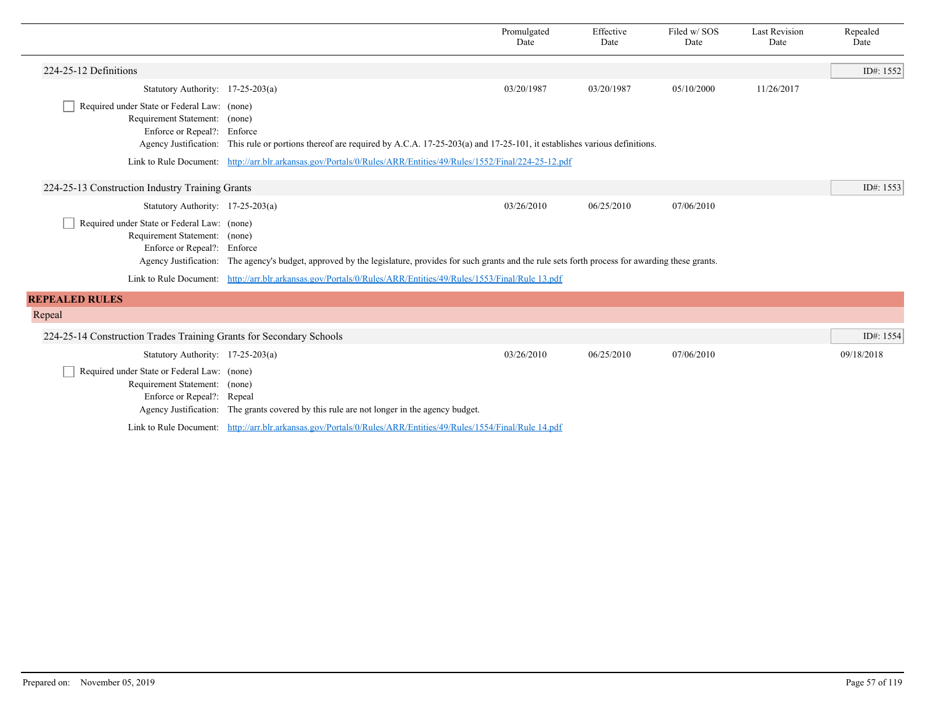|                                                                                                             |                                                                                                                                                             | Promulgated<br>Date | Effective<br>Date | Filed w/SOS<br>Date | <b>Last Revision</b><br>Date | Repealed<br>Date |
|-------------------------------------------------------------------------------------------------------------|-------------------------------------------------------------------------------------------------------------------------------------------------------------|---------------------|-------------------|---------------------|------------------------------|------------------|
| 224-25-12 Definitions                                                                                       |                                                                                                                                                             |                     |                   |                     |                              | ID#: 1552        |
| Statutory Authority: 17-25-203(a)                                                                           |                                                                                                                                                             | 03/20/1987          | 03/20/1987        | 05/10/2000          | 11/26/2017                   |                  |
| Required under State or Federal Law: (none)<br>Requirement Statement: (none)<br>Enforce or Repeal?: Enforce | Agency Justification: This rule or portions thereof are required by A.C.A. 17-25-203(a) and 17-25-101, it establishes various definitions.                  |                     |                   |                     |                              |                  |
|                                                                                                             | Link to Rule Document: http://arr.blr.arkansas.gov/Portals/0/Rules/ARR/Entities/49/Rules/1552/Final/224-25-12.pdf                                           |                     |                   |                     |                              |                  |
| 224-25-13 Construction Industry Training Grants                                                             |                                                                                                                                                             |                     |                   |                     |                              | ID#: 1553        |
| Statutory Authority: 17-25-203(a)                                                                           |                                                                                                                                                             | 03/26/2010          | 06/25/2010        | 07/06/2010          |                              |                  |
| Required under State or Federal Law: (none)<br>Requirement Statement: (none)<br>Enforce or Repeal?: Enforce | Agency Justification: The agency's budget, approved by the legislature, provides for such grants and the rule sets forth process for awarding these grants. |                     |                   |                     |                              |                  |
|                                                                                                             | Link to Rule Document: http://arr.blr.arkansas.gov/Portals/0/Rules/ARR/Entities/49/Rules/1553/Final/Rule 13.pdf                                             |                     |                   |                     |                              |                  |
| <b>REPEALED RULES</b>                                                                                       |                                                                                                                                                             |                     |                   |                     |                              |                  |
| Repeal                                                                                                      |                                                                                                                                                             |                     |                   |                     |                              |                  |
| 224-25-14 Construction Trades Training Grants for Secondary Schools                                         |                                                                                                                                                             |                     |                   |                     |                              | ID#: 1554        |
| Statutory Authority: 17-25-203(a)                                                                           |                                                                                                                                                             | 03/26/2010          | 06/25/2010        | 07/06/2010          |                              | 09/18/2018       |
| Required under State or Federal Law: (none)<br>Requirement Statement: (none)<br>Enforce or Repeal?: Repeal  | Agency Justification: The grants covered by this rule are not longer in the agency budget.                                                                  |                     |                   |                     |                              |                  |
|                                                                                                             | Link to Rule Document: http://arr.blr.arkansas.gov/Portals/0/Rules/ARR/Entities/49/Rules/1554/Final/Rule 14.pdf                                             |                     |                   |                     |                              |                  |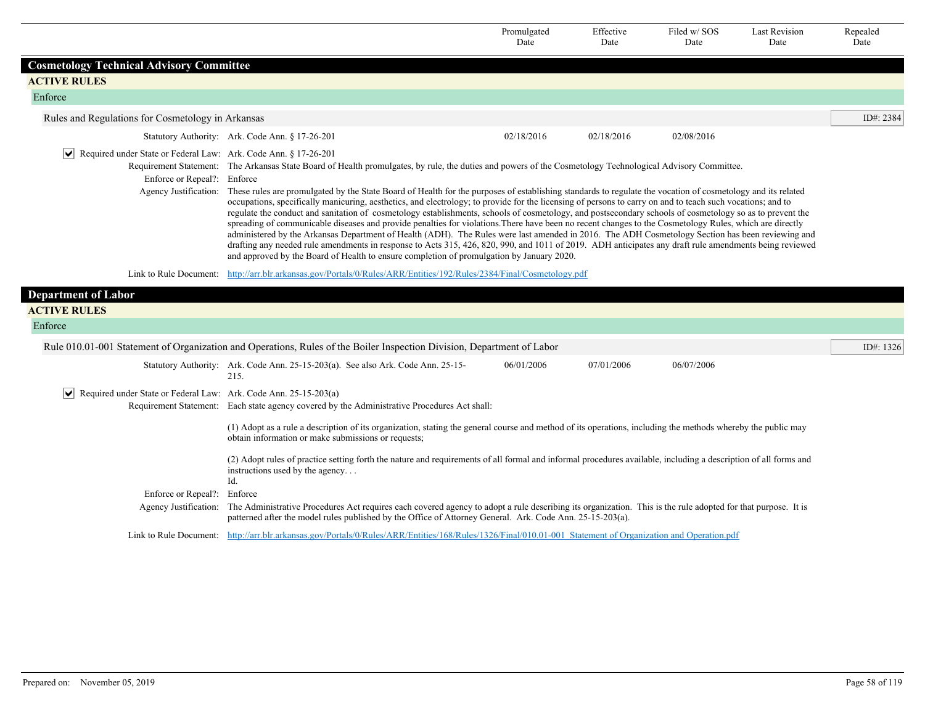|                                                                                                                  |                                                                                                                                                                                                                                                                                                                                                                                                                                                                                                                                                                                                                                                                                                                                                                                                                                                                                                                                                                                                                                                                                                                                                                                                                                                 | Promulgated<br>Date | Effective<br>Date | Filed w/SOS<br>Date | <b>Last Revision</b><br>Date | Repealed<br>Date |  |
|------------------------------------------------------------------------------------------------------------------|-------------------------------------------------------------------------------------------------------------------------------------------------------------------------------------------------------------------------------------------------------------------------------------------------------------------------------------------------------------------------------------------------------------------------------------------------------------------------------------------------------------------------------------------------------------------------------------------------------------------------------------------------------------------------------------------------------------------------------------------------------------------------------------------------------------------------------------------------------------------------------------------------------------------------------------------------------------------------------------------------------------------------------------------------------------------------------------------------------------------------------------------------------------------------------------------------------------------------------------------------|---------------------|-------------------|---------------------|------------------------------|------------------|--|
| <b>Cosmetology Technical Advisory Committee</b>                                                                  |                                                                                                                                                                                                                                                                                                                                                                                                                                                                                                                                                                                                                                                                                                                                                                                                                                                                                                                                                                                                                                                                                                                                                                                                                                                 |                     |                   |                     |                              |                  |  |
| <b>ACTIVE RULES</b>                                                                                              |                                                                                                                                                                                                                                                                                                                                                                                                                                                                                                                                                                                                                                                                                                                                                                                                                                                                                                                                                                                                                                                                                                                                                                                                                                                 |                     |                   |                     |                              |                  |  |
| Enforce                                                                                                          |                                                                                                                                                                                                                                                                                                                                                                                                                                                                                                                                                                                                                                                                                                                                                                                                                                                                                                                                                                                                                                                                                                                                                                                                                                                 |                     |                   |                     |                              |                  |  |
| Rules and Regulations for Cosmetology in Arkansas                                                                |                                                                                                                                                                                                                                                                                                                                                                                                                                                                                                                                                                                                                                                                                                                                                                                                                                                                                                                                                                                                                                                                                                                                                                                                                                                 |                     |                   |                     |                              | ID#: 2384        |  |
|                                                                                                                  | Statutory Authority: Ark. Code Ann. § 17-26-201                                                                                                                                                                                                                                                                                                                                                                                                                                                                                                                                                                                                                                                                                                                                                                                                                                                                                                                                                                                                                                                                                                                                                                                                 | 02/18/2016          | 02/18/2016        | 02/08/2016          |                              |                  |  |
| $ \mathbf{v} $<br>Required under State or Federal Law: Ark. Code Ann. § 17-26-201<br>Enforce or Repeal?: Enforce | Requirement Statement: The Arkansas State Board of Health promulgates, by rule, the duties and powers of the Cosmetology Technological Advisory Committee.<br>Agency Justification: These rules are promulgated by the State Board of Health for the purposes of establishing standards to regulate the vocation of cosmetology and its related<br>occupations, specifically manicuring, aesthetics, and electrology; to provide for the licensing of persons to carry on and to teach such vocations; and to<br>regulate the conduct and sanitation of cosmetology establishments, schools of cosmetology, and postsecondary schools of cosmetology so as to prevent the<br>spreading of communicable diseases and provide penalties for violations. There have been no recent changes to the Cosmetology Rules, which are directly<br>administered by the Arkansas Department of Health (ADH). The Rules were last amended in 2016. The ADH Cosmetology Section has been reviewing and<br>drafting any needed rule amendments in response to Acts 315, 426, 820, 990, and 1011 of 2019. ADH anticipates any draft rule amendments being reviewed<br>and approved by the Board of Health to ensure completion of promulgation by January 2020. |                     |                   |                     |                              |                  |  |
|                                                                                                                  | Link to Rule Document: http://arr.blr.arkansas.gov/Portals/0/Rules/ARR/Entities/192/Rules/2384/Final/Cosmetology.pdf                                                                                                                                                                                                                                                                                                                                                                                                                                                                                                                                                                                                                                                                                                                                                                                                                                                                                                                                                                                                                                                                                                                            |                     |                   |                     |                              |                  |  |
| <b>Department of Labor</b>                                                                                       |                                                                                                                                                                                                                                                                                                                                                                                                                                                                                                                                                                                                                                                                                                                                                                                                                                                                                                                                                                                                                                                                                                                                                                                                                                                 |                     |                   |                     |                              |                  |  |
| <b>ACTIVE RULES</b>                                                                                              |                                                                                                                                                                                                                                                                                                                                                                                                                                                                                                                                                                                                                                                                                                                                                                                                                                                                                                                                                                                                                                                                                                                                                                                                                                                 |                     |                   |                     |                              |                  |  |
| Enforce                                                                                                          |                                                                                                                                                                                                                                                                                                                                                                                                                                                                                                                                                                                                                                                                                                                                                                                                                                                                                                                                                                                                                                                                                                                                                                                                                                                 |                     |                   |                     |                              |                  |  |
|                                                                                                                  | Rule 010.01-001 Statement of Organization and Operations, Rules of the Boiler Inspection Division, Department of Labor                                                                                                                                                                                                                                                                                                                                                                                                                                                                                                                                                                                                                                                                                                                                                                                                                                                                                                                                                                                                                                                                                                                          |                     |                   |                     |                              | ID#: $1326$      |  |
|                                                                                                                  | Statutory Authority: Ark. Code Ann. 25-15-203(a). See also Ark. Code Ann. 25-15-<br>215.                                                                                                                                                                                                                                                                                                                                                                                                                                                                                                                                                                                                                                                                                                                                                                                                                                                                                                                                                                                                                                                                                                                                                        | 06/01/2006          | 07/01/2006        | 06/07/2006          |                              |                  |  |
| Required under State or Federal Law: Ark. Code Ann. 25-15-203(a)<br>$\vert\bm{\mathsf{v}}\vert$                  | Requirement Statement: Each state agency covered by the Administrative Procedures Act shall:                                                                                                                                                                                                                                                                                                                                                                                                                                                                                                                                                                                                                                                                                                                                                                                                                                                                                                                                                                                                                                                                                                                                                    |                     |                   |                     |                              |                  |  |
|                                                                                                                  | (1) Adopt as a rule a description of its organization, stating the general course and method of its operations, including the methods whereby the public may<br>obtain information or make submissions or requests;                                                                                                                                                                                                                                                                                                                                                                                                                                                                                                                                                                                                                                                                                                                                                                                                                                                                                                                                                                                                                             |                     |                   |                     |                              |                  |  |
|                                                                                                                  | (2) Adopt rules of practice setting forth the nature and requirements of all formal and informal procedures available, including a description of all forms and<br>instructions used by the agency<br>Id.                                                                                                                                                                                                                                                                                                                                                                                                                                                                                                                                                                                                                                                                                                                                                                                                                                                                                                                                                                                                                                       |                     |                   |                     |                              |                  |  |
| Enforce or Repeal?: Enforce                                                                                      |                                                                                                                                                                                                                                                                                                                                                                                                                                                                                                                                                                                                                                                                                                                                                                                                                                                                                                                                                                                                                                                                                                                                                                                                                                                 |                     |                   |                     |                              |                  |  |
|                                                                                                                  | Agency Justification: The Administrative Procedures Act requires each covered agency to adopt a rule describing its organization. This is the rule adopted for that purpose. It is<br>patterned after the model rules published by the Office of Attorney General. Ark. Code Ann. 25-15-203(a).                                                                                                                                                                                                                                                                                                                                                                                                                                                                                                                                                                                                                                                                                                                                                                                                                                                                                                                                                 |                     |                   |                     |                              |                  |  |
|                                                                                                                  | Link to Rule Document: http://arr.blr.arkansas.gov/Portals/0/Rules/ARR/Entities/168/Rules/1326/Final/010.01-001 Statement of Organization and Operation.pdf                                                                                                                                                                                                                                                                                                                                                                                                                                                                                                                                                                                                                                                                                                                                                                                                                                                                                                                                                                                                                                                                                     |                     |                   |                     |                              |                  |  |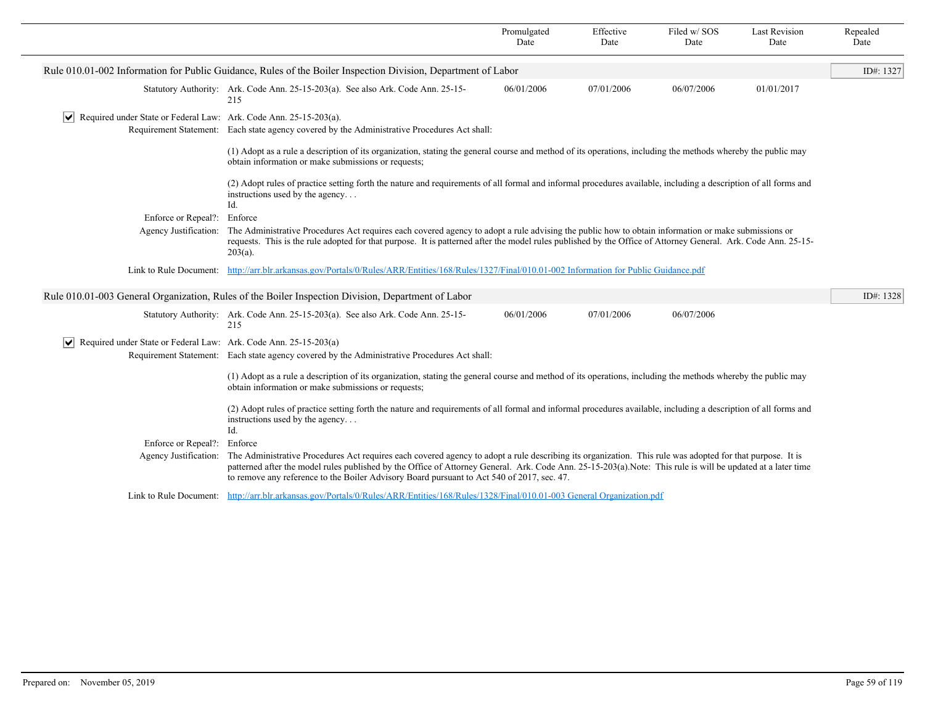| Rule 010.01-002 Information for Public Guidance, Rules of the Boiler Inspection Division, Department of Labor<br>06/01/2006<br>07/01/2006<br>06/07/2006<br>01/01/2017<br>Statutory Authority: Ark. Code Ann. 25-15-203(a). See also Ark. Code Ann. 25-15-<br>215<br>$ \mathbf{v} $ Required under State or Federal Law: Ark. Code Ann. 25-15-203(a).<br>Requirement Statement: Each state agency covered by the Administrative Procedures Act shall:<br>(1) Adopt as a rule a description of its organization, stating the general course and method of its operations, including the methods whereby the public may<br>obtain information or make submissions or requests;<br>(2) Adopt rules of practice setting forth the nature and requirements of all formal and informal procedures available, including a description of all forms and<br>instructions used by the agency<br>Id.<br>Enforce or Repeal?: Enforce<br>Agency Justification: The Administrative Procedures Act requires each covered agency to adopt a rule advising the public how to obtain information or make submissions or<br>requests. This is the rule adopted for that purpose. It is patterned after the model rules published by the Office of Attorney General. Ark. Code Ann. 25-15-<br>$203(a)$ .<br>http://arr.blr.arkansas.gov/Portals/0/Rules/ARR/Entities/168/Rules/1327/Final/010.01-002 Information for Public Guidance.pdf<br>Link to Rule Document:<br>Rule 010.01-003 General Organization, Rules of the Boiler Inspection Division, Department of Labor<br>Statutory Authority: Ark. Code Ann. 25-15-203(a). See also Ark. Code Ann. 25-15-<br>06/01/2006<br>07/01/2006<br>06/07/2006<br>215<br>$ \mathbf{v} $ Required under State or Federal Law: Ark. Code Ann. 25-15-203(a)<br>Requirement Statement: Each state agency covered by the Administrative Procedures Act shall:<br>(1) Adopt as a rule a description of its organization, stating the general course and method of its operations, including the methods whereby the public may<br>obtain information or make submissions or requests;<br>(2) Adopt rules of practice setting forth the nature and requirements of all formal and informal procedures available, including a description of all forms and<br>instructions used by the agency<br>Id.<br>Enforce or Repeal?:<br>Enforce<br>The Administrative Procedures Act requires each covered agency to adopt a rule describing its organization. This rule was adopted for that purpose. It is<br>Agency Justification:<br>patterned after the model rules published by the Office of Attorney General. Ark. Code Ann. 25-15-203(a).Note: This rule is will be updated at a later time<br>to remove any reference to the Boiler Advisory Board pursuant to Act 540 of 2017, sec. 47.<br>Link to Rule Document: http://arr.blr.arkansas.gov/Portals/0/Rules/ARR/Entities/168/Rules/1328/Final/010.01-003 General Organization.pdf |  | Promulgated<br>Date | Effective<br>Date | Filed w/SOS<br>Date | <b>Last Revision</b><br>Date | Repealed<br>Date |
|--------------------------------------------------------------------------------------------------------------------------------------------------------------------------------------------------------------------------------------------------------------------------------------------------------------------------------------------------------------------------------------------------------------------------------------------------------------------------------------------------------------------------------------------------------------------------------------------------------------------------------------------------------------------------------------------------------------------------------------------------------------------------------------------------------------------------------------------------------------------------------------------------------------------------------------------------------------------------------------------------------------------------------------------------------------------------------------------------------------------------------------------------------------------------------------------------------------------------------------------------------------------------------------------------------------------------------------------------------------------------------------------------------------------------------------------------------------------------------------------------------------------------------------------------------------------------------------------------------------------------------------------------------------------------------------------------------------------------------------------------------------------------------------------------------------------------------------------------------------------------------------------------------------------------------------------------------------------------------------------------------------------------------------------------------------------------------------------------------------------------------------------------------------------------------------------------------------------------------------------------------------------------------------------------------------------------------------------------------------------------------------------------------------------------------------------------------------------------------------------------------------------------------------------------------------------------------------------------------------------------------------------------------------------------------------------------------------------------------------------------------------------------------------------------------------------------------------------------------------------------------------------------------------------------------------------------|--|---------------------|-------------------|---------------------|------------------------------|------------------|
|                                                                                                                                                                                                                                                                                                                                                                                                                                                                                                                                                                                                                                                                                                                                                                                                                                                                                                                                                                                                                                                                                                                                                                                                                                                                                                                                                                                                                                                                                                                                                                                                                                                                                                                                                                                                                                                                                                                                                                                                                                                                                                                                                                                                                                                                                                                                                                                                                                                                                                                                                                                                                                                                                                                                                                                                                                                                                                                                                  |  |                     |                   |                     |                              | ID#: 1327        |
|                                                                                                                                                                                                                                                                                                                                                                                                                                                                                                                                                                                                                                                                                                                                                                                                                                                                                                                                                                                                                                                                                                                                                                                                                                                                                                                                                                                                                                                                                                                                                                                                                                                                                                                                                                                                                                                                                                                                                                                                                                                                                                                                                                                                                                                                                                                                                                                                                                                                                                                                                                                                                                                                                                                                                                                                                                                                                                                                                  |  |                     |                   |                     |                              |                  |
|                                                                                                                                                                                                                                                                                                                                                                                                                                                                                                                                                                                                                                                                                                                                                                                                                                                                                                                                                                                                                                                                                                                                                                                                                                                                                                                                                                                                                                                                                                                                                                                                                                                                                                                                                                                                                                                                                                                                                                                                                                                                                                                                                                                                                                                                                                                                                                                                                                                                                                                                                                                                                                                                                                                                                                                                                                                                                                                                                  |  |                     |                   |                     |                              |                  |
|                                                                                                                                                                                                                                                                                                                                                                                                                                                                                                                                                                                                                                                                                                                                                                                                                                                                                                                                                                                                                                                                                                                                                                                                                                                                                                                                                                                                                                                                                                                                                                                                                                                                                                                                                                                                                                                                                                                                                                                                                                                                                                                                                                                                                                                                                                                                                                                                                                                                                                                                                                                                                                                                                                                                                                                                                                                                                                                                                  |  |                     |                   |                     |                              |                  |
|                                                                                                                                                                                                                                                                                                                                                                                                                                                                                                                                                                                                                                                                                                                                                                                                                                                                                                                                                                                                                                                                                                                                                                                                                                                                                                                                                                                                                                                                                                                                                                                                                                                                                                                                                                                                                                                                                                                                                                                                                                                                                                                                                                                                                                                                                                                                                                                                                                                                                                                                                                                                                                                                                                                                                                                                                                                                                                                                                  |  |                     |                   |                     |                              |                  |
|                                                                                                                                                                                                                                                                                                                                                                                                                                                                                                                                                                                                                                                                                                                                                                                                                                                                                                                                                                                                                                                                                                                                                                                                                                                                                                                                                                                                                                                                                                                                                                                                                                                                                                                                                                                                                                                                                                                                                                                                                                                                                                                                                                                                                                                                                                                                                                                                                                                                                                                                                                                                                                                                                                                                                                                                                                                                                                                                                  |  |                     |                   |                     |                              |                  |
|                                                                                                                                                                                                                                                                                                                                                                                                                                                                                                                                                                                                                                                                                                                                                                                                                                                                                                                                                                                                                                                                                                                                                                                                                                                                                                                                                                                                                                                                                                                                                                                                                                                                                                                                                                                                                                                                                                                                                                                                                                                                                                                                                                                                                                                                                                                                                                                                                                                                                                                                                                                                                                                                                                                                                                                                                                                                                                                                                  |  |                     |                   |                     |                              |                  |
|                                                                                                                                                                                                                                                                                                                                                                                                                                                                                                                                                                                                                                                                                                                                                                                                                                                                                                                                                                                                                                                                                                                                                                                                                                                                                                                                                                                                                                                                                                                                                                                                                                                                                                                                                                                                                                                                                                                                                                                                                                                                                                                                                                                                                                                                                                                                                                                                                                                                                                                                                                                                                                                                                                                                                                                                                                                                                                                                                  |  |                     |                   |                     |                              |                  |
|                                                                                                                                                                                                                                                                                                                                                                                                                                                                                                                                                                                                                                                                                                                                                                                                                                                                                                                                                                                                                                                                                                                                                                                                                                                                                                                                                                                                                                                                                                                                                                                                                                                                                                                                                                                                                                                                                                                                                                                                                                                                                                                                                                                                                                                                                                                                                                                                                                                                                                                                                                                                                                                                                                                                                                                                                                                                                                                                                  |  |                     |                   |                     |                              | ID#: 1328        |
|                                                                                                                                                                                                                                                                                                                                                                                                                                                                                                                                                                                                                                                                                                                                                                                                                                                                                                                                                                                                                                                                                                                                                                                                                                                                                                                                                                                                                                                                                                                                                                                                                                                                                                                                                                                                                                                                                                                                                                                                                                                                                                                                                                                                                                                                                                                                                                                                                                                                                                                                                                                                                                                                                                                                                                                                                                                                                                                                                  |  |                     |                   |                     |                              |                  |
|                                                                                                                                                                                                                                                                                                                                                                                                                                                                                                                                                                                                                                                                                                                                                                                                                                                                                                                                                                                                                                                                                                                                                                                                                                                                                                                                                                                                                                                                                                                                                                                                                                                                                                                                                                                                                                                                                                                                                                                                                                                                                                                                                                                                                                                                                                                                                                                                                                                                                                                                                                                                                                                                                                                                                                                                                                                                                                                                                  |  |                     |                   |                     |                              |                  |
|                                                                                                                                                                                                                                                                                                                                                                                                                                                                                                                                                                                                                                                                                                                                                                                                                                                                                                                                                                                                                                                                                                                                                                                                                                                                                                                                                                                                                                                                                                                                                                                                                                                                                                                                                                                                                                                                                                                                                                                                                                                                                                                                                                                                                                                                                                                                                                                                                                                                                                                                                                                                                                                                                                                                                                                                                                                                                                                                                  |  |                     |                   |                     |                              |                  |
|                                                                                                                                                                                                                                                                                                                                                                                                                                                                                                                                                                                                                                                                                                                                                                                                                                                                                                                                                                                                                                                                                                                                                                                                                                                                                                                                                                                                                                                                                                                                                                                                                                                                                                                                                                                                                                                                                                                                                                                                                                                                                                                                                                                                                                                                                                                                                                                                                                                                                                                                                                                                                                                                                                                                                                                                                                                                                                                                                  |  |                     |                   |                     |                              |                  |
|                                                                                                                                                                                                                                                                                                                                                                                                                                                                                                                                                                                                                                                                                                                                                                                                                                                                                                                                                                                                                                                                                                                                                                                                                                                                                                                                                                                                                                                                                                                                                                                                                                                                                                                                                                                                                                                                                                                                                                                                                                                                                                                                                                                                                                                                                                                                                                                                                                                                                                                                                                                                                                                                                                                                                                                                                                                                                                                                                  |  |                     |                   |                     |                              |                  |
|                                                                                                                                                                                                                                                                                                                                                                                                                                                                                                                                                                                                                                                                                                                                                                                                                                                                                                                                                                                                                                                                                                                                                                                                                                                                                                                                                                                                                                                                                                                                                                                                                                                                                                                                                                                                                                                                                                                                                                                                                                                                                                                                                                                                                                                                                                                                                                                                                                                                                                                                                                                                                                                                                                                                                                                                                                                                                                                                                  |  |                     |                   |                     |                              |                  |
|                                                                                                                                                                                                                                                                                                                                                                                                                                                                                                                                                                                                                                                                                                                                                                                                                                                                                                                                                                                                                                                                                                                                                                                                                                                                                                                                                                                                                                                                                                                                                                                                                                                                                                                                                                                                                                                                                                                                                                                                                                                                                                                                                                                                                                                                                                                                                                                                                                                                                                                                                                                                                                                                                                                                                                                                                                                                                                                                                  |  |                     |                   |                     |                              |                  |
|                                                                                                                                                                                                                                                                                                                                                                                                                                                                                                                                                                                                                                                                                                                                                                                                                                                                                                                                                                                                                                                                                                                                                                                                                                                                                                                                                                                                                                                                                                                                                                                                                                                                                                                                                                                                                                                                                                                                                                                                                                                                                                                                                                                                                                                                                                                                                                                                                                                                                                                                                                                                                                                                                                                                                                                                                                                                                                                                                  |  |                     |                   |                     |                              |                  |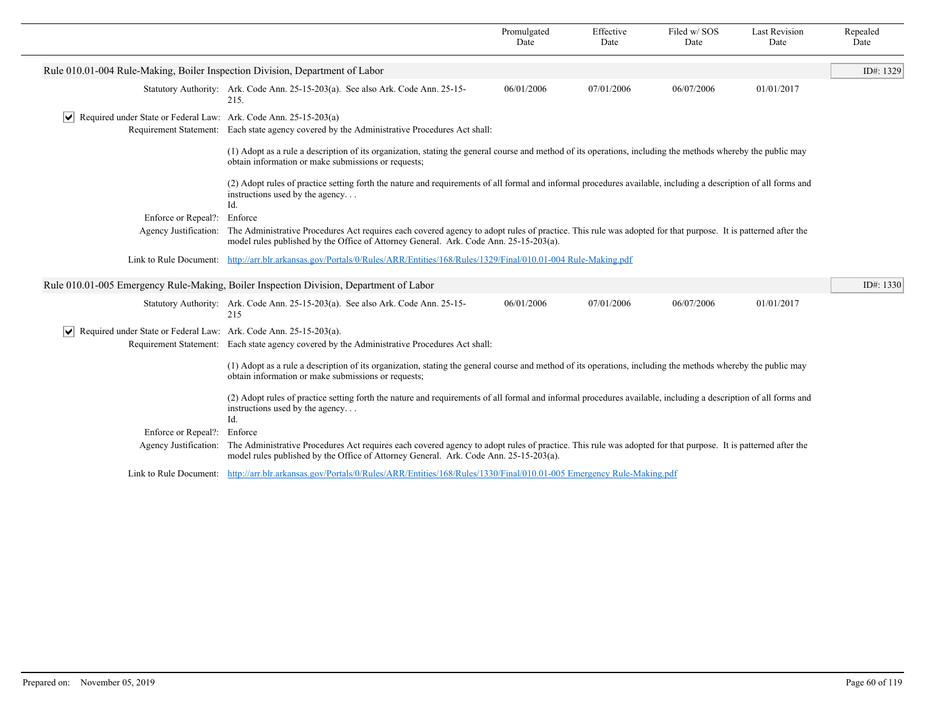|                                                                                  |                                                                                                                                                                                                                                                       | Promulgated<br>Date | Effective<br>Date | Filed w/SOS<br>Date | <b>Last Revision</b><br>Date | Repealed<br>Date |
|----------------------------------------------------------------------------------|-------------------------------------------------------------------------------------------------------------------------------------------------------------------------------------------------------------------------------------------------------|---------------------|-------------------|---------------------|------------------------------|------------------|
| Rule 010.01-004 Rule-Making, Boiler Inspection Division, Department of Labor     |                                                                                                                                                                                                                                                       |                     |                   |                     |                              | ID#: 1329        |
|                                                                                  | Statutory Authority: Ark. Code Ann. 25-15-203(a). See also Ark. Code Ann. 25-15-<br>215.                                                                                                                                                              | 06/01/2006          | 07/01/2006        | 06/07/2006          | 01/01/2017                   |                  |
| $ \mathbf{v} $ Required under State or Federal Law: Ark. Code Ann. 25-15-203(a)  | Requirement Statement: Each state agency covered by the Administrative Procedures Act shall:                                                                                                                                                          |                     |                   |                     |                              |                  |
|                                                                                  | (1) Adopt as a rule a description of its organization, stating the general course and method of its operations, including the methods whereby the public may<br>obtain information or make submissions or requests;                                   |                     |                   |                     |                              |                  |
|                                                                                  | (2) Adopt rules of practice setting forth the nature and requirements of all formal and informal procedures available, including a description of all forms and<br>instructions used by the agency<br>Id.                                             |                     |                   |                     |                              |                  |
| Enforce or Repeal?: Enforce                                                      |                                                                                                                                                                                                                                                       |                     |                   |                     |                              |                  |
| Agency Justification:                                                            | The Administrative Procedures Act requires each covered agency to adopt rules of practice. This rule was adopted for that purpose. It is patterned after the<br>model rules published by the Office of Attorney General. Ark. Code Ann. 25-15-203(a). |                     |                   |                     |                              |                  |
|                                                                                  | Link to Rule Document: http://arr.blr.arkansas.gov/Portals/0/Rules/ARR/Entities/168/Rules/1329/Final/010.01-004 Rule-Making.pdf                                                                                                                       |                     |                   |                     |                              |                  |
|                                                                                  | Rule 010.01-005 Emergency Rule-Making, Boiler Inspection Division, Department of Labor                                                                                                                                                                |                     |                   |                     |                              | ID#: $1330$      |
|                                                                                  | Statutory Authority: Ark. Code Ann. 25-15-203(a). See also Ark. Code Ann. 25-15-<br>215                                                                                                                                                               | 06/01/2006          | 07/01/2006        | 06/07/2006          | 01/01/2017                   |                  |
| $ \mathbf{v} $ Required under State or Federal Law: Ark. Code Ann. 25-15-203(a). |                                                                                                                                                                                                                                                       |                     |                   |                     |                              |                  |
|                                                                                  | Requirement Statement: Each state agency covered by the Administrative Procedures Act shall:                                                                                                                                                          |                     |                   |                     |                              |                  |
|                                                                                  | (1) Adopt as a rule a description of its organization, stating the general course and method of its operations, including the methods whereby the public may<br>obtain information or make submissions or requests;                                   |                     |                   |                     |                              |                  |
|                                                                                  | (2) Adopt rules of practice setting forth the nature and requirements of all formal and informal procedures available, including a description of all forms and<br>instructions used by the agency<br>Id.                                             |                     |                   |                     |                              |                  |
| Enforce or Repeal?:                                                              | Enforce                                                                                                                                                                                                                                               |                     |                   |                     |                              |                  |
| Agency Justification:                                                            | The Administrative Procedures Act requires each covered agency to adopt rules of practice. This rule was adopted for that purpose. It is patterned after the<br>model rules published by the Office of Attorney General. Ark. Code Ann. 25-15-203(a). |                     |                   |                     |                              |                  |
|                                                                                  | Link to Rule Document: http://arr.blr.arkansas.gov/Portals/0/Rules/ARR/Entities/168/Rules/1330/Final/010.01-005 Emergency Rule-Making.pdf                                                                                                             |                     |                   |                     |                              |                  |
|                                                                                  |                                                                                                                                                                                                                                                       |                     |                   |                     |                              |                  |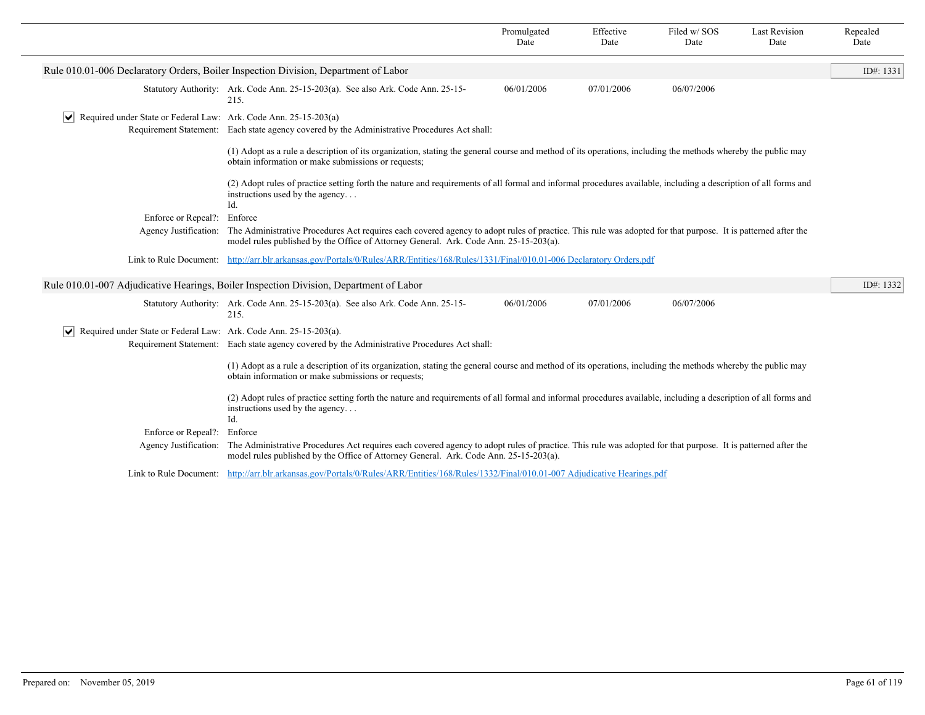|                                                                                                                                                                                                                                                                                |                                                                                                                                                                                                                                                       | Promulgated<br>Date | Effective<br>Date | Filed w/SOS<br>Date | <b>Last Revision</b><br>Date | Repealed<br>Date |
|--------------------------------------------------------------------------------------------------------------------------------------------------------------------------------------------------------------------------------------------------------------------------------|-------------------------------------------------------------------------------------------------------------------------------------------------------------------------------------------------------------------------------------------------------|---------------------|-------------------|---------------------|------------------------------|------------------|
|                                                                                                                                                                                                                                                                                | Rule 010.01-006 Declaratory Orders, Boiler Inspection Division, Department of Labor                                                                                                                                                                   |                     |                   |                     |                              | ID#: 1331        |
|                                                                                                                                                                                                                                                                                | Statutory Authority: Ark. Code Ann. 25-15-203(a). See also Ark. Code Ann. 25-15-<br>215.                                                                                                                                                              | 06/01/2006          | 07/01/2006        | 06/07/2006          |                              |                  |
| $ \mathbf{v} $ Required under State or Federal Law: Ark. Code Ann. 25-15-203(a)                                                                                                                                                                                                | Requirement Statement: Each state agency covered by the Administrative Procedures Act shall:                                                                                                                                                          |                     |                   |                     |                              |                  |
|                                                                                                                                                                                                                                                                                | (1) Adopt as a rule a description of its organization, stating the general course and method of its operations, including the methods whereby the public may<br>obtain information or make submissions or requests;                                   |                     |                   |                     |                              |                  |
|                                                                                                                                                                                                                                                                                | (2) Adopt rules of practice setting forth the nature and requirements of all formal and informal procedures available, including a description of all forms and<br>instructions used by the agency<br>Id.                                             |                     |                   |                     |                              |                  |
| Enforce or Repeal?:                                                                                                                                                                                                                                                            | Enforce                                                                                                                                                                                                                                               |                     |                   |                     |                              |                  |
| Agency Justification:<br>The Administrative Procedures Act requires each covered agency to adopt rules of practice. This rule was adopted for that purpose. It is patterned after the<br>model rules published by the Office of Attorney General. Ark. Code Ann. 25-15-203(a). |                                                                                                                                                                                                                                                       |                     |                   |                     |                              |                  |
| Link to Rule Document: http://arr.blr.arkansas.gov/Portals/0/Rules/ARR/Entities/168/Rules/1331/Final/010.01-006 Declaratory Orders.pdf                                                                                                                                         |                                                                                                                                                                                                                                                       |                     |                   |                     |                              |                  |
|                                                                                                                                                                                                                                                                                | Rule 010.01-007 Adjudicative Hearings, Boiler Inspection Division, Department of Labor                                                                                                                                                                |                     |                   |                     |                              | ID#: 1332        |
|                                                                                                                                                                                                                                                                                | Statutory Authority: Ark. Code Ann. 25-15-203(a). See also Ark. Code Ann. 25-15-<br>215.                                                                                                                                                              | 06/01/2006          | 07/01/2006        | 06/07/2006          |                              |                  |
| $ \mathbf{v} $ Required under State or Federal Law: Ark. Code Ann. 25-15-203(a).                                                                                                                                                                                               |                                                                                                                                                                                                                                                       |                     |                   |                     |                              |                  |
|                                                                                                                                                                                                                                                                                | Requirement Statement: Each state agency covered by the Administrative Procedures Act shall:                                                                                                                                                          |                     |                   |                     |                              |                  |
|                                                                                                                                                                                                                                                                                | (1) Adopt as a rule a description of its organization, stating the general course and method of its operations, including the methods whereby the public may<br>obtain information or make submissions or requests;                                   |                     |                   |                     |                              |                  |
|                                                                                                                                                                                                                                                                                | (2) Adopt rules of practice setting forth the nature and requirements of all formal and informal procedures available, including a description of all forms and<br>instructions used by the agency<br>Id.                                             |                     |                   |                     |                              |                  |
| Enforce or Repeal?:                                                                                                                                                                                                                                                            | Enforce                                                                                                                                                                                                                                               |                     |                   |                     |                              |                  |
| Agency Justification:                                                                                                                                                                                                                                                          | The Administrative Procedures Act requires each covered agency to adopt rules of practice. This rule was adopted for that purpose. It is patterned after the<br>model rules published by the Office of Attorney General. Ark. Code Ann. 25-15-203(a). |                     |                   |                     |                              |                  |
|                                                                                                                                                                                                                                                                                | Link to Rule Document: http://arr.blr.arkansas.gov/Portals/0/Rules/ARR/Entities/168/Rules/1332/Final/010.01-007 Adjudicative Hearings.pdf                                                                                                             |                     |                   |                     |                              |                  |
|                                                                                                                                                                                                                                                                                |                                                                                                                                                                                                                                                       |                     |                   |                     |                              |                  |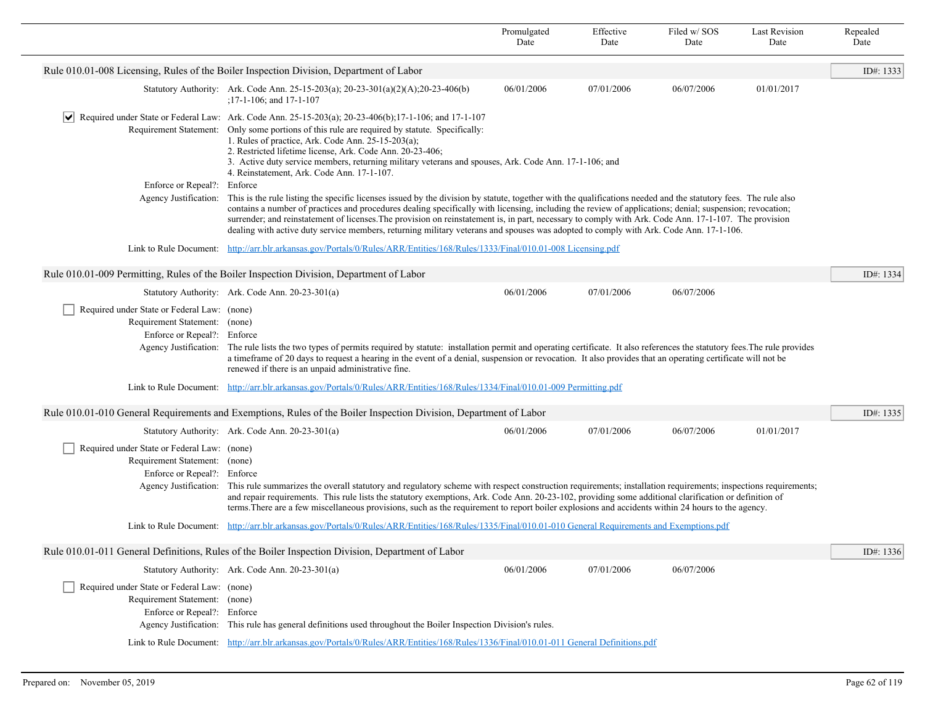|                                                                                                             |                                                                                                                                                                                                                                                                                                                                                                                                                                                                                                                                                                                                                               | Promulgated<br>Date | Effective<br>Date | Filed w/SOS<br>Date | <b>Last Revision</b><br>Date | Repealed<br>Date |  |
|-------------------------------------------------------------------------------------------------------------|-------------------------------------------------------------------------------------------------------------------------------------------------------------------------------------------------------------------------------------------------------------------------------------------------------------------------------------------------------------------------------------------------------------------------------------------------------------------------------------------------------------------------------------------------------------------------------------------------------------------------------|---------------------|-------------------|---------------------|------------------------------|------------------|--|
|                                                                                                             | Rule 010.01-008 Licensing, Rules of the Boiler Inspection Division, Department of Labor                                                                                                                                                                                                                                                                                                                                                                                                                                                                                                                                       |                     |                   |                     |                              | ID#: 1333        |  |
|                                                                                                             | Statutory Authority: Ark. Code Ann. 25-15-203(a); 20-23-301(a)(2)(A); 20-23-406(b)<br>$: 17 - 1 - 106$ ; and $17 - 1 - 107$                                                                                                                                                                                                                                                                                                                                                                                                                                                                                                   | 06/01/2006          | 07/01/2006        | 06/07/2006          | 01/01/2017                   |                  |  |
|                                                                                                             | $\blacktriangleright$ Required under State or Federal Law: Ark. Code Ann. 25-15-203(a); 20-23-406(b); 17-1-106; and 17-1-107<br>Requirement Statement: Only some portions of this rule are required by statute. Specifically:<br>1. Rules of practice, Ark. Code Ann. $25-15-203(a)$ ;<br>2. Restricted lifetime license, Ark. Code Ann. 20-23-406;<br>3. Active duty service members, returning military veterans and spouses, Ark. Code Ann. 17-1-106; and<br>4. Reinstatement, Ark. Code Ann. 17-1-107.                                                                                                                    |                     |                   |                     |                              |                  |  |
| Enforce or Repeal?: Enforce<br>Agency Justification:                                                        | This is the rule listing the specific licenses issued by the division by statute, together with the qualifications needed and the statutory fees. The rule also<br>contains a number of practices and procedures dealing specifically with licensing, including the review of applications; denial; suspension; revocation;<br>surrender; and reinstatement of licenses. The provision on reinstatement is, in part, necessary to comply with Ark. Code Ann. 17-1-107. The provision<br>dealing with active duty service members, returning military veterans and spouses was adopted to comply with Ark. Code Ann. 17-1-106. |                     |                   |                     |                              |                  |  |
|                                                                                                             | Link to Rule Document: http://arr.blr.arkansas.gov/Portals/0/Rules/ARR/Entities/168/Rules/1333/Final/010.01-008 Licensing.pdf                                                                                                                                                                                                                                                                                                                                                                                                                                                                                                 |                     |                   |                     |                              |                  |  |
|                                                                                                             | Rule 010.01-009 Permitting, Rules of the Boiler Inspection Division, Department of Labor                                                                                                                                                                                                                                                                                                                                                                                                                                                                                                                                      |                     |                   |                     |                              | ID#: 1334        |  |
|                                                                                                             | Statutory Authority: Ark. Code Ann. 20-23-301(a)                                                                                                                                                                                                                                                                                                                                                                                                                                                                                                                                                                              | 06/01/2006          | 07/01/2006        | 06/07/2006          |                              |                  |  |
| Required under State or Federal Law: (none)<br>Requirement Statement: (none)<br>Enforce or Repeal?: Enforce | Agency Justification: The rule lists the two types of permits required by statute: installation permit and operating certificate. It also references the statutory fees. The rule provides<br>a timeframe of 20 days to request a hearing in the event of a denial, suspension or revocation. It also provides that an operating certificate will not be<br>renewed if there is an unpaid administrative fine.                                                                                                                                                                                                                |                     |                   |                     |                              |                  |  |
|                                                                                                             | Link to Rule Document: http://arr.blr.arkansas.gov/Portals/0/Rules/ARR/Entities/168/Rules/1334/Final/010.01-009 Permitting.pdf                                                                                                                                                                                                                                                                                                                                                                                                                                                                                                |                     |                   |                     |                              |                  |  |
|                                                                                                             | Rule 010.01-010 General Requirements and Exemptions, Rules of the Boiler Inspection Division, Department of Labor                                                                                                                                                                                                                                                                                                                                                                                                                                                                                                             |                     |                   |                     |                              | ID#: 1335        |  |
|                                                                                                             | Statutory Authority: Ark. Code Ann. 20-23-301(a)                                                                                                                                                                                                                                                                                                                                                                                                                                                                                                                                                                              | 06/01/2006          | 07/01/2006        | 06/07/2006          | 01/01/2017                   |                  |  |
| Required under State or Federal Law: (none)<br>Requirement Statement: (none)<br>Enforce or Repeal?: Enforce | Agency Justification: This rule summarizes the overall statutory and regulatory scheme with respect construction requirements; installation requirements; inspections requirements;<br>and repair requirements. This rule lists the statutory exemptions, Ark. Code Ann. 20-23-102, providing some additional clarification or definition of<br>terms. There are a few miscellaneous provisions, such as the requirement to report boiler explosions and accidents within 24 hours to the agency.                                                                                                                             |                     |                   |                     |                              |                  |  |
|                                                                                                             | Link to Rule Document: http://arr.blr.arkansas.gov/Portals/0/Rules/ARR/Entities/168/Rules/1335/Final/010.01-010 General Requirements and Exemptions.pdf                                                                                                                                                                                                                                                                                                                                                                                                                                                                       |                     |                   |                     |                              |                  |  |
|                                                                                                             | Rule 010.01-011 General Definitions, Rules of the Boiler Inspection Division, Department of Labor                                                                                                                                                                                                                                                                                                                                                                                                                                                                                                                             |                     |                   |                     |                              | ID#: 1336        |  |
|                                                                                                             | Statutory Authority: Ark. Code Ann. 20-23-301(a)                                                                                                                                                                                                                                                                                                                                                                                                                                                                                                                                                                              | 06/01/2006          | 07/01/2006        | 06/07/2006          |                              |                  |  |
| Required under State or Federal Law: (none)<br>Requirement Statement: (none)<br>Enforce or Repeal?: Enforce | Agency Justification: This rule has general definitions used throughout the Boiler Inspection Division's rules.                                                                                                                                                                                                                                                                                                                                                                                                                                                                                                               |                     |                   |                     |                              |                  |  |
|                                                                                                             | Link to Rule Document: http://arr.blr.arkansas.gov/Portals/0/Rules/ARR/Entities/168/Rules/1336/Final/010.01-011 General Definitions.pdf                                                                                                                                                                                                                                                                                                                                                                                                                                                                                       |                     |                   |                     |                              |                  |  |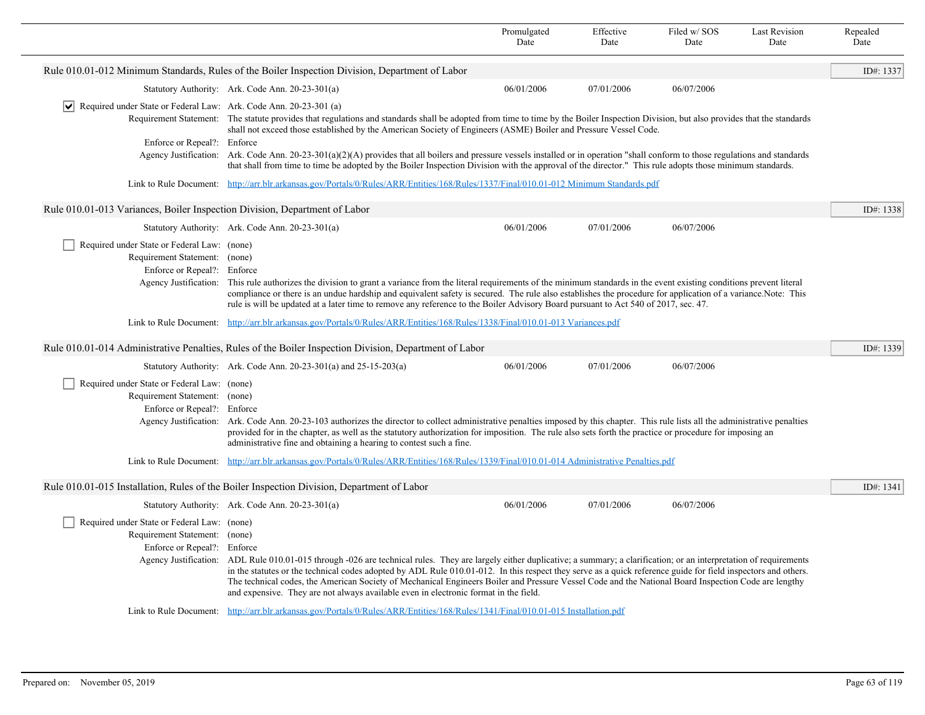|                                                                                                             |                                                                                                                                                                                                                                                                                                                                                                                                                                                                                                                                                                                                                                                                                                                   | Promulgated<br>Date                                                                                                              | Effective<br>Date | Filed w/ SOS<br>Date | <b>Last Revision</b><br>Date | Repealed<br>Date |  |
|-------------------------------------------------------------------------------------------------------------|-------------------------------------------------------------------------------------------------------------------------------------------------------------------------------------------------------------------------------------------------------------------------------------------------------------------------------------------------------------------------------------------------------------------------------------------------------------------------------------------------------------------------------------------------------------------------------------------------------------------------------------------------------------------------------------------------------------------|----------------------------------------------------------------------------------------------------------------------------------|-------------------|----------------------|------------------------------|------------------|--|
|                                                                                                             | Rule 010.01-012 Minimum Standards, Rules of the Boiler Inspection Division, Department of Labor                                                                                                                                                                                                                                                                                                                                                                                                                                                                                                                                                                                                                   |                                                                                                                                  |                   |                      |                              | ID#: 1337        |  |
|                                                                                                             | Statutory Authority: Ark. Code Ann. 20-23-301(a)                                                                                                                                                                                                                                                                                                                                                                                                                                                                                                                                                                                                                                                                  | 06/01/2006                                                                                                                       | 07/01/2006        | 06/07/2006           |                              |                  |  |
| $ \mathbf{v} $ Required under State or Federal Law: Ark. Code Ann. 20-23-301 (a)                            | Requirement Statement: The statute provides that regulations and standards shall be adopted from time to time by the Boiler Inspection Division, but also provides that the standards<br>shall not exceed those established by the American Society of Engineers (ASME) Boiler and Pressure Vessel Code.                                                                                                                                                                                                                                                                                                                                                                                                          |                                                                                                                                  |                   |                      |                              |                  |  |
| Enforce or Repeal?: Enforce                                                                                 |                                                                                                                                                                                                                                                                                                                                                                                                                                                                                                                                                                                                                                                                                                                   |                                                                                                                                  |                   |                      |                              |                  |  |
|                                                                                                             | Agency Justification: Ark. Code Ann. $20-23-301(a)(2)(A)$ provides that all boilers and pressure vessels installed or in operation "shall conform to those regulations and standards<br>that shall from time to time be adopted by the Boiler Inspection Division with the approval of the director." This rule adopts those minimum standards.                                                                                                                                                                                                                                                                                                                                                                   |                                                                                                                                  |                   |                      |                              |                  |  |
|                                                                                                             | Link to Rule Document: http://arr.blr.arkansas.gov/Portals/0/Rules/ARR/Entities/168/Rules/1337/Final/010.01-012 Minimum Standards.pdf                                                                                                                                                                                                                                                                                                                                                                                                                                                                                                                                                                             |                                                                                                                                  |                   |                      |                              |                  |  |
| Rule 010.01-013 Variances, Boiler Inspection Division, Department of Labor                                  |                                                                                                                                                                                                                                                                                                                                                                                                                                                                                                                                                                                                                                                                                                                   |                                                                                                                                  |                   |                      |                              | ID#: 1338        |  |
|                                                                                                             | Statutory Authority: Ark. Code Ann. 20-23-301(a)                                                                                                                                                                                                                                                                                                                                                                                                                                                                                                                                                                                                                                                                  | 06/01/2006                                                                                                                       | 07/01/2006        | 06/07/2006           |                              |                  |  |
| Required under State or Federal Law: (none)<br>Requirement Statement: (none)<br>Enforce or Repeal?: Enforce | Agency Justification: This rule authorizes the division to grant a variance from the literal requirements of the minimum standards in the event existing conditions prevent literal<br>compliance or there is an undue hardship and equivalent safety is secured. The rule also establishes the procedure for application of a variance. Note: This<br>rule is will be updated at a later time to remove any reference to the Boiler Advisory Board pursuant to Act 540 of 2017, sec. 47.                                                                                                                                                                                                                         |                                                                                                                                  |                   |                      |                              |                  |  |
|                                                                                                             | Link to Rule Document: http://arr.blr.arkansas.gov/Portals/0/Rules/ARR/Entities/168/Rules/1338/Final/010.01-013 Variances.pdf                                                                                                                                                                                                                                                                                                                                                                                                                                                                                                                                                                                     |                                                                                                                                  |                   |                      |                              |                  |  |
|                                                                                                             | Rule 010.01-014 Administrative Penalties, Rules of the Boiler Inspection Division, Department of Labor                                                                                                                                                                                                                                                                                                                                                                                                                                                                                                                                                                                                            |                                                                                                                                  |                   |                      |                              | ID#: 1339        |  |
|                                                                                                             | Statutory Authority: Ark. Code Ann. $20-23-301(a)$ and $25-15-203(a)$                                                                                                                                                                                                                                                                                                                                                                                                                                                                                                                                                                                                                                             | 06/01/2006                                                                                                                       | 07/01/2006        | 06/07/2006           |                              |                  |  |
| Required under State or Federal Law: (none)                                                                 |                                                                                                                                                                                                                                                                                                                                                                                                                                                                                                                                                                                                                                                                                                                   |                                                                                                                                  |                   |                      |                              |                  |  |
| Requirement Statement: (none)                                                                               |                                                                                                                                                                                                                                                                                                                                                                                                                                                                                                                                                                                                                                                                                                                   |                                                                                                                                  |                   |                      |                              |                  |  |
| Enforce or Repeal?: Enforce                                                                                 | Agency Justification: Ark. Code Ann. 20-23-103 authorizes the director to collect administrative penalties imposed by this chapter. This rule lists all the administrative penalties<br>provided for in the chapter, as well as the statutory authorization for imposition. The rule also sets forth the practice or procedure for imposing an<br>administrative fine and obtaining a hearing to contest such a fine.                                                                                                                                                                                                                                                                                             |                                                                                                                                  |                   |                      |                              |                  |  |
|                                                                                                             | Link to Rule Document: http://arr.blr.arkansas.gov/Portals/0/Rules/ARR/Entities/168/Rules/1339/Final/010.01-014 Administrative Penalties.pdf                                                                                                                                                                                                                                                                                                                                                                                                                                                                                                                                                                      |                                                                                                                                  |                   |                      |                              |                  |  |
|                                                                                                             | Rule 010.01-015 Installation, Rules of the Boiler Inspection Division, Department of Labor                                                                                                                                                                                                                                                                                                                                                                                                                                                                                                                                                                                                                        |                                                                                                                                  |                   |                      |                              | ID#: 1341        |  |
|                                                                                                             | Statutory Authority: Ark. Code Ann. 20-23-301(a)                                                                                                                                                                                                                                                                                                                                                                                                                                                                                                                                                                                                                                                                  | 06/01/2006                                                                                                                       | 07/01/2006        | 06/07/2006           |                              |                  |  |
|                                                                                                             | Required under State or Federal Law: (none)<br>Requirement Statement: (none)<br>Enforce or Repeal?: Enforce<br>Agency Justification: ADL Rule 010.01-015 through -026 are technical rules. They are largely either duplicative; a summary; a clarification; or an interpretation of requirements<br>in the statutes or the technical codes adopted by ADL Rule 010.01-012. In this respect they serve as a quick reference guide for field inspectors and others.<br>The technical codes, the American Society of Mechanical Engineers Boiler and Pressure Vessel Code and the National Board Inspection Code are lengthy<br>and expensive. They are not always available even in electronic format in the field. |                                                                                                                                  |                   |                      |                              |                  |  |
|                                                                                                             |                                                                                                                                                                                                                                                                                                                                                                                                                                                                                                                                                                                                                                                                                                                   | Link to Rule Document: http://arr.blr.arkansas.gov/Portals/0/Rules/ARR/Entities/168/Rules/1341/Final/010.01-015 Installation.pdf |                   |                      |                              |                  |  |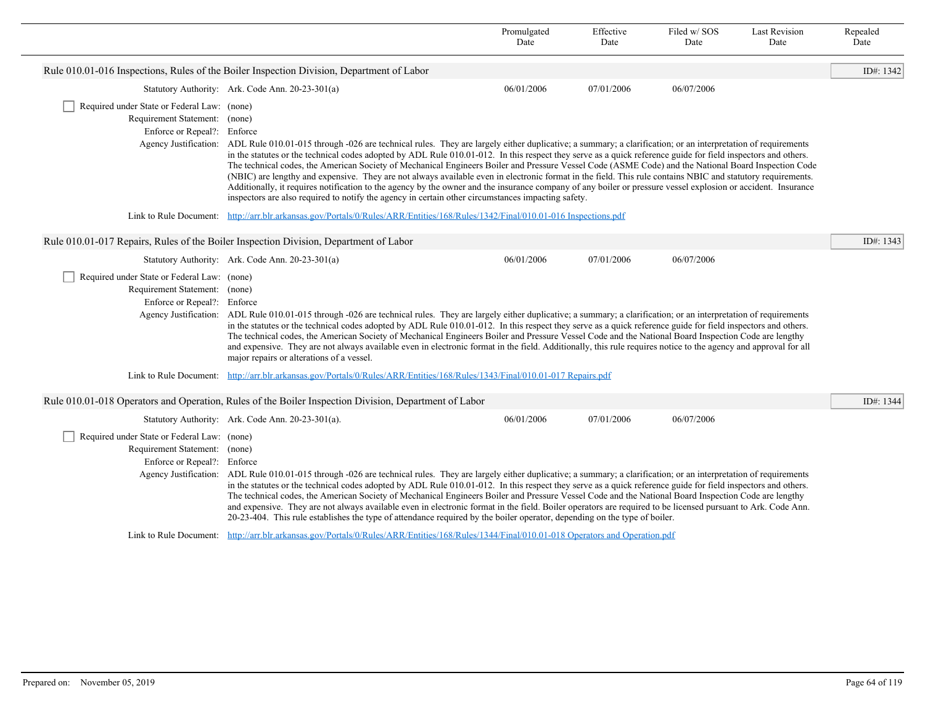|                                                                                                                                 |                                                                                                                                                                                                                                                                                                                                                                                                                                                                                                                                                                                                                                                                                                                                                                                                         | Promulgated<br>Date                                                                                                                                                                                                                                                                                                                                                                                                                                                                                                                                                                                                                                                                                                                                                                                                                                                                                                                              | Effective<br>Date | Filed w/SOS<br>Date | <b>Last Revision</b><br>Date | Repealed<br>Date |  |  |  |
|---------------------------------------------------------------------------------------------------------------------------------|---------------------------------------------------------------------------------------------------------------------------------------------------------------------------------------------------------------------------------------------------------------------------------------------------------------------------------------------------------------------------------------------------------------------------------------------------------------------------------------------------------------------------------------------------------------------------------------------------------------------------------------------------------------------------------------------------------------------------------------------------------------------------------------------------------|--------------------------------------------------------------------------------------------------------------------------------------------------------------------------------------------------------------------------------------------------------------------------------------------------------------------------------------------------------------------------------------------------------------------------------------------------------------------------------------------------------------------------------------------------------------------------------------------------------------------------------------------------------------------------------------------------------------------------------------------------------------------------------------------------------------------------------------------------------------------------------------------------------------------------------------------------|-------------------|---------------------|------------------------------|------------------|--|--|--|
|                                                                                                                                 | Rule 010.01-016 Inspections, Rules of the Boiler Inspection Division, Department of Labor                                                                                                                                                                                                                                                                                                                                                                                                                                                                                                                                                                                                                                                                                                               |                                                                                                                                                                                                                                                                                                                                                                                                                                                                                                                                                                                                                                                                                                                                                                                                                                                                                                                                                  |                   |                     |                              | ID#: 1342        |  |  |  |
|                                                                                                                                 | Statutory Authority: Ark. Code Ann. 20-23-301(a)                                                                                                                                                                                                                                                                                                                                                                                                                                                                                                                                                                                                                                                                                                                                                        | 06/01/2006                                                                                                                                                                                                                                                                                                                                                                                                                                                                                                                                                                                                                                                                                                                                                                                                                                                                                                                                       | 07/01/2006        | 06/07/2006          |                              |                  |  |  |  |
| Required under State or Federal Law: (none)<br>Requirement Statement: (none)<br>Enforce or Repeal?: Enforce                     |                                                                                                                                                                                                                                                                                                                                                                                                                                                                                                                                                                                                                                                                                                                                                                                                         | Agency Justification: ADL Rule 010.01-015 through -026 are technical rules. They are largely either duplicative; a summary; a clarification; or an interpretation of requirements<br>in the statutes or the technical codes adopted by ADL Rule 010.01-012. In this respect they serve as a quick reference guide for field inspectors and others.<br>The technical codes, the American Society of Mechanical Engineers Boiler and Pressure Vessel Code (ASME Code) and the National Board Inspection Code<br>(NBIC) are lengthy and expensive. They are not always available even in electronic format in the field. This rule contains NBIC and statutory requirements.<br>Additionally, it requires notification to the agency by the owner and the insurance company of any boiler or pressure vessel explosion or accident. Insurance<br>inspectors are also required to notify the agency in certain other circumstances impacting safety. |                   |                     |                              |                  |  |  |  |
| Link to Rule Document: http://arr.blr.arkansas.gov/Portals/0/Rules/ARR/Entities/168/Rules/1342/Final/010.01-016 Inspections.pdf |                                                                                                                                                                                                                                                                                                                                                                                                                                                                                                                                                                                                                                                                                                                                                                                                         |                                                                                                                                                                                                                                                                                                                                                                                                                                                                                                                                                                                                                                                                                                                                                                                                                                                                                                                                                  |                   |                     |                              |                  |  |  |  |
|                                                                                                                                 | Rule 010.01-017 Repairs, Rules of the Boiler Inspection Division, Department of Labor                                                                                                                                                                                                                                                                                                                                                                                                                                                                                                                                                                                                                                                                                                                   |                                                                                                                                                                                                                                                                                                                                                                                                                                                                                                                                                                                                                                                                                                                                                                                                                                                                                                                                                  |                   |                     |                              | ID#: 1343        |  |  |  |
|                                                                                                                                 | Statutory Authority: Ark. Code Ann. 20-23-301(a)                                                                                                                                                                                                                                                                                                                                                                                                                                                                                                                                                                                                                                                                                                                                                        | 06/01/2006                                                                                                                                                                                                                                                                                                                                                                                                                                                                                                                                                                                                                                                                                                                                                                                                                                                                                                                                       | 07/01/2006        | 06/07/2006          |                              |                  |  |  |  |
| Required under State or Federal Law: (none)<br>Requirement Statement: (none)<br>Enforce or Repeal?: Enforce                     | Agency Justification: ADL Rule 010.01-015 through -026 are technical rules. They are largely either duplicative; a summary; a clarification; or an interpretation of requirements<br>in the statutes or the technical codes adopted by ADL Rule 010.01-012. In this respect they serve as a quick reference guide for field inspectors and others.<br>The technical codes, the American Society of Mechanical Engineers Boiler and Pressure Vessel Code and the National Board Inspection Code are lengthy<br>and expensive. They are not always available even in electronic format in the field. Additionally, this rule requires notice to the agency and approval for all<br>major repairs or alterations of a vessel.                                                                              |                                                                                                                                                                                                                                                                                                                                                                                                                                                                                                                                                                                                                                                                                                                                                                                                                                                                                                                                                  |                   |                     |                              |                  |  |  |  |
|                                                                                                                                 | Link to Rule Document: http://arr.blr.arkansas.gov/Portals/0/Rules/ARR/Entities/168/Rules/1343/Final/010.01-017 Repairs.pdf                                                                                                                                                                                                                                                                                                                                                                                                                                                                                                                                                                                                                                                                             |                                                                                                                                                                                                                                                                                                                                                                                                                                                                                                                                                                                                                                                                                                                                                                                                                                                                                                                                                  |                   |                     |                              |                  |  |  |  |
|                                                                                                                                 | Rule 010.01-018 Operators and Operation, Rules of the Boiler Inspection Division, Department of Labor                                                                                                                                                                                                                                                                                                                                                                                                                                                                                                                                                                                                                                                                                                   |                                                                                                                                                                                                                                                                                                                                                                                                                                                                                                                                                                                                                                                                                                                                                                                                                                                                                                                                                  |                   |                     |                              | ID#: 1344        |  |  |  |
|                                                                                                                                 | Statutory Authority: Ark. Code Ann. 20-23-301(a).                                                                                                                                                                                                                                                                                                                                                                                                                                                                                                                                                                                                                                                                                                                                                       | 06/01/2006                                                                                                                                                                                                                                                                                                                                                                                                                                                                                                                                                                                                                                                                                                                                                                                                                                                                                                                                       | 07/01/2006        | 06/07/2006          |                              |                  |  |  |  |
| Required under State or Federal Law: (none)<br>Requirement Statement: (none)<br>Enforce or Repeal?: Enforce                     | Agency Justification: ADL Rule 010.01-015 through -026 are technical rules. They are largely either duplicative; a summary; a clarification; or an interpretation of requirements<br>in the statutes or the technical codes adopted by ADL Rule 010.01-012. In this respect they serve as a quick reference guide for field inspectors and others.<br>The technical codes, the American Society of Mechanical Engineers Boiler and Pressure Vessel Code and the National Board Inspection Code are lengthy<br>and expensive. They are not always available even in electronic format in the field. Boiler operators are required to be licensed pursuant to Ark. Code Ann.<br>20-23-404. This rule establishes the type of attendance required by the boiler operator, depending on the type of boiler. |                                                                                                                                                                                                                                                                                                                                                                                                                                                                                                                                                                                                                                                                                                                                                                                                                                                                                                                                                  |                   |                     |                              |                  |  |  |  |
|                                                                                                                                 | Link to Rule Document: http://arr.blr.arkansas.gov/Portals/0/Rules/ARR/Entities/168/Rules/1344/Final/010.01-018 Operators and Operation.pdf                                                                                                                                                                                                                                                                                                                                                                                                                                                                                                                                                                                                                                                             |                                                                                                                                                                                                                                                                                                                                                                                                                                                                                                                                                                                                                                                                                                                                                                                                                                                                                                                                                  |                   |                     |                              |                  |  |  |  |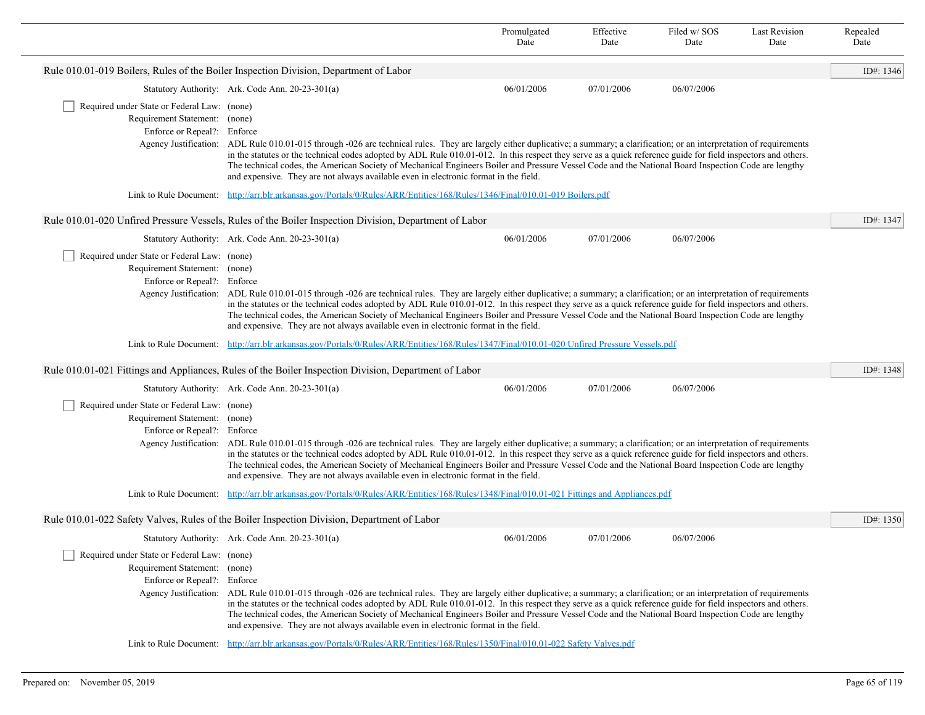|                                                                                                                                                                                                                                                                                                                                                                                                                                                                                                                                                                                                                                                                                                                   |                                                                                                                                                                                                                                                                                                                                                                                                                                                                                                                                                                                                    | Promulgated<br>Date | Effective<br>Date | Filed w/SOS<br>Date | <b>Last Revision</b><br>Date | Repealed<br>Date |  |
|-------------------------------------------------------------------------------------------------------------------------------------------------------------------------------------------------------------------------------------------------------------------------------------------------------------------------------------------------------------------------------------------------------------------------------------------------------------------------------------------------------------------------------------------------------------------------------------------------------------------------------------------------------------------------------------------------------------------|----------------------------------------------------------------------------------------------------------------------------------------------------------------------------------------------------------------------------------------------------------------------------------------------------------------------------------------------------------------------------------------------------------------------------------------------------------------------------------------------------------------------------------------------------------------------------------------------------|---------------------|-------------------|---------------------|------------------------------|------------------|--|
|                                                                                                                                                                                                                                                                                                                                                                                                                                                                                                                                                                                                                                                                                                                   | Rule 010.01-019 Boilers, Rules of the Boiler Inspection Division, Department of Labor                                                                                                                                                                                                                                                                                                                                                                                                                                                                                                              |                     |                   |                     |                              | ID#: 1346        |  |
|                                                                                                                                                                                                                                                                                                                                                                                                                                                                                                                                                                                                                                                                                                                   | Statutory Authority: Ark. Code Ann. 20-23-301(a)                                                                                                                                                                                                                                                                                                                                                                                                                                                                                                                                                   | 06/01/2006          | 07/01/2006        | 06/07/2006          |                              |                  |  |
| Required under State or Federal Law: (none)<br>Requirement Statement: (none)<br>Enforce or Repeal?: Enforce<br>Agency Justification:                                                                                                                                                                                                                                                                                                                                                                                                                                                                                                                                                                              | ADL Rule 010.01-015 through -026 are technical rules. They are largely either duplicative; a summary; a clarification; or an interpretation of requirements<br>in the statutes or the technical codes adopted by ADL Rule 010.01-012. In this respect they serve as a quick reference guide for field inspectors and others.<br>The technical codes, the American Society of Mechanical Engineers Boiler and Pressure Vessel Code and the National Board Inspection Code are lengthy<br>and expensive. They are not always available even in electronic format in the field.                       |                     |                   |                     |                              |                  |  |
|                                                                                                                                                                                                                                                                                                                                                                                                                                                                                                                                                                                                                                                                                                                   | Link to Rule Document: http://arr.blr.arkansas.gov/Portals/0/Rules/ARR/Entities/168/Rules/1346/Final/010.01-019 Boilers.pdf                                                                                                                                                                                                                                                                                                                                                                                                                                                                        |                     |                   |                     |                              |                  |  |
|                                                                                                                                                                                                                                                                                                                                                                                                                                                                                                                                                                                                                                                                                                                   | Rule 010.01-020 Unfired Pressure Vessels, Rules of the Boiler Inspection Division, Department of Labor                                                                                                                                                                                                                                                                                                                                                                                                                                                                                             |                     |                   |                     |                              | ID#: 1347        |  |
|                                                                                                                                                                                                                                                                                                                                                                                                                                                                                                                                                                                                                                                                                                                   | Statutory Authority: Ark. Code Ann. 20-23-301(a)                                                                                                                                                                                                                                                                                                                                                                                                                                                                                                                                                   | 06/01/2006          | 07/01/2006        | 06/07/2006          |                              |                  |  |
| Required under State or Federal Law: (none)<br>Requirement Statement: (none)<br>Enforce or Repeal?: Enforce                                                                                                                                                                                                                                                                                                                                                                                                                                                                                                                                                                                                       | Agency Justification: ADL Rule 010.01-015 through -026 are technical rules. They are largely either duplicative; a summary; a clarification; or an interpretation of requirements<br>in the statutes or the technical codes adopted by ADL Rule 010.01-012. In this respect they serve as a quick reference guide for field inspectors and others.<br>The technical codes, the American Society of Mechanical Engineers Boiler and Pressure Vessel Code and the National Board Inspection Code are lengthy<br>and expensive. They are not always available even in electronic format in the field. |                     |                   |                     |                              |                  |  |
|                                                                                                                                                                                                                                                                                                                                                                                                                                                                                                                                                                                                                                                                                                                   | Link to Rule Document: http://arr.blr.arkansas.gov/Portals/0/Rules/ARR/Entities/168/Rules/1347/Final/010.01-020 Unfired Pressure Vessels.pdf                                                                                                                                                                                                                                                                                                                                                                                                                                                       |                     |                   |                     |                              |                  |  |
|                                                                                                                                                                                                                                                                                                                                                                                                                                                                                                                                                                                                                                                                                                                   | Rule 010.01-021 Fittings and Appliances, Rules of the Boiler Inspection Division, Department of Labor                                                                                                                                                                                                                                                                                                                                                                                                                                                                                              |                     |                   |                     |                              | ID#: 1348        |  |
|                                                                                                                                                                                                                                                                                                                                                                                                                                                                                                                                                                                                                                                                                                                   | Statutory Authority: Ark. Code Ann. 20-23-301(a)                                                                                                                                                                                                                                                                                                                                                                                                                                                                                                                                                   | 06/01/2006          | 07/01/2006        | 06/07/2006          |                              |                  |  |
| Required under State or Federal Law: (none)<br>Requirement Statement: (none)<br>Enforce or Repeal?: Enforce                                                                                                                                                                                                                                                                                                                                                                                                                                                                                                                                                                                                       | Agency Justification: ADL Rule 010.01-015 through -026 are technical rules. They are largely either duplicative; a summary; a clarification; or an interpretation of requirements<br>in the statutes or the technical codes adopted by ADL Rule 010.01-012. In this respect they serve as a quick reference guide for field inspectors and others.<br>The technical codes, the American Society of Mechanical Engineers Boiler and Pressure Vessel Code and the National Board Inspection Code are lengthy<br>and expensive. They are not always available even in electronic format in the field. |                     |                   |                     |                              |                  |  |
| Link to Rule Document:                                                                                                                                                                                                                                                                                                                                                                                                                                                                                                                                                                                                                                                                                            | http://arr.blr.arkansas.gov/Portals/0/Rules/ARR/Entities/168/Rules/1348/Final/010.01-021 Fittings and Appliances.pdf                                                                                                                                                                                                                                                                                                                                                                                                                                                                               |                     |                   |                     |                              |                  |  |
|                                                                                                                                                                                                                                                                                                                                                                                                                                                                                                                                                                                                                                                                                                                   | Rule 010.01-022 Safety Valves, Rules of the Boiler Inspection Division, Department of Labor                                                                                                                                                                                                                                                                                                                                                                                                                                                                                                        |                     |                   |                     |                              | ID#: $1350$      |  |
|                                                                                                                                                                                                                                                                                                                                                                                                                                                                                                                                                                                                                                                                                                                   | Statutory Authority: Ark. Code Ann. 20-23-301(a)                                                                                                                                                                                                                                                                                                                                                                                                                                                                                                                                                   | 06/01/2006          | 07/01/2006        | 06/07/2006          |                              |                  |  |
| Required under State or Federal Law: (none)<br>Requirement Statement: (none)<br>Enforce or Repeal?: Enforce<br>Agency Justification: ADL Rule 010.01-015 through -026 are technical rules. They are largely either duplicative; a summary; a clarification; or an interpretation of requirements<br>in the statutes or the technical codes adopted by ADL Rule 010.01-012. In this respect they serve as a quick reference guide for field inspectors and others.<br>The technical codes, the American Society of Mechanical Engineers Boiler and Pressure Vessel Code and the National Board Inspection Code are lengthy<br>and expensive. They are not always available even in electronic format in the field. |                                                                                                                                                                                                                                                                                                                                                                                                                                                                                                                                                                                                    |                     |                   |                     |                              |                  |  |
|                                                                                                                                                                                                                                                                                                                                                                                                                                                                                                                                                                                                                                                                                                                   | Link to Rule Document: http://arr.blr.arkansas.gov/Portals/0/Rules/ARR/Entities/168/Rules/1350/Final/010.01-022 Safety Valves.pdf                                                                                                                                                                                                                                                                                                                                                                                                                                                                  |                     |                   |                     |                              |                  |  |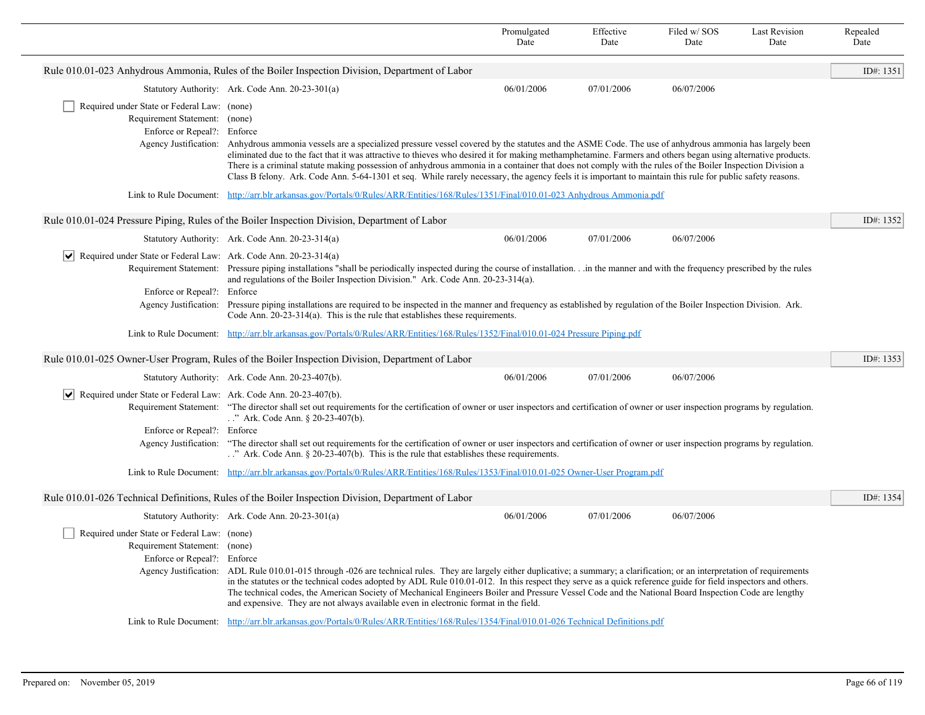|                                                                                                             |                                                                                                                                                                                                                                                                                                                                                                                                                                                                                                                                                                                                                                                                       | Promulgated<br>Date                                                                                                                       | Effective<br>Date | Filed w/SOS<br>Date | <b>Last Revision</b><br>Date | Repealed<br>Date |  |  |
|-------------------------------------------------------------------------------------------------------------|-----------------------------------------------------------------------------------------------------------------------------------------------------------------------------------------------------------------------------------------------------------------------------------------------------------------------------------------------------------------------------------------------------------------------------------------------------------------------------------------------------------------------------------------------------------------------------------------------------------------------------------------------------------------------|-------------------------------------------------------------------------------------------------------------------------------------------|-------------------|---------------------|------------------------------|------------------|--|--|
|                                                                                                             | Rule 010.01-023 Anhydrous Ammonia, Rules of the Boiler Inspection Division, Department of Labor                                                                                                                                                                                                                                                                                                                                                                                                                                                                                                                                                                       |                                                                                                                                           |                   |                     |                              | ID#: 1351        |  |  |
|                                                                                                             | Statutory Authority: Ark. Code Ann. 20-23-301(a)                                                                                                                                                                                                                                                                                                                                                                                                                                                                                                                                                                                                                      | 06/01/2006                                                                                                                                | 07/01/2006        | 06/07/2006          |                              |                  |  |  |
| Required under State or Federal Law: (none)<br>Requirement Statement: (none)<br>Enforce or Repeal?: Enforce | Agency Justification: Anhydrous ammonia vessels are a specialized pressure vessel covered by the statutes and the ASME Code. The use of anhydrous ammonia has largely been<br>eliminated due to the fact that it was attractive to thieves who desired it for making methamphetamine. Farmers and others began using alternative products.<br>There is a criminal statute making possession of anhydrous ammonia in a container that does not comply with the rules of the Boiler Inspection Division a<br>Class B felony. Ark. Code Ann. 5-64-1301 et seq. While rarely necessary, the agency feels it is important to maintain this rule for public safety reasons. |                                                                                                                                           |                   |                     |                              |                  |  |  |
|                                                                                                             | Link to Rule Document: http://arr.blr.arkansas.gov/Portals/0/Rules/ARR/Entities/168/Rules/1351/Final/010.01-023 Anhydrous Ammonia.pdf                                                                                                                                                                                                                                                                                                                                                                                                                                                                                                                                 |                                                                                                                                           |                   |                     |                              |                  |  |  |
|                                                                                                             | Rule 010.01-024 Pressure Piping, Rules of the Boiler Inspection Division, Department of Labor                                                                                                                                                                                                                                                                                                                                                                                                                                                                                                                                                                         |                                                                                                                                           |                   |                     |                              | ID#: 1352        |  |  |
|                                                                                                             | Statutory Authority: Ark. Code Ann. 20-23-314(a)                                                                                                                                                                                                                                                                                                                                                                                                                                                                                                                                                                                                                      | 06/01/2006                                                                                                                                | 07/01/2006        | 06/07/2006          |                              |                  |  |  |
| $ \mathbf{v} $ Required under State or Federal Law: Ark. Code Ann. 20-23-314(a)                             | Requirement Statement: Pressure piping installations "shall be periodically inspected during the course of installationin the manner and with the frequency prescribed by the rules<br>and regulations of the Boiler Inspection Division." Ark. Code Ann. 20-23-314(a).                                                                                                                                                                                                                                                                                                                                                                                               |                                                                                                                                           |                   |                     |                              |                  |  |  |
| Enforce or Repeal?: Enforce<br>Agency Justification:                                                        | Pressure piping installations are required to be inspected in the manner and frequency as established by regulation of the Boiler Inspection Division. Ark.<br>Code Ann. $20-23-314(a)$ . This is the rule that establishes these requirements.                                                                                                                                                                                                                                                                                                                                                                                                                       |                                                                                                                                           |                   |                     |                              |                  |  |  |
|                                                                                                             |                                                                                                                                                                                                                                                                                                                                                                                                                                                                                                                                                                                                                                                                       | Link to Rule Document: http://arr.blr.arkansas.gov/Portals/0/Rules/ARR/Entities/168/Rules/1352/Final/010.01-024 Pressure Piping.pdf       |                   |                     |                              |                  |  |  |
|                                                                                                             | Rule 010.01-025 Owner-User Program, Rules of the Boiler Inspection Division, Department of Labor                                                                                                                                                                                                                                                                                                                                                                                                                                                                                                                                                                      |                                                                                                                                           |                   |                     |                              | ID#: 1353        |  |  |
|                                                                                                             | Statutory Authority: Ark. Code Ann. 20-23-407(b).                                                                                                                                                                                                                                                                                                                                                                                                                                                                                                                                                                                                                     | 06/01/2006                                                                                                                                | 07/01/2006        | 06/07/2006          |                              |                  |  |  |
| $ \mathbf{v} $ Required under State or Federal Law: Ark. Code Ann. 20-23-407(b).                            |                                                                                                                                                                                                                                                                                                                                                                                                                                                                                                                                                                                                                                                                       |                                                                                                                                           |                   |                     |                              |                  |  |  |
|                                                                                                             | Requirement Statement: "The director shall set out requirements for the certification of owner or user inspectors and certification of owner or user inspection programs by regulation.<br>" Ark. Code Ann. § 20-23-407(b).                                                                                                                                                                                                                                                                                                                                                                                                                                           |                                                                                                                                           |                   |                     |                              |                  |  |  |
| Enforce or Repeal?: Enforce                                                                                 | Agency Justification: "The director shall set out requirements for the certification of owner or user inspectors and certification of owner or user inspection programs by regulation.<br>$\therefore$ " Ark. Code Ann. § 20-23-407(b). This is the rule that establishes these requirements.                                                                                                                                                                                                                                                                                                                                                                         |                                                                                                                                           |                   |                     |                              |                  |  |  |
|                                                                                                             | Link to Rule Document: http://arr.blr.arkansas.gov/Portals/0/Rules/ARR/Entities/168/Rules/1353/Final/010.01-025 Owner-User Program.pdf                                                                                                                                                                                                                                                                                                                                                                                                                                                                                                                                |                                                                                                                                           |                   |                     |                              |                  |  |  |
|                                                                                                             | Rule 010.01-026 Technical Definitions, Rules of the Boiler Inspection Division, Department of Labor                                                                                                                                                                                                                                                                                                                                                                                                                                                                                                                                                                   |                                                                                                                                           |                   |                     |                              | ID#: 1354        |  |  |
|                                                                                                             | Statutory Authority: Ark. Code Ann. 20-23-301(a)                                                                                                                                                                                                                                                                                                                                                                                                                                                                                                                                                                                                                      | 06/01/2006                                                                                                                                | 07/01/2006        | 06/07/2006          |                              |                  |  |  |
| Required under State or Federal Law: (none)<br>Requirement Statement: (none)<br>Enforce or Repeal?: Enforce | Agency Justification: ADL Rule 010.01-015 through -026 are technical rules. They are largely either duplicative; a summary; a clarification; or an interpretation of requirements<br>in the statutes or the technical codes adopted by ADL Rule 010.01-012. In this respect they serve as a quick reference guide for field inspectors and others.<br>The technical codes, the American Society of Mechanical Engineers Boiler and Pressure Vessel Code and the National Board Inspection Code are lengthy<br>and expensive. They are not always available even in electronic format in the field.                                                                    |                                                                                                                                           |                   |                     |                              |                  |  |  |
|                                                                                                             |                                                                                                                                                                                                                                                                                                                                                                                                                                                                                                                                                                                                                                                                       | Link to Rule Document: http://arr.blr.arkansas.gov/Portals/0/Rules/ARR/Entities/168/Rules/1354/Final/010.01-026 Technical Definitions.pdf |                   |                     |                              |                  |  |  |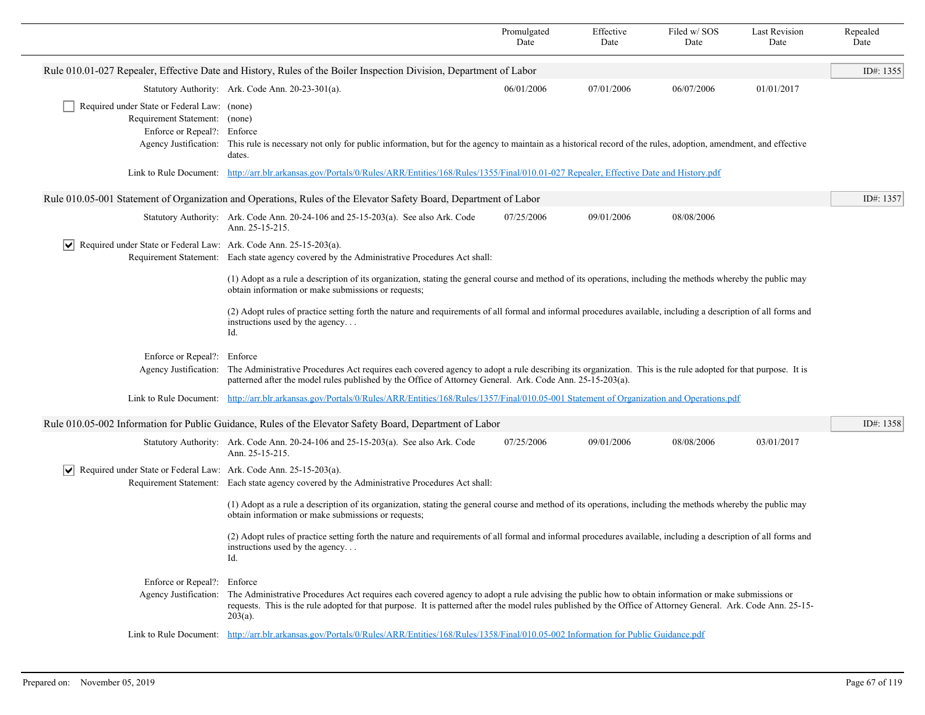|                                                                                                                                                          |                                                                                                                                                                                                                                                                                                                                                                                                                                                                                                                           | Promulgated<br>Date | Effective<br>Date | Filed w/ SOS<br>Date | <b>Last Revision</b><br>Date | Repealed<br>Date |  |
|----------------------------------------------------------------------------------------------------------------------------------------------------------|---------------------------------------------------------------------------------------------------------------------------------------------------------------------------------------------------------------------------------------------------------------------------------------------------------------------------------------------------------------------------------------------------------------------------------------------------------------------------------------------------------------------------|---------------------|-------------------|----------------------|------------------------------|------------------|--|
|                                                                                                                                                          | Rule 010.01-027 Repealer, Effective Date and History, Rules of the Boiler Inspection Division, Department of Labor                                                                                                                                                                                                                                                                                                                                                                                                        |                     |                   |                      |                              | ID#: 1355        |  |
|                                                                                                                                                          | Statutory Authority: Ark. Code Ann. 20-23-301(a).                                                                                                                                                                                                                                                                                                                                                                                                                                                                         | 06/01/2006          | 07/01/2006        | 06/07/2006           | 01/01/2017                   |                  |  |
| Required under State or Federal Law: (none)<br>Requirement Statement: (none)<br>Enforce or Repeal?: Enforce<br>Agency Justification:                     | This rule is necessary not only for public information, but for the agency to maintain as a historical record of the rules, adoption, amendment, and effective<br>dates.                                                                                                                                                                                                                                                                                                                                                  |                     |                   |                      |                              |                  |  |
| Link to Rule Document: http://arr.blr.arkansas.gov/Portals/0/Rules/ARR/Entities/168/Rules/1355/Final/010.01-027 Repealer, Effective Date and History.pdf |                                                                                                                                                                                                                                                                                                                                                                                                                                                                                                                           |                     |                   |                      |                              |                  |  |
|                                                                                                                                                          | Rule 010.05-001 Statement of Organization and Operations, Rules of the Elevator Safety Board, Department of Labor                                                                                                                                                                                                                                                                                                                                                                                                         |                     |                   |                      |                              | ID#: 1357        |  |
|                                                                                                                                                          | Statutory Authority: Ark. Code Ann. 20-24-106 and 25-15-203(a). See also Ark. Code<br>Ann. 25-15-215.                                                                                                                                                                                                                                                                                                                                                                                                                     | 07/25/2006          | 09/01/2006        | 08/08/2006           |                              |                  |  |
| $ \mathbf{v} $ Required under State or Federal Law: Ark. Code Ann. 25-15-203(a).                                                                         | Requirement Statement: Each state agency covered by the Administrative Procedures Act shall:<br>(1) Adopt as a rule a description of its organization, stating the general course and method of its operations, including the methods whereby the public may<br>obtain information or make submissions or requests;<br>(2) Adopt rules of practice setting forth the nature and requirements of all formal and informal procedures available, including a description of all forms and<br>instructions used by the agency |                     |                   |                      |                              |                  |  |
|                                                                                                                                                          | Id.<br>Enforce or Repeal?: Enforce<br>The Administrative Procedures Act requires each covered agency to adopt a rule describing its organization. This is the rule adopted for that purpose. It is<br>Agency Justification:<br>patterned after the model rules published by the Office of Attorney General. Ark. Code Ann. 25-15-203(a).<br>Link to Rule Document: http://arr.blr.arkansas.gov/Portals/0/Rules/ARR/Entities/168/Rules/1357/Final/010.05-001 Statement of Organization and Operations.pdf                  |                     |                   |                      |                              |                  |  |
|                                                                                                                                                          | Rule 010.05-002 Information for Public Guidance, Rules of the Elevator Safety Board, Department of Labor                                                                                                                                                                                                                                                                                                                                                                                                                  |                     |                   |                      |                              | ID#: 1358        |  |
|                                                                                                                                                          | Statutory Authority: Ark. Code Ann. 20-24-106 and 25-15-203(a). See also Ark. Code<br>Ann. 25-15-215.                                                                                                                                                                                                                                                                                                                                                                                                                     | 07/25/2006          | 09/01/2006        | 08/08/2006           | 03/01/2017                   |                  |  |
| Required under State or Federal Law: Ark. Code Ann. 25-15-203(a).                                                                                        | Requirement Statement: Each state agency covered by the Administrative Procedures Act shall:                                                                                                                                                                                                                                                                                                                                                                                                                              |                     |                   |                      |                              |                  |  |
|                                                                                                                                                          | (1) Adopt as a rule a description of its organization, stating the general course and method of its operations, including the methods whereby the public may<br>obtain information or make submissions or requests;                                                                                                                                                                                                                                                                                                       |                     |                   |                      |                              |                  |  |
|                                                                                                                                                          | (2) Adopt rules of practice setting forth the nature and requirements of all formal and informal procedures available, including a description of all forms and<br>instructions used by the agency<br>Id.                                                                                                                                                                                                                                                                                                                 |                     |                   |                      |                              |                  |  |
| Enforce or Repeal?: Enforce<br>Agency Justification:                                                                                                     | The Administrative Procedures Act requires each covered agency to adopt a rule advising the public how to obtain information or make submissions or<br>requests. This is the rule adopted for that purpose. It is patterned after the model rules published by the Office of Attorney General. Ark. Code Ann. 25-15-<br>$203(a)$ .                                                                                                                                                                                        |                     |                   |                      |                              |                  |  |
|                                                                                                                                                          | Link to Rule Document: http://arr.blr.arkansas.gov/Portals/0/Rules/ARR/Entities/168/Rules/1358/Final/010.05-002 Information for Public Guidance.pdf                                                                                                                                                                                                                                                                                                                                                                       |                     |                   |                      |                              |                  |  |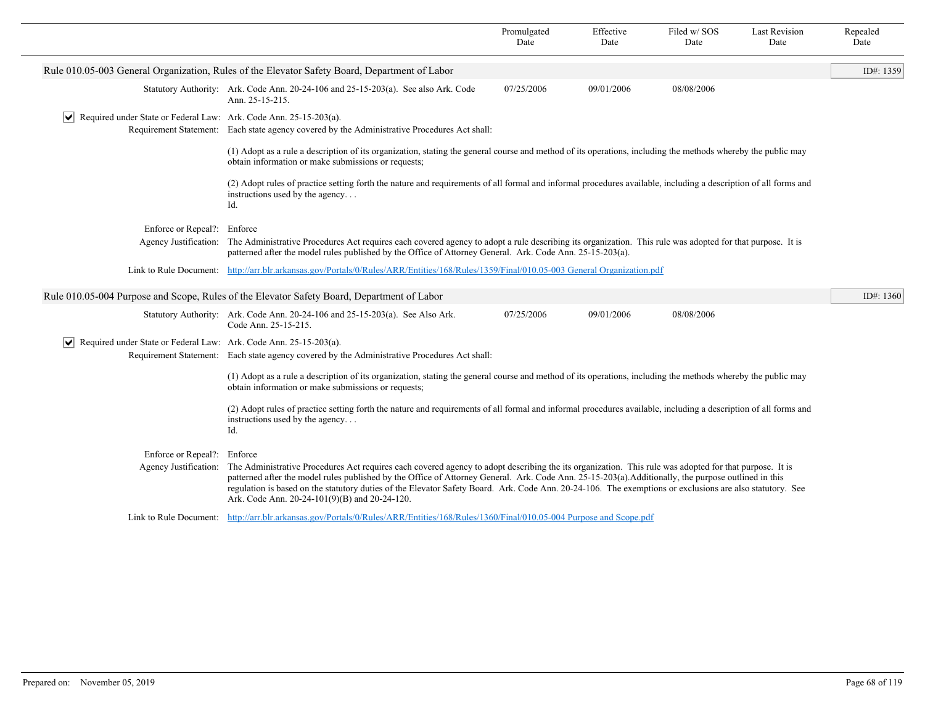|                                                                                                                                                                                                                                                                                              |                                                                                                                                                                                                                                                                                                                                                                                                                                                                                                                             | Promulgated<br>Date | Effective<br>Date | Filed w/SOS<br>Date | <b>Last Revision</b><br>Date | Repealed<br>Date |  |
|----------------------------------------------------------------------------------------------------------------------------------------------------------------------------------------------------------------------------------------------------------------------------------------------|-----------------------------------------------------------------------------------------------------------------------------------------------------------------------------------------------------------------------------------------------------------------------------------------------------------------------------------------------------------------------------------------------------------------------------------------------------------------------------------------------------------------------------|---------------------|-------------------|---------------------|------------------------------|------------------|--|
|                                                                                                                                                                                                                                                                                              | Rule 010.05-003 General Organization, Rules of the Elevator Safety Board, Department of Labor                                                                                                                                                                                                                                                                                                                                                                                                                               |                     |                   |                     |                              | ID#: 1359        |  |
|                                                                                                                                                                                                                                                                                              | Statutory Authority: Ark. Code Ann. 20-24-106 and 25-15-203(a). See also Ark. Code<br>Ann. 25-15-215.                                                                                                                                                                                                                                                                                                                                                                                                                       | 07/25/2006          | 09/01/2006        | 08/08/2006          |                              |                  |  |
| $ \mathbf{v} $ Required under State or Federal Law: Ark. Code Ann. 25-15-203(a).                                                                                                                                                                                                             | Requirement Statement: Each state agency covered by the Administrative Procedures Act shall:                                                                                                                                                                                                                                                                                                                                                                                                                                |                     |                   |                     |                              |                  |  |
|                                                                                                                                                                                                                                                                                              | (1) Adopt as a rule a description of its organization, stating the general course and method of its operations, including the methods whereby the public may<br>obtain information or make submissions or requests;                                                                                                                                                                                                                                                                                                         |                     |                   |                     |                              |                  |  |
|                                                                                                                                                                                                                                                                                              | (2) Adopt rules of practice setting forth the nature and requirements of all formal and informal procedures available, including a description of all forms and<br>instructions used by the agency<br>Id.                                                                                                                                                                                                                                                                                                                   |                     |                   |                     |                              |                  |  |
| Enforce or Repeal?: Enforce                                                                                                                                                                                                                                                                  |                                                                                                                                                                                                                                                                                                                                                                                                                                                                                                                             |                     |                   |                     |                              |                  |  |
| Agency Justification: The Administrative Procedures Act requires each covered agency to adopt a rule describing its organization. This rule was adopted for that purpose. It is<br>patterned after the model rules published by the Office of Attorney General. Ark. Code Ann. 25-15-203(a). |                                                                                                                                                                                                                                                                                                                                                                                                                                                                                                                             |                     |                   |                     |                              |                  |  |
|                                                                                                                                                                                                                                                                                              | Link to Rule Document: http://arr.blr.arkansas.gov/Portals/0/Rules/ARR/Entities/168/Rules/1359/Final/010.05-003 General Organization.pdf                                                                                                                                                                                                                                                                                                                                                                                    |                     |                   |                     |                              |                  |  |
|                                                                                                                                                                                                                                                                                              | Rule 010.05-004 Purpose and Scope, Rules of the Elevator Safety Board, Department of Labor                                                                                                                                                                                                                                                                                                                                                                                                                                  |                     |                   |                     |                              | ID#: 1360        |  |
|                                                                                                                                                                                                                                                                                              | Statutory Authority: Ark. Code Ann. 20-24-106 and 25-15-203(a). See Also Ark.<br>Code Ann. 25-15-215.                                                                                                                                                                                                                                                                                                                                                                                                                       | 07/25/2006          | 09/01/2006        | 08/08/2006          |                              |                  |  |
| $ \mathbf{v} $ Required under State or Federal Law: Ark. Code Ann. 25-15-203(a).                                                                                                                                                                                                             | Requirement Statement: Each state agency covered by the Administrative Procedures Act shall:                                                                                                                                                                                                                                                                                                                                                                                                                                |                     |                   |                     |                              |                  |  |
|                                                                                                                                                                                                                                                                                              | (1) Adopt as a rule a description of its organization, stating the general course and method of its operations, including the methods whereby the public may<br>obtain information or make submissions or requests;                                                                                                                                                                                                                                                                                                         |                     |                   |                     |                              |                  |  |
|                                                                                                                                                                                                                                                                                              | (2) Adopt rules of practice setting forth the nature and requirements of all formal and informal procedures available, including a description of all forms and<br>instructions used by the agency<br>Id.                                                                                                                                                                                                                                                                                                                   |                     |                   |                     |                              |                  |  |
| Enforce or Repeal?: Enforce<br>Agency Justification:                                                                                                                                                                                                                                         | The Administrative Procedures Act requires each covered agency to adopt describing the its organization. This rule was adopted for that purpose. It is<br>patterned after the model rules published by the Office of Attorney General. Ark. Code Ann. 25-15-203(a). Additionally, the purpose outlined in this<br>regulation is based on the statutory duties of the Elevator Safety Board. Ark. Code Ann. 20-24-106. The exemptions or exclusions are also statutory. See<br>Ark. Code Ann. 20-24-101(9)(B) and 20-24-120. |                     |                   |                     |                              |                  |  |
|                                                                                                                                                                                                                                                                                              | Link to Rule Document: http://arr.blr.arkansas.gov/Portals/0/Rules/ARR/Entities/168/Rules/1360/Final/010.05-004 Purpose and Scope.pdf                                                                                                                                                                                                                                                                                                                                                                                       |                     |                   |                     |                              |                  |  |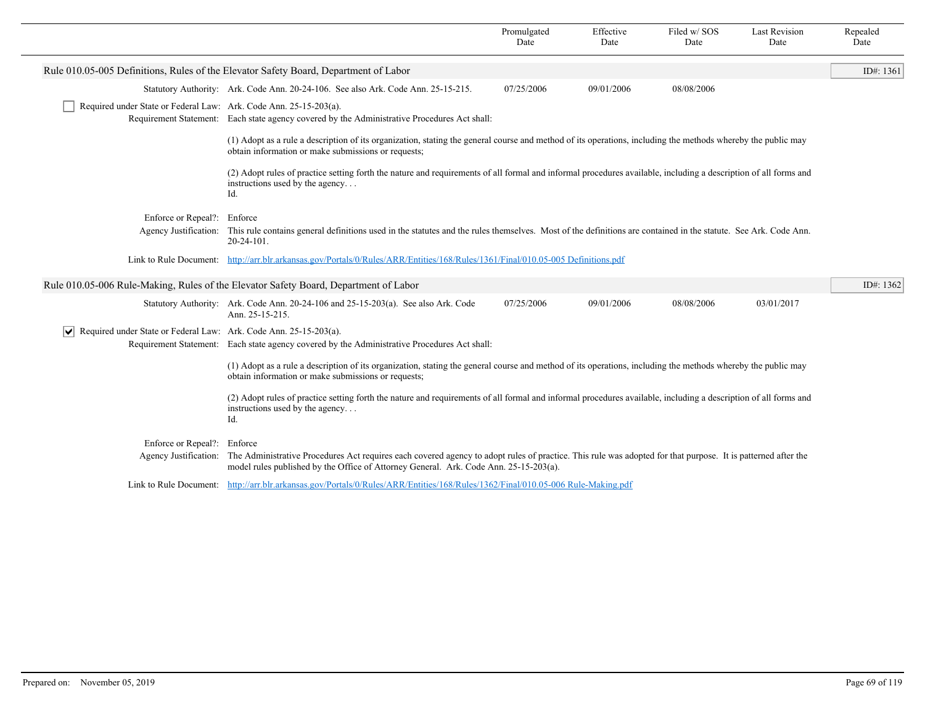|                                                                                                                                                                                                              |                                                                         |                                                                                                                                                                                                                                                                             | Promulgated<br>Date | Effective<br>Date | Filed w/SOS<br>Date | <b>Last Revision</b><br>Date | Repealed<br>Date |  |  |
|--------------------------------------------------------------------------------------------------------------------------------------------------------------------------------------------------------------|-------------------------------------------------------------------------|-----------------------------------------------------------------------------------------------------------------------------------------------------------------------------------------------------------------------------------------------------------------------------|---------------------|-------------------|---------------------|------------------------------|------------------|--|--|
|                                                                                                                                                                                                              |                                                                         | Rule 010.05-005 Definitions, Rules of the Elevator Safety Board, Department of Labor                                                                                                                                                                                        |                     |                   |                     |                              | ID#: $1361$      |  |  |
|                                                                                                                                                                                                              |                                                                         | Statutory Authority: Ark. Code Ann. 20-24-106. See also Ark. Code Ann. 25-15-215.                                                                                                                                                                                           | 07/25/2006          | 09/01/2006        | 08/08/2006          |                              |                  |  |  |
|                                                                                                                                                                                                              | Required under State or Federal Law: Ark. Code Ann. 25-15-203(a).       | Requirement Statement: Each state agency covered by the Administrative Procedures Act shall:                                                                                                                                                                                |                     |                   |                     |                              |                  |  |  |
|                                                                                                                                                                                                              |                                                                         | (1) Adopt as a rule a description of its organization, stating the general course and method of its operations, including the methods whereby the public may<br>obtain information or make submissions or requests;                                                         |                     |                   |                     |                              |                  |  |  |
|                                                                                                                                                                                                              |                                                                         | (2) Adopt rules of practice setting forth the nature and requirements of all formal and informal procedures available, including a description of all forms and<br>instructions used by the agency<br>Id.                                                                   |                     |                   |                     |                              |                  |  |  |
|                                                                                                                                                                                                              | Enforce or Repeal?: Enforce                                             |                                                                                                                                                                                                                                                                             |                     |                   |                     |                              |                  |  |  |
| This rule contains general definitions used in the statutes and the rules themselves. Most of the definitions are contained in the statute. See Ark. Code Ann.<br>Agency Justification:<br>$20 - 24 - 101$ . |                                                                         |                                                                                                                                                                                                                                                                             |                     |                   |                     |                              |                  |  |  |
|                                                                                                                                                                                                              |                                                                         | Link to Rule Document: http://arr.blr.arkansas.gov/Portals/0/Rules/ARR/Entities/168/Rules/1361/Final/010.05-005 Definitions.pdf                                                                                                                                             |                     |                   |                     |                              |                  |  |  |
|                                                                                                                                                                                                              |                                                                         | Rule 010.05-006 Rule-Making, Rules of the Elevator Safety Board, Department of Labor                                                                                                                                                                                        |                     |                   |                     |                              | ID#: 1362        |  |  |
|                                                                                                                                                                                                              |                                                                         | Statutory Authority: Ark. Code Ann. 20-24-106 and 25-15-203(a). See also Ark. Code<br>Ann. 25-15-215.                                                                                                                                                                       | 07/25/2006          | 09/01/2006        | 08/08/2006          | 03/01/2017                   |                  |  |  |
|                                                                                                                                                                                                              | Required under State or Federal Law: Ark. Code Ann. 25-15-203(a).<br>VI |                                                                                                                                                                                                                                                                             |                     |                   |                     |                              |                  |  |  |
|                                                                                                                                                                                                              |                                                                         | Requirement Statement: Each state agency covered by the Administrative Procedures Act shall:                                                                                                                                                                                |                     |                   |                     |                              |                  |  |  |
|                                                                                                                                                                                                              |                                                                         | (1) Adopt as a rule a description of its organization, stating the general course and method of its operations, including the methods whereby the public may<br>obtain information or make submissions or requests;                                                         |                     |                   |                     |                              |                  |  |  |
|                                                                                                                                                                                                              |                                                                         | (2) Adopt rules of practice setting forth the nature and requirements of all formal and informal procedures available, including a description of all forms and<br>instructions used by the agency<br>Id.                                                                   |                     |                   |                     |                              |                  |  |  |
|                                                                                                                                                                                                              | Enforce or Repeal?: Enforce                                             |                                                                                                                                                                                                                                                                             |                     |                   |                     |                              |                  |  |  |
|                                                                                                                                                                                                              |                                                                         | Agency Justification: The Administrative Procedures Act requires each covered agency to adopt rules of practice. This rule was adopted for that purpose. It is patterned after the<br>model rules published by the Office of Attorney General. Ark. Code Ann. 25-15-203(a). |                     |                   |                     |                              |                  |  |  |
|                                                                                                                                                                                                              |                                                                         | Link to Rule Document: http://arr.blr.arkansas.gov/Portals/0/Rules/ARR/Entities/168/Rules/1362/Final/010.05-006 Rule-Making.pdf                                                                                                                                             |                     |                   |                     |                              |                  |  |  |
|                                                                                                                                                                                                              |                                                                         |                                                                                                                                                                                                                                                                             |                     |                   |                     |                              |                  |  |  |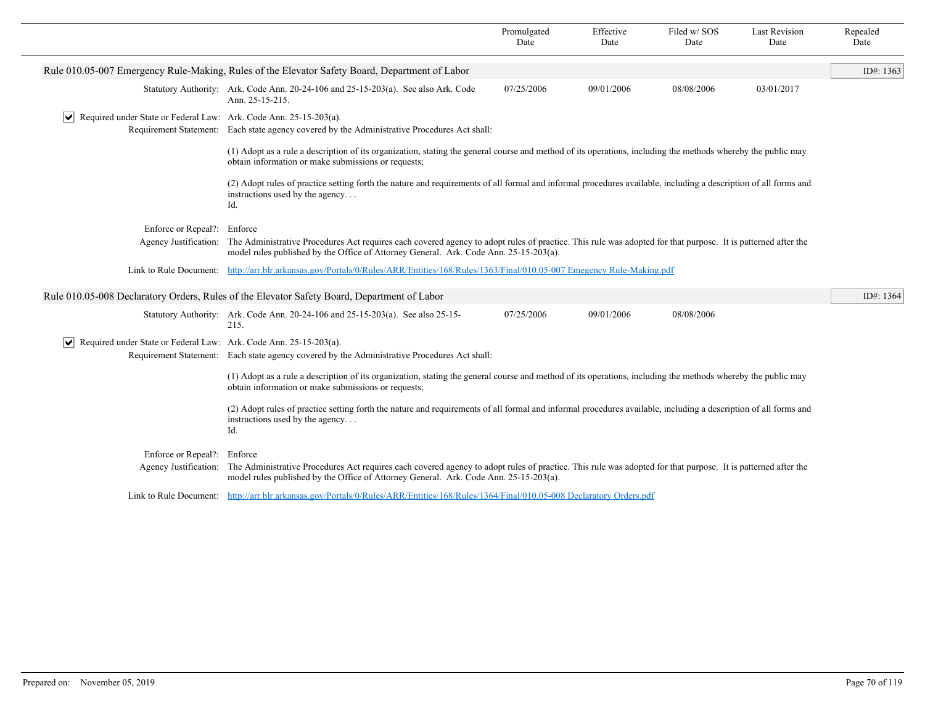|                                                                                                                                                                                                                                                                                |                                                                                        |                                                                                                                                                                                                                                                                  | Promulgated<br>Date | Effective<br>Date | Filed w/SOS<br>Date | <b>Last Revision</b><br>Date | Repealed<br>Date |
|--------------------------------------------------------------------------------------------------------------------------------------------------------------------------------------------------------------------------------------------------------------------------------|----------------------------------------------------------------------------------------|------------------------------------------------------------------------------------------------------------------------------------------------------------------------------------------------------------------------------------------------------------------|---------------------|-------------------|---------------------|------------------------------|------------------|
|                                                                                                                                                                                                                                                                                |                                                                                        | Rule 010.05-007 Emergency Rule-Making, Rules of the Elevator Safety Board, Department of Labor                                                                                                                                                                   |                     |                   |                     |                              | ID#: $1363$      |
|                                                                                                                                                                                                                                                                                |                                                                                        | Statutory Authority: Ark. Code Ann. 20-24-106 and 25-15-203(a). See also Ark. Code<br>Ann. 25-15-215.                                                                                                                                                            | 07/25/2006          | 09/01/2006        | 08/08/2006          | 03/01/2017                   |                  |
|                                                                                                                                                                                                                                                                                | $\sqrt{\phantom{a}}$ Required under State or Federal Law: Ark. Code Ann. 25-15-203(a). | Requirement Statement: Each state agency covered by the Administrative Procedures Act shall:                                                                                                                                                                     |                     |                   |                     |                              |                  |
|                                                                                                                                                                                                                                                                                |                                                                                        | (1) Adopt as a rule a description of its organization, stating the general course and method of its operations, including the methods whereby the public may<br>obtain information or make submissions or requests;                                              |                     |                   |                     |                              |                  |
|                                                                                                                                                                                                                                                                                |                                                                                        | (2) Adopt rules of practice setting forth the nature and requirements of all formal and informal procedures available, including a description of all forms and<br>instructions used by the agency<br>Id.                                                        |                     |                   |                     |                              |                  |
|                                                                                                                                                                                                                                                                                | Enforce or Repeal?: Enforce                                                            |                                                                                                                                                                                                                                                                  |                     |                   |                     |                              |                  |
| Agency Justification:<br>The Administrative Procedures Act requires each covered agency to adopt rules of practice. This rule was adopted for that purpose. It is patterned after the<br>model rules published by the Office of Attorney General. Ark. Code Ann. 25-15-203(a). |                                                                                        |                                                                                                                                                                                                                                                                  |                     |                   |                     |                              |                  |
| Link to Rule Document: http://arr.blr.arkansas.gov/Portals/0/Rules/ARR/Entities/168/Rules/1363/Final/010.05-007 Emegency Rule-Making.pdf                                                                                                                                       |                                                                                        |                                                                                                                                                                                                                                                                  |                     |                   |                     |                              |                  |
|                                                                                                                                                                                                                                                                                |                                                                                        | Rule 010.05-008 Declaratory Orders, Rules of the Elevator Safety Board, Department of Labor                                                                                                                                                                      |                     |                   |                     |                              | ID#: $1364$      |
|                                                                                                                                                                                                                                                                                |                                                                                        | Statutory Authority: Ark. Code Ann. 20-24-106 and 25-15-203(a). See also 25-15-<br>215.                                                                                                                                                                          | 07/25/2006          | 09/01/2006        | 08/08/2006          |                              |                  |
|                                                                                                                                                                                                                                                                                | $ \mathbf{v} $ Required under State or Federal Law: Ark. Code Ann. 25-15-203(a).       | Requirement Statement: Each state agency covered by the Administrative Procedures Act shall:                                                                                                                                                                     |                     |                   |                     |                              |                  |
|                                                                                                                                                                                                                                                                                |                                                                                        | (1) Adopt as a rule a description of its organization, stating the general course and method of its operations, including the methods whereby the public may<br>obtain information or make submissions or requests;                                              |                     |                   |                     |                              |                  |
| (2) Adopt rules of practice setting forth the nature and requirements of all formal and informal procedures available, including a description of all forms and<br>instructions used by the agency<br>Id.                                                                      |                                                                                        |                                                                                                                                                                                                                                                                  |                     |                   |                     |                              |                  |
|                                                                                                                                                                                                                                                                                | Enforce or Repeal?:<br>Agency Justification:                                           | Enforce<br>The Administrative Procedures Act requires each covered agency to adopt rules of practice. This rule was adopted for that purpose. It is patterned after the<br>model rules published by the Office of Attorney General. Ark. Code Ann. 25-15-203(a). |                     |                   |                     |                              |                  |
|                                                                                                                                                                                                                                                                                |                                                                                        | Link to Rule Document: http://arr.blr.arkansas.gov/Portals/0/Rules/ARR/Entities/168/Rules/1364/Final/010.05-008 Declaratory Orders.pdf                                                                                                                           |                     |                   |                     |                              |                  |
|                                                                                                                                                                                                                                                                                |                                                                                        |                                                                                                                                                                                                                                                                  |                     |                   |                     |                              |                  |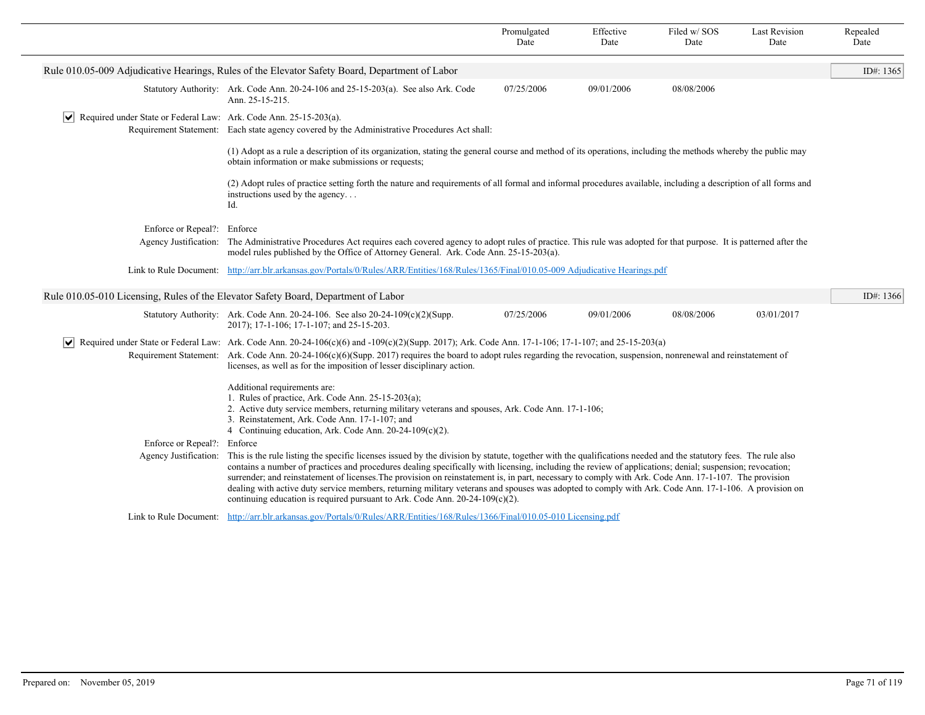|                                                                                                                                                                                                                                                                                                         |                                                                                                                                                                                                                                                                                                                                                                                                                                                                                                                                                                                                                                                                                                                                 | Promulgated<br>Date | Effective<br>Date | Filed w/SOS<br>Date | <b>Last Revision</b><br>Date | Repealed<br>Date |
|---------------------------------------------------------------------------------------------------------------------------------------------------------------------------------------------------------------------------------------------------------------------------------------------------------|---------------------------------------------------------------------------------------------------------------------------------------------------------------------------------------------------------------------------------------------------------------------------------------------------------------------------------------------------------------------------------------------------------------------------------------------------------------------------------------------------------------------------------------------------------------------------------------------------------------------------------------------------------------------------------------------------------------------------------|---------------------|-------------------|---------------------|------------------------------|------------------|
|                                                                                                                                                                                                                                                                                                         | Rule 010.05-009 Adjudicative Hearings, Rules of the Elevator Safety Board, Department of Labor                                                                                                                                                                                                                                                                                                                                                                                                                                                                                                                                                                                                                                  |                     |                   |                     |                              | ID#: $1365$      |
|                                                                                                                                                                                                                                                                                                         | Statutory Authority: Ark. Code Ann. 20-24-106 and 25-15-203(a). See also Ark. Code<br>Ann. 25-15-215.                                                                                                                                                                                                                                                                                                                                                                                                                                                                                                                                                                                                                           | 07/25/2006          | 09/01/2006        | 08/08/2006          |                              |                  |
| $ \mathbf{v} $ Required under State or Federal Law: Ark. Code Ann. 25-15-203(a).                                                                                                                                                                                                                        | Requirement Statement: Each state agency covered by the Administrative Procedures Act shall:                                                                                                                                                                                                                                                                                                                                                                                                                                                                                                                                                                                                                                    |                     |                   |                     |                              |                  |
|                                                                                                                                                                                                                                                                                                         | (1) Adopt as a rule a description of its organization, stating the general course and method of its operations, including the methods whereby the public may<br>obtain information or make submissions or requests;                                                                                                                                                                                                                                                                                                                                                                                                                                                                                                             |                     |                   |                     |                              |                  |
|                                                                                                                                                                                                                                                                                                         | (2) Adopt rules of practice setting forth the nature and requirements of all formal and informal procedures available, including a description of all forms and<br>instructions used by the agency<br>Id.                                                                                                                                                                                                                                                                                                                                                                                                                                                                                                                       |                     |                   |                     |                              |                  |
| Enforce or Repeal?: Enforce                                                                                                                                                                                                                                                                             |                                                                                                                                                                                                                                                                                                                                                                                                                                                                                                                                                                                                                                                                                                                                 |                     |                   |                     |                              |                  |
| Agency Justification: The Administrative Procedures Act requires each covered agency to adopt rules of practice. This rule was adopted for that purpose. It is patterned after the<br>model rules published by the Office of Attorney General. Ark. Code Ann. 25-15-203(a).                             |                                                                                                                                                                                                                                                                                                                                                                                                                                                                                                                                                                                                                                                                                                                                 |                     |                   |                     |                              |                  |
| Link to Rule Document: http://arr.blr.arkansas.gov/Portals/0/Rules/ARR/Entities/168/Rules/1365/Final/010.05-009 Adjudicative Hearings.pdf                                                                                                                                                               |                                                                                                                                                                                                                                                                                                                                                                                                                                                                                                                                                                                                                                                                                                                                 |                     |                   |                     |                              |                  |
|                                                                                                                                                                                                                                                                                                         | Rule 010.05-010 Licensing, Rules of the Elevator Safety Board, Department of Labor                                                                                                                                                                                                                                                                                                                                                                                                                                                                                                                                                                                                                                              |                     |                   |                     |                              | ID#: 1366        |
|                                                                                                                                                                                                                                                                                                         | Statutory Authority: Ark. Code Ann. 20-24-106. See also $20-24-109(c)(2)(Supp.$<br>2017); 17-1-106; 17-1-107; and 25-15-203.                                                                                                                                                                                                                                                                                                                                                                                                                                                                                                                                                                                                    | 07/25/2006          | 09/01/2006        | 08/08/2006          | 03/01/2017                   |                  |
|                                                                                                                                                                                                                                                                                                         | $\vee$ Required under State or Federal Law: Ark. Code Ann. 20-24-106(c)(6) and -109(c)(2)(Supp. 2017); Ark. Code Ann. 17-1-106; 17-1-107; and 25-15-203(a)<br>Requirement Statement: Ark. Code Ann. 20-24-106(c)(6)(Supp. 2017) requires the board to adopt rules regarding the revocation, suspension, nonrenewal and reinstatement of<br>licenses, as well as for the imposition of lesser disciplinary action.                                                                                                                                                                                                                                                                                                               |                     |                   |                     |                              |                  |
| Additional requirements are:<br>1. Rules of practice, Ark. Code Ann. $25-15-203(a)$ ;<br>2. Active duty service members, returning military veterans and spouses, Ark. Code Ann. 17-1-106;<br>3. Reinstatement, Ark. Code Ann. 17-1-107; and<br>4 Continuing education, Ark. Code Ann. 20-24-109(c)(2). |                                                                                                                                                                                                                                                                                                                                                                                                                                                                                                                                                                                                                                                                                                                                 |                     |                   |                     |                              |                  |
| Enforce or Repeal?: Enforce<br>Agency Justification:                                                                                                                                                                                                                                                    | This is the rule listing the specific licenses issued by the division by statute, together with the qualifications needed and the statutory fees. The rule also<br>contains a number of practices and procedures dealing specifically with licensing, including the review of applications; denial; suspension; revocation;<br>surrender; and reinstatement of licenses. The provision on reinstatement is, in part, necessary to comply with Ark. Code Ann. 17-1-107. The provision<br>dealing with active duty service members, returning military veterans and spouses was adopted to comply with Ark. Code Ann. 17-1-106. A provision on<br>continuing education is required pursuant to Ark. Code Ann. $20-24-109(c)(2)$ . |                     |                   |                     |                              |                  |
|                                                                                                                                                                                                                                                                                                         | Link to Rule Document: http://arr.blr.arkansas.gov/Portals/0/Rules/ARR/Entities/168/Rules/1366/Final/010.05-010 Licensing.pdf                                                                                                                                                                                                                                                                                                                                                                                                                                                                                                                                                                                                   |                     |                   |                     |                              |                  |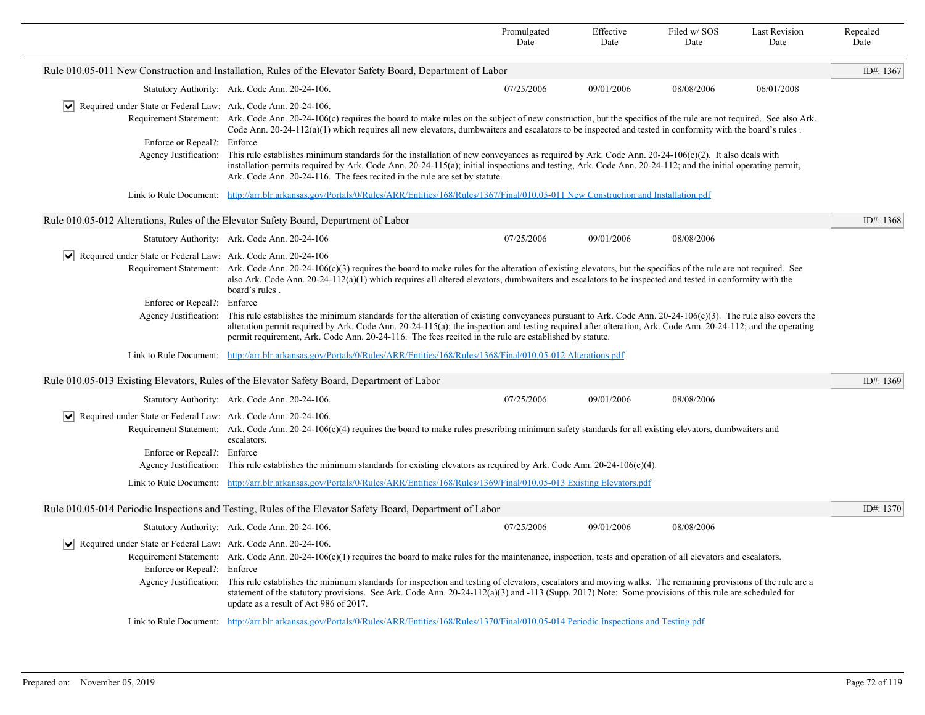|                                                                                                                      |                                                                                                                                                                                                                                                                                                                                                                                                                                                                                                                                                                         | Promulgated<br>Date | Effective<br>Date | Filed w/SOS<br>Date | <b>Last Revision</b><br>Date | Repealed<br>Date |
|----------------------------------------------------------------------------------------------------------------------|-------------------------------------------------------------------------------------------------------------------------------------------------------------------------------------------------------------------------------------------------------------------------------------------------------------------------------------------------------------------------------------------------------------------------------------------------------------------------------------------------------------------------------------------------------------------------|---------------------|-------------------|---------------------|------------------------------|------------------|
|                                                                                                                      | Rule 010.05-011 New Construction and Installation, Rules of the Elevator Safety Board, Department of Labor                                                                                                                                                                                                                                                                                                                                                                                                                                                              |                     |                   |                     |                              | ID#: 1367        |
|                                                                                                                      | Statutory Authority: Ark. Code Ann. 20-24-106.                                                                                                                                                                                                                                                                                                                                                                                                                                                                                                                          | 07/25/2006          | 09/01/2006        | 08/08/2006          | 06/01/2008                   |                  |
| VI<br>Required under State or Federal Law: Ark. Code Ann. 20-24-106.                                                 |                                                                                                                                                                                                                                                                                                                                                                                                                                                                                                                                                                         |                     |                   |                     |                              |                  |
|                                                                                                                      | Requirement Statement: Ark. Code Ann. 20-24-106(c) requires the board to make rules on the subject of new construction, but the specifics of the rule are not required. See also Ark.<br>Code Ann. $20-24-112(a)(1)$ which requires all new elevators, dumbwaiters and escalators to be inspected and tested in conformity with the board's rules.                                                                                                                                                                                                                      |                     |                   |                     |                              |                  |
| Enforce or Repeal?: Enforce                                                                                          |                                                                                                                                                                                                                                                                                                                                                                                                                                                                                                                                                                         |                     |                   |                     |                              |                  |
|                                                                                                                      | Agency Justification: This rule establishes minimum standards for the installation of new conveyances as required by Ark. Code Ann. 20-24-106(c)(2). It also deals with<br>installation permits required by Ark. Code Ann. 20-24-115(a); initial inspections and testing, Ark. Code Ann. 20-24-112; and the initial operating permit,<br>Ark. Code Ann. 20-24-116. The fees recited in the rule are set by statute.                                                                                                                                                     |                     |                   |                     |                              |                  |
|                                                                                                                      | Link to Rule Document: http://arr.blr.arkansas.gov/Portals/0/Rules/ARR/Entities/168/Rules/1367/Final/010.05-011 New Construction and Installation.pdf                                                                                                                                                                                                                                                                                                                                                                                                                   |                     |                   |                     |                              |                  |
|                                                                                                                      | Rule 010.05-012 Alterations, Rules of the Elevator Safety Board, Department of Labor                                                                                                                                                                                                                                                                                                                                                                                                                                                                                    |                     |                   |                     |                              | ID#: 1368        |
|                                                                                                                      | Statutory Authority: Ark. Code Ann. 20-24-106                                                                                                                                                                                                                                                                                                                                                                                                                                                                                                                           | 07/25/2006          | 09/01/2006        | 08/08/2006          |                              |                  |
| $ \mathbf{v} $ Required under State or Federal Law: Ark. Code Ann. 20-24-106                                         |                                                                                                                                                                                                                                                                                                                                                                                                                                                                                                                                                                         |                     |                   |                     |                              |                  |
|                                                                                                                      | Requirement Statement: Ark. Code Ann. 20-24-106(c)(3) requires the board to make rules for the alteration of existing elevators, but the specifics of the rule are not required. See<br>also Ark. Code Ann. $20-24-112(a)(1)$ which requires all altered elevators, dumbwaiters and escalators to be inspected and tested in conformity with the<br>board's rules.                                                                                                                                                                                                      |                     |                   |                     |                              |                  |
| Enforce or Repeal?: Enforce                                                                                          |                                                                                                                                                                                                                                                                                                                                                                                                                                                                                                                                                                         |                     |                   |                     |                              |                  |
|                                                                                                                      | Agency Justification: This rule establishes the minimum standards for the alteration of existing conveyances pursuant to Ark. Code Ann. 20-24-106(c)(3). The rule also covers the<br>alteration permit required by Ark. Code Ann. 20-24-115(a); the inspection and testing required after alteration, Ark. Code Ann. 20-24-112; and the operating<br>permit requirement, Ark. Code Ann. 20-24-116. The fees recited in the rule are established by statute.                                                                                                             |                     |                   |                     |                              |                  |
|                                                                                                                      | Link to Rule Document: http://arr.blr.arkansas.gov/Portals/0/Rules/ARR/Entities/168/Rules/1368/Final/010.05-012 Alterations.pdf                                                                                                                                                                                                                                                                                                                                                                                                                                         |                     |                   |                     |                              |                  |
|                                                                                                                      | Rule 010.05-013 Existing Elevators, Rules of the Elevator Safety Board, Department of Labor                                                                                                                                                                                                                                                                                                                                                                                                                                                                             |                     |                   |                     |                              | ID#: 1369        |
|                                                                                                                      | Statutory Authority: Ark. Code Ann. 20-24-106.                                                                                                                                                                                                                                                                                                                                                                                                                                                                                                                          | 07/25/2006          | 09/01/2006        | 08/08/2006          |                              |                  |
| Required under State or Federal Law: Ark. Code Ann. 20-24-106.                                                       | Requirement Statement: Ark. Code Ann. $20-24-106(c)(4)$ requires the board to make rules prescribing minimum safety standards for all existing elevators, dumbwaiters and<br>escalators.                                                                                                                                                                                                                                                                                                                                                                                |                     |                   |                     |                              |                  |
| Enforce or Repeal?: Enforce                                                                                          |                                                                                                                                                                                                                                                                                                                                                                                                                                                                                                                                                                         |                     |                   |                     |                              |                  |
|                                                                                                                      | Agency Justification: This rule establishes the minimum standards for existing elevators as required by Ark. Code Ann. 20-24-106(c)(4).                                                                                                                                                                                                                                                                                                                                                                                                                                 |                     |                   |                     |                              |                  |
|                                                                                                                      | Link to Rule Document: http://arr.blr.arkansas.gov/Portals/0/Rules/ARR/Entities/168/Rules/1369/Final/010.05-013 Existing Elevators.pdf                                                                                                                                                                                                                                                                                                                                                                                                                                  |                     |                   |                     |                              |                  |
|                                                                                                                      | Rule 010.05-014 Periodic Inspections and Testing, Rules of the Elevator Safety Board, Department of Labor                                                                                                                                                                                                                                                                                                                                                                                                                                                               |                     |                   |                     |                              | ID#: 1370        |
|                                                                                                                      | Statutory Authority: Ark. Code Ann. 20-24-106.                                                                                                                                                                                                                                                                                                                                                                                                                                                                                                                          | 07/25/2006          | 09/01/2006        | 08/08/2006          |                              |                  |
| $ \bm{\mathsf{v}} $<br>Required under State or Federal Law: Ark. Code Ann. 20-24-106.<br>Enforce or Repeal?: Enforce | Requirement Statement: Ark. Code Ann. $20-24-106(c)(1)$ requires the board to make rules for the maintenance, inspection, tests and operation of all elevators and escalators.<br>Agency Justification: This rule establishes the minimum standards for inspection and testing of elevators, escalators and moving walks. The remaining provisions of the rule are a<br>statement of the statutory provisions. See Ark. Code Ann. 20-24-112(a)(3) and -113 (Supp. 2017). Note: Some provisions of this rule are scheduled for<br>update as a result of Act 986 of 2017. |                     |                   |                     |                              |                  |
|                                                                                                                      | Link to Rule Document: http://arr.blr.arkansas.gov/Portals/0/Rules/ARR/Entities/168/Rules/1370/Final/010.05-014 Periodic Inspections and Testing.pdf                                                                                                                                                                                                                                                                                                                                                                                                                    |                     |                   |                     |                              |                  |
|                                                                                                                      |                                                                                                                                                                                                                                                                                                                                                                                                                                                                                                                                                                         |                     |                   |                     |                              |                  |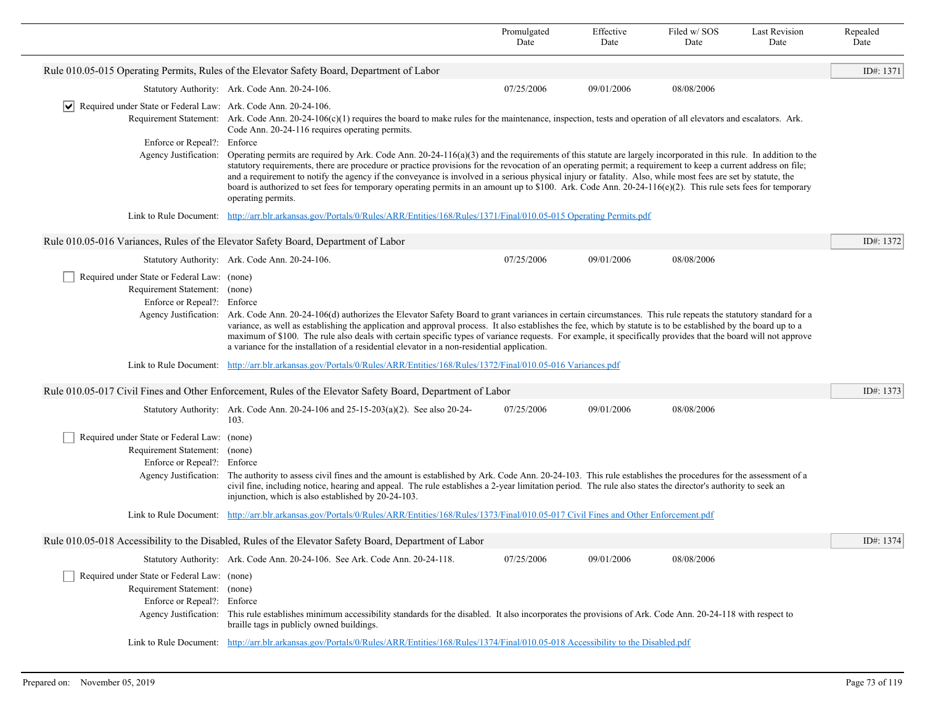|                                                                                                             |                                                                                                                                                                                                                                                                                                                                                                                                                                                                                                                                                                                                                                                                                              | Promulgated<br>Date | Effective<br>Date | Filed w/SOS<br>Date | <b>Last Revision</b><br>Date | Repealed<br>Date |
|-------------------------------------------------------------------------------------------------------------|----------------------------------------------------------------------------------------------------------------------------------------------------------------------------------------------------------------------------------------------------------------------------------------------------------------------------------------------------------------------------------------------------------------------------------------------------------------------------------------------------------------------------------------------------------------------------------------------------------------------------------------------------------------------------------------------|---------------------|-------------------|---------------------|------------------------------|------------------|
|                                                                                                             | Rule 010.05-015 Operating Permits, Rules of the Elevator Safety Board, Department of Labor                                                                                                                                                                                                                                                                                                                                                                                                                                                                                                                                                                                                   |                     |                   |                     |                              | ID#: 1371        |
|                                                                                                             | Statutory Authority: Ark. Code Ann. 20-24-106.                                                                                                                                                                                                                                                                                                                                                                                                                                                                                                                                                                                                                                               | 07/25/2006          | 09/01/2006        | 08/08/2006          |                              |                  |
| Required under State or Federal Law: Ark. Code Ann. 20-24-106.<br>M                                         | Requirement Statement: Ark. Code Ann. 20-24-106(c)(1) requires the board to make rules for the maintenance, inspection, tests and operation of all elevators and escalators. Ark.<br>Code Ann. 20-24-116 requires operating permits.                                                                                                                                                                                                                                                                                                                                                                                                                                                         |                     |                   |                     |                              |                  |
| Enforce or Repeal?: Enforce<br>Agency Justification:                                                        | Operating permits are required by Ark. Code Ann. $20-24-116(a)(3)$ and the requirements of this statute are largely incorporated in this rule. In addition to the<br>statutory requirements, there are procedure or practice provisions for the revocation of an operating permit; a requirement to keep a current address on file;<br>and a requirement to notify the agency if the conveyance is involved in a serious physical injury or fatality. Also, while most fees are set by statute, the<br>board is authorized to set fees for temporary operating permits in an amount up to \$100. Ark. Code Ann. 20-24-116( $e)(2)$ . This rule sets fees for temporary<br>operating permits. |                     |                   |                     |                              |                  |
|                                                                                                             | Link to Rule Document: http://arr.blr.arkansas.gov/Portals/0/Rules/ARR/Entities/168/Rules/1371/Final/010.05-015 Operating Permits.pdf                                                                                                                                                                                                                                                                                                                                                                                                                                                                                                                                                        |                     |                   |                     |                              |                  |
|                                                                                                             | Rule 010.05-016 Variances, Rules of the Elevator Safety Board, Department of Labor                                                                                                                                                                                                                                                                                                                                                                                                                                                                                                                                                                                                           |                     |                   |                     |                              | ID#: 1372        |
|                                                                                                             | Statutory Authority: Ark. Code Ann. 20-24-106.                                                                                                                                                                                                                                                                                                                                                                                                                                                                                                                                                                                                                                               | 07/25/2006          | 09/01/2006        | 08/08/2006          |                              |                  |
| Required under State or Federal Law: (none)<br>Requirement Statement: (none)<br>Enforce or Repeal?: Enforce | Agency Justification: Ark. Code Ann. 20-24-106(d) authorizes the Elevator Safety Board to grant variances in certain circumstances. This rule repeats the statutory standard for a<br>variance, as well as establishing the application and approval process. It also establishes the fee, which by statute is to be established by the board up to a<br>maximum of \$100. The rule also deals with certain specific types of variance requests. For example, it specifically provides that the board will not approve<br>a variance for the installation of a residential elevator in a non-residential application.                                                                        |                     |                   |                     |                              |                  |
|                                                                                                             | Link to Rule Document: http://arr.blr.arkansas.gov/Portals/0/Rules/ARR/Entities/168/Rules/1372/Final/010.05-016 Variances.pdf                                                                                                                                                                                                                                                                                                                                                                                                                                                                                                                                                                |                     |                   |                     |                              |                  |
|                                                                                                             | Rule 010.05-017 Civil Fines and Other Enforcement, Rules of the Elevator Safety Board, Department of Labor                                                                                                                                                                                                                                                                                                                                                                                                                                                                                                                                                                                   |                     |                   |                     |                              | ID#: 1373        |
|                                                                                                             | Statutory Authority: Ark. Code Ann. $20-24-106$ and $25-15-203(a)(2)$ . See also $20-24-$<br>103.                                                                                                                                                                                                                                                                                                                                                                                                                                                                                                                                                                                            | 07/25/2006          | 09/01/2006        | 08/08/2006          |                              |                  |
| Required under State or Federal Law: (none)                                                                 |                                                                                                                                                                                                                                                                                                                                                                                                                                                                                                                                                                                                                                                                                              |                     |                   |                     |                              |                  |
| Requirement Statement: (none)                                                                               |                                                                                                                                                                                                                                                                                                                                                                                                                                                                                                                                                                                                                                                                                              |                     |                   |                     |                              |                  |
| Enforce or Repeal?: Enforce                                                                                 | Agency Justification: The authority to assess civil fines and the amount is established by Ark. Code Ann. 20-24-103. This rule establishes the procedures for the assessment of a<br>civil fine, including notice, hearing and appeal. The rule establishes a 2-year limitation period. The rule also states the director's authority to seek an<br>injunction, which is also established by 20-24-103.                                                                                                                                                                                                                                                                                      |                     |                   |                     |                              |                  |
|                                                                                                             | Link to Rule Document: http://arr.blr.arkansas.gov/Portals/0/Rules/ARR/Entities/168/Rules/1373/Final/010.05-017 Civil Fines and Other Enforcement.pdf                                                                                                                                                                                                                                                                                                                                                                                                                                                                                                                                        |                     |                   |                     |                              |                  |
|                                                                                                             | Rule 010.05-018 Accessibility to the Disabled, Rules of the Elevator Safety Board, Department of Labor                                                                                                                                                                                                                                                                                                                                                                                                                                                                                                                                                                                       |                     |                   |                     |                              | ID#: 1374        |
|                                                                                                             | Statutory Authority: Ark. Code Ann. 20-24-106. See Ark. Code Ann. 20-24-118.                                                                                                                                                                                                                                                                                                                                                                                                                                                                                                                                                                                                                 | 07/25/2006          | 09/01/2006        | 08/08/2006          |                              |                  |
| Required under State or Federal Law: (none)<br>Requirement Statement: (none)<br>Enforce or Repeal?: Enforce | Agency Justification: This rule establishes minimum accessibility standards for the disabled. It also incorporates the provisions of Ark. Code Ann. 20-24-118 with respect to<br>braille tags in publicly owned buildings.                                                                                                                                                                                                                                                                                                                                                                                                                                                                   |                     |                   |                     |                              |                  |
| Link to Rule Document:                                                                                      | http://arr.blr.arkansas.gov/Portals/0/Rules/ARR/Entities/168/Rules/1374/Final/010.05-018 Accessibility to the Disabled.pdf                                                                                                                                                                                                                                                                                                                                                                                                                                                                                                                                                                   |                     |                   |                     |                              |                  |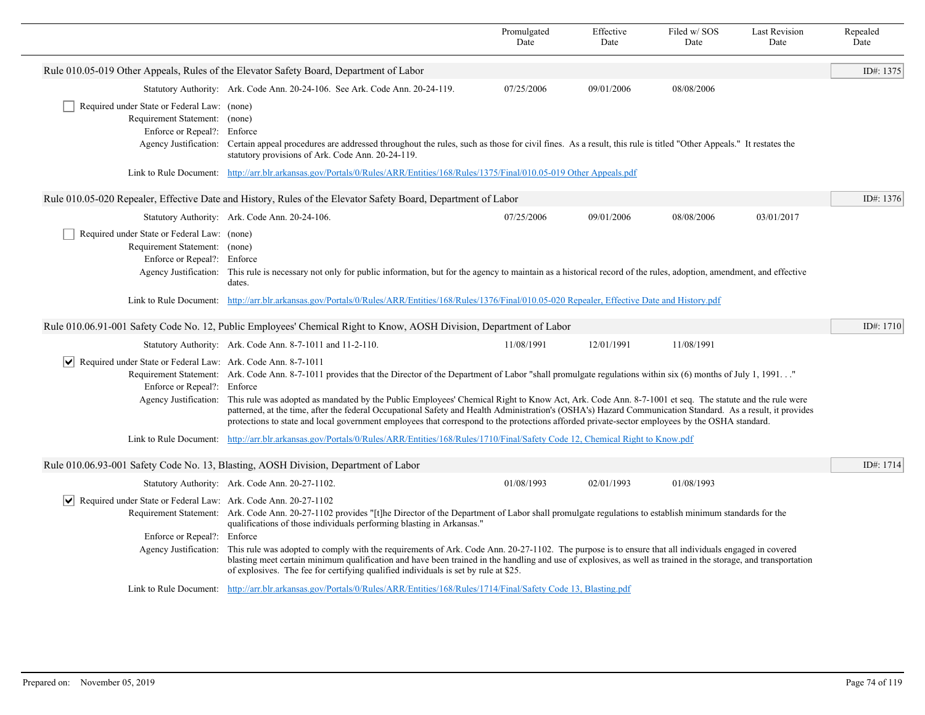|                                                                                                             |                                                                                                                                                                                                                                                                                                                                                                                                                                                                                                                                                                                                                                                                         | Promulgated<br>Date | Effective<br>Date | Filed w/ SOS<br>Date | <b>Last Revision</b><br>Date | Repealed<br>Date |
|-------------------------------------------------------------------------------------------------------------|-------------------------------------------------------------------------------------------------------------------------------------------------------------------------------------------------------------------------------------------------------------------------------------------------------------------------------------------------------------------------------------------------------------------------------------------------------------------------------------------------------------------------------------------------------------------------------------------------------------------------------------------------------------------------|---------------------|-------------------|----------------------|------------------------------|------------------|
|                                                                                                             | Rule 010.05-019 Other Appeals, Rules of the Elevator Safety Board, Department of Labor                                                                                                                                                                                                                                                                                                                                                                                                                                                                                                                                                                                  |                     |                   |                      |                              | ID#: 1375        |
|                                                                                                             | Statutory Authority: Ark. Code Ann. 20-24-106. See Ark. Code Ann. 20-24-119.                                                                                                                                                                                                                                                                                                                                                                                                                                                                                                                                                                                            | 07/25/2006          | 09/01/2006        | 08/08/2006           |                              |                  |
| Required under State or Federal Law: (none)<br>Requirement Statement: (none)<br>Enforce or Repeal?: Enforce | Agency Justification: Certain appeal procedures are addressed throughout the rules, such as those for civil fines. As a result, this rule is titled "Other Appeals." It restates the                                                                                                                                                                                                                                                                                                                                                                                                                                                                                    |                     |                   |                      |                              |                  |
|                                                                                                             | statutory provisions of Ark. Code Ann. 20-24-119.                                                                                                                                                                                                                                                                                                                                                                                                                                                                                                                                                                                                                       |                     |                   |                      |                              |                  |
|                                                                                                             | Link to Rule Document: http://arr.blr.arkansas.gov/Portals/0/Rules/ARR/Entities/168/Rules/1375/Final/010.05-019 Other Appeals.pdf                                                                                                                                                                                                                                                                                                                                                                                                                                                                                                                                       |                     |                   |                      |                              |                  |
|                                                                                                             | Rule 010.05-020 Repealer, Effective Date and History, Rules of the Elevator Safety Board, Department of Labor                                                                                                                                                                                                                                                                                                                                                                                                                                                                                                                                                           |                     |                   |                      |                              | ID#: 1376        |
|                                                                                                             | Statutory Authority: Ark. Code Ann. 20-24-106.                                                                                                                                                                                                                                                                                                                                                                                                                                                                                                                                                                                                                          | 07/25/2006          | 09/01/2006        | 08/08/2006           | 03/01/2017                   |                  |
| Required under State or Federal Law: (none)<br>Requirement Statement: (none)<br>Enforce or Repeal?: Enforce | Agency Justification: This rule is necessary not only for public information, but for the agency to maintain as a historical record of the rules, adoption, amendment, and effective<br>dates.                                                                                                                                                                                                                                                                                                                                                                                                                                                                          |                     |                   |                      |                              |                  |
|                                                                                                             | Link to Rule Document: http://arr.blr.arkansas.gov/Portals/0/Rules/ARR/Entities/168/Rules/1376/Final/010.05-020 Repealer, Effective Date and History.pdf                                                                                                                                                                                                                                                                                                                                                                                                                                                                                                                |                     |                   |                      |                              |                  |
|                                                                                                             | Rule 010.06.91-001 Safety Code No. 12, Public Employees' Chemical Right to Know, AOSH Division, Department of Labor                                                                                                                                                                                                                                                                                                                                                                                                                                                                                                                                                     |                     |                   |                      |                              | ID#: $1710$      |
|                                                                                                             | Statutory Authority: Ark. Code Ann. 8-7-1011 and 11-2-110.                                                                                                                                                                                                                                                                                                                                                                                                                                                                                                                                                                                                              | 11/08/1991          | 12/01/1991        | 11/08/1991           |                              |                  |
| $ \mathbf{v} $ Required under State or Federal Law: Ark. Code Ann. 8-7-1011<br>Enforce or Repeal?: Enforce  | Requirement Statement: Ark. Code Ann. 8-7-1011 provides that the Director of the Department of Labor "shall promulgate regulations within six (6) months of July 1, 1991"<br>Agency Justification: This rule was adopted as mandated by the Public Employees' Chemical Right to Know Act, Ark. Code Ann. 8-7-1001 et seq. The statute and the rule were<br>patterned, at the time, after the federal Occupational Safety and Health Administration's (OSHA's) Hazard Communication Standard. As a result, it provides<br>protections to state and local government employees that correspond to the protections afforded private-sector employees by the OSHA standard. |                     |                   |                      |                              |                  |
|                                                                                                             | Link to Rule Document: http://arr.blr.arkansas.gov/Portals/0/Rules/ARR/Entities/168/Rules/1710/Final/Safety Code 12, Chemical Right to Know.pdf                                                                                                                                                                                                                                                                                                                                                                                                                                                                                                                         |                     |                   |                      |                              |                  |
|                                                                                                             | Rule 010.06.93-001 Safety Code No. 13, Blasting, AOSH Division, Department of Labor                                                                                                                                                                                                                                                                                                                                                                                                                                                                                                                                                                                     |                     |                   |                      |                              | ID#: 1714        |
|                                                                                                             | Statutory Authority: Ark. Code Ann. 20-27-1102.                                                                                                                                                                                                                                                                                                                                                                                                                                                                                                                                                                                                                         | 01/08/1993          | 02/01/1993        | 01/08/1993           |                              |                  |
| Required under State or Federal Law: Ark. Code Ann. 20-27-1102<br>Enforce or Repeal?:                       | Requirement Statement: Ark. Code Ann. 20-27-1102 provides "[t]he Director of the Department of Labor shall promulgate regulations to establish minimum standards for the<br>qualifications of those individuals performing blasting in Arkansas."<br>Enforce                                                                                                                                                                                                                                                                                                                                                                                                            |                     |                   |                      |                              |                  |
| Agency Justification:                                                                                       | This rule was adopted to comply with the requirements of Ark. Code Ann. 20-27-1102. The purpose is to ensure that all individuals engaged in covered<br>blasting meet certain minimum qualification and have been trained in the handling and use of explosives, as well as trained in the storage, and transportation<br>of explosives. The fee for certifying qualified individuals is set by rule at \$25.                                                                                                                                                                                                                                                           |                     |                   |                      |                              |                  |
|                                                                                                             | Link to Rule Document: http://arr.blr.arkansas.gov/Portals/0/Rules/ARR/Entities/168/Rules/1714/Final/Safety Code 13, Blasting.pdf                                                                                                                                                                                                                                                                                                                                                                                                                                                                                                                                       |                     |                   |                      |                              |                  |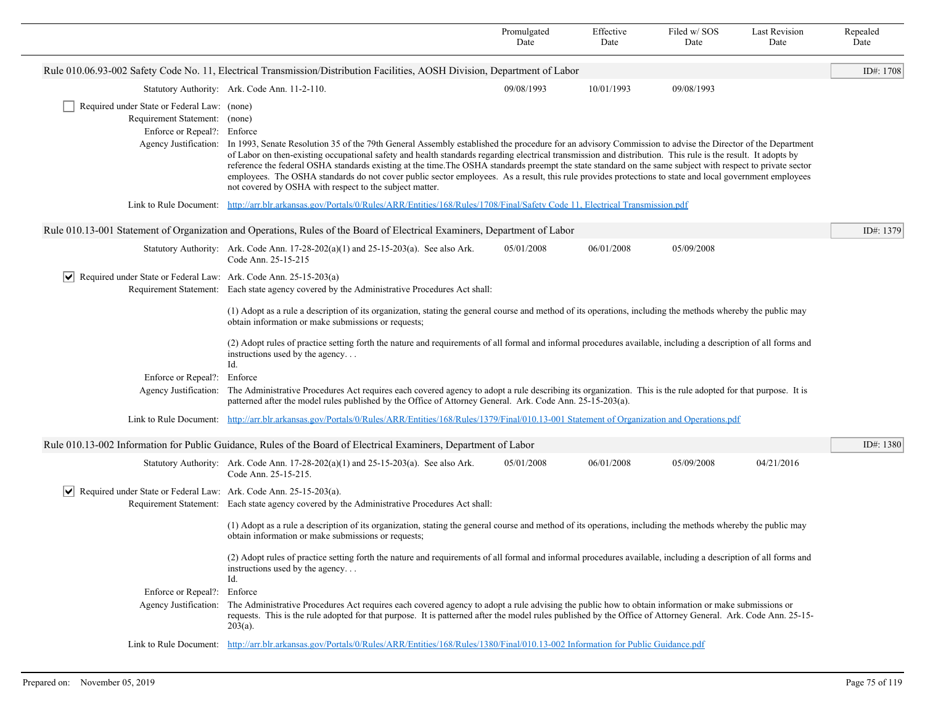|                                                                                                             |                                                                                                                                                                                                                                                                                                                                                                                                                                                                                                                                                                                                                                                                                                                                     | Promulgated<br>Date | Effective<br>Date | Filed w/SOS<br>Date | <b>Last Revision</b><br>Date | Repealed<br>Date |
|-------------------------------------------------------------------------------------------------------------|-------------------------------------------------------------------------------------------------------------------------------------------------------------------------------------------------------------------------------------------------------------------------------------------------------------------------------------------------------------------------------------------------------------------------------------------------------------------------------------------------------------------------------------------------------------------------------------------------------------------------------------------------------------------------------------------------------------------------------------|---------------------|-------------------|---------------------|------------------------------|------------------|
|                                                                                                             | Rule 010.06.93-002 Safety Code No. 11, Electrical Transmission/Distribution Facilities, AOSH Division, Department of Labor                                                                                                                                                                                                                                                                                                                                                                                                                                                                                                                                                                                                          |                     |                   |                     |                              | ID#: 1708        |
|                                                                                                             | Statutory Authority: Ark. Code Ann. 11-2-110.                                                                                                                                                                                                                                                                                                                                                                                                                                                                                                                                                                                                                                                                                       | 09/08/1993          | 10/01/1993        | 09/08/1993          |                              |                  |
| Required under State or Federal Law: (none)<br>Requirement Statement: (none)<br>Enforce or Repeal?: Enforce | Agency Justification: In 1993, Senate Resolution 35 of the 79th General Assembly established the procedure for an advisory Commission to advise the Director of the Department<br>of Labor on then-existing occupational safety and health standards regarding electrical transmission and distribution. This rule is the result. It adopts by<br>reference the federal OSHA standards existing at the time. The OSHA standards preempt the state standard on the same subject with respect to private sector<br>employees. The OSHA standards do not cover public sector employees. As a result, this rule provides protections to state and local government employees<br>not covered by OSHA with respect to the subject matter. |                     |                   |                     |                              |                  |
|                                                                                                             | Link to Rule Document: http://arr.blr.arkansas.gov/Portals/0/Rules/ARR/Entities/168/Rules/1708/Final/Safety Code 11, Electrical Transmission.pdf                                                                                                                                                                                                                                                                                                                                                                                                                                                                                                                                                                                    |                     |                   |                     |                              |                  |
|                                                                                                             | Rule 010.13-001 Statement of Organization and Operations, Rules of the Board of Electrical Examiners, Department of Labor                                                                                                                                                                                                                                                                                                                                                                                                                                                                                                                                                                                                           |                     |                   |                     |                              | ID#: 1379        |
|                                                                                                             | Statutory Authority: Ark. Code Ann. $17-28-202(a)(1)$ and $25-15-203(a)$ . See also Ark.<br>Code Ann. 25-15-215                                                                                                                                                                                                                                                                                                                                                                                                                                                                                                                                                                                                                     | 05/01/2008          | 06/01/2008        | 05/09/2008          |                              |                  |
| $ \mathbf{v} $ Required under State or Federal Law: Ark. Code Ann. 25-15-203(a)                             | Requirement Statement: Each state agency covered by the Administrative Procedures Act shall:                                                                                                                                                                                                                                                                                                                                                                                                                                                                                                                                                                                                                                        |                     |                   |                     |                              |                  |
|                                                                                                             | (1) Adopt as a rule a description of its organization, stating the general course and method of its operations, including the methods whereby the public may<br>obtain information or make submissions or requests;                                                                                                                                                                                                                                                                                                                                                                                                                                                                                                                 |                     |                   |                     |                              |                  |
|                                                                                                             | (2) Adopt rules of practice setting forth the nature and requirements of all formal and informal procedures available, including a description of all forms and<br>instructions used by the agency<br>Id.                                                                                                                                                                                                                                                                                                                                                                                                                                                                                                                           |                     |                   |                     |                              |                  |
| Enforce or Repeal?:                                                                                         | Enforce                                                                                                                                                                                                                                                                                                                                                                                                                                                                                                                                                                                                                                                                                                                             |                     |                   |                     |                              |                  |
| Agency Justification:                                                                                       | The Administrative Procedures Act requires each covered agency to adopt a rule describing its organization. This is the rule adopted for that purpose. It is<br>patterned after the model rules published by the Office of Attorney General. Ark. Code Ann. 25-15-203(a).                                                                                                                                                                                                                                                                                                                                                                                                                                                           |                     |                   |                     |                              |                  |
| Link to Rule Document:                                                                                      | http://arr.blr.arkansas.gov/Portals/0/Rules/ARR/Entities/168/Rules/1379/Final/010.13-001 Statement of Organization and Operations.pdf                                                                                                                                                                                                                                                                                                                                                                                                                                                                                                                                                                                               |                     |                   |                     |                              |                  |
|                                                                                                             | Rule 010.13-002 Information for Public Guidance, Rules of the Board of Electrical Examiners, Department of Labor                                                                                                                                                                                                                                                                                                                                                                                                                                                                                                                                                                                                                    |                     |                   |                     |                              | ID#: 1380        |
|                                                                                                             | Statutory Authority: Ark. Code Ann. $17-28-202(a)(1)$ and $25-15-203(a)$ . See also Ark.<br>Code Ann. 25-15-215.                                                                                                                                                                                                                                                                                                                                                                                                                                                                                                                                                                                                                    | 05/01/2008          | 06/01/2008        | 05/09/2008          | 04/21/2016                   |                  |
| $ \mathbf{v} $ Required under State or Federal Law: Ark. Code Ann. 25-15-203(a).                            |                                                                                                                                                                                                                                                                                                                                                                                                                                                                                                                                                                                                                                                                                                                                     |                     |                   |                     |                              |                  |
|                                                                                                             | Requirement Statement: Each state agency covered by the Administrative Procedures Act shall:                                                                                                                                                                                                                                                                                                                                                                                                                                                                                                                                                                                                                                        |                     |                   |                     |                              |                  |
|                                                                                                             | (1) Adopt as a rule a description of its organization, stating the general course and method of its operations, including the methods whereby the public may<br>obtain information or make submissions or requests;                                                                                                                                                                                                                                                                                                                                                                                                                                                                                                                 |                     |                   |                     |                              |                  |
|                                                                                                             | (2) Adopt rules of practice setting forth the nature and requirements of all formal and informal procedures available, including a description of all forms and<br>instructions used by the agency<br>Id.                                                                                                                                                                                                                                                                                                                                                                                                                                                                                                                           |                     |                   |                     |                              |                  |
| Enforce or Repeal?: Enforce<br>Agency Justification:                                                        | The Administrative Procedures Act requires each covered agency to adopt a rule advising the public how to obtain information or make submissions or<br>requests. This is the rule adopted for that purpose. It is patterned after the model rules published by the Office of Attorney General. Ark. Code Ann. 25-15-<br>$203(a)$ .                                                                                                                                                                                                                                                                                                                                                                                                  |                     |                   |                     |                              |                  |
|                                                                                                             | Link to Rule Document: http://arr.blr.arkansas.gov/Portals/0/Rules/ARR/Entities/168/Rules/1380/Final/010.13-002 Information for Public Guidance.pdf                                                                                                                                                                                                                                                                                                                                                                                                                                                                                                                                                                                 |                     |                   |                     |                              |                  |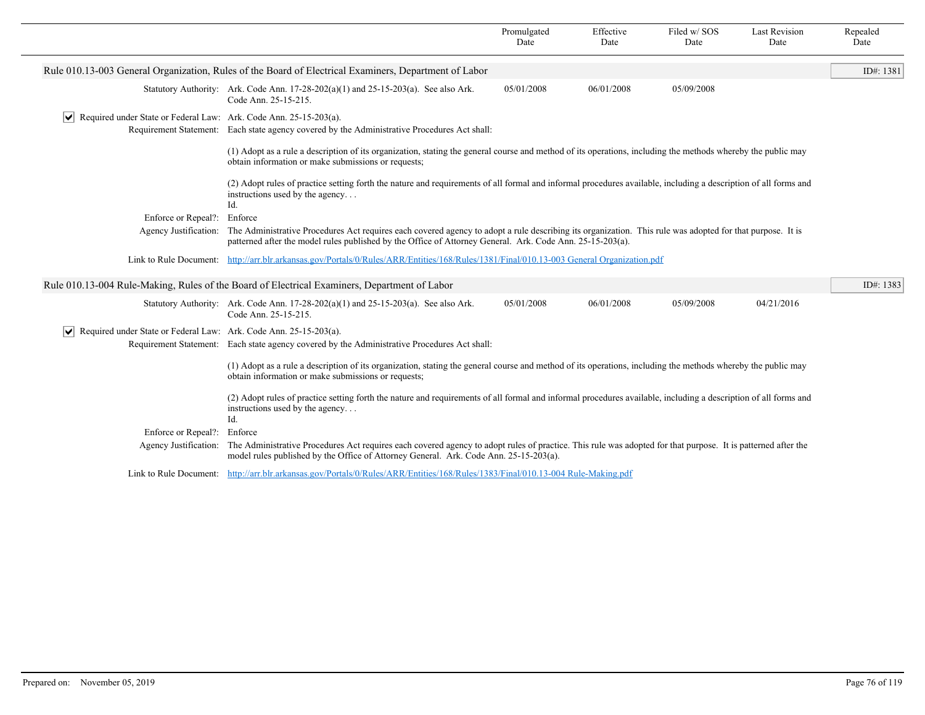|                                                                                   |                                                                                                                                                                                                                                                                        | Promulgated<br>Date                                                                                                                                             | Effective<br>Date | Filed w/SOS<br>Date | <b>Last Revision</b><br>Date | Repealed<br>Date |  |  |
|-----------------------------------------------------------------------------------|------------------------------------------------------------------------------------------------------------------------------------------------------------------------------------------------------------------------------------------------------------------------|-----------------------------------------------------------------------------------------------------------------------------------------------------------------|-------------------|---------------------|------------------------------|------------------|--|--|
|                                                                                   | Rule 010.13-003 General Organization, Rules of the Board of Electrical Examiners, Department of Labor                                                                                                                                                                  |                                                                                                                                                                 |                   |                     |                              | ID#: 1381        |  |  |
|                                                                                   | Statutory Authority: Ark. Code Ann. $17-28-202(a)(1)$ and $25-15-203(a)$ . See also Ark.<br>Code Ann. 25-15-215.                                                                                                                                                       | 05/01/2008                                                                                                                                                      | 06/01/2008        | 05/09/2008          |                              |                  |  |  |
| $\triangledown$ Required under State or Federal Law: Ark. Code Ann. 25-15-203(a). | Requirement Statement: Each state agency covered by the Administrative Procedures Act shall:                                                                                                                                                                           |                                                                                                                                                                 |                   |                     |                              |                  |  |  |
|                                                                                   | (1) Adopt as a rule a description of its organization, stating the general course and method of its operations, including the methods whereby the public may<br>obtain information or make submissions or requests;                                                    |                                                                                                                                                                 |                   |                     |                              |                  |  |  |
|                                                                                   | instructions used by the agency<br>Id.                                                                                                                                                                                                                                 | (2) Adopt rules of practice setting forth the nature and requirements of all formal and informal procedures available, including a description of all forms and |                   |                     |                              |                  |  |  |
| Enforce or Repeal?:                                                               | Enforce                                                                                                                                                                                                                                                                |                                                                                                                                                                 |                   |                     |                              |                  |  |  |
| Agency Justification:                                                             | The Administrative Procedures Act requires each covered agency to adopt a rule describing its organization. This rule was adopted for that purpose. It is<br>patterned after the model rules published by the Office of Attorney General. Ark. Code Ann. 25-15-203(a). |                                                                                                                                                                 |                   |                     |                              |                  |  |  |
|                                                                                   | Link to Rule Document: http://arr.blr.arkansas.gov/Portals/0/Rules/ARR/Entities/168/Rules/1381/Final/010.13-003 General Organization.pdf                                                                                                                               |                                                                                                                                                                 |                   |                     |                              |                  |  |  |
|                                                                                   | Rule 010.13-004 Rule-Making, Rules of the Board of Electrical Examiners, Department of Labor                                                                                                                                                                           |                                                                                                                                                                 |                   |                     |                              | ID#: 1383        |  |  |
|                                                                                   | Statutory Authority: Ark. Code Ann. $17-28-202(a)(1)$ and $25-15-203(a)$ . See also Ark.<br>Code Ann. 25-15-215.                                                                                                                                                       | 05/01/2008                                                                                                                                                      | 06/01/2008        | 05/09/2008          | 04/21/2016                   |                  |  |  |
| $ \mathbf{v} $ Required under State or Federal Law: Ark. Code Ann. 25-15-203(a).  |                                                                                                                                                                                                                                                                        |                                                                                                                                                                 |                   |                     |                              |                  |  |  |
|                                                                                   | Requirement Statement: Each state agency covered by the Administrative Procedures Act shall:                                                                                                                                                                           |                                                                                                                                                                 |                   |                     |                              |                  |  |  |
|                                                                                   | (1) Adopt as a rule a description of its organization, stating the general course and method of its operations, including the methods whereby the public may<br>obtain information or make submissions or requests;                                                    |                                                                                                                                                                 |                   |                     |                              |                  |  |  |
|                                                                                   | (2) Adopt rules of practice setting forth the nature and requirements of all formal and informal procedures available, including a description of all forms and<br>instructions used by the agency<br>Id.                                                              |                                                                                                                                                                 |                   |                     |                              |                  |  |  |
| Enforce or Repeal?:                                                               | Enforce                                                                                                                                                                                                                                                                |                                                                                                                                                                 |                   |                     |                              |                  |  |  |
| Agency Justification:                                                             | The Administrative Procedures Act requires each covered agency to adopt rules of practice. This rule was adopted for that purpose. It is patterned after the<br>model rules published by the Office of Attorney General. Ark. Code Ann. 25-15-203(a).                  |                                                                                                                                                                 |                   |                     |                              |                  |  |  |
|                                                                                   | Link to Rule Document: http://arr.blr.arkansas.gov/Portals/0/Rules/ARR/Entities/168/Rules/1383/Final/010.13-004 Rule-Making.pdf                                                                                                                                        |                                                                                                                                                                 |                   |                     |                              |                  |  |  |
|                                                                                   |                                                                                                                                                                                                                                                                        |                                                                                                                                                                 |                   |                     |                              |                  |  |  |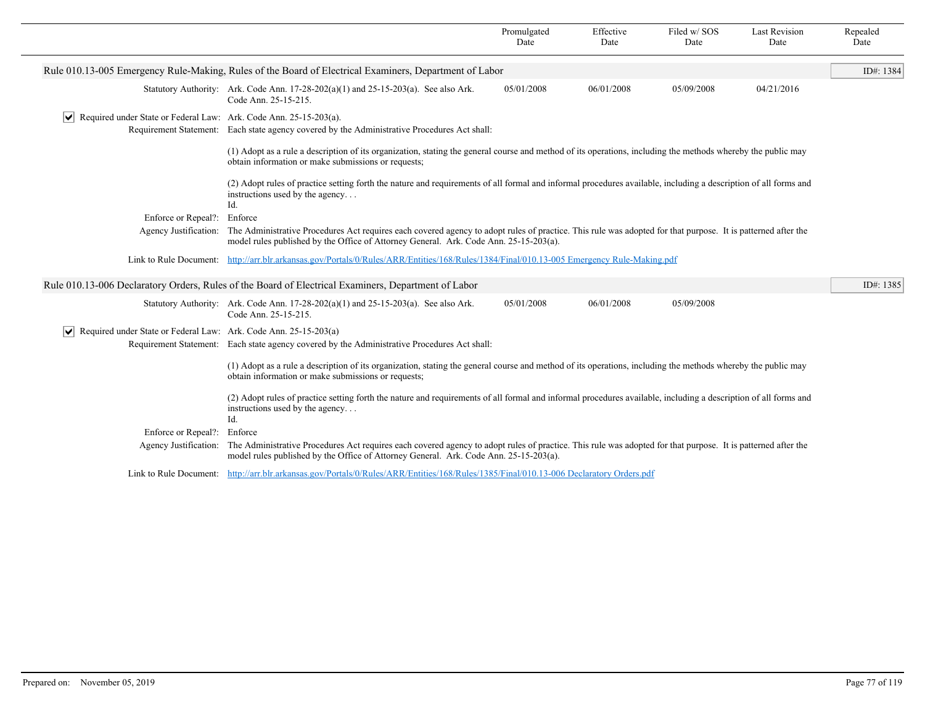| Rule 010.13-005 Emergency Rule-Making, Rules of the Board of Electrical Examiners, Department of Labor<br>05/01/2008<br>06/01/2008<br>05/09/2008<br>04/21/2016<br>Statutory Authority: Ark. Code Ann. $17-28-202(a)(1)$ and $25-15-203(a)$ . See also Ark.<br>Code Ann. 25-15-215.<br>$ \mathbf{v} $ Required under State or Federal Law: Ark. Code Ann. 25-15-203(a).<br>Requirement Statement: Each state agency covered by the Administrative Procedures Act shall:<br>(1) Adopt as a rule a description of its organization, stating the general course and method of its operations, including the methods whereby the public may<br>obtain information or make submissions or requests;<br>(2) Adopt rules of practice setting forth the nature and requirements of all formal and informal procedures available, including a description of all forms and<br>instructions used by the agency<br>Id.<br>Enforce or Repeal?:<br>Enforce<br>The Administrative Procedures Act requires each covered agency to adopt rules of practice. This rule was adopted for that purpose. It is patterned after the<br>Agency Justification:<br>model rules published by the Office of Attorney General. Ark. Code Ann. 25-15-203(a).<br>Link to Rule Document: http://arr.blr.arkansas.gov/Portals/0/Rules/ARR/Entities/168/Rules/1384/Final/010.13-005 Emergency Rule-Making.pdf<br>Rule 010.13-006 Declaratory Orders, Rules of the Board of Electrical Examiners, Department of Labor<br>05/01/2008<br>06/01/2008<br>05/09/2008<br>Statutory Authority: Ark. Code Ann. $17-28-202(a)(1)$ and $25-15-203(a)$ . See also Ark.<br>Code Ann. 25-15-215.<br>$ \mathbf{v} $ Required under State or Federal Law: Ark. Code Ann. 25-15-203(a)<br>Requirement Statement: Each state agency covered by the Administrative Procedures Act shall:<br>(1) Adopt as a rule a description of its organization, stating the general course and method of its operations, including the methods whereby the public may<br>obtain information or make submissions or requests;<br>(2) Adopt rules of practice setting forth the nature and requirements of all formal and informal procedures available, including a description of all forms and<br>instructions used by the agency<br>Id.<br>Enforce or Repeal?:<br>Enforce<br>The Administrative Procedures Act requires each covered agency to adopt rules of practice. This rule was adopted for that purpose. It is patterned after the<br>Agency Justification:<br>model rules published by the Office of Attorney General. Ark. Code Ann. 25-15-203(a).<br>Link to Rule Document: http://arr.blr.arkansas.gov/Portals/0/Rules/ARR/Entities/168/Rules/1385/Final/010.13-006 Declaratory Orders.pdf |  | Promulgated<br>Date | Effective<br>Date | Filed w/SOS<br>Date | <b>Last Revision</b><br>Date | Repealed<br>Date |
|---------------------------------------------------------------------------------------------------------------------------------------------------------------------------------------------------------------------------------------------------------------------------------------------------------------------------------------------------------------------------------------------------------------------------------------------------------------------------------------------------------------------------------------------------------------------------------------------------------------------------------------------------------------------------------------------------------------------------------------------------------------------------------------------------------------------------------------------------------------------------------------------------------------------------------------------------------------------------------------------------------------------------------------------------------------------------------------------------------------------------------------------------------------------------------------------------------------------------------------------------------------------------------------------------------------------------------------------------------------------------------------------------------------------------------------------------------------------------------------------------------------------------------------------------------------------------------------------------------------------------------------------------------------------------------------------------------------------------------------------------------------------------------------------------------------------------------------------------------------------------------------------------------------------------------------------------------------------------------------------------------------------------------------------------------------------------------------------------------------------------------------------------------------------------------------------------------------------------------------------------------------------------------------------------------------------------------------------------------------------------------------------------------------------------------------------------------------------------------------------------------------------------------------------------------------------------------------------------------------------------------------------------------------------------------------------------------------------------------------|--|---------------------|-------------------|---------------------|------------------------------|------------------|
|                                                                                                                                                                                                                                                                                                                                                                                                                                                                                                                                                                                                                                                                                                                                                                                                                                                                                                                                                                                                                                                                                                                                                                                                                                                                                                                                                                                                                                                                                                                                                                                                                                                                                                                                                                                                                                                                                                                                                                                                                                                                                                                                                                                                                                                                                                                                                                                                                                                                                                                                                                                                                                                                                                                                       |  |                     |                   |                     |                              | ID#: 1384        |
|                                                                                                                                                                                                                                                                                                                                                                                                                                                                                                                                                                                                                                                                                                                                                                                                                                                                                                                                                                                                                                                                                                                                                                                                                                                                                                                                                                                                                                                                                                                                                                                                                                                                                                                                                                                                                                                                                                                                                                                                                                                                                                                                                                                                                                                                                                                                                                                                                                                                                                                                                                                                                                                                                                                                       |  |                     |                   |                     |                              |                  |
|                                                                                                                                                                                                                                                                                                                                                                                                                                                                                                                                                                                                                                                                                                                                                                                                                                                                                                                                                                                                                                                                                                                                                                                                                                                                                                                                                                                                                                                                                                                                                                                                                                                                                                                                                                                                                                                                                                                                                                                                                                                                                                                                                                                                                                                                                                                                                                                                                                                                                                                                                                                                                                                                                                                                       |  |                     |                   |                     |                              |                  |
|                                                                                                                                                                                                                                                                                                                                                                                                                                                                                                                                                                                                                                                                                                                                                                                                                                                                                                                                                                                                                                                                                                                                                                                                                                                                                                                                                                                                                                                                                                                                                                                                                                                                                                                                                                                                                                                                                                                                                                                                                                                                                                                                                                                                                                                                                                                                                                                                                                                                                                                                                                                                                                                                                                                                       |  |                     |                   |                     |                              |                  |
|                                                                                                                                                                                                                                                                                                                                                                                                                                                                                                                                                                                                                                                                                                                                                                                                                                                                                                                                                                                                                                                                                                                                                                                                                                                                                                                                                                                                                                                                                                                                                                                                                                                                                                                                                                                                                                                                                                                                                                                                                                                                                                                                                                                                                                                                                                                                                                                                                                                                                                                                                                                                                                                                                                                                       |  |                     |                   |                     |                              |                  |
|                                                                                                                                                                                                                                                                                                                                                                                                                                                                                                                                                                                                                                                                                                                                                                                                                                                                                                                                                                                                                                                                                                                                                                                                                                                                                                                                                                                                                                                                                                                                                                                                                                                                                                                                                                                                                                                                                                                                                                                                                                                                                                                                                                                                                                                                                                                                                                                                                                                                                                                                                                                                                                                                                                                                       |  |                     |                   |                     |                              |                  |
|                                                                                                                                                                                                                                                                                                                                                                                                                                                                                                                                                                                                                                                                                                                                                                                                                                                                                                                                                                                                                                                                                                                                                                                                                                                                                                                                                                                                                                                                                                                                                                                                                                                                                                                                                                                                                                                                                                                                                                                                                                                                                                                                                                                                                                                                                                                                                                                                                                                                                                                                                                                                                                                                                                                                       |  |                     |                   |                     |                              |                  |
|                                                                                                                                                                                                                                                                                                                                                                                                                                                                                                                                                                                                                                                                                                                                                                                                                                                                                                                                                                                                                                                                                                                                                                                                                                                                                                                                                                                                                                                                                                                                                                                                                                                                                                                                                                                                                                                                                                                                                                                                                                                                                                                                                                                                                                                                                                                                                                                                                                                                                                                                                                                                                                                                                                                                       |  |                     |                   |                     |                              |                  |
|                                                                                                                                                                                                                                                                                                                                                                                                                                                                                                                                                                                                                                                                                                                                                                                                                                                                                                                                                                                                                                                                                                                                                                                                                                                                                                                                                                                                                                                                                                                                                                                                                                                                                                                                                                                                                                                                                                                                                                                                                                                                                                                                                                                                                                                                                                                                                                                                                                                                                                                                                                                                                                                                                                                                       |  |                     |                   |                     |                              | ID#: 1385        |
|                                                                                                                                                                                                                                                                                                                                                                                                                                                                                                                                                                                                                                                                                                                                                                                                                                                                                                                                                                                                                                                                                                                                                                                                                                                                                                                                                                                                                                                                                                                                                                                                                                                                                                                                                                                                                                                                                                                                                                                                                                                                                                                                                                                                                                                                                                                                                                                                                                                                                                                                                                                                                                                                                                                                       |  |                     |                   |                     |                              |                  |
|                                                                                                                                                                                                                                                                                                                                                                                                                                                                                                                                                                                                                                                                                                                                                                                                                                                                                                                                                                                                                                                                                                                                                                                                                                                                                                                                                                                                                                                                                                                                                                                                                                                                                                                                                                                                                                                                                                                                                                                                                                                                                                                                                                                                                                                                                                                                                                                                                                                                                                                                                                                                                                                                                                                                       |  |                     |                   |                     |                              |                  |
|                                                                                                                                                                                                                                                                                                                                                                                                                                                                                                                                                                                                                                                                                                                                                                                                                                                                                                                                                                                                                                                                                                                                                                                                                                                                                                                                                                                                                                                                                                                                                                                                                                                                                                                                                                                                                                                                                                                                                                                                                                                                                                                                                                                                                                                                                                                                                                                                                                                                                                                                                                                                                                                                                                                                       |  |                     |                   |                     |                              |                  |
|                                                                                                                                                                                                                                                                                                                                                                                                                                                                                                                                                                                                                                                                                                                                                                                                                                                                                                                                                                                                                                                                                                                                                                                                                                                                                                                                                                                                                                                                                                                                                                                                                                                                                                                                                                                                                                                                                                                                                                                                                                                                                                                                                                                                                                                                                                                                                                                                                                                                                                                                                                                                                                                                                                                                       |  |                     |                   |                     |                              |                  |
|                                                                                                                                                                                                                                                                                                                                                                                                                                                                                                                                                                                                                                                                                                                                                                                                                                                                                                                                                                                                                                                                                                                                                                                                                                                                                                                                                                                                                                                                                                                                                                                                                                                                                                                                                                                                                                                                                                                                                                                                                                                                                                                                                                                                                                                                                                                                                                                                                                                                                                                                                                                                                                                                                                                                       |  |                     |                   |                     |                              |                  |
|                                                                                                                                                                                                                                                                                                                                                                                                                                                                                                                                                                                                                                                                                                                                                                                                                                                                                                                                                                                                                                                                                                                                                                                                                                                                                                                                                                                                                                                                                                                                                                                                                                                                                                                                                                                                                                                                                                                                                                                                                                                                                                                                                                                                                                                                                                                                                                                                                                                                                                                                                                                                                                                                                                                                       |  |                     |                   |                     |                              |                  |
|                                                                                                                                                                                                                                                                                                                                                                                                                                                                                                                                                                                                                                                                                                                                                                                                                                                                                                                                                                                                                                                                                                                                                                                                                                                                                                                                                                                                                                                                                                                                                                                                                                                                                                                                                                                                                                                                                                                                                                                                                                                                                                                                                                                                                                                                                                                                                                                                                                                                                                                                                                                                                                                                                                                                       |  |                     |                   |                     |                              |                  |
|                                                                                                                                                                                                                                                                                                                                                                                                                                                                                                                                                                                                                                                                                                                                                                                                                                                                                                                                                                                                                                                                                                                                                                                                                                                                                                                                                                                                                                                                                                                                                                                                                                                                                                                                                                                                                                                                                                                                                                                                                                                                                                                                                                                                                                                                                                                                                                                                                                                                                                                                                                                                                                                                                                                                       |  |                     |                   |                     |                              |                  |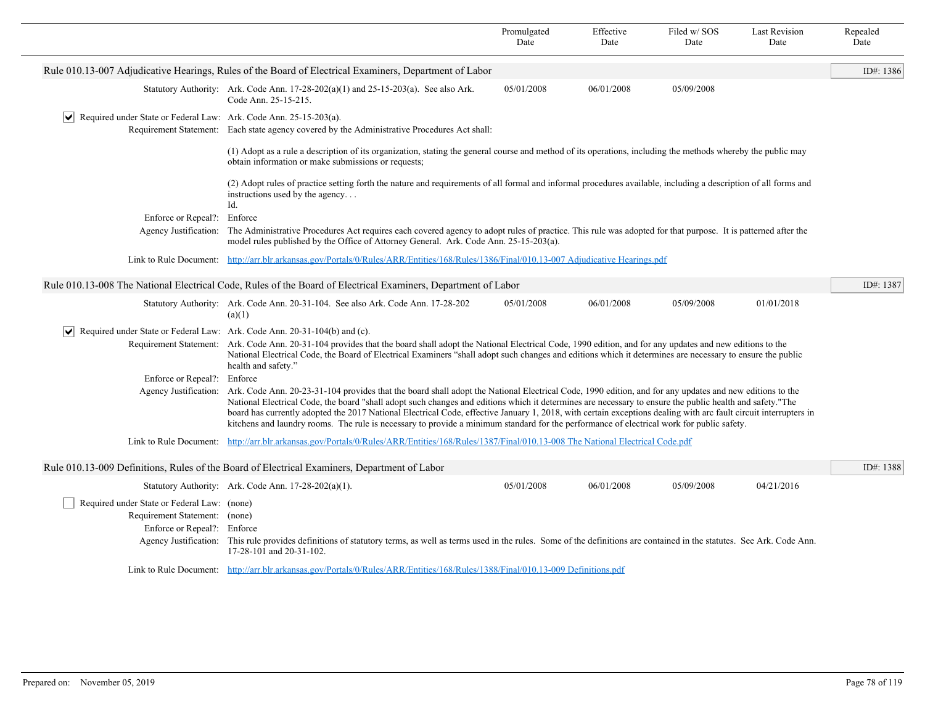|                                                                                          |                                                                                                                                                                                                                                                                                                                                                                                                                                                                                                                                                                                                                                                            | Promulgated<br>Date | Effective<br>Date | Filed w/SOS<br>Date | <b>Last Revision</b><br>Date | Repealed<br>Date |  |
|------------------------------------------------------------------------------------------|------------------------------------------------------------------------------------------------------------------------------------------------------------------------------------------------------------------------------------------------------------------------------------------------------------------------------------------------------------------------------------------------------------------------------------------------------------------------------------------------------------------------------------------------------------------------------------------------------------------------------------------------------------|---------------------|-------------------|---------------------|------------------------------|------------------|--|
|                                                                                          | Rule 010.13-007 Adjudicative Hearings, Rules of the Board of Electrical Examiners, Department of Labor                                                                                                                                                                                                                                                                                                                                                                                                                                                                                                                                                     |                     |                   |                     |                              | ID#: 1386        |  |
|                                                                                          | Statutory Authority: Ark. Code Ann. $17-28-202(a)(1)$ and $25-15-203(a)$ . See also Ark.<br>Code Ann. 25-15-215.                                                                                                                                                                                                                                                                                                                                                                                                                                                                                                                                           | 05/01/2008          | 06/01/2008        | 05/09/2008          |                              |                  |  |
| $\triangledown$ Required under State or Federal Law: Ark. Code Ann. 25-15-203(a).        |                                                                                                                                                                                                                                                                                                                                                                                                                                                                                                                                                                                                                                                            |                     |                   |                     |                              |                  |  |
|                                                                                          | Requirement Statement: Each state agency covered by the Administrative Procedures Act shall:                                                                                                                                                                                                                                                                                                                                                                                                                                                                                                                                                               |                     |                   |                     |                              |                  |  |
|                                                                                          | (1) Adopt as a rule a description of its organization, stating the general course and method of its operations, including the methods whereby the public may<br>obtain information or make submissions or requests;                                                                                                                                                                                                                                                                                                                                                                                                                                        |                     |                   |                     |                              |                  |  |
|                                                                                          | (2) Adopt rules of practice setting forth the nature and requirements of all formal and informal procedures available, including a description of all forms and<br>instructions used by the agency<br>Id.                                                                                                                                                                                                                                                                                                                                                                                                                                                  |                     |                   |                     |                              |                  |  |
| Enforce or Repeal?: Enforce                                                              |                                                                                                                                                                                                                                                                                                                                                                                                                                                                                                                                                                                                                                                            |                     |                   |                     |                              |                  |  |
| Agency Justification:                                                                    | The Administrative Procedures Act requires each covered agency to adopt rules of practice. This rule was adopted for that purpose. It is patterned after the<br>model rules published by the Office of Attorney General. Ark. Code Ann. 25-15-203(a).                                                                                                                                                                                                                                                                                                                                                                                                      |                     |                   |                     |                              |                  |  |
|                                                                                          | Link to Rule Document: http://arr.blr.arkansas.gov/Portals/0/Rules/ARR/Entities/168/Rules/1386/Final/010.13-007 Adjudicative Hearings.pdf                                                                                                                                                                                                                                                                                                                                                                                                                                                                                                                  |                     |                   |                     |                              |                  |  |
|                                                                                          | Rule 010.13-008 The National Electrical Code, Rules of the Board of Electrical Examiners, Department of Labor                                                                                                                                                                                                                                                                                                                                                                                                                                                                                                                                              |                     |                   |                     |                              | ID#: 1387        |  |
|                                                                                          | Statutory Authority: Ark. Code Ann. 20-31-104. See also Ark. Code Ann. 17-28-202<br>(a)(1)                                                                                                                                                                                                                                                                                                                                                                                                                                                                                                                                                                 | 05/01/2008          | 06/01/2008        | 05/09/2008          | 01/01/2018                   |                  |  |
| $ \mathbf{v} $ Required under State or Federal Law: Ark. Code Ann. 20-31-104(b) and (c). |                                                                                                                                                                                                                                                                                                                                                                                                                                                                                                                                                                                                                                                            |                     |                   |                     |                              |                  |  |
|                                                                                          | Requirement Statement: Ark. Code Ann. 20-31-104 provides that the board shall adopt the National Electrical Code, 1990 edition, and for any updates and new editions to the<br>National Electrical Code, the Board of Electrical Examiners "shall adopt such changes and editions which it determines are necessary to ensure the public<br>health and safety."                                                                                                                                                                                                                                                                                            |                     |                   |                     |                              |                  |  |
| Enforce or Repeal?: Enforce                                                              |                                                                                                                                                                                                                                                                                                                                                                                                                                                                                                                                                                                                                                                            |                     |                   |                     |                              |                  |  |
|                                                                                          | Agency Justification: Ark. Code Ann. 20-23-31-104 provides that the board shall adopt the National Electrical Code, 1990 edition, and for any updates and new editions to the<br>National Electrical Code, the board "shall adopt such changes and editions which it determines are necessary to ensure the public health and safety."The<br>board has currently adopted the 2017 National Electrical Code, effective January 1, 2018, with certain exceptions dealing with arc fault circuit interrupters in<br>kitchens and laundry rooms. The rule is necessary to provide a minimum standard for the performance of electrical work for public safety. |                     |                   |                     |                              |                  |  |
|                                                                                          | Link to Rule Document: http://arr.blr.arkansas.gov/Portals/0/Rules/ARR/Entities/168/Rules/1387/Final/010.13-008 The National Electrical Code.pdf                                                                                                                                                                                                                                                                                                                                                                                                                                                                                                           |                     |                   |                     |                              |                  |  |
|                                                                                          | Rule 010.13-009 Definitions, Rules of the Board of Electrical Examiners, Department of Labor                                                                                                                                                                                                                                                                                                                                                                                                                                                                                                                                                               |                     |                   |                     |                              | ID#: 1388        |  |
|                                                                                          | Statutory Authority: Ark. Code Ann. 17-28-202(a)(1).                                                                                                                                                                                                                                                                                                                                                                                                                                                                                                                                                                                                       | 05/01/2008          | 06/01/2008        | 05/09/2008          | 04/21/2016                   |                  |  |
| Required under State or Federal Law: (none)                                              |                                                                                                                                                                                                                                                                                                                                                                                                                                                                                                                                                                                                                                                            |                     |                   |                     |                              |                  |  |
| Requirement Statement: (none)                                                            |                                                                                                                                                                                                                                                                                                                                                                                                                                                                                                                                                                                                                                                            |                     |                   |                     |                              |                  |  |
| Enforce or Repeal?: Enforce                                                              | Agency Justification: This rule provides definitions of statutory terms, as well as terms used in the rules. Some of the definitions are contained in the statutes. See Ark. Code Ann.<br>17-28-101 and 20-31-102.                                                                                                                                                                                                                                                                                                                                                                                                                                         |                     |                   |                     |                              |                  |  |
|                                                                                          | Link to Rule Document: http://arr.blr.arkansas.gov/Portals/0/Rules/ARR/Entities/168/Rules/1388/Final/010.13-009 Definitions.pdf                                                                                                                                                                                                                                                                                                                                                                                                                                                                                                                            |                     |                   |                     |                              |                  |  |
|                                                                                          |                                                                                                                                                                                                                                                                                                                                                                                                                                                                                                                                                                                                                                                            |                     |                   |                     |                              |                  |  |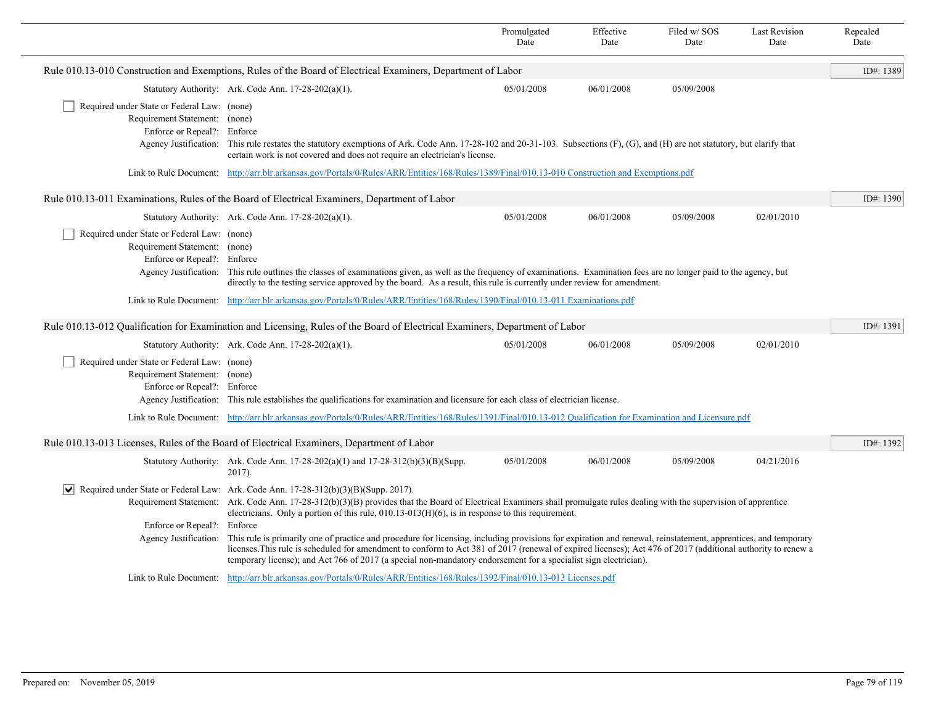|                                                                                                                                      |                                                                                                                                                                                                                                                                                                                                                                                                                                                    | Promulgated<br>Date | Effective<br>Date | Filed w/SOS<br>Date | <b>Last Revision</b><br>Date | Repealed<br>Date |
|--------------------------------------------------------------------------------------------------------------------------------------|----------------------------------------------------------------------------------------------------------------------------------------------------------------------------------------------------------------------------------------------------------------------------------------------------------------------------------------------------------------------------------------------------------------------------------------------------|---------------------|-------------------|---------------------|------------------------------|------------------|
|                                                                                                                                      | Rule 010.13-010 Construction and Exemptions, Rules of the Board of Electrical Examiners, Department of Labor                                                                                                                                                                                                                                                                                                                                       |                     |                   |                     |                              | ID#: 1389        |
|                                                                                                                                      | Statutory Authority: Ark. Code Ann. $17-28-202(a)(1)$ .                                                                                                                                                                                                                                                                                                                                                                                            | 05/01/2008          | 06/01/2008        | 05/09/2008          |                              |                  |
| Required under State or Federal Law: (none)<br>Requirement Statement: (none)<br>Enforce or Repeal?: Enforce<br>Agency Justification: | This rule restates the statutory exemptions of Ark. Code Ann. 17-28-102 and 20-31-103. Subsections (F), (G), and (H) are not statutory, but clarify that<br>certain work is not covered and does not require an electrician's license.                                                                                                                                                                                                             |                     |                   |                     |                              |                  |
|                                                                                                                                      | Link to Rule Document: http://arr.blr.arkansas.gov/Portals/0/Rules/ARR/Entities/168/Rules/1389/Final/010.13-010 Construction and Exemptions.pdf                                                                                                                                                                                                                                                                                                    |                     |                   |                     |                              |                  |
|                                                                                                                                      | Rule 010.13-011 Examinations, Rules of the Board of Electrical Examiners, Department of Labor                                                                                                                                                                                                                                                                                                                                                      |                     |                   |                     |                              | ID#: 1390        |
|                                                                                                                                      | Statutory Authority: Ark. Code Ann. 17-28-202(a)(1).                                                                                                                                                                                                                                                                                                                                                                                               | 05/01/2008          | 06/01/2008        | 05/09/2008          | 02/01/2010                   |                  |
| Required under State or Federal Law: (none)<br>Requirement Statement: (none)<br>Enforce or Repeal?: Enforce<br>Agency Justification: | This rule outlines the classes of examinations given, as well as the frequency of examinations. Examination fees are no longer paid to the agency, but<br>directly to the testing service approved by the board. As a result, this rule is currently under review for amendment.                                                                                                                                                                   |                     |                   |                     |                              |                  |
| Link to Rule Document:                                                                                                               | http://arr.blr.arkansas.gov/Portals/0/Rules/ARR/Entities/168/Rules/1390/Final/010.13-011 Examinations.pdf                                                                                                                                                                                                                                                                                                                                          |                     |                   |                     |                              |                  |
|                                                                                                                                      | Rule 010.13-012 Qualification for Examination and Licensing, Rules of the Board of Electrical Examiners, Department of Labor                                                                                                                                                                                                                                                                                                                       |                     |                   |                     |                              | ID#: 1391        |
|                                                                                                                                      | Statutory Authority: Ark. Code Ann. 17-28-202(a)(1).                                                                                                                                                                                                                                                                                                                                                                                               | 05/01/2008          | 06/01/2008        | 05/09/2008          | 02/01/2010                   |                  |
| Required under State or Federal Law: (none)<br>Requirement Statement: (none)<br>Enforce or Repeal?: Enforce                          | Agency Justification: This rule establishes the qualifications for examination and licensure for each class of electrician license.                                                                                                                                                                                                                                                                                                                |                     |                   |                     |                              |                  |
|                                                                                                                                      | Link to Rule Document: http://arr.blr.arkansas.gov/Portals/0/Rules/ARR/Entities/168/Rules/1391/Final/010.13-012 Qualification for Examination and Licensure.pdf                                                                                                                                                                                                                                                                                    |                     |                   |                     |                              |                  |
|                                                                                                                                      | Rule 010.13-013 Licenses, Rules of the Board of Electrical Examiners, Department of Labor                                                                                                                                                                                                                                                                                                                                                          |                     |                   |                     |                              | ID#: 1392        |
|                                                                                                                                      | Statutory Authority: Ark. Code Ann. $17-28-202(a)(1)$ and $17-28-312(b)(3)(B)(Supp.$<br>$2017$ ).                                                                                                                                                                                                                                                                                                                                                  | 05/01/2008          | 06/01/2008        | 05/09/2008          | 04/21/2016                   |                  |
|                                                                                                                                      | Required under State or Federal Law: Ark. Code Ann. $17-28-312(b)(3)(B)(Supp. 2017)$ .                                                                                                                                                                                                                                                                                                                                                             |                     |                   |                     |                              |                  |
|                                                                                                                                      | Requirement Statement: Ark. Code Ann. 17-28-312(b)(3)(B) provides that the Board of Electrical Examiners shall promulgate rules dealing with the supervision of apprentice<br>electricians. Only a portion of this rule, $010.13-013$ (H)(6), is in response to this requirement.                                                                                                                                                                  |                     |                   |                     |                              |                  |
| Enforce or Repeal?: Enforce                                                                                                          |                                                                                                                                                                                                                                                                                                                                                                                                                                                    |                     |                   |                     |                              |                  |
| Agency Justification:                                                                                                                | This rule is primarily one of practice and procedure for licensing, including provisions for expiration and renewal, reinstatement, apprentices, and temporary<br>licenses. This rule is scheduled for amendment to conform to Act 381 of 2017 (renewal of expired licenses); Act 476 of 2017 (additional authority to renew a<br>temporary license); and Act 766 of 2017 (a special non-mandatory endorsement for a specialist sign electrician). |                     |                   |                     |                              |                  |
|                                                                                                                                      | Link to Rule Document: http://arr.blr.arkansas.gov/Portals/0/Rules/ARR/Entities/168/Rules/1392/Final/010.13-013 Licenses.pdf                                                                                                                                                                                                                                                                                                                       |                     |                   |                     |                              |                  |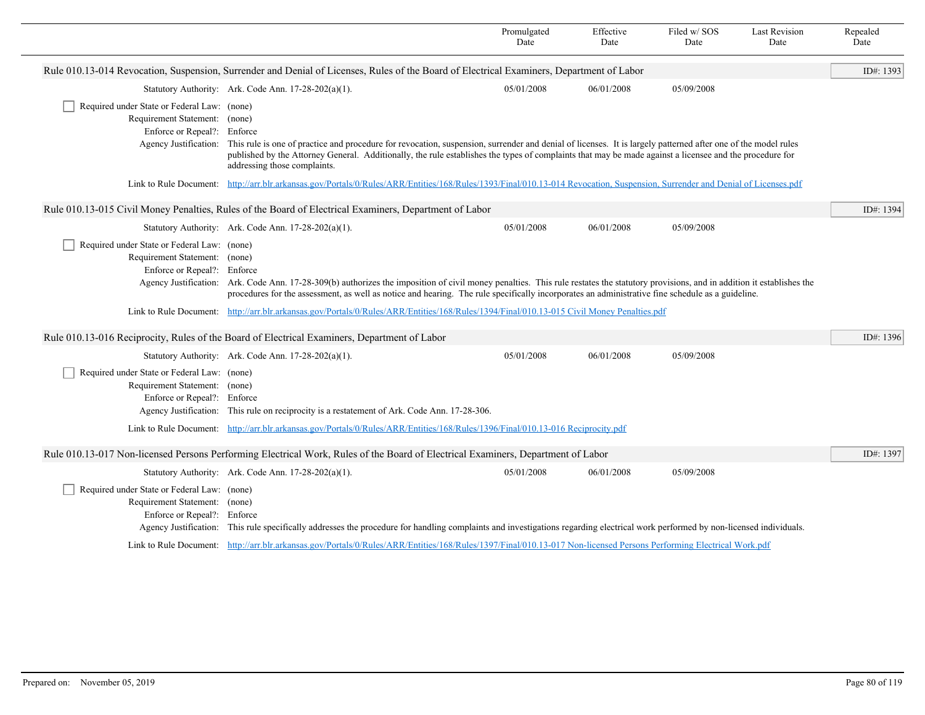|                                                                                                             |                                                                                                                                                                                                                                                                                                                                                                                | Promulgated<br>Date | Effective<br>Date | Filed w/SOS<br>Date | <b>Last Revision</b><br>Date | Repealed<br>Date |
|-------------------------------------------------------------------------------------------------------------|--------------------------------------------------------------------------------------------------------------------------------------------------------------------------------------------------------------------------------------------------------------------------------------------------------------------------------------------------------------------------------|---------------------|-------------------|---------------------|------------------------------|------------------|
|                                                                                                             | Rule 010.13-014 Revocation, Suspension, Surrender and Denial of Licenses, Rules of the Board of Electrical Examiners, Department of Labor                                                                                                                                                                                                                                      |                     |                   |                     |                              | ID#: 1393        |
|                                                                                                             | Statutory Authority: Ark. Code Ann. 17-28-202(a)(1).                                                                                                                                                                                                                                                                                                                           | 05/01/2008          | 06/01/2008        | 05/09/2008          |                              |                  |
| Required under State or Federal Law: (none)<br>Requirement Statement: (none)                                |                                                                                                                                                                                                                                                                                                                                                                                |                     |                   |                     |                              |                  |
| Enforce or Repeal?: Enforce                                                                                 | Agency Justification: This rule is one of practice and procedure for revocation, suspension, surrender and denial of licenses. It is largely patterned after one of the model rules<br>published by the Attorney General. Additionally, the rule establishes the types of complaints that may be made against a licensee and the procedure for<br>addressing those complaints. |                     |                   |                     |                              |                  |
| Link to Rule Document:                                                                                      | http://arr.blr.arkansas.gov/Portals/0/Rules/ARR/Entities/168/Rules/1393/Final/010.13-014 Revocation, Suspension, Surrender and Denial of Licenses.pdf                                                                                                                                                                                                                          |                     |                   |                     |                              |                  |
|                                                                                                             | Rule 010.13-015 Civil Money Penalties, Rules of the Board of Electrical Examiners, Department of Labor                                                                                                                                                                                                                                                                         |                     |                   |                     |                              | ID#: 1394        |
|                                                                                                             | Statutory Authority: Ark. Code Ann. 17-28-202(a)(1).                                                                                                                                                                                                                                                                                                                           | 05/01/2008          | 06/01/2008        | 05/09/2008          |                              |                  |
| Required under State or Federal Law: (none)<br>Requirement Statement: (none)<br>Enforce or Repeal?: Enforce | Agency Justification: Ark. Code Ann. 17-28-309(b) authorizes the imposition of civil money penalties. This rule restates the statutory provisions, and in addition it establishes the<br>procedures for the assessment, as well as notice and hearing. The rule specifically incorporates an administrative fine schedule as a guideline.                                      |                     |                   |                     |                              |                  |
|                                                                                                             | Link to Rule Document: http://arr.blr.arkansas.gov/Portals/0/Rules/ARR/Entities/168/Rules/1394/Final/010.13-015 Civil Money Penalties.pdf                                                                                                                                                                                                                                      |                     |                   |                     |                              |                  |
|                                                                                                             | Rule 010.13-016 Reciprocity, Rules of the Board of Electrical Examiners, Department of Labor                                                                                                                                                                                                                                                                                   |                     |                   |                     |                              | ID#: 1396        |
|                                                                                                             | Statutory Authority: Ark. Code Ann. 17-28-202(a)(1).                                                                                                                                                                                                                                                                                                                           | 05/01/2008          | 06/01/2008        | 05/09/2008          |                              |                  |
| Required under State or Federal Law: (none)<br>Requirement Statement: (none)<br>Enforce or Repeal?: Enforce | Agency Justification: This rule on reciprocity is a restatement of Ark. Code Ann. 17-28-306.<br>Link to Rule Document: http://arr.blr.arkansas.gov/Portals/0/Rules/ARR/Entities/168/Rules/1396/Final/010.13-016 Reciprocity.pdf                                                                                                                                                |                     |                   |                     |                              |                  |
|                                                                                                             |                                                                                                                                                                                                                                                                                                                                                                                |                     |                   |                     |                              |                  |
|                                                                                                             | Rule 010.13-017 Non-licensed Persons Performing Electrical Work, Rules of the Board of Electrical Examiners, Department of Labor                                                                                                                                                                                                                                               |                     |                   |                     |                              | ID#: 1397        |
|                                                                                                             | Statutory Authority: Ark. Code Ann. 17-28-202(a)(1).                                                                                                                                                                                                                                                                                                                           | 05/01/2008          | 06/01/2008        | 05/09/2008          |                              |                  |
| Required under State or Federal Law: (none)<br>Requirement Statement: (none)<br>Enforce or Repeal?: Enforce | Agency Justification: This rule specifically addresses the procedure for handling complaints and investigations regarding electrical work performed by non-licensed individuals.                                                                                                                                                                                               |                     |                   |                     |                              |                  |
|                                                                                                             | Link to Rule Document: http://arr.blr.arkansas.gov/Portals/0/Rules/ARR/Entities/168/Rules/1397/Final/010.13-017 Non-licensed Persons Performing Electrical Work.pdf                                                                                                                                                                                                            |                     |                   |                     |                              |                  |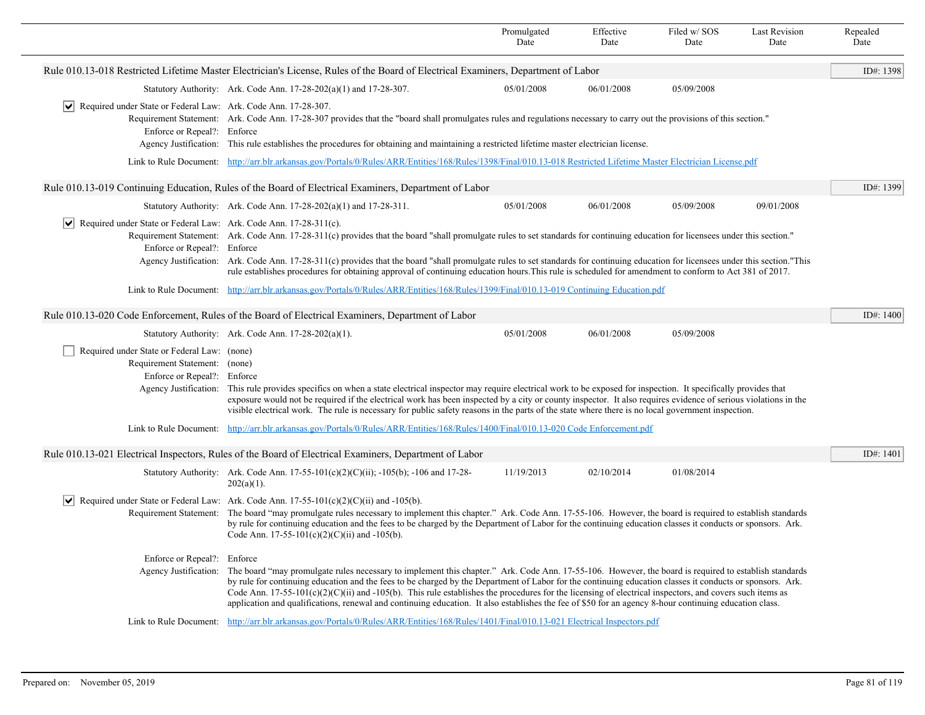|                                                                                                                 |                                                                                                                                                                                                                                                                                                                                                                                                                                                                                                                                                                                                                                                                    | Promulgated<br>Date                                                                                                                                                                                                                                                                                                                                                                                                                                                                                    | Effective<br>Date | Filed w/SOS<br>Date | <b>Last Revision</b><br>Date | Repealed<br>Date |  |  |
|-----------------------------------------------------------------------------------------------------------------|--------------------------------------------------------------------------------------------------------------------------------------------------------------------------------------------------------------------------------------------------------------------------------------------------------------------------------------------------------------------------------------------------------------------------------------------------------------------------------------------------------------------------------------------------------------------------------------------------------------------------------------------------------------------|--------------------------------------------------------------------------------------------------------------------------------------------------------------------------------------------------------------------------------------------------------------------------------------------------------------------------------------------------------------------------------------------------------------------------------------------------------------------------------------------------------|-------------------|---------------------|------------------------------|------------------|--|--|
|                                                                                                                 | Rule 010.13-018 Restricted Lifetime Master Electrician's License, Rules of the Board of Electrical Examiners, Department of Labor                                                                                                                                                                                                                                                                                                                                                                                                                                                                                                                                  |                                                                                                                                                                                                                                                                                                                                                                                                                                                                                                        |                   |                     |                              | ID#: 1398        |  |  |
|                                                                                                                 | Statutory Authority: Ark. Code Ann. 17-28-202(a)(1) and 17-28-307.                                                                                                                                                                                                                                                                                                                                                                                                                                                                                                                                                                                                 | 05/01/2008                                                                                                                                                                                                                                                                                                                                                                                                                                                                                             | 06/01/2008        | 05/09/2008          |                              |                  |  |  |
| $ \mathbf{v} $ Required under State or Federal Law: Ark. Code Ann. 17-28-307.<br>Enforce or Repeal?: Enforce    |                                                                                                                                                                                                                                                                                                                                                                                                                                                                                                                                                                                                                                                                    | Requirement Statement: Ark. Code Ann. 17-28-307 provides that the "board shall promulgates rules and regulations necessary to carry out the provisions of this section."<br>Agency Justification: This rule establishes the procedures for obtaining and maintaining a restricted lifetime master electrician license.<br>Link to Rule Document: http://arr.blr.arkansas.gov/Portals/0/Rules/ARR/Entities/168/Rules/1398/Final/010.13-018 Restricted Lifetime Master Electrician License.pdf           |                   |                     |                              |                  |  |  |
|                                                                                                                 |                                                                                                                                                                                                                                                                                                                                                                                                                                                                                                                                                                                                                                                                    |                                                                                                                                                                                                                                                                                                                                                                                                                                                                                                        |                   |                     |                              |                  |  |  |
|                                                                                                                 | Rule 010.13-019 Continuing Education, Rules of the Board of Electrical Examiners, Department of Labor                                                                                                                                                                                                                                                                                                                                                                                                                                                                                                                                                              |                                                                                                                                                                                                                                                                                                                                                                                                                                                                                                        |                   |                     |                              | ID#: $1399$      |  |  |
|                                                                                                                 | Statutory Authority: Ark. Code Ann. $17-28-202(a)(1)$ and $17-28-311$ .                                                                                                                                                                                                                                                                                                                                                                                                                                                                                                                                                                                            | 05/01/2008                                                                                                                                                                                                                                                                                                                                                                                                                                                                                             | 06/01/2008        | 05/09/2008          | 09/01/2008                   |                  |  |  |
| $ \mathbf{v} $ Required under State or Federal Law: Ark. Code Ann. 17-28-311(c).<br>Enforce or Repeal?: Enforce | Requirement Statement: Ark. Code Ann. 17-28-311(c) provides that the board "shall promulgate rules to set standards for continuing education for licensees under this section."<br>Agency Justification: Ark. Code Ann. 17-28-311(c) provides that the board "shall promulgate rules to set standards for continuing education for licensees under this section."This<br>rule establishes procedures for obtaining approval of continuing education hours. This rule is scheduled for amendment to conform to Act 381 of 2017.                                                                                                                                     |                                                                                                                                                                                                                                                                                                                                                                                                                                                                                                        |                   |                     |                              |                  |  |  |
|                                                                                                                 | Link to Rule Document: http://arr.blr.arkansas.gov/Portals/0/Rules/ARR/Entities/168/Rules/1399/Final/010.13-019 Continuing Education.pdf                                                                                                                                                                                                                                                                                                                                                                                                                                                                                                                           |                                                                                                                                                                                                                                                                                                                                                                                                                                                                                                        |                   |                     |                              |                  |  |  |
| Rule 010.13-020 Code Enforcement, Rules of the Board of Electrical Examiners, Department of Labor               |                                                                                                                                                                                                                                                                                                                                                                                                                                                                                                                                                                                                                                                                    |                                                                                                                                                                                                                                                                                                                                                                                                                                                                                                        |                   |                     |                              |                  |  |  |
|                                                                                                                 | Statutory Authority: Ark. Code Ann. 17-28-202(a)(1).                                                                                                                                                                                                                                                                                                                                                                                                                                                                                                                                                                                                               | 05/01/2008                                                                                                                                                                                                                                                                                                                                                                                                                                                                                             | 06/01/2008        | 05/09/2008          |                              |                  |  |  |
| Required under State or Federal Law: (none)<br>Requirement Statement: (none)<br>Enforce or Repeal?: Enforce     |                                                                                                                                                                                                                                                                                                                                                                                                                                                                                                                                                                                                                                                                    | Agency Justification: This rule provides specifics on when a state electrical inspector may require electrical work to be exposed for inspection. It specifically provides that<br>exposure would not be required if the electrical work has been inspected by a city or county inspector. It also requires evidence of serious violations in the<br>visible electrical work. The rule is necessary for public safety reasons in the parts of the state where there is no local government inspection. |                   |                     |                              |                  |  |  |
|                                                                                                                 | Link to Rule Document: http://arr.blr.arkansas.gov/Portals/0/Rules/ARR/Entities/168/Rules/1400/Final/010.13-020 Code Enforcement.pdf                                                                                                                                                                                                                                                                                                                                                                                                                                                                                                                               |                                                                                                                                                                                                                                                                                                                                                                                                                                                                                                        |                   |                     |                              |                  |  |  |
|                                                                                                                 | Rule 010.13-021 Electrical Inspectors, Rules of the Board of Electrical Examiners, Department of Labor                                                                                                                                                                                                                                                                                                                                                                                                                                                                                                                                                             |                                                                                                                                                                                                                                                                                                                                                                                                                                                                                                        |                   |                     |                              | ID#: 1401        |  |  |
|                                                                                                                 | Statutory Authority: Ark. Code Ann. 17-55-101(c)(2)(C)(ii); -105(b); -106 and 17-28-<br>$202(a)(1)$ .                                                                                                                                                                                                                                                                                                                                                                                                                                                                                                                                                              | 11/19/2013                                                                                                                                                                                                                                                                                                                                                                                                                                                                                             | 02/10/2014        | 01/08/2014          |                              |                  |  |  |
|                                                                                                                 | $ \mathbf{v} $ Required under State or Federal Law: Ark. Code Ann. 17-55-101(c)(2)(C)(ii) and -105(b).<br>Code Ann. 17-55-101(c)(2)(C)(ii) and -105(b).                                                                                                                                                                                                                                                                                                                                                                                                                                                                                                            | Requirement Statement: The board "may promulgate rules necessary to implement this chapter." Ark. Code Ann. 17-55-106. However, the board is required to establish standards<br>by rule for continuing education and the fees to be charged by the Department of Labor for the continuing education classes it conducts or sponsors. Ark.                                                                                                                                                              |                   |                     |                              |                  |  |  |
| Enforce or Repeal?: Enforce                                                                                     | Agency Justification: The board "may promulgate rules necessary to implement this chapter." Ark. Code Ann. 17-55-106. However, the board is required to establish standards<br>by rule for continuing education and the fees to be charged by the Department of Labor for the continuing education classes it conducts or sponsors. Ark.<br>Code Ann. $17-55-101(c)(2)(C)(ii)$ and $-105(b)$ . This rule establishes the procedures for the licensing of electrical inspectors, and covers such items as<br>application and qualifications, renewal and continuing education. It also establishes the fee of \$50 for an agency 8-hour continuing education class. |                                                                                                                                                                                                                                                                                                                                                                                                                                                                                                        |                   |                     |                              |                  |  |  |
|                                                                                                                 | Link to Rule Document: http://arr.blr.arkansas.gov/Portals/0/Rules/ARR/Entities/168/Rules/1401/Final/010.13-021 Electrical Inspectors.pdf                                                                                                                                                                                                                                                                                                                                                                                                                                                                                                                          |                                                                                                                                                                                                                                                                                                                                                                                                                                                                                                        |                   |                     |                              |                  |  |  |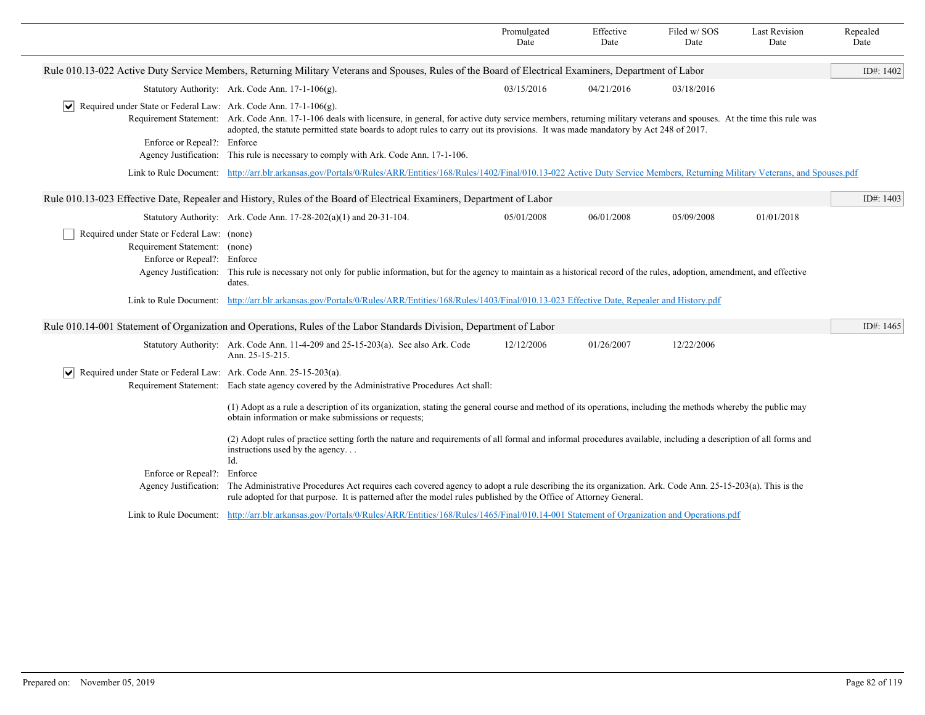|                                                                                                                                      |                                                                                                                                                                                                                                                                                                                           | Promulgated<br>Date | Effective<br>Date | Filed w/SOS<br>Date | <b>Last Revision</b><br>Date | Repealed<br>Date |
|--------------------------------------------------------------------------------------------------------------------------------------|---------------------------------------------------------------------------------------------------------------------------------------------------------------------------------------------------------------------------------------------------------------------------------------------------------------------------|---------------------|-------------------|---------------------|------------------------------|------------------|
|                                                                                                                                      | Rule 010.13-022 Active Duty Service Members, Returning Military Veterans and Spouses, Rules of the Board of Electrical Examiners, Department of Labor                                                                                                                                                                     |                     |                   |                     |                              | ID#: 1402        |
|                                                                                                                                      | Statutory Authority: Ark. Code Ann. 17-1-106(g).                                                                                                                                                                                                                                                                          | 03/15/2016          | 04/21/2016        | 03/18/2016          |                              |                  |
| Required under State or Federal Law: Ark. Code Ann. 17-1-106(g).<br>M<br>Enforce or Repeal?: Enforce                                 | Requirement Statement: Ark. Code Ann. 17-1-106 deals with licensure, in general, for active duty service members, returning military veterans and spouses. At the time this rule was<br>adopted, the statute permitted state boards to adopt rules to carry out its provisions. It was made mandatory by Act 248 of 2017. |                     |                   |                     |                              |                  |
|                                                                                                                                      | Agency Justification: This rule is necessary to comply with Ark. Code Ann. 17-1-106.                                                                                                                                                                                                                                      |                     |                   |                     |                              |                  |
|                                                                                                                                      | Link to Rule Document: http://arr.blr.arkansas.gov/Portals/0/Rules/ARR/Entities/168/Rules/1402/Final/010.13-022 Active Duty Service Members, Returning Military Veterans, and Spouses.pdf                                                                                                                                 |                     |                   |                     |                              |                  |
|                                                                                                                                      | Rule 010.13-023 Effective Date, Repealer and History, Rules of the Board of Electrical Examiners, Department of Labor                                                                                                                                                                                                     |                     |                   |                     |                              | ID#: 1403        |
|                                                                                                                                      | Statutory Authority: Ark. Code Ann. $17-28-202(a)(1)$ and $20-31-104$ .                                                                                                                                                                                                                                                   | 05/01/2008          | 06/01/2008        | 05/09/2008          | 01/01/2018                   |                  |
| Required under State or Federal Law: (none)<br>Requirement Statement: (none)<br>Enforce or Repeal?: Enforce<br>Agency Justification: | This rule is necessary not only for public information, but for the agency to maintain as a historical record of the rules, adoption, amendment, and effective<br>dates.                                                                                                                                                  |                     |                   |                     |                              |                  |
|                                                                                                                                      | Link to Rule Document: http://arr.blr.arkansas.gov/Portals/0/Rules/ARR/Entities/168/Rules/1403/Final/010.13-023 Effective Date, Repealer and History.pdf                                                                                                                                                                  |                     |                   |                     |                              |                  |
|                                                                                                                                      | Rule 010.14-001 Statement of Organization and Operations, Rules of the Labor Standards Division, Department of Labor                                                                                                                                                                                                      |                     |                   |                     |                              | ID#: 1465        |
|                                                                                                                                      | Statutory Authority: Ark. Code Ann. 11-4-209 and 25-15-203(a). See also Ark. Code<br>Ann. 25-15-215.                                                                                                                                                                                                                      | 12/12/2006          | 01/26/2007        | 12/22/2006          |                              |                  |
| Required under State or Federal Law: Ark. Code Ann. 25-15-203(a).<br>M                                                               | Requirement Statement: Each state agency covered by the Administrative Procedures Act shall:                                                                                                                                                                                                                              |                     |                   |                     |                              |                  |
|                                                                                                                                      | (1) Adopt as a rule a description of its organization, stating the general course and method of its operations, including the methods whereby the public may<br>obtain information or make submissions or requests;                                                                                                       |                     |                   |                     |                              |                  |
|                                                                                                                                      | (2) Adopt rules of practice setting forth the nature and requirements of all formal and informal procedures available, including a description of all forms and<br>instructions used by the agency<br>Id.                                                                                                                 |                     |                   |                     |                              |                  |
| Enforce or Repeal?: Enforce                                                                                                          |                                                                                                                                                                                                                                                                                                                           |                     |                   |                     |                              |                  |
|                                                                                                                                      | Agency Justification: The Administrative Procedures Act requires each covered agency to adopt a rule describing the its organization. Ark. Code Ann. 25-15-203(a). This is the<br>rule adopted for that purpose. It is patterned after the model rules published by the Office of Attorney General.                       |                     |                   |                     |                              |                  |
|                                                                                                                                      | Link to Rule Document: http://arr.blr.arkansas.gov/Portals/0/Rules/ARR/Entities/168/Rules/1465/Final/010.14-001 Statement of Organization and Operations.pdf                                                                                                                                                              |                     |                   |                     |                              |                  |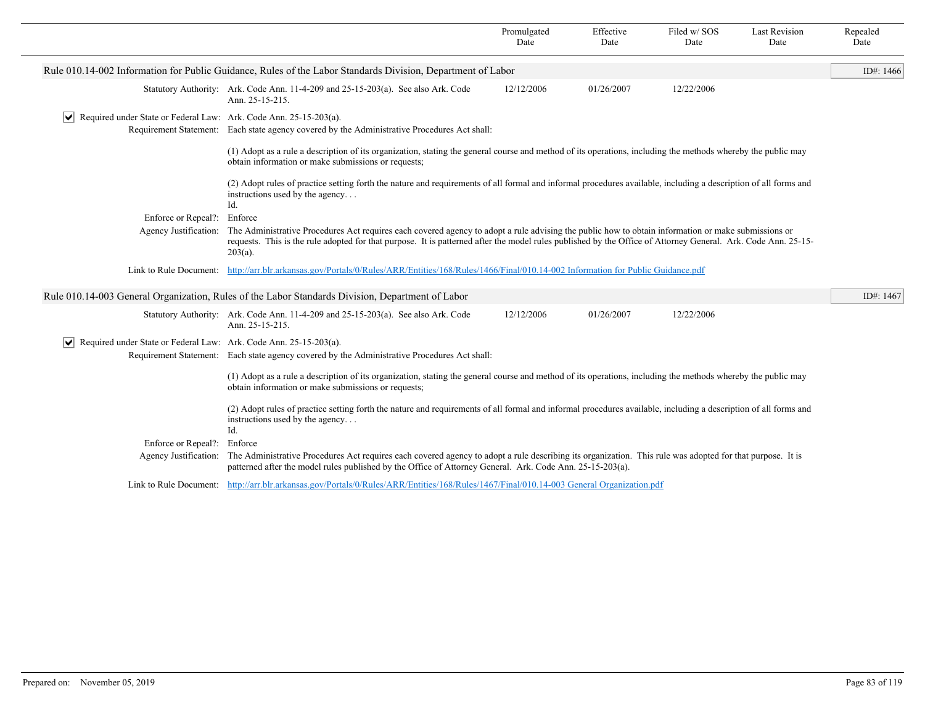|                                                                                    |                                                                                                                                                                                                                                                                                                                                    | Promulgated<br>Date | Effective<br>Date | Filed w/SOS<br>Date | <b>Last Revision</b><br>Date | Repealed<br>Date |
|------------------------------------------------------------------------------------|------------------------------------------------------------------------------------------------------------------------------------------------------------------------------------------------------------------------------------------------------------------------------------------------------------------------------------|---------------------|-------------------|---------------------|------------------------------|------------------|
|                                                                                    | Rule 010.14-002 Information for Public Guidance, Rules of the Labor Standards Division, Department of Labor                                                                                                                                                                                                                        |                     |                   |                     |                              | ID#: $1466$      |
|                                                                                    | Statutory Authority: Ark. Code Ann. 11-4-209 and 25-15-203(a). See also Ark. Code<br>Ann. 25-15-215.                                                                                                                                                                                                                               | 12/12/2006          | 01/26/2007        | 12/22/2006          |                              |                  |
| $\triangleright$ Required under State or Federal Law: Ark. Code Ann. 25-15-203(a). | Requirement Statement: Each state agency covered by the Administrative Procedures Act shall:                                                                                                                                                                                                                                       |                     |                   |                     |                              |                  |
|                                                                                    | (1) Adopt as a rule a description of its organization, stating the general course and method of its operations, including the methods whereby the public may<br>obtain information or make submissions or requests;                                                                                                                |                     |                   |                     |                              |                  |
|                                                                                    | (2) Adopt rules of practice setting forth the nature and requirements of all formal and informal procedures available, including a description of all forms and<br>instructions used by the agency<br>Id.                                                                                                                          |                     |                   |                     |                              |                  |
| Enforce or Repeal?:                                                                | Enforce                                                                                                                                                                                                                                                                                                                            |                     |                   |                     |                              |                  |
| Agency Justification:                                                              | The Administrative Procedures Act requires each covered agency to adopt a rule advising the public how to obtain information or make submissions or<br>requests. This is the rule adopted for that purpose. It is patterned after the model rules published by the Office of Attorney General. Ark. Code Ann. 25-15-<br>$203(a)$ . |                     |                   |                     |                              |                  |
|                                                                                    | Link to Rule Document: http://arr.blr.arkansas.gov/Portals/0/Rules/ARR/Entities/168/Rules/1466/Final/010.14-002 Information for Public Guidance.pdf                                                                                                                                                                                |                     |                   |                     |                              |                  |
|                                                                                    | Rule 010.14-003 General Organization, Rules of the Labor Standards Division, Department of Labor                                                                                                                                                                                                                                   |                     |                   |                     |                              | ID#: $1467$      |
|                                                                                    | Statutory Authority: Ark. Code Ann. 11-4-209 and 25-15-203(a). See also Ark. Code<br>Ann. 25-15-215.                                                                                                                                                                                                                               | 12/12/2006          | 01/26/2007        | 12/22/2006          |                              |                  |
| $ \mathbf{v} $ Required under State or Federal Law: Ark. Code Ann. 25-15-203(a).   | Requirement Statement: Each state agency covered by the Administrative Procedures Act shall:                                                                                                                                                                                                                                       |                     |                   |                     |                              |                  |
|                                                                                    | (1) Adopt as a rule a description of its organization, stating the general course and method of its operations, including the methods whereby the public may<br>obtain information or make submissions or requests;                                                                                                                |                     |                   |                     |                              |                  |
|                                                                                    | (2) Adopt rules of practice setting forth the nature and requirements of all formal and informal procedures available, including a description of all forms and<br>instructions used by the agency<br>Id.                                                                                                                          |                     |                   |                     |                              |                  |
| Enforce or Repeal?:                                                                | Enforce                                                                                                                                                                                                                                                                                                                            |                     |                   |                     |                              |                  |
| Agency Justification:                                                              | The Administrative Procedures Act requires each covered agency to adopt a rule describing its organization. This rule was adopted for that purpose. It is<br>patterned after the model rules published by the Office of Attorney General. Ark. Code Ann. 25-15-203(a).                                                             |                     |                   |                     |                              |                  |
|                                                                                    | Link to Rule Document: http://arr.blr.arkansas.gov/Portals/0/Rules/ARR/Entities/168/Rules/1467/Final/010.14-003 General Organization.pdf                                                                                                                                                                                           |                     |                   |                     |                              |                  |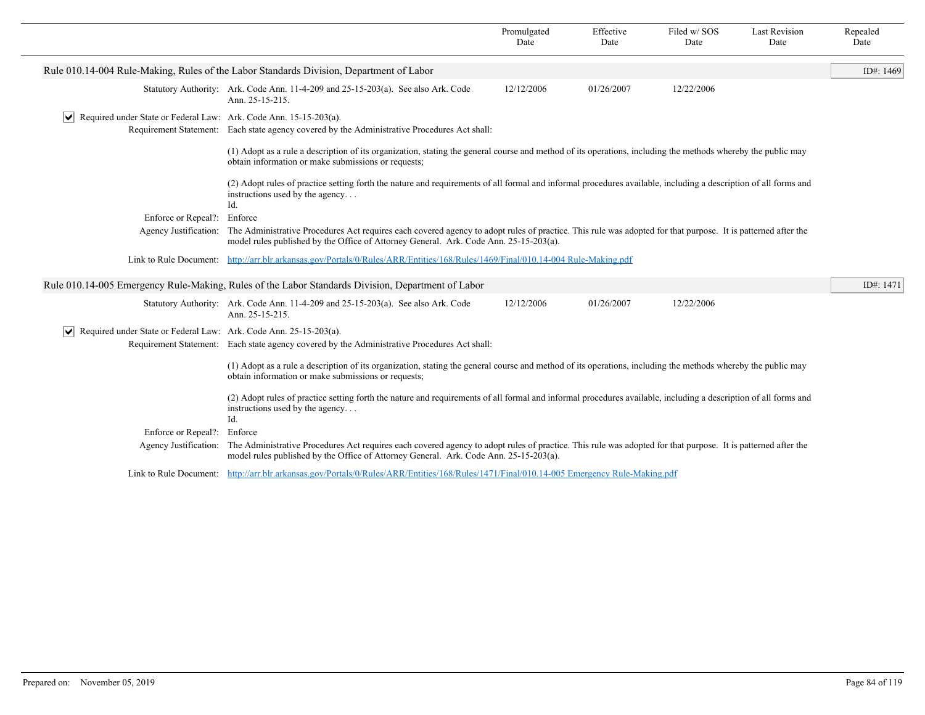|                                                                                  |                                                                                                                                                                                                                                                       | Promulgated<br>Date | Effective<br>Date | Filed w/SOS<br>Date | <b>Last Revision</b><br>Date | Repealed<br>Date |
|----------------------------------------------------------------------------------|-------------------------------------------------------------------------------------------------------------------------------------------------------------------------------------------------------------------------------------------------------|---------------------|-------------------|---------------------|------------------------------|------------------|
|                                                                                  | Rule 010.14-004 Rule-Making, Rules of the Labor Standards Division, Department of Labor                                                                                                                                                               |                     |                   |                     |                              | ID#: 1469        |
|                                                                                  | Statutory Authority: Ark. Code Ann. 11-4-209 and 25-15-203(a). See also Ark. Code<br>Ann. 25-15-215.                                                                                                                                                  | 12/12/2006          | 01/26/2007        | 12/22/2006          |                              |                  |
| $ \mathbf{v} $ Required under State or Federal Law: Ark. Code Ann. 15-15-203(a). | Requirement Statement: Each state agency covered by the Administrative Procedures Act shall:                                                                                                                                                          |                     |                   |                     |                              |                  |
|                                                                                  | (1) Adopt as a rule a description of its organization, stating the general course and method of its operations, including the methods whereby the public may<br>obtain information or make submissions or requests;                                   |                     |                   |                     |                              |                  |
|                                                                                  | (2) Adopt rules of practice setting forth the nature and requirements of all formal and informal procedures available, including a description of all forms and<br>instructions used by the agency<br>Id.                                             |                     |                   |                     |                              |                  |
| Enforce or Repeal?:                                                              | Enforce                                                                                                                                                                                                                                               |                     |                   |                     |                              |                  |
| Agency Justification:                                                            | The Administrative Procedures Act requires each covered agency to adopt rules of practice. This rule was adopted for that purpose. It is patterned after the<br>model rules published by the Office of Attorney General. Ark. Code Ann. 25-15-203(a). |                     |                   |                     |                              |                  |
|                                                                                  | Link to Rule Document: http://arr.blr.arkansas.gov/Portals/0/Rules/ARR/Entities/168/Rules/1469/Final/010.14-004 Rule-Making.pdf                                                                                                                       |                     |                   |                     |                              |                  |
|                                                                                  | Rule 010.14-005 Emergency Rule-Making, Rules of the Labor Standards Division, Department of Labor                                                                                                                                                     |                     |                   |                     |                              | ID#: 1471        |
|                                                                                  | Statutory Authority: Ark. Code Ann. 11-4-209 and 25-15-203(a). See also Ark. Code<br>Ann. 25-15-215.                                                                                                                                                  | 12/12/2006          | 01/26/2007        | 12/22/2006          |                              |                  |
| $ \mathbf{v} $ Required under State or Federal Law: Ark. Code Ann. 25-15-203(a). |                                                                                                                                                                                                                                                       |                     |                   |                     |                              |                  |
|                                                                                  | Requirement Statement: Each state agency covered by the Administrative Procedures Act shall:                                                                                                                                                          |                     |                   |                     |                              |                  |
|                                                                                  | (1) Adopt as a rule a description of its organization, stating the general course and method of its operations, including the methods whereby the public may<br>obtain information or make submissions or requests;                                   |                     |                   |                     |                              |                  |
|                                                                                  | (2) Adopt rules of practice setting forth the nature and requirements of all formal and informal procedures available, including a description of all forms and<br>instructions used by the agency<br>Id.                                             |                     |                   |                     |                              |                  |
| Enforce or Repeal?:                                                              | Enforce                                                                                                                                                                                                                                               |                     |                   |                     |                              |                  |
| Agency Justification:                                                            | The Administrative Procedures Act requires each covered agency to adopt rules of practice. This rule was adopted for that purpose. It is patterned after the<br>model rules published by the Office of Attorney General. Ark. Code Ann. 25-15-203(a). |                     |                   |                     |                              |                  |
|                                                                                  | Link to Rule Document: http://arr.blr.arkansas.gov/Portals/0/Rules/ARR/Entities/168/Rules/1471/Final/010.14-005 Emergency Rule-Making.pdf                                                                                                             |                     |                   |                     |                              |                  |
|                                                                                  |                                                                                                                                                                                                                                                       |                     |                   |                     |                              |                  |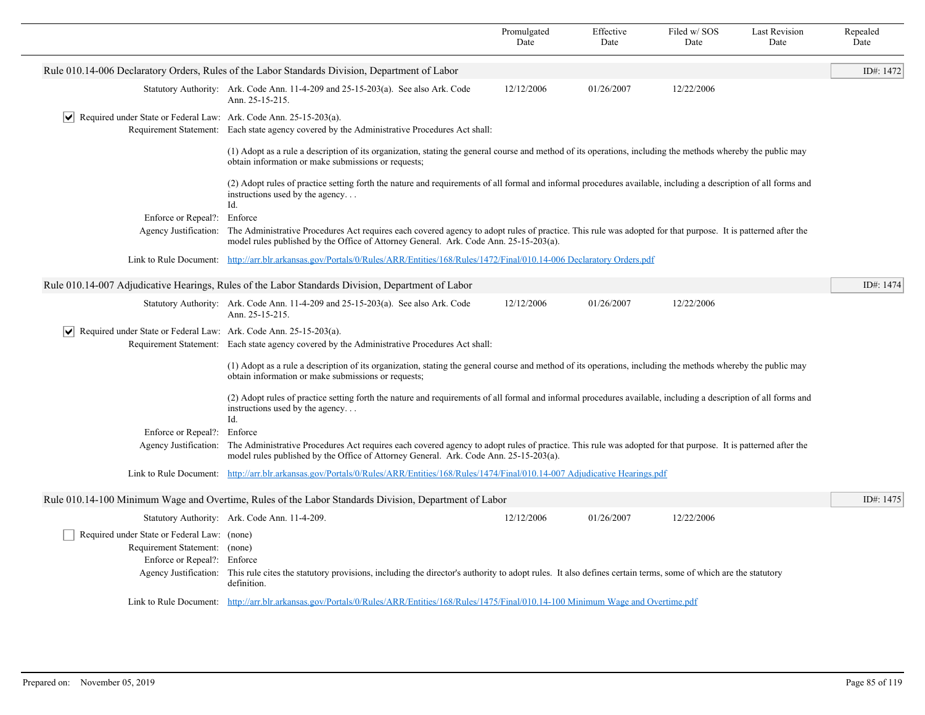|                                                                                                             |                                                                                                                                                                                                                                                       | Promulgated<br>Date | Effective<br>Date | Filed w/SOS<br>Date | <b>Last Revision</b><br>Date | Repealed<br>Date |  |  |
|-------------------------------------------------------------------------------------------------------------|-------------------------------------------------------------------------------------------------------------------------------------------------------------------------------------------------------------------------------------------------------|---------------------|-------------------|---------------------|------------------------------|------------------|--|--|
|                                                                                                             | Rule 010.14-006 Declaratory Orders, Rules of the Labor Standards Division, Department of Labor                                                                                                                                                        |                     |                   |                     |                              | ID#: 1472        |  |  |
|                                                                                                             | Statutory Authority: Ark. Code Ann. 11-4-209 and 25-15-203(a). See also Ark. Code<br>Ann. 25-15-215.                                                                                                                                                  | 12/12/2006          | 01/26/2007        | 12/22/2006          |                              |                  |  |  |
| $ \mathbf{v} $ Required under State or Federal Law: Ark. Code Ann. 25-15-203(a).                            | Requirement Statement: Each state agency covered by the Administrative Procedures Act shall:                                                                                                                                                          |                     |                   |                     |                              |                  |  |  |
|                                                                                                             | (1) Adopt as a rule a description of its organization, stating the general course and method of its operations, including the methods whereby the public may<br>obtain information or make submissions or requests;                                   |                     |                   |                     |                              |                  |  |  |
|                                                                                                             | (2) Adopt rules of practice setting forth the nature and requirements of all formal and informal procedures available, including a description of all forms and<br>instructions used by the agency<br>Id.                                             |                     |                   |                     |                              |                  |  |  |
| Enforce or Repeal?: Enforce                                                                                 |                                                                                                                                                                                                                                                       |                     |                   |                     |                              |                  |  |  |
| Agency Justification:                                                                                       | The Administrative Procedures Act requires each covered agency to adopt rules of practice. This rule was adopted for that purpose. It is patterned after the<br>model rules published by the Office of Attorney General. Ark. Code Ann. 25-15-203(a). |                     |                   |                     |                              |                  |  |  |
|                                                                                                             | Link to Rule Document: http://arr.blr.arkansas.gov/Portals/0/Rules/ARR/Entities/168/Rules/1472/Final/010.14-006 Declaratory Orders.pdf                                                                                                                |                     |                   |                     |                              |                  |  |  |
|                                                                                                             | Rule 010.14-007 Adjudicative Hearings, Rules of the Labor Standards Division, Department of Labor                                                                                                                                                     |                     |                   |                     |                              | ID#: 1474        |  |  |
|                                                                                                             | Statutory Authority: Ark. Code Ann. 11-4-209 and 25-15-203(a). See also Ark. Code<br>Ann. 25-15-215.                                                                                                                                                  | 12/12/2006          | 01/26/2007        | 12/22/2006          |                              |                  |  |  |
| $ \mathbf{v} $ Required under State or Federal Law: Ark. Code Ann. 25-15-203(a).                            |                                                                                                                                                                                                                                                       |                     |                   |                     |                              |                  |  |  |
|                                                                                                             | Requirement Statement: Each state agency covered by the Administrative Procedures Act shall:                                                                                                                                                          |                     |                   |                     |                              |                  |  |  |
|                                                                                                             | (1) Adopt as a rule a description of its organization, stating the general course and method of its operations, including the methods whereby the public may<br>obtain information or make submissions or requests;                                   |                     |                   |                     |                              |                  |  |  |
|                                                                                                             | (2) Adopt rules of practice setting forth the nature and requirements of all formal and informal procedures available, including a description of all forms and<br>instructions used by the agency<br>Id.                                             |                     |                   |                     |                              |                  |  |  |
| Enforce or Repeal?:                                                                                         | Enforce                                                                                                                                                                                                                                               |                     |                   |                     |                              |                  |  |  |
| Agency Justification:                                                                                       | The Administrative Procedures Act requires each covered agency to adopt rules of practice. This rule was adopted for that purpose. It is patterned after the<br>model rules published by the Office of Attorney General. Ark. Code Ann. 25-15-203(a). |                     |                   |                     |                              |                  |  |  |
|                                                                                                             | Link to Rule Document: http://arr.blr.arkansas.gov/Portals/0/Rules/ARR/Entities/168/Rules/1474/Final/010.14-007 Adjudicative Hearings.pdf                                                                                                             |                     |                   |                     |                              |                  |  |  |
|                                                                                                             | Rule 010.14-100 Minimum Wage and Overtime, Rules of the Labor Standards Division, Department of Labor                                                                                                                                                 |                     |                   |                     |                              | ID#: 1475        |  |  |
|                                                                                                             | Statutory Authority: Ark. Code Ann. 11-4-209.                                                                                                                                                                                                         | 12/12/2006          | 01/26/2007        | 12/22/2006          |                              |                  |  |  |
| Required under State or Federal Law: (none)<br>Requirement Statement: (none)<br>Enforce or Repeal?: Enforce | Agency Justification: This rule cites the statutory provisions, including the director's authority to adopt rules. It also defines certain terms, some of which are the statutory<br>definition.                                                      |                     |                   |                     |                              |                  |  |  |
|                                                                                                             | Link to Rule Document: http://arr.blr.arkansas.gov/Portals/0/Rules/ARR/Entities/168/Rules/1475/Final/010.14-100 Minimum Wage and Overtime.pdf                                                                                                         |                     |                   |                     |                              |                  |  |  |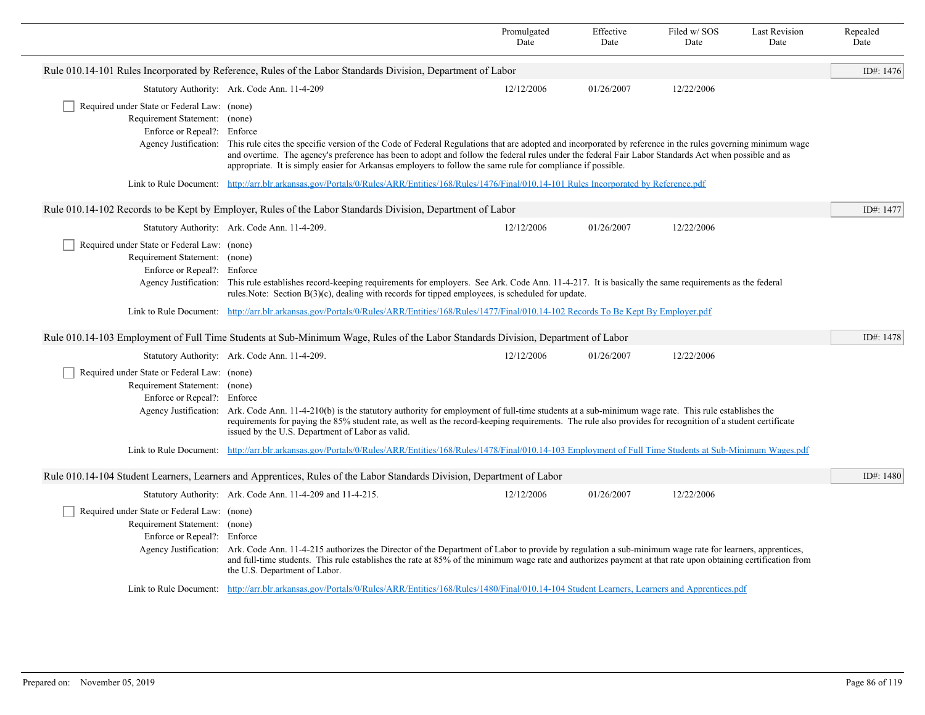|                                                                                                             |                                                                                                                                                                                                                                                                                                                                                                                                                                                         | Promulgated<br>Date | Effective<br>Date | Filed w/SOS<br>Date | <b>Last Revision</b><br>Date | Repealed<br>Date |  |
|-------------------------------------------------------------------------------------------------------------|---------------------------------------------------------------------------------------------------------------------------------------------------------------------------------------------------------------------------------------------------------------------------------------------------------------------------------------------------------------------------------------------------------------------------------------------------------|---------------------|-------------------|---------------------|------------------------------|------------------|--|
|                                                                                                             | Rule 010.14-101 Rules Incorporated by Reference, Rules of the Labor Standards Division, Department of Labor                                                                                                                                                                                                                                                                                                                                             |                     |                   |                     |                              | ID#: 1476        |  |
|                                                                                                             | Statutory Authority: Ark. Code Ann. 11-4-209                                                                                                                                                                                                                                                                                                                                                                                                            | 12/12/2006          | 01/26/2007        | 12/22/2006          |                              |                  |  |
| Required under State or Federal Law: (none)<br>Requirement Statement: (none)<br>Enforce or Repeal?: Enforce |                                                                                                                                                                                                                                                                                                                                                                                                                                                         |                     |                   |                     |                              |                  |  |
|                                                                                                             | Agency Justification: This rule cites the specific version of the Code of Federal Regulations that are adopted and incorporated by reference in the rules governing minimum wage<br>and overtime. The agency's preference has been to adopt and follow the federal rules under the federal Fair Labor Standards Act when possible and as<br>appropriate. It is simply easier for Arkansas employers to follow the same rule for compliance if possible. |                     |                   |                     |                              |                  |  |
|                                                                                                             | Link to Rule Document: http://arr.blr.arkansas.gov/Portals/0/Rules/ARR/Entities/168/Rules/1476/Final/010.14-101 Rules Incorporated by Reference.pdf                                                                                                                                                                                                                                                                                                     |                     |                   |                     |                              |                  |  |
|                                                                                                             | Rule 010.14-102 Records to be Kept by Employer, Rules of the Labor Standards Division, Department of Labor                                                                                                                                                                                                                                                                                                                                              |                     |                   |                     |                              | ID#: 1477        |  |
|                                                                                                             | Statutory Authority: Ark. Code Ann. 11-4-209.                                                                                                                                                                                                                                                                                                                                                                                                           | 12/12/2006          | 01/26/2007        | 12/22/2006          |                              |                  |  |
| Required under State or Federal Law: (none)<br>Requirement Statement: (none)<br>Enforce or Repeal?: Enforce | Agency Justification: This rule establishes record-keeping requirements for employers. See Ark. Code Ann. 11-4-217. It is basically the same requirements as the federal<br>rules. Note: Section $B(3)(c)$ , dealing with records for tipped employees, is scheduled for update.                                                                                                                                                                        |                     |                   |                     |                              |                  |  |
|                                                                                                             | Link to Rule Document: http://arr.blr.arkansas.gov/Portals/0/Rules/ARR/Entities/168/Rules/1477/Final/010.14-102 Records To Be Kept By Employer.pdf                                                                                                                                                                                                                                                                                                      |                     |                   |                     |                              |                  |  |
|                                                                                                             | Rule 010.14-103 Employment of Full Time Students at Sub-Minimum Wage, Rules of the Labor Standards Division, Department of Labor                                                                                                                                                                                                                                                                                                                        |                     |                   |                     |                              | ID#: 1478        |  |
|                                                                                                             | Statutory Authority: Ark. Code Ann. 11-4-209.                                                                                                                                                                                                                                                                                                                                                                                                           | 12/12/2006          | 01/26/2007        | 12/22/2006          |                              |                  |  |
| Required under State or Federal Law: (none)<br>Requirement Statement: (none)<br>Enforce or Repeal?: Enforce | Agency Justification: Ark. Code Ann. 11-4-210(b) is the statutory authority for employment of full-time students at a sub-minimum wage rate. This rule establishes the<br>requirements for paying the 85% student rate, as well as the record-keeping requirements. The rule also provides for recognition of a student certificate                                                                                                                     |                     |                   |                     |                              |                  |  |
|                                                                                                             | issued by the U.S. Department of Labor as valid.<br>Link to Rule Document: http://arr.blr.arkansas.gov/Portals/0/Rules/ARR/Entities/168/Rules/1478/Final/010.14-103 Employment of Full Time Students at Sub-Minimum Wages.pdf                                                                                                                                                                                                                           |                     |                   |                     |                              |                  |  |
|                                                                                                             |                                                                                                                                                                                                                                                                                                                                                                                                                                                         |                     |                   |                     |                              |                  |  |
|                                                                                                             | Rule 010.14-104 Student Learners, Learners and Apprentices, Rules of the Labor Standards Division, Department of Labor                                                                                                                                                                                                                                                                                                                                  |                     |                   |                     |                              | ID#: 1480        |  |
|                                                                                                             | Statutory Authority: Ark. Code Ann. 11-4-209 and 11-4-215.                                                                                                                                                                                                                                                                                                                                                                                              | 12/12/2006          | 01/26/2007        | 12/22/2006          |                              |                  |  |
| Required under State or Federal Law: (none)<br>Requirement Statement: (none)<br>Enforce or Repeal?: Enforce | Agency Justification: Ark. Code Ann. 11-4-215 authorizes the Director of the Department of Labor to provide by regulation a sub-minimum wage rate for learners, apprentices,<br>and full-time students. This rule establishes the rate at 85% of the minimum wage rate and authorizes payment at that rate upon obtaining certification from<br>the U.S. Department of Labor.                                                                           |                     |                   |                     |                              |                  |  |
|                                                                                                             | Link to Rule Document: http://arr.blr.arkansas.gov/Portals/0/Rules/ARR/Entities/168/Rules/1480/Final/010.14-104 Student Learners, Learners and Apprentices.pdf                                                                                                                                                                                                                                                                                          |                     |                   |                     |                              |                  |  |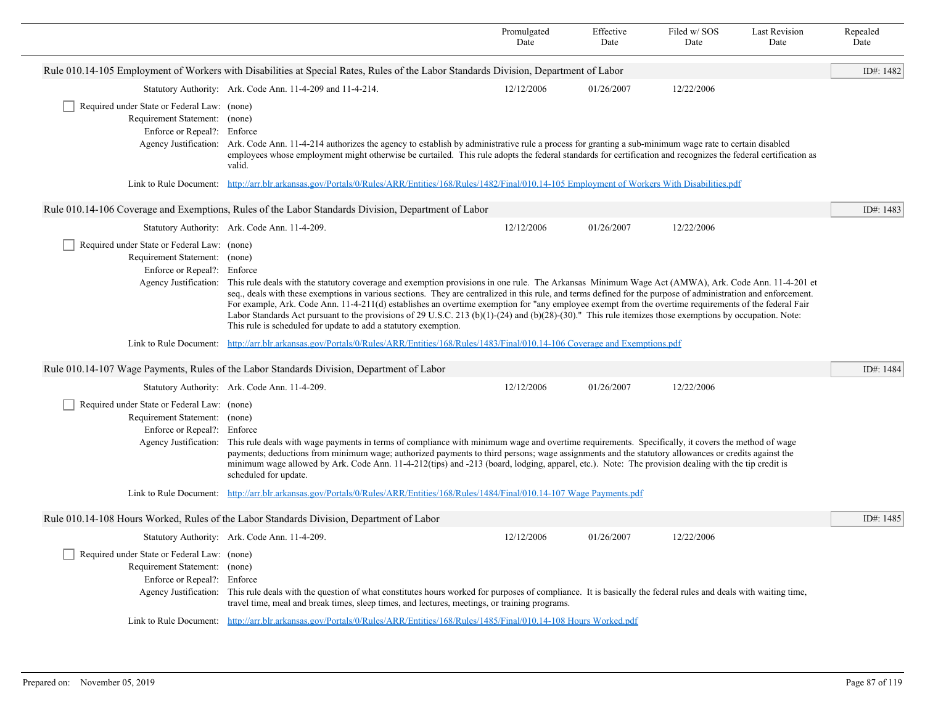|                                                                                                                                      |                                                                                                                                                                                                                                                                                                                                                                                                                                                                                                                                                                                                                                                                                                                     | Promulgated<br>Date | Effective<br>Date | Filed w/SOS<br>Date | <b>Last Revision</b><br>Date | Repealed<br>Date |
|--------------------------------------------------------------------------------------------------------------------------------------|---------------------------------------------------------------------------------------------------------------------------------------------------------------------------------------------------------------------------------------------------------------------------------------------------------------------------------------------------------------------------------------------------------------------------------------------------------------------------------------------------------------------------------------------------------------------------------------------------------------------------------------------------------------------------------------------------------------------|---------------------|-------------------|---------------------|------------------------------|------------------|
|                                                                                                                                      | Rule 010.14-105 Employment of Workers with Disabilities at Special Rates, Rules of the Labor Standards Division, Department of Labor                                                                                                                                                                                                                                                                                                                                                                                                                                                                                                                                                                                |                     |                   |                     |                              | ID#: 1482        |
|                                                                                                                                      | Statutory Authority: Ark. Code Ann. 11-4-209 and 11-4-214.                                                                                                                                                                                                                                                                                                                                                                                                                                                                                                                                                                                                                                                          | 12/12/2006          | 01/26/2007        | 12/22/2006          |                              |                  |
| Required under State or Federal Law: (none)<br>Requirement Statement: (none)<br>Enforce or Repeal?: Enforce                          | Agency Justification: Ark. Code Ann. 11-4-214 authorizes the agency to establish by administrative rule a process for granting a sub-minimum wage rate to certain disabled<br>employees whose employment might otherwise be curtailed. This rule adopts the federal standards for certification and recognizes the federal certification as<br>valid.                                                                                                                                                                                                                                                                                                                                                               |                     |                   |                     |                              |                  |
|                                                                                                                                      | Link to Rule Document: http://arr.blr.arkansas.gov/Portals/0/Rules/ARR/Entities/168/Rules/1482/Final/010.14-105 Employment of Workers With Disabilities.pdf                                                                                                                                                                                                                                                                                                                                                                                                                                                                                                                                                         |                     |                   |                     |                              |                  |
|                                                                                                                                      | Rule 010.14-106 Coverage and Exemptions, Rules of the Labor Standards Division, Department of Labor                                                                                                                                                                                                                                                                                                                                                                                                                                                                                                                                                                                                                 |                     |                   |                     |                              | ID#: 1483        |
|                                                                                                                                      | Statutory Authority: Ark. Code Ann. 11-4-209.                                                                                                                                                                                                                                                                                                                                                                                                                                                                                                                                                                                                                                                                       | 12/12/2006          | 01/26/2007        | 12/22/2006          |                              |                  |
| Required under State or Federal Law: (none)<br>Requirement Statement: (none)<br>Enforce or Repeal?: Enforce<br>Agency Justification: | This rule deals with the statutory coverage and exemption provisions in one rule. The Arkansas Minimum Wage Act (AMWA), Ark. Code Ann. 11-4-201 et<br>seq., deals with these exemptions in various sections. They are centralized in this rule, and terms defined for the purpose of administration and enforcement.<br>For example, Ark. Code Ann. 11-4-211(d) establishes an overtime exemption for "any employee exempt from the overtime requirements of the federal Fair<br>Labor Standards Act pursuant to the provisions of 29 U.S.C. 213 (b) $(1)$ -(24) and (b) $(28)$ -(30)." This rule itemizes those exemptions by occupation. Note:<br>This rule is scheduled for update to add a statutory exemption. |                     |                   |                     |                              |                  |
|                                                                                                                                      | Link to Rule Document: http://arr.blr.arkansas.gov/Portals/0/Rules/ARR/Entities/168/Rules/1483/Final/010.14-106 Coverage and Exemptions.pdf                                                                                                                                                                                                                                                                                                                                                                                                                                                                                                                                                                         |                     |                   |                     |                              |                  |
|                                                                                                                                      | Rule 010.14-107 Wage Payments, Rules of the Labor Standards Division, Department of Labor                                                                                                                                                                                                                                                                                                                                                                                                                                                                                                                                                                                                                           |                     |                   |                     |                              | ID#: 1484        |
|                                                                                                                                      | Statutory Authority: Ark. Code Ann. 11-4-209.                                                                                                                                                                                                                                                                                                                                                                                                                                                                                                                                                                                                                                                                       | 12/12/2006          | 01/26/2007        | 12/22/2006          |                              |                  |
| Required under State or Federal Law: (none)<br>Requirement Statement: (none)<br>Enforce or Repeal?: Enforce<br>Agency Justification: | This rule deals with wage payments in terms of compliance with minimum wage and overtime requirements. Specifically, it covers the method of wage<br>payments; deductions from minimum wage; authorized payments to third persons; wage assignments and the statutory allowances or credits against the<br>minimum wage allowed by Ark. Code Ann. 11-4-212(tips) and -213 (board, lodging, apparel, etc.). Note: The provision dealing with the tip credit is<br>scheduled for update.                                                                                                                                                                                                                              |                     |                   |                     |                              |                  |
|                                                                                                                                      | Link to Rule Document: http://arr.blr.arkansas.gov/Portals/0/Rules/ARR/Entities/168/Rules/1484/Final/010.14-107 Wage Payments.pdf                                                                                                                                                                                                                                                                                                                                                                                                                                                                                                                                                                                   |                     |                   |                     |                              |                  |
|                                                                                                                                      | Rule 010.14-108 Hours Worked, Rules of the Labor Standards Division, Department of Labor                                                                                                                                                                                                                                                                                                                                                                                                                                                                                                                                                                                                                            |                     |                   |                     |                              | ID#: 1485        |
|                                                                                                                                      | Statutory Authority: Ark. Code Ann. 11-4-209.                                                                                                                                                                                                                                                                                                                                                                                                                                                                                                                                                                                                                                                                       | 12/12/2006          | 01/26/2007        | 12/22/2006          |                              |                  |
| Required under State or Federal Law: (none)<br>Requirement Statement: (none)<br>Enforce or Repeal?: Enforce<br>Agency Justification: | This rule deals with the question of what constitutes hours worked for purposes of compliance. It is basically the federal rules and deals with waiting time,<br>travel time, meal and break times, sleep times, and lectures, meetings, or training programs.                                                                                                                                                                                                                                                                                                                                                                                                                                                      |                     |                   |                     |                              |                  |
|                                                                                                                                      | Link to Rule Document: http://arr.blr.arkansas.gov/Portals/0/Rules/ARR/Entities/168/Rules/1485/Final/010.14-108 Hours Worked.pdf                                                                                                                                                                                                                                                                                                                                                                                                                                                                                                                                                                                    |                     |                   |                     |                              |                  |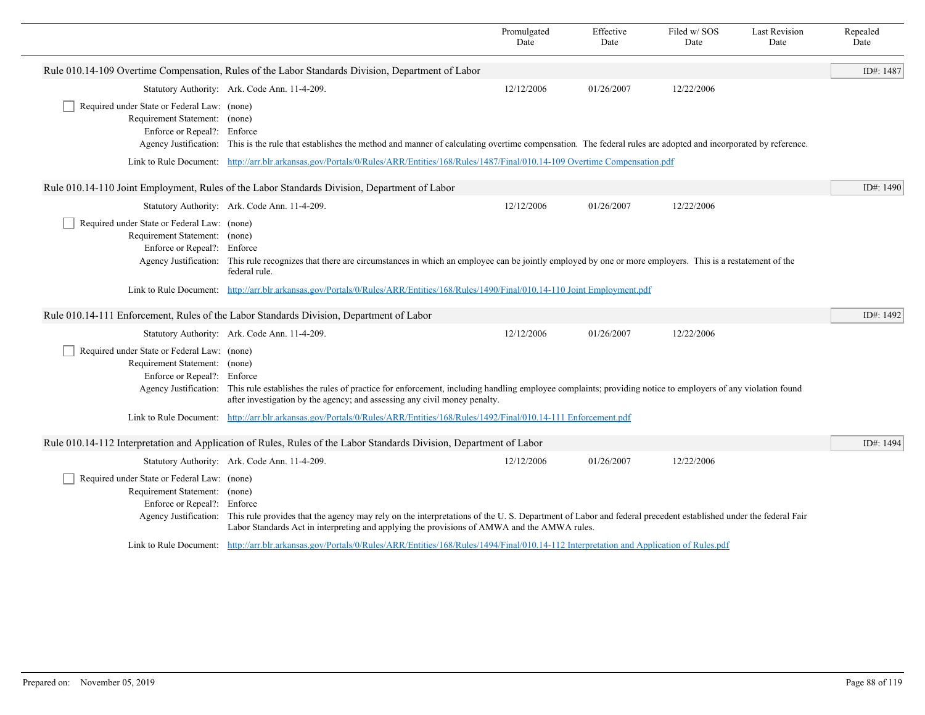|                                                                                                                                           |                                                                                                                                                                                                                                                                                  | Promulgated<br>Date | Effective<br>Date | Filed w/SOS<br>Date | <b>Last Revision</b><br>Date | Repealed<br>Date |  |
|-------------------------------------------------------------------------------------------------------------------------------------------|----------------------------------------------------------------------------------------------------------------------------------------------------------------------------------------------------------------------------------------------------------------------------------|---------------------|-------------------|---------------------|------------------------------|------------------|--|
|                                                                                                                                           | Rule 010.14-109 Overtime Compensation, Rules of the Labor Standards Division, Department of Labor                                                                                                                                                                                |                     |                   |                     |                              | ID#: 1487        |  |
|                                                                                                                                           | Statutory Authority: Ark. Code Ann. 11-4-209.                                                                                                                                                                                                                                    | 12/12/2006          | 01/26/2007        | 12/22/2006          |                              |                  |  |
| Required under State or Federal Law: (none)<br>Requirement Statement: (none)<br>Enforce or Repeal?: Enforce                               | Agency Justification: This is the rule that establishes the method and manner of calculating overtime compensation. The federal rules are adopted and incorporated by reference.                                                                                                 |                     |                   |                     |                              |                  |  |
| Link to Rule Document: http://arr.blr.arkansas.gov/Portals/0/Rules/ARR/Entities/168/Rules/1487/Final/010.14-109 Overtime Compensation.pdf |                                                                                                                                                                                                                                                                                  |                     |                   |                     |                              |                  |  |
|                                                                                                                                           | Rule 010.14-110 Joint Employment, Rules of the Labor Standards Division, Department of Labor                                                                                                                                                                                     |                     |                   |                     |                              | ID#: 1490        |  |
|                                                                                                                                           | Statutory Authority: Ark. Code Ann. 11-4-209.                                                                                                                                                                                                                                    | 12/12/2006          | 01/26/2007        | 12/22/2006          |                              |                  |  |
| Required under State or Federal Law: (none)<br>Requirement Statement: (none)<br>Enforce or Repeal?: Enforce                               | Agency Justification: This rule recognizes that there are circumstances in which an employee can be jointly employed by one or more employers. This is a restatement of the<br>federal rule.                                                                                     |                     |                   |                     |                              |                  |  |
|                                                                                                                                           | Link to Rule Document: http://arr.blr.arkansas.gov/Portals/0/Rules/ARR/Entities/168/Rules/1490/Final/010.14-110 Joint Employment.pdf                                                                                                                                             |                     |                   |                     |                              |                  |  |
|                                                                                                                                           | Rule 010.14-111 Enforcement, Rules of the Labor Standards Division, Department of Labor                                                                                                                                                                                          |                     |                   |                     |                              | ID#: 1492        |  |
|                                                                                                                                           | Statutory Authority: Ark. Code Ann. 11-4-209.                                                                                                                                                                                                                                    | 12/12/2006          | 01/26/2007        | 12/22/2006          |                              |                  |  |
| Required under State or Federal Law: (none)<br>Requirement Statement: (none)<br>Enforce or Repeal?: Enforce                               | Agency Justification: This rule establishes the rules of practice for enforcement, including handling employee complaints; providing notice to employers of any violation found<br>after investigation by the agency; and assessing any civil money penalty.                     |                     |                   |                     |                              |                  |  |
|                                                                                                                                           | Link to Rule Document: http://arr.blr.arkansas.gov/Portals/0/Rules/ARR/Entities/168/Rules/1492/Final/010.14-111 Enforcement.pdf                                                                                                                                                  |                     |                   |                     |                              |                  |  |
|                                                                                                                                           | Rule 010.14-112 Interpretation and Application of Rules, Rules of the Labor Standards Division, Department of Labor                                                                                                                                                              |                     |                   |                     |                              | ID#: 1494        |  |
|                                                                                                                                           | Statutory Authority: Ark. Code Ann. 11-4-209.                                                                                                                                                                                                                                    | 12/12/2006          | 01/26/2007        | 12/22/2006          |                              |                  |  |
| Required under State or Federal Law: (none)<br>Requirement Statement: (none)<br>Enforce or Repeal?: Enforce                               | Agency Justification: This rule provides that the agency may rely on the interpretations of the U.S. Department of Labor and federal precedent established under the federal Fair<br>Labor Standards Act in interpreting and applying the provisions of AMWA and the AMWA rules. |                     |                   |                     |                              |                  |  |
|                                                                                                                                           | Link to Rule Document: http://arr.blr.arkansas.gov/Portals/0/Rules/ARR/Entities/168/Rules/1494/Final/010.14-112 Interpretation and Application of Rules.pdf                                                                                                                      |                     |                   |                     |                              |                  |  |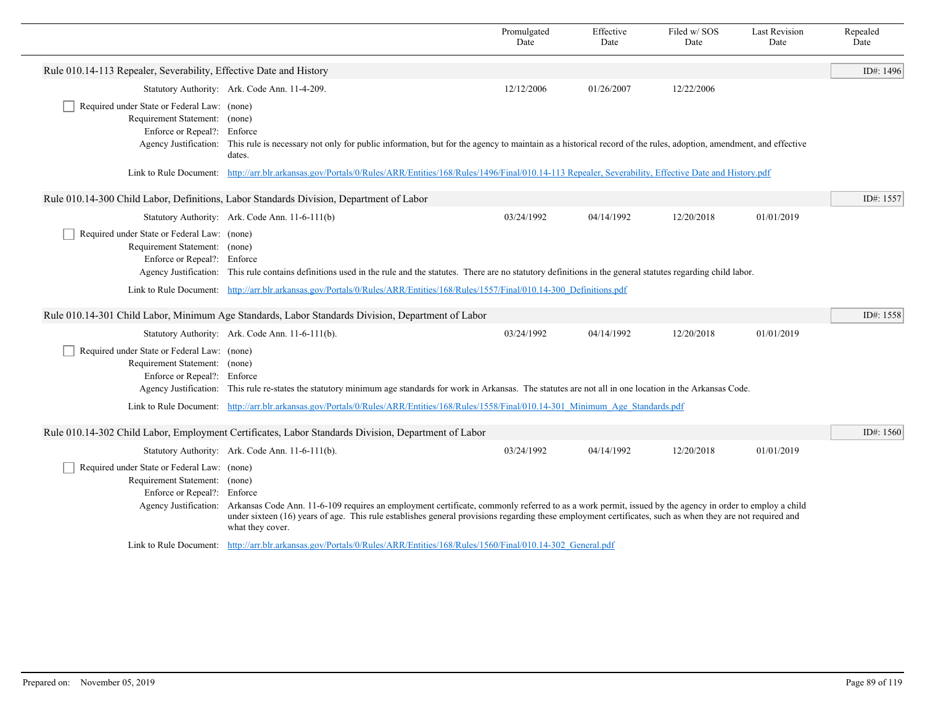|                                                                                                             |                                                                                                                                                                                                                                                                                                                                                               | Promulgated<br>Date | Effective<br>Date | Filed w/SOS<br>Date | <b>Last Revision</b><br>Date | Repealed<br>Date |
|-------------------------------------------------------------------------------------------------------------|---------------------------------------------------------------------------------------------------------------------------------------------------------------------------------------------------------------------------------------------------------------------------------------------------------------------------------------------------------------|---------------------|-------------------|---------------------|------------------------------|------------------|
| Rule 010.14-113 Repealer, Severability, Effective Date and History                                          |                                                                                                                                                                                                                                                                                                                                                               |                     |                   |                     |                              | ID#: 1496        |
|                                                                                                             | Statutory Authority: Ark. Code Ann. 11-4-209.                                                                                                                                                                                                                                                                                                                 | 12/12/2006          | 01/26/2007        | 12/22/2006          |                              |                  |
| Required under State or Federal Law: (none)<br>Requirement Statement: (none)<br>Enforce or Repeal?: Enforce | Agency Justification: This rule is necessary not only for public information, but for the agency to maintain as a historical record of the rules, adoption, amendment, and effective<br>dates.                                                                                                                                                                |                     |                   |                     |                              |                  |
|                                                                                                             | Link to Rule Document: http://arr.blr.arkansas.gov/Portals/0/Rules/ARR/Entities/168/Rules/1496/Final/010.14-113 Repealer, Severability, Effective Date and History.pdf                                                                                                                                                                                        |                     |                   |                     |                              |                  |
|                                                                                                             | Rule 010.14-300 Child Labor, Definitions, Labor Standards Division, Department of Labor                                                                                                                                                                                                                                                                       |                     |                   |                     |                              | ID#: 1557        |
|                                                                                                             | Statutory Authority: Ark. Code Ann. 11-6-111(b)                                                                                                                                                                                                                                                                                                               | 03/24/1992          | 04/14/1992        | 12/20/2018          | 01/01/2019                   |                  |
| Required under State or Federal Law: (none)<br>Requirement Statement: (none)<br>Enforce or Repeal?: Enforce | Agency Justification: This rule contains definitions used in the rule and the statutes. There are no statutory definitions in the general statutes regarding child labor.                                                                                                                                                                                     |                     |                   |                     |                              |                  |
|                                                                                                             | Link to Rule Document: http://arr.blr.arkansas.gov/Portals/0/Rules/ARR/Entities/168/Rules/1557/Final/010.14-300 Definitions.pdf                                                                                                                                                                                                                               |                     |                   |                     |                              |                  |
|                                                                                                             | Rule 010.14-301 Child Labor, Minimum Age Standards, Labor Standards Division, Department of Labor                                                                                                                                                                                                                                                             |                     |                   |                     |                              | ID#: 1558        |
|                                                                                                             | Statutory Authority: Ark. Code Ann. 11-6-111(b).                                                                                                                                                                                                                                                                                                              | 03/24/1992          | 04/14/1992        | 12/20/2018          | 01/01/2019                   |                  |
| Required under State or Federal Law: (none)<br>Requirement Statement: (none)<br>Enforce or Repeal?: Enforce | Agency Justification: This rule re-states the statutory minimum age standards for work in Arkansas. The statutes are not all in one location in the Arkansas Code.                                                                                                                                                                                            |                     |                   |                     |                              |                  |
|                                                                                                             | Link to Rule Document: http://arr.blr.arkansas.gov/Portals/0/Rules/ARR/Entities/168/Rules/1558/Final/010.14-301 Minimum Age Standards.pdf                                                                                                                                                                                                                     |                     |                   |                     |                              |                  |
|                                                                                                             | Rule 010.14-302 Child Labor, Employment Certificates, Labor Standards Division, Department of Labor                                                                                                                                                                                                                                                           |                     |                   |                     |                              | ID#: 1560        |
|                                                                                                             | Statutory Authority: Ark. Code Ann. 11-6-111(b).                                                                                                                                                                                                                                                                                                              | 03/24/1992          | 04/14/1992        | 12/20/2018          | 01/01/2019                   |                  |
| Required under State or Federal Law: (none)<br>Requirement Statement: (none)<br>Enforce or Repeal?: Enforce | Agency Justification: Arkansas Code Ann. 11-6-109 requires an employment certificate, commonly referred to as a work permit, issued by the agency in order to employ a child<br>under sixteen (16) years of age. This rule establishes general provisions regarding these employment certificates, such as when they are not required and<br>what they cover. |                     |                   |                     |                              |                  |
|                                                                                                             | Link to Rule Document: http://arr.blr.arkansas.gov/Portals/0/Rules/ARR/Entities/168/Rules/1560/Final/010.14-302 General.pdf                                                                                                                                                                                                                                   |                     |                   |                     |                              |                  |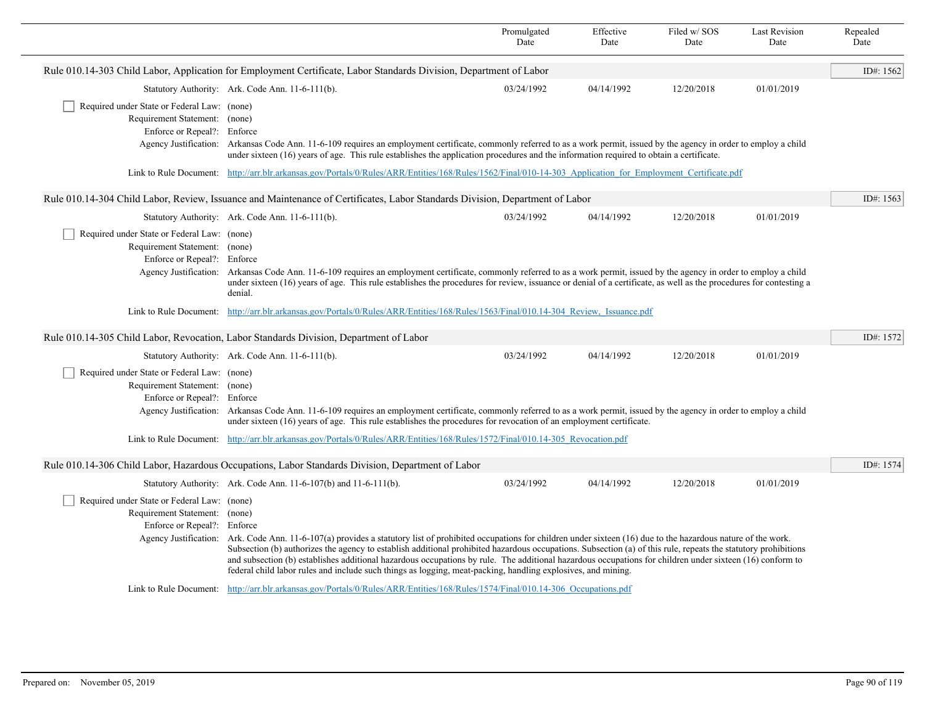|                                                                                                                                                            |                                                                                                                                                                                                                                                                                                                            | Promulgated<br>Date | Effective<br>Date | Filed w/SOS<br>Date | Last Revision<br>Date | Repealed<br>Date |
|------------------------------------------------------------------------------------------------------------------------------------------------------------|----------------------------------------------------------------------------------------------------------------------------------------------------------------------------------------------------------------------------------------------------------------------------------------------------------------------------|---------------------|-------------------|---------------------|-----------------------|------------------|
|                                                                                                                                                            | Rule 010.14-303 Child Labor, Application for Employment Certificate, Labor Standards Division, Department of Labor                                                                                                                                                                                                         |                     |                   |                     |                       | ID#: 1562        |
|                                                                                                                                                            | Statutory Authority: Ark. Code Ann. 11-6-111(b).                                                                                                                                                                                                                                                                           | 03/24/1992          | 04/14/1992        | 12/20/2018          | 01/01/2019            |                  |
| Required under State or Federal Law: (none)                                                                                                                |                                                                                                                                                                                                                                                                                                                            |                     |                   |                     |                       |                  |
| Requirement Statement: (none)                                                                                                                              |                                                                                                                                                                                                                                                                                                                            |                     |                   |                     |                       |                  |
| Enforce or Repeal?: Enforce                                                                                                                                | Agency Justification: Arkansas Code Ann. 11-6-109 requires an employment certificate, commonly referred to as a work permit, issued by the agency in order to employ a child                                                                                                                                               |                     |                   |                     |                       |                  |
|                                                                                                                                                            | under sixteen (16) years of age. This rule establishes the application procedures and the information required to obtain a certificate.                                                                                                                                                                                    |                     |                   |                     |                       |                  |
| Link to Rule Document: http://arr.blr.arkansas.gov/Portals/0/Rules/ARR/Entities/168/Rules/1562/Final/010-14-303 Application for Employment Certificate.pdf |                                                                                                                                                                                                                                                                                                                            |                     |                   |                     |                       |                  |
|                                                                                                                                                            | Rule 010.14-304 Child Labor, Review, Issuance and Maintenance of Certificates, Labor Standards Division, Department of Labor                                                                                                                                                                                               |                     |                   |                     |                       | ID#: 1563        |
|                                                                                                                                                            | Statutory Authority: Ark. Code Ann. 11-6-111(b).                                                                                                                                                                                                                                                                           | 03/24/1992          | 04/14/1992        | 12/20/2018          | 01/01/2019            |                  |
| Required under State or Federal Law: (none)                                                                                                                |                                                                                                                                                                                                                                                                                                                            |                     |                   |                     |                       |                  |
| Requirement Statement: (none)                                                                                                                              |                                                                                                                                                                                                                                                                                                                            |                     |                   |                     |                       |                  |
| Enforce or Repeal?: Enforce                                                                                                                                | Agency Justification: Arkansas Code Ann. 11-6-109 requires an employment certificate, commonly referred to as a work permit, issued by the agency in order to employ a child                                                                                                                                               |                     |                   |                     |                       |                  |
|                                                                                                                                                            | under sixteen (16) years of age. This rule establishes the procedures for review, issuance or denial of a certificate, as well as the procedures for contesting a<br>denial.                                                                                                                                               |                     |                   |                     |                       |                  |
|                                                                                                                                                            | Link to Rule Document: http://arr.blr.arkansas.gov/Portals/0/Rules/ARR/Entities/168/Rules/1563/Final/010.14-304 Review, Issuance.pdf                                                                                                                                                                                       |                     |                   |                     |                       |                  |
|                                                                                                                                                            | Rule 010.14-305 Child Labor, Revocation, Labor Standards Division, Department of Labor                                                                                                                                                                                                                                     |                     |                   |                     |                       | ID#: 1572        |
|                                                                                                                                                            | Statutory Authority: Ark. Code Ann. 11-6-111(b).                                                                                                                                                                                                                                                                           | 03/24/1992          | 04/14/1992        | 12/20/2018          | 01/01/2019            |                  |
| Required under State or Federal Law: (none)                                                                                                                |                                                                                                                                                                                                                                                                                                                            |                     |                   |                     |                       |                  |
| Requirement Statement: (none)                                                                                                                              |                                                                                                                                                                                                                                                                                                                            |                     |                   |                     |                       |                  |
| Enforce or Repeal?: Enforce<br>Agency Justification:                                                                                                       | Arkansas Code Ann. 11-6-109 requires an employment certificate, commonly referred to as a work permit, issued by the agency in order to employ a child<br>under sixteen (16) years of age. This rule establishes the procedures for revocation of an employment certificate.                                               |                     |                   |                     |                       |                  |
|                                                                                                                                                            | Link to Rule Document: http://arr.blr.arkansas.gov/Portals/0/Rules/ARR/Entities/168/Rules/1572/Final/010.14-305 Revocation.pdf                                                                                                                                                                                             |                     |                   |                     |                       |                  |
|                                                                                                                                                            |                                                                                                                                                                                                                                                                                                                            |                     |                   |                     |                       |                  |
|                                                                                                                                                            | Rule 010.14-306 Child Labor, Hazardous Occupations, Labor Standards Division, Department of Labor                                                                                                                                                                                                                          |                     |                   |                     |                       | ID#: 1574        |
|                                                                                                                                                            | Statutory Authority: Ark. Code Ann. 11-6-107(b) and 11-6-111(b).                                                                                                                                                                                                                                                           | 03/24/1992          | 04/14/1992        | 12/20/2018          | 01/01/2019            |                  |
| Required under State or Federal Law: (none)                                                                                                                |                                                                                                                                                                                                                                                                                                                            |                     |                   |                     |                       |                  |
| Requirement Statement: (none)<br>Enforce or Repeal?: Enforce                                                                                               |                                                                                                                                                                                                                                                                                                                            |                     |                   |                     |                       |                  |
|                                                                                                                                                            | Agency Justification: Ark. Code Ann. 11-6-107(a) provides a statutory list of prohibited occupations for children under sixteen (16) due to the hazardous nature of the work.                                                                                                                                              |                     |                   |                     |                       |                  |
|                                                                                                                                                            | Subsection (b) authorizes the agency to establish additional prohibited hazardous occupations. Subsection (a) of this rule, repeats the statutory prohibitions<br>and subsection (b) establishes additional hazardous occupations by rule. The additional hazardous occupations for children under sixteen (16) conform to |                     |                   |                     |                       |                  |
|                                                                                                                                                            | federal child labor rules and include such things as logging, meat-packing, handling explosives, and mining.                                                                                                                                                                                                               |                     |                   |                     |                       |                  |
|                                                                                                                                                            | Link to Rule Document: http://arr.blr.arkansas.gov/Portals/0/Rules/ARR/Entities/168/Rules/1574/Final/010.14-306 Occupations.pdf                                                                                                                                                                                            |                     |                   |                     |                       |                  |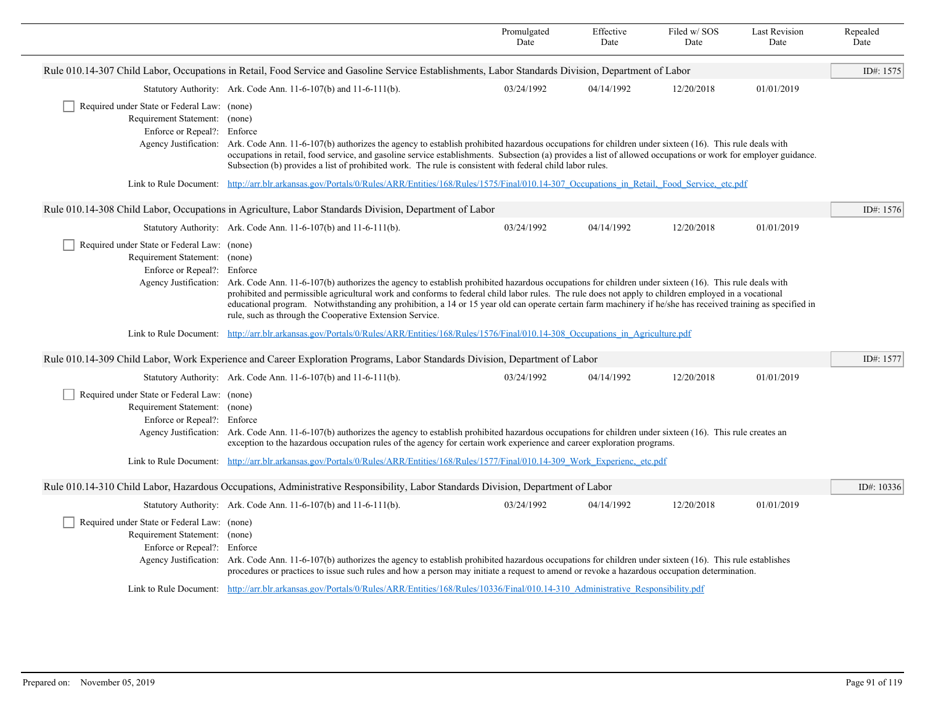|                                                                                                             |                                                                                                                                                                                                                                                                                                                                                                                                                                                                                                                                                                | Promulgated<br>Date | Effective<br>Date | Filed w/SOS<br>Date | <b>Last Revision</b><br>Date | Repealed<br>Date |
|-------------------------------------------------------------------------------------------------------------|----------------------------------------------------------------------------------------------------------------------------------------------------------------------------------------------------------------------------------------------------------------------------------------------------------------------------------------------------------------------------------------------------------------------------------------------------------------------------------------------------------------------------------------------------------------|---------------------|-------------------|---------------------|------------------------------|------------------|
|                                                                                                             | Rule 010.14-307 Child Labor, Occupations in Retail, Food Service and Gasoline Service Establishments, Labor Standards Division, Department of Labor                                                                                                                                                                                                                                                                                                                                                                                                            |                     |                   |                     |                              | ID#: 1575        |
|                                                                                                             | Statutory Authority: Ark. Code Ann. 11-6-107(b) and 11-6-111(b).                                                                                                                                                                                                                                                                                                                                                                                                                                                                                               | 03/24/1992          | 04/14/1992        | 12/20/2018          | 01/01/2019                   |                  |
| Required under State or Federal Law: (none)<br>Requirement Statement: (none)<br>Enforce or Repeal?: Enforce | Agency Justification: Ark. Code Ann. 11-6-107(b) authorizes the agency to establish prohibited hazardous occupations for children under sixteen (16). This rule deals with<br>occupations in retail, food service, and gasoline service establishments. Subsection (a) provides a list of allowed occupations or work for employer guidance.<br>Subsection (b) provides a list of prohibited work. The rule is consistent with federal child labor rules.                                                                                                      |                     |                   |                     |                              |                  |
|                                                                                                             | Link to Rule Document: http://arr.blr.arkansas.gov/Portals/0/Rules/ARR/Entities/168/Rules/1575/Final/010.14-307 Occupations in Retail, Food Service, etc.pdf                                                                                                                                                                                                                                                                                                                                                                                                   |                     |                   |                     |                              |                  |
|                                                                                                             | Rule 010.14-308 Child Labor, Occupations in Agriculture, Labor Standards Division, Department of Labor                                                                                                                                                                                                                                                                                                                                                                                                                                                         |                     |                   |                     |                              | ID#: 1576        |
|                                                                                                             | Statutory Authority: Ark. Code Ann. 11-6-107(b) and 11-6-111(b).                                                                                                                                                                                                                                                                                                                                                                                                                                                                                               | 03/24/1992          | 04/14/1992        | 12/20/2018          | 01/01/2019                   |                  |
| Required under State or Federal Law: (none)<br>Requirement Statement: (none)<br>Enforce or Repeal?: Enforce | Agency Justification: Ark. Code Ann. 11-6-107(b) authorizes the agency to establish prohibited hazardous occupations for children under sixteen (16). This rule deals with<br>prohibited and permissible agricultural work and conforms to federal child labor rules. The rule does not apply to children employed in a vocational<br>educational program. Notwithstanding any prohibition, a 14 or 15 year old can operate certain farm machinery if he/she has received training as specified in<br>rule, such as through the Cooperative Extension Service. |                     |                   |                     |                              |                  |
|                                                                                                             | Link to Rule Document: http://arr.blr.arkansas.gov/Portals/0/Rules/ARR/Entities/168/Rules/1576/Final/010.14-308 Occupations in Agriculture.pdf                                                                                                                                                                                                                                                                                                                                                                                                                 |                     |                   |                     |                              |                  |
|                                                                                                             | Rule 010.14-309 Child Labor, Work Experience and Career Exploration Programs, Labor Standards Division, Department of Labor                                                                                                                                                                                                                                                                                                                                                                                                                                    |                     |                   |                     |                              | ID#: 1577        |
|                                                                                                             | Statutory Authority: Ark. Code Ann. 11-6-107(b) and 11-6-111(b).                                                                                                                                                                                                                                                                                                                                                                                                                                                                                               | 03/24/1992          | 04/14/1992        | 12/20/2018          | 01/01/2019                   |                  |
| Required under State or Federal Law: (none)<br>Requirement Statement: (none)<br>Enforce or Repeal?: Enforce | Agency Justification: Ark. Code Ann. 11-6-107(b) authorizes the agency to establish prohibited hazardous occupations for children under sixteen (16). This rule creates an<br>exception to the hazardous occupation rules of the agency for certain work experience and career exploration programs.<br>Link to Rule Document: http://arr.blr.arkansas.gov/Portals/0/Rules/ARR/Entities/168/Rules/1577/Final/010.14-309 Work Experienc. etc.pdf                                                                                                                |                     |                   |                     |                              |                  |
|                                                                                                             | Rule 010.14-310 Child Labor, Hazardous Occupations, Administrative Responsibility, Labor Standards Division, Department of Labor                                                                                                                                                                                                                                                                                                                                                                                                                               |                     |                   |                     |                              | ID#: 10336       |
|                                                                                                             | Statutory Authority: Ark. Code Ann. 11-6-107(b) and 11-6-111(b).                                                                                                                                                                                                                                                                                                                                                                                                                                                                                               | 03/24/1992          | 04/14/1992        | 12/20/2018          | 01/01/2019                   |                  |
| Required under State or Federal Law: (none)<br>Requirement Statement: (none)<br>Enforce or Repeal?: Enforce | Agency Justification: Ark. Code Ann. 11-6-107(b) authorizes the agency to establish prohibited hazardous occupations for children under sixteen (16). This rule establishes<br>procedures or practices to issue such rules and how a person may initiate a request to amend or revoke a hazardous occupation determination.                                                                                                                                                                                                                                    |                     |                   |                     |                              |                  |
|                                                                                                             | Link to Rule Document: http://arr.blr.arkansas.gov/Portals/0/Rules/ARR/Entities/168/Rules/10336/Final/010.14-310 Administrative Responsibility.pdf                                                                                                                                                                                                                                                                                                                                                                                                             |                     |                   |                     |                              |                  |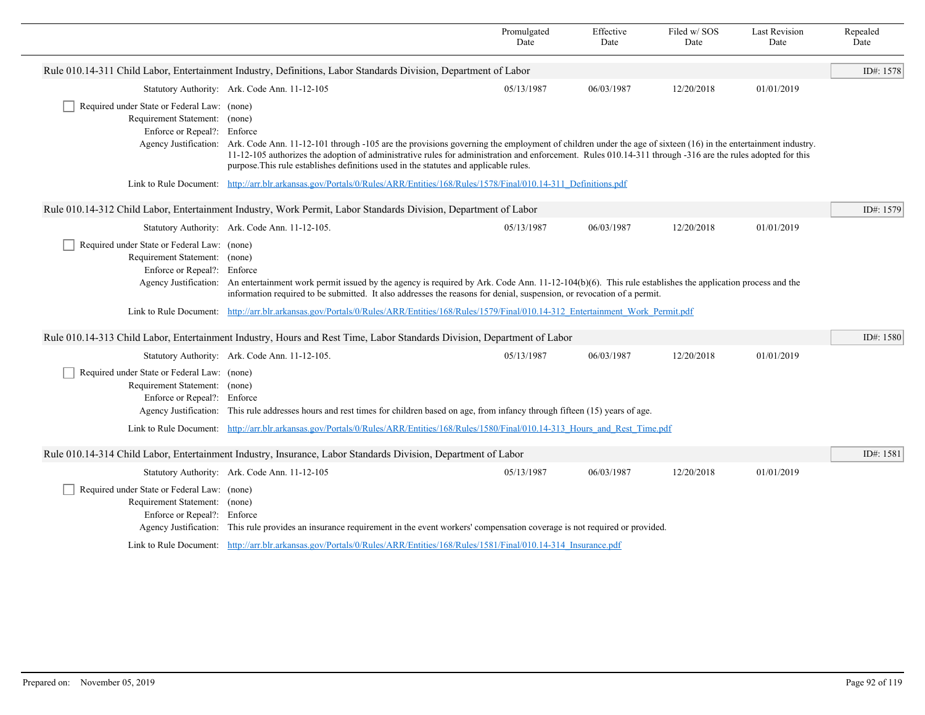|                                                                                                             |                                                                                                                                                                                                                                                                                                                                                                                                                                                         | Promulgated<br>Date | Effective<br>Date | Filed w/ SOS<br>Date | <b>Last Revision</b><br>Date | Repealed<br>Date |
|-------------------------------------------------------------------------------------------------------------|---------------------------------------------------------------------------------------------------------------------------------------------------------------------------------------------------------------------------------------------------------------------------------------------------------------------------------------------------------------------------------------------------------------------------------------------------------|---------------------|-------------------|----------------------|------------------------------|------------------|
|                                                                                                             | Rule 010.14-311 Child Labor, Entertainment Industry, Definitions, Labor Standards Division, Department of Labor                                                                                                                                                                                                                                                                                                                                         |                     |                   |                      |                              | ID#: 1578        |
|                                                                                                             | Statutory Authority: Ark. Code Ann. 11-12-105                                                                                                                                                                                                                                                                                                                                                                                                           | 05/13/1987          | 06/03/1987        | 12/20/2018           | 01/01/2019                   |                  |
| Required under State or Federal Law: (none)<br>Requirement Statement: (none)<br>Enforce or Repeal?: Enforce | Agency Justification: Ark. Code Ann. 11-12-101 through -105 are the provisions governing the employment of children under the age of sixteen (16) in the entertainment industry.<br>11-12-105 authorizes the adoption of administrative rules for administration and enforcement. Rules 010.14-311 through -316 are the rules adopted for this<br>purpose. This rule establishes definitions used in the statutes and applicable rules.                 |                     |                   |                      |                              |                  |
|                                                                                                             | Link to Rule Document: http://arr.blr.arkansas.gov/Portals/0/Rules/ARR/Entities/168/Rules/1578/Final/010.14-311 Definitions.pdf                                                                                                                                                                                                                                                                                                                         |                     |                   |                      |                              |                  |
|                                                                                                             | Rule 010.14-312 Child Labor, Entertainment Industry, Work Permit, Labor Standards Division, Department of Labor                                                                                                                                                                                                                                                                                                                                         |                     |                   |                      |                              | ID#: 1579        |
|                                                                                                             | Statutory Authority: Ark. Code Ann. 11-12-105.                                                                                                                                                                                                                                                                                                                                                                                                          | 05/13/1987          | 06/03/1987        | 12/20/2018           | 01/01/2019                   |                  |
| Required under State or Federal Law: (none)<br>Requirement Statement: (none)<br>Enforce or Repeal?: Enforce | Agency Justification: An entertainment work permit issued by the agency is required by Ark. Code Ann. 11-12-104(b)(6). This rule establishes the application process and the<br>information required to be submitted. It also addresses the reasons for denial, suspension, or revocation of a permit.<br>Link to Rule Document: http://arr.blr.arkansas.gov/Portals/0/Rules/ARR/Entities/168/Rules/1579/Final/010.14-312 Entertainment Work Permit.pdf |                     |                   |                      |                              |                  |
|                                                                                                             |                                                                                                                                                                                                                                                                                                                                                                                                                                                         |                     |                   |                      |                              |                  |
|                                                                                                             | Rule 010.14-313 Child Labor, Entertainment Industry, Hours and Rest Time, Labor Standards Division, Department of Labor                                                                                                                                                                                                                                                                                                                                 |                     |                   |                      |                              | ID#: 1580        |
|                                                                                                             | Statutory Authority: Ark. Code Ann. 11-12-105.                                                                                                                                                                                                                                                                                                                                                                                                          | 05/13/1987          | 06/03/1987        | 12/20/2018           | 01/01/2019                   |                  |
| Required under State or Federal Law: (none)<br>Requirement Statement: (none)<br>Enforce or Repeal?: Enforce | Agency Justification: This rule addresses hours and rest times for children based on age, from infancy through fifteen (15) years of age.<br>Link to Rule Document: http://arr.blr.arkansas.gov/Portals/0/Rules/ARR/Entities/168/Rules/1580/Final/010.14-313 Hours and Rest Time.pdf                                                                                                                                                                    |                     |                   |                      |                              |                  |
|                                                                                                             | Rule 010.14-314 Child Labor, Entertainment Industry, Insurance, Labor Standards Division, Department of Labor                                                                                                                                                                                                                                                                                                                                           |                     |                   |                      |                              | ID#: 1581        |
| Required under State or Federal Law: (none)<br>Requirement Statement: (none)<br>Enforce or Repeal?: Enforce | Statutory Authority: Ark. Code Ann. 11-12-105<br>Agency Justification: This rule provides an insurance requirement in the event workers' compensation coverage is not required or provided.                                                                                                                                                                                                                                                             | 05/13/1987          | 06/03/1987        | 12/20/2018           | 01/01/2019                   |                  |
|                                                                                                             | Link to Rule Document: http://arr.blr.arkansas.gov/Portals/0/Rules/ARR/Entities/168/Rules/1581/Final/010.14-314 Insurance.pdf                                                                                                                                                                                                                                                                                                                           |                     |                   |                      |                              |                  |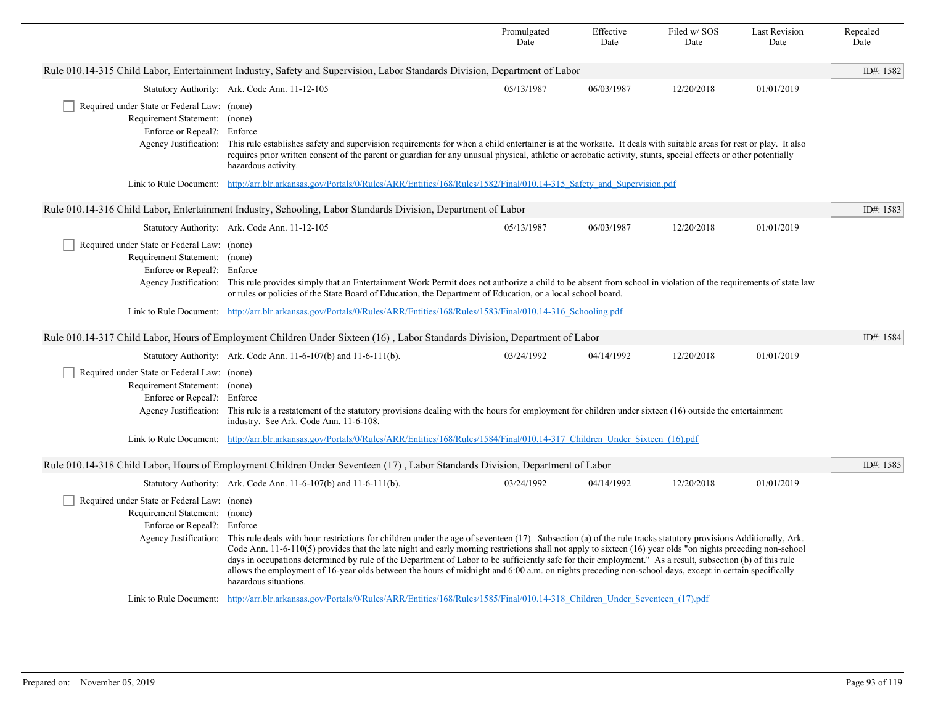|                                                                                                                                      |                                                                                                                                                                                                                                                                                                                                                                                                                                                                                                                                                                                                                                                                                   | Promulgated<br>Date | Effective<br>Date | Filed w/SOS<br>Date | <b>Last Revision</b><br>Date | Repealed<br>Date |  |  |
|--------------------------------------------------------------------------------------------------------------------------------------|-----------------------------------------------------------------------------------------------------------------------------------------------------------------------------------------------------------------------------------------------------------------------------------------------------------------------------------------------------------------------------------------------------------------------------------------------------------------------------------------------------------------------------------------------------------------------------------------------------------------------------------------------------------------------------------|---------------------|-------------------|---------------------|------------------------------|------------------|--|--|
| Rule 010.14-315 Child Labor, Entertainment Industry, Safety and Supervision, Labor Standards Division, Department of Labor           |                                                                                                                                                                                                                                                                                                                                                                                                                                                                                                                                                                                                                                                                                   |                     |                   |                     |                              |                  |  |  |
|                                                                                                                                      | Statutory Authority: Ark. Code Ann. 11-12-105                                                                                                                                                                                                                                                                                                                                                                                                                                                                                                                                                                                                                                     | 05/13/1987          | 06/03/1987        | 12/20/2018          | 01/01/2019                   |                  |  |  |
| Required under State or Federal Law: (none)<br>Requirement Statement: (none)<br>Enforce or Repeal?: Enforce                          | Agency Justification: This rule establishes safety and supervision requirements for when a child entertainer is at the worksite. It deals with suitable areas for rest or play. It also<br>requires prior written consent of the parent or guardian for any unusual physical, athletic or acrobatic activity, stunts, special effects or other potentially<br>hazardous activity.                                                                                                                                                                                                                                                                                                 |                     |                   |                     |                              |                  |  |  |
|                                                                                                                                      | Link to Rule Document: http://arr.blr.arkansas.gov/Portals/0/Rules/ARR/Entities/168/Rules/1582/Final/010.14-315 Safety and Supervision.pdf                                                                                                                                                                                                                                                                                                                                                                                                                                                                                                                                        |                     |                   |                     |                              |                  |  |  |
|                                                                                                                                      | Rule 010.14-316 Child Labor, Entertainment Industry, Schooling, Labor Standards Division, Department of Labor                                                                                                                                                                                                                                                                                                                                                                                                                                                                                                                                                                     |                     |                   |                     |                              | ID#: 1583        |  |  |
|                                                                                                                                      | Statutory Authority: Ark. Code Ann. 11-12-105                                                                                                                                                                                                                                                                                                                                                                                                                                                                                                                                                                                                                                     | 05/13/1987          | 06/03/1987        | 12/20/2018          | 01/01/2019                   |                  |  |  |
| Required under State or Federal Law: (none)<br>Requirement Statement: (none)<br>Enforce or Repeal?: Enforce                          | Agency Justification: This rule provides simply that an Entertainment Work Permit does not authorize a child to be absent from school in violation of the requirements of state law<br>or rules or policies of the State Board of Education, the Department of Education, or a local school board.                                                                                                                                                                                                                                                                                                                                                                                |                     |                   |                     |                              |                  |  |  |
|                                                                                                                                      | Link to Rule Document: http://arr.blr.arkansas.gov/Portals/0/Rules/ARR/Entities/168/Rules/1583/Final/010.14-316 Schooling.pdf                                                                                                                                                                                                                                                                                                                                                                                                                                                                                                                                                     |                     |                   |                     |                              |                  |  |  |
|                                                                                                                                      | Rule 010.14-317 Child Labor, Hours of Employment Children Under Sixteen (16), Labor Standards Division, Department of Labor                                                                                                                                                                                                                                                                                                                                                                                                                                                                                                                                                       |                     |                   |                     |                              | ID#: 1584        |  |  |
|                                                                                                                                      | Statutory Authority: Ark. Code Ann. 11-6-107(b) and 11-6-111(b).                                                                                                                                                                                                                                                                                                                                                                                                                                                                                                                                                                                                                  | 03/24/1992          | 04/14/1992        | 12/20/2018          | 01/01/2019                   |                  |  |  |
| Required under State or Federal Law: (none)<br>Requirement Statement: (none)<br>Enforce or Repeal?: Enforce                          | Agency Justification: This rule is a restatement of the statutory provisions dealing with the hours for employment for children under sixteen (16) outside the entertainment<br>industry. See Ark. Code Ann. 11-6-108.                                                                                                                                                                                                                                                                                                                                                                                                                                                            |                     |                   |                     |                              |                  |  |  |
|                                                                                                                                      | Link to Rule Document: http://arr.blr.arkansas.gov/Portals/0/Rules/ARR/Entities/168/Rules/1584/Final/010.14-317 Children Under Sixteen (16).pdf                                                                                                                                                                                                                                                                                                                                                                                                                                                                                                                                   |                     |                   |                     |                              |                  |  |  |
|                                                                                                                                      | Rule 010.14-318 Child Labor, Hours of Employment Children Under Seventeen (17), Labor Standards Division, Department of Labor                                                                                                                                                                                                                                                                                                                                                                                                                                                                                                                                                     |                     |                   |                     |                              | ID#: 1585        |  |  |
|                                                                                                                                      | Statutory Authority: Ark. Code Ann. 11-6-107(b) and 11-6-111(b).                                                                                                                                                                                                                                                                                                                                                                                                                                                                                                                                                                                                                  | 03/24/1992          | 04/14/1992        | 12/20/2018          | 01/01/2019                   |                  |  |  |
| Required under State or Federal Law: (none)<br>Requirement Statement: (none)<br>Enforce or Repeal?: Enforce<br>Agency Justification: | This rule deals with hour restrictions for children under the age of seventeen (17). Subsection (a) of the rule tracks statutory provisions. Additionally, Ark.<br>Code Ann. $11-6-110(5)$ provides that the late night and early morning restrictions shall not apply to sixteen $(16)$ year olds "on nights preceding non-school<br>days in occupations determined by rule of the Department of Labor to be sufficiently safe for their employment." As a result, subsection (b) of this rule<br>allows the employment of 16-year olds between the hours of midnight and 6:00 a.m. on nights preceding non-school days, except in certain specifically<br>hazardous situations. |                     |                   |                     |                              |                  |  |  |
|                                                                                                                                      | Link to Rule Document: http://arr.blr.arkansas.gov/Portals/0/Rules/ARR/Entities/168/Rules/1585/Final/010.14-318 Children Under Seventeen (17).pdf                                                                                                                                                                                                                                                                                                                                                                                                                                                                                                                                 |                     |                   |                     |                              |                  |  |  |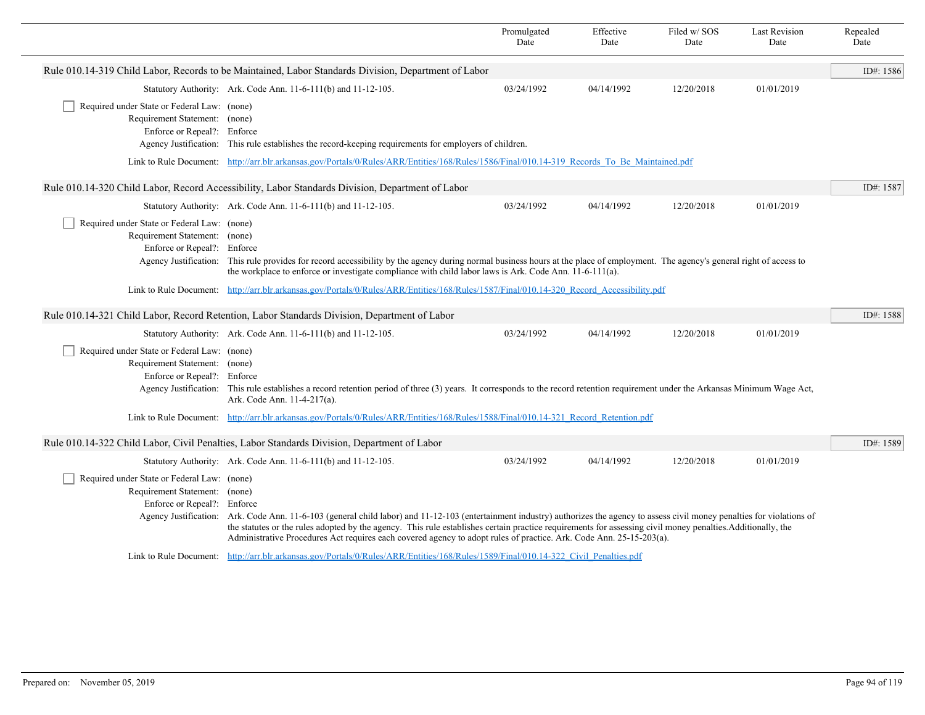|                                                                                                                                              |                                                                                                                                                                                                                                                                                                                                                                                                                                                                          | Promulgated<br>Date | Effective<br>Date | Filed w/SOS<br>Date | <b>Last Revision</b><br>Date | Repealed<br>Date |
|----------------------------------------------------------------------------------------------------------------------------------------------|--------------------------------------------------------------------------------------------------------------------------------------------------------------------------------------------------------------------------------------------------------------------------------------------------------------------------------------------------------------------------------------------------------------------------------------------------------------------------|---------------------|-------------------|---------------------|------------------------------|------------------|
|                                                                                                                                              | Rule 010.14-319 Child Labor, Records to be Maintained, Labor Standards Division, Department of Labor                                                                                                                                                                                                                                                                                                                                                                     |                     |                   |                     |                              | ID#: 1586        |
|                                                                                                                                              | Statutory Authority: Ark. Code Ann. 11-6-111(b) and 11-12-105.                                                                                                                                                                                                                                                                                                                                                                                                           | 03/24/1992          | 04/14/1992        | 12/20/2018          | 01/01/2019                   |                  |
| Required under State or Federal Law: (none)<br>Requirement Statement: (none)<br>Enforce or Repeal?: Enforce                                  | Agency Justification: This rule establishes the record-keeping requirements for employers of children.                                                                                                                                                                                                                                                                                                                                                                   |                     |                   |                     |                              |                  |
| Link to Rule Document: http://arr.blr.arkansas.gov/Portals/0/Rules/ARR/Entities/168/Rules/1586/Final/010.14-319 Records To Be Maintained.pdf |                                                                                                                                                                                                                                                                                                                                                                                                                                                                          |                     |                   |                     |                              |                  |
|                                                                                                                                              | Rule 010.14-320 Child Labor, Record Accessibility, Labor Standards Division, Department of Labor                                                                                                                                                                                                                                                                                                                                                                         |                     |                   |                     |                              | ID#: 1587        |
|                                                                                                                                              | Statutory Authority: Ark. Code Ann. 11-6-111(b) and 11-12-105.                                                                                                                                                                                                                                                                                                                                                                                                           | 03/24/1992          | 04/14/1992        | 12/20/2018          | 01/01/2019                   |                  |
| Required under State or Federal Law: (none)<br>Requirement Statement: (none)<br>Enforce or Repeal?: Enforce                                  | Agency Justification: This rule provides for record accessibility by the agency during normal business hours at the place of employment. The agency's general right of access to<br>the workplace to enforce or investigate compliance with child labor laws is Ark. Code Ann. 11-6-111(a).                                                                                                                                                                              |                     |                   |                     |                              |                  |
| Link to Rule Document: http://arr.blr.arkansas.gov/Portals/0/Rules/ARR/Entities/168/Rules/1587/Final/010.14-320 Record Accessibility.pdf     |                                                                                                                                                                                                                                                                                                                                                                                                                                                                          |                     |                   |                     |                              |                  |
|                                                                                                                                              | Rule 010.14-321 Child Labor, Record Retention, Labor Standards Division, Department of Labor                                                                                                                                                                                                                                                                                                                                                                             |                     |                   |                     |                              | ID#: 1588        |
|                                                                                                                                              | Statutory Authority: Ark. Code Ann. 11-6-111(b) and 11-12-105.                                                                                                                                                                                                                                                                                                                                                                                                           | 03/24/1992          | 04/14/1992        | 12/20/2018          | 01/01/2019                   |                  |
| Required under State or Federal Law: (none)<br>Requirement Statement: (none)<br>Enforce or Repeal?: Enforce                                  | Agency Justification: This rule establishes a record retention period of three (3) years. It corresponds to the record retention requirement under the Arkansas Minimum Wage Act,<br>Ark. Code Ann. 11-4-217(a).<br>Link to Rule Document: http://arr.blr.arkansas.gov/Portals/0/Rules/ARR/Entities/168/Rules/1588/Final/010.14-321 Record Retention.pdf                                                                                                                 |                     |                   |                     |                              |                  |
|                                                                                                                                              |                                                                                                                                                                                                                                                                                                                                                                                                                                                                          |                     |                   |                     |                              |                  |
|                                                                                                                                              | Rule 010.14-322 Child Labor, Civil Penalties, Labor Standards Division, Department of Labor                                                                                                                                                                                                                                                                                                                                                                              |                     |                   |                     |                              | ID#: 1589        |
|                                                                                                                                              | Statutory Authority: Ark. Code Ann. 11-6-111(b) and 11-12-105.                                                                                                                                                                                                                                                                                                                                                                                                           | 03/24/1992          | 04/14/1992        | 12/20/2018          | 01/01/2019                   |                  |
| Required under State or Federal Law: (none)<br>Requirement Statement: (none)<br>Enforce or Repeal?: Enforce                                  | Agency Justification: Ark. Code Ann. 11-6-103 (general child labor) and 11-12-103 (entertainment industry) authorizes the agency to assess civil money penalties for violations of<br>the statutes or the rules adopted by the agency. This rule establishes certain practice requirements for assessing civil money penalties. Additionally, the<br>Administrative Procedures Act requires each covered agency to adopt rules of practice. Ark. Code Ann. 25-15-203(a). |                     |                   |                     |                              |                  |
|                                                                                                                                              | Link to Rule Document: http://arr.blr.arkansas.gov/Portals/0/Rules/ARR/Entities/168/Rules/1589/Final/010.14-322 Civil Penalties.pdf                                                                                                                                                                                                                                                                                                                                      |                     |                   |                     |                              |                  |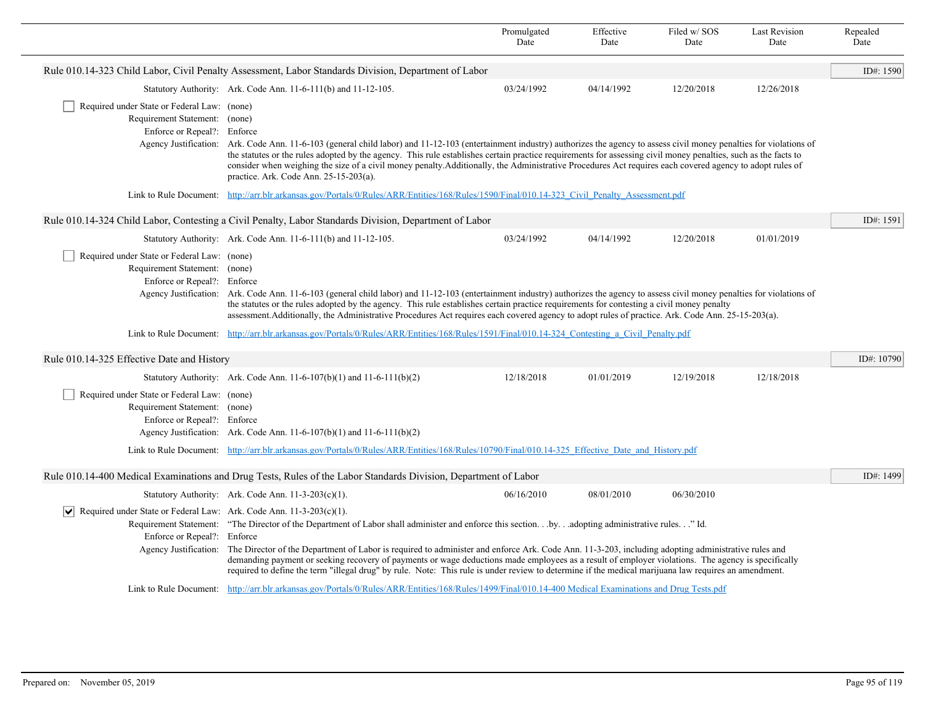|                                                                                                                   |                                                                                                                                                                                                                                                                                                                                                                                                                                                                                                                                                                                                                                            | Promulgated<br>Date | Effective<br>Date | Filed w/SOS<br>Date | <b>Last Revision</b><br>Date | Repealed<br>Date |
|-------------------------------------------------------------------------------------------------------------------|--------------------------------------------------------------------------------------------------------------------------------------------------------------------------------------------------------------------------------------------------------------------------------------------------------------------------------------------------------------------------------------------------------------------------------------------------------------------------------------------------------------------------------------------------------------------------------------------------------------------------------------------|---------------------|-------------------|---------------------|------------------------------|------------------|
|                                                                                                                   | Rule 010.14-323 Child Labor, Civil Penalty Assessment, Labor Standards Division, Department of Labor                                                                                                                                                                                                                                                                                                                                                                                                                                                                                                                                       |                     |                   |                     |                              | ID#: 1590        |
|                                                                                                                   | Statutory Authority: Ark. Code Ann. 11-6-111(b) and 11-12-105.                                                                                                                                                                                                                                                                                                                                                                                                                                                                                                                                                                             | 03/24/1992          | 04/14/1992        | 12/20/2018          | 12/26/2018                   |                  |
| Required under State or Federal Law: (none)<br>Requirement Statement: (none)<br>Enforce or Repeal?: Enforce       | Agency Justification: Ark. Code Ann. 11-6-103 (general child labor) and 11-12-103 (entertainment industry) authorizes the agency to assess civil money penalties for violations of<br>the statutes or the rules adopted by the agency. This rule establishes certain practice requirements for assessing civil money penalties, such as the facts to<br>consider when weighing the size of a civil money penalty. Additionally, the Administrative Procedures Act requires each covered agency to adopt rules of<br>practice. Ark. Code Ann. 25-15-203(a).                                                                                 |                     |                   |                     |                              |                  |
| Link to Rule Document:                                                                                            | http://arr.blr.arkansas.gov/Portals/0/Rules/ARR/Entities/168/Rules/1590/Final/010.14-323 Civil Penalty Assessment.pdf                                                                                                                                                                                                                                                                                                                                                                                                                                                                                                                      |                     |                   |                     |                              |                  |
|                                                                                                                   | Rule 010.14-324 Child Labor, Contesting a Civil Penalty, Labor Standards Division, Department of Labor                                                                                                                                                                                                                                                                                                                                                                                                                                                                                                                                     |                     |                   |                     |                              | ID#: 1591        |
|                                                                                                                   | Statutory Authority: Ark. Code Ann. 11-6-111(b) and 11-12-105.                                                                                                                                                                                                                                                                                                                                                                                                                                                                                                                                                                             | 03/24/1992          | 04/14/1992        | 12/20/2018          | 01/01/2019                   |                  |
| Required under State or Federal Law: (none)<br>Requirement Statement: (none)<br>Enforce or Repeal?: Enforce       | Agency Justification: Ark. Code Ann. 11-6-103 (general child labor) and 11-12-103 (entertainment industry) authorizes the agency to assess civil money penalties for violations of<br>the statutes or the rules adopted by the agency. This rule establishes certain practice requirements for contesting a civil money penalty<br>assessment. Additionally, the Administrative Procedures Act requires each covered agency to adopt rules of practice. Ark. Code Ann. 25-15-203(a).                                                                                                                                                       |                     |                   |                     |                              |                  |
|                                                                                                                   | Link to Rule Document: http://arr.blr.arkansas.gov/Portals/0/Rules/ARR/Entities/168/Rules/1591/Final/010.14-324 Contesting a Civil Penalty.pdf                                                                                                                                                                                                                                                                                                                                                                                                                                                                                             |                     |                   |                     |                              |                  |
| Rule 010.14-325 Effective Date and History                                                                        |                                                                                                                                                                                                                                                                                                                                                                                                                                                                                                                                                                                                                                            |                     |                   |                     |                              | ID#: 10790       |
|                                                                                                                   | Statutory Authority: Ark. Code Ann. 11-6-107(b)(1) and 11-6-111(b)(2)                                                                                                                                                                                                                                                                                                                                                                                                                                                                                                                                                                      | 12/18/2018          | 01/01/2019        | 12/19/2018          | 12/18/2018                   |                  |
| Required under State or Federal Law: (none)<br>Requirement Statement: (none)<br>Enforce or Repeal?: Enforce       | Agency Justification: Ark. Code Ann. $11-6-107(b)(1)$ and $11-6-111(b)(2)$                                                                                                                                                                                                                                                                                                                                                                                                                                                                                                                                                                 |                     |                   |                     |                              |                  |
|                                                                                                                   | Link to Rule Document: http://arr.blr.arkansas.gov/Portals/0/Rules/ARR/Entities/168/Rules/10790/Final/010.14-325 Effective Date and History.pdf                                                                                                                                                                                                                                                                                                                                                                                                                                                                                            |                     |                   |                     |                              |                  |
|                                                                                                                   | Rule 010.14-400 Medical Examinations and Drug Tests, Rules of the Labor Standards Division, Department of Labor                                                                                                                                                                                                                                                                                                                                                                                                                                                                                                                            |                     |                   |                     |                              | ID#: 1499        |
|                                                                                                                   | Statutory Authority: Ark. Code Ann. 11-3-203(c)(1).                                                                                                                                                                                                                                                                                                                                                                                                                                                                                                                                                                                        | 06/16/2010          | 08/01/2010        | 06/30/2010          |                              |                  |
| $ \mathbf{v} $ Required under State or Federal Law: Ark. Code Ann. 11-3-203(c)(1).<br>Enforce or Repeal?: Enforce | Requirement Statement: "The Director of the Department of Labor shall administer and enforce this section.by.adopting administrative rules." Id.<br>Agency Justification: The Director of the Department of Labor is required to administer and enforce Ark. Code Ann. 11-3-203, including adopting administrative rules and<br>demanding payment or seeking recovery of payments or wage deductions made employees as a result of employer violations. The agency is specifically<br>required to define the term "illegal drug" by rule. Note: This rule is under review to determine if the medical marijuana law requires an amendment. |                     |                   |                     |                              |                  |
|                                                                                                                   | Link to Rule Document: http://arr.blr.arkansas.gov/Portals/0/Rules/ARR/Entities/168/Rules/1499/Final/010.14-400 Medical Examinations and Drug Tests.pdf                                                                                                                                                                                                                                                                                                                                                                                                                                                                                    |                     |                   |                     |                              |                  |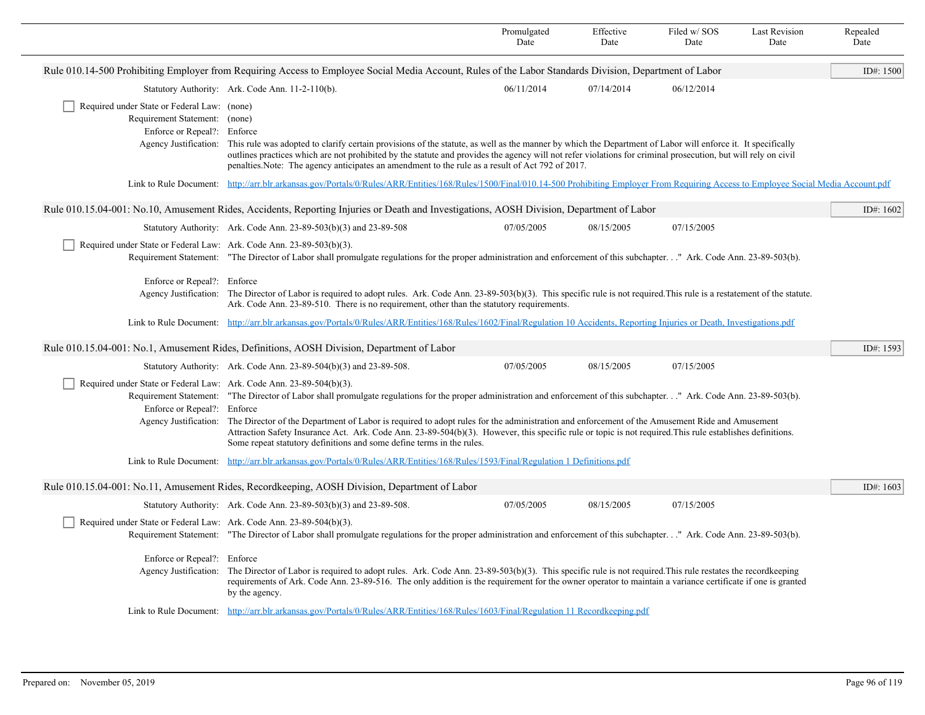|                                                                                                             |                                                                                                                                                                                                                                                                                                                                                                                                                                                                                                                                                                                         | Promulgated<br>Date | Effective<br>Date | Filed w/SOS<br>Date | <b>Last Revision</b><br>Date | Repealed<br>Date |
|-------------------------------------------------------------------------------------------------------------|-----------------------------------------------------------------------------------------------------------------------------------------------------------------------------------------------------------------------------------------------------------------------------------------------------------------------------------------------------------------------------------------------------------------------------------------------------------------------------------------------------------------------------------------------------------------------------------------|---------------------|-------------------|---------------------|------------------------------|------------------|
|                                                                                                             | Rule 010.14-500 Prohibiting Employer from Requiring Access to Employee Social Media Account, Rules of the Labor Standards Division, Department of Labor                                                                                                                                                                                                                                                                                                                                                                                                                                 |                     |                   |                     |                              | ID#: 1500        |
|                                                                                                             | Statutory Authority: Ark. Code Ann. 11-2-110(b).                                                                                                                                                                                                                                                                                                                                                                                                                                                                                                                                        | 06/11/2014          | 07/14/2014        | 06/12/2014          |                              |                  |
| Required under State or Federal Law: (none)<br>Requirement Statement: (none)<br>Enforce or Repeal?: Enforce | Agency Justification: This rule was adopted to clarify certain provisions of the statute, as well as the manner by which the Department of Labor will enforce it. It specifically<br>outlines practices which are not prohibited by the statute and provides the agency will not refer violations for criminal prosecution, but will rely on civil<br>penalties. Note: The agency anticipates an amendment to the rule as a result of Act 792 of 2017.                                                                                                                                  |                     |                   |                     |                              |                  |
|                                                                                                             | Link to Rule Document: http://arr.blr.arkansas.gov/Portals/0/Rules/ARR/Entities/168/Rules/1500/Final/010.14-500 Prohibiting Employer From Requiring Access to Employee Social Media Account.pdf                                                                                                                                                                                                                                                                                                                                                                                         |                     |                   |                     |                              |                  |
|                                                                                                             | Rule 010.15.04-001: No.10, Amusement Rides, Accidents, Reporting Injuries or Death and Investigations, AOSH Division, Department of Labor                                                                                                                                                                                                                                                                                                                                                                                                                                               |                     |                   |                     |                              | ID#: 1602        |
|                                                                                                             | Statutory Authority: Ark. Code Ann. 23-89-503(b)(3) and 23-89-508                                                                                                                                                                                                                                                                                                                                                                                                                                                                                                                       | 07/05/2005          | 08/15/2005        | 07/15/2005          |                              |                  |
| Required under State or Federal Law: Ark. Code Ann. 23-89-503(b)(3).                                        | Requirement Statement: "The Director of Labor shall promulgate regulations for the proper administration and enforcement of this subchapter." Ark. Code Ann. 23-89-503(b).                                                                                                                                                                                                                                                                                                                                                                                                              |                     |                   |                     |                              |                  |
| Enforce or Repeal?: Enforce                                                                                 | Agency Justification: The Director of Labor is required to adopt rules. Ark. Code Ann. 23-89-503(b)(3). This specific rule is not required. This rule is a restatement of the statute.<br>Ark. Code Ann. 23-89-510. There is no requirement, other than the statutory requirements.                                                                                                                                                                                                                                                                                                     |                     |                   |                     |                              |                  |
|                                                                                                             | Link to Rule Document: http://arr.blr.arkansas.gov/Portals/0/Rules/ARR/Entities/168/Rules/1602/Final/Regulation 10 Accidents, Reporting Injuries or Death, Investigations.pdf                                                                                                                                                                                                                                                                                                                                                                                                           |                     |                   |                     |                              |                  |
|                                                                                                             | Rule 010.15.04-001: No.1, Amusement Rides, Definitions, AOSH Division, Department of Labor                                                                                                                                                                                                                                                                                                                                                                                                                                                                                              |                     |                   |                     |                              | ID#: 1593        |
|                                                                                                             | Statutory Authority: Ark. Code Ann. 23-89-504(b)(3) and 23-89-508.                                                                                                                                                                                                                                                                                                                                                                                                                                                                                                                      | 07/05/2005          | 08/15/2005        | 07/15/2005          |                              |                  |
| Required under State or Federal Law: Ark. Code Ann. 23-89-504(b)(3).<br>Enforce or Repeal?: Enforce         | Requirement Statement: "The Director of Labor shall promulgate regulations for the proper administration and enforcement of this subchapter." Ark. Code Ann. 23-89-503(b).<br>Agency Justification: The Director of the Department of Labor is required to adopt rules for the administration and enforcement of the Amusement Ride and Amusement<br>Attraction Safety Insurance Act. Ark. Code Ann. 23-89-504(b)(3). However, this specific rule or topic is not required. This rule establishes definitions.<br>Some repeat statutory definitions and some define terms in the rules. |                     |                   |                     |                              |                  |
|                                                                                                             | Link to Rule Document: http://arr.blr.arkansas.gov/Portals/0/Rules/ARR/Entities/168/Rules/1593/Final/Regulation 1 Definitions.pdf                                                                                                                                                                                                                                                                                                                                                                                                                                                       |                     |                   |                     |                              |                  |
|                                                                                                             | Rule 010.15.04-001: No.11, Amusement Rides, Recordkeeping, AOSH Division, Department of Labor                                                                                                                                                                                                                                                                                                                                                                                                                                                                                           |                     |                   |                     |                              | ID#: 1603        |
|                                                                                                             | Statutory Authority: Ark. Code Ann. 23-89-503(b)(3) and 23-89-508.                                                                                                                                                                                                                                                                                                                                                                                                                                                                                                                      | 07/05/2005          | 08/15/2005        | 07/15/2005          |                              |                  |
| Required under State or Federal Law: Ark. Code Ann. 23-89-504(b)(3).                                        | Requirement Statement: "The Director of Labor shall promulgate regulations for the proper administration and enforcement of this subchapter" Ark. Code Ann. 23-89-503(b).                                                                                                                                                                                                                                                                                                                                                                                                               |                     |                   |                     |                              |                  |
| Enforce or Repeal?: Enforce                                                                                 | Agency Justification: The Director of Labor is required to adopt rules. Ark. Code Ann. 23-89-503(b)(3). This specific rule is not required. This rule restates the recordkeeping<br>requirements of Ark. Code Ann. 23-89-516. The only addition is the requirement for the owner operator to maintain a variance certificate if one is granted<br>by the agency.                                                                                                                                                                                                                        |                     |                   |                     |                              |                  |
|                                                                                                             | Link to Rule Document: http://arr.blr.arkansas.gov/Portals/0/Rules/ARR/Entities/168/Rules/1603/Final/Regulation 11 Recordkeeping.pdf                                                                                                                                                                                                                                                                                                                                                                                                                                                    |                     |                   |                     |                              |                  |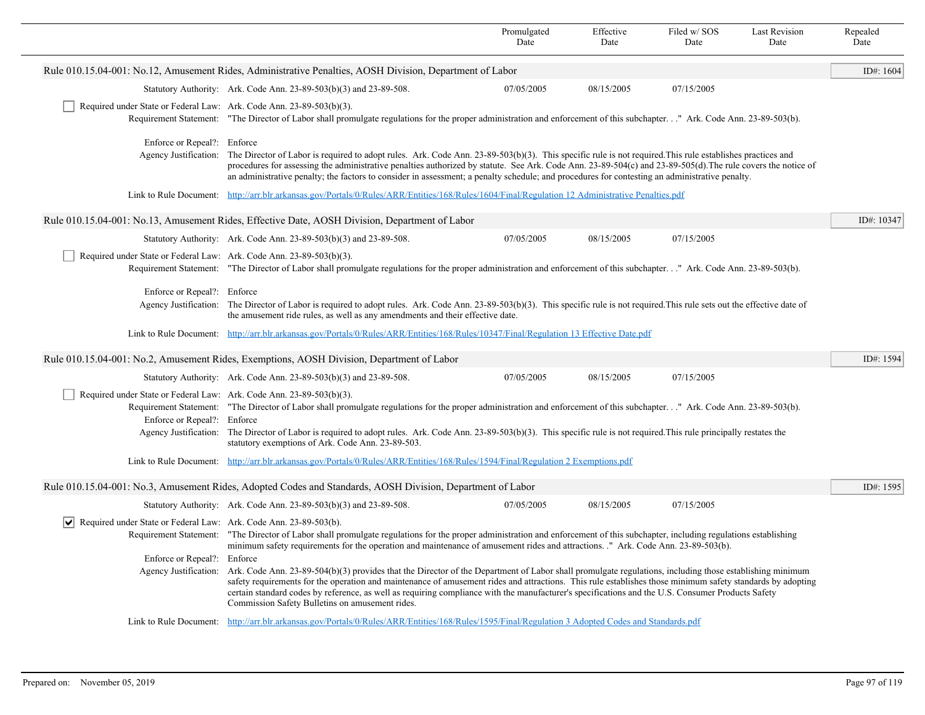|                                                                                                     |                                                                                                                                                                                                                                                                                                                                                                                                                                                                                                                                  | Promulgated<br>Date | Effective<br>Date | Filed w/SOS<br>Date | <b>Last Revision</b><br>Date | Repealed<br>Date |
|-----------------------------------------------------------------------------------------------------|----------------------------------------------------------------------------------------------------------------------------------------------------------------------------------------------------------------------------------------------------------------------------------------------------------------------------------------------------------------------------------------------------------------------------------------------------------------------------------------------------------------------------------|---------------------|-------------------|---------------------|------------------------------|------------------|
|                                                                                                     | Rule 010.15.04-001: No.12, Amusement Rides, Administrative Penalties, AOSH Division, Department of Labor                                                                                                                                                                                                                                                                                                                                                                                                                         |                     |                   |                     |                              | ID#: $1604$      |
|                                                                                                     | Statutory Authority: Ark. Code Ann. 23-89-503(b)(3) and 23-89-508.                                                                                                                                                                                                                                                                                                                                                                                                                                                               | 07/05/2005          | 08/15/2005        | 07/15/2005          |                              |                  |
| Required under State or Federal Law: Ark. Code Ann. 23-89-503(b)(3).                                | Requirement Statement: "The Director of Labor shall promulgate regulations for the proper administration and enforcement of this subchapter" Ark. Code Ann. 23-89-503(b).                                                                                                                                                                                                                                                                                                                                                        |                     |                   |                     |                              |                  |
|                                                                                                     | Enforce or Repeal?: Enforce<br>Agency Justification: The Director of Labor is required to adopt rules. Ark. Code Ann. 23-89-503(b)(3). This specific rule is not required. This rule establishes practices and<br>procedures for assessing the administrative penalties authorized by statute. See Ark. Code Ann. 23-89-504(c) and 23-89-505(d). The rule covers the notice of<br>an administrative penalty; the factors to consider in assessment; a penalty schedule; and procedures for contesting an administrative penalty. |                     |                   |                     |                              |                  |
|                                                                                                     | Link to Rule Document: http://arr.blr.arkansas.gov/Portals/0/Rules/ARR/Entities/168/Rules/1604/Final/Regulation 12 Administrative Penalties.pdf                                                                                                                                                                                                                                                                                                                                                                                  |                     |                   |                     |                              |                  |
|                                                                                                     | Rule 010.15.04-001: No.13, Amusement Rides, Effective Date, AOSH Division, Department of Labor                                                                                                                                                                                                                                                                                                                                                                                                                                   |                     |                   |                     |                              | ID#: 10347       |
|                                                                                                     | Statutory Authority: Ark. Code Ann. 23-89-503(b)(3) and 23-89-508.                                                                                                                                                                                                                                                                                                                                                                                                                                                               | 07/05/2005          | 08/15/2005        | 07/15/2005          |                              |                  |
| Required under State or Federal Law: Ark. Code Ann. 23-89-503(b)(3).                                | Requirement Statement: "The Director of Labor shall promulgate regulations for the proper administration and enforcement of this subchapter" Ark. Code Ann. 23-89-503(b).                                                                                                                                                                                                                                                                                                                                                        |                     |                   |                     |                              |                  |
| Enforce or Repeal?: Enforce                                                                         | Agency Justification: The Director of Labor is required to adopt rules. Ark. Code Ann. 23-89-503(b)(3). This specific rule is not required. This rule sets out the effective date of<br>the amusement ride rules, as well as any amendments and their effective date.                                                                                                                                                                                                                                                            |                     |                   |                     |                              |                  |
|                                                                                                     | Link to Rule Document: http://arr.blr.arkansas.gov/Portals/0/Rules/ARR/Entities/168/Rules/10347/Final/Regulation 13 Effective Date.pdf                                                                                                                                                                                                                                                                                                                                                                                           |                     |                   |                     |                              |                  |
|                                                                                                     | Rule 010.15.04-001: No.2, Amusement Rides, Exemptions, AOSH Division, Department of Labor                                                                                                                                                                                                                                                                                                                                                                                                                                        |                     |                   |                     |                              | ID#: 1594        |
|                                                                                                     | Statutory Authority: Ark. Code Ann. 23-89-503(b)(3) and 23-89-508.                                                                                                                                                                                                                                                                                                                                                                                                                                                               | 07/05/2005          | 08/15/2005        | 07/15/2005          |                              |                  |
| Required under State or Federal Law: Ark. Code Ann. 23-89-503(b)(3).<br>Enforce or Repeal?: Enforce | Requirement Statement: "The Director of Labor shall promulgate regulations for the proper administration and enforcement of this subchapter." Ark. Code Ann. 23-89-503(b).<br>Agency Justification: The Director of Labor is required to adopt rules. Ark. Code Ann. 23-89-503(b)(3). This specific rule is not required. This rule principally restates the<br>statutory exemptions of Ark. Code Ann. 23-89-503.                                                                                                                |                     |                   |                     |                              |                  |
|                                                                                                     | Link to Rule Document: http://arr.blr.arkansas.gov/Portals/0/Rules/ARR/Entities/168/Rules/1594/Final/Regulation 2 Exemptions.pdf                                                                                                                                                                                                                                                                                                                                                                                                 |                     |                   |                     |                              |                  |
|                                                                                                     | Rule 010.15.04-001: No.3, Amusement Rides, Adopted Codes and Standards, AOSH Division, Department of Labor                                                                                                                                                                                                                                                                                                                                                                                                                       |                     |                   |                     |                              | ID#: 1595        |
|                                                                                                     | Statutory Authority: Ark. Code Ann. 23-89-503(b)(3) and 23-89-508.                                                                                                                                                                                                                                                                                                                                                                                                                                                               | 07/05/2005          | 08/15/2005        | 07/15/2005          |                              |                  |
| $ \mathbf{v} $ Required under State or Federal Law: Ark. Code Ann. 23-89-503(b).                    | Requirement Statement: "The Director of Labor shall promulgate regulations for the proper administration and enforcement of this subchapter, including regulations establishing<br>minimum safety requirements for the operation and maintenance of amusement rides and attractions. " Ark. Code Ann. 23-89-503(b).                                                                                                                                                                                                              |                     |                   |                     |                              |                  |
| Enforce or Repeal?: Enforce<br>Agency Justification:                                                | Ark. Code Ann. 23-89-504(b)(3) provides that the Director of the Department of Labor shall promulgate regulations, including those establishing minimum<br>safety requirements for the operation and maintenance of amusement rides and attractions. This rule establishes those minimum safety standards by adopting<br>certain standard codes by reference, as well as requiring compliance with the manufacturer's specifications and the U.S. Consumer Products Safety<br>Commission Safety Bulletins on amusement rides.    |                     |                   |                     |                              |                  |
|                                                                                                     | Link to Rule Document: http://arr.blr.arkansas.gov/Portals/0/Rules/ARR/Entities/168/Rules/1595/Final/Regulation 3 Adopted Codes and Standards.pdf                                                                                                                                                                                                                                                                                                                                                                                |                     |                   |                     |                              |                  |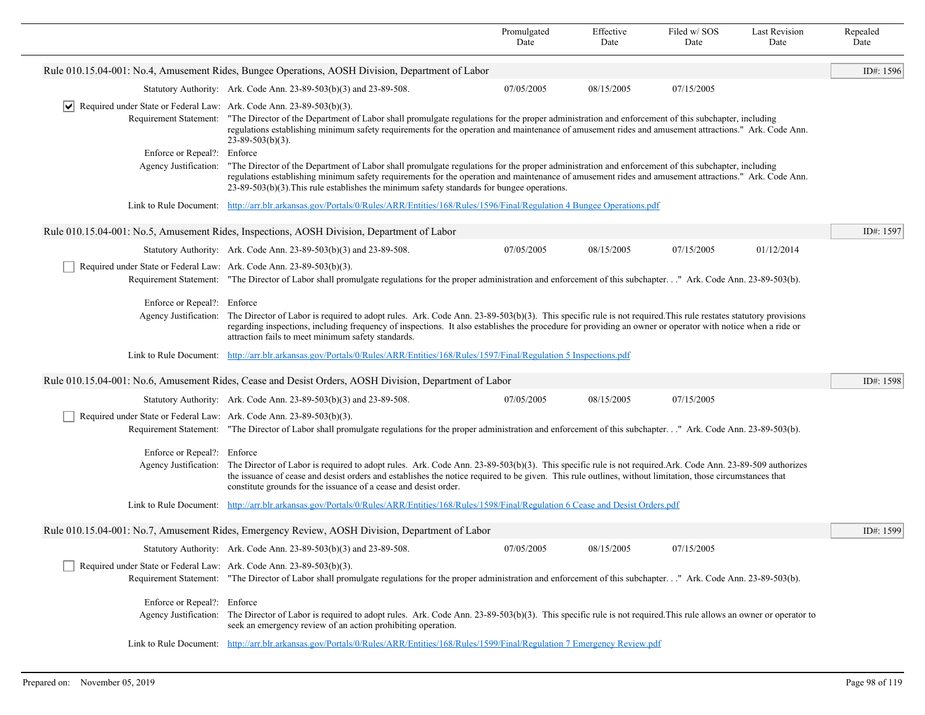|                                                                             |                                                                                                                                                                                                                                                                                                                                                                                                                  | Promulgated<br>Date                                                                                                                                                                                                                                                                                                                                                                                                              | Effective<br>Date | Filed w/SOS<br>Date | <b>Last Revision</b><br>Date | Repealed<br>Date |  |
|-----------------------------------------------------------------------------|------------------------------------------------------------------------------------------------------------------------------------------------------------------------------------------------------------------------------------------------------------------------------------------------------------------------------------------------------------------------------------------------------------------|----------------------------------------------------------------------------------------------------------------------------------------------------------------------------------------------------------------------------------------------------------------------------------------------------------------------------------------------------------------------------------------------------------------------------------|-------------------|---------------------|------------------------------|------------------|--|
|                                                                             | Rule 010.15.04-001: No.4, Amusement Rides, Bungee Operations, AOSH Division, Department of Labor                                                                                                                                                                                                                                                                                                                 |                                                                                                                                                                                                                                                                                                                                                                                                                                  |                   |                     |                              | ID#: 1596        |  |
|                                                                             | Statutory Authority: Ark. Code Ann. 23-89-503(b)(3) and 23-89-508.                                                                                                                                                                                                                                                                                                                                               | 07/05/2005                                                                                                                                                                                                                                                                                                                                                                                                                       | 08/15/2005        | 07/15/2005          |                              |                  |  |
| Required under State or Federal Law: Ark. Code Ann. 23-89-503(b)(3).<br> ∨∣ | Requirement Statement: "The Director of the Department of Labor shall promulgate regulations for the proper administration and enforcement of this subchapter, including<br>regulations establishing minimum safety requirements for the operation and maintenance of amusement rides and amusement attractions." Ark. Code Ann.<br>$23 - 89 - 503(b)(3)$ .                                                      |                                                                                                                                                                                                                                                                                                                                                                                                                                  |                   |                     |                              |                  |  |
| Enforce or Repeal?: Enforce                                                 |                                                                                                                                                                                                                                                                                                                                                                                                                  | Agency Justification: "The Director of the Department of Labor shall promulgate regulations for the proper administration and enforcement of this subchapter, including<br>regulations establishing minimum safety requirements for the operation and maintenance of amusement rides and amusement attractions." Ark. Code Ann.<br>$23-89-503(b)(3)$ . This rule establishes the minimum safety standards for bungee operations. |                   |                     |                              |                  |  |
|                                                                             | Link to Rule Document: http://arr.blr.arkansas.gov/Portals/0/Rules/ARR/Entities/168/Rules/1596/Final/Regulation 4 Bungee Operations.pdf                                                                                                                                                                                                                                                                          |                                                                                                                                                                                                                                                                                                                                                                                                                                  |                   |                     |                              |                  |  |
|                                                                             | Rule 010.15.04-001: No.5, Amusement Rides, Inspections, AOSH Division, Department of Labor                                                                                                                                                                                                                                                                                                                       |                                                                                                                                                                                                                                                                                                                                                                                                                                  |                   |                     |                              | ID#: 1597        |  |
|                                                                             | Statutory Authority: Ark. Code Ann. 23-89-503(b)(3) and 23-89-508.                                                                                                                                                                                                                                                                                                                                               | 07/05/2005                                                                                                                                                                                                                                                                                                                                                                                                                       | 08/15/2005        | 07/15/2005          | 01/12/2014                   |                  |  |
| Required under State or Federal Law: Ark. Code Ann. 23-89-503(b)(3).        | Requirement Statement: "The Director of Labor shall promulgate regulations for the proper administration and enforcement of this subchapter." Ark. Code Ann. 23-89-503(b).                                                                                                                                                                                                                                       |                                                                                                                                                                                                                                                                                                                                                                                                                                  |                   |                     |                              |                  |  |
| Enforce or Repeal?: Enforce<br>Agency Justification:                        | The Director of Labor is required to adopt rules. Ark. Code Ann. 23-89-503(b)(3). This specific rule is not required. This rule restates statutory provisions<br>regarding inspections, including frequency of inspections. It also establishes the procedure for providing an owner or operator with notice when a ride or<br>attraction fails to meet minimum safety standards.                                |                                                                                                                                                                                                                                                                                                                                                                                                                                  |                   |                     |                              |                  |  |
| Link to Rule Document:                                                      | http://arr.blr.arkansas.gov/Portals/0/Rules/ARR/Entities/168/Rules/1597/Final/Regulation 5 Inspections.pdf                                                                                                                                                                                                                                                                                                       |                                                                                                                                                                                                                                                                                                                                                                                                                                  |                   |                     |                              |                  |  |
|                                                                             | Rule 010.15.04-001: No.6, Amusement Rides, Cease and Desist Orders, AOSH Division, Department of Labor                                                                                                                                                                                                                                                                                                           |                                                                                                                                                                                                                                                                                                                                                                                                                                  |                   |                     |                              | ID#: 1598        |  |
|                                                                             | Statutory Authority: Ark. Code Ann. 23-89-503(b)(3) and 23-89-508.                                                                                                                                                                                                                                                                                                                                               | 07/05/2005                                                                                                                                                                                                                                                                                                                                                                                                                       | 08/15/2005        | 07/15/2005          |                              |                  |  |
| Required under State or Federal Law: Ark. Code Ann. 23-89-503(b)(3).        | Requirement Statement: "The Director of Labor shall promulgate regulations for the proper administration and enforcement of this subchapter" Ark. Code Ann. 23-89-503(b).                                                                                                                                                                                                                                        |                                                                                                                                                                                                                                                                                                                                                                                                                                  |                   |                     |                              |                  |  |
| Enforce or Repeal?: Enforce                                                 | Agency Justification: The Director of Labor is required to adopt rules. Ark. Code Ann. 23-89-503(b)(3). This specific rule is not required. Ark. Code Ann. 23-89-509 authorizes<br>the issuance of cease and desist orders and establishes the notice required to be given. This rule outlines, without limitation, those circumstances that<br>constitute grounds for the issuance of a cease and desist order. |                                                                                                                                                                                                                                                                                                                                                                                                                                  |                   |                     |                              |                  |  |
|                                                                             | Link to Rule Document: http://arr.blr.arkansas.gov/Portals/0/Rules/ARR/Entities/168/Rules/1598/Final/Regulation 6 Cease and Desist Orders.pdf                                                                                                                                                                                                                                                                    |                                                                                                                                                                                                                                                                                                                                                                                                                                  |                   |                     |                              |                  |  |
|                                                                             | Rule 010.15.04-001: No.7, Amusement Rides, Emergency Review, AOSH Division, Department of Labor                                                                                                                                                                                                                                                                                                                  |                                                                                                                                                                                                                                                                                                                                                                                                                                  |                   |                     |                              | ID#: 1599        |  |
|                                                                             | Statutory Authority: Ark. Code Ann. 23-89-503(b)(3) and 23-89-508.                                                                                                                                                                                                                                                                                                                                               | 07/05/2005                                                                                                                                                                                                                                                                                                                                                                                                                       | 08/15/2005        | 07/15/2005          |                              |                  |  |
| Required under State or Federal Law: Ark. Code Ann. 23-89-503(b)(3).        | Requirement Statement: "The Director of Labor shall promulgate regulations for the proper administration and enforcement of this subchapter." Ark. Code Ann. 23-89-503(b).                                                                                                                                                                                                                                       |                                                                                                                                                                                                                                                                                                                                                                                                                                  |                   |                     |                              |                  |  |
| Enforce or Repeal?: Enforce                                                 | Agency Justification: The Director of Labor is required to adopt rules. Ark. Code Ann. 23-89-503(b)(3). This specific rule is not required. This rule allows an owner or operator to<br>seek an emergency review of an action prohibiting operation.                                                                                                                                                             |                                                                                                                                                                                                                                                                                                                                                                                                                                  |                   |                     |                              |                  |  |
|                                                                             | Link to Rule Document: http://arr.blr.arkansas.gov/Portals/0/Rules/ARR/Entities/168/Rules/1599/Final/Regulation 7 Emergency Review.pdf                                                                                                                                                                                                                                                                           |                                                                                                                                                                                                                                                                                                                                                                                                                                  |                   |                     |                              |                  |  |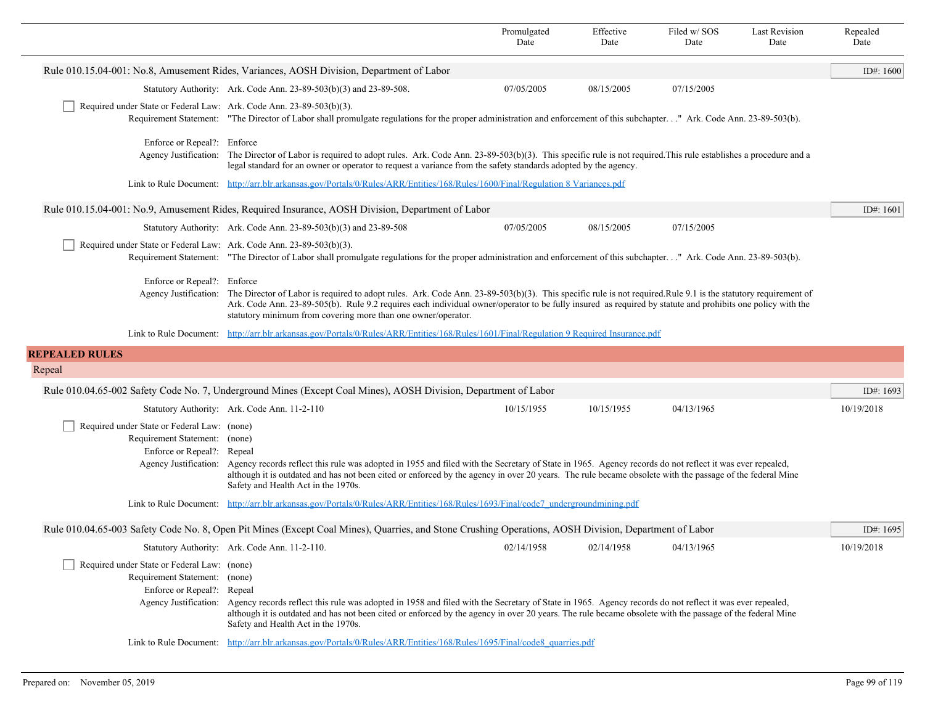|                                                                                                                                     |                                                                                                                                                                                                                                                                                                                                                                                                                     | Promulgated<br>Date | Effective<br>Date | Filed w/ SOS<br>Date | <b>Last Revision</b><br>Date | Repealed<br>Date |
|-------------------------------------------------------------------------------------------------------------------------------------|---------------------------------------------------------------------------------------------------------------------------------------------------------------------------------------------------------------------------------------------------------------------------------------------------------------------------------------------------------------------------------------------------------------------|---------------------|-------------------|----------------------|------------------------------|------------------|
|                                                                                                                                     | Rule 010.15.04-001: No.8, Amusement Rides, Variances, AOSH Division, Department of Labor                                                                                                                                                                                                                                                                                                                            |                     |                   |                      |                              | ID#: 1600        |
|                                                                                                                                     | Statutory Authority: Ark. Code Ann. 23-89-503(b)(3) and 23-89-508.                                                                                                                                                                                                                                                                                                                                                  | 07/05/2005          | 08/15/2005        | 07/15/2005           |                              |                  |
| Required under State or Federal Law: Ark. Code Ann. 23-89-503(b)(3).                                                                | Requirement Statement: "The Director of Labor shall promulgate regulations for the proper administration and enforcement of this subchapter." Ark. Code Ann. 23-89-503(b).                                                                                                                                                                                                                                          |                     |                   |                      |                              |                  |
| Enforce or Repeal?: Enforce                                                                                                         | Agency Justification: The Director of Labor is required to adopt rules. Ark. Code Ann. 23-89-503(b)(3). This specific rule is not required. This rule establishes a procedure and a<br>legal standard for an owner or operator to request a variance from the safety standards adopted by the agency.                                                                                                               |                     |                   |                      |                              |                  |
|                                                                                                                                     | Link to Rule Document: http://arr.blr.arkansas.gov/Portals/0/Rules/ARR/Entities/168/Rules/1600/Final/Regulation 8 Variances.pdf                                                                                                                                                                                                                                                                                     |                     |                   |                      |                              |                  |
|                                                                                                                                     | Rule 010.15.04-001: No.9, Amusement Rides, Required Insurance, AOSH Division, Department of Labor                                                                                                                                                                                                                                                                                                                   |                     |                   |                      |                              | ID#: $1601$      |
|                                                                                                                                     | Statutory Authority: Ark. Code Ann. 23-89-503(b)(3) and 23-89-508                                                                                                                                                                                                                                                                                                                                                   | 07/05/2005          | 08/15/2005        | 07/15/2005           |                              |                  |
| Required under State or Federal Law: Ark. Code Ann. 23-89-503(b)(3).                                                                | Requirement Statement: "The Director of Labor shall promulgate regulations for the proper administration and enforcement of this subchapter" Ark. Code Ann. 23-89-503(b).                                                                                                                                                                                                                                           |                     |                   |                      |                              |                  |
| Enforce or Repeal?: Enforce                                                                                                         | Agency Justification: The Director of Labor is required to adopt rules. Ark. Code Ann. 23-89-503(b)(3). This specific rule is not required. Rule 9.1 is the statutory requirement of<br>Ark. Code Ann. 23-89-505(b). Rule 9.2 requires each individual owner/operator to be fully insured as required by statute and prohibits one policy with the<br>statutory minimum from covering more than one owner/operator. |                     |                   |                      |                              |                  |
|                                                                                                                                     | Link to Rule Document: http://arr.blr.arkansas.gov/Portals/0/Rules/ARR/Entities/168/Rules/1601/Final/Regulation 9 Required Insurance.pdf                                                                                                                                                                                                                                                                            |                     |                   |                      |                              |                  |
| <b>REPEALED RULES</b>                                                                                                               |                                                                                                                                                                                                                                                                                                                                                                                                                     |                     |                   |                      |                              |                  |
| Repeal                                                                                                                              |                                                                                                                                                                                                                                                                                                                                                                                                                     |                     |                   |                      |                              |                  |
|                                                                                                                                     | Rule 010.04.65-002 Safety Code No. 7, Underground Mines (Except Coal Mines), AOSH Division, Department of Labor                                                                                                                                                                                                                                                                                                     |                     |                   |                      |                              | ID#: $1693$      |
|                                                                                                                                     | Statutory Authority: Ark. Code Ann. 11-2-110                                                                                                                                                                                                                                                                                                                                                                        | 10/15/1955          | 10/15/1955        | 04/13/1965           |                              | 10/19/2018       |
| Required under State or Federal Law: (none)<br>Requirement Statement: (none)<br>Enforce or Repeal?: Repeal<br>Agency Justification: | Agency records reflect this rule was adopted in 1955 and filed with the Secretary of State in 1965. Agency records do not reflect it was ever repealed,<br>although it is outdated and has not been cited or enforced by the agency in over 20 years. The rule became obsolete with the passage of the federal Mine<br>Safety and Health Act in the 1970s.                                                          |                     |                   |                      |                              |                  |
| Link to Rule Document:                                                                                                              | http://arr.blr.arkansas.gov/Portals/0/Rules/ARR/Entities/168/Rules/1693/Final/code7_undergroundmining.pdf                                                                                                                                                                                                                                                                                                           |                     |                   |                      |                              |                  |
|                                                                                                                                     | Rule 010.04.65-003 Safety Code No. 8, Open Pit Mines (Except Coal Mines), Quarries, and Stone Crushing Operations, AOSH Division, Department of Labor                                                                                                                                                                                                                                                               |                     |                   |                      |                              | ID#: 1695        |
|                                                                                                                                     | Statutory Authority: Ark. Code Ann. 11-2-110.                                                                                                                                                                                                                                                                                                                                                                       | 02/14/1958          | 02/14/1958        | 04/13/1965           |                              | 10/19/2018       |
| Required under State or Federal Law: (none)<br>Requirement Statement: (none)<br>Enforce or Repeal?: Repeal                          | Agency Justification: Agency records reflect this rule was adopted in 1958 and filed with the Secretary of State in 1965. Agency records do not reflect it was ever repealed,<br>although it is outdated and has not been cited or enforced by the agency in over 20 years. The rule became obsolete with the passage of the federal Mine<br>Safety and Health Act in the 1970s.                                    |                     |                   |                      |                              |                  |
|                                                                                                                                     | Link to Rule Document: http://arr.blr.arkansas.gov/Portals/0/Rules/ARR/Entities/168/Rules/1695/Final/code8 quarries.pdf                                                                                                                                                                                                                                                                                             |                     |                   |                      |                              |                  |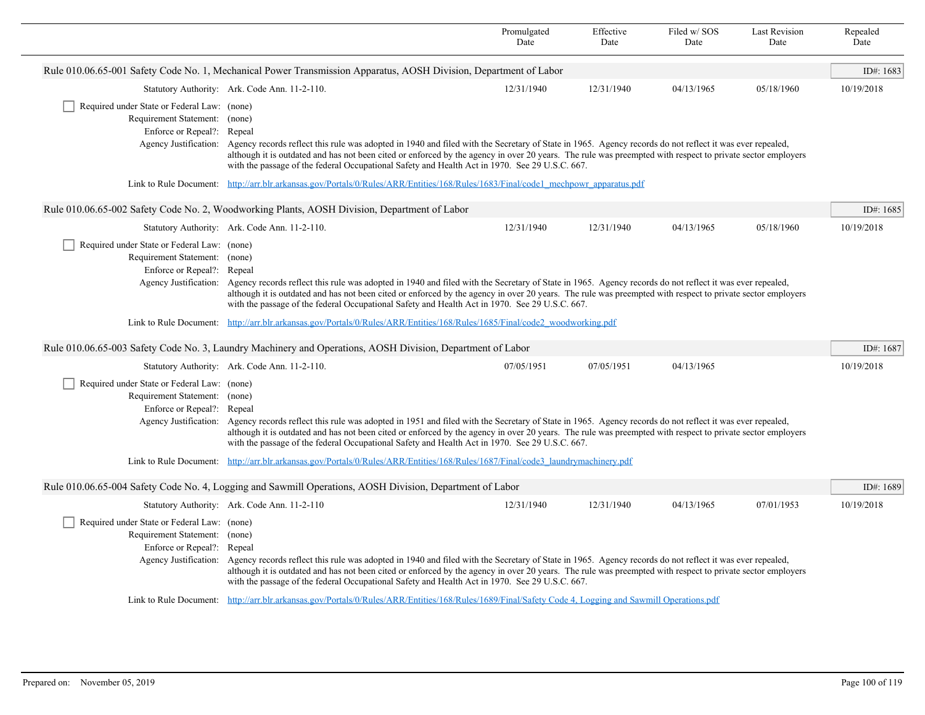|                                                                                                                                      |                                                                                                                                                                                                                                                                                                                                                                                                                                                                                                                                                      | Promulgated<br>Date | Effective<br>Date | Filed w/SOS<br>Date | <b>Last Revision</b><br>Date | Repealed<br>Date |
|--------------------------------------------------------------------------------------------------------------------------------------|------------------------------------------------------------------------------------------------------------------------------------------------------------------------------------------------------------------------------------------------------------------------------------------------------------------------------------------------------------------------------------------------------------------------------------------------------------------------------------------------------------------------------------------------------|---------------------|-------------------|---------------------|------------------------------|------------------|
|                                                                                                                                      | Rule 010.06.65-001 Safety Code No. 1, Mechanical Power Transmission Apparatus, AOSH Division, Department of Labor                                                                                                                                                                                                                                                                                                                                                                                                                                    |                     |                   |                     |                              | ID#: 1683        |
|                                                                                                                                      | Statutory Authority: Ark. Code Ann. 11-2-110.                                                                                                                                                                                                                                                                                                                                                                                                                                                                                                        | 12/31/1940          | 12/31/1940        | 04/13/1965          | 05/18/1960                   | 10/19/2018       |
| Required under State or Federal Law: (none)<br>Requirement Statement: (none)<br>Enforce or Repeal?: Repeal                           | Agency Justification: Agency records reflect this rule was adopted in 1940 and filed with the Secretary of State in 1965. Agency records do not reflect it was ever repealed,<br>although it is outdated and has not been cited or enforced by the agency in over 20 years. The rule was preempted with respect to private sector employers<br>with the passage of the federal Occupational Safety and Health Act in 1970. See 29 U.S.C. 667.                                                                                                        |                     |                   |                     |                              |                  |
| Link to Rule Document:                                                                                                               | http://arr.blr.arkansas.gov/Portals/0/Rules/ARR/Entities/168/Rules/1683/Final/code1 mechpowr apparatus.pdf                                                                                                                                                                                                                                                                                                                                                                                                                                           |                     |                   |                     |                              |                  |
|                                                                                                                                      | Rule 010.06.65-002 Safety Code No. 2, Woodworking Plants, AOSH Division, Department of Labor                                                                                                                                                                                                                                                                                                                                                                                                                                                         |                     |                   |                     |                              | ID#: 1685        |
|                                                                                                                                      | Statutory Authority: Ark. Code Ann. 11-2-110.                                                                                                                                                                                                                                                                                                                                                                                                                                                                                                        | 12/31/1940          | 12/31/1940        | 04/13/1965          | 05/18/1960                   | 10/19/2018       |
| Required under State or Federal Law: (none)<br>Requirement Statement: (none)<br>Enforce or Repeal?: Repeal<br>Link to Rule Document: | Agency Justification: Agency records reflect this rule was adopted in 1940 and filed with the Secretary of State in 1965. Agency records do not reflect it was ever repealed,<br>although it is outdated and has not been cited or enforced by the agency in over 20 years. The rule was preempted with respect to private sector employers<br>with the passage of the federal Occupational Safety and Health Act in 1970. See 29 U.S.C. 667.<br>http://arr.blr.arkansas.gov/Portals/0/Rules/ARR/Entities/168/Rules/1685/Final/code2_woodworking.pdf |                     |                   |                     |                              |                  |
|                                                                                                                                      | Rule 010.06.65-003 Safety Code No. 3, Laundry Machinery and Operations, AOSH Division, Department of Labor                                                                                                                                                                                                                                                                                                                                                                                                                                           |                     |                   |                     |                              | ID#: $1687$      |
|                                                                                                                                      | Statutory Authority: Ark. Code Ann. 11-2-110.                                                                                                                                                                                                                                                                                                                                                                                                                                                                                                        | 07/05/1951          | 07/05/1951        | 04/13/1965          |                              | 10/19/2018       |
| Required under State or Federal Law: (none)<br>Requirement Statement: (none)<br>Enforce or Repeal?: Repeal                           | Agency Justification: Agency records reflect this rule was adopted in 1951 and filed with the Secretary of State in 1965. Agency records do not reflect it was ever repealed,<br>although it is outdated and has not been cited or enforced by the agency in over 20 years. The rule was preempted with respect to private sector employers<br>with the passage of the federal Occupational Safety and Health Act in 1970. See 29 U.S.C. 667.                                                                                                        |                     |                   |                     |                              |                  |
|                                                                                                                                      | Link to Rule Document: http://arr.blr.arkansas.gov/Portals/0/Rules/ARR/Entities/168/Rules/1687/Final/code3 laundrymachinery.pdf                                                                                                                                                                                                                                                                                                                                                                                                                      |                     |                   |                     |                              |                  |
|                                                                                                                                      | Rule 010.06.65-004 Safety Code No. 4, Logging and Sawmill Operations, AOSH Division, Department of Labor                                                                                                                                                                                                                                                                                                                                                                                                                                             |                     |                   |                     |                              | ID#: 1689        |
|                                                                                                                                      | Statutory Authority: Ark. Code Ann. 11-2-110                                                                                                                                                                                                                                                                                                                                                                                                                                                                                                         | 12/31/1940          | 12/31/1940        | 04/13/1965          | 07/01/1953                   | 10/19/2018       |
| Required under State or Federal Law: (none)<br>Requirement Statement: (none)<br>Enforce or Repeal?: Repeal                           | Agency Justification: Agency records reflect this rule was adopted in 1940 and filed with the Secretary of State in 1965. Agency records do not reflect it was ever repealed,<br>although it is outdated and has not been cited or enforced by the agency in over 20 years. The rule was preempted with respect to private sector employers<br>with the passage of the federal Occupational Safety and Health Act in 1970. See 29 U.S.C. 667.                                                                                                        |                     |                   |                     |                              |                  |
|                                                                                                                                      | Link to Rule Document: http://arr.blr.arkansas.gov/Portals/0/Rules/ARR/Entities/168/Rules/1689/Final/Safety Code 4, Logging and Sawmill Operations.pdf                                                                                                                                                                                                                                                                                                                                                                                               |                     |                   |                     |                              |                  |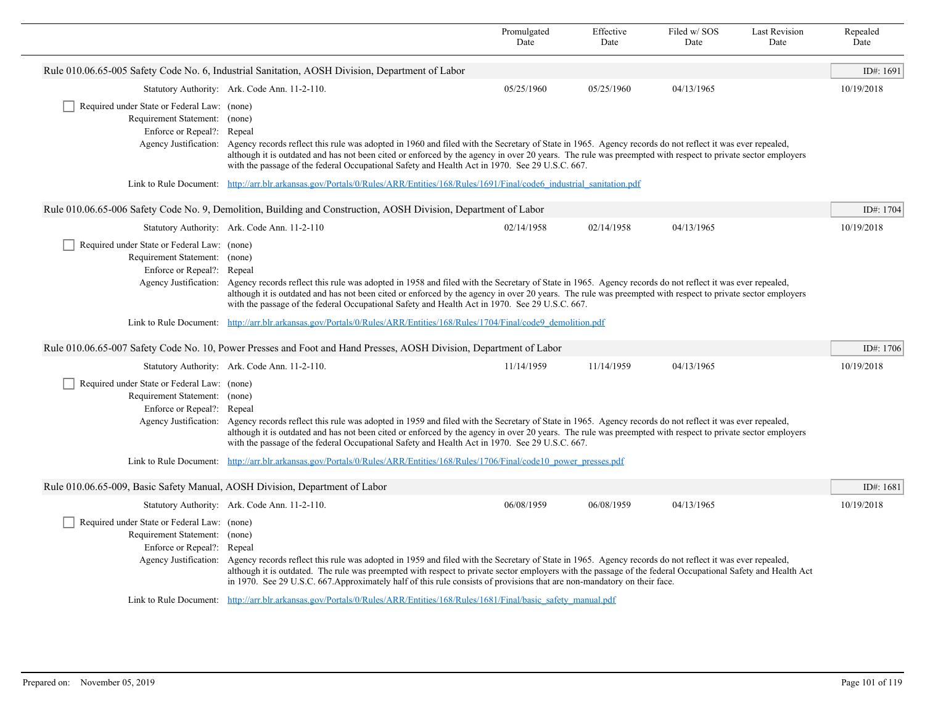|                                                                                                                               |                                                                                                                                                                                                                                                                                                                                                                                                                                                                                                                                                               | Promulgated<br>Date | Effective<br>Date | Filed w/SOS<br>Date | <b>Last Revision</b><br>Date | Repealed<br>Date |
|-------------------------------------------------------------------------------------------------------------------------------|---------------------------------------------------------------------------------------------------------------------------------------------------------------------------------------------------------------------------------------------------------------------------------------------------------------------------------------------------------------------------------------------------------------------------------------------------------------------------------------------------------------------------------------------------------------|---------------------|-------------------|---------------------|------------------------------|------------------|
|                                                                                                                               | Rule 010.06.65-005 Safety Code No. 6, Industrial Sanitation, AOSH Division, Department of Labor                                                                                                                                                                                                                                                                                                                                                                                                                                                               |                     |                   |                     |                              | ID#: 1691        |
|                                                                                                                               | Statutory Authority: Ark. Code Ann. 11-2-110.                                                                                                                                                                                                                                                                                                                                                                                                                                                                                                                 | 05/25/1960          | 05/25/1960        | 04/13/1965          |                              | 10/19/2018       |
| Required under State or Federal Law: (none)<br>Requirement Statement: (none)<br>Enforce or Repeal?: Repeal                    | Agency Justification: Agency records reflect this rule was adopted in 1960 and filed with the Secretary of State in 1965. Agency records do not reflect it was ever repealed,<br>although it is outdated and has not been cited or enforced by the agency in over 20 years. The rule was preempted with respect to private sector employers<br>with the passage of the federal Occupational Safety and Health Act in 1970. See 29 U.S.C. 667.                                                                                                                 |                     |                   |                     |                              |                  |
| Link to Rule Document:                                                                                                        | http://arr.blr.arkansas.gov/Portals/0/Rules/ARR/Entities/168/Rules/1691/Final/code6 industrial sanitation.pdf                                                                                                                                                                                                                                                                                                                                                                                                                                                 |                     |                   |                     |                              |                  |
|                                                                                                                               | Rule 010.06.65-006 Safety Code No. 9, Demolition, Building and Construction, AOSH Division, Department of Labor                                                                                                                                                                                                                                                                                                                                                                                                                                               |                     |                   |                     |                              | ID#: 1704        |
|                                                                                                                               | Statutory Authority: Ark. Code Ann. 11-2-110                                                                                                                                                                                                                                                                                                                                                                                                                                                                                                                  | 02/14/1958          | 02/14/1958        | 04/13/1965          |                              | 10/19/2018       |
| Required under State or Federal Law: (none)<br>Requirement Statement: (none)<br>Enforce or Repeal?:<br>Link to Rule Document: | Repeal<br>Agency Justification: Agency records reflect this rule was adopted in 1958 and filed with the Secretary of State in 1965. Agency records do not reflect it was ever repealed,<br>although it is outdated and has not been cited or enforced by the agency in over 20 years. The rule was preempted with respect to private sector employers<br>with the passage of the federal Occupational Safety and Health Act in 1970. See 29 U.S.C. 667.<br>http://arr.blr.arkansas.gov/Portals/0/Rules/ARR/Entities/168/Rules/1704/Final/code9_demolition.pdf |                     |                   |                     |                              |                  |
|                                                                                                                               | Rule 010.06.65-007 Safety Code No. 10, Power Presses and Foot and Hand Presses, AOSH Division, Department of Labor                                                                                                                                                                                                                                                                                                                                                                                                                                            |                     |                   |                     |                              | ID#: 1706        |
|                                                                                                                               | Statutory Authority: Ark. Code Ann. 11-2-110.                                                                                                                                                                                                                                                                                                                                                                                                                                                                                                                 | 11/14/1959          | 11/14/1959        | 04/13/1965          |                              | 10/19/2018       |
| Required under State or Federal Law: (none)<br>Requirement Statement: (none)<br>Enforce or Repeal?: Repeal                    | Agency Justification: Agency records reflect this rule was adopted in 1959 and filed with the Secretary of State in 1965. Agency records do not reflect it was ever repealed,<br>although it is outdated and has not been cited or enforced by the agency in over 20 years. The rule was preempted with respect to private sector employers<br>with the passage of the federal Occupational Safety and Health Act in 1970. See 29 U.S.C. 667.                                                                                                                 |                     |                   |                     |                              |                  |
| Link to Rule Document:                                                                                                        | http://arr.blr.arkansas.gov/Portals/0/Rules/ARR/Entities/168/Rules/1706/Final/code10 power presses.pdf                                                                                                                                                                                                                                                                                                                                                                                                                                                        |                     |                   |                     |                              |                  |
| Rule 010.06.65-009, Basic Safety Manual, AOSH Division, Department of Labor                                                   |                                                                                                                                                                                                                                                                                                                                                                                                                                                                                                                                                               |                     |                   |                     |                              | ID#: $1681$      |
|                                                                                                                               | Statutory Authority: Ark. Code Ann. 11-2-110.                                                                                                                                                                                                                                                                                                                                                                                                                                                                                                                 | 06/08/1959          | 06/08/1959        | 04/13/1965          |                              | 10/19/2018       |
| Required under State or Federal Law: (none)<br>Requirement Statement: (none)<br>Enforce or Repeal?: Repeal                    | Agency Justification: Agency records reflect this rule was adopted in 1959 and filed with the Secretary of State in 1965. Agency records do not reflect it was ever repealed,<br>although it is outdated. The rule was preempted with respect to private sector employers with the passage of the federal Occupational Safety and Health Act<br>in 1970. See 29 U.S.C. 667. Approximately half of this rule consists of provisions that are non-mandatory on their face.                                                                                      |                     |                   |                     |                              |                  |
|                                                                                                                               | Link to Rule Document: http://arr.blr.arkansas.gov/Portals/0/Rules/ARR/Entities/168/Rules/1681/Final/basic safety manual.pdf                                                                                                                                                                                                                                                                                                                                                                                                                                  |                     |                   |                     |                              |                  |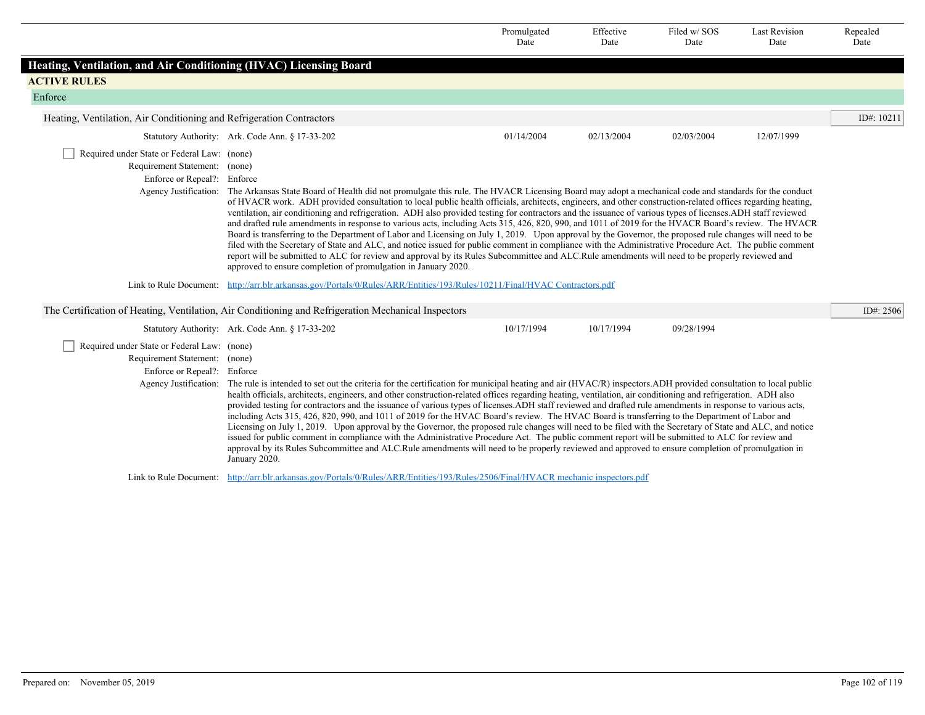|                                                                                                             |                                                                                                                                                                                                                                                                                                                                                                                                                                                                                                                                                                                                                                                                                                                                                                                                                                                                                                                                                                                                                                                                                                                                                                                                               | Promulgated<br>Date | Effective<br>Date | Filed w/SOS<br>Date | <b>Last Revision</b><br>Date | Repealed<br>Date |
|-------------------------------------------------------------------------------------------------------------|---------------------------------------------------------------------------------------------------------------------------------------------------------------------------------------------------------------------------------------------------------------------------------------------------------------------------------------------------------------------------------------------------------------------------------------------------------------------------------------------------------------------------------------------------------------------------------------------------------------------------------------------------------------------------------------------------------------------------------------------------------------------------------------------------------------------------------------------------------------------------------------------------------------------------------------------------------------------------------------------------------------------------------------------------------------------------------------------------------------------------------------------------------------------------------------------------------------|---------------------|-------------------|---------------------|------------------------------|------------------|
| Heating, Ventilation, and Air Conditioning (HVAC) Licensing Board                                           |                                                                                                                                                                                                                                                                                                                                                                                                                                                                                                                                                                                                                                                                                                                                                                                                                                                                                                                                                                                                                                                                                                                                                                                                               |                     |                   |                     |                              |                  |
| <b>ACTIVE RULES</b>                                                                                         |                                                                                                                                                                                                                                                                                                                                                                                                                                                                                                                                                                                                                                                                                                                                                                                                                                                                                                                                                                                                                                                                                                                                                                                                               |                     |                   |                     |                              |                  |
| Enforce                                                                                                     |                                                                                                                                                                                                                                                                                                                                                                                                                                                                                                                                                                                                                                                                                                                                                                                                                                                                                                                                                                                                                                                                                                                                                                                                               |                     |                   |                     |                              |                  |
| Heating, Ventilation, Air Conditioning and Refrigeration Contractors                                        |                                                                                                                                                                                                                                                                                                                                                                                                                                                                                                                                                                                                                                                                                                                                                                                                                                                                                                                                                                                                                                                                                                                                                                                                               |                     |                   |                     |                              | ID#: 10211       |
|                                                                                                             | Statutory Authority: Ark. Code Ann. § 17-33-202                                                                                                                                                                                                                                                                                                                                                                                                                                                                                                                                                                                                                                                                                                                                                                                                                                                                                                                                                                                                                                                                                                                                                               | 01/14/2004          | 02/13/2004        | 02/03/2004          | 12/07/1999                   |                  |
| Required under State or Federal Law: (none)<br>Requirement Statement: (none)<br>Enforce or Repeal?: Enforce | Agency Justification: The Arkansas State Board of Health did not promulgate this rule. The HVACR Licensing Board may adopt a mechanical code and standards for the conduct<br>of HVACR work. ADH provided consultation to local public health officials, architects, engineers, and other construction-related offices regarding heating,<br>ventilation, air conditioning and refrigeration. ADH also provided testing for contractors and the issuance of various types of licenses. ADH staff reviewed<br>and drafted rule amendments in response to various acts, including Acts 315, 426, 820, 990, and 1011 of 2019 for the HVACR Board's review. The HVACR<br>Board is transferring to the Department of Labor and Licensing on July 1, 2019. Upon approval by the Governor, the proposed rule changes will need to be<br>filed with the Secretary of State and ALC, and notice issued for public comment in compliance with the Administrative Procedure Act. The public comment<br>report will be submitted to ALC for review and approval by its Rules Subcommittee and ALC.Rule amendments will need to be properly reviewed and<br>approved to ensure completion of promulgation in January 2020. |                     |                   |                     |                              |                  |
|                                                                                                             | Link to Rule Document: http://arr.blr.arkansas.gov/Portals/0/Rules/ARR/Entities/193/Rules/10211/Final/HVAC Contractors.pdf                                                                                                                                                                                                                                                                                                                                                                                                                                                                                                                                                                                                                                                                                                                                                                                                                                                                                                                                                                                                                                                                                    |                     |                   |                     |                              |                  |
|                                                                                                             | The Certification of Heating, Ventilation, Air Conditioning and Refrigeration Mechanical Inspectors                                                                                                                                                                                                                                                                                                                                                                                                                                                                                                                                                                                                                                                                                                                                                                                                                                                                                                                                                                                                                                                                                                           |                     |                   |                     |                              | ID#: 2506        |
|                                                                                                             | Statutory Authority: Ark. Code Ann. § 17-33-202                                                                                                                                                                                                                                                                                                                                                                                                                                                                                                                                                                                                                                                                                                                                                                                                                                                                                                                                                                                                                                                                                                                                                               | 10/17/1994          | 10/17/1994        | 09/28/1994          |                              |                  |
| Required under State or Federal Law: (none)<br>Requirement Statement: (none)<br>Enforce or Repeal?: Enforce | Agency Justification: The rule is intended to set out the criteria for the certification for municipal heating and air (HVAC/R) inspectors. ADH provided consultation to local public<br>health officials, architects, engineers, and other construction-related offices regarding heating, ventilation, air conditioning and refrigeration. ADH also<br>provided testing for contractors and the issuance of various types of licenses.ADH staff reviewed and drafted rule amendments in response to various acts,<br>including Acts 315, 426, 820, 990, and 1011 of 2019 for the HVAC Board's review. The HVAC Board is transferring to the Department of Labor and<br>Licensing on July 1, 2019. Upon approval by the Governor, the proposed rule changes will need to be filed with the Secretary of State and ALC, and notice<br>issued for public comment in compliance with the Administrative Procedure Act. The public comment report will be submitted to ALC for review and<br>approval by its Rules Subcommittee and ALC.Rule amendments will need to be properly reviewed and approved to ensure completion of promulgation in<br>January 2020.                                                  |                     |                   |                     |                              |                  |
|                                                                                                             | Link to Rule Document: http://arr.blr.arkansas.gov/Portals/0/Rules/ARR/Entities/193/Rules/2506/Final/HVACR mechanic inspectors.pdf                                                                                                                                                                                                                                                                                                                                                                                                                                                                                                                                                                                                                                                                                                                                                                                                                                                                                                                                                                                                                                                                            |                     |                   |                     |                              |                  |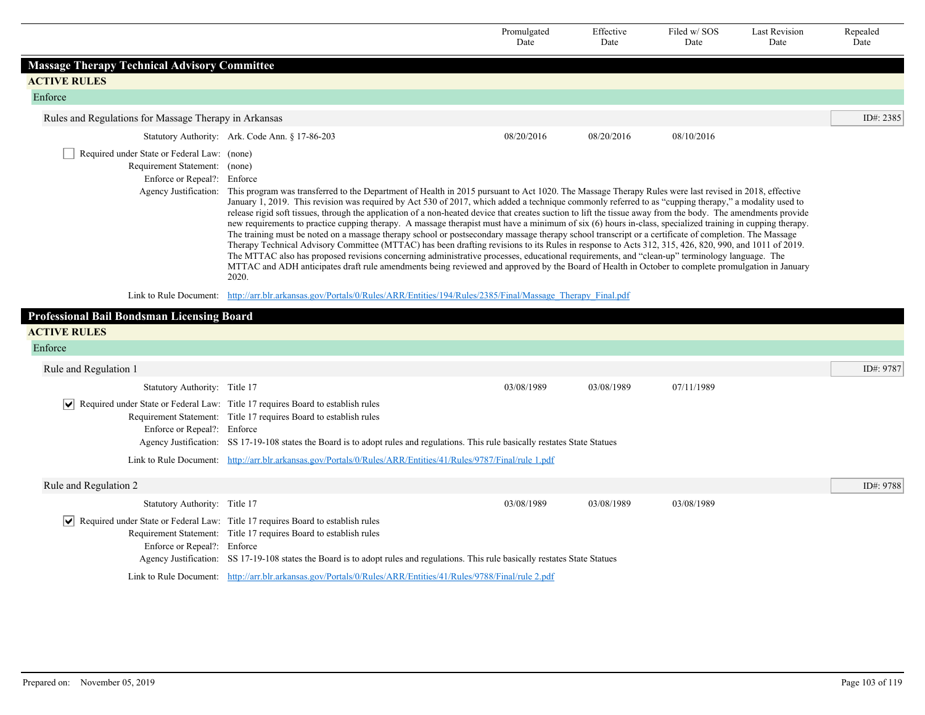|                                                                                                                                     |                                                                                                                                                                                                                                                                                                                                                                                                                                                                                                                                                                                                                                                                                                                                                                                                                                                                                                                                                                                                                                                                                                                                                                                                                                                                                                    | Promulgated<br>Date | Effective<br>Date | Filed w/SOS<br>Date | <b>Last Revision</b><br>Date | Repealed<br>Date |
|-------------------------------------------------------------------------------------------------------------------------------------|----------------------------------------------------------------------------------------------------------------------------------------------------------------------------------------------------------------------------------------------------------------------------------------------------------------------------------------------------------------------------------------------------------------------------------------------------------------------------------------------------------------------------------------------------------------------------------------------------------------------------------------------------------------------------------------------------------------------------------------------------------------------------------------------------------------------------------------------------------------------------------------------------------------------------------------------------------------------------------------------------------------------------------------------------------------------------------------------------------------------------------------------------------------------------------------------------------------------------------------------------------------------------------------------------|---------------------|-------------------|---------------------|------------------------------|------------------|
| <b>Massage Therapy Technical Advisory Committee</b>                                                                                 |                                                                                                                                                                                                                                                                                                                                                                                                                                                                                                                                                                                                                                                                                                                                                                                                                                                                                                                                                                                                                                                                                                                                                                                                                                                                                                    |                     |                   |                     |                              |                  |
| <b>ACTIVE RULES</b>                                                                                                                 |                                                                                                                                                                                                                                                                                                                                                                                                                                                                                                                                                                                                                                                                                                                                                                                                                                                                                                                                                                                                                                                                                                                                                                                                                                                                                                    |                     |                   |                     |                              |                  |
| Enforce                                                                                                                             |                                                                                                                                                                                                                                                                                                                                                                                                                                                                                                                                                                                                                                                                                                                                                                                                                                                                                                                                                                                                                                                                                                                                                                                                                                                                                                    |                     |                   |                     |                              |                  |
| Rules and Regulations for Massage Therapy in Arkansas                                                                               |                                                                                                                                                                                                                                                                                                                                                                                                                                                                                                                                                                                                                                                                                                                                                                                                                                                                                                                                                                                                                                                                                                                                                                                                                                                                                                    |                     |                   |                     |                              | ID#: 2385        |
|                                                                                                                                     | Statutory Authority: Ark. Code Ann. § 17-86-203                                                                                                                                                                                                                                                                                                                                                                                                                                                                                                                                                                                                                                                                                                                                                                                                                                                                                                                                                                                                                                                                                                                                                                                                                                                    | 08/20/2016          | 08/20/2016        | 08/10/2016          |                              |                  |
| Required under State or Federal Law: (none)<br>Requirement Statement: (none)<br>Enforce or Repeal?: Enforce                         | Agency Justification: This program was transferred to the Department of Health in 2015 pursuant to Act 1020. The Massage Therapy Rules were last revised in 2018, effective<br>January 1, 2019. This revision was required by Act 530 of 2017, which added a technique commonly referred to as "cupping therapy," a modality used to<br>release rigid soft tissues, through the application of a non-heated device that creates suction to lift the tissue away from the body. The amendments provide<br>new requirements to practice cupping therapy. A massage therapist must have a minimum of six (6) hours in-class, specialized training in cupping therapy.<br>The training must be noted on a massage therapy school or postsecondary massage therapy school transcript or a certificate of completion. The Massage<br>Therapy Technical Advisory Committee (MTTAC) has been drafting revisions to its Rules in response to Acts 312, 315, 426, 820, 990, and 1011 of 2019.<br>The MTTAC also has proposed revisions concerning administrative processes, educational requirements, and "clean-up" terminology language. The<br>MTTAC and ADH anticipates draft rule amendments being reviewed and approved by the Board of Health in October to complete promulgation in January<br>2020. |                     |                   |                     |                              |                  |
|                                                                                                                                     | Link to Rule Document: http://arr.blr.arkansas.gov/Portals/0/Rules/ARR/Entities/194/Rules/2385/Final/Massage Therapy Final.pdf                                                                                                                                                                                                                                                                                                                                                                                                                                                                                                                                                                                                                                                                                                                                                                                                                                                                                                                                                                                                                                                                                                                                                                     |                     |                   |                     |                              |                  |
| <b>Professional Bail Bondsman Licensing Board</b>                                                                                   |                                                                                                                                                                                                                                                                                                                                                                                                                                                                                                                                                                                                                                                                                                                                                                                                                                                                                                                                                                                                                                                                                                                                                                                                                                                                                                    |                     |                   |                     |                              |                  |
| <b>ACTIVE RULES</b>                                                                                                                 |                                                                                                                                                                                                                                                                                                                                                                                                                                                                                                                                                                                                                                                                                                                                                                                                                                                                                                                                                                                                                                                                                                                                                                                                                                                                                                    |                     |                   |                     |                              |                  |
| Enforce                                                                                                                             |                                                                                                                                                                                                                                                                                                                                                                                                                                                                                                                                                                                                                                                                                                                                                                                                                                                                                                                                                                                                                                                                                                                                                                                                                                                                                                    |                     |                   |                     |                              |                  |
| Rule and Regulation 1                                                                                                               |                                                                                                                                                                                                                                                                                                                                                                                                                                                                                                                                                                                                                                                                                                                                                                                                                                                                                                                                                                                                                                                                                                                                                                                                                                                                                                    |                     |                   |                     |                              | ID#: 9787        |
| Statutory Authority: Title 17                                                                                                       |                                                                                                                                                                                                                                                                                                                                                                                                                                                                                                                                                                                                                                                                                                                                                                                                                                                                                                                                                                                                                                                                                                                                                                                                                                                                                                    | 03/08/1989          | 03/08/1989        | 07/11/1989          |                              |                  |
| $\sqrt{\phantom{a}}$ Required under State or Federal Law: Title 17 requires Board to establish rules<br>Enforce or Repeal?: Enforce | Requirement Statement: Title 17 requires Board to establish rules<br>Agency Justification: SS 17-19-108 states the Board is to adopt rules and regulations. This rule basically restates State Statues<br>Link to Rule Document: http://arr.blr.arkansas.gov/Portals/0/Rules/ARR/Entities/41/Rules/9787/Final/rule 1.pdf                                                                                                                                                                                                                                                                                                                                                                                                                                                                                                                                                                                                                                                                                                                                                                                                                                                                                                                                                                           |                     |                   |                     |                              |                  |
| Rule and Regulation 2                                                                                                               |                                                                                                                                                                                                                                                                                                                                                                                                                                                                                                                                                                                                                                                                                                                                                                                                                                                                                                                                                                                                                                                                                                                                                                                                                                                                                                    |                     |                   |                     |                              | ID#: 9788        |
| Statutory Authority: Title 17                                                                                                       |                                                                                                                                                                                                                                                                                                                                                                                                                                                                                                                                                                                                                                                                                                                                                                                                                                                                                                                                                                                                                                                                                                                                                                                                                                                                                                    | 03/08/1989          | 03/08/1989        | 03/08/1989          |                              |                  |
| $\sqrt{\phantom{a}}$ Required under State or Federal Law: Title 17 requires Board to establish rules<br>Enforce or Repeal?: Enforce | Requirement Statement: Title 17 requires Board to establish rules<br>Agency Justification: SS 17-19-108 states the Board is to adopt rules and regulations. This rule basically restates State Statues                                                                                                                                                                                                                                                                                                                                                                                                                                                                                                                                                                                                                                                                                                                                                                                                                                                                                                                                                                                                                                                                                             |                     |                   |                     |                              |                  |
|                                                                                                                                     | Link to Rule Document: http://arr.blr.arkansas.gov/Portals/0/Rules/ARR/Entities/41/Rules/9788/Final/rule 2.pdf                                                                                                                                                                                                                                                                                                                                                                                                                                                                                                                                                                                                                                                                                                                                                                                                                                                                                                                                                                                                                                                                                                                                                                                     |                     |                   |                     |                              |                  |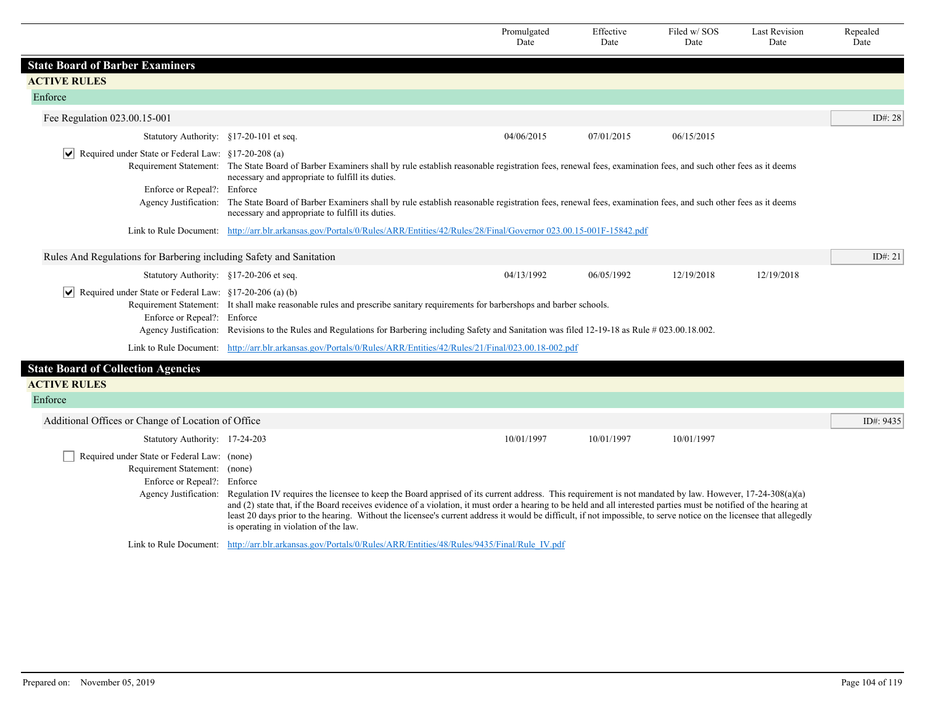|                                                                                                                                               |                                                                                                                                                                                                                                                                                                                                                                                                                                                                                                                                                                       | Promulgated<br>Date | Effective<br>Date | Filed w/ SOS<br>Date | Last Revision<br>Date | Repealed<br>Date |  |  |
|-----------------------------------------------------------------------------------------------------------------------------------------------|-----------------------------------------------------------------------------------------------------------------------------------------------------------------------------------------------------------------------------------------------------------------------------------------------------------------------------------------------------------------------------------------------------------------------------------------------------------------------------------------------------------------------------------------------------------------------|---------------------|-------------------|----------------------|-----------------------|------------------|--|--|
| <b>State Board of Barber Examiners</b>                                                                                                        |                                                                                                                                                                                                                                                                                                                                                                                                                                                                                                                                                                       |                     |                   |                      |                       |                  |  |  |
| <b>ACTIVE RULES</b>                                                                                                                           |                                                                                                                                                                                                                                                                                                                                                                                                                                                                                                                                                                       |                     |                   |                      |                       |                  |  |  |
| Enforce                                                                                                                                       |                                                                                                                                                                                                                                                                                                                                                                                                                                                                                                                                                                       |                     |                   |                      |                       |                  |  |  |
| Fee Regulation 023.00.15-001                                                                                                                  |                                                                                                                                                                                                                                                                                                                                                                                                                                                                                                                                                                       |                     |                   |                      |                       | ID#: 28          |  |  |
| Statutory Authority: §17-20-101 et seq.                                                                                                       |                                                                                                                                                                                                                                                                                                                                                                                                                                                                                                                                                                       | 04/06/2015          | 07/01/2015        | 06/15/2015           |                       |                  |  |  |
| ∣V∣<br>Required under State or Federal Law: §17-20-208 (a)                                                                                    | Requirement Statement: The State Board of Barber Examiners shall by rule establish reasonable registration fees, renewal fees, examination fees, and such other fees as it deems<br>necessary and appropriate to fulfill its duties.                                                                                                                                                                                                                                                                                                                                  |                     |                   |                      |                       |                  |  |  |
| Enforce or Repeal?: Enforce                                                                                                                   | Agency Justification: The State Board of Barber Examiners shall by rule establish reasonable registration fees, renewal fees, examination fees, and such other fees as it deems<br>necessary and appropriate to fulfill its duties.                                                                                                                                                                                                                                                                                                                                   |                     |                   |                      |                       |                  |  |  |
|                                                                                                                                               | Link to Rule Document: http://arr.blr.arkansas.gov/Portals/0/Rules/ARR/Entities/42/Rules/28/Final/Governor 023.00.15-001F-15842.pdf                                                                                                                                                                                                                                                                                                                                                                                                                                   |                     |                   |                      |                       |                  |  |  |
| Rules And Regulations for Barbering including Safety and Sanitation                                                                           |                                                                                                                                                                                                                                                                                                                                                                                                                                                                                                                                                                       |                     |                   |                      |                       | ID $\#$ : 21     |  |  |
| Statutory Authority: §17-20-206 et seq.                                                                                                       |                                                                                                                                                                                                                                                                                                                                                                                                                                                                                                                                                                       | 04/13/1992          | 06/05/1992        | 12/19/2018           | 12/19/2018            |                  |  |  |
| ∣V∣<br>Required under State or Federal Law: §17-20-206 (a) (b)<br>Enforce or Repeal?: Enforce                                                 | Requirement Statement: It shall make reasonable rules and prescribe sanitary requirements for barbershops and barber schools.<br>Agency Justification: Revisions to the Rules and Regulations for Barbering including Safety and Sanitation was filed 12-19-18 as Rule # 023.00.18.002.                                                                                                                                                                                                                                                                               |                     |                   |                      |                       |                  |  |  |
|                                                                                                                                               | Link to Rule Document: http://arr.blr.arkansas.gov/Portals/0/Rules/ARR/Entities/42/Rules/21/Final/023.00.18-002.pdf                                                                                                                                                                                                                                                                                                                                                                                                                                                   |                     |                   |                      |                       |                  |  |  |
| <b>State Board of Collection Agencies</b><br><b>ACTIVE RULES</b><br>Enforce                                                                   |                                                                                                                                                                                                                                                                                                                                                                                                                                                                                                                                                                       |                     |                   |                      |                       |                  |  |  |
| Additional Offices or Change of Location of Office                                                                                            |                                                                                                                                                                                                                                                                                                                                                                                                                                                                                                                                                                       |                     |                   |                      |                       | ID#: 9435        |  |  |
|                                                                                                                                               |                                                                                                                                                                                                                                                                                                                                                                                                                                                                                                                                                                       | 10/01/1997          | 10/01/1997        | 10/01/1997           |                       |                  |  |  |
| Statutory Authority: 17-24-203<br>Required under State or Federal Law: (none)<br>Requirement Statement: (none)<br>Enforce or Repeal?: Enforce | Agency Justification: Regulation IV requires the licensee to keep the Board apprised of its current address. This requirement is not mandated by law. However, 17-24-308(a)(a)<br>and (2) state that, if the Board receives evidence of a violation, it must order a hearing to be held and all interested parties must be notified of the hearing at<br>least 20 days prior to the hearing. Without the licensee's current address it would be difficult, if not impossible, to serve notice on the licensee that allegedly<br>is operating in violation of the law. |                     |                   |                      |                       |                  |  |  |
|                                                                                                                                               | Link to Rule Document: http://arr.blr.arkansas.gov/Portals/0/Rules/ARR/Entities/48/Rules/9435/Final/Rule IV.pdf                                                                                                                                                                                                                                                                                                                                                                                                                                                       |                     |                   |                      |                       |                  |  |  |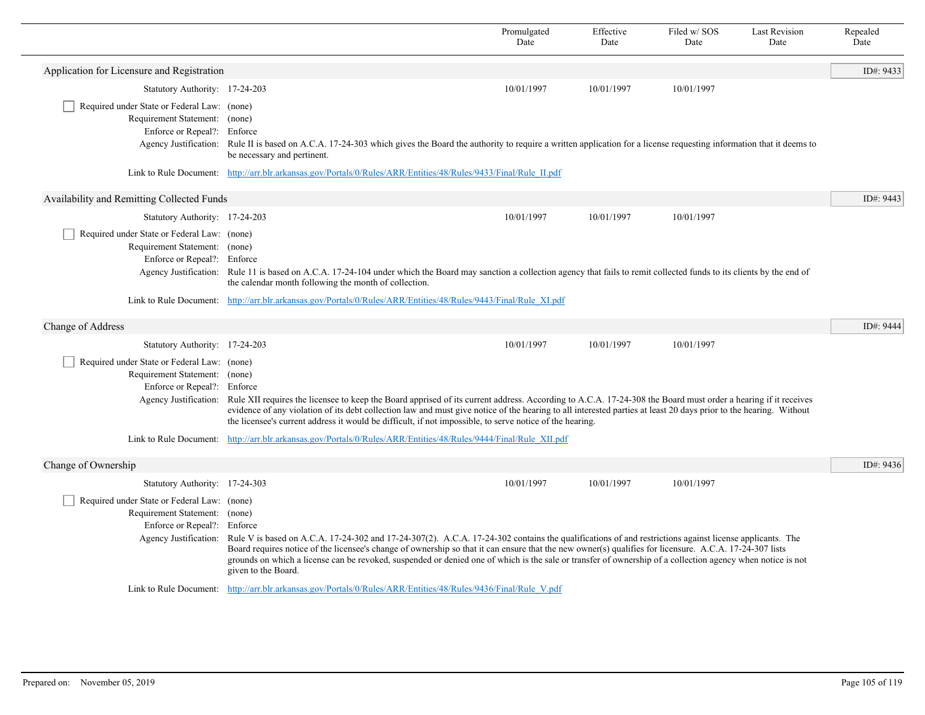|                                                                                                             |                                                                                                                                                                                                                                                                                                                                                                                                                                                                                                                                                                                                                                                | Promulgated<br>Date | Effective<br>Date | Filed w/SOS<br>Date | <b>Last Revision</b><br>Date | Repealed<br>Date |
|-------------------------------------------------------------------------------------------------------------|------------------------------------------------------------------------------------------------------------------------------------------------------------------------------------------------------------------------------------------------------------------------------------------------------------------------------------------------------------------------------------------------------------------------------------------------------------------------------------------------------------------------------------------------------------------------------------------------------------------------------------------------|---------------------|-------------------|---------------------|------------------------------|------------------|
| Application for Licensure and Registration                                                                  |                                                                                                                                                                                                                                                                                                                                                                                                                                                                                                                                                                                                                                                |                     |                   |                     |                              | ID#: 9433        |
| Statutory Authority: 17-24-203                                                                              |                                                                                                                                                                                                                                                                                                                                                                                                                                                                                                                                                                                                                                                | 10/01/1997          | 10/01/1997        | 10/01/1997          |                              |                  |
| Required under State or Federal Law: (none)<br>Requirement Statement: (none)<br>Enforce or Repeal?: Enforce | Agency Justification: Rule II is based on A.C.A. 17-24-303 which gives the Board the authority to require a written application for a license requesting information that it deems to<br>be necessary and pertinent.                                                                                                                                                                                                                                                                                                                                                                                                                           |                     |                   |                     |                              |                  |
|                                                                                                             | Link to Rule Document: http://arr.blr.arkansas.gov/Portals/0/Rules/ARR/Entities/48/Rules/9433/Final/Rule II.pdf                                                                                                                                                                                                                                                                                                                                                                                                                                                                                                                                |                     |                   |                     |                              |                  |
| Availability and Remitting Collected Funds                                                                  |                                                                                                                                                                                                                                                                                                                                                                                                                                                                                                                                                                                                                                                |                     |                   |                     |                              | ID#: 9443        |
| Statutory Authority: 17-24-203                                                                              |                                                                                                                                                                                                                                                                                                                                                                                                                                                                                                                                                                                                                                                | 10/01/1997          | 10/01/1997        | 10/01/1997          |                              |                  |
| Required under State or Federal Law: (none)<br>Requirement Statement: (none)<br>Enforce or Repeal?: Enforce | Agency Justification: Rule 11 is based on A.C.A. 17-24-104 under which the Board may sanction a collection agency that fails to remit collected funds to its clients by the end of<br>the calendar month following the month of collection.                                                                                                                                                                                                                                                                                                                                                                                                    |                     |                   |                     |                              |                  |
|                                                                                                             | Link to Rule Document: http://arr.blr.arkansas.gov/Portals/0/Rules/ARR/Entities/48/Rules/9443/Final/Rule XI.pdf                                                                                                                                                                                                                                                                                                                                                                                                                                                                                                                                |                     |                   |                     |                              |                  |
| Change of Address                                                                                           |                                                                                                                                                                                                                                                                                                                                                                                                                                                                                                                                                                                                                                                |                     |                   |                     |                              | ID#: 9444        |
| Statutory Authority: 17-24-203                                                                              |                                                                                                                                                                                                                                                                                                                                                                                                                                                                                                                                                                                                                                                | 10/01/1997          | 10/01/1997        | 10/01/1997          |                              |                  |
| Required under State or Federal Law: (none)<br>Requirement Statement: (none)<br>Enforce or Repeal?: Enforce | Agency Justification: Rule XII requires the licensee to keep the Board apprised of its current address. According to A.C.A. 17-24-308 the Board must order a hearing if it receives<br>evidence of any violation of its debt collection law and must give notice of the hearing to all interested parties at least 20 days prior to the hearing. Without<br>the licensee's current address it would be difficult, if not impossible, to serve notice of the hearing.                                                                                                                                                                           |                     |                   |                     |                              |                  |
|                                                                                                             | Link to Rule Document: http://arr.blr.arkansas.gov/Portals/0/Rules/ARR/Entities/48/Rules/9444/Final/Rule XII.pdf                                                                                                                                                                                                                                                                                                                                                                                                                                                                                                                               |                     |                   |                     |                              |                  |
| Change of Ownership                                                                                         |                                                                                                                                                                                                                                                                                                                                                                                                                                                                                                                                                                                                                                                |                     |                   |                     |                              | ID#: 9436        |
| Statutory Authority: 17-24-303                                                                              |                                                                                                                                                                                                                                                                                                                                                                                                                                                                                                                                                                                                                                                | 10/01/1997          | 10/01/1997        | 10/01/1997          |                              |                  |
| Required under State or Federal Law: (none)<br>Requirement Statement: (none)<br>Enforce or Repeal?: Enforce | Agency Justification: Rule V is based on A.C.A. 17-24-302 and 17-24-307(2). A.C.A. 17-24-302 contains the qualifications of and restrictions against license applicants. The<br>Board requires notice of the licensee's change of ownership so that it can ensure that the new owner(s) qualifies for licensure. A.C.A. 17-24-307 lists<br>grounds on which a license can be revoked, suspended or denied one of which is the sale or transfer of ownership of a collection agency when notice is not<br>given to the Board.<br>Link to Rule Document: http://arr.blr.arkansas.gov/Portals/0/Rules/ARR/Entities/48/Rules/9436/Final/Rule V.pdf |                     |                   |                     |                              |                  |
|                                                                                                             |                                                                                                                                                                                                                                                                                                                                                                                                                                                                                                                                                                                                                                                |                     |                   |                     |                              |                  |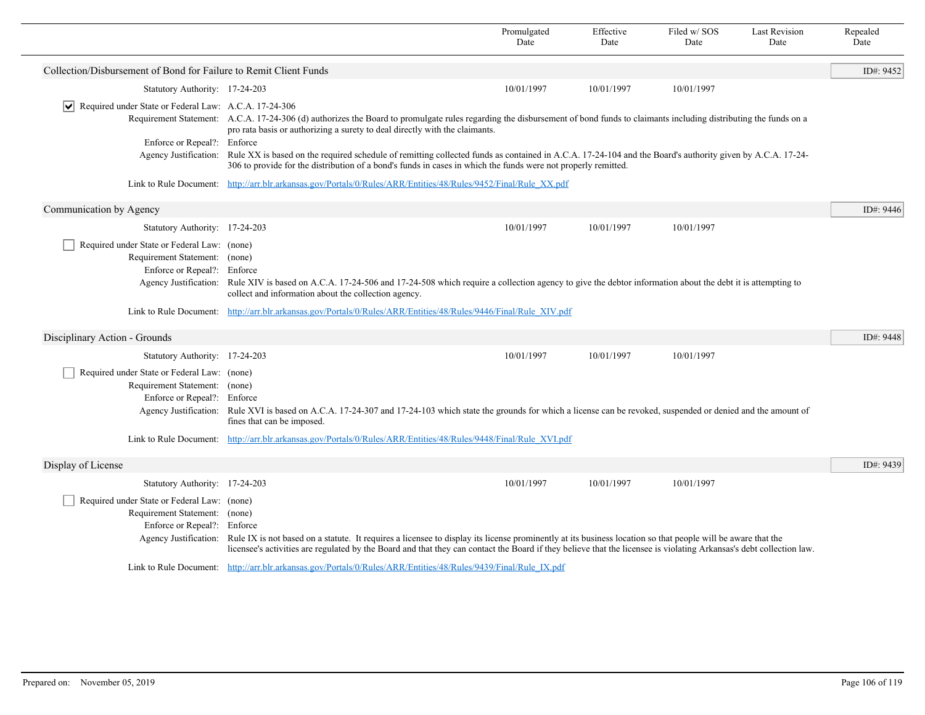|                                                                                                                                      |                                                                                                                                                                                                                                                                                                                                                          | Promulgated<br>Date | Effective<br>Date | Filed w/SOS<br>Date | <b>Last Revision</b><br>Date | Repealed<br>Date |
|--------------------------------------------------------------------------------------------------------------------------------------|----------------------------------------------------------------------------------------------------------------------------------------------------------------------------------------------------------------------------------------------------------------------------------------------------------------------------------------------------------|---------------------|-------------------|---------------------|------------------------------|------------------|
| Collection/Disbursement of Bond for Failure to Remit Client Funds                                                                    |                                                                                                                                                                                                                                                                                                                                                          |                     |                   |                     |                              | ID#: 9452        |
| Statutory Authority: 17-24-203                                                                                                       |                                                                                                                                                                                                                                                                                                                                                          | 10/01/1997          | 10/01/1997        | 10/01/1997          |                              |                  |
| $ \mathbf{v} $ Required under State or Federal Law: A.C.A. 17-24-306                                                                 |                                                                                                                                                                                                                                                                                                                                                          |                     |                   |                     |                              |                  |
|                                                                                                                                      | Requirement Statement: A.C.A. 17-24-306 (d) authorizes the Board to promulgate rules regarding the disbursement of bond funds to claimants including distributing the funds on a<br>pro rata basis or authorizing a surety to deal directly with the claimants.                                                                                          |                     |                   |                     |                              |                  |
| Enforce or Repeal?: Enforce<br>Agency Justification:                                                                                 | Rule XX is based on the required schedule of remitting collected funds as contained in A.C.A. 17-24-104 and the Board's authority given by A.C.A. 17-24-                                                                                                                                                                                                 |                     |                   |                     |                              |                  |
|                                                                                                                                      | 306 to provide for the distribution of a bond's funds in cases in which the funds were not properly remitted.                                                                                                                                                                                                                                            |                     |                   |                     |                              |                  |
|                                                                                                                                      | Link to Rule Document: http://arr.blr.arkansas.gov/Portals/0/Rules/ARR/Entities/48/Rules/9452/Final/Rule XX.pdf                                                                                                                                                                                                                                          |                     |                   |                     |                              |                  |
| Communication by Agency                                                                                                              |                                                                                                                                                                                                                                                                                                                                                          |                     |                   |                     |                              | ID#: 9446        |
| Statutory Authority: 17-24-203                                                                                                       |                                                                                                                                                                                                                                                                                                                                                          | 10/01/1997          | 10/01/1997        | 10/01/1997          |                              |                  |
| Required under State or Federal Law: (none)<br>Requirement Statement: (none)<br>Enforce or Repeal?:                                  | Enforce<br>Agency Justification: Rule XIV is based on A.C.A. 17-24-506 and 17-24-508 which require a collection agency to give the debtor information about the debt it is attempting to<br>collect and information about the collection agency.                                                                                                         |                     |                   |                     |                              |                  |
|                                                                                                                                      | Link to Rule Document: http://arr.blr.arkansas.gov/Portals/0/Rules/ARR/Entities/48/Rules/9446/Final/Rule XIV.pdf                                                                                                                                                                                                                                         |                     |                   |                     |                              |                  |
| Disciplinary Action - Grounds                                                                                                        |                                                                                                                                                                                                                                                                                                                                                          |                     |                   |                     |                              | ID#: 9448        |
| Statutory Authority: 17-24-203                                                                                                       |                                                                                                                                                                                                                                                                                                                                                          | 10/01/1997          | 10/01/1997        | 10/01/1997          |                              |                  |
| Required under State or Federal Law: (none)<br>Requirement Statement: (none)<br>Enforce or Repeal?: Enforce<br>Agency Justification: | Rule XVI is based on A.C.A. 17-24-307 and 17-24-103 which state the grounds for which a license can be revoked, suspended or denied and the amount of<br>fines that can be imposed.                                                                                                                                                                      |                     |                   |                     |                              |                  |
|                                                                                                                                      | Link to Rule Document: http://arr.blr.arkansas.gov/Portals/0/Rules/ARR/Entities/48/Rules/9448/Final/Rule XVI.pdf                                                                                                                                                                                                                                         |                     |                   |                     |                              |                  |
| Display of License                                                                                                                   |                                                                                                                                                                                                                                                                                                                                                          |                     |                   |                     |                              | ID#: 9439        |
| Statutory Authority: 17-24-203                                                                                                       |                                                                                                                                                                                                                                                                                                                                                          | 10/01/1997          | 10/01/1997        | 10/01/1997          |                              |                  |
| Required under State or Federal Law: (none)<br>Requirement Statement: (none)<br>Enforce or Repeal?: Enforce                          | Agency Justification: Rule IX is not based on a statute. It requires a licensee to display its license prominently at its business location so that people will be aware that the<br>licensee's activities are regulated by the Board and that they can contact the Board if they believe that the licensee is violating Arkansas's debt collection law. |                     |                   |                     |                              |                  |
|                                                                                                                                      | Link to Rule Document: http://arr.blr.arkansas.gov/Portals/0/Rules/ARR/Entities/48/Rules/9439/Final/Rule IX.pdf                                                                                                                                                                                                                                          |                     |                   |                     |                              |                  |
|                                                                                                                                      |                                                                                                                                                                                                                                                                                                                                                          |                     |                   |                     |                              |                  |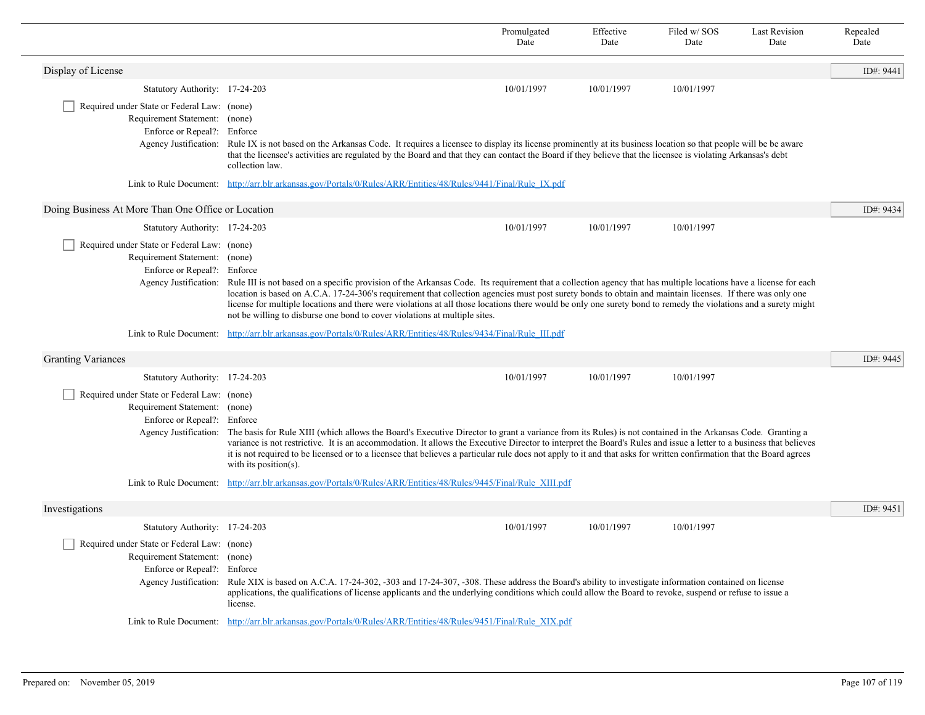|                                                                                                             |                                                                                                                                                                                                                                                                                                                                                                                                                                                                                                                                                                                                       | Promulgated<br>Date | Effective<br>Date | Filed w/SOS<br>Date | <b>Last Revision</b><br>Date | Repealed<br>Date |
|-------------------------------------------------------------------------------------------------------------|-------------------------------------------------------------------------------------------------------------------------------------------------------------------------------------------------------------------------------------------------------------------------------------------------------------------------------------------------------------------------------------------------------------------------------------------------------------------------------------------------------------------------------------------------------------------------------------------------------|---------------------|-------------------|---------------------|------------------------------|------------------|
| Display of License                                                                                          |                                                                                                                                                                                                                                                                                                                                                                                                                                                                                                                                                                                                       |                     |                   |                     |                              | ID#: 9441        |
| Statutory Authority: 17-24-203                                                                              |                                                                                                                                                                                                                                                                                                                                                                                                                                                                                                                                                                                                       | 10/01/1997          | 10/01/1997        | 10/01/1997          |                              |                  |
| Required under State or Federal Law: (none)<br>Requirement Statement: (none)<br>Enforce or Repeal?: Enforce | Agency Justification: Rule IX is not based on the Arkansas Code. It requires a licensee to display its license prominently at its business location so that people will be be aware<br>that the licensee's activities are regulated by the Board and that they can contact the Board if they believe that the licensee is violating Arkansas's debt<br>collection law.                                                                                                                                                                                                                                |                     |                   |                     |                              |                  |
|                                                                                                             | Link to Rule Document: http://arr.blr.arkansas.gov/Portals/0/Rules/ARR/Entities/48/Rules/9441/Final/Rule IX.pdf                                                                                                                                                                                                                                                                                                                                                                                                                                                                                       |                     |                   |                     |                              |                  |
| Doing Business At More Than One Office or Location                                                          |                                                                                                                                                                                                                                                                                                                                                                                                                                                                                                                                                                                                       |                     |                   |                     |                              | ID#: 9434        |
| Statutory Authority: 17-24-203                                                                              |                                                                                                                                                                                                                                                                                                                                                                                                                                                                                                                                                                                                       | 10/01/1997          | 10/01/1997        | 10/01/1997          |                              |                  |
| Required under State or Federal Law: (none)<br>Requirement Statement: (none)<br>Enforce or Repeal?: Enforce | Agency Justification: Rule III is not based on a specific provision of the Arkansas Code. Its requirement that a collection agency that has multiple locations have a license for each<br>location is based on A.C.A. 17-24-306's requirement that collection agencies must post surety bonds to obtain and maintain licenses. If there was only one<br>license for multiple locations and there were violations at all those locations there would be only one surety bond to remedy the violations and a surety might<br>not be willing to disburse one bond to cover violations at multiple sites. |                     |                   |                     |                              |                  |
|                                                                                                             | Link to Rule Document: http://arr.blr.arkansas.gov/Portals/0/Rules/ARR/Entities/48/Rules/9434/Final/Rule III.pdf                                                                                                                                                                                                                                                                                                                                                                                                                                                                                      |                     |                   |                     |                              |                  |
| <b>Granting Variances</b>                                                                                   |                                                                                                                                                                                                                                                                                                                                                                                                                                                                                                                                                                                                       |                     |                   |                     |                              | ID#: 9445        |
| Statutory Authority: 17-24-203                                                                              |                                                                                                                                                                                                                                                                                                                                                                                                                                                                                                                                                                                                       | 10/01/1997          | 10/01/1997        | 10/01/1997          |                              |                  |
| Required under State or Federal Law: (none)<br>Requirement Statement: (none)<br>Enforce or Repeal?: Enforce | Agency Justification: The basis for Rule XIII (which allows the Board's Executive Director to grant a variance from its Rules) is not contained in the Arkansas Code. Granting a<br>variance is not restrictive. It is an accommodation. It allows the Executive Director to interpret the Board's Rules and issue a letter to a business that believes<br>it is not required to be licensed or to a licensee that believes a particular rule does not apply to it and that asks for written confirmation that the Board agrees<br>with its position( $s$ ).                                          |                     |                   |                     |                              |                  |
|                                                                                                             | Link to Rule Document: http://arr.blr.arkansas.gov/Portals/0/Rules/ARR/Entities/48/Rules/9445/Final/Rule XIII.pdf                                                                                                                                                                                                                                                                                                                                                                                                                                                                                     |                     |                   |                     |                              |                  |
| Investigations                                                                                              |                                                                                                                                                                                                                                                                                                                                                                                                                                                                                                                                                                                                       |                     |                   |                     |                              | ID#: 9451        |
| Statutory Authority: 17-24-203                                                                              |                                                                                                                                                                                                                                                                                                                                                                                                                                                                                                                                                                                                       | 10/01/1997          | 10/01/1997        | 10/01/1997          |                              |                  |
| Required under State or Federal Law: (none)<br>Requirement Statement: (none)<br>Enforce or Repeal?: Enforce | Agency Justification: Rule XIX is based on A.C.A. 17-24-302, -303 and 17-24-307, -308. These address the Board's ability to investigate information contained on license<br>applications, the qualifications of license applicants and the underlying conditions which could allow the Board to revoke, suspend or refuse to issue a<br>license.                                                                                                                                                                                                                                                      |                     |                   |                     |                              |                  |
|                                                                                                             | Link to Rule Document: http://arr.blr.arkansas.gov/Portals/0/Rules/ARR/Entities/48/Rules/9451/Final/Rule XIX.pdf                                                                                                                                                                                                                                                                                                                                                                                                                                                                                      |                     |                   |                     |                              |                  |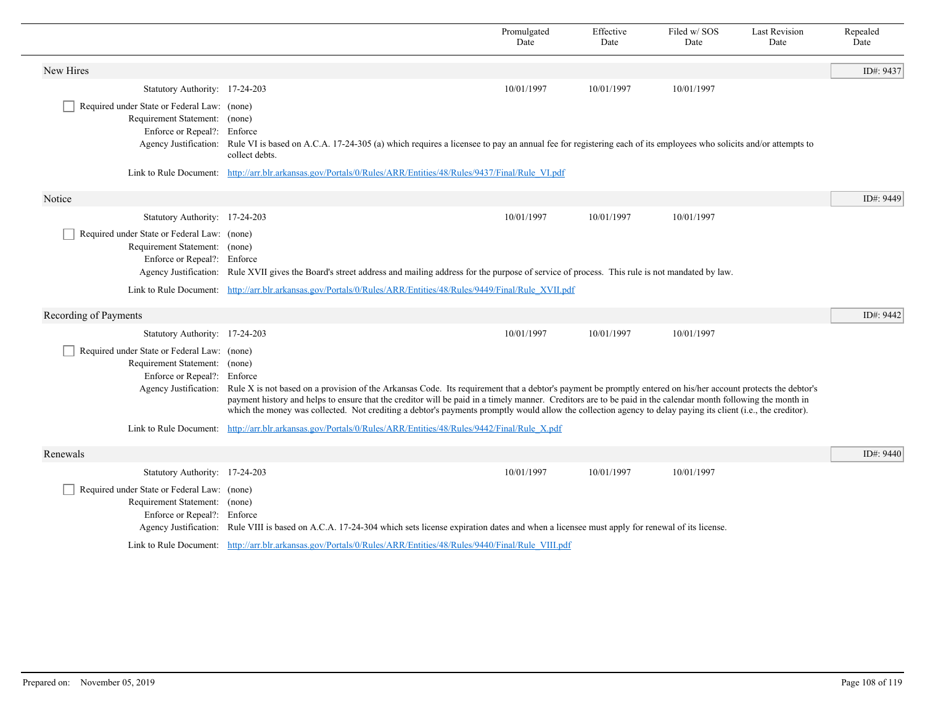|                                                                                                             |                                                                                                                                                                                                                                                                                                                                                                                                                                                                                                                     | Promulgated<br>Date | Effective<br>Date | Filed w/SOS<br>Date | <b>Last Revision</b><br>Date | Repealed<br>Date |
|-------------------------------------------------------------------------------------------------------------|---------------------------------------------------------------------------------------------------------------------------------------------------------------------------------------------------------------------------------------------------------------------------------------------------------------------------------------------------------------------------------------------------------------------------------------------------------------------------------------------------------------------|---------------------|-------------------|---------------------|------------------------------|------------------|
| New Hires                                                                                                   |                                                                                                                                                                                                                                                                                                                                                                                                                                                                                                                     |                     |                   |                     |                              | ID#: 9437        |
| Statutory Authority: 17-24-203                                                                              |                                                                                                                                                                                                                                                                                                                                                                                                                                                                                                                     | 10/01/1997          | 10/01/1997        | 10/01/1997          |                              |                  |
| Required under State or Federal Law: (none)<br>Requirement Statement: (none)<br>Enforce or Repeal?: Enforce | Agency Justification: Rule VI is based on A.C.A. 17-24-305 (a) which requires a licensee to pay an annual fee for registering each of its employees who solicits and/or attempts to<br>collect debts.                                                                                                                                                                                                                                                                                                               |                     |                   |                     |                              |                  |
|                                                                                                             | Link to Rule Document: http://arr.blr.arkansas.gov/Portals/0/Rules/ARR/Entities/48/Rules/9437/Final/Rule VI.pdf                                                                                                                                                                                                                                                                                                                                                                                                     |                     |                   |                     |                              |                  |
| Notice                                                                                                      |                                                                                                                                                                                                                                                                                                                                                                                                                                                                                                                     |                     |                   |                     |                              | ID#: 9449        |
| Statutory Authority: 17-24-203                                                                              |                                                                                                                                                                                                                                                                                                                                                                                                                                                                                                                     | 10/01/1997          | 10/01/1997        | 10/01/1997          |                              |                  |
| Required under State or Federal Law: (none)<br>Requirement Statement: (none)<br>Enforce or Repeal?: Enforce | Agency Justification: Rule XVII gives the Board's street address and mailing address for the purpose of service of process. This rule is not mandated by law.                                                                                                                                                                                                                                                                                                                                                       |                     |                   |                     |                              |                  |
|                                                                                                             | Link to Rule Document: http://arr.blr.arkansas.gov/Portals/0/Rules/ARR/Entities/48/Rules/9449/Final/Rule XVII.pdf                                                                                                                                                                                                                                                                                                                                                                                                   |                     |                   |                     |                              |                  |
| Recording of Payments                                                                                       |                                                                                                                                                                                                                                                                                                                                                                                                                                                                                                                     |                     |                   |                     |                              | ID#: 9442        |
| Statutory Authority: 17-24-203                                                                              |                                                                                                                                                                                                                                                                                                                                                                                                                                                                                                                     | 10/01/1997          | 10/01/1997        | 10/01/1997          |                              |                  |
| Required under State or Federal Law: (none)<br>Requirement Statement: (none)<br>Enforce or Repeal?: Enforce | Agency Justification: Rule X is not based on a provision of the Arkansas Code. Its requirement that a debtor's payment be promptly entered on his/her account protects the debtor's<br>payment history and helps to ensure that the creditor will be paid in a timely manner. Creditors are to be paid in the calendar month following the month in<br>which the money was collected. Not crediting a debtor's payments promptly would allow the collection agency to delay paying its client (i.e., the creditor). |                     |                   |                     |                              |                  |
|                                                                                                             | Link to Rule Document: http://arr.blr.arkansas.gov/Portals/0/Rules/ARR/Entities/48/Rules/9442/Final/Rule X.pdf                                                                                                                                                                                                                                                                                                                                                                                                      |                     |                   |                     |                              |                  |
| Renewals                                                                                                    |                                                                                                                                                                                                                                                                                                                                                                                                                                                                                                                     |                     |                   |                     |                              | ID#: 9440        |
| Statutory Authority: 17-24-203                                                                              |                                                                                                                                                                                                                                                                                                                                                                                                                                                                                                                     | 10/01/1997          | 10/01/1997        | 10/01/1997          |                              |                  |
| Required under State or Federal Law: (none)<br>Requirement Statement: (none)<br>Enforce or Repeal?: Enforce | Agency Justification: Rule VIII is based on A.C.A. 17-24-304 which sets license expiration dates and when a licensee must apply for renewal of its license.                                                                                                                                                                                                                                                                                                                                                         |                     |                   |                     |                              |                  |
|                                                                                                             | Link to Rule Document: http://arr.blr.arkansas.gov/Portals/0/Rules/ARR/Entities/48/Rules/9440/Final/Rule VIII.pdf                                                                                                                                                                                                                                                                                                                                                                                                   |                     |                   |                     |                              |                  |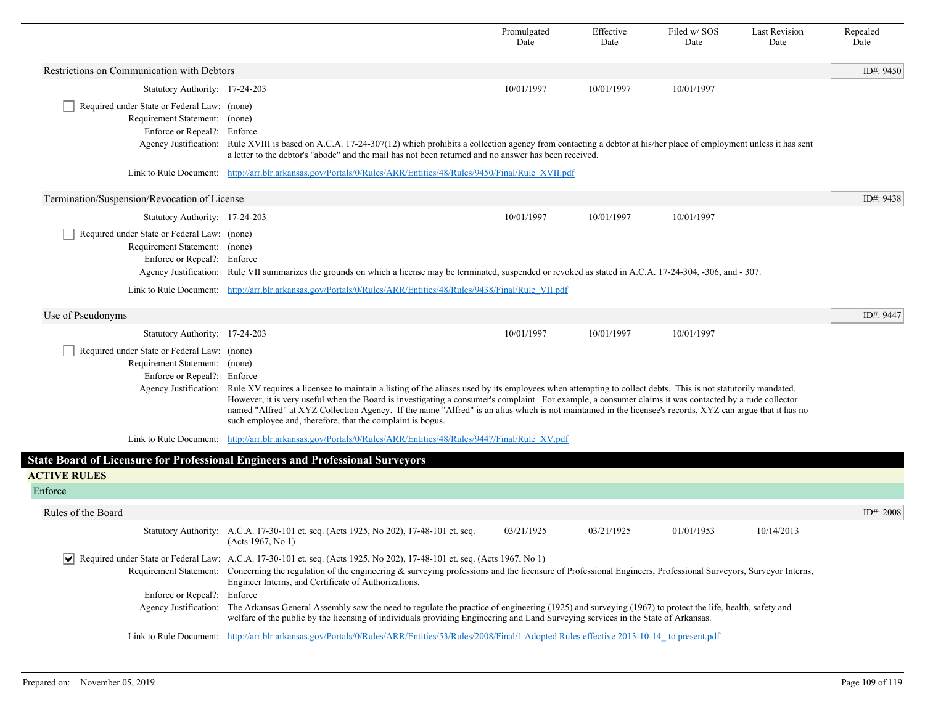|                                                                                                             |                                                                                                                                                                                                                                                                                                                                                                                                                                                                                                                                                                       | Promulgated<br>Date | Effective<br>Date | Filed w/ SOS<br>Date | <b>Last Revision</b><br>Date | Repealed<br>Date |
|-------------------------------------------------------------------------------------------------------------|-----------------------------------------------------------------------------------------------------------------------------------------------------------------------------------------------------------------------------------------------------------------------------------------------------------------------------------------------------------------------------------------------------------------------------------------------------------------------------------------------------------------------------------------------------------------------|---------------------|-------------------|----------------------|------------------------------|------------------|
| Restrictions on Communication with Debtors                                                                  |                                                                                                                                                                                                                                                                                                                                                                                                                                                                                                                                                                       |                     |                   |                      |                              | ID#: 9450        |
| Statutory Authority: 17-24-203                                                                              |                                                                                                                                                                                                                                                                                                                                                                                                                                                                                                                                                                       | 10/01/1997          | 10/01/1997        | 10/01/1997           |                              |                  |
| Required under State or Federal Law: (none)<br>Requirement Statement: (none)<br>Enforce or Repeal?: Enforce | Agency Justification: Rule XVIII is based on A.C.A. 17-24-307(12) which prohibits a collection agency from contacting a debtor at his/her place of employment unless it has sent<br>a letter to the debtor's "abode" and the mail has not been returned and no answer has been received.                                                                                                                                                                                                                                                                              |                     |                   |                      |                              |                  |
|                                                                                                             | Link to Rule Document: http://arr.blr.arkansas.gov/Portals/0/Rules/ARR/Entities/48/Rules/9450/Final/Rule XVII.pdf                                                                                                                                                                                                                                                                                                                                                                                                                                                     |                     |                   |                      |                              |                  |
| Termination/Suspension/Revocation of License                                                                |                                                                                                                                                                                                                                                                                                                                                                                                                                                                                                                                                                       |                     |                   |                      |                              | ID#: $9438$      |
| Statutory Authority: 17-24-203                                                                              |                                                                                                                                                                                                                                                                                                                                                                                                                                                                                                                                                                       | 10/01/1997          | 10/01/1997        | 10/01/1997           |                              |                  |
| Required under State or Federal Law: (none)<br>Requirement Statement: (none)<br>Enforce or Repeal?: Enforce | Agency Justification: Rule VII summarizes the grounds on which a license may be terminated, suspended or revoked as stated in A.C.A. 17-24-304, -306, and - 307.                                                                                                                                                                                                                                                                                                                                                                                                      |                     |                   |                      |                              |                  |
|                                                                                                             | Link to Rule Document: http://arr.blr.arkansas.gov/Portals/0/Rules/ARR/Entities/48/Rules/9438/Final/Rule VII.pdf                                                                                                                                                                                                                                                                                                                                                                                                                                                      |                     |                   |                      |                              |                  |
| Use of Pseudonyms                                                                                           |                                                                                                                                                                                                                                                                                                                                                                                                                                                                                                                                                                       |                     |                   |                      |                              | ID#: 9447        |
| Statutory Authority: 17-24-203                                                                              |                                                                                                                                                                                                                                                                                                                                                                                                                                                                                                                                                                       | 10/01/1997          | 10/01/1997        | 10/01/1997           |                              |                  |
| Required under State or Federal Law: (none)<br>Requirement Statement: (none)<br>Enforce or Repeal?: Enforce | Agency Justification: Rule XV requires a licensee to maintain a listing of the aliases used by its employees when attempting to collect debts. This is not statutorily mandated.<br>However, it is very useful when the Board is investigating a consumer's complaint. For example, a consumer claims it was contacted by a rude collector<br>named "Alfred" at XYZ Collection Agency. If the name "Alfred" is an alias which is not maintained in the licensee's records, XYZ can argue that it has no<br>such employee and, therefore, that the complaint is bogus. |                     |                   |                      |                              |                  |
|                                                                                                             | Link to Rule Document: http://arr.blr.arkansas.gov/Portals/0/Rules/ARR/Entities/48/Rules/9447/Final/Rule XV.pdf                                                                                                                                                                                                                                                                                                                                                                                                                                                       |                     |                   |                      |                              |                  |
|                                                                                                             | <b>State Board of Licensure for Professional Engineers and Professional Surveyors</b>                                                                                                                                                                                                                                                                                                                                                                                                                                                                                 |                     |                   |                      |                              |                  |
| <b>ACTIVE RULES</b>                                                                                         |                                                                                                                                                                                                                                                                                                                                                                                                                                                                                                                                                                       |                     |                   |                      |                              |                  |
| Enforce                                                                                                     |                                                                                                                                                                                                                                                                                                                                                                                                                                                                                                                                                                       |                     |                   |                      |                              |                  |
| Rules of the Board                                                                                          |                                                                                                                                                                                                                                                                                                                                                                                                                                                                                                                                                                       |                     |                   |                      |                              | ID#: 2008        |
|                                                                                                             | Statutory Authority: A.C.A. 17-30-101 et. seq. (Acts 1925, No 202), 17-48-101 et. seq.<br>(Acts 1967, No 1)                                                                                                                                                                                                                                                                                                                                                                                                                                                           | 03/21/1925          | 03/21/1925        | 01/01/1953           | 10/14/2013                   |                  |
|                                                                                                             | Required under State or Federal Law: A.C.A. 17-30-101 et. seq. (Acts 1925, No 202), 17-48-101 et. seq. (Acts 1967, No 1)<br>Requirement Statement: Concerning the regulation of the engineering & surveying professions and the licensure of Professional Engineers, Professional Surveyors, Surveyor Interns,<br>Engineer Interns, and Certificate of Authorizations.                                                                                                                                                                                                |                     |                   |                      |                              |                  |
| Enforce or Repeal?: Enforce                                                                                 |                                                                                                                                                                                                                                                                                                                                                                                                                                                                                                                                                                       |                     |                   |                      |                              |                  |
|                                                                                                             | Agency Justification: The Arkansas General Assembly saw the need to regulate the practice of engineering (1925) and surveying (1967) to protect the life, health, safety and<br>welfare of the public by the licensing of individuals providing Engineering and Land Surveying services in the State of Arkansas.                                                                                                                                                                                                                                                     |                     |                   |                      |                              |                  |
|                                                                                                             | Link to Rule Document: http://arr.blr.arkansas.gov/Portals/0/Rules/ARR/Entities/53/Rules/2008/Final/1 Adopted Rules effective 2013-10-14 to present.pdf                                                                                                                                                                                                                                                                                                                                                                                                               |                     |                   |                      |                              |                  |

Г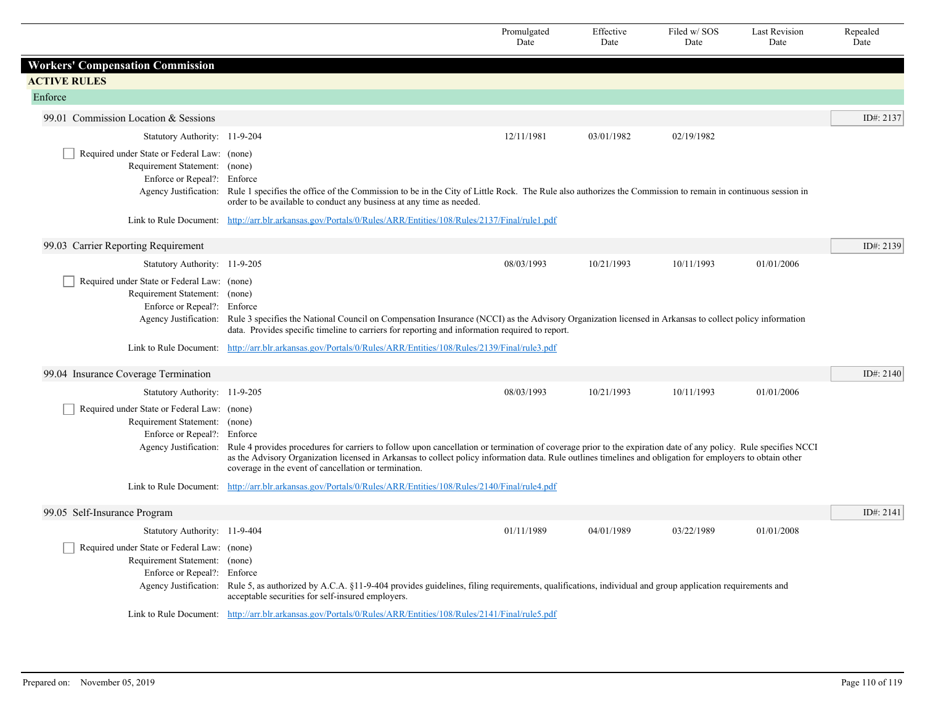|                                                                                                             |                                                                                                                                                                                                                                                                                                                                                                                                             | Promulgated<br>Date | Effective<br>Date | Filed w/SOS<br>Date | <b>Last Revision</b><br>Date | Repealed<br>Date |
|-------------------------------------------------------------------------------------------------------------|-------------------------------------------------------------------------------------------------------------------------------------------------------------------------------------------------------------------------------------------------------------------------------------------------------------------------------------------------------------------------------------------------------------|---------------------|-------------------|---------------------|------------------------------|------------------|
| <b>Workers' Compensation Commission</b>                                                                     |                                                                                                                                                                                                                                                                                                                                                                                                             |                     |                   |                     |                              |                  |
| <b>ACTIVE RULES</b>                                                                                         |                                                                                                                                                                                                                                                                                                                                                                                                             |                     |                   |                     |                              |                  |
| Enforce                                                                                                     |                                                                                                                                                                                                                                                                                                                                                                                                             |                     |                   |                     |                              |                  |
| 99.01 Commission Location & Sessions                                                                        |                                                                                                                                                                                                                                                                                                                                                                                                             |                     |                   |                     |                              | ID#: 2137        |
| Statutory Authority: 11-9-204                                                                               |                                                                                                                                                                                                                                                                                                                                                                                                             | 12/11/1981          | 03/01/1982        | 02/19/1982          |                              |                  |
| Required under State or Federal Law: (none)<br>Requirement Statement: (none)<br>Enforce or Repeal?: Enforce | Agency Justification: Rule 1 specifies the office of the Commission to be in the City of Little Rock. The Rule also authorizes the Commission to remain in continuous session in<br>order to be available to conduct any business at any time as needed.                                                                                                                                                    |                     |                   |                     |                              |                  |
|                                                                                                             | Link to Rule Document: http://arr.blr.arkansas.gov/Portals/0/Rules/ARR/Entities/108/Rules/2137/Final/rule1.pdf                                                                                                                                                                                                                                                                                              |                     |                   |                     |                              |                  |
| 99.03 Carrier Reporting Requirement                                                                         |                                                                                                                                                                                                                                                                                                                                                                                                             |                     |                   |                     |                              | ID#: 2139        |
| Statutory Authority: 11-9-205                                                                               |                                                                                                                                                                                                                                                                                                                                                                                                             | 08/03/1993          | 10/21/1993        | 10/11/1993          | 01/01/2006                   |                  |
| Required under State or Federal Law: (none)<br>Requirement Statement: (none)<br>Enforce or Repeal?: Enforce | Agency Justification: Rule 3 specifies the National Council on Compensation Insurance (NCCI) as the Advisory Organization licensed in Arkansas to collect policy information<br>data. Provides specific timeline to carriers for reporting and information required to report.                                                                                                                              |                     |                   |                     |                              |                  |
|                                                                                                             | Link to Rule Document: http://arr.blr.arkansas.gov/Portals/0/Rules/ARR/Entities/108/Rules/2139/Final/rule3.pdf                                                                                                                                                                                                                                                                                              |                     |                   |                     |                              |                  |
| 99.04 Insurance Coverage Termination                                                                        |                                                                                                                                                                                                                                                                                                                                                                                                             |                     |                   |                     |                              | ID#: 2140        |
| Statutory Authority: 11-9-205                                                                               |                                                                                                                                                                                                                                                                                                                                                                                                             | 08/03/1993          | 10/21/1993        | 10/11/1993          | 01/01/2006                   |                  |
| Required under State or Federal Law: (none)<br>Requirement Statement: (none)<br>Enforce or Repeal?: Enforce | Agency Justification: Rule 4 provides procedures for carriers to follow upon cancellation or termination of coverage prior to the expiration date of any policy. Rule specifies NCCI<br>as the Advisory Organization licensed in Arkansas to collect policy information data. Rule outlines timelines and obligation for employers to obtain other<br>coverage in the event of cancellation or termination. |                     |                   |                     |                              |                  |
|                                                                                                             | Link to Rule Document: http://arr.blr.arkansas.gov/Portals/0/Rules/ARR/Entities/108/Rules/2140/Final/rule4.pdf                                                                                                                                                                                                                                                                                              |                     |                   |                     |                              |                  |
| 99.05 Self-Insurance Program                                                                                |                                                                                                                                                                                                                                                                                                                                                                                                             |                     |                   |                     |                              | ID#: 2141        |
| Statutory Authority: 11-9-404                                                                               |                                                                                                                                                                                                                                                                                                                                                                                                             | 01/11/1989          | 04/01/1989        | 03/22/1989          | 01/01/2008                   |                  |
| Required under State or Federal Law: (none)<br>Requirement Statement: (none)<br>Enforce or Repeal?: Enforce | Agency Justification: Rule 5, as authorized by A.C.A. §11-9-404 provides guidelines, filing requirements, qualifications, individual and group application requirements and<br>acceptable securities for self-insured employers.                                                                                                                                                                            |                     |                   |                     |                              |                  |
|                                                                                                             | Link to Rule Document: http://arr.blr.arkansas.gov/Portals/0/Rules/ARR/Entities/108/Rules/2141/Final/rule5.pdf                                                                                                                                                                                                                                                                                              |                     |                   |                     |                              |                  |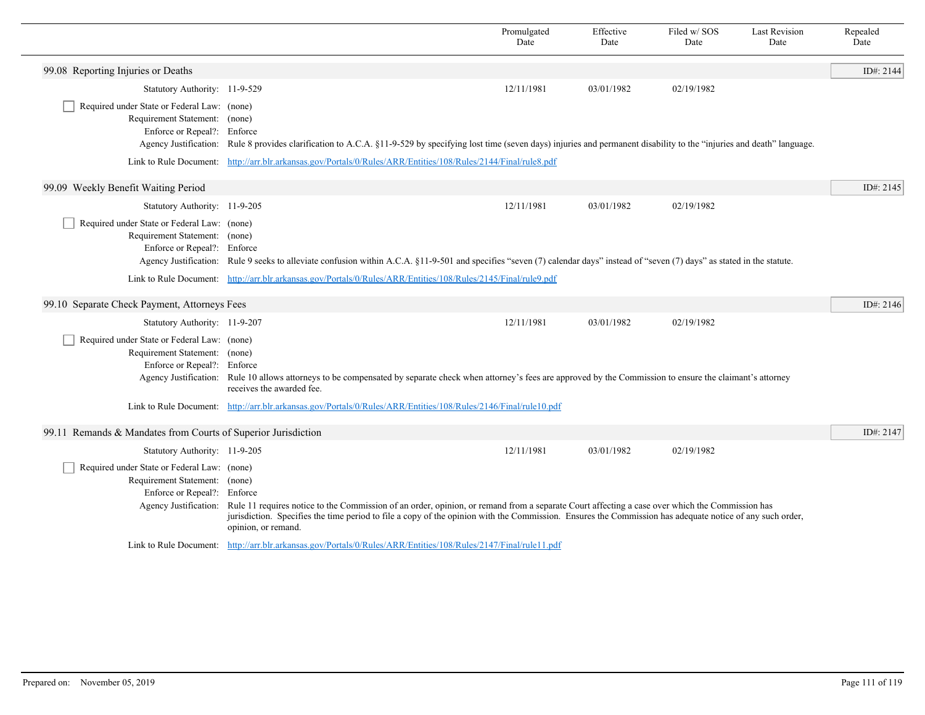|                                                                                                                                      |                                                                                                                                                                                                                                                                                                                                   | Promulgated<br>Date | Effective<br>Date | Filed w/ SOS<br>Date | <b>Last Revision</b><br>Date | Repealed<br>Date |
|--------------------------------------------------------------------------------------------------------------------------------------|-----------------------------------------------------------------------------------------------------------------------------------------------------------------------------------------------------------------------------------------------------------------------------------------------------------------------------------|---------------------|-------------------|----------------------|------------------------------|------------------|
| 99.08 Reporting Injuries or Deaths                                                                                                   |                                                                                                                                                                                                                                                                                                                                   |                     |                   |                      |                              | ID#: 2144        |
| Statutory Authority: 11-9-529                                                                                                        |                                                                                                                                                                                                                                                                                                                                   | 12/11/1981          | 03/01/1982        | 02/19/1982           |                              |                  |
| Required under State or Federal Law: (none)<br>Requirement Statement: (none)<br>Enforce or Repeal?: Enforce                          | Agency Justification: Rule 8 provides clarification to A.C.A. §11-9-529 by specifying lost time (seven days) injuries and permanent disability to the "injuries and death" language.                                                                                                                                              |                     |                   |                      |                              |                  |
|                                                                                                                                      | Link to Rule Document: http://arr.blr.arkansas.gov/Portals/0/Rules/ARR/Entities/108/Rules/2144/Final/rule8.pdf                                                                                                                                                                                                                    |                     |                   |                      |                              |                  |
| 99.09 Weekly Benefit Waiting Period                                                                                                  |                                                                                                                                                                                                                                                                                                                                   |                     |                   |                      |                              | ID#: $2145$      |
| Statutory Authority: 11-9-205                                                                                                        |                                                                                                                                                                                                                                                                                                                                   | 12/11/1981          | 03/01/1982        | 02/19/1982           |                              |                  |
| Required under State or Federal Law: (none)<br>Requirement Statement: (none)<br>Enforce or Repeal?: Enforce                          | Agency Justification: Rule 9 seeks to alleviate confusion within A.C.A. §11-9-501 and specifies "seven (7) calendar days" instead of "seven (7) days" as stated in the statute.                                                                                                                                                   |                     |                   |                      |                              |                  |
|                                                                                                                                      | Link to Rule Document: http://arr.blr.arkansas.gov/Portals/0/Rules/ARR/Entities/108/Rules/2145/Final/rule9.pdf                                                                                                                                                                                                                    |                     |                   |                      |                              |                  |
| 99.10 Separate Check Payment, Attorneys Fees                                                                                         |                                                                                                                                                                                                                                                                                                                                   |                     |                   |                      |                              | ID#: $2146$      |
| Statutory Authority: 11-9-207                                                                                                        |                                                                                                                                                                                                                                                                                                                                   | 12/11/1981          | 03/01/1982        | 02/19/1982           |                              |                  |
| Required under State or Federal Law: (none)<br>Requirement Statement: (none)<br>Enforce or Repeal?: Enforce                          | Agency Justification: Rule 10 allows attorneys to be compensated by separate check when attorney's fees are approved by the Commission to ensure the claimant's attorney<br>receives the awarded fee.                                                                                                                             |                     |                   |                      |                              |                  |
|                                                                                                                                      | Link to Rule Document: http://arr.blr.arkansas.gov/Portals/0/Rules/ARR/Entities/108/Rules/2146/Final/rule10.pdf                                                                                                                                                                                                                   |                     |                   |                      |                              |                  |
| 99.11 Remands & Mandates from Courts of Superior Jurisdiction                                                                        |                                                                                                                                                                                                                                                                                                                                   |                     |                   |                      |                              | ID#: 2147        |
| Statutory Authority: 11-9-205                                                                                                        |                                                                                                                                                                                                                                                                                                                                   | 12/11/1981          | 03/01/1982        | 02/19/1982           |                              |                  |
| Required under State or Federal Law: (none)<br>Requirement Statement: (none)<br>Enforce or Repeal?: Enforce<br>Agency Justification: | Rule 11 requires notice to the Commission of an order, opinion, or remand from a separate Court affecting a case over which the Commission has<br>jurisdiction. Specifies the time period to file a copy of the opinion with the Commission. Ensures the Commission has adequate notice of any such order,<br>opinion, or remand. |                     |                   |                      |                              |                  |
|                                                                                                                                      | Link to Rule Document: http://arr.blr.arkansas.gov/Portals/0/Rules/ARR/Entities/108/Rules/2147/Final/rule11.pdf                                                                                                                                                                                                                   |                     |                   |                      |                              |                  |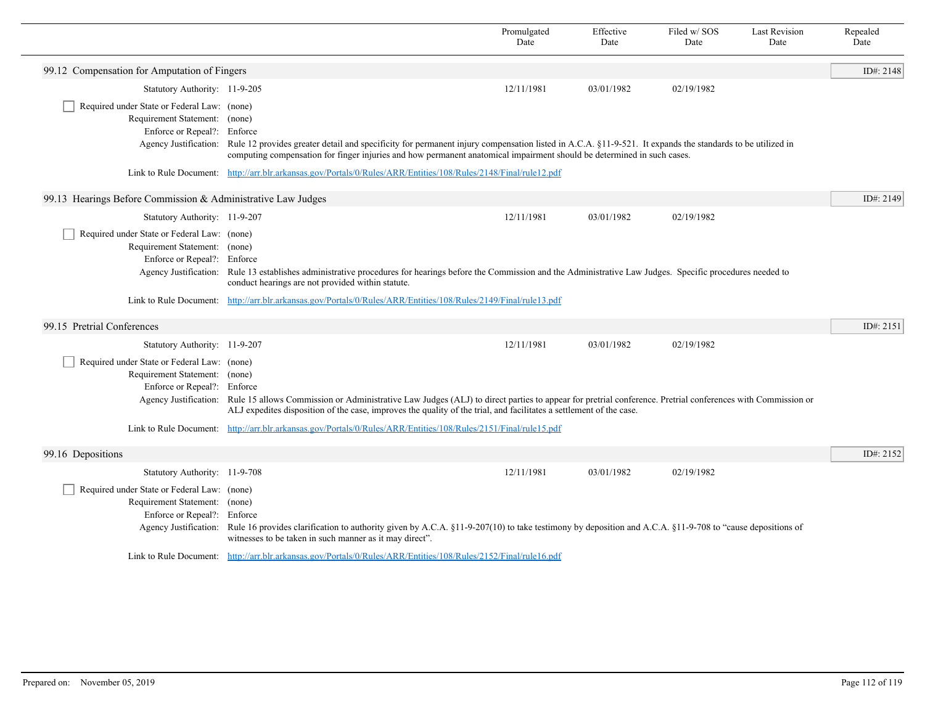|                                                                                                                                      |                                                                                                                                                                                                                                                                                                          | Promulgated<br>Date | Effective<br>Date | Filed w/SOS<br>Date | <b>Last Revision</b><br>Date | Repealed<br>Date |
|--------------------------------------------------------------------------------------------------------------------------------------|----------------------------------------------------------------------------------------------------------------------------------------------------------------------------------------------------------------------------------------------------------------------------------------------------------|---------------------|-------------------|---------------------|------------------------------|------------------|
| 99.12 Compensation for Amputation of Fingers                                                                                         |                                                                                                                                                                                                                                                                                                          |                     |                   |                     |                              | ID#: 2148        |
| Statutory Authority: 11-9-205                                                                                                        |                                                                                                                                                                                                                                                                                                          | 12/11/1981          | 03/01/1982        | 02/19/1982          |                              |                  |
| Required under State or Federal Law: (none)<br>Requirement Statement: (none)<br>Enforce or Repeal?: Enforce                          | Agency Justification: Rule 12 provides greater detail and specificity for permanent injury compensation listed in A.C.A. §11-9-521. It expands the standards to be utilized in<br>computing compensation for finger injuries and how permanent anatomical impairment should be determined in such cases. |                     |                   |                     |                              |                  |
|                                                                                                                                      | Link to Rule Document: http://arr.blr.arkansas.gov/Portals/0/Rules/ARR/Entities/108/Rules/2148/Final/rule12.pdf                                                                                                                                                                                          |                     |                   |                     |                              |                  |
| 99.13 Hearings Before Commission & Administrative Law Judges                                                                         |                                                                                                                                                                                                                                                                                                          |                     |                   |                     |                              | ID#: $2149$      |
| Statutory Authority: 11-9-207                                                                                                        |                                                                                                                                                                                                                                                                                                          | 12/11/1981          | 03/01/1982        | 02/19/1982          |                              |                  |
| Required under State or Federal Law: (none)<br>Requirement Statement: (none)<br>Enforce or Repeal?: Enforce                          | Agency Justification: Rule 13 establishes administrative procedures for hearings before the Commission and the Administrative Law Judges. Specific procedures needed to<br>conduct hearings are not provided within statute.                                                                             |                     |                   |                     |                              |                  |
|                                                                                                                                      | Link to Rule Document: http://arr.blr.arkansas.gov/Portals/0/Rules/ARR/Entities/108/Rules/2149/Final/rule13.pdf                                                                                                                                                                                          |                     |                   |                     |                              |                  |
| 99.15 Pretrial Conferences                                                                                                           |                                                                                                                                                                                                                                                                                                          |                     |                   |                     |                              | ID#: 2151        |
| Statutory Authority: 11-9-207                                                                                                        |                                                                                                                                                                                                                                                                                                          | 12/11/1981          | 03/01/1982        | 02/19/1982          |                              |                  |
| Required under State or Federal Law: (none)<br>Requirement Statement: (none)<br>Enforce or Repeal?: Enforce                          | Agency Justification: Rule 15 allows Commission or Administrative Law Judges (ALJ) to direct parties to appear for pretrial conference. Pretrial conferences with Commission or<br>ALJ expedites disposition of the case, improves the quality of the trial, and facilitates a settlement of the case.   |                     |                   |                     |                              |                  |
|                                                                                                                                      | Link to Rule Document: http://arr.blr.arkansas.gov/Portals/0/Rules/ARR/Entities/108/Rules/2151/Final/rule15.pdf                                                                                                                                                                                          |                     |                   |                     |                              |                  |
| 99.16 Depositions                                                                                                                    |                                                                                                                                                                                                                                                                                                          |                     |                   |                     |                              | ID#: 2152        |
| Statutory Authority: 11-9-708                                                                                                        |                                                                                                                                                                                                                                                                                                          | 12/11/1981          | 03/01/1982        | 02/19/1982          |                              |                  |
| Required under State or Federal Law: (none)<br>Requirement Statement: (none)<br>Enforce or Repeal?: Enforce<br>Agency Justification: | Rule 16 provides clarification to authority given by A.C.A. §11-9-207(10) to take testimony by deposition and A.C.A. §11-9-708 to "cause depositions of<br>witnesses to be taken in such manner as it may direct".                                                                                       |                     |                   |                     |                              |                  |
|                                                                                                                                      | Link to Rule Document: http://arr.blr.arkansas.gov/Portals/0/Rules/ARR/Entities/108/Rules/2152/Final/rule16.pdf                                                                                                                                                                                          |                     |                   |                     |                              |                  |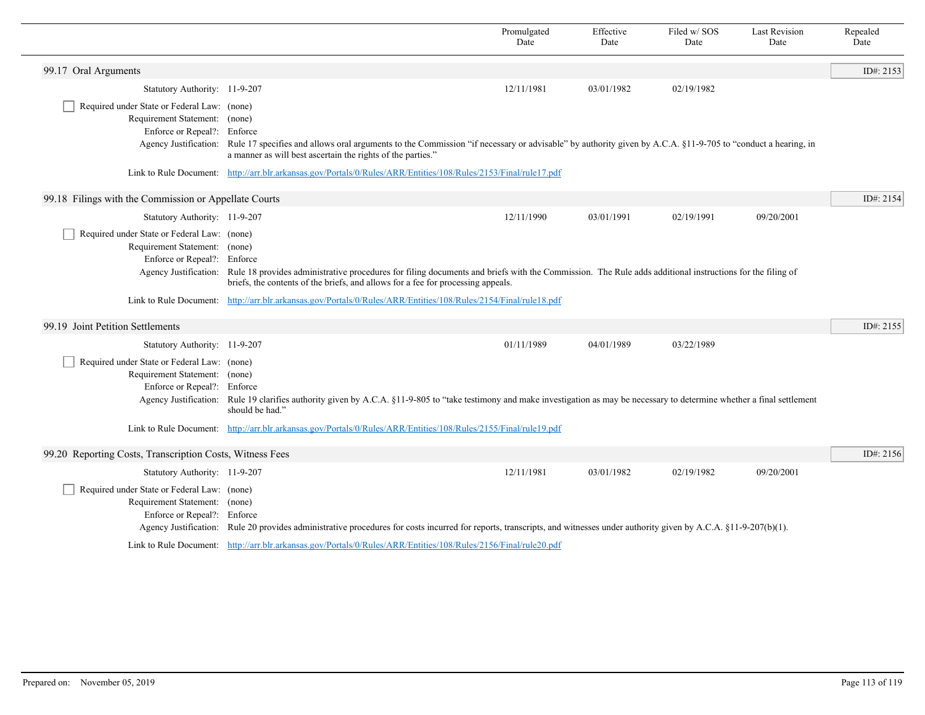|                                                                                                                                      |                                                                                                                                                                                                                                                                                                                         | Promulgated<br>Date | Effective<br>Date | Filed w/SOS<br>Date | <b>Last Revision</b><br>Date | Repealed<br>Date |
|--------------------------------------------------------------------------------------------------------------------------------------|-------------------------------------------------------------------------------------------------------------------------------------------------------------------------------------------------------------------------------------------------------------------------------------------------------------------------|---------------------|-------------------|---------------------|------------------------------|------------------|
| 99.17 Oral Arguments                                                                                                                 |                                                                                                                                                                                                                                                                                                                         |                     |                   |                     |                              | ID#: 2153        |
| Statutory Authority: 11-9-207                                                                                                        |                                                                                                                                                                                                                                                                                                                         | 12/11/1981          | 03/01/1982        | 02/19/1982          |                              |                  |
| Required under State or Federal Law: (none)<br>Requirement Statement: (none)<br>Enforce or Repeal?: Enforce                          | Agency Justification: Rule 17 specifies and allows oral arguments to the Commission "if necessary or advisable" by authority given by A.C.A. §11-9-705 to "conduct a hearing, in<br>a manner as will best ascertain the rights of the parties."                                                                         |                     |                   |                     |                              |                  |
|                                                                                                                                      | Link to Rule Document: http://arr.blr.arkansas.gov/Portals/0/Rules/ARR/Entities/108/Rules/2153/Final/rule17.pdf                                                                                                                                                                                                         |                     |                   |                     |                              |                  |
| 99.18 Filings with the Commission or Appellate Courts                                                                                |                                                                                                                                                                                                                                                                                                                         |                     |                   |                     |                              | ID#: 2154        |
| Statutory Authority: 11-9-207                                                                                                        |                                                                                                                                                                                                                                                                                                                         | 12/11/1990          | 03/01/1991        | 02/19/1991          | 09/20/2001                   |                  |
| Required under State or Federal Law: (none)<br>Requirement Statement: (none)<br>Enforce or Repeal?: Enforce<br>Agency Justification: | Rule 18 provides administrative procedures for filing documents and briefs with the Commission. The Rule adds additional instructions for the filing of<br>briefs, the contents of the briefs, and allows for a fee for processing appeals.                                                                             |                     |                   |                     |                              |                  |
|                                                                                                                                      | Link to Rule Document: http://arr.blr.arkansas.gov/Portals/0/Rules/ARR/Entities/108/Rules/2154/Final/rule18.pdf                                                                                                                                                                                                         |                     |                   |                     |                              |                  |
| 99.19 Joint Petition Settlements                                                                                                     |                                                                                                                                                                                                                                                                                                                         |                     |                   |                     |                              | ID#: 2155        |
| Statutory Authority: 11-9-207                                                                                                        |                                                                                                                                                                                                                                                                                                                         | 01/11/1989          | 04/01/1989        | 03/22/1989          |                              |                  |
| Required under State or Federal Law: (none)<br>Requirement Statement: (none)<br>Enforce or Repeal?: Enforce                          | Agency Justification: Rule 19 clarifies authority given by A.C.A. §11-9-805 to "take testimony and make investigation as may be necessary to determine whether a final settlement<br>should be had."<br>Link to Rule Document: http://arr.blr.arkansas.gov/Portals/0/Rules/ARR/Entities/108/Rules/2155/Final/rule19.pdf |                     |                   |                     |                              |                  |
|                                                                                                                                      |                                                                                                                                                                                                                                                                                                                         |                     |                   |                     |                              |                  |
| 99.20 Reporting Costs, Transcription Costs, Witness Fees                                                                             |                                                                                                                                                                                                                                                                                                                         |                     |                   |                     |                              | ID#: 2156        |
| Statutory Authority: 11-9-207                                                                                                        |                                                                                                                                                                                                                                                                                                                         | 12/11/1981          | 03/01/1982        | 02/19/1982          | 09/20/2001                   |                  |
| Required under State or Federal Law: (none)<br>Requirement Statement: (none)<br>Enforce or Repeal?: Enforce                          | Agency Justification: Rule 20 provides administrative procedures for costs incurred for reports, transcripts, and witnesses under authority given by A.C.A. §11-9-207(b)(1).                                                                                                                                            |                     |                   |                     |                              |                  |
|                                                                                                                                      | Link to Rule Document: http://arr.blr.arkansas.gov/Portals/0/Rules/ARR/Entities/108/Rules/2156/Final/rule20.pdf                                                                                                                                                                                                         |                     |                   |                     |                              |                  |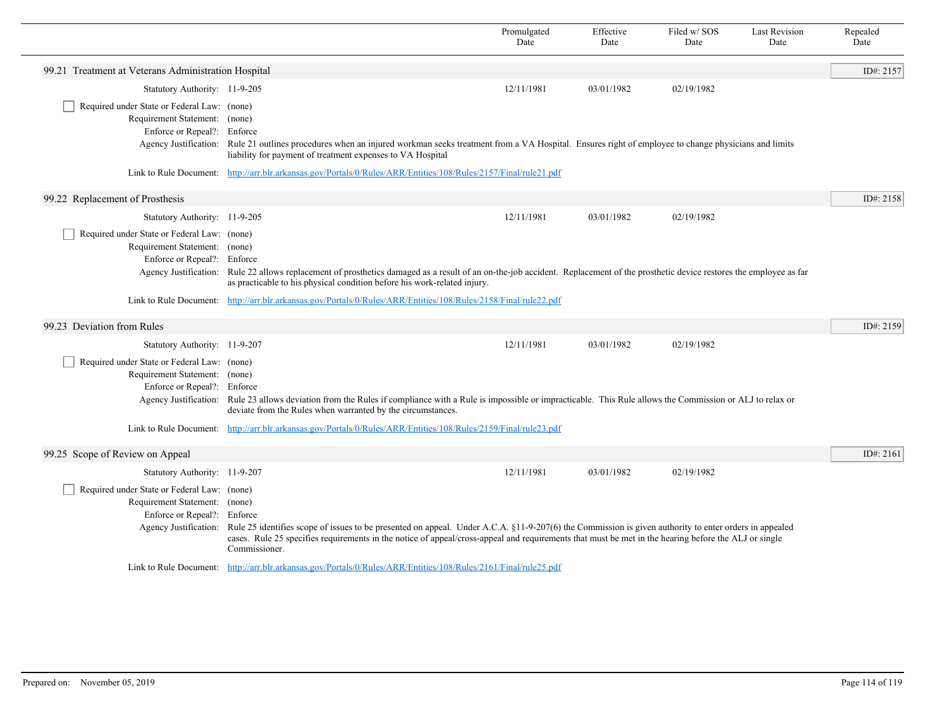|                                                              |                                                                                                                                                                                                                                           | Promulgated<br>Date | Effective<br>Date | Filed w/SOS<br>Date | <b>Last Revision</b><br>Date | Repealed<br>Date |
|--------------------------------------------------------------|-------------------------------------------------------------------------------------------------------------------------------------------------------------------------------------------------------------------------------------------|---------------------|-------------------|---------------------|------------------------------|------------------|
| 99.21 Treatment at Veterans Administration Hospital          |                                                                                                                                                                                                                                           |                     |                   |                     |                              | ID#: 2157        |
| Statutory Authority: 11-9-205                                |                                                                                                                                                                                                                                           | 12/11/1981          | 03/01/1982        | 02/19/1982          |                              |                  |
| Required under State or Federal Law: (none)                  |                                                                                                                                                                                                                                           |                     |                   |                     |                              |                  |
| Requirement Statement: (none)<br>Enforce or Repeal?: Enforce |                                                                                                                                                                                                                                           |                     |                   |                     |                              |                  |
|                                                              | Agency Justification: Rule 21 outlines procedures when an injured workman seeks treatment from a VA Hospital. Ensures right of employee to change physicians and limits<br>liability for payment of treatment expenses to VA Hospital     |                     |                   |                     |                              |                  |
|                                                              | Link to Rule Document: http://arr.blr.arkansas.gov/Portals/0/Rules/ARR/Entities/108/Rules/2157/Final/rule21.pdf                                                                                                                           |                     |                   |                     |                              |                  |
| 99.22 Replacement of Prosthesis                              |                                                                                                                                                                                                                                           |                     |                   |                     |                              | ID#: 2158        |
| Statutory Authority: 11-9-205                                |                                                                                                                                                                                                                                           | 12/11/1981          | 03/01/1982        | 02/19/1982          |                              |                  |
| Required under State or Federal Law: (none)                  |                                                                                                                                                                                                                                           |                     |                   |                     |                              |                  |
| Requirement Statement: (none)<br>Enforce or Repeal?: Enforce |                                                                                                                                                                                                                                           |                     |                   |                     |                              |                  |
| Agency Justification:                                        | Rule 22 allows replacement of prosthetics damaged as a result of an on-the-job accident. Replacement of the prosthetic device restores the employee as far<br>as practicable to his physical condition before his work-related injury.    |                     |                   |                     |                              |                  |
|                                                              | Link to Rule Document: http://arr.blr.arkansas.gov/Portals/0/Rules/ARR/Entities/108/Rules/2158/Final/rule22.pdf                                                                                                                           |                     |                   |                     |                              |                  |
| 99.23 Deviation from Rules                                   |                                                                                                                                                                                                                                           |                     |                   |                     |                              | ID#: 2159        |
| Statutory Authority: 11-9-207                                |                                                                                                                                                                                                                                           | 12/11/1981          | 03/01/1982        | 02/19/1982          |                              |                  |
| Required under State or Federal Law: (none)                  |                                                                                                                                                                                                                                           |                     |                   |                     |                              |                  |
| Requirement Statement: (none)<br>Enforce or Repeal?: Enforce |                                                                                                                                                                                                                                           |                     |                   |                     |                              |                  |
|                                                              | Agency Justification: Rule 23 allows deviation from the Rules if compliance with a Rule is impossible or impracticable. This Rule allows the Commission or ALJ to relax or<br>deviate from the Rules when warranted by the circumstances. |                     |                   |                     |                              |                  |
|                                                              | Link to Rule Document: http://arr.blr.arkansas.gov/Portals/0/Rules/ARR/Entities/108/Rules/2159/Final/rule23.pdf                                                                                                                           |                     |                   |                     |                              |                  |
| 99.25 Scope of Review on Appeal                              |                                                                                                                                                                                                                                           |                     |                   |                     |                              | ID#: 2161        |
| Statutory Authority: 11-9-207                                |                                                                                                                                                                                                                                           | 12/11/1981          | 03/01/1982        | 02/19/1982          |                              |                  |
| Required under State or Federal Law: (none)                  |                                                                                                                                                                                                                                           |                     |                   |                     |                              |                  |
| Requirement Statement: (none)<br>Enforce or Repeal?: Enforce |                                                                                                                                                                                                                                           |                     |                   |                     |                              |                  |
| Agency Justification:                                        | Rule 25 identifies scope of issues to be presented on appeal. Under A.C.A. §11-9-207(6) the Commission is given authority to enter orders in appealed                                                                                     |                     |                   |                     |                              |                  |
|                                                              | cases. Rule 25 specifies requirements in the notice of appeal/cross-appeal and requirements that must be met in the hearing before the ALJ or single<br>Commissioner.                                                                     |                     |                   |                     |                              |                  |
|                                                              | Link to Rule Document: http://arr.blr.arkansas.gov/Portals/0/Rules/ARR/Entities/108/Rules/2161/Final/rule25.pdf                                                                                                                           |                     |                   |                     |                              |                  |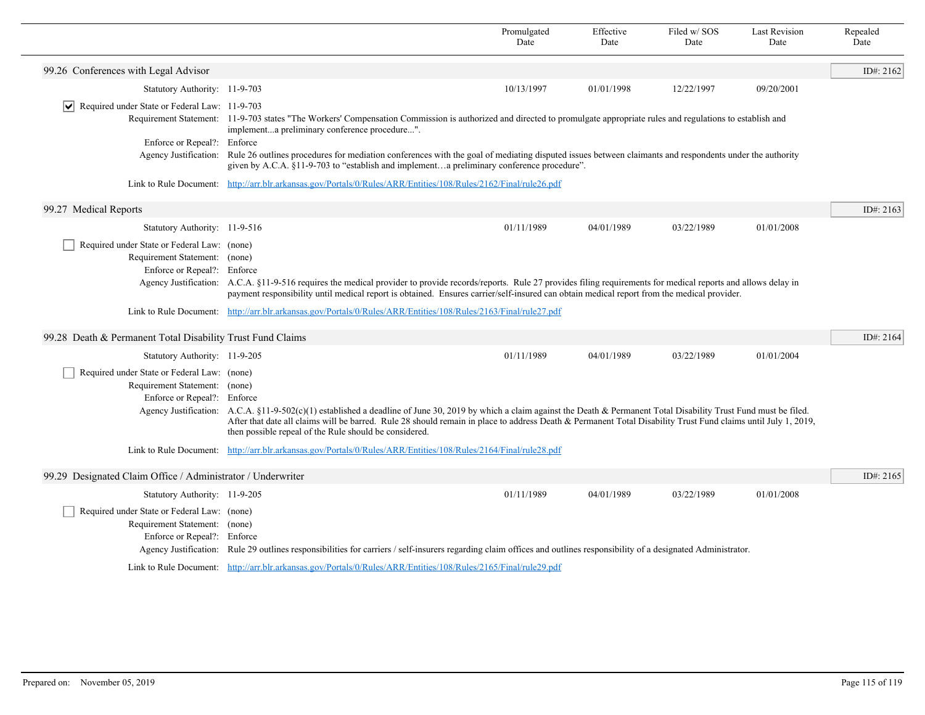|                                                                |                                                                                                                                                                                                                                                                                                                                                                                                           | Promulgated<br>Date | Effective<br>Date | Filed w/SOS<br>Date | <b>Last Revision</b><br>Date | Repealed<br>Date |
|----------------------------------------------------------------|-----------------------------------------------------------------------------------------------------------------------------------------------------------------------------------------------------------------------------------------------------------------------------------------------------------------------------------------------------------------------------------------------------------|---------------------|-------------------|---------------------|------------------------------|------------------|
| 99.26 Conferences with Legal Advisor                           |                                                                                                                                                                                                                                                                                                                                                                                                           |                     |                   |                     |                              | ID#: 2162        |
| Statutory Authority: 11-9-703                                  |                                                                                                                                                                                                                                                                                                                                                                                                           | 10/13/1997          | 01/01/1998        | 12/22/1997          | 09/20/2001                   |                  |
| $\triangleright$ Required under State or Federal Law: 11-9-703 |                                                                                                                                                                                                                                                                                                                                                                                                           |                     |                   |                     |                              |                  |
|                                                                | Requirement Statement: 11-9-703 states "The Workers' Compensation Commission is authorized and directed to promulgate appropriate rules and regulations to establish and<br>implementa preliminary conference procedure".                                                                                                                                                                                 |                     |                   |                     |                              |                  |
| Enforce or Repeal?: Enforce                                    |                                                                                                                                                                                                                                                                                                                                                                                                           |                     |                   |                     |                              |                  |
|                                                                | Agency Justification: Rule 26 outlines procedures for mediation conferences with the goal of mediating disputed issues between claimants and respondents under the authority<br>given by A.C.A. §11-9-703 to "establish and implementa preliminary conference procedure".                                                                                                                                 |                     |                   |                     |                              |                  |
|                                                                | Link to Rule Document: http://arr.blr.arkansas.gov/Portals/0/Rules/ARR/Entities/108/Rules/2162/Final/rule26.pdf                                                                                                                                                                                                                                                                                           |                     |                   |                     |                              |                  |
|                                                                |                                                                                                                                                                                                                                                                                                                                                                                                           |                     |                   |                     |                              | ID#: $2163$      |
| 99.27 Medical Reports                                          |                                                                                                                                                                                                                                                                                                                                                                                                           |                     |                   |                     |                              |                  |
| Statutory Authority: 11-9-516                                  |                                                                                                                                                                                                                                                                                                                                                                                                           | 01/11/1989          | 04/01/1989        | 03/22/1989          | 01/01/2008                   |                  |
| Required under State or Federal Law: (none)                    |                                                                                                                                                                                                                                                                                                                                                                                                           |                     |                   |                     |                              |                  |
| Requirement Statement: (none)                                  |                                                                                                                                                                                                                                                                                                                                                                                                           |                     |                   |                     |                              |                  |
| Enforce or Repeal?: Enforce                                    | Agency Justification: A.C.A. §11-9-516 requires the medical provider to provide records/reports. Rule 27 provides filing requirements for medical reports and allows delay in                                                                                                                                                                                                                             |                     |                   |                     |                              |                  |
|                                                                | payment responsibility until medical report is obtained. Ensures carrier/self-insured can obtain medical report from the medical provider.                                                                                                                                                                                                                                                                |                     |                   |                     |                              |                  |
|                                                                | Link to Rule Document: http://arr.blr.arkansas.gov/Portals/0/Rules/ARR/Entities/108/Rules/2163/Final/rule27.pdf                                                                                                                                                                                                                                                                                           |                     |                   |                     |                              |                  |
| 99.28 Death & Permanent Total Disability Trust Fund Claims     |                                                                                                                                                                                                                                                                                                                                                                                                           |                     |                   |                     |                              | ID#: 2164        |
| Statutory Authority: 11-9-205                                  |                                                                                                                                                                                                                                                                                                                                                                                                           | 01/11/1989          | 04/01/1989        | 03/22/1989          | 01/01/2004                   |                  |
| Required under State or Federal Law: (none)                    |                                                                                                                                                                                                                                                                                                                                                                                                           |                     |                   |                     |                              |                  |
| Requirement Statement: (none)                                  |                                                                                                                                                                                                                                                                                                                                                                                                           |                     |                   |                     |                              |                  |
| Enforce or Repeal?: Enforce                                    |                                                                                                                                                                                                                                                                                                                                                                                                           |                     |                   |                     |                              |                  |
|                                                                | Agency Justification: A.C.A. §11-9-502(c)(1) established a deadline of June 30, 2019 by which a claim against the Death & Permanent Total Disability Trust Fund must be filed.<br>After that date all claims will be barred. Rule 28 should remain in place to address Death & Permanent Total Disability Trust Fund claims until July 1, 2019,<br>then possible repeal of the Rule should be considered. |                     |                   |                     |                              |                  |
|                                                                | Link to Rule Document: http://arr.blr.arkansas.gov/Portals/0/Rules/ARR/Entities/108/Rules/2164/Final/rule28.pdf                                                                                                                                                                                                                                                                                           |                     |                   |                     |                              |                  |
| 99.29 Designated Claim Office / Administrator / Underwriter    |                                                                                                                                                                                                                                                                                                                                                                                                           |                     |                   |                     |                              | ID#: 2165        |
| Statutory Authority: 11-9-205                                  |                                                                                                                                                                                                                                                                                                                                                                                                           | 01/11/1989          | 04/01/1989        | 03/22/1989          | 01/01/2008                   |                  |
| Required under State or Federal Law: (none)                    |                                                                                                                                                                                                                                                                                                                                                                                                           |                     |                   |                     |                              |                  |
| Requirement Statement: (none)                                  |                                                                                                                                                                                                                                                                                                                                                                                                           |                     |                   |                     |                              |                  |
| Enforce or Repeal?: Enforce                                    |                                                                                                                                                                                                                                                                                                                                                                                                           |                     |                   |                     |                              |                  |
|                                                                | Agency Justification: Rule 29 outlines responsibilities for carriers / self-insurers regarding claim offices and outlines responsibility of a designated Administrator.                                                                                                                                                                                                                                   |                     |                   |                     |                              |                  |
|                                                                | Link to Rule Document: http://arr.blr.arkansas.gov/Portals/0/Rules/ARR/Entities/108/Rules/2165/Final/rule29.pdf                                                                                                                                                                                                                                                                                           |                     |                   |                     |                              |                  |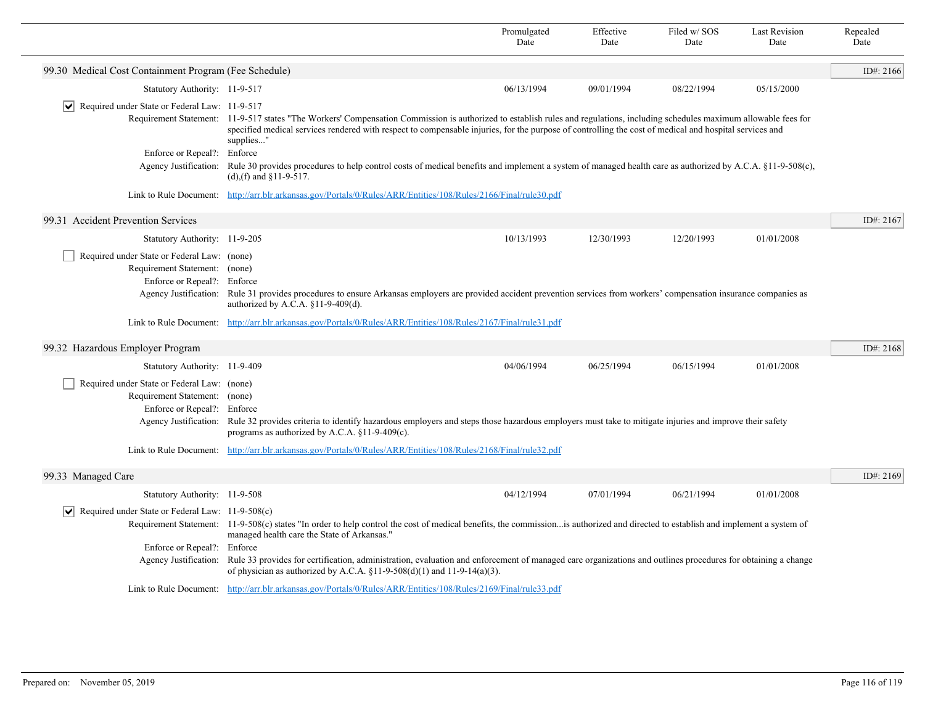|                                                                                                                                      |                                                                                                                                                                                                                                                                                                                                                      | Promulgated<br>Date | Effective<br>Date | Filed w/SOS<br>Date | <b>Last Revision</b><br>Date | Repealed<br>Date |
|--------------------------------------------------------------------------------------------------------------------------------------|------------------------------------------------------------------------------------------------------------------------------------------------------------------------------------------------------------------------------------------------------------------------------------------------------------------------------------------------------|---------------------|-------------------|---------------------|------------------------------|------------------|
| 99.30 Medical Cost Containment Program (Fee Schedule)                                                                                |                                                                                                                                                                                                                                                                                                                                                      |                     |                   |                     |                              | ID#: 2166        |
| Statutory Authority: 11-9-517                                                                                                        |                                                                                                                                                                                                                                                                                                                                                      | 06/13/1994          | 09/01/1994        | 08/22/1994          | 05/15/2000                   |                  |
| $ \mathbf{v} $ Required under State or Federal Law: 11-9-517<br>Enforce or Repeal?: Enforce                                          | Requirement Statement: 11-9-517 states "The Workers' Compensation Commission is authorized to establish rules and regulations, including schedules maximum allowable fees for<br>specified medical services rendered with respect to compensable injuries, for the purpose of controlling the cost of medical and hospital services and<br>supplies" |                     |                   |                     |                              |                  |
| Agency Justification:                                                                                                                | Rule 30 provides procedures to help control costs of medical benefits and implement a system of managed health care as authorized by A.C.A. §11-9-508(c),<br>(d), (f) and $$11-9-517$ .                                                                                                                                                              |                     |                   |                     |                              |                  |
|                                                                                                                                      | Link to Rule Document: http://arr.blr.arkansas.gov/Portals/0/Rules/ARR/Entities/108/Rules/2166/Final/rule30.pdf                                                                                                                                                                                                                                      |                     |                   |                     |                              |                  |
| 99.31 Accident Prevention Services                                                                                                   |                                                                                                                                                                                                                                                                                                                                                      |                     |                   |                     |                              | ID#: 2167        |
| Statutory Authority: 11-9-205                                                                                                        |                                                                                                                                                                                                                                                                                                                                                      | 10/13/1993          | 12/30/1993        | 12/20/1993          | 01/01/2008                   |                  |
| Required under State or Federal Law: (none)<br>Requirement Statement: (none)<br>Enforce or Repeal?:<br>Agency Justification:         | Enforce<br>Rule 31 provides procedures to ensure Arkansas employers are provided accident prevention services from workers' compensation insurance companies as<br>authorized by A.C.A. §11-9-409(d).                                                                                                                                                |                     |                   |                     |                              |                  |
|                                                                                                                                      | Link to Rule Document: http://arr.blr.arkansas.gov/Portals/0/Rules/ARR/Entities/108/Rules/2167/Final/rule31.pdf                                                                                                                                                                                                                                      |                     |                   |                     |                              |                  |
| 99.32 Hazardous Employer Program                                                                                                     |                                                                                                                                                                                                                                                                                                                                                      |                     |                   |                     |                              | ID#: 2168        |
| Statutory Authority: 11-9-409                                                                                                        |                                                                                                                                                                                                                                                                                                                                                      | 04/06/1994          | 06/25/1994        | 06/15/1994          | 01/01/2008                   |                  |
| Required under State or Federal Law: (none)<br>Requirement Statement: (none)<br>Enforce or Repeal?: Enforce<br>Agency Justification: | Rule 32 provides criteria to identify hazardous employers and steps those hazardous employers must take to mitigate injuries and improve their safety<br>programs as authorized by A.C.A. $§11-9-409(c)$ .                                                                                                                                           |                     |                   |                     |                              |                  |
|                                                                                                                                      | Link to Rule Document: http://arr.blr.arkansas.gov/Portals/0/Rules/ARR/Entities/108/Rules/2168/Final/rule32.pdf                                                                                                                                                                                                                                      |                     |                   |                     |                              |                  |
| 99.33 Managed Care                                                                                                                   |                                                                                                                                                                                                                                                                                                                                                      |                     |                   |                     |                              | ID#: 2169        |
| Statutory Authority: 11-9-508                                                                                                        |                                                                                                                                                                                                                                                                                                                                                      | 04/12/1994          | 07/01/1994        | 06/21/1994          | 01/01/2008                   |                  |
| $ \mathbf{v} $ Required under State or Federal Law: 11-9-508(c)                                                                      | Requirement Statement: 11-9-508(c) states "In order to help control the cost of medical benefits, the commissionis authorized and directed to establish and implement a system of<br>managed health care the State of Arkansas."                                                                                                                     |                     |                   |                     |                              |                  |
| Enforce or Repeal?:<br>Agency Justification:                                                                                         | Enforce<br>Rule 33 provides for certification, administration, evaluation and enforcement of managed care organizations and outlines procedures for obtaining a change<br>of physician as authorized by A.C.A. §11-9-508(d)(1) and 11-9-14(a)(3).                                                                                                    |                     |                   |                     |                              |                  |
|                                                                                                                                      | Link to Rule Document: http://arr.blr.arkansas.gov/Portals/0/Rules/ARR/Entities/108/Rules/2169/Final/rule33.pdf                                                                                                                                                                                                                                      |                     |                   |                     |                              |                  |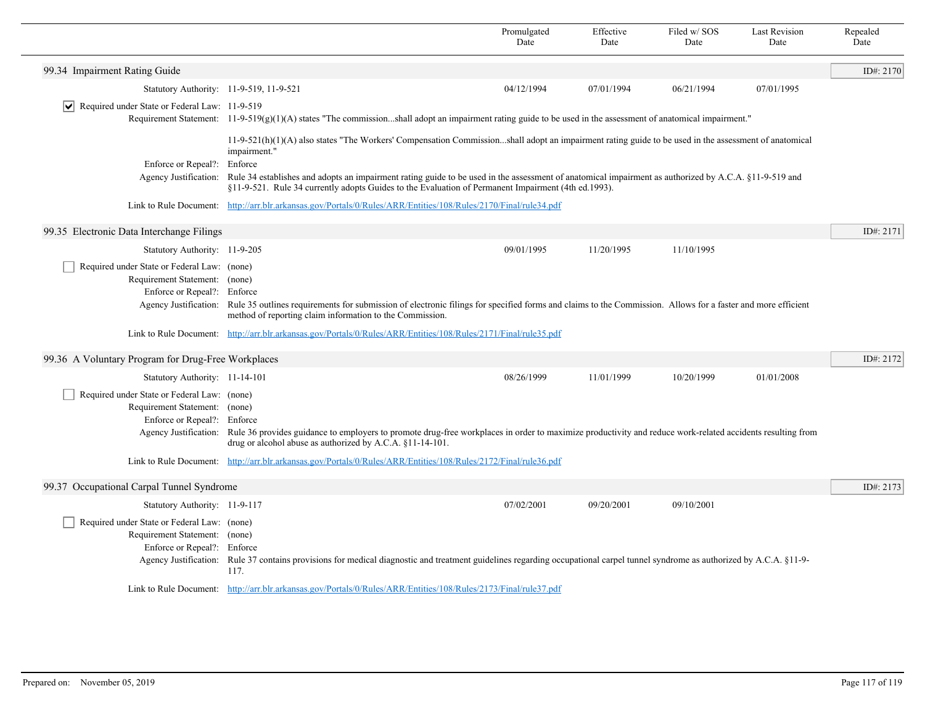|                                                                                                                                      |                                                                                                                                                                                                                                                                                                                                                                                                                                                    | Promulgated<br>Date | Effective<br>Date | Filed w/SOS<br>Date | <b>Last Revision</b><br>Date | Repealed<br>Date |
|--------------------------------------------------------------------------------------------------------------------------------------|----------------------------------------------------------------------------------------------------------------------------------------------------------------------------------------------------------------------------------------------------------------------------------------------------------------------------------------------------------------------------------------------------------------------------------------------------|---------------------|-------------------|---------------------|------------------------------|------------------|
| 99.34 Impairment Rating Guide                                                                                                        |                                                                                                                                                                                                                                                                                                                                                                                                                                                    |                     |                   |                     |                              | ID#: 2170        |
| Statutory Authority: 11-9-519, 11-9-521                                                                                              |                                                                                                                                                                                                                                                                                                                                                                                                                                                    | 04/12/1994          | 07/01/1994        | 06/21/1994          | 07/01/1995                   |                  |
| $ \mathbf{v} $ Required under State or Federal Law: 11-9-519                                                                         | Requirement Statement: $11-9-519(g)(1)(A)$ states "The commissionshall adopt an impairment rating guide to be used in the assessment of anatomical impairment."                                                                                                                                                                                                                                                                                    |                     |                   |                     |                              |                  |
| Enforce or Repeal?:<br>Agency Justification:                                                                                         | $11-9-521(h)(1)(A)$ also states "The Workers' Compensation Commissionshall adopt an impairment rating guide to be used in the assessment of anatomical<br>impairment."<br>Enforce<br>Rule 34 establishes and adopts an impairment rating guide to be used in the assessment of anatomical impairment as authorized by A.C.A. §11-9-519 and<br>§11-9-521. Rule 34 currently adopts Guides to the Evaluation of Permanent Impairment (4th ed. 1993). |                     |                   |                     |                              |                  |
|                                                                                                                                      | Link to Rule Document: http://arr.blr.arkansas.gov/Portals/0/Rules/ARR/Entities/108/Rules/2170/Final/rule34.pdf                                                                                                                                                                                                                                                                                                                                    |                     |                   |                     |                              |                  |
| 99.35 Electronic Data Interchange Filings                                                                                            |                                                                                                                                                                                                                                                                                                                                                                                                                                                    |                     |                   |                     |                              | ID#: 2171        |
| Statutory Authority: 11-9-205                                                                                                        |                                                                                                                                                                                                                                                                                                                                                                                                                                                    | 09/01/1995          | 11/20/1995        | 11/10/1995          |                              |                  |
| Required under State or Federal Law: (none)<br>Requirement Statement: (none)<br>Enforce or Repeal?: Enforce                          | Agency Justification: Rule 35 outlines requirements for submission of electronic filings for specified forms and claims to the Commission. Allows for a faster and more efficient<br>method of reporting claim information to the Commission.                                                                                                                                                                                                      |                     |                   |                     |                              |                  |
|                                                                                                                                      | Link to Rule Document: http://arr.blr.arkansas.gov/Portals/0/Rules/ARR/Entities/108/Rules/2171/Final/rule35.pdf                                                                                                                                                                                                                                                                                                                                    |                     |                   |                     |                              |                  |
| 99.36 A Voluntary Program for Drug-Free Workplaces                                                                                   |                                                                                                                                                                                                                                                                                                                                                                                                                                                    |                     |                   |                     |                              | ID#: 2172        |
| Statutory Authority: 11-14-101                                                                                                       |                                                                                                                                                                                                                                                                                                                                                                                                                                                    | 08/26/1999          | 11/01/1999        | 10/20/1999          | 01/01/2008                   |                  |
| Required under State or Federal Law: (none)<br>Requirement Statement: (none)<br>Enforce or Repeal?: Enforce<br>Agency Justification: | Rule 36 provides guidance to employers to promote drug-free workplaces in order to maximize productivity and reduce work-related accidents resulting from<br>drug or alcohol abuse as authorized by A.C.A. §11-14-101.                                                                                                                                                                                                                             |                     |                   |                     |                              |                  |
|                                                                                                                                      | Link to Rule Document: http://arr.blr.arkansas.gov/Portals/0/Rules/ARR/Entities/108/Rules/2172/Final/rule36.pdf                                                                                                                                                                                                                                                                                                                                    |                     |                   |                     |                              |                  |
| 99.37 Occupational Carpal Tunnel Syndrome                                                                                            |                                                                                                                                                                                                                                                                                                                                                                                                                                                    |                     |                   |                     |                              | ID#: 2173        |
| Statutory Authority: 11-9-117                                                                                                        |                                                                                                                                                                                                                                                                                                                                                                                                                                                    | 07/02/2001          | 09/20/2001        | 09/10/2001          |                              |                  |
| Required under State or Federal Law: (none)<br>Requirement Statement: (none)<br>Enforce or Repeal?: Enforce                          | Agency Justification: Rule 37 contains provisions for medical diagnostic and treatment guidelines regarding occupational carpel tunnel syndrome as authorized by A.C.A. §11-9-<br>117.                                                                                                                                                                                                                                                             |                     |                   |                     |                              |                  |
|                                                                                                                                      | Link to Rule Document: http://arr.blr.arkansas.gov/Portals/0/Rules/ARR/Entities/108/Rules/2173/Final/rule37.pdf                                                                                                                                                                                                                                                                                                                                    |                     |                   |                     |                              |                  |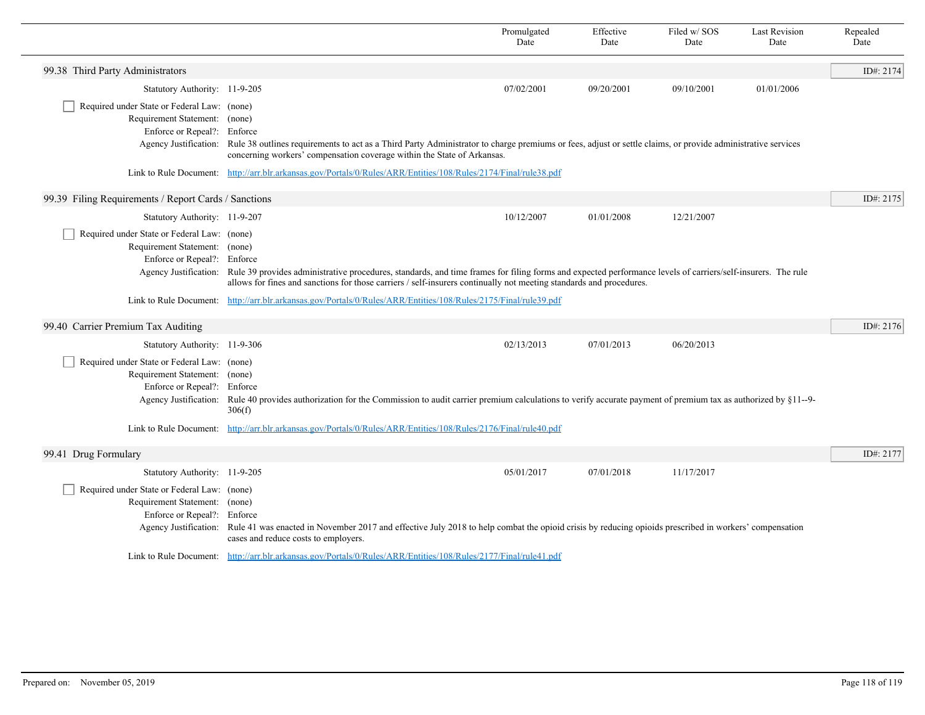|                                                                                                                                      |                                                                                                                                                                                                                                                                                                          | Promulgated<br>Date | Effective<br>Date | Filed w/ SOS<br>Date | <b>Last Revision</b><br>Date | Repealed<br>Date |
|--------------------------------------------------------------------------------------------------------------------------------------|----------------------------------------------------------------------------------------------------------------------------------------------------------------------------------------------------------------------------------------------------------------------------------------------------------|---------------------|-------------------|----------------------|------------------------------|------------------|
| 99.38 Third Party Administrators                                                                                                     |                                                                                                                                                                                                                                                                                                          |                     |                   |                      |                              | ID#: $2174$      |
| Statutory Authority: 11-9-205                                                                                                        |                                                                                                                                                                                                                                                                                                          | 07/02/2001          | 09/20/2001        | 09/10/2001           | 01/01/2006                   |                  |
| Required under State or Federal Law: (none)<br>Requirement Statement: (none)<br>Enforce or Repeal?: Enforce                          | Agency Justification: Rule 38 outlines requirements to act as a Third Party Administrator to charge premiums or fees, adjust or settle claims, or provide administrative services<br>concerning workers' compensation coverage within the State of Arkansas.                                             |                     |                   |                      |                              |                  |
|                                                                                                                                      | Link to Rule Document: http://arr.blr.arkansas.gov/Portals/0/Rules/ARR/Entities/108/Rules/2174/Final/rule38.pdf                                                                                                                                                                                          |                     |                   |                      |                              |                  |
| 99.39 Filing Requirements / Report Cards / Sanctions                                                                                 |                                                                                                                                                                                                                                                                                                          |                     |                   |                      |                              | ID#: 2175        |
| Statutory Authority: 11-9-207                                                                                                        |                                                                                                                                                                                                                                                                                                          | 10/12/2007          | 01/01/2008        | 12/21/2007           |                              |                  |
| Required under State or Federal Law: (none)<br>Requirement Statement: (none)<br>Enforce or Repeal?: Enforce                          | Agency Justification: Rule 39 provides administrative procedures, standards, and time frames for filing forms and expected performance levels of carriers/self-insurers. The rule<br>allows for fines and sanctions for those carriers / self-insurers continually not meeting standards and procedures. |                     |                   |                      |                              |                  |
|                                                                                                                                      | Link to Rule Document: http://arr.blr.arkansas.gov/Portals/0/Rules/ARR/Entities/108/Rules/2175/Final/rule39.pdf                                                                                                                                                                                          |                     |                   |                      |                              |                  |
| 99.40 Carrier Premium Tax Auditing                                                                                                   |                                                                                                                                                                                                                                                                                                          |                     |                   |                      |                              | ID#: 2176        |
| Statutory Authority: 11-9-306                                                                                                        |                                                                                                                                                                                                                                                                                                          | 02/13/2013          | 07/01/2013        | 06/20/2013           |                              |                  |
| Required under State or Federal Law: (none)<br>Requirement Statement: (none)<br>Enforce or Repeal?: Enforce<br>Agency Justification: | Rule 40 provides authorization for the Commission to audit carrier premium calculations to verify accurate payment of premium tax as authorized by $\S 11$ -9-<br>306(f)                                                                                                                                 |                     |                   |                      |                              |                  |
|                                                                                                                                      | Link to Rule Document: http://arr.blr.arkansas.gov/Portals/0/Rules/ARR/Entities/108/Rules/2176/Final/rule40.pdf                                                                                                                                                                                          |                     |                   |                      |                              |                  |
| 99.41 Drug Formulary                                                                                                                 |                                                                                                                                                                                                                                                                                                          |                     |                   |                      |                              | ID#: 2177        |
| Statutory Authority: 11-9-205                                                                                                        |                                                                                                                                                                                                                                                                                                          | 05/01/2017          | 07/01/2018        | 11/17/2017           |                              |                  |
| Required under State or Federal Law: (none)<br>Requirement Statement: (none)<br>Enforce or Repeal?: Enforce                          | Agency Justification: Rule 41 was enacted in November 2017 and effective July 2018 to help combat the opioid crisis by reducing opioids prescribed in workers' compensation<br>cases and reduce costs to employers.                                                                                      |                     |                   |                      |                              |                  |
|                                                                                                                                      | Link to Rule Document: http://arr.blr.arkansas.gov/Portals/0/Rules/ARR/Entities/108/Rules/2177/Final/rule41.pdf                                                                                                                                                                                          |                     |                   |                      |                              |                  |